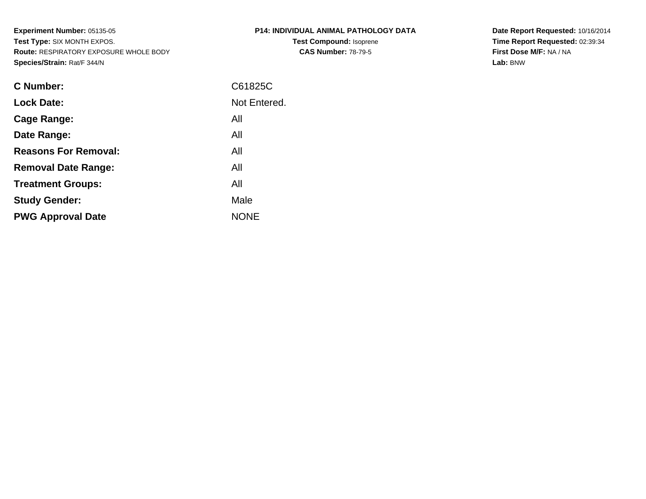**Experiment Number:** 05135-05 **Test Type:** SIX MONTH EXPOS. **Route:** RESPIRATORY EXPOSURE WHOLE BODY**Species/Strain:** Rat/F 344/N

| P14: INDIVIDUAL ANIMAL PATHOLOGY DATA |
|---------------------------------------|
| <b>Test Compound: Isoprene</b>        |
| <b>CAS Number: 78-79-5</b>            |

**Date Report Requested:** 10/16/2014 **Time Report Requested:** 02:39:34**First Dose M/F:** NA / NA**Lab:** BNW

| <b>C</b> Number:            | C61825C      |
|-----------------------------|--------------|
| <b>Lock Date:</b>           | Not Entered. |
| Cage Range:                 | All          |
| Date Range:                 | All          |
| <b>Reasons For Removal:</b> | All          |
| <b>Removal Date Range:</b>  | All          |
| <b>Treatment Groups:</b>    | All          |
| <b>Study Gender:</b>        | Male         |
| <b>PWG Approval Date</b>    | <b>NONE</b>  |
|                             |              |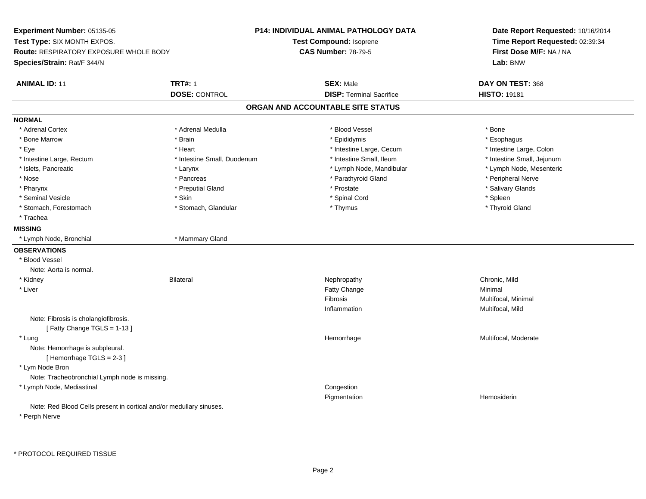**Experiment Number:** 05135-05**Test Type:** SIX MONTH EXPOS.**Route:** RESPIRATORY EXPOSURE WHOLE BODY**Species/Strain:** Rat/F 344/N**P14: INDIVIDUAL ANIMAL PATHOLOGY DATATest Compound:** Isoprene**CAS Number:** 78-79-5**Date Report Requested:** 10/16/2014**Time Report Requested:** 02:39:34**First Dose M/F:** NA / NA**Lab:** BNW**ANIMAL ID:** 11**TRT#:** 1 **SEX:** Male **DAY ON TEST:** 368 **DOSE:** CONTROL**DISP:** Terminal Sacrifice **HISTO:** 19181 **ORGAN AND ACCOUNTABLE SITE STATUSNORMAL**\* Adrenal Cortex \* Adrenal Cortex \* \* Adrenal Medulla \* \* Adrenal Medulla \* \* Blood Vessel \* \* Brood Vessel \* \* Bone \* Esophagus \* Bone Marrow \* Brain \* Epididymis \* Esophagus \* Intestine Large, Colon \* Eye \* The matrice of the test of the test of the test of the test of the test of the test of the test of the test of the test of the test of the test of the test of the test of the test of the test of the test of the tes \* Intestine Small, Jejunum \* Intestine Large, Rectum \* Intestine Small, Duodenum \* Intestine Small, Duodenum \* 1ntestine Small, Ileum \* Lymph Node, Mesenteric \* Islets, Pancreatic **\* Larynx \* Larynx \*** Larynx \* Lymph Node, Mandibular \* Lymph Node, Mandibular \* Nose \* \* Pancreas \* \* Pancreas \* \* Pancreas \* \* Parathyroid Gland \* \* Peripheral Nerve \* Peripheral Nerve \* \* Salivary Glands \* Pharynx \* That was the second to the second that the second term in the second term in the second term in the second term in the second term in the second term in the second term in the second term in the second term in \* Seminal Vesicle \* Skin \* Spinal Cord \* Spleen \* Thyroid Gland \* Stomach, Forestomach \* Thymus \* Stomach, Glandular \* Thymus \* Thymus \* Thymus \* Thymus \* Thymus \* Thymus \* Thymus \* Thymus \* Thymus \* Thymus \* Thymus \* Thymus \* Thymus \* Thymus \* Thymus \* Thymus \* Thymus \* Thymus \* Thymu \* Trachea**MISSING** \* Lymph Node, Bronchial \* Mammary Gland**OBSERVATIONS** \* Blood VesselNote: Aorta is normal. \* Kidney Bilateral Nephropathy Chronic, Mild \* Liver Fatty Changee Minimal Fibrosis Multifocal, Minimal Inflammation Multifocal, Mild Note: Fibrosis is cholangiofibrosis.[ Fatty Change TGLS = 1-13 ] \* Lungg was a statement of the monotonic memorrhage the monotonic memorrhage  $\sim$  Multifocal, Moderate  $\sim$  Multifocal, Moderate Note: Hemorrhage is subpleural.[ Hemorrhage TGLS = 2-3 ] \* Lym Node Bron Note: Tracheobronchial Lymph node is missing. \* Lymph Node, Mediastinal Congestion Pigmentation Hemosiderin Note: Red Blood Cells present in cortical and/or medullary sinuses.\* Perph Nerve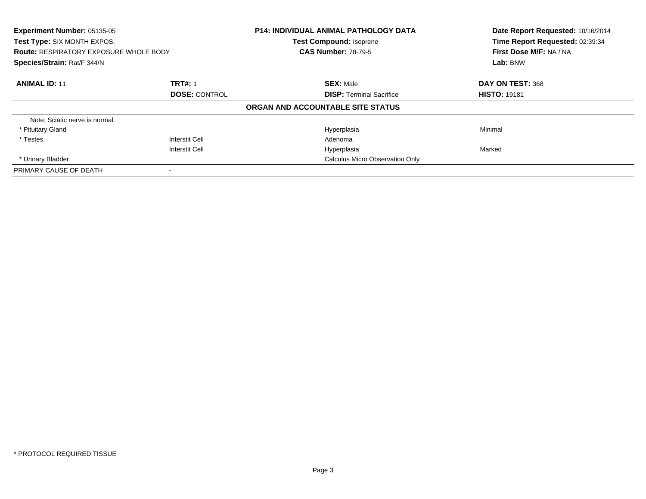| Experiment Number: 05135-05<br>Test Type: SIX MONTH EXPOS. |                       | <b>P14: INDIVIDUAL ANIMAL PATHOLOGY DATA</b><br><b>Test Compound: Isoprene</b> | Date Report Requested: 10/16/2014<br>Time Report Requested: 02:39:34 |
|------------------------------------------------------------|-----------------------|--------------------------------------------------------------------------------|----------------------------------------------------------------------|
| <b>Route: RESPIRATORY EXPOSURE WHOLE BODY</b>              |                       | <b>CAS Number: 78-79-5</b>                                                     | First Dose M/F: NA / NA                                              |
| Species/Strain: Rat/F 344/N                                |                       |                                                                                | Lab: BNW                                                             |
| <b>ANIMAL ID: 11</b>                                       | <b>TRT#: 1</b>        | <b>SEX: Male</b>                                                               | DAY ON TEST: 368                                                     |
|                                                            | <b>DOSE: CONTROL</b>  | <b>DISP: Terminal Sacrifice</b>                                                | <b>HISTO: 19181</b>                                                  |
|                                                            |                       | ORGAN AND ACCOUNTABLE SITE STATUS                                              |                                                                      |
| Note: Sciatic nerve is normal.                             |                       |                                                                                |                                                                      |
| * Pituitary Gland                                          |                       | Hyperplasia                                                                    | Minimal                                                              |
| * Testes                                                   | Interstit Cell        | Adenoma                                                                        |                                                                      |
|                                                            | <b>Interstit Cell</b> | Hyperplasia                                                                    | Marked                                                               |
| * Urinary Bladder                                          |                       | <b>Calculus Micro Observation Only</b>                                         |                                                                      |
| PRIMARY CAUSE OF DEATH                                     |                       |                                                                                |                                                                      |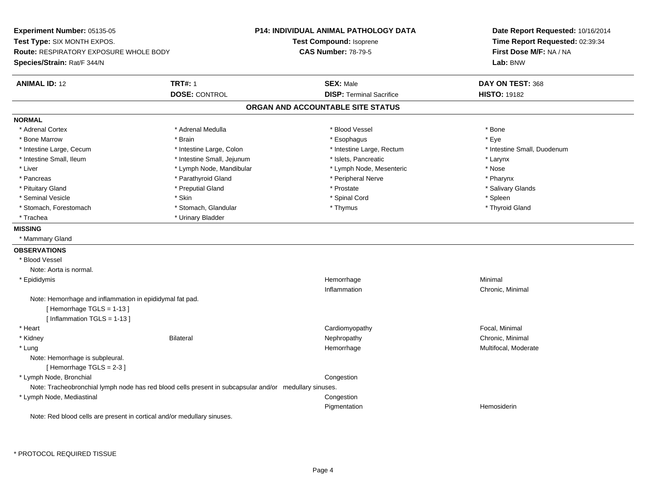**Experiment Number:** 05135-05**Test Type:** SIX MONTH EXPOS.**Route:** RESPIRATORY EXPOSURE WHOLE BODY**Species/Strain:** Rat/F 344/N**P14: INDIVIDUAL ANIMAL PATHOLOGY DATATest Compound:** Isoprene**CAS Number:** 78-79-5**Date Report Requested:** 10/16/2014**Time Report Requested:** 02:39:34**First Dose M/F:** NA / NA**Lab:** BNW**ANIMAL ID:** 12 **TRT#:** <sup>1</sup> **SEX:** Male **DAY ON TEST:** <sup>368</sup> **DOSE:** CONTROL**DISP:** Terminal Sacrifice **HISTO:** 19182 **ORGAN AND ACCOUNTABLE SITE STATUSNORMAL**\* Adrenal Cortex \* Adrenal Cortex \* \* Adrenal Medulla \* \* Adrenal Medulla \* \* Blood Vessel \* \* Brood Vessel \* \* Bone \* Eve \* Bone Marrow \* Brain \* Esophagus \* Eye \* Intestine Small, Duodenum \* Intestine Large, Cecum \* Intestine Large, Colon \* Intestine Sarge, Rectum \* Intestine Large, Rectum \* Intestine Small, Ileum \* Intestine Small, Jejunum \* Islets, Pancreatic \* Larynx\* Nose \* Liver \* Lymph Node, Mandibular \* Note and \* Lymph Node, Mesenteric \* November \* Nose and \* Nose and \* Nose and \* Nose and \* Nose and \* Nose and \* Nose and \* Nose and \* Nose and \* Nose and \* Nose and \* Nose and \* Nose and \* Pharvnx \* Pancreas \* Pancreas \* Parathyroid Gland \* Peripheral Nerve \* Peripheral Nerve \* Salivary Glands \* Pituitary Gland \* \* Then the state \* Preputial Gland \* Prosection \* Prostate \* \* Salivary Glands \* Salivary Glands \* Salivary Glands \* Salivary Glands \* Salivary Glands \* Salivary Glands \* Salivary Glands \* Salivary Glan \* Seminal Vesicle \* Skin \* Spinal Cord \* Spleen \* Thyroid Gland \* Stomach, Forestomach \* Thomach \* Stomach, Glandular \* Thomach, Glandular \* Thymus \* Thomach, Glandular \* Thomach, Glandular \* Thomach, Glandular \* Thomach, Glandular \* Thomach, Glandular \* Thomach, Glandular \* Thomach, G \* Trachea \* Urinary Bladder**MISSING** \* Mammary Gland**OBSERVATIONS** \* Blood VesselNote: Aorta is normal. \* Epididymiss and the control of the control of the control of the control of the control of the control of the control of the control of the control of the control of the control of the control of the control of the control of the co e Minimal Inflammation Chronic, Minimal Note: Hemorrhage and inflammation in epididymal fat pad.[ Hemorrhage TGLS = 1-13 ][ Inflammation TGLS = 1-13 ] \* Heart Cardiomyopathy Focal, Minimal \* Kidneyy the controller of the Bilateral Chronic, Minimal and the Chronic, Minimal of the Chronic, Minimal of the Chronic, Minimal of the Chronic, Minimal of the Chronic, Minimal of the Chronic, Minimal of the Chronic, Minimal of \* Lungg was a statement of the monotonic memorrhage the monotonic memorrhage  $\sim$  Multifocal, Moderate  $\sim$  Multifocal, Moderate Note: Hemorrhage is subpleural. $[$  Hemorrhage TGLS = 2-3  $]$  \* Lymph Node, Bronchial CongestionNote: Tracheobronchial lymph node has red blood cells present in subcapsular and/or medullary sinuses. \* Lymph Node, Mediastinal Congestion Pigmentation Hemosiderin Note: Red blood cells are present in cortical and/or medullary sinuses.

\* PROTOCOL REQUIRED TISSUE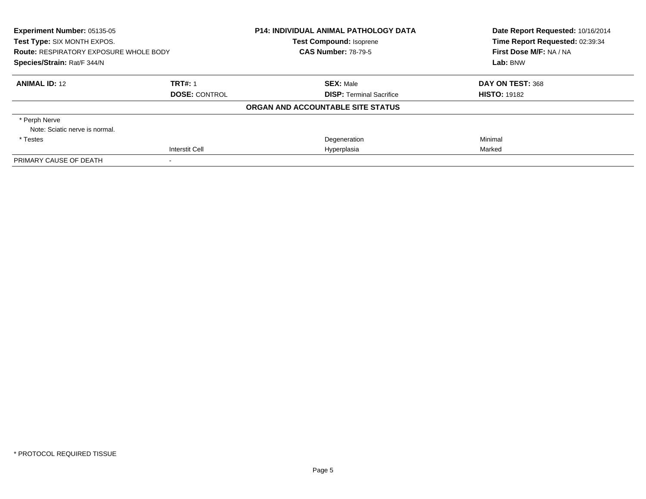| Experiment Number: 05135-05<br>Test Type: SIX MONTH EXPOS.<br><b>Route: RESPIRATORY EXPOSURE WHOLE BODY</b><br>Species/Strain: Rat/F 344/N |                       | <b>P14: INDIVIDUAL ANIMAL PATHOLOGY DATA</b><br><b>Test Compound: Isoprene</b> | Date Report Requested: 10/16/2014<br>Time Report Requested: 02:39:34<br>First Dose M/F: NA / NA<br>Lab: BNW |
|--------------------------------------------------------------------------------------------------------------------------------------------|-----------------------|--------------------------------------------------------------------------------|-------------------------------------------------------------------------------------------------------------|
|                                                                                                                                            |                       | <b>CAS Number: 78-79-5</b>                                                     |                                                                                                             |
|                                                                                                                                            |                       |                                                                                |                                                                                                             |
| <b>ANIMAL ID: 12</b>                                                                                                                       | <b>TRT#: 1</b>        | <b>SEX: Male</b>                                                               | DAY ON TEST: 368                                                                                            |
|                                                                                                                                            | <b>DOSE: CONTROL</b>  | <b>DISP:</b> Terminal Sacrifice                                                | <b>HISTO: 19182</b>                                                                                         |
|                                                                                                                                            |                       | ORGAN AND ACCOUNTABLE SITE STATUS                                              |                                                                                                             |
| * Perph Nerve                                                                                                                              |                       |                                                                                |                                                                                                             |
| Note: Sciatic nerve is normal.                                                                                                             |                       |                                                                                |                                                                                                             |
| * Testes                                                                                                                                   |                       | Degeneration                                                                   | Minimal                                                                                                     |
|                                                                                                                                            | <b>Interstit Cell</b> | Hyperplasia                                                                    | Marked                                                                                                      |
| PRIMARY CAUSE OF DEATH                                                                                                                     |                       |                                                                                |                                                                                                             |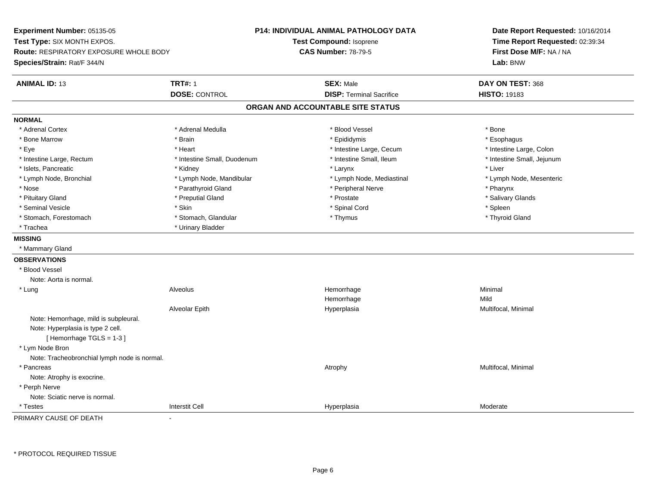**Experiment Number:** 05135-05**Test Type:** SIX MONTH EXPOS.**Route:** RESPIRATORY EXPOSURE WHOLE BODY**Species/Strain:** Rat/F 344/N**P14: INDIVIDUAL ANIMAL PATHOLOGY DATATest Compound:** Isoprene**CAS Number:** 78-79-5**Date Report Requested:** 10/16/2014**Time Report Requested:** 02:39:34**First Dose M/F:** NA / NA**Lab:** BNW**ANIMAL ID:** 13**TRT#:** 1 **SEX:** Male **DAY ON TEST:** 368 **DOSE:** CONTROL**DISP:** Terminal Sacrifice **HISTO:** 19183 **ORGAN AND ACCOUNTABLE SITE STATUSNORMAL**\* Adrenal Cortex \* Adrenal Cortex \* \* Adrenal Medulla \* \* Adrenal Medulla \* \* Blood Vessel \* \* Brood Vessel \* \* Bone \* Esophagus \* Bone Marrow \* Brain \* Epididymis \* Esophagus \* Intestine Large, Colon \* Eye \* The state \* Intestine Large, Cecum \* Heart \* **Intestine Large, Cecum** \* Intestine Large, Cecum \* Intestine Small, Jejunum \* Intestine Large, Rectum \* 1992 \* Intestine Small, Duodenum \* Intestine Small, Ileum \* Intestine Small, Ileum \* Islets, Pancreatic \* \* \* Andrew \* Kidney \* \* Kidney \* \* Larynx \* Larynx \* \* Larynx \* \* Liver \* Liver \* Liver \* Lymph Node, Bronchial \* Lymph Node, Mandibular \* Lymph Node, Mediastinal \* Lymph Node, Mesenteric\* Nose \* Parathyroid Gland \* Parathyroid Gland \* Peripheral Nerve \* Poster \* Pharynx \* Salivary Glands \* Pituitary Gland \* \* Then the state \* Preputial Gland \* Prosection \* Prostate \* \* Salivary Glands \* Salivary Glands \* Salivary Glands \* Salivary Glands \* Salivary Glands \* Salivary Glands \* Salivary Glands \* Salivary Glan \* Seminal Vesicle \* Skin \* Spinal Cord \* Spleen \* Thyroid Gland \* Stomach, Forestomach \* Thymus \* Stomach, Glandular \* Thymus \* Thymus \* Thymus \* Thymus \* Thymus \* Thymus \* Thymus \* Thymus \* Thymus \* Thymus \* Thymus \* Thymus \* Thymus \* Thymus \* Thymus \* Thymus \* Thymus \* Thymus \* Thymu \* Trachea **\*** Urinary Bladder **MISSING** \* Mammary Gland**OBSERVATIONS** \* Blood VesselNote: Aorta is normal. \* Lung Alveolus Hemorrhage Minimal Hemorrhagee Mild Alveolar Epith Hyperplasia Multifocal, Minimal Note: Hemorrhage, mild is subpleural.Note: Hyperplasia is type 2 cell.[ Hemorrhage TGLS = 1-3 ] \* Lym Node Bron Note: Tracheobronchial lymph node is normal. \* Pancreass and the contract of the contract of the contract of the contract of the contract of the contract of the contract of  $\lambda$  and  $\lambda$  and  $\lambda$  and  $\lambda$  and  $\lambda$  and  $\lambda$  and  $\lambda$  and  $\lambda$  and  $\lambda$  and  $\lambda$  and  $\lambda$  and  $\lambda$  Note: Atrophy is exocrine. \* Perph Nerve Note: Sciatic nerve is normal. \* Testess and the contraction of the contraction of the contraction of the contraction of the contraction of the contraction of the contraction of the contraction of the contraction of the contraction of the contraction of the con Hyperplasia Moderate PRIMARY CAUSE OF DEATH-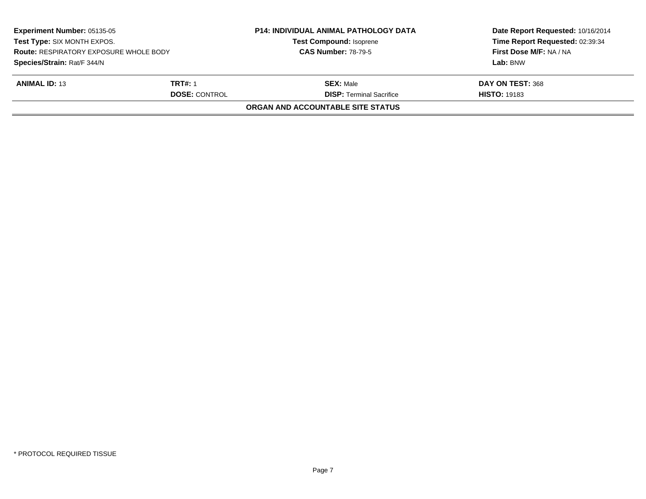| <b>Experiment Number: 05135-05</b><br>Test Type: SIX MONTH EXPOS.<br><b>Route: RESPIRATORY EXPOSURE WHOLE BODY</b><br>Species/Strain: Rat/F 344/N |                      | <b>P14: INDIVIDUAL ANIMAL PATHOLOGY DATA</b> | Date Report Requested: 10/16/2014<br>Time Report Requested: 02:39:34<br>First Dose M/F: NA / NA |
|---------------------------------------------------------------------------------------------------------------------------------------------------|----------------------|----------------------------------------------|-------------------------------------------------------------------------------------------------|
|                                                                                                                                                   |                      | <b>Test Compound: Isoprene</b>               |                                                                                                 |
|                                                                                                                                                   |                      | <b>CAS Number: 78-79-5</b>                   |                                                                                                 |
|                                                                                                                                                   |                      |                                              | Lab: BNW                                                                                        |
| <b>ANIMAL ID: 13</b>                                                                                                                              | <b>TRT#: 1</b>       | <b>SEX: Male</b>                             | DAY ON TEST: 368                                                                                |
|                                                                                                                                                   | <b>DOSE: CONTROL</b> | <b>DISP:</b> Terminal Sacrifice              | <b>HISTO: 19183</b>                                                                             |
|                                                                                                                                                   |                      | <b>ORGAN AND ACCOUNTABLE SITE STATUS</b>     |                                                                                                 |
|                                                                                                                                                   |                      |                                              |                                                                                                 |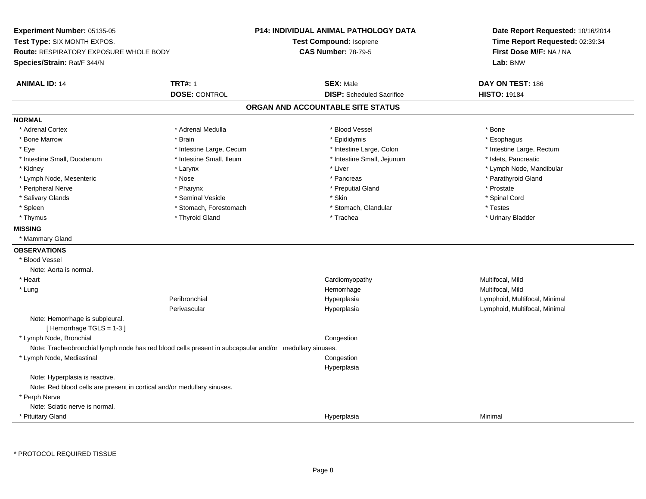**Experiment Number:** 05135-05**Test Type:** SIX MONTH EXPOS.**Route:** RESPIRATORY EXPOSURE WHOLE BODY**Species/Strain:** Rat/F 344/N**P14: INDIVIDUAL ANIMAL PATHOLOGY DATATest Compound:** Isoprene**CAS Number:** 78-79-5**Date Report Requested:** 10/16/2014**Time Report Requested:** 02:39:34**First Dose M/F:** NA / NA**Lab:** BNW**ANIMAL ID:** 14 **TRT#:** <sup>1</sup> **SEX:** Male **DAY ON TEST:** <sup>186</sup> **DOSE:** CONTROL**DISP:** Scheduled Sacrifice **HISTO:** 19184 **ORGAN AND ACCOUNTABLE SITE STATUSNORMAL**\* Adrenal Cortex \* Adrenal Cortex \* \* Adrenal Medulla \* \* Adrenal Medulla \* \* Blood Vessel \* \* Brood Vessel \* \* Bone \* Esophagus \* Bone Marrow \* Brain \* Epididymis \* Esophagus \* Eye \* Thestine Large, Cecum \* Intestine Large, Cecum \* Intestine Large, Colon \* Intestine Large, Rectum \* Intestine Large, Rectum \* Intestine Small, Duodenum \* Intestine Small, Ileum \* Intestine Small, Intestine Small, Jejunum \* Islets, Pancreatic \* Kidney \* The mode, Mandibular \* Larynx \* Larynx \* Larynx \* Liver \* Liver \* Number \* Liver \* Lymph Node, Mandibular \* Lymph Node, Mesenteric \* The state of the state of the state of the state of the state of the state of the state of the state of the state of the state of the state of the state of the state of the state of the state of \* Peripheral Nerve \* \* \* Pharynx \* Pharynx \* \* Pharynx \* \* Preputial Gland \* \* Preputial Gland \* \* Prostate \* Spinal Cord \* Salivary Glands \* \* Seminal Vesicle \* \* Seminal Vesicle \* \* Skin \* \* Skin \* \* Stember \* Spinal Cord \* Spinal Cord \* Spinal Cord \* Spinal Cord \* Spinal Cord \* Spinal Cord \* Spinal Cord \* Spinal Cord \* Spinal Cord \* Spinal \* Spleen \* Stomach, Forestomach \* Stomach \* Stomach, Slandular \* Testes \* Testes \* Urinary Bladder \* Thymus \* Thyroid Gland \* Trachea \* Urinary Bladder \* **MISSING** \* Mammary Gland**OBSERVATIONS** \* Blood VesselNote: Aorta is normal. \* Heart Cardiomyopathy Multifocal, MildMultifocal, Mild \* Lungg and the morrhage of the morrhage of the morrhage of the Multifocal, Mild and the Multifocal, Mild and the morrhage  $\mu$ Peribronchial Hyperplasia Lymphoid, Multifocal, Minimal Perivascular Hyperplasia Lymphoid, Multifocal, Minimal Note: Hemorrhage is subpleural.[ Hemorrhage TGLS = 1-3 ] \* Lymph Node, Bronchial CongestionNote: Tracheobronchial lymph node has red blood cells present in subcapsular and/or medullary sinuses. \* Lymph Node, Mediastinal Congestion HyperplasiaNote: Hyperplasia is reactive.Note: Red blood cells are present in cortical and/or medullary sinuses. \* Perph Nerve Note: Sciatic nerve is normal. \* Pituitary Glandd and the control of the control of the control of the control of the control of the control of the control of the control of the control of the control of the control of the control of the control of the control of the co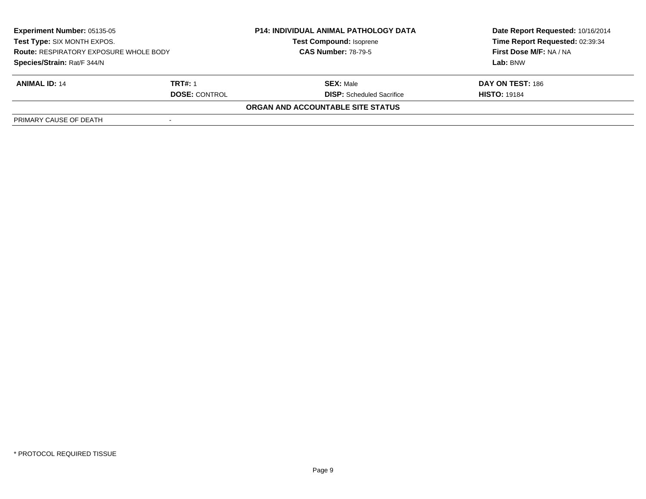| <b>Experiment Number: 05135-05</b><br>Test Type: SIX MONTH EXPOS.<br><b>Route: RESPIRATORY EXPOSURE WHOLE BODY</b><br>Species/Strain: Rat/F 344/N |         | <b>P14: INDIVIDUAL ANIMAL PATHOLOGY DATA</b><br><b>Test Compound: Isoprene</b> | Date Report Requested: 10/16/2014<br>Time Report Requested: 02:39:34 |
|---------------------------------------------------------------------------------------------------------------------------------------------------|---------|--------------------------------------------------------------------------------|----------------------------------------------------------------------|
|                                                                                                                                                   |         | <b>CAS Number: 78-79-5</b>                                                     | First Dose M/F: NA / NA                                              |
|                                                                                                                                                   |         |                                                                                | Lab: BNW                                                             |
| <b>ANIMAL ID: 14</b>                                                                                                                              | TRT#: 1 | <b>SEX: Male</b>                                                               | DAY ON TEST: 186                                                     |
| <b>DOSE: CONTROL</b>                                                                                                                              |         | <b>DISP:</b> Scheduled Sacrifice                                               | <b>HISTO: 19184</b>                                                  |
|                                                                                                                                                   |         | <b>ORGAN AND ACCOUNTABLE SITE STATUS</b>                                       |                                                                      |
| PRIMARY CAUSE OF DEATH                                                                                                                            |         |                                                                                |                                                                      |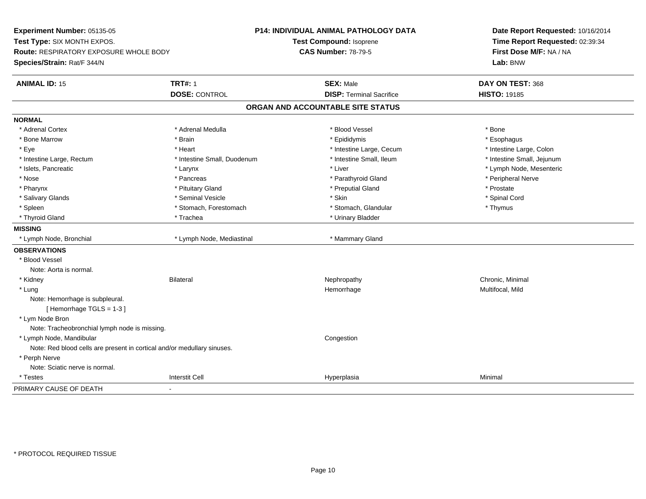**Experiment Number:** 05135-05**Test Type:** SIX MONTH EXPOS.**Route:** RESPIRATORY EXPOSURE WHOLE BODY**Species/Strain:** Rat/F 344/N**P14: INDIVIDUAL ANIMAL PATHOLOGY DATATest Compound:** Isoprene**CAS Number:** 78-79-5**Date Report Requested:** 10/16/2014**Time Report Requested:** 02:39:34**First Dose M/F:** NA / NA**Lab:** BNW**ANIMAL ID:** 15 **TRT#:** <sup>1</sup> **SEX:** Male **DAY ON TEST:** <sup>368</sup> **DOSE:** CONTROL**DISP:** Terminal Sacrifice **HISTO:** 19185 **ORGAN AND ACCOUNTABLE SITE STATUSNORMAL**\* Adrenal Cortex \* Adrenal Cortex \* \* Adrenal Medulla \* \* Adrenal Medulla \* \* Blood Vessel \* \* Brood Vessel \* \* Bone \* Esophagus \* Bone Marrow \* Brain \* Epididymis \* Esophagus \* Intestine Large, Colon \* Eye \* The matrice of the test of the test of the test of the test of the test of the test of the test of the test of the test of the test of the test of the test of the test of the test of the test of the test of the tes \* Intestine Small, Jejunum \* Intestine Large, Rectum \* Intestine Small, Duodenum \* Intestine Small, Ileum \* Intestine Small, Ileum \* Islets, Pancreatic \* Larynx \* Liver \* Lymph Node, Mesenteric \* Nose \* \* Pancreas \* \* Pancreas \* \* Pancreas \* \* Parathyroid Gland \* \* Peripheral Nerve \* Peripheral Nerve \* \* Pharynx \* Pituitary Gland \* Preputial Gland \* Prostate \* Spinal Cord \* Salivary Glands \* \* Seminal Vesicle \* \* Seminal Vesicle \* \* Skin \* \* Skin \* \* Stember \* Spinal Cord \* Spinal Cord \* Spinal Cord \* Spinal Cord \* Spinal Cord \* Spinal Cord \* Spinal Cord \* Spinal Cord \* Spinal Cord \* Spinal \* Spleen \* Stomach, Forestomach \* Stomach \* Stomach, Glandular \* Stomach, Glandular \* Thymus \* Thyroid Gland \* Trachea \* Trachea \* Trachea \* Urinary Bladder **MISSING**\* Lymph Node, Bronchial \* Lymph Node, Mediastinal \* Mammary Gland **OBSERVATIONS** \* Blood VesselNote: Aorta is normal. \* Kidneyy the controller of the Bilateral Chronic, Minimal and the Chronic, Minimal of the Chronic, Minimal of the Chronic, Minimal of the Chronic, Minimal of the Chronic, Minimal of the Chronic, Minimal of the Chronic, Minimal of \* Lungg and the morrhage of the morrhage of the morrhage of the Multifocal, Mild and the Multifocal, Mild and the morrhage  $\mu$ Note: Hemorrhage is subpleural.[ Hemorrhage TGLS = 1-3 ] \* Lym Node Bron Note: Tracheobronchial lymph node is missing. \* Lymph Node, Mandibular**Example 2** is a state of the congression of the congression of the congression of the congression of the congression Note: Red blood cells are present in cortical and/or medullary sinuses. \* Perph Nerve Note: Sciatic nerve is normal. \* Testess and the contraction of the contraction of the contraction of the contraction of the contraction of the contraction of the contraction of the contraction of the contraction of the contraction of the contraction of the con a Minimal PRIMARY CAUSE OF DEATH-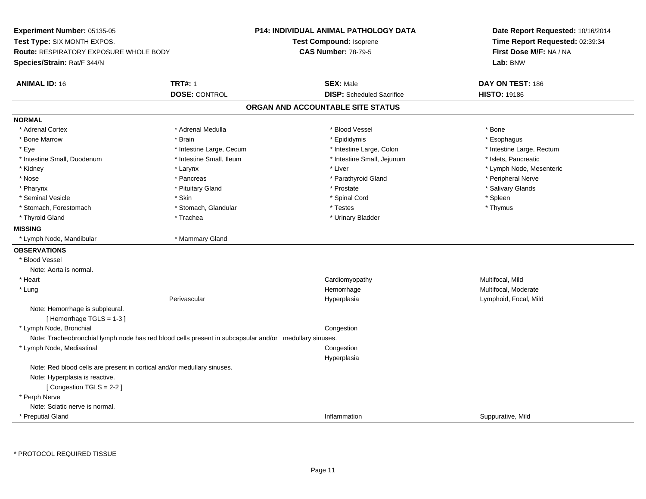**Experiment Number:** 05135-05**Test Type:** SIX MONTH EXPOS.**Route:** RESPIRATORY EXPOSURE WHOLE BODY**Species/Strain:** Rat/F 344/N**P14: INDIVIDUAL ANIMAL PATHOLOGY DATATest Compound:** Isoprene**CAS Number:** 78-79-5**Date Report Requested:** 10/16/2014**Time Report Requested:** 02:39:34**First Dose M/F:** NA / NA**Lab:** BNW**ANIMAL ID:** 16**TRT#:** 1 **SEX:** Male **DAY ON TEST:** 186 **DOSE:** CONTROL**DISP:** Scheduled Sacrifice **HISTO:** 19186 **ORGAN AND ACCOUNTABLE SITE STATUSNORMAL**\* Adrenal Cortex \* Adrenal Cortex \* \* Adrenal Medulla \* \* Adrenal Medulla \* \* Blood Vessel \* \* Brood Vessel \* \* Bone \* Esophagus \* Bone Marrow \* Brain \* Epididymis \* Esophagus \* Eye \* Thestine Large, Cecum \* Intestine Large, Cecum \* Intestine Large, Colon \* Intestine Large, Rectum \* Intestine Large, Rectum \* Intestine Small, Duodenum \* Intestine Small, Ileum \* Intestine Small, Intestine Small, Jejunum \* Islets, Pancreatic \* Kidney \* The mode, Mesenteric \* Larynx \* Larynx \* Larynx \* Liver \* Liver \* Liver \* Liver \* Liver \* Lymph Node, Mesenteric \* Nose \* \* Pancreas \* \* Pancreas \* \* Pancreas \* \* Parathyroid Gland \* \* Peripheral Nerve \* Peripheral Nerve \* \* Salivary Glands \* Pharynx \* That was also to the set of the set of the set of the set of the set of the set of the set of the set of the set of the set of the set of the set of the set of the set of the set of the set of the set of the se \* Seminal Vesicle \* Skin \* Spinal Cord \* Spleen \* Thymus \* Stomach, Forestomach \* Testes \* Stomach, Glandular \* Testes \* Testes \* Testes \* Testes \* Testes \* Testes \* T \* Thyroid Gland \* Trachea \* Trachea \* Trachea \* Urinary Bladder **MISSING** \* Lymph Node, Mandibular \* Mammary Gland**OBSERVATIONS** \* Blood VesselNote: Aorta is normal. \* Heart Cardiomyopathy Multifocal, MildMultifocal, Moderate \* Lungg was a statement of the monotonic memorrhage the monotonic memorrhage  $\sim$  Multifocal, Moderate  $\sim$  Multifocal, Moderate Perivascular Hyperplasia Lymphoid, Focal, Mild Note: Hemorrhage is subpleural.[ Hemorrhage TGLS = 1-3 ] \* Lymph Node, Bronchial CongestionNote: Tracheobronchial lymph node has red blood cells present in subcapsular and/or medullary sinuses. \* Lymph Node, Mediastinal Congestion HyperplasiaNote: Red blood cells are present in cortical and/or medullary sinuses.Note: Hyperplasia is reactive.[ Congestion TGLS = 2-2 ] \* Perph Nerve Note: Sciatic nerve is normal. \* Preputial GlandInflammation Suppurative, Mild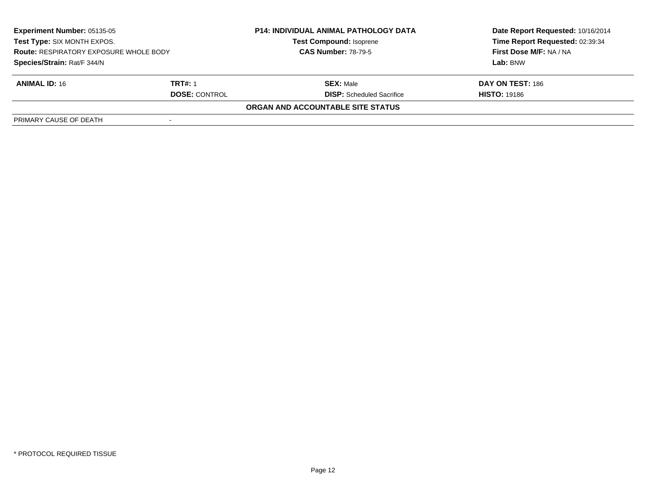| <b>Experiment Number: 05135-05</b><br>Test Type: SIX MONTH EXPOS.            |         | <b>P14: INDIVIDUAL ANIMAL PATHOLOGY DATA</b><br><b>Test Compound: Isoprene</b> | Date Report Requested: 10/16/2014<br>Time Report Requested: 02:39:34 |
|------------------------------------------------------------------------------|---------|--------------------------------------------------------------------------------|----------------------------------------------------------------------|
| <b>Route: RESPIRATORY EXPOSURE WHOLE BODY</b><br>Species/Strain: Rat/F 344/N |         | <b>CAS Number: 78-79-5</b>                                                     | First Dose M/F: NA / NA                                              |
|                                                                              |         |                                                                                | Lab: BNW                                                             |
| <b>ANIMAL ID: 16</b>                                                         | TRT#: 1 | <b>SEX: Male</b>                                                               | DAY ON TEST: 186                                                     |
| <b>DOSE: CONTROL</b>                                                         |         | <b>DISP:</b> Scheduled Sacrifice                                               | <b>HISTO: 19186</b>                                                  |
|                                                                              |         | ORGAN AND ACCOUNTABLE SITE STATUS                                              |                                                                      |
| PRIMARY CAUSE OF DEATH                                                       |         |                                                                                |                                                                      |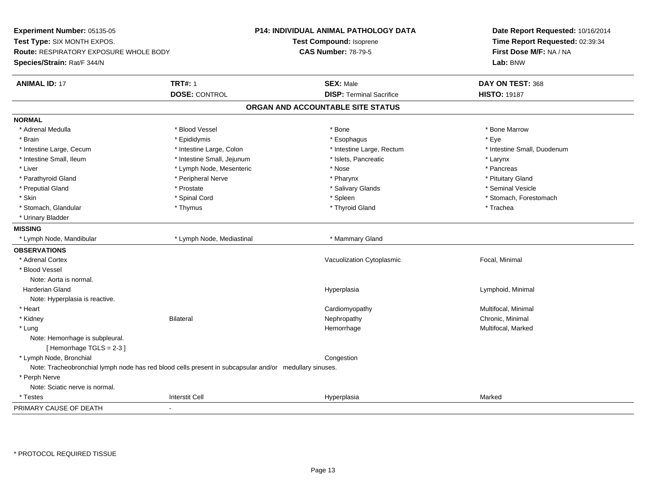**Experiment Number:** 05135-05**Test Type:** SIX MONTH EXPOS.**Route:** RESPIRATORY EXPOSURE WHOLE BODY**Species/Strain:** Rat/F 344/N**P14: INDIVIDUAL ANIMAL PATHOLOGY DATATest Compound:** Isoprene**CAS Number:** 78-79-5**Date Report Requested:** 10/16/2014**Time Report Requested:** 02:39:34**First Dose M/F:** NA / NA**Lab:** BNW**ANIMAL ID:** 17**TRT#:** 1 **SEX:** Male **DAY ON TEST:** 368 **DOSE:** CONTROL**DISP:** Terminal Sacrifice **HISTO:** 19187 **ORGAN AND ACCOUNTABLE SITE STATUSNORMAL**\* Adrenal Medulla \* \* \* Blood Vessel \* \* \* Bone Marrow \* \* Bone Marrow \* \* Bone Marrow \* Brain \* \* Expediance \* Epididymis \* \* Expediance \* \* Esophagus \* Expediance \* \* Expediance \* Eye \* Eye \* Intestine Small, Duodenum \* Intestine Large, Cecum \* Intestine Large, Colon \* Intestine Sarge, Rectum \* Intestine Large, Rectum \* Intestine Small, Ileum \* Intestine Small, Jejunum \* Islets, Pancreatic \* Larynx\* Pancreas \* Liver \* Lymph Node, Mesenteric \* Nose \* Nose \* Pituitary Gland \* Parathyroid Gland \* **Example 20** \* Peripheral Nerve \* Pharynx \* Pharynx \* Pharynx \* Seminal Vesicle \* Preputial Gland \* \* Annual vesicle \* \* Prostate \* \* Salivary Glands \* \* Salivary Glands \* \* Seminal Vesicle \* \* Skin \* Spinal Cord \* Spinal Cord \* Spinal Cord \* Spinal \* Spinal \* Stomach, Forestomach \* Stomach, Forestomach \* Stomach, Glandular \* Thymus \* Thymus \* Thymus \* Thyroid Gland \* Thyroid Gland \* Trachea \* Urinary Bladder**MISSING**\* Lymph Node, Mandibular \* Lymph Node, Mediastinal \* Mammary Gland **OBSERVATIONS** \* Adrenal CortexVacuolization Cytoplasmic **Focal**, Minimal \* Blood VesselNote: Aorta is normal. Harderian Gland Hyperplasia Lymphoid, Minimal Note: Hyperplasia is reactive. \* Heart Cardiomyopathy Multifocal, Minimal \* Kidneyy the controller of the Bilateral Chronic, Minimal and the Chronic, Minimal of the Chronic, Minimal of the Chronic, Minimal of the Chronic, Minimal of the Chronic, Minimal of the Chronic, Minimal of the Chronic, Minimal of \* Lungg and the state of the state of the state of the Hemorrhage and the Multifocal, Marked and the State of the St Note: Hemorrhage is subpleural.[ Hemorrhage TGLS = 2-3 ] \* Lymph Node, Bronchial CongestionNote: Tracheobronchial lymph node has red blood cells present in subcapsular and/or medullary sinuses. \* Perph Nerve Note: Sciatic nerve is normal. \* Testess and the contraction of the contraction of the contraction of the contraction of the contraction of the contraction of the contraction of the contraction of the contraction of the contraction of the contraction of the con a Marked PRIMARY CAUSE OF DEATH-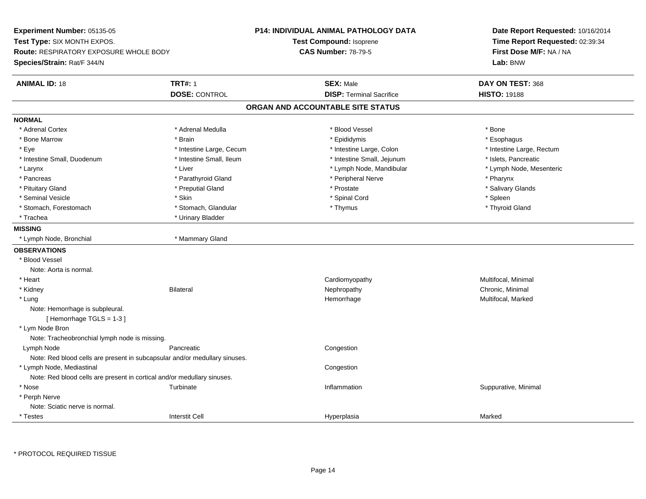**Experiment Number:** 05135-05**Test Type:** SIX MONTH EXPOS.**Route:** RESPIRATORY EXPOSURE WHOLE BODY**Species/Strain:** Rat/F 344/N**P14: INDIVIDUAL ANIMAL PATHOLOGY DATATest Compound:** Isoprene**CAS Number:** 78-79-5**Date Report Requested:** 10/16/2014**Time Report Requested:** 02:39:34**First Dose M/F:** NA / NA**Lab:** BNW**ANIMAL ID:** 18**TRT#:** 1 **SEX:** Male **DAY ON TEST:** 368 **DOSE:** CONTROL**DISP:** Terminal Sacrifice **HISTO:** 19188 **ORGAN AND ACCOUNTABLE SITE STATUSNORMAL**\* Adrenal Cortex \* Adrenal Cortex \* \* Adrenal Medulla \* \* Adrenal Medulla \* \* Blood Vessel \* \* Brood Vessel \* \* Bone \* Esophagus \* Bone Marrow \* Brain \* Epididymis \* Esophagus \* Eye \* Thestine Large, Cecum \* Intestine Large, Cecum \* Intestine Large, Colon \* Intestine Large, Rectum \* Intestine Large, Rectum \* Intestine Small, Duodenum \* Intestine Small, Ileum \* Intestine Small, Intestine Small, Jejunum \* Islets, Pancreatic \* Lymph Node, Mesenteric \* Larynx \* Liver \* Liver \* Liver \* Liver \* Lymph Node, Mandibular \* Lymph Node, Mandibular \* Pancreas \* Parathyroid Gland \* Parathyroid Gland \* Peripheral Nerve \* Pancreas \* Pharynx \* Salivary Glands \* Pituitary Gland \* \* Then the state \* Preputial Gland \* Prosection \* Prostate \* \* Salivary Glands \* Salivary Glands \* Salivary Glands \* Salivary Glands \* Salivary Glands \* Salivary Glands \* Salivary Glands \* Salivary Glan \* Seminal Vesicle \* Skin \* Spinal Cord \* Spleen \* Thyroid Gland \* Stomach, Forestomach \* Thymus \* Stomach, Glandular \* Thymus \* Thymus \* Thymus \* Thymus \* Thymus \* Thymus \* Thymus \* Thymus \* Thymus \* Thymus \* Thymus \* Thymus \* Thymus \* Thymus \* Thymus \* Thymus \* Thymus \* Thymus \* Thymu \* Trachea \* Urinary Bladder**MISSING** \* Lymph Node, Bronchial \* Mammary Gland**OBSERVATIONS** \* Blood VesselNote: Aorta is normal. \* Heart CardiomyopathyMultifocal, Minimal<br>Chronic, Minimal \* Kidneyy the controller of the Bilateral Chronic, Minimal and the Chronic, Minimal of the Chronic, Minimal of the Chronic, Minimal of the Chronic, Minimal of the Chronic, Minimal of the Chronic, Minimal of the Chronic, Minimal of \* Lungg and the state of the state of the state of the Hemorrhage and the Multifocal, Marked and the State of the St Note: Hemorrhage is subpleural.[ Hemorrhage TGLS = 1-3 ] \* Lym Node Bron Note: Tracheobronchial lymph node is missing. Lymph Nodee **Example 2018** Pancreatic **Congestion Congestion** Note: Red blood cells are present in subcapsular and/or medullary sinuses. \* Lymph Node, Mediastinal**Congestion** Note: Red blood cells are present in cortical and/or medullary sinuses. \* Nose Turbinate Inflammation Suppurative, Minimal \* Perph Nerve Note: Sciatic nerve is normal. \* Testess and the contraction of the contraction of the contraction of the contraction of the contraction of the contraction of the contraction of the contraction of the contraction of the contraction of the contraction of the con a Marked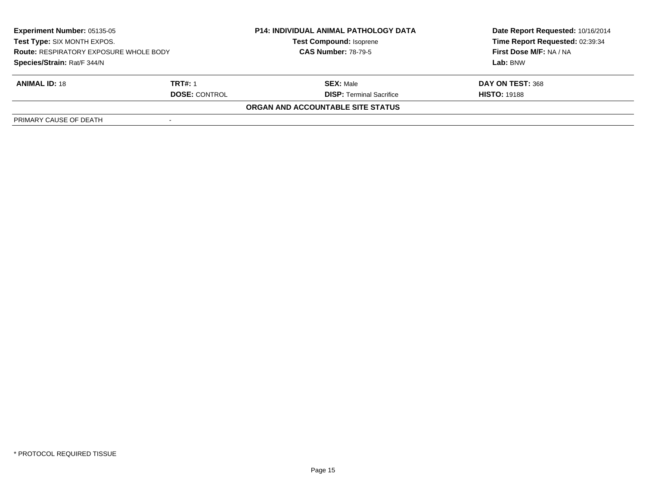| <b>Experiment Number: 05135-05</b><br>Test Type: SIX MONTH EXPOS.<br><b>Route: RESPIRATORY EXPOSURE WHOLE BODY</b><br>Species/Strain: Rat/F 344/N |                | <b>P14: INDIVIDUAL ANIMAL PATHOLOGY DATA</b><br><b>Test Compound: Isoprene</b> | Date Report Requested: 10/16/2014 |
|---------------------------------------------------------------------------------------------------------------------------------------------------|----------------|--------------------------------------------------------------------------------|-----------------------------------|
|                                                                                                                                                   |                |                                                                                | Time Report Requested: 02:39:34   |
|                                                                                                                                                   |                | <b>CAS Number: 78-79-5</b>                                                     | First Dose M/F: NA / NA           |
|                                                                                                                                                   |                |                                                                                | Lab: BNW                          |
| <b>ANIMAL ID: 18</b>                                                                                                                              | <b>TRT#: 1</b> | <b>SEX: Male</b>                                                               | DAY ON TEST: 368                  |
| <b>DOSE: CONTROL</b>                                                                                                                              |                | <b>DISP:</b> Terminal Sacrifice                                                | <b>HISTO: 19188</b>               |
|                                                                                                                                                   |                | ORGAN AND ACCOUNTABLE SITE STATUS                                              |                                   |
| PRIMARY CAUSE OF DEATH                                                                                                                            |                |                                                                                |                                   |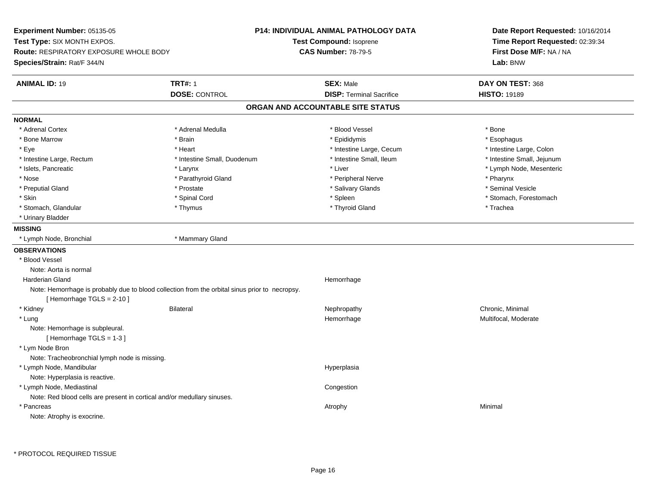**Experiment Number:** 05135-05**Test Type:** SIX MONTH EXPOS.**Route:** RESPIRATORY EXPOSURE WHOLE BODY**Species/Strain:** Rat/F 344/N**P14: INDIVIDUAL ANIMAL PATHOLOGY DATATest Compound:** Isoprene**CAS Number:** 78-79-5**Date Report Requested:** 10/16/2014**Time Report Requested:** 02:39:34**First Dose M/F:** NA / NA**Lab:** BNW**ANIMAL ID:** 19 **TRT#:** <sup>1</sup> **SEX:** Male **DAY ON TEST:** <sup>368</sup> **DOSE:** CONTROL**DISP:** Terminal Sacrifice **HISTO:** 19189 **ORGAN AND ACCOUNTABLE SITE STATUSNORMAL**\* Adrenal Cortex \* Adrenal Cortex \* \* Adrenal Medulla \* \* Adrenal Medulla \* \* Blood Vessel \* \* Brood Vessel \* \* Bone \* Esophagus \* Bone Marrow \* Brain \* Epididymis \* Esophagus \* Intestine Large, Colon \* Eye \* Heart \* Intestine Large, Cecum \* Intestine Large, Colon\* Intestine Small, Jejunum \* Intestine Large, Rectum \* Intestine Small, Duodenum \* Intestine Small, Ileum \* Intestine Small, Ileum \* Islets, Pancreatic \* Larynx \* Liver \* Lymph Node, Mesenteric \* Nose \* Parathyroid Gland \* Parathyroid Gland \* Peripheral Nerve \* Poster \* Pharynx \* Seminal Vesicle \* Preputial Gland \* \* Annual vesicle \* \* Prostate \* \* Salivary Glands \* \* Salivary Glands \* \* Seminal Vesicle \* \* Skin \* Spinal Cord \* Spinal Cord \* Spinal Cord \* Spinal \* Spinal \* Stomach, Forestomach \* Stomach, Forestomach \* Stomach, Glandular \* Thymus \* Thymus \* Thymus \* Thyroid Gland \* Thyroid Gland \* Trachea \* Urinary Bladder**MISSING** \* Lymph Node, Bronchial \* Mammary Gland**OBSERVATIONS** \* Blood VesselNote: Aorta is normal Harderian Glandd **Hemorrhage** Note: Hemorrhage is probably due to blood collection from the orbital sinus prior to necropsy.[ Hemorrhage TGLS = 2-10 ] \* Kidneyy the controller of the Bilateral Chronic, Minimal and the Chronic, Minimal of the Chronic, Minimal of the Chronic, Minimal of the Chronic, Minimal of the Chronic, Minimal of the Chronic, Minimal of the Chronic, Minimal of \* Lungg was a statement of the monotonic memorrhage the monotonic memorrhage  $\sim$  Multifocal, Moderate  $\sim$  Multifocal, Moderate Note: Hemorrhage is subpleural.[ Hemorrhage TGLS = 1-3 ] \* Lym Node Bron Note: Tracheobronchial lymph node is missing. \* Lymph Node, Mandibularr and the contract of the contract of the contract of the contract of the contract of the contract of the contract of the contract of the contract of the contract of the contract of the contract of the contract of the cont Note: Hyperplasia is reactive. \* Lymph Node, Mediastinal**Congestion** Note: Red blood cells are present in cortical and/or medullary sinuses. \* Pancreass the control of the control of the control of the control of the control of the control of the control of the control of the control of the control of the control of the control of the control of the control of the contro Note: Atrophy is exocrine.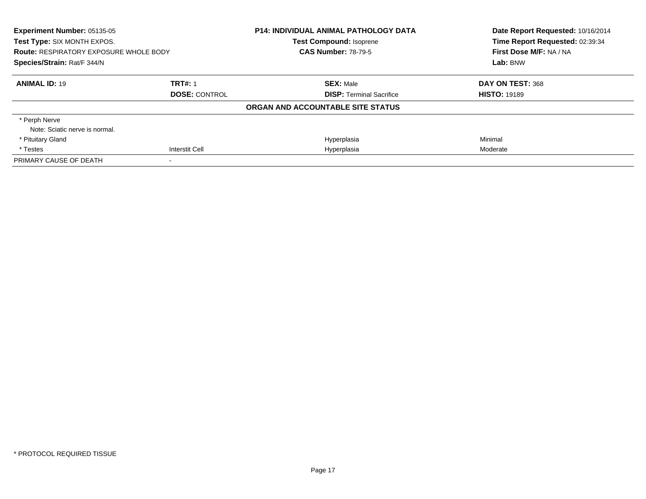| Experiment Number: 05135-05<br>Test Type: SIX MONTH EXPOS. |                      | <b>P14: INDIVIDUAL ANIMAL PATHOLOGY DATA</b><br><b>Test Compound: Isoprene</b> | Date Report Requested: 10/16/2014<br>Time Report Requested: 02:39:34 |
|------------------------------------------------------------|----------------------|--------------------------------------------------------------------------------|----------------------------------------------------------------------|
| <b>Route: RESPIRATORY EXPOSURE WHOLE BODY</b>              |                      | <b>CAS Number: 78-79-5</b>                                                     | First Dose M/F: NA / NA                                              |
| Species/Strain: Rat/F 344/N                                |                      |                                                                                | Lab: BNW                                                             |
| <b>ANIMAL ID: 19</b>                                       | <b>TRT#: 1</b>       | <b>SEX: Male</b>                                                               | DAY ON TEST: 368                                                     |
|                                                            | <b>DOSE: CONTROL</b> | <b>DISP:</b> Terminal Sacrifice                                                | <b>HISTO: 19189</b>                                                  |
|                                                            |                      | ORGAN AND ACCOUNTABLE SITE STATUS                                              |                                                                      |
| * Perph Nerve                                              |                      |                                                                                |                                                                      |
| Note: Sciatic nerve is normal.                             |                      |                                                                                |                                                                      |
| * Pituitary Gland                                          |                      | Hyperplasia                                                                    | Minimal                                                              |
| * Testes                                                   | Interstit Cell       | Hyperplasia                                                                    | Moderate                                                             |
| PRIMARY CAUSE OF DEATH                                     |                      |                                                                                |                                                                      |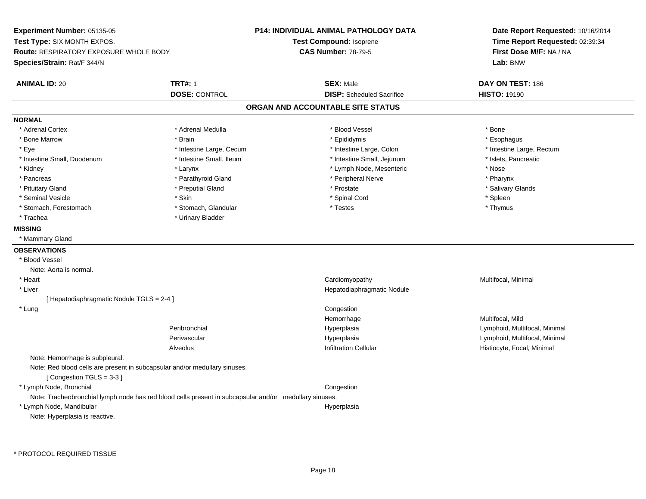**Experiment Number:** 05135-05**Test Type:** SIX MONTH EXPOS.**Route:** RESPIRATORY EXPOSURE WHOLE BODY**Species/Strain:** Rat/F 344/N**P14: INDIVIDUAL ANIMAL PATHOLOGY DATATest Compound:** Isoprene**CAS Number:** 78-79-5**Date Report Requested:** 10/16/2014**Time Report Requested:** 02:39:34**First Dose M/F:** NA / NA**Lab:** BNW**ANIMAL ID:** 20**TRT#:** 1 **SEX:** Male **DAY ON TEST:** 186 **DOSE:** CONTROL**DISP:** Scheduled Sacrifice **HISTO:** 19190 **ORGAN AND ACCOUNTABLE SITE STATUSNORMAL**\* Adrenal Cortex \* Adrenal Cortex \* \* Adrenal Medulla \* \* Adrenal Medulla \* \* Blood Vessel \* \* Brood Vessel \* \* Bone \* Esophagus \* Bone Marrow \* Brain \* Epididymis \* Esophagus \* Eye \* Thestine Large, Cecum \* Intestine Large, Cecum \* Intestine Large, Colon \* Intestine Large, Rectum \* Intestine Large, Rectum \* Intestine Small, Duodenum \* Intestine Small, Ileum \* Intestine Small, Intestine Small, Jejunum \* Islets, Pancreatic \* Kidney \* Larynx \* Lymph Node, Mesenteric \* Nose\* Pharynx \* Pancreas \* Pancreas \* Parathyroid Gland \* Peripheral Nerve \* Peripheral Nerve \* Salivary Glands \* Pituitary Gland \* \* Then the state \* Preputial Gland \* Prosection \* Prostate \* \* Salivary Glands \* Salivary Glands \* Salivary Glands \* Salivary Glands \* Salivary Glands \* Salivary Glands \* Salivary Glands \* Salivary Glan \* Seminal Vesicle \* Skin \* Spinal Cord \* Spleen \* Thymus \* Stomach, Forestomach \* Testes \* Stomach, Glandular \* Testes \* Testes \* Testes \* Testes \* Testes \* Testes \* T \* Trachea \* Urinary Bladder**MISSING** \* Mammary Gland**OBSERVATIONS** \* Blood VesselNote: Aorta is normal. \* Heart Cardiomyopathy Multifocal, Minimal \* Liver Hepatodiaphragmatic Nodule[ Hepatodiaphragmatic Nodule TGLS = 2-4 ] \* Lung Congestion Hemorrhage Multifocal, Mild Peribronchial Hyperplasia Lymphoid, Multifocal, Minimal Perivascular HyperplasiaHyperplasia and the control of the control of the Lymphoid, Multifocal, Minimal Infiltration Cellular and the control of Histiocyte. Focal, Minimal Infiltration Cellular AlveolusHistiocyte, Focal, Minimal Note: Hemorrhage is subpleural.Note: Red blood cells are present in subcapsular and/or medullary sinuses.[ Congestion TGLS = 3-3 ] \* Lymph Node, Bronchial CongestionNote: Tracheobronchial lymph node has red blood cells present in subcapsular and/or medullary sinuses. \* Lymph Node, Mandibularr and the contract of the contract of the contract of the contract of the contract of the contract of the contract of the contract of the contract of the contract of the contract of the contract of the contract of the cont Note: Hyperplasia is reactive.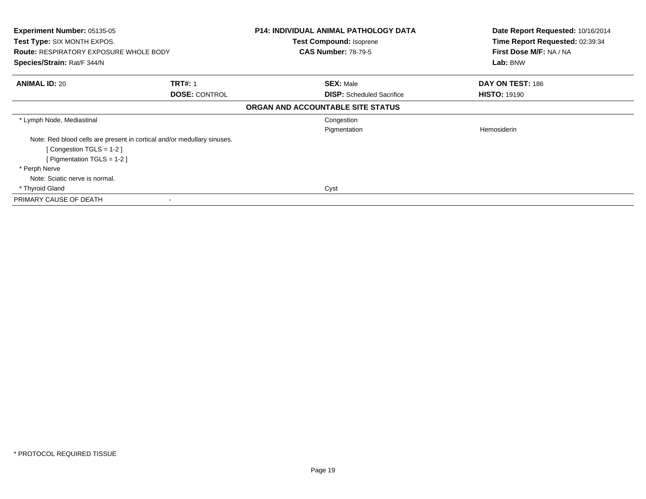| <b>Experiment Number: 05135-05</b>                                      |                      | <b>P14: INDIVIDUAL ANIMAL PATHOLOGY DATA</b> | Date Report Requested: 10/16/2014 |
|-------------------------------------------------------------------------|----------------------|----------------------------------------------|-----------------------------------|
| Test Type: SIX MONTH EXPOS.                                             |                      | Test Compound: Isoprene                      | Time Report Requested: 02:39:34   |
| <b>Route: RESPIRATORY EXPOSURE WHOLE BODY</b>                           |                      | <b>CAS Number: 78-79-5</b>                   | First Dose M/F: NA / NA           |
| Species/Strain: Rat/F 344/N                                             |                      |                                              | Lab: BNW                          |
| <b>ANIMAL ID: 20</b>                                                    | <b>TRT#: 1</b>       | <b>SEX: Male</b>                             | DAY ON TEST: 186                  |
|                                                                         | <b>DOSE: CONTROL</b> | <b>DISP:</b> Scheduled Sacrifice             | <b>HISTO: 19190</b>               |
|                                                                         |                      | ORGAN AND ACCOUNTABLE SITE STATUS            |                                   |
| * Lymph Node, Mediastinal                                               |                      | Congestion                                   |                                   |
|                                                                         |                      | Pigmentation                                 | Hemosiderin                       |
| Note: Red blood cells are present in cortical and/or medullary sinuses. |                      |                                              |                                   |
| [Congestion TGLS = $1-2$ ]                                              |                      |                                              |                                   |
| [ Pigmentation TGLS = $1-2$ ]                                           |                      |                                              |                                   |
| * Perph Nerve                                                           |                      |                                              |                                   |
| Note: Sciatic nerve is normal.                                          |                      |                                              |                                   |
| * Thyroid Gland                                                         |                      | Cyst                                         |                                   |
| PRIMARY CAUSE OF DEATH                                                  |                      |                                              |                                   |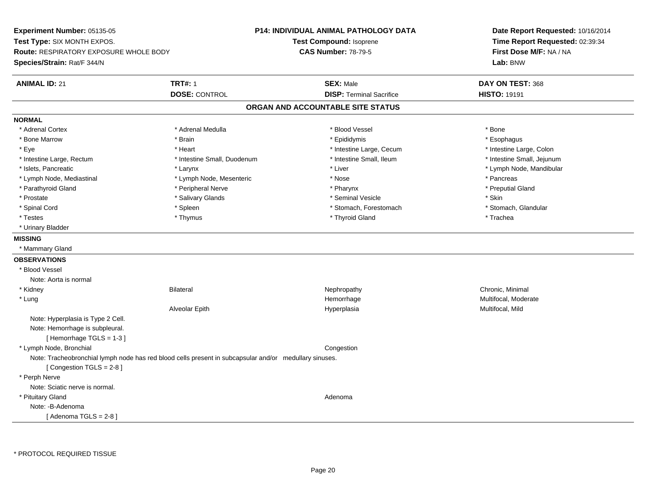**Experiment Number:** 05135-05**Test Type:** SIX MONTH EXPOS.**Route:** RESPIRATORY EXPOSURE WHOLE BODY**Species/Strain:** Rat/F 344/N**P14: INDIVIDUAL ANIMAL PATHOLOGY DATATest Compound:** Isoprene**CAS Number:** 78-79-5**Date Report Requested:** 10/16/2014**Time Report Requested:** 02:39:34**First Dose M/F:** NA / NA**Lab:** BNW**ANIMAL ID:** 21**TRT#:** 1 **SEX:** Male **DAY ON TEST:** 368 **DOSE:** CONTROL**DISP:** Terminal Sacrifice **HISTO:** 19191 **ORGAN AND ACCOUNTABLE SITE STATUSNORMAL**\* Adrenal Cortex \* Adrenal Cortex \* \* Adrenal Medulla \* \* Adrenal Medulla \* \* Blood Vessel \* \* Brood Vessel \* \* Bone \* Esophagus \* Bone Marrow \* Brain \* Epididymis \* Esophagus \* Intestine Large, Colon \* Eye \* The state \* Intestine Large, Cecum \* Heart \* **Intestine Large, Cecum** \* Intestine Large, Cecum \* Intestine Small, Jejunum \* Intestine Large, Rectum \* Intestine Small, Duodenum \* Intestine Small, Ileum \* Intestine Small, Ileum \* Islets, Pancreatic \* Larynx \* Liver \* Lymph Node, Mandibular \* Lymph Node, Mediastinal \* The state of the second text of the second text of the second text of the second text of the second text of the second text of the second text of the second text of the second text of text of te \* Preputial Gland \* Parathyroid Gland \* **Archarging \* Peripheral Nerve** \* Pharynx \* Pharynx \* Pharynx \* Pharynx \* Pharynx \* Pharynx \* Prostate \* \* Salivary Glands \* \* Salivary Glands \* \* Seminal Vesicle \* \* \* Seminal Yestrich \* \* Skin \* \* Skin \* Stomach, Glandular \* Spinal Cord \* Spinal Cord \* Spinal Cord \* Stomach, Forestomach \* Stomach, Forestomach \* Stomach, Forestomach \* Testes \* Thymus \* Thyroid Gland \* Trachea \* Urinary Bladder**MISSING** \* Mammary Gland**OBSERVATIONS** \* Blood VesselNote: Aorta is normal \* Kidneyy the controller of the Bilateral Chronic, Minimal and the Chronic, Minimal of the Chronic, Minimal of the Chronic, Minimal of the Chronic, Minimal of the Chronic, Minimal of the Chronic, Minimal of the Chronic, Minimal of \* Lungg was a statement of the monotonic memorrhage the monotonic memorrhage  $\sim$  Multifocal, Moderate  $\sim$  Multifocal, Moderate Alveolar Epith Hyperplasia Multifocal, Mild Note: Hyperplasia is Type 2 Cell.Note: Hemorrhage is subpleural.[ Hemorrhage TGLS = 1-3 ] \* Lymph Node, Bronchial CongestionNote: Tracheobronchial lymph node has red blood cells present in subcapsular and/or medullary sinuses.[ Congestion TGLS = 2-8 ] \* Perph Nerve Note: Sciatic nerve is normal. \* Pituitary Glandd and a state of the control of the control of the control of the control of the control of the control of the control of the control of the control of the control of the control of the control of the control of the contro Note: -B-Adenoma[ Adenoma  $TGLS = 2-8$  ]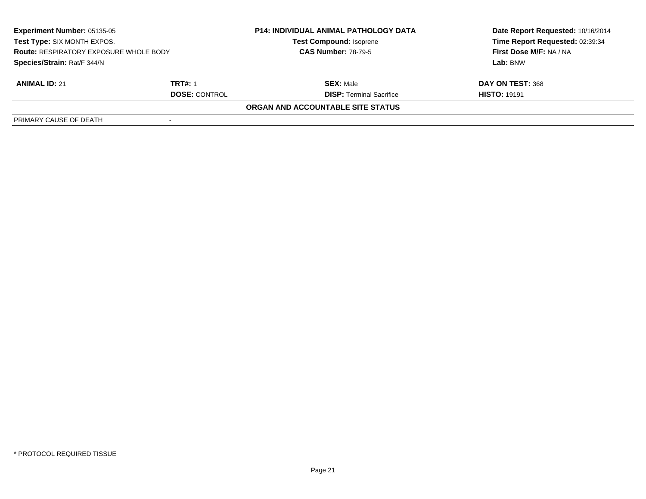| <b>Experiment Number: 05135-05</b><br>Test Type: SIX MONTH EXPOS.<br><b>Route: RESPIRATORY EXPOSURE WHOLE BODY</b><br>Species/Strain: Rat/F 344/N |                | <b>P14: INDIVIDUAL ANIMAL PATHOLOGY DATA</b> | Date Report Requested: 10/16/2014 |
|---------------------------------------------------------------------------------------------------------------------------------------------------|----------------|----------------------------------------------|-----------------------------------|
|                                                                                                                                                   |                | <b>Test Compound: Isoprene</b>               | Time Report Requested: 02:39:34   |
|                                                                                                                                                   |                | <b>CAS Number: 78-79-5</b>                   | First Dose M/F: NA / NA           |
|                                                                                                                                                   |                |                                              | Lab: BNW                          |
| <b>ANIMAL ID: 21</b>                                                                                                                              | <b>TRT#: 1</b> | <b>SEX: Male</b>                             | DAY ON TEST: 368                  |
| <b>DOSE: CONTROL</b>                                                                                                                              |                | <b>DISP:</b> Terminal Sacrifice              | <b>HISTO: 19191</b>               |
|                                                                                                                                                   |                | ORGAN AND ACCOUNTABLE SITE STATUS            |                                   |
| PRIMARY CAUSE OF DEATH                                                                                                                            |                |                                              |                                   |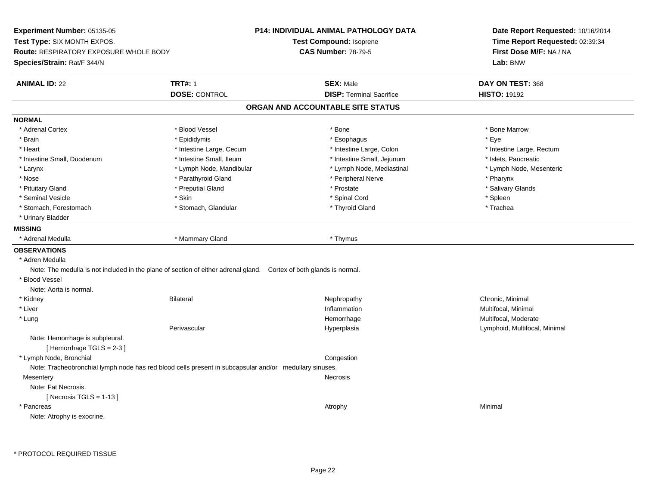**Experiment Number:** 05135-05**Test Type:** SIX MONTH EXPOS.**Route:** RESPIRATORY EXPOSURE WHOLE BODY**Species/Strain:** Rat/F 344/N**P14: INDIVIDUAL ANIMAL PATHOLOGY DATATest Compound:** Isoprene**CAS Number:** 78-79-5**Date Report Requested:** 10/16/2014**Time Report Requested:** 02:39:34**First Dose M/F:** NA / NA**Lab:** BNW**ANIMAL ID:** 22 **TRT#:** <sup>1</sup> **SEX:** Male **DAY ON TEST:** <sup>368</sup> **DOSE:** CONTROL**DISP:** Terminal Sacrifice **HISTO:** 19192 **ORGAN AND ACCOUNTABLE SITE STATUSNORMAL**\* Adrenal Cortex \* Adrenal Cortex \* \* Attachers \* Blood Vessel \* \* Bone \* \* \* Bone \* \* Bone \* \* Bone \* Bone Marrow \* Bone Marrow \* Brain \* \* Expediance \* Epididymis \* \* Expediance \* \* Esophagus \* Expediance \* \* Expediance \* Eye \* Eye \* Heart Thestine Large, Cecum Thestine Large, Cecum And Alternative Large, Colon Thestine Large, Rectum \* Intestine Large, Rectum \* Intestine Large, Rectum \* Intestine Small, Duodenum \* Intestine Small, Ileum \* Intestine Small, Jejunum \* Islets, Pancreatic\* Lymph Node, Mesenteric \* Larynx **\* Lymph Node, Mandibular \*** Lymph Node, Mediastinal \* Lymph Node, Mediastinal \* \* Nose \* Parathyroid Gland \* Parathyroid Gland \* Peripheral Nerve \* Poster \* Pharynx \* Salivary Glands \* Pituitary Gland \* \* Then the state \* Preputial Gland \* Prosection \* Prostate \* \* Salivary Glands \* Salivary Glands \* Salivary Glands \* Salivary Glands \* Salivary Glands \* Salivary Glands \* Salivary Glands \* Salivary Glan \* Seminal Vesicle \* Skin \* Spinal Cord \* Spleen \* Trachea \* Stomach, Forestomach \* The stormach \* Stomach, Glandular \* The \* Thyroid Gland \* Thyroid Gland \* \* Urinary Bladder**MISSING**\* Adrenal Medulla \* Mammary Gland \* Thymus **OBSERVATIONS** \* Adren Medulla Note: The medulla is not included in the plane of section of either adrenal gland. Cortex of both glands is normal. \* Blood VesselNote: Aorta is normal. \* Kidneyy the controller of the Bilateral Chronic, Minimal and the Chronic, Minimal of the Chronic, Minimal of the Chronic, Minimal of the Chronic, Minimal of the Chronic, Minimal of the Chronic, Minimal of the Chronic, Minimal of \* Liver**Inflammation Inflammation** Inflammation **Multifocal, Minimal**<br>
Hemorrhage **Multifocal, Moderate**  \* Lungg was a statement of the monotonic memorrhage the monotonic memorrhage  $\sim$  Multifocal, Moderate  $\sim$  Multifocal, Moderate Perivascular Hyperplasia Lymphoid, Multifocal, Minimal Note: Hemorrhage is subpleural.[ Hemorrhage TGLS = 2-3 ] \* Lymph Node, Bronchial CongestionNote: Tracheobronchial lymph node has red blood cells present in subcapsular and/or medullary sinuses.**Mesentery** y which is a set of the set of the set of the set of the set of the set of the set of the set of the set of the set of the set of the set of the set of the set of the set of the set of the set of the set of the set of the Note: Fat Necrosis. $[$  Necrosis TGLS = 1-13  $]$  \* Pancreass the control of the control of the control of the control of the control of the control of the control of the control of the control of the control of the control of the control of the control of the control of the contro Note: Atrophy is exocrine.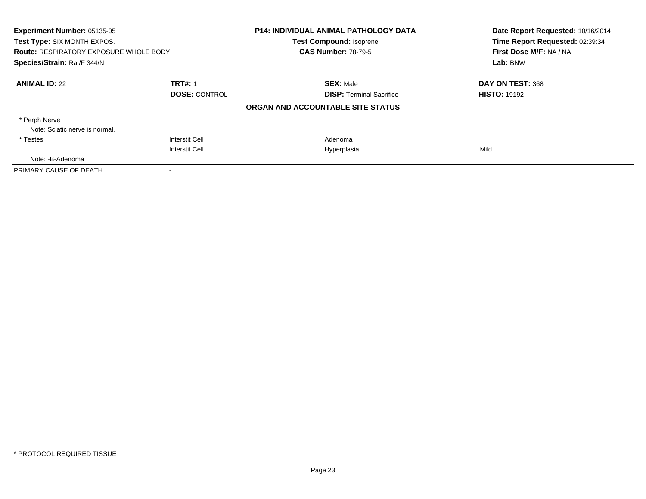| Experiment Number: 05135-05<br>Test Type: SIX MONTH EXPOS. |                      | <b>P14: INDIVIDUAL ANIMAL PATHOLOGY DATA</b><br><b>Test Compound: Isoprene</b> | Date Report Requested: 10/16/2014<br>Time Report Requested: 02:39:34 |
|------------------------------------------------------------|----------------------|--------------------------------------------------------------------------------|----------------------------------------------------------------------|
|                                                            |                      |                                                                                |                                                                      |
| Species/Strain: Rat/F 344/N                                |                      |                                                                                | Lab: BNW                                                             |
| <b>ANIMAL ID: 22</b>                                       | <b>TRT#: 1</b>       | <b>SEX: Male</b>                                                               | DAY ON TEST: 368                                                     |
|                                                            | <b>DOSE: CONTROL</b> | <b>DISP: Terminal Sacrifice</b>                                                | <b>HISTO: 19192</b>                                                  |
|                                                            |                      | ORGAN AND ACCOUNTABLE SITE STATUS                                              |                                                                      |
| * Perph Nerve                                              |                      |                                                                                |                                                                      |
| Note: Sciatic nerve is normal.                             |                      |                                                                                |                                                                      |
| * Testes                                                   | Interstit Cell       | Adenoma                                                                        |                                                                      |
|                                                            | Interstit Cell       | Hyperplasia                                                                    | Mild                                                                 |
| Note: -B-Adenoma                                           |                      |                                                                                |                                                                      |
| PRIMARY CAUSE OF DEATH                                     |                      |                                                                                |                                                                      |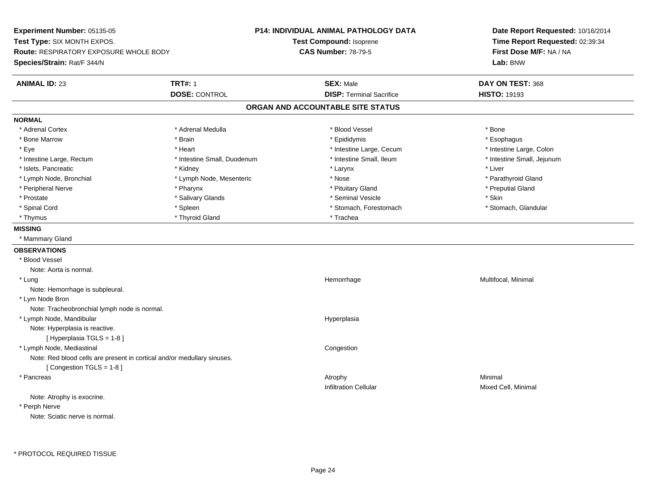**Experiment Number:** 05135-05**Test Type:** SIX MONTH EXPOS.**Route:** RESPIRATORY EXPOSURE WHOLE BODY**Species/Strain:** Rat/F 344/N**P14: INDIVIDUAL ANIMAL PATHOLOGY DATATest Compound:** Isoprene**CAS Number:** 78-79-5**Date Report Requested:** 10/16/2014**Time Report Requested:** 02:39:34**First Dose M/F:** NA / NA**Lab:** BNW**ANIMAL ID:** 23**TRT#:** 1 **SEX:** Male **DAY ON TEST:** 368 **DOSE:** CONTROL**DISP:** Terminal Sacrifice **HISTO:** 19193 **ORGAN AND ACCOUNTABLE SITE STATUSNORMAL**\* Adrenal Cortex \* Adrenal Cortex \* \* Adrenal Medulla \* \* Adrenal Medulla \* \* Blood Vessel \* \* Brood Vessel \* \* Bone \* Esophagus \* Bone Marrow \* Brain \* Epididymis \* Esophagus \* Intestine Large, Colon \* Eye \* The state \* Intestine Large, Cecum \* Heart \* **Intestine Large, Cecum** \* Intestine Large, Cecum \* Intestine Small, Jejunum \* Intestine Large, Rectum \* 10 **\*** Intestine Small, Duodenum \* Intestine Small, Ileum \* Intestine Small, Ileum \* Islets, Pancreatic \* \* \* Andrew \* Kidney \* \* Kidney \* \* Larynx \* Larynx \* \* Larynx \* \* Liver \* Liver \* Liver \* Lymph Node, Bronchial \* Lymph Nome, Nose \* Nose \* Nose \* Nose \* Nose \* Parathyroid Gland \* Peripheral Nerve \* \* \* \* Pharynx \* \* Pharynx \* \* \* Preputial Gland \* \* Preputial Gland \* \* Preputial Gland \* Prostate \* \* Salivary Glands \* \* Salivary Glands \* \* Seminal Vesicle \* \* \* Seminal Yestrich \* \* Skin \* \* Skin \* Stomach. Glandular \* Spinal Cord \* Spinal Cord \* Spinal Cord \* Stomach, Forestomach \* Stomach, Forestomach \* Stomach, Forestomach \* Thyrnus \* Thyroid Gland \* Thursday \* Thursday \* Thursday \* Thursday \* Trachea **MISSING** \* Mammary Gland**OBSERVATIONS** \* Blood VesselNote: Aorta is normal. \* Lungg and the morrhage of the morrhage of the morrhage of the morrhage  $\mathsf{M}$ ultifocal, Minimal and the morrhage of the morrhage of the morrhage of the morrhage of the morrhage of the morrhage of the morrhage of the morrhage Note: Hemorrhage is subpleural. \* Lym Node Bron Note: Tracheobronchial lymph node is normal. \* Lymph Node, Mandibular HyperplasiaNote: Hyperplasia is reactive.[ Hyperplasia TGLS = 1-8 ] \* Lymph Node, Mediastinal CongestionNote: Red blood cells are present in cortical and/or medullary sinuses.[ Congestion TGLS = 1-8 ] \* Pancreass the control of the control of the control of the control of the control of the control of the control of the control of the control of the control of the control of the control of the control of the control of the contro Infiltration Cellular Mixed Cell, Minimal Note: Atrophy is exocrine. \* Perph NerveNote: Sciatic nerve is normal.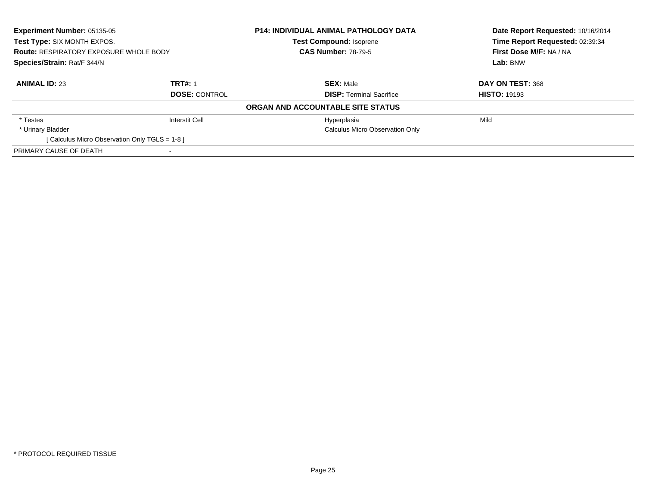| <b>Experiment Number: 05135-05</b><br>Test Type: SIX MONTH EXPOS.<br><b>Route: RESPIRATORY EXPOSURE WHOLE BODY</b><br>Species/Strain: Rat/F 344/N |                | <b>P14: INDIVIDUAL ANIMAL PATHOLOGY DATA</b><br><b>Test Compound: Isoprene</b><br><b>CAS Number: 78-79-5</b> | Date Report Requested: 10/16/2014<br>Time Report Requested: 02:39:34<br>First Dose M/F: NA / NA<br>Lab: BNW |                      |                                 |                     |
|---------------------------------------------------------------------------------------------------------------------------------------------------|----------------|--------------------------------------------------------------------------------------------------------------|-------------------------------------------------------------------------------------------------------------|----------------------|---------------------------------|---------------------|
|                                                                                                                                                   |                |                                                                                                              |                                                                                                             |                      |                                 |                     |
|                                                                                                                                                   |                |                                                                                                              |                                                                                                             | <b>ANIMAL ID: 23</b> | <b>TRT#: 1</b>                  | <b>SEX: Male</b>    |
|                                                                                                                                                   |                |                                                                                                              |                                                                                                             | <b>DOSE: CONTROL</b> | <b>DISP:</b> Terminal Sacrifice | <b>HISTO: 19193</b> |
|                                                                                                                                                   |                | ORGAN AND ACCOUNTABLE SITE STATUS                                                                            |                                                                                                             |                      |                                 |                     |
| * Testes                                                                                                                                          | Interstit Cell | Hyperplasia                                                                                                  | Mild                                                                                                        |                      |                                 |                     |
| * Urinary Bladder                                                                                                                                 |                | <b>Calculus Micro Observation Only</b>                                                                       |                                                                                                             |                      |                                 |                     |
| [ Calculus Micro Observation Only TGLS = 1-8 ]                                                                                                    |                |                                                                                                              |                                                                                                             |                      |                                 |                     |
| PRIMARY CAUSE OF DEATH                                                                                                                            |                |                                                                                                              |                                                                                                             |                      |                                 |                     |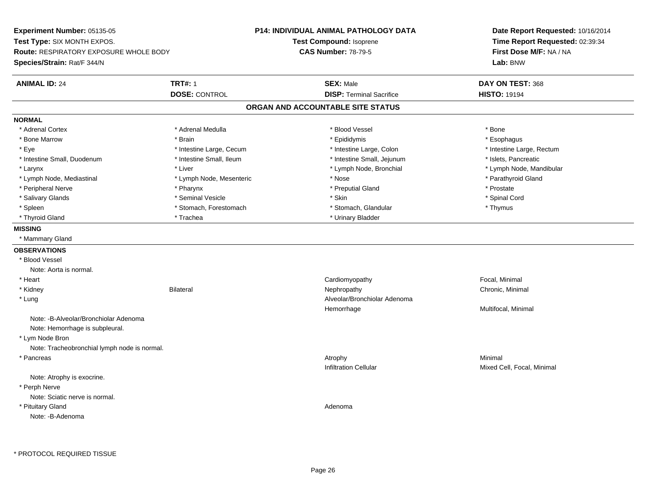**Experiment Number:** 05135-05**Test Type:** SIX MONTH EXPOS.**Route:** RESPIRATORY EXPOSURE WHOLE BODY**Species/Strain:** Rat/F 344/N**P14: INDIVIDUAL ANIMAL PATHOLOGY DATATest Compound:** Isoprene**CAS Number:** 78-79-5**Date Report Requested:** 10/16/2014**Time Report Requested:** 02:39:34**First Dose M/F:** NA / NA**Lab:** BNW**ANIMAL ID:** 24 **TRT#:** <sup>1</sup> **SEX:** Male **DAY ON TEST:** <sup>368</sup> **DOSE:** CONTROL**DISP:** Terminal Sacrifice **HISTO:** 19194 **ORGAN AND ACCOUNTABLE SITE STATUSNORMAL**\* Adrenal Cortex \* Adrenal Cortex \* \* Adrenal Medulla \* \* Adrenal Medulla \* \* Blood Vessel \* \* Brood Vessel \* \* Bone \* Esophagus \* Bone Marrow \* Brain \* Epididymis \* Esophagus \* Eye \* Thestine Large, Cecum \* Intestine Large, Cecum \* Intestine Large, Colon \* Intestine Large, Rectum \* Intestine Large, Rectum \* Intestine Small, Duodenum \* Intestine Small, Ileum \* Intestine Small, Intestine Small, Jejunum \* Islets, Pancreatic \* Larynx \* Lymph Node, Bronchial \* Lymph Node, Bronchial \* Lymph Node, Mandibular \* Lymph Node, Mandibular \* Lymph Node, Mandibular \* Lymph Node, Mediastinal \* Lymph Node, Mesenteric \* Nose \* Nose \* Nose \* Parathyroid Gland \* Peripheral Nerve \* \* \* Pharynx \* Pharynx \* \* Pharynx \* \* Preputial Gland \* \* Preputial Gland \* \* Prostate \* Spinal Cord \* Salivary Glands \* \* Seminal Vesicle \* \* Seminal Vesicle \* \* Skin \* \* Skin \* \* Stember \* Spinal Cord \* Spinal Cord \* Spinal Cord \* Spinal Cord \* Spinal Cord \* Spinal Cord \* Spinal Cord \* Spinal Cord \* Spinal Cord \* Spinal \* Spleen \* Stomach, Forestomach \* Stomach \* Stomach, Glandular \* Stomach, Glandular \* Thymus \* Thyroid Gland \* Trachea \* Trachea \* Trachea \* Urinary Bladder **MISSING** \* Mammary Gland**OBSERVATIONS** \* Blood VesselNote: Aorta is normal. \* Heart Cardiomyopathy Focal, Minimal \* Kidneyy the controller of the Bilateral Chronic, Minimal and the Chronic, Minimal of the Chronic, Minimal of the Chronic, Minimal of the Chronic, Minimal of the Chronic, Minimal of the Chronic, Minimal of the Chronic, Minimal of \* Lung Alveolar/Bronchiolar Adenoma Hemorrhage Multifocal, Minimal Note: -B-Alveolar/Bronchiolar AdenomaNote: Hemorrhage is subpleural. \* Lym Node Bron Note: Tracheobronchial lymph node is normal. \* Pancreass the control of the control of the control of the control of the control of the control of the control of the control of the control of the control of the control of the control of the control of the control of the contro Infiltration Cellular Mixed Cell, Focal, Minimal Note: Atrophy is exocrine. \* Perph Nerve Note: Sciatic nerve is normal. \* Pituitary Glandd and a state of the control of the control of the control of the control of the control of the control of the control of the control of the control of the control of the control of the control of the control of the contro Note: -B-Adenoma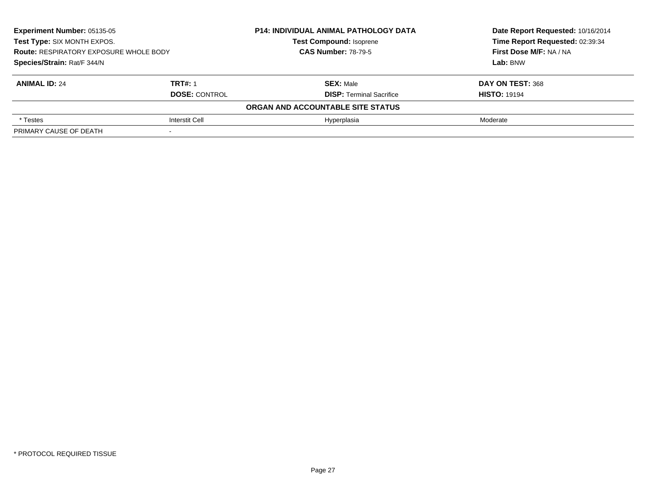| <b>Experiment Number: 05135-05</b><br>Test Type: SIX MONTH EXPOS.<br><b>Route: RESPIRATORY EXPOSURE WHOLE BODY</b><br>Species/Strain: Rat/F 344/N |                       | <b>P14: INDIVIDUAL ANIMAL PATHOLOGY DATA</b><br><b>Test Compound: Isoprene</b><br><b>CAS Number: 78-79-5</b> | Date Report Requested: 10/16/2014<br>Time Report Requested: 02:39:34<br>First Dose M/F: NA / NA<br>Lab: BNW |                      |                                 |                     |
|---------------------------------------------------------------------------------------------------------------------------------------------------|-----------------------|--------------------------------------------------------------------------------------------------------------|-------------------------------------------------------------------------------------------------------------|----------------------|---------------------------------|---------------------|
|                                                                                                                                                   |                       |                                                                                                              |                                                                                                             |                      |                                 |                     |
|                                                                                                                                                   |                       |                                                                                                              |                                                                                                             | <b>ANIMAL ID: 24</b> | <b>TRT#: 1</b>                  | <b>SEX: Male</b>    |
|                                                                                                                                                   |                       |                                                                                                              |                                                                                                             | <b>DOSE: CONTROL</b> | <b>DISP: Terminal Sacrifice</b> | <b>HISTO: 19194</b> |
|                                                                                                                                                   |                       | ORGAN AND ACCOUNTABLE SITE STATUS                                                                            |                                                                                                             |                      |                                 |                     |
| * Testes                                                                                                                                          | <b>Interstit Cell</b> | Hyperplasia                                                                                                  | Moderate                                                                                                    |                      |                                 |                     |
| PRIMARY CAUSE OF DEATH                                                                                                                            |                       |                                                                                                              |                                                                                                             |                      |                                 |                     |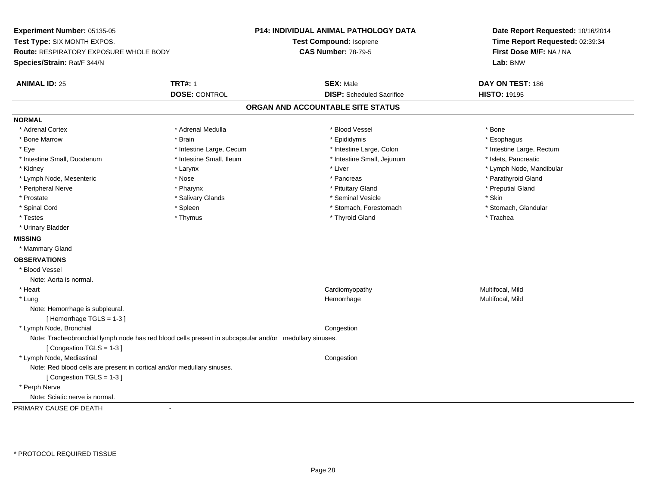**Experiment Number:** 05135-05**Test Type:** SIX MONTH EXPOS.**Route:** RESPIRATORY EXPOSURE WHOLE BODY**Species/Strain:** Rat/F 344/N**P14: INDIVIDUAL ANIMAL PATHOLOGY DATATest Compound:** Isoprene**CAS Number:** 78-79-5**Date Report Requested:** 10/16/2014**Time Report Requested:** 02:39:34**First Dose M/F:** NA / NA**Lab:** BNW**ANIMAL ID:** 25 **TRT#:** <sup>1</sup> **SEX:** Male **DAY ON TEST:** <sup>186</sup> **DOSE:** CONTROL**DISP:** Scheduled Sacrifice **HISTO:** 19195 **ORGAN AND ACCOUNTABLE SITE STATUSNORMAL**\* Adrenal Cortex \* Adrenal Cortex \* \* Adrenal Medulla \* \* Adrenal Medulla \* \* Blood Vessel \* \* Brood Vessel \* \* Bone \* Esophagus \* Bone Marrow \* Brain \* Epididymis \* Esophagus \* Eye \* Thestine Large, Cecum \* Intestine Large, Cecum \* Intestine Large, Colon \* Intestine Large, Rectum \* Intestine Large, Rectum \* Intestine Small, Duodenum \* Intestine Small, Ileum \* Intestine Small, Intestine Small, Jejunum \* Islets, Pancreatic \* Kidney \* The mode, Mandibular \* Larynx \* Larynx \* Larynx \* Liver \* Liver \* Number \* Liver \* Lymph Node, Mandibular \* Lymph Node, Mesenteric \* The state of the state of the state of the state of the state of the state of the state of the state of the state of the state of the state of the state of the state of the state of the state of \* Peripheral Nerve \* \* \* \* Pharynx \* \* Pharynx \* \* \* Preputial Gland \* \* Preputial Gland \* \* Preputial Gland \* Prostate \* \* Salivary Glands \* \* Salivary Glands \* \* Seminal Vesicle \* \* \* Seminal Yestrich \* \* Skin \* \* Skin \* Stomach, Glandular \* Spinal Cord \* Spinal Cord \* Spinal Cord \* Stomach, Forestomach \* Stomach, Forestomach \* Stomach, Forestomach \* Testes \* Thymus \* Thyroid Gland \* Trachea \* Urinary Bladder**MISSING** \* Mammary Gland**OBSERVATIONS** \* Blood VesselNote: Aorta is normal. \* Heart Cardiomyopathy Multifocal, MildMultifocal, Mild \* Lungg and the morrhage of the morrhage of the morrhage of the Multifocal, Mild and the Multifocal, Mild and the morrhage  $\mu$ Note: Hemorrhage is subpleural.[ Hemorrhage TGLS = 1-3 ] \* Lymph Node, Bronchial CongestionNote: Tracheobronchial lymph node has red blood cells present in subcapsular and/or medullary sinuses.[ Congestion TGLS = 1-3 ] \* Lymph Node, Mediastinal CongestionNote: Red blood cells are present in cortical and/or medullary sinuses.[ Congestion TGLS = 1-3 ] \* Perph Nerve Note: Sciatic nerve is normal.PRIMARY CAUSE OF DEATH-

\* PROTOCOL REQUIRED TISSUE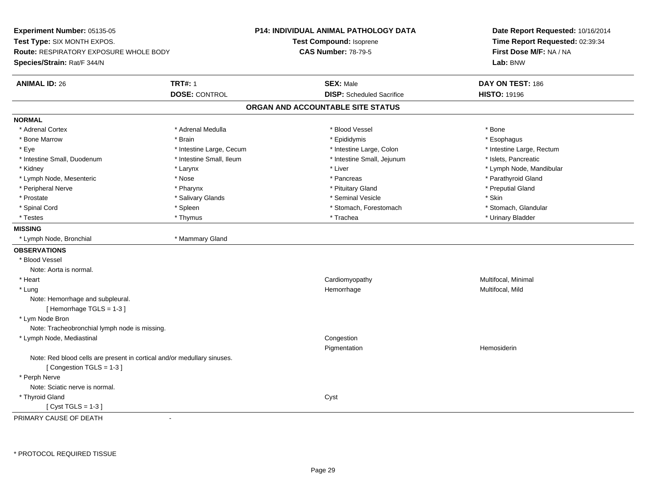**Experiment Number:** 05135-05**Test Type:** SIX MONTH EXPOS.**Route:** RESPIRATORY EXPOSURE WHOLE BODY**Species/Strain:** Rat/F 344/N**P14: INDIVIDUAL ANIMAL PATHOLOGY DATATest Compound:** Isoprene**CAS Number:** 78-79-5**Date Report Requested:** 10/16/2014**Time Report Requested:** 02:39:34**First Dose M/F:** NA / NA**Lab:** BNW**ANIMAL ID:** 26**TRT#:** 1 **SEX:** Male **DAY ON TEST:** 186 **DOSE:** CONTROL**DISP:** Scheduled Sacrifice **HISTO:** 19196 **ORGAN AND ACCOUNTABLE SITE STATUSNORMAL**\* Adrenal Cortex \* Adrenal Cortex \* \* Adrenal Medulla \* \* Adrenal Medulla \* \* Blood Vessel \* \* Brood Vessel \* \* Bone \* Esophagus \* Bone Marrow \* Brain \* Epididymis \* Esophagus \* Eye \* Thestine Large, Cecum \* Intestine Large, Cecum \* Intestine Large, Colon \* Intestine Large, Rectum \* Intestine Large, Rectum \* Intestine Small, Duodenum \* Intestine Small, Ileum \* Intestine Small, Intestine Small, Jejunum \* Islets, Pancreatic \* Kidney \* The mode, Mandibular \* Larynx \* Larynx \* Larynx \* Liver \* Liver \* Number \* Liver \* Lymph Node, Mandibular \* Lymph Node, Mesenteric \* The state of the state of the state of the state of the state of the state of the state of the state of the state of the state of the state of the state of the state of the state of the state of \* Peripheral Nerve \* \* \* \* Pharynx \* \* Pharynx \* \* \* Preputial Gland \* \* Preputial Gland \* \* Preputial Gland \* Prostate \* \* Salivary Glands \* \* Salivary Glands \* \* Seminal Vesicle \* \* \* Seminal Yestrich \* \* Skin \* \* Skin \* Stomach, Glandular \* Spinal Cord \* Spinal Cord \* Spinal Cord \* Stomach, Forestomach \* Stomach, Forestomach \* Stomach, Forestomach \* Testes \* Thymus \* Trachea \* Urinary Bladder **MISSING** \* Lymph Node, Bronchial \* Mammary Gland**OBSERVATIONS** \* Blood VesselNote: Aorta is normal. \* Heart Cardiomyopathy Multifocal, Minimal \* Lungg and the morrhage of the morrhage of the morrhage of the Multifocal, Mild and the Multifocal, Mild and the morrhage  $\mu$ Note: Hemorrhage and subpleural.[ Hemorrhage TGLS = 1-3 ] \* Lym Node Bron Note: Tracheobronchial lymph node is missing. \* Lymph Node, Mediastinal Congestion Pigmentation Hemosiderin Note: Red blood cells are present in cortical and/or medullary sinuses.[ Congestion TGLS = 1-3 ] \* Perph Nerve Note: Sciatic nerve is normal. \* Thyroid Glandd and the contract of the contract of the contract of the contract of the contract of the contract of the contract of the contract of the contract of the contract of the contract of the contract of the contract of the cont  $[$  Cyst TGLS = 1-3  $]$ 

PRIMARY CAUSE OF DEATH-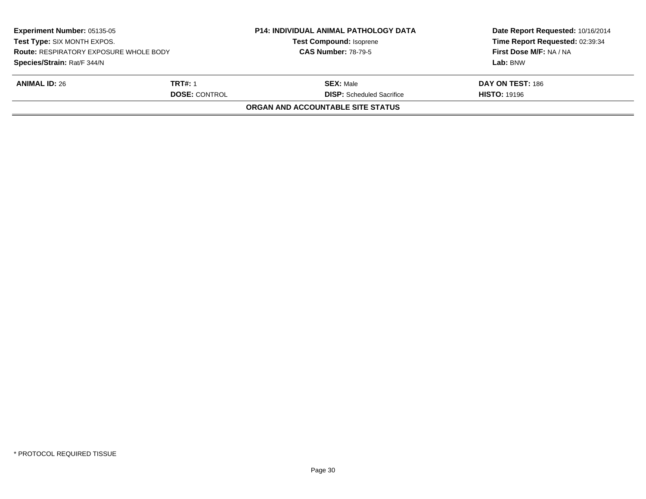| <b>Experiment Number: 05135-05</b><br>Test Type: SIX MONTH EXPOS.<br><b>Route: RESPIRATORY EXPOSURE WHOLE BODY</b><br>Species/Strain: Rat/F 344/N |                      | <b>P14: INDIVIDUAL ANIMAL PATHOLOGY DATA</b><br><b>Test Compound: Isoprene</b><br><b>CAS Number: 78-79-5</b> | Date Report Requested: 10/16/2014<br>Time Report Requested: 02:39:34<br>First Dose M/F: NA / NA<br>Lab: BNW |
|---------------------------------------------------------------------------------------------------------------------------------------------------|----------------------|--------------------------------------------------------------------------------------------------------------|-------------------------------------------------------------------------------------------------------------|
|                                                                                                                                                   |                      |                                                                                                              |                                                                                                             |
|                                                                                                                                                   | <b>DOSE: CONTROL</b> | <b>DISP:</b> Scheduled Sacrifice                                                                             | <b>HISTO: 19196</b>                                                                                         |
|                                                                                                                                                   |                      | ORGAN AND ACCOUNTABLE SITE STATUS                                                                            |                                                                                                             |
|                                                                                                                                                   |                      |                                                                                                              |                                                                                                             |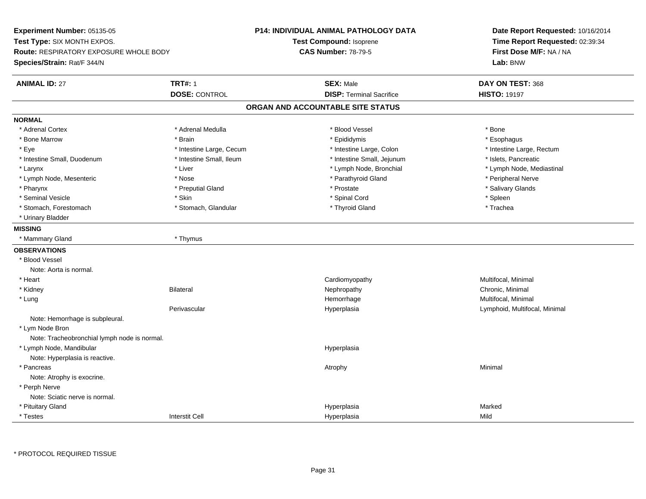**Experiment Number:** 05135-05**Test Type:** SIX MONTH EXPOS.**Route:** RESPIRATORY EXPOSURE WHOLE BODY**Species/Strain:** Rat/F 344/N**P14: INDIVIDUAL ANIMAL PATHOLOGY DATATest Compound:** Isoprene**CAS Number:** 78-79-5**Date Report Requested:** 10/16/2014**Time Report Requested:** 02:39:34**First Dose M/F:** NA / NA**Lab:** BNW**ANIMAL ID:** 27**TRT#:** 1 **SEX:** Male **DAY ON TEST:** 368 **DOSE:** CONTROL**DISP:** Terminal Sacrifice **HISTO:** 19197 **ORGAN AND ACCOUNTABLE SITE STATUSNORMAL**\* Adrenal Cortex \* Adrenal Cortex \* \* Adrenal Medulla \* \* Adrenal Medulla \* \* Blood Vessel \* \* Brood Vessel \* \* Bone \* Esophagus \* Bone Marrow \* Brain \* Epididymis \* Esophagus \* Eye \* Thestine Large, Cecum \* Intestine Large, Cecum \* Intestine Large, Colon \* Intestine Large, Rectum \* Intestine Large, Rectum \* Intestine Small, Duodenum \* Intestine Small, Ileum \* Intestine Small, Intestine Small, Jejunum \* Islets, Pancreatic \* Larynx \* Lymph Node, Bronchial \* Lymph Node, Bronchial \* Lymph Node, et al. \* Lymph Node, Mediastinal \* \* Lymph Node, Mediastinal \* \* Lymph Node, Mediastinal \* November 2008, Nediastinal \* Lymph Node, Mediastinal \* Lymph \* Lymph Node, Mesenteric \* The state of the state of the Nose \* Nose \* Parathyroid Gland \* Parathyroid Gland \* Peripheral Nerve \* Salivary Glands \* Pharynx \* That was the second to the second that the second term in the second term in the second term in the second term in the second term in the second term in the second term in the second term in the second term in \* Seminal Vesicle \* Skin \* Spinal Cord \* Spleen \* Trachea \* Stomach, Forestomach \* The stormach \* Stomach, Glandular \* The \* Thyroid Gland \* Thyroid Gland \* \* Urinary Bladder**MISSING** \* Mammary Gland \* Thymus**OBSERVATIONS** \* Blood VesselNote: Aorta is normal. \* Heart CardiomyopathyMultifocal, Minimal<br>Chronic, Minimal \* Kidneyy the controller of the Bilateral Chronic, Minimal and the Chronic, Minimal of the Chronic, Minimal of the Chronic, Minimal of the Chronic, Minimal of the Chronic, Minimal of the Chronic, Minimal of the Chronic, Minimal of \* Lungg and the morrhage of the morrhage of the morrhage of the morrhage  $\mathsf{M}$ ultifocal, Minimal and the morrhage of the morrhage of the morrhage of the morrhage of the morrhage of the morrhage of the morrhage of the morrhage Perivascular Hyperplasia Lymphoid, Multifocal, Minimal Note: Hemorrhage is subpleural. \* Lym Node Bron Note: Tracheobronchial lymph node is normal. \* Lymph Node, Mandibularr and the contract of the contract of the contract of the contract of the contract of the contract of the contract of the contract of the contract of the contract of the contract of the contract of the contract of the cont Note: Hyperplasia is reactive. \* Pancreass the control of the control of the control of the control of the control of the control of the control of the control of the control of the control of the control of the control of the control of the control of the contro Note: Atrophy is exocrine. \* Perph Nerve Note: Sciatic nerve is normal. \* Pituitary Glandd and the control of the control of the control of the control of the control of the control of the control of the control of the control of the control of the control of the control of the control of the control of the co \* Testess and the contraction of the contraction of the contraction of the contraction of the contraction of the contraction of the contraction of the contraction of the contraction of the contraction of the contraction of the con a Mild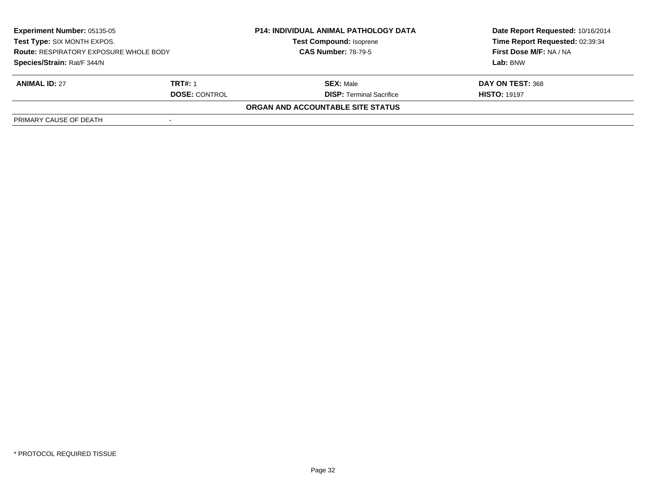| <b>Experiment Number: 05135-05</b><br>Test Type: SIX MONTH EXPOS.<br><b>Route: RESPIRATORY EXPOSURE WHOLE BODY</b><br>Species/Strain: Rat/F 344/N |  | <b>P14: INDIVIDUAL ANIMAL PATHOLOGY DATA</b><br><b>Test Compound: Isoprene</b><br><b>CAS Number: 78-79-5</b> | Date Report Requested: 10/16/2014<br>Time Report Requested: 02:39:34<br>First Dose M/F: NA / NA<br>Lab: BNW |                      |                                 |                     |
|---------------------------------------------------------------------------------------------------------------------------------------------------|--|--------------------------------------------------------------------------------------------------------------|-------------------------------------------------------------------------------------------------------------|----------------------|---------------------------------|---------------------|
|                                                                                                                                                   |  |                                                                                                              |                                                                                                             |                      |                                 |                     |
|                                                                                                                                                   |  |                                                                                                              |                                                                                                             | <b>ANIMAL ID: 27</b> | <b>TRT#: 1</b>                  | <b>SEX: Male</b>    |
|                                                                                                                                                   |  |                                                                                                              |                                                                                                             | <b>DOSE: CONTROL</b> | <b>DISP:</b> Terminal Sacrifice | <b>HISTO: 19197</b> |
|                                                                                                                                                   |  | ORGAN AND ACCOUNTABLE SITE STATUS                                                                            |                                                                                                             |                      |                                 |                     |
| PRIMARY CAUSE OF DEATH                                                                                                                            |  |                                                                                                              |                                                                                                             |                      |                                 |                     |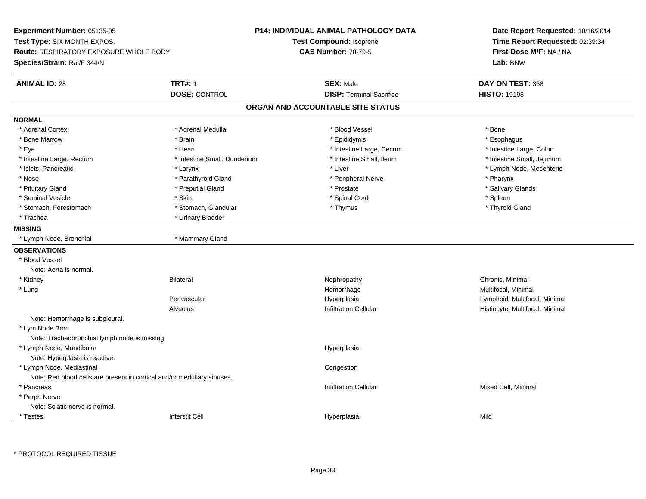**Experiment Number:** 05135-05**Test Type:** SIX MONTH EXPOS.**Route:** RESPIRATORY EXPOSURE WHOLE BODY**Species/Strain:** Rat/F 344/N**P14: INDIVIDUAL ANIMAL PATHOLOGY DATATest Compound:** Isoprene**CAS Number:** 78-79-5**Date Report Requested:** 10/16/2014**Time Report Requested:** 02:39:34**First Dose M/F:** NA / NA**Lab:** BNW**ANIMAL ID:** 28**TRT#:** 1 **SEX:** Male **DAY ON TEST:** 368 **DOSE:** CONTROL**DISP:** Terminal Sacrifice **HISTO:** 19198 **ORGAN AND ACCOUNTABLE SITE STATUSNORMAL**\* Adrenal Cortex \* Adrenal Cortex \* \* Adrenal Medulla \* \* Adrenal Medulla \* \* Blood Vessel \* \* Brood Vessel \* \* Bone \* Esophagus \* Bone Marrow \* Brain \* Epididymis \* Esophagus \* Intestine Large, Colon \* Eye \* The state \* Intestine Large, Cecum \* Heart \* **Intestine Large, Cecum** \* Intestine Large, Cecum \* Intestine Small, Jejunum \* Intestine Large, Rectum \* 1992 \* Intestine Small, Duodenum \* Intestine Small, Ileum \* Intestine Small, Ileum \* Islets, Pancreatic \* Larynx \* Liver \* Lymph Node, Mesenteric \* Nose \* Parathyroid Gland \* Parathyroid Gland \* Peripheral Nerve \* Poster \* Pharynx \* Salivary Glands \* Pituitary Gland \* \* Then the state \* Preputial Gland \* Prosection \* Prostate \* \* Salivary Glands \* Salivary Glands \* Salivary Glands \* Salivary Glands \* Salivary Glands \* Salivary Glands \* Salivary Glands \* Salivary Glan \* Seminal Vesicle \* Skin \* Spinal Cord \* Spleen \* Thyroid Gland \* Stomach, Forestomach \* Thomach \* Stomach, Glandular \* Thomach, Glandular \* Thymus \* Thomach, Glandular \* Thomach, Glandular \* Thomach, Glandular \* Thomach, Glandular \* Thomach, Glandular \* Thomach, Glandular \* Thomach, G \* Trachea \* Urinary Bladder**MISSING** \* Lymph Node, Bronchial \* Mammary Gland**OBSERVATIONS** \* Blood VesselNote: Aorta is normal. \* Kidneyy the controller of the Bilateral Chronic, Minimal and the Chronic, Minimal of the Chronic, Minimal of the Chronic, Minimal of the Chronic, Minimal of the Chronic, Minimal of the Chronic, Minimal of the Chronic, Minimal of \* Lungg and the morrhage of the morrhage of the morrhage of the morrhage  $\mathsf{M}$ ultifocal, Minimal and the morrhage of the morrhage of the morrhage of the morrhage of the morrhage of the morrhage of the morrhage of the morrhage Perivascular Hyperplasia Lymphoid, Multifocal, Minimal AlveolusHistiocyte, Multifocal, Minimal Note: Hemorrhage is subpleural. \* Lym Node Bron Note: Tracheobronchial lymph node is missing. \* Lymph Node, Mandibularr and the contract of the contract of the contract of the contract of the contract of the contract of the contract of the contract of the contract of the contract of the contract of the contract of the contract of the cont Note: Hyperplasia is reactive. \* Lymph Node, Mediastinal**Congestion** Note: Red blood cells are present in cortical and/or medullary sinuses. \* Pancreass and the contraction Cellular Minimal of the Mixed Cell, Minimal of the contraction Cellular Mixed Cell, Minimal of the contraction  $\mathbf{C}$  and  $\mathbf{C}$  and  $\mathbf{C}$  and  $\mathbf{C}$  and  $\mathbf{C}$  and  $\mathbf{C}$  and  $\mathbf{C}$  an \* Perph Nerve Note: Sciatic nerve is normal. \* Testess and the contraction of the contraction of the contraction of the contraction of the contraction of the contraction of the contraction of the contraction of the contraction of the contraction of the contraction of the con a Mild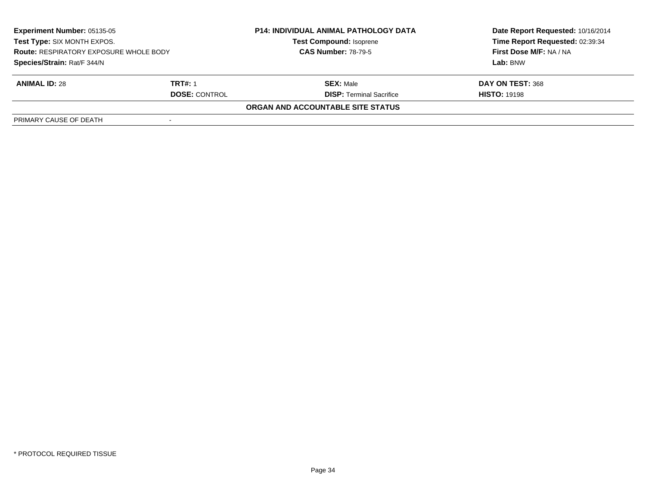| <b>Experiment Number: 05135-05</b><br>Test Type: SIX MONTH EXPOS.<br><b>Route: RESPIRATORY EXPOSURE WHOLE BODY</b><br>Species/Strain: Rat/F 344/N |  | <b>P14: INDIVIDUAL ANIMAL PATHOLOGY DATA</b><br><b>Test Compound: Isoprene</b><br><b>CAS Number: 78-79-5</b> | Date Report Requested: 10/16/2014<br>Time Report Requested: 02:39:34<br>First Dose M/F: NA / NA<br>Lab: BNW |                      |                                 |                     |
|---------------------------------------------------------------------------------------------------------------------------------------------------|--|--------------------------------------------------------------------------------------------------------------|-------------------------------------------------------------------------------------------------------------|----------------------|---------------------------------|---------------------|
|                                                                                                                                                   |  |                                                                                                              |                                                                                                             |                      |                                 |                     |
|                                                                                                                                                   |  |                                                                                                              |                                                                                                             | <b>ANIMAL ID: 28</b> | <b>TRT#: 1</b>                  | <b>SEX: Male</b>    |
|                                                                                                                                                   |  |                                                                                                              |                                                                                                             | <b>DOSE: CONTROL</b> | <b>DISP:</b> Terminal Sacrifice | <b>HISTO: 19198</b> |
|                                                                                                                                                   |  | ORGAN AND ACCOUNTABLE SITE STATUS                                                                            |                                                                                                             |                      |                                 |                     |
| PRIMARY CAUSE OF DEATH                                                                                                                            |  |                                                                                                              |                                                                                                             |                      |                                 |                     |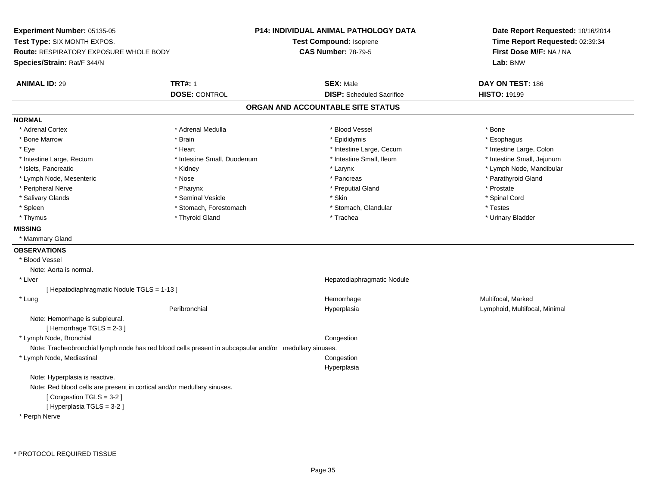**Experiment Number:** 05135-05**Test Type:** SIX MONTH EXPOS.**Route:** RESPIRATORY EXPOSURE WHOLE BODY**Species/Strain:** Rat/F 344/N**P14: INDIVIDUAL ANIMAL PATHOLOGY DATATest Compound:** Isoprene**CAS Number:** 78-79-5**Date Report Requested:** 10/16/2014**Time Report Requested:** 02:39:34**First Dose M/F:** NA / NA**Lab:** BNW**ANIMAL ID:** 29 **TRT#:** <sup>1</sup> **SEX:** Male **DAY ON TEST:** <sup>186</sup> **DOSE:** CONTROL**DISP:** Scheduled Sacrifice **HISTO:** 19199 **ORGAN AND ACCOUNTABLE SITE STATUSNORMAL**\* Adrenal Cortex \* Adrenal Cortex \* \* Adrenal Medulla \* \* Adrenal Medulla \* \* Blood Vessel \* \* Brood Vessel \* \* Bone \* Esophagus \* Bone Marrow \* Brain \* Epididymis \* Esophagus \* Intestine Large, Colon \* Eye \* The state \* Intestine Large, Cecum \* Heart \* **Intestine Large, Cecum** \* Intestine Large, Cecum \* Intestine Small, Jejunum \* Intestine Large, Rectum \* 10 **\*** Intestine Small, Duodenum \* Intestine Small, Ileum \* Intestine Small, Ileum \* Islets, Pancreatic \* \* Widney \* Kidney \* Kidney \* Kerynx \* Larynx \* Larynx \* Letters \* Lymph Node, Mandibular \* Lymph Node, Mesenteric \* The state of the state of the state of the state of the state of the state of the state of the state of the state of the state of the state of the state of the state of the state of the state of \* Peripheral Nerve \* \* \* Pharynx \* Pharynx \* \* Pharynx \* \* Preputial Gland \* \* Preputial Gland \* \* Prostate \* Spinal Cord \* Salivary Glands \* \* Seminal Vesicle \* \* Seminal Vesicle \* \* Skin \* \* Skin \* \* Stember \* Spinal Cord \* Spinal Cord \* Spinal Cord \* Spinal Cord \* Spinal Cord \* Spinal Cord \* Spinal Cord \* Spinal Cord \* Spinal Cord \* Spinal \* Spleen \* Stomach, Forestomach \* Stomach \* Stomach, Slandular \* Testes \* Testes \* Urinary Bladder \* Thymus \* Thyroid Gland \* Trachea \* Urinary Bladder \* **MISSING** \* Mammary Gland**OBSERVATIONS** \* Blood VesselNote: Aorta is normal. \* Liver Hepatodiaphragmatic Nodule[ Hepatodiaphragmatic Nodule TGLS = 1-13 ] \* Lungg and the state of the state of the state of the Hemorrhage and the Multifocal, Marked and the State of the St Peribronchial Hyperplasia Lymphoid, Multifocal, Minimal Note: Hemorrhage is subpleural. $[$  Hemorrhage TGLS = 2-3  $]$  \* Lymph Node, Bronchial CongestionNote: Tracheobronchial lymph node has red blood cells present in subcapsular and/or medullary sinuses. \* Lymph Node, Mediastinal Congestion HyperplasiaNote: Hyperplasia is reactive.Note: Red blood cells are present in cortical and/or medullary sinuses.[ Congestion TGLS = 3-2 ][ Hyperplasia TGLS = 3-2 ]

\* Perph Nerve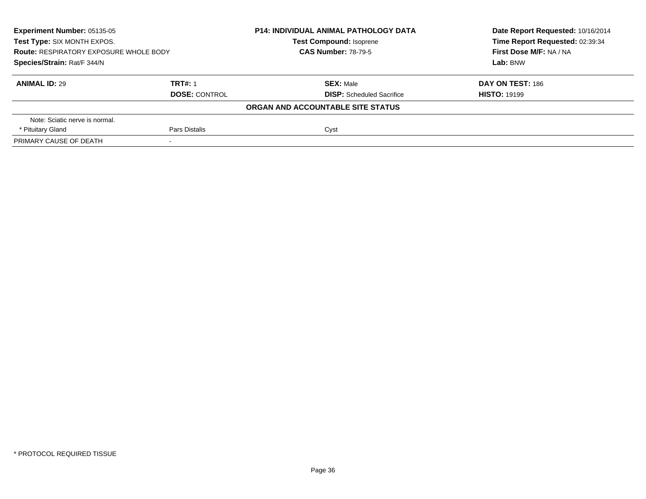| <b>Experiment Number: 05135-05</b><br>Test Type: SIX MONTH EXPOS.<br><b>Route: RESPIRATORY EXPOSURE WHOLE BODY</b><br>Species/Strain: Rat/F 344/N |               | <b>P14: INDIVIDUAL ANIMAL PATHOLOGY DATA</b><br><b>Test Compound: Isoprene</b><br><b>CAS Number: 78-79-5</b> | Date Report Requested: 10/16/2014<br>Time Report Requested: 02:39:34<br>First Dose M/F: NA / NA<br>Lab: BNW |                      |                                  |                     |
|---------------------------------------------------------------------------------------------------------------------------------------------------|---------------|--------------------------------------------------------------------------------------------------------------|-------------------------------------------------------------------------------------------------------------|----------------------|----------------------------------|---------------------|
|                                                                                                                                                   |               |                                                                                                              |                                                                                                             |                      |                                  |                     |
|                                                                                                                                                   |               |                                                                                                              |                                                                                                             | <b>ANIMAL ID: 29</b> | <b>TRT#: 1</b>                   | <b>SEX: Male</b>    |
|                                                                                                                                                   |               |                                                                                                              |                                                                                                             | <b>DOSE: CONTROL</b> | <b>DISP:</b> Scheduled Sacrifice | <b>HISTO: 19199</b> |
|                                                                                                                                                   |               | ORGAN AND ACCOUNTABLE SITE STATUS                                                                            |                                                                                                             |                      |                                  |                     |
| Note: Sciatic nerve is normal.                                                                                                                    |               |                                                                                                              |                                                                                                             |                      |                                  |                     |
| * Pituitary Gland                                                                                                                                 | Pars Distalis | Cyst                                                                                                         |                                                                                                             |                      |                                  |                     |
| PRIMARY CAUSE OF DEATH                                                                                                                            |               |                                                                                                              |                                                                                                             |                      |                                  |                     |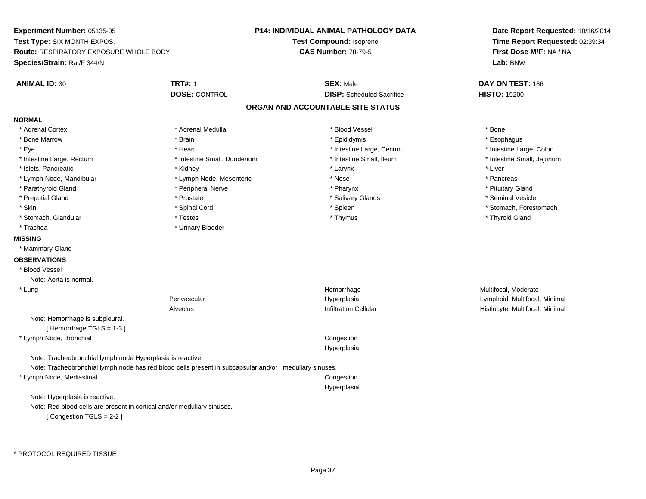**Experiment Number:** 05135-05**Test Type:** SIX MONTH EXPOS.**Route:** RESPIRATORY EXPOSURE WHOLE BODY**Species/Strain:** Rat/F 344/N**P14: INDIVIDUAL ANIMAL PATHOLOGY DATATest Compound:** Isoprene**CAS Number:** 78-79-5**Date Report Requested:** 10/16/2014**Time Report Requested:** 02:39:34**First Dose M/F:** NA / NA**Lab:** BNW**ANIMAL ID:** 30**TRT#:** 1 **SEX:** Male **DAY ON TEST:** 186 **DOSE:** CONTROL**DISP:** Scheduled Sacrifice **HISTO:** 19200 **ORGAN AND ACCOUNTABLE SITE STATUSNORMAL**\* Adrenal Cortex \* Adrenal Cortex \* \* Adrenal Medulla \* \* Adrenal Medulla \* \* Blood Vessel \* \* Brood Vessel \* \* Bone \* Esophagus \* Bone Marrow \* Brain \* Epididymis \* Esophagus \* Intestine Large, Colon \* Eye \* Intestine Large, Cecum \*  $*$  Heart \*  $*$  Intestine Large, Cecum \* Intestine Large, Cecum \* \* Intestine Small, Jejunum \* Intestine Large, Rectum \* 10 **\*** Intestine Small, Duodenum \* Intestine Small, Ileum \* Intestine Small, Ileum \* Islets, Pancreatic \* \* \* Andrew \* Kidney \* \* Kidney \* \* Larynx \* Larynx \* \* Larynx \* \* Liver \* Liver \* Liver \* Lymph Node, Mandibular \* The state of the second text of the second text of the second text of the second text of the second text of the second text of the second text of the second text of the second text of text of tex \* Pituitary Gland \* Parathyroid Gland \* **Arror and \* Peripheral Nerve \* Pharynx \* Pharynx \* Pharynx** \* Pharynx \* Seminal Vesicle \* Preputial Gland \* \* Annual vesicle \* \* Prostate \* \* Salivary Glands \* \* Salivary Glands \* \* Seminal Vesicle \* \* Skin \* Spinal Cord \* Spinal Cord \* Spinal Cord \* Spinal \* Spinal \* Stomach, Forestomach \* Stomach, Forestomach \* Stomach, Glandular \* Thestes \* Testes \* Thymus \* Thymus \* Thymus \* Thymus \* Thymus \* Thyroid Gland \* Trachea **\*** Urinary Bladder **MISSING** \* Mammary Gland**OBSERVATIONS** \* Blood VesselNote: Aorta is normal. \* Lungg was a statement of the monotonic memorrhage the monotonic memorrhage  $\sim$  Multifocal, Moderate  $\sim$  Multifocal, Moderate Perivascular Hyperplasia Lymphoid, Multifocal, Minimal AlveolusHistiocyte, Multifocal, Minimal Note: Hemorrhage is subpleural.[ Hemorrhage TGLS = 1-3 ] \* Lymph Node, Bronchial Congestion HyperplasiaNote: Tracheobronchial lymph node Hyperplasia is reactive.Note: Tracheobronchial lymph node has red blood cells present in subcapsular and/or medullary sinuses. \* Lymph Node, Mediastinal Congestion HyperplasiaNote: Hyperplasia is reactive.Note: Red blood cells are present in cortical and/or medullary sinuses.[ Congestion TGLS = 2-2 ]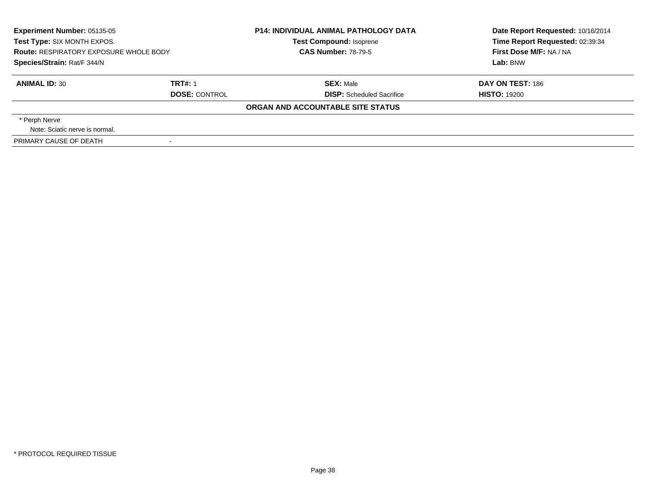| <b>Experiment Number: 05135-05</b><br>Test Type: SIX MONTH EXPOS.<br><b>Route: RESPIRATORY EXPOSURE WHOLE BODY</b><br>Species/Strain: Rat/F 344/N |                      | <b>P14: INDIVIDUAL ANIMAL PATHOLOGY DATA</b><br><b>Test Compound: Isoprene</b><br><b>CAS Number: 78-79-5</b> | Date Report Requested: 10/16/2014<br>Time Report Requested: 02:39:34<br>First Dose M/F: NA / NA<br>Lab: BNW |
|---------------------------------------------------------------------------------------------------------------------------------------------------|----------------------|--------------------------------------------------------------------------------------------------------------|-------------------------------------------------------------------------------------------------------------|
|                                                                                                                                                   |                      |                                                                                                              |                                                                                                             |
| <b>ANIMAL ID: 30</b>                                                                                                                              | <b>TRT#: 1</b>       | <b>SEX: Male</b>                                                                                             | <b>DAY ON TEST: 186</b>                                                                                     |
|                                                                                                                                                   | <b>DOSE: CONTROL</b> | <b>DISP:</b> Scheduled Sacrifice                                                                             | <b>HISTO: 19200</b>                                                                                         |
|                                                                                                                                                   |                      | ORGAN AND ACCOUNTABLE SITE STATUS                                                                            |                                                                                                             |
| * Perph Nerve                                                                                                                                     |                      |                                                                                                              |                                                                                                             |
| Note: Sciatic nerve is normal.                                                                                                                    |                      |                                                                                                              |                                                                                                             |
| PRIMARY CAUSE OF DEATH                                                                                                                            |                      |                                                                                                              |                                                                                                             |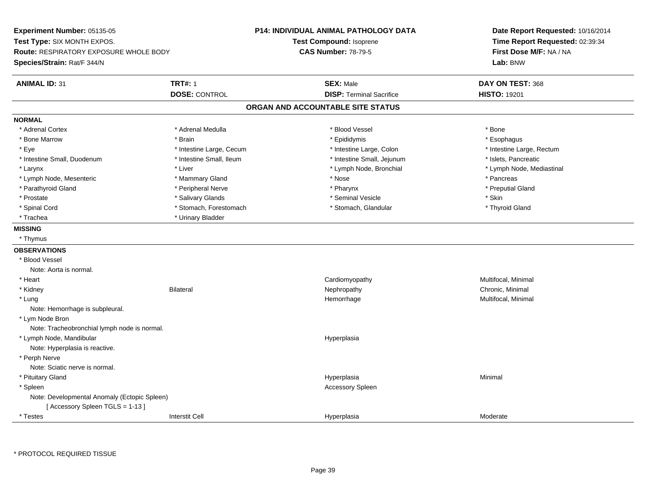**Experiment Number:** 05135-05**Test Type:** SIX MONTH EXPOS.**Route:** RESPIRATORY EXPOSURE WHOLE BODY**Species/Strain:** Rat/F 344/N**P14: INDIVIDUAL ANIMAL PATHOLOGY DATATest Compound:** Isoprene**CAS Number:** 78-79-5**Date Report Requested:** 10/16/2014**Time Report Requested:** 02:39:34**First Dose M/F:** NA / NA**Lab:** BNW**ANIMAL ID:** 31**TRT#:** 1 **SEX:** Male **DAY ON TEST:** 368 **DOSE:** CONTROL**DISP:** Terminal Sacrifice **HISTO:** 19201 **ORGAN AND ACCOUNTABLE SITE STATUSNORMAL**\* Adrenal Cortex \* Adrenal Cortex \* \* Adrenal Medulla \* \* Adrenal Medulla \* \* Blood Vessel \* \* Brood Vessel \* \* Bone \* Esophagus \* Bone Marrow \* Brain \* Epididymis \* Esophagus \* Eye \* Thestine Large, Cecum \* Intestine Large, Cecum \* Intestine Large, Colon \* Intestine Large, Rectum \* Intestine Large, Rectum \* Intestine Small, Duodenum \* Intestine Small, Ileum \* Intestine Small, Intestine Small, Jejunum \* Islets, Pancreatic \* Larynx \* Lymph Node, Bronchial \* Lymph Node, Bronchial \* Lymph Node, et al. \* Lymph Node, Mediastinal \* \* Lymph Node, Mediastinal \* \* Lymph Node, Mediastinal \* November 2008, Nediastinal \* Lymph Node, Mediastinal \* Lymph \* Lymph Node, Mesenteric \* \* The matter of the Mammary Gland \* The matter \* Nose \* The matter of the matter \* Pancreas \* Pancreas \* Preputial Gland \* Parathyroid Gland \* **Archarging \* Peripheral Nerve** \* Pharynx \* Pharynx \* Pharynx \* Pharynx \* Pharynx \* Pharynx \* Prostate \* \* Salivary Glands \* \* Salivary Glands \* \* Seminal Vesicle \* \* \* Seminal Yestrich \* \* Skin \* \* Skin \* Thyroid Gland \* Spinal Cord \* Stomach, Forestomach \* Stomach \* Stomach, Glandular \* Stomach, Glandular \* Trachea \* Urinary Bladder**MISSING** \* Thymus**OBSERVATIONS** \* Blood VesselNote: Aorta is normal. \* Heart CardiomyopathyMultifocal, Minimal<br>Chronic, Minimal \* Kidneyy the controller of the Bilateral Chronic, Minimal and the Chronic, Minimal of the Chronic, Minimal of the Chronic, Minimal of the Chronic, Minimal of the Chronic, Minimal of the Chronic, Minimal of the Chronic, Minimal of \* Lungg and the morrhage of the morrhage of the morrhage of the morrhage  $\mathsf{M}$ ultifocal, Minimal and the morrhage of the morrhage of the morrhage of the morrhage of the morrhage of the morrhage of the morrhage of the morrhage Note: Hemorrhage is subpleural. \* Lym Node Bron Note: Tracheobronchial lymph node is normal. \* Lymph Node, Mandibular HyperplasiaNote: Hyperplasia is reactive. \* Perph Nerve Note: Sciatic nerve is normal. \* Pituitary Glandd and the control of the control of the control of the control of the control of the control of the control of the control of the control of the control of the control of the control of the control of the control of the co \* Spleenn and the control of the control of the control of the control of the control of the control of the control of the control of the control of the control of the control of the control of the control of the control of the co Note: Developmental Anomaly (Ectopic Spleen)[ Accessory Spleen TGLS = 1-13 ] \* Testess and the contraction of the contraction of the contraction of the contraction of the contraction of the contraction of the contraction of the contraction of the contraction of the contraction of the contraction of the con a Moderate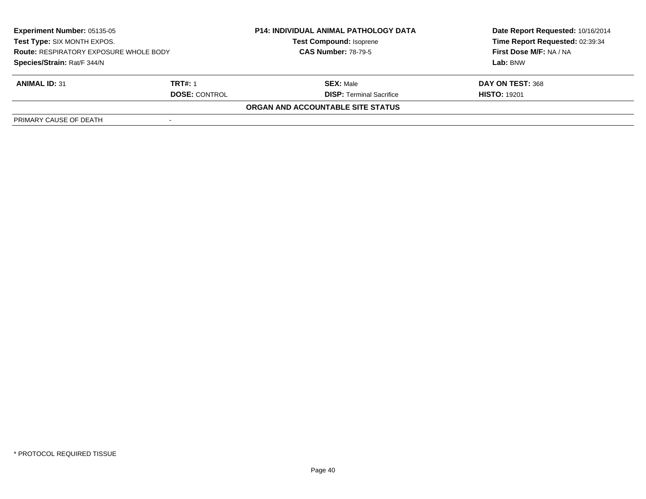| <b>Experiment Number: 05135-05</b><br>Test Type: SIX MONTH EXPOS.<br><b>Route: RESPIRATORY EXPOSURE WHOLE BODY</b><br>Species/Strain: Rat/F 344/N |                      | <b>P14: INDIVIDUAL ANIMAL PATHOLOGY DATA</b> | Date Report Requested: 10/16/2014 |
|---------------------------------------------------------------------------------------------------------------------------------------------------|----------------------|----------------------------------------------|-----------------------------------|
|                                                                                                                                                   |                      | <b>Test Compound: Isoprene</b>               | Time Report Requested: 02:39:34   |
|                                                                                                                                                   |                      | <b>CAS Number: 78-79-5</b>                   | First Dose M/F: NA / NA           |
|                                                                                                                                                   |                      |                                              | Lab: BNW                          |
| <b>ANIMAL ID: 31</b>                                                                                                                              | <b>TRT#: 1</b>       | <b>SEX: Male</b>                             | DAY ON TEST: 368                  |
|                                                                                                                                                   | <b>DOSE: CONTROL</b> | <b>DISP:</b> Terminal Sacrifice              | <b>HISTO: 19201</b>               |
|                                                                                                                                                   |                      | ORGAN AND ACCOUNTABLE SITE STATUS            |                                   |
| PRIMARY CAUSE OF DEATH                                                                                                                            |                      |                                              |                                   |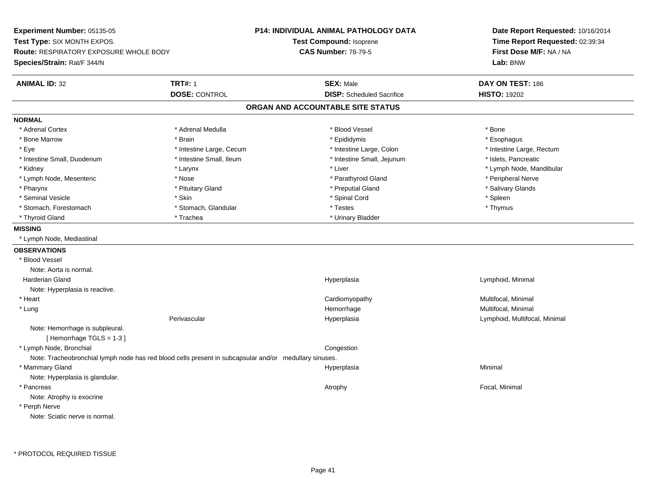**Experiment Number:** 05135-05**Test Type:** SIX MONTH EXPOS.**Route:** RESPIRATORY EXPOSURE WHOLE BODY**Species/Strain:** Rat/F 344/N**P14: INDIVIDUAL ANIMAL PATHOLOGY DATATest Compound:** Isoprene**CAS Number:** 78-79-5**Date Report Requested:** 10/16/2014**Time Report Requested:** 02:39:34**First Dose M/F:** NA / NA**Lab:** BNW**ANIMAL ID:** 32 **TRT#:** <sup>1</sup> **SEX:** Male **DAY ON TEST:** <sup>186</sup> **DOSE:** CONTROL**DISP:** Scheduled Sacrifice **HISTO:** 19202 **ORGAN AND ACCOUNTABLE SITE STATUSNORMAL**\* Adrenal Cortex \* Adrenal Cortex \* \* Adrenal Medulla \* \* Adrenal Medulla \* \* Blood Vessel \* \* Brood Vessel \* \* Bone \* Esophagus \* Bone Marrow \* Brain \* Epididymis \* Esophagus \* Eye \* Thestine Large, Cecum \* Intestine Large, Cecum \* Intestine Large, Colon \* Intestine Large, Rectum \* Intestine Large, Rectum \* Intestine Small, Duodenum \* Intestine Small, Ileum \* Intestine Small, Intestine Small, Jejunum \* Islets, Pancreatic \* Kidney \* The mode, Mandibular \* Larynx \* Larynx \* Larynx \* Liver \* Liver \* Number \* Liver \* Lymph Node, Mandibular \* Lymph Node, Mesenteric \* The state of the state of the Nose \* Nose \* Parathyroid Gland \* Parathyroid Gland \* Peripheral Nerve \* Salivary Glands \* Pharynx \* Pituitary Gland \* Preputial Gland \* Salivary Glands \* Seminal Vesicle \* Skin \* Spinal Cord \* Spleen \* Thymus \* Stomach, Forestomach \* Testes \* Stomach, Glandular \* Testes \* Testes \* Testes \* Testes \* Testes \* Testes \* T \* Thyroid Gland \* Trachea \* Trachea \* Trachea \* Urinary Bladder **MISSING** \* Lymph Node, Mediastinal**OBSERVATIONS** \* Blood VesselNote: Aorta is normal. Harderian Gland Hyperplasia Lymphoid, Minimal Note: Hyperplasia is reactive. \* Heart Cardiomyopathy Multifocal, Minimal \* Lungg and the morrhage of the morrhage of the morrhage of the morrhage  $\mathsf{M}$ ultifocal, Minimal and the morrhage of the morrhage of the morrhage of the morrhage of the morrhage of the morrhage of the morrhage of the morrhage Perivascular Hyperplasia Lymphoid, Multifocal, Minimal Note: Hemorrhage is subpleural.[ Hemorrhage TGLS = 1-3 ] \* Lymph Node, Bronchial CongestionNote: Tracheobronchial lymph node has red blood cells present in subcapsular and/or medullary sinuses. \* Mammary Glandd and the control of the control of the control of the Hyperplasia and the control of the control of the control of the control of the control of the control of the control of the control of the control of the control of t Note: Hyperplasia is glandular. \* Pancreass the control of the control of the control of the control of the control of the control of the control of the control of the control of the control of the control of the control of the control of the control of the contro Note: Atrophy is exocrine \* Perph NerveNote: Sciatic nerve is normal.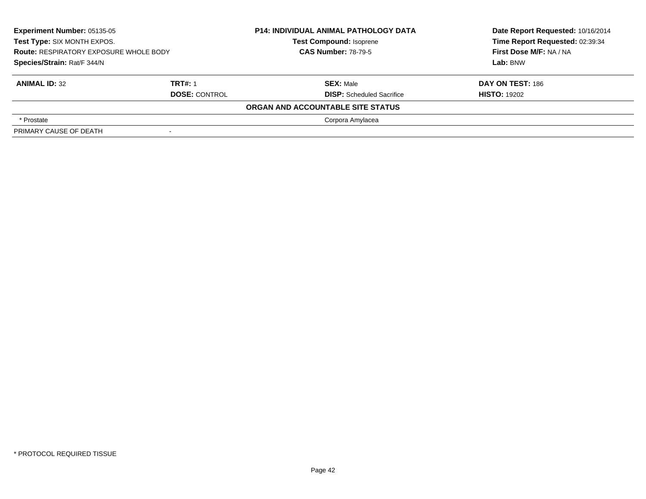| <b>Experiment Number: 05135-05</b><br>Test Type: SIX MONTH EXPOS.<br><b>Route: RESPIRATORY EXPOSURE WHOLE BODY</b><br>Species/Strain: Rat/F 344/N |                                        | <b>P14: INDIVIDUAL ANIMAL PATHOLOGY DATA</b><br><b>Test Compound: Isoprene</b><br><b>CAS Number: 78-79-5</b> | Date Report Requested: 10/16/2014<br>Time Report Requested: 02:39:34<br>First Dose M/F: NA / NA<br>Lab: BNW |
|---------------------------------------------------------------------------------------------------------------------------------------------------|----------------------------------------|--------------------------------------------------------------------------------------------------------------|-------------------------------------------------------------------------------------------------------------|
| <b>ANIMAL ID: 32</b>                                                                                                                              | <b>TRT#: 1</b><br><b>DOSE: CONTROL</b> | <b>SEX: Male</b><br><b>DISP:</b> Scheduled Sacrifice                                                         | <b>DAY ON TEST: 186</b><br><b>HISTO: 19202</b>                                                              |
|                                                                                                                                                   |                                        | ORGAN AND ACCOUNTABLE SITE STATUS                                                                            |                                                                                                             |
| * Prostate                                                                                                                                        |                                        | Corpora Amylacea                                                                                             |                                                                                                             |
| PRIMARY CAUSE OF DEATH                                                                                                                            |                                        |                                                                                                              |                                                                                                             |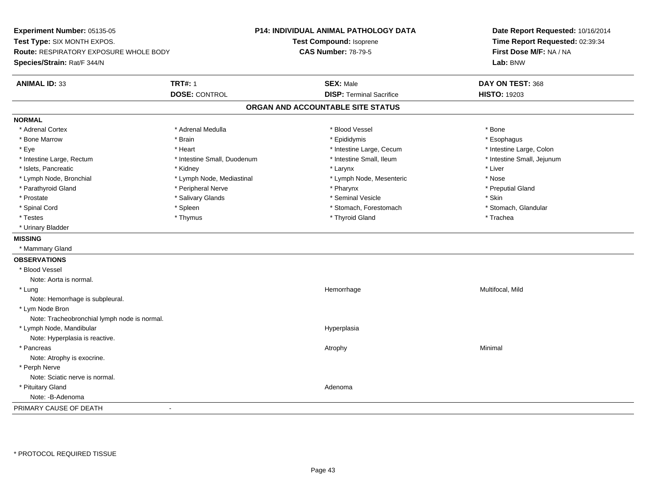**Experiment Number:** 05135-05**Test Type:** SIX MONTH EXPOS.**Route:** RESPIRATORY EXPOSURE WHOLE BODY**Species/Strain:** Rat/F 344/N**P14: INDIVIDUAL ANIMAL PATHOLOGY DATATest Compound:** Isoprene**CAS Number:** 78-79-5**Date Report Requested:** 10/16/2014**Time Report Requested:** 02:39:34**First Dose M/F:** NA / NA**Lab:** BNW**ANIMAL ID:** 33**TRT#:** 1 **SEX:** Male **DAY ON TEST:** 368 **DOSE:** CONTROL**DISP:** Terminal Sacrifice **HISTO:** 19203 **ORGAN AND ACCOUNTABLE SITE STATUSNORMAL**\* Adrenal Cortex \* Adrenal Cortex \* \* Adrenal Medulla \* \* Adrenal Medulla \* \* Blood Vessel \* \* Brood Vessel \* \* Bone \* Esophagus \* Bone Marrow \* Brain \* Epididymis \* Esophagus \* Intestine Large, Colon \* Eye \* Heart \* Heart \* Intestine Large, Cecum \* 1. The state Large, Cecum \* Intestine Large, Cecum \* \* Intestine Small, Jejunum \* Intestine Large, Rectum \* Intestine Small, Duodenum \* Intestine Small, Ileum \* Intestine Small, Ileum \* Islets, Pancreatic \* \* \* Andrew \* Kidney \* \* Kidney \* \* Larynx \* Larynx \* \* Larynx \* \* Liver \* Liver \* Liver \* Lymph Node, Bronchial \* Nose \* Lymph Node, Mediastinal \* Nose \* Lymph Node, Mesenteric \* Nose \* Nose \* Preputial Gland \* Parathyroid Gland \* \* \* Peripheral Nerve \* \* Peripheral Nerve \* \* Pharynx \* \* Pharynx \* \* Preputial Gland \* Prostate \* \* Salivary Glands \* \* Salivary Glands \* \* Seminal Vesicle \* \* \* Seminal Yestrich \* \* Skin \* \* Skin \* Stomach, Glandular \* Spinal Cord \* Spinal Cord \* Spinal Cord \* Stomach, Forestomach \* Stomach, Forestomach \* Stomach, Forestomach \* Testes \* Thymus \* Thyroid Gland \* Trachea \* Urinary Bladder**MISSING** \* Mammary Gland**OBSERVATIONS** \* Blood VesselNote: Aorta is normal. \* Lungg and the morrhage of the morrhage of the morrhage of the Multifocal, Mild and the Multifocal, Mild and the morrhage  $\sim$  Multifocal, Mild and the morrhage of the morrhage of the morrhage of the morrhage of the morrhage of Note: Hemorrhage is subpleural. \* Lym Node Bron Note: Tracheobronchial lymph node is normal. \* Lymph Node, Mandibularr and the contract of the contract of the contract of the contract of the contract of the contract of the contract of the contract of the contract of the contract of the contract of the contract of the contract of the cont Note: Hyperplasia is reactive. \* Pancreass the control of the control of the control of the control of the control of the control of the control of the control of the control of the control of the control of the control of the control of the control of the contro Note: Atrophy is exocrine. \* Perph Nerve Note: Sciatic nerve is normal. \* Pituitary Glandd and a state of the control of the control of the control of the control of the control of the control of the control of the control of the control of the control of the control of the control of the control of the contro Note: -B-AdenomaPRIMARY CAUSE OF DEATH-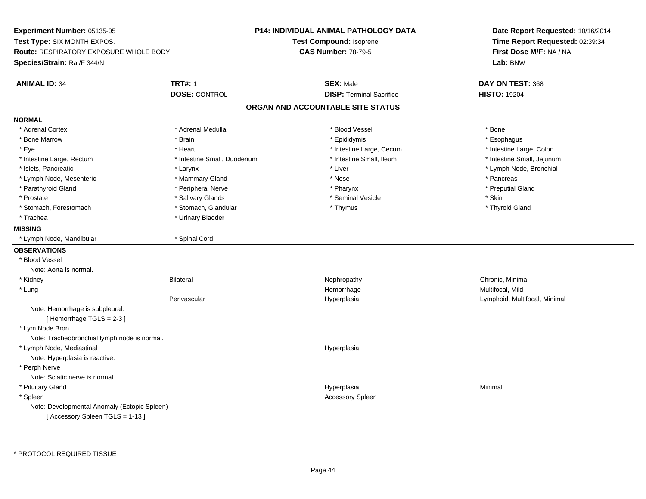**Experiment Number:** 05135-05**Test Type:** SIX MONTH EXPOS.**Route:** RESPIRATORY EXPOSURE WHOLE BODY**Species/Strain:** Rat/F 344/N**P14: INDIVIDUAL ANIMAL PATHOLOGY DATATest Compound:** Isoprene**CAS Number:** 78-79-5**Date Report Requested:** 10/16/2014**Time Report Requested:** 02:39:34**First Dose M/F:** NA / NA**Lab:** BNW**ANIMAL ID:** 34 **TRT#:** <sup>1</sup> **SEX:** Male **DAY ON TEST:** <sup>368</sup> **DOSE:** CONTROL**DISP:** Terminal Sacrifice **HISTO:** 19204 **ORGAN AND ACCOUNTABLE SITE STATUSNORMAL**\* Adrenal Cortex \* Adrenal Cortex \* \* Adrenal Medulla \* \* Adrenal Medulla \* \* Blood Vessel \* \* Brood Vessel \* \* Bone \* Esophagus \* Bone Marrow \* Brain \* Epididymis \* Esophagus \* Intestine Large, Colon \* Eye \* Intestine Large, Cecum \*  $*$  Heart \*  $*$  Intestine Large, Cecum \* Intestine Large, Cecum \* \* Intestine Small, Jejunum \* Intestine Large, Rectum \* 10 **\*** Intestine Small, Duodenum \* Intestine Small, Ileum \* Intestine Small, Ileum \* Islets, Pancreatic \* Larynx \* Liver \* Lymph Node, Bronchial \* Lymph Node, Mesenteric \* \* The mannery Gland \* Mammary Gland \* Nose \* Nose \* \* Pancreas \* Pancreas \* Pancreas \* Preputial Gland \* Parathyroid Gland \* **Archarging \* Peripheral Nerve** \* Pharynx \* Pharynx \* Pharynx \* Pharynx \* Pharynx \* Pharynx \* Prostate \* \* Salivary Glands \* \* Salivary Glands \* \* Seminal Vesicle \* \* \* Seminal Yestrich \* \* Skin \* \* Skin \* Thyroid Gland \* Stomach, Forestomach \* Thymus \* Stomach, Glandular \* Thymus \* Thymus \* Thymus \* Thymus \* Thymus \* Thymus \* Thymus \* Thymus \* Thymus \* Thymus \* Thymus \* Thymus \* Thymus \* Thymus \* Thymus \* Thymus \* Thymus \* Thymus \* Thymu \* Trachea \* Urinary Bladder**MISSING** \* Lymph Node, Mandibular \* Spinal Cord**OBSERVATIONS** \* Blood VesselNote: Aorta is normal. \* Kidneyy the controller of the Bilateral Chronic, Minimal and the Chronic, Minimal of the Chronic, Minimal of the Chronic, Minimal of the Chronic, Minimal of the Chronic, Minimal of the Chronic, Minimal of the Chronic, Minimal of \* Lungg and the morrhage of the morrhage of the morrhage of the Multifocal, Mild and the Multifocal, Mild and the morrhage  $\sim$  Multifocal, Mild and the morrhage of the morrhage of the morrhage of the morrhage of the morrhage of Perivascular Hyperplasia Lymphoid, Multifocal, Minimal Note: Hemorrhage is subpleural.[ Hemorrhage TGLS = 2-3 ] \* Lym Node Bron Note: Tracheobronchial lymph node is normal. \* Lymph Node, Mediastinal HyperplasiaNote: Hyperplasia is reactive. \* Perph Nerve Note: Sciatic nerve is normal. \* Pituitary Glandd and the control of the control of the control of the control of the control of the control of the control of the control of the control of the control of the control of the control of the control of the control of the co \* Spleenn and the control of the control of the control of the control of the control of the control of the control of the control of the control of the control of the control of the control of the control of the control of the co Note: Developmental Anomaly (Ectopic Spleen)[ Accessory Spleen TGLS = 1-13 ]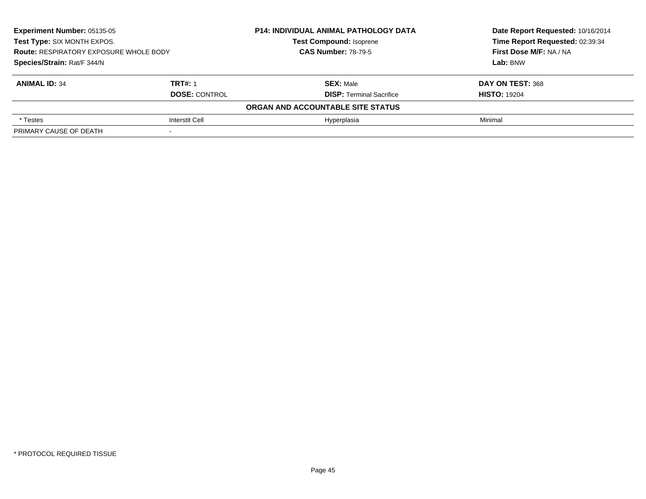| Experiment Number: 05135-05<br>Test Type: SIX MONTH EXPOS.<br><b>Route: RESPIRATORY EXPOSURE WHOLE BODY</b><br>Species/Strain: Rat/F 344/N |                       | <b>P14: INDIVIDUAL ANIMAL PATHOLOGY DATA</b> | Date Report Requested: 10/16/2014 |
|--------------------------------------------------------------------------------------------------------------------------------------------|-----------------------|----------------------------------------------|-----------------------------------|
|                                                                                                                                            |                       | <b>Test Compound: Isoprene</b>               | Time Report Requested: 02:39:34   |
|                                                                                                                                            |                       | <b>CAS Number: 78-79-5</b>                   | First Dose M/F: NA / NA           |
|                                                                                                                                            |                       |                                              | Lab: BNW                          |
| <b>ANIMAL ID: 34</b>                                                                                                                       | <b>TRT#: 1</b>        | <b>SEX: Male</b>                             | DAY ON TEST: 368                  |
|                                                                                                                                            | <b>DOSE: CONTROL</b>  | <b>DISP: Terminal Sacrifice</b>              | <b>HISTO: 19204</b>               |
|                                                                                                                                            |                       | ORGAN AND ACCOUNTABLE SITE STATUS            |                                   |
| * Testes                                                                                                                                   | <b>Interstit Cell</b> | Hyperplasia                                  | Minimal                           |
| PRIMARY CAUSE OF DEATH                                                                                                                     |                       |                                              |                                   |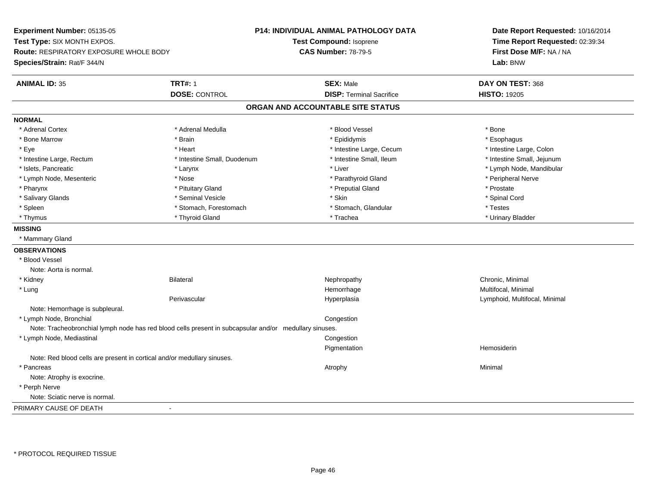**Experiment Number:** 05135-05**Test Type:** SIX MONTH EXPOS.**Route:** RESPIRATORY EXPOSURE WHOLE BODY**Species/Strain:** Rat/F 344/N**P14: INDIVIDUAL ANIMAL PATHOLOGY DATATest Compound:** Isoprene**CAS Number:** 78-79-5**Date Report Requested:** 10/16/2014**Time Report Requested:** 02:39:34**First Dose M/F:** NA / NA**Lab:** BNW**ANIMAL ID:** 35 **TRT#:** <sup>1</sup> **SEX:** Male **DAY ON TEST:** <sup>368</sup> **DOSE:** CONTROL**DISP:** Terminal Sacrifice **HISTO:** 19205 **ORGAN AND ACCOUNTABLE SITE STATUSNORMAL**\* Adrenal Cortex \* Adrenal Cortex \* \* Adrenal Medulla \* \* Adrenal Medulla \* \* Blood Vessel \* \* Brood Vessel \* \* Bone \* Esophagus \* Bone Marrow \* Brain \* Epididymis \* Esophagus \* Intestine Large, Colon \* Eye \* Intestine Large, Cecum \*  $*$  Heart \*  $*$  Intestine Large, Cecum \* Intestine Large, Cecum \* \* Intestine Small, Jejunum \* Intestine Large, Rectum \* Intestine Small, Duodenum \* Intestine Small, Ileum \* Intestine Small, Ileum \* Islets, Pancreatic \* Larynx \* Liver \* Lymph Node, Mandibular \* Lymph Node, Mesenteric \* The state of the state of the Nose \* Nose \* Nose \* Parathyroid Gland \* Peripheral Nerve \* Pharynx \* Pituitary Gland \* Preputial Gland \* Prostate \* Spinal Cord \* Salivary Glands \* \* Seminal Vesicle \* \* Seminal Vesicle \* \* Skin \* \* Skin \* \* Stember \* Spinal Cord \* Spinal Cord \* Spinal Cord \* Spinal Cord \* Spinal Cord \* Spinal Cord \* Spinal Cord \* Spinal Cord \* Spinal Cord \* Spinal \* Spleen \* Stomach, Forestomach \* Stomach \* Stomach, Slandular \* Testes \* Testes \* Urinary Bladder \* Thymus \* Thyroid Gland \* Trachea \* Urinary Bladder \* **MISSING** \* Mammary Gland**OBSERVATIONS** \* Blood VesselNote: Aorta is normal. \* Kidneyy the controller of the Bilateral Chronic, Minimal and the Chronic, Minimal of the Chronic, Minimal of the Chronic, Minimal of the Chronic, Minimal of the Chronic, Minimal of the Chronic, Minimal of the Chronic, Minimal of \* Lungg and the morrhage of the morrhage of the morrhage of the morrhage  $\mathsf{M}$ ultifocal, Minimal and the morrhage of the morrhage of the morrhage of the morrhage of the morrhage of the morrhage of the morrhage of the morrhage Perivascular Hyperplasia Lymphoid, Multifocal, Minimal Note: Hemorrhage is subpleural. \* Lymph Node, Bronchial CongestionNote: Tracheobronchial lymph node has red blood cells present in subcapsular and/or medullary sinuses. \* Lymph Node, Mediastinal Congestion Pigmentation Hemosiderin Note: Red blood cells are present in cortical and/or medullary sinuses. \* Pancreass the control of the control of the control of the control of the control of the control of the control of the control of the control of the control of the control of the control of the control of the control of the contro Note: Atrophy is exocrine. \* Perph Nerve Note: Sciatic nerve is normal.PRIMARY CAUSE OF DEATH

\* PROTOCOL REQUIRED TISSUE

-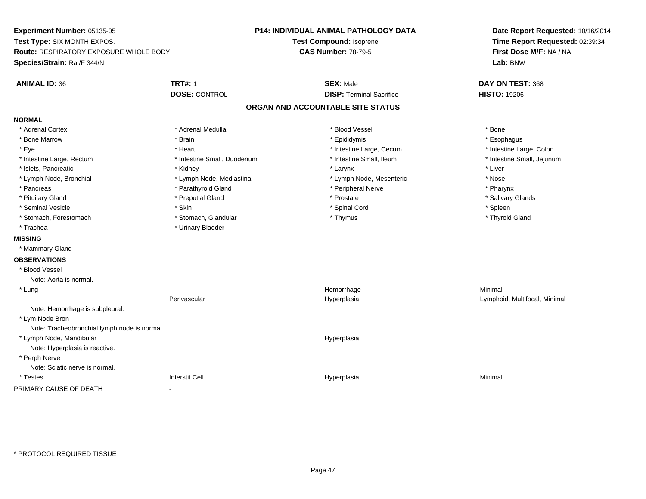**Experiment Number:** 05135-05**Test Type:** SIX MONTH EXPOS.**Route:** RESPIRATORY EXPOSURE WHOLE BODY**Species/Strain:** Rat/F 344/N**P14: INDIVIDUAL ANIMAL PATHOLOGY DATATest Compound:** Isoprene**CAS Number:** 78-79-5**Date Report Requested:** 10/16/2014**Time Report Requested:** 02:39:34**First Dose M/F:** NA / NA**Lab:** BNW**ANIMAL ID:** 36**TRT#:** 1 **SEX:** Male **DAY ON TEST:** 368 **DOSE:** CONTROL**DISP:** Terminal Sacrifice **HISTO:** 19206 **ORGAN AND ACCOUNTABLE SITE STATUSNORMAL**\* Adrenal Cortex \* Adrenal Cortex \* \* Adrenal Medulla \* \* Adrenal Medulla \* \* Blood Vessel \* \* Brood Vessel \* \* Bone \* Esophagus \* Bone Marrow \* Brain \* Epididymis \* Esophagus \* Intestine Large, Colon \* Eye \* Intestine Large, Cecum \*  $*$  Heart \*  $*$  Intestine Large, Cecum \* Intestine Large, Cecum \* \* Intestine Small, Jejunum \* Intestine Large, Rectum \* Intestine Small, Duodenum \* Intestine Small, Ileum \* Intestine Small, Ileum \* Islets, Pancreatic \* \* \* Andrew \* Kidney \* \* Kidney \* \* Larynx \* Larynx \* \* Larynx \* \* Liver \* Liver \* Liver \* Lymph Node, Bronchial \* Nose \* Lymph Node, Mediastinal \* Nose \* Lymph Node, Mesenteric \* Nose \* Nose \* Pharynx \* Pancreas \* Parathyroid Gland \* Parathyroid Gland \* Peripheral Nerve \* Salivary Glands \* Pituitary Gland \* \* Then the state \* Preputial Gland \* Prosection \* Prostate \* \* Salivary Glands \* Salivary Glands \* Salivary Glands \* Salivary Glands \* Salivary Glands \* Salivary Glands \* Salivary Glands \* Salivary Glan \* Seminal Vesicle \* Skin \* Spinal Cord \* Spleen \* Thyroid Gland \* Stomach, Forestomach \* Thymus \* Stomach, Glandular \* Thymus \* Thymus \* Thymus \* Thymus \* Thymus \* Thymus \* Thymus \* Thymus \* Thymus \* Thymus \* Thymus \* Thymus \* Thymus \* Thymus \* Thymus \* Thymus \* Thymus \* Thymus \* Thymu \* Trachea **\*** Urinary Bladder **MISSING** \* Mammary Gland**OBSERVATIONS** \* Blood VesselNote: Aorta is normal. \* Lungg and the state of the state of the state of the state of the Minimal Section 1, and the state of the state of the state of the state of the state of the state of the state of the state of the state of the state of the sta Perivascular Hyperplasia Lymphoid, Multifocal, Minimal Note: Hemorrhage is subpleural. \* Lym Node Bron Note: Tracheobronchial lymph node is normal. \* Lymph Node, Mandibular HyperplasiaNote: Hyperplasia is reactive. \* Perph Nerve Note: Sciatic nerve is normal. \* Testess and the contraction of the contraction of the contraction of the contraction of the contraction of the contraction of the contraction of the contraction of the contraction of the contraction of the contraction of the con a Minimal PRIMARY CAUSE OF DEATH-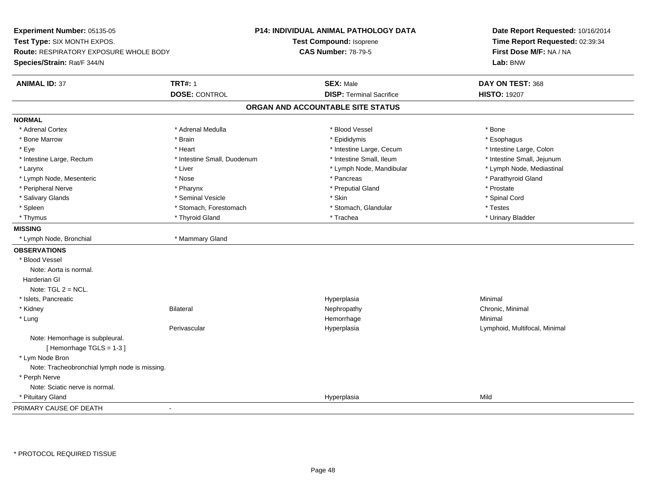**Experiment Number:** 05135-05**Test Type:** SIX MONTH EXPOS.**Route:** RESPIRATORY EXPOSURE WHOLE BODY**Species/Strain:** Rat/F 344/N**P14: INDIVIDUAL ANIMAL PATHOLOGY DATATest Compound:** Isoprene**CAS Number:** 78-79-5**Date Report Requested:** 10/16/2014**Time Report Requested:** 02:39:34**First Dose M/F:** NA / NA**Lab:** BNW**ANIMAL ID:** 37**TRT#:** 1 **SEX:** Male **DAY ON TEST:** 368 **DOSE:** CONTROL**DISP:** Terminal Sacrifice **HISTO:** 19207 **ORGAN AND ACCOUNTABLE SITE STATUSNORMAL**\* Adrenal Cortex \* Adrenal Cortex \* \* Adrenal Medulla \* \* Adrenal Medulla \* \* Blood Vessel \* \* Brood Vessel \* \* Bone \* Esophagus \* Bone Marrow \* Brain \* Epididymis \* Esophagus \* Intestine Large, Colon \* Eye \* Heart \* Heart \* Intestine Large, Cecum \* 1. The state Large, Cecum \* Intestine Large, Cecum \* \* Intestine Small, Jejunum \* Intestine Large, Rectum \* Intestine Small, Duodenum \* Intestine Small, Duodenum \* 1ntestine Small, Ileum \* Lymph Node, Mediastinal \* Larynx \* Liver \* Liver \* Liver \* Liver \* Larynx \* Lymph Node, Mandibular \* Lymph Node, Mandibular \* Lymph Node, Mesenteric \* The state of the state of the state of the state of the state of the state of the state of the state of the state of the state of the state of the state of the state of the state of the state of \* Peripheral Nerve \* \* \* Pharynx \* Pharynx \* \* Pharynx \* \* Preputial Gland \* \* Preputial Gland \* \* Prostate \* Spinal Cord \* Salivary Glands \* \* Seminal Vesicle \* \* Seminal Vesicle \* \* Skin \* \* Skin \* \* Stember \* Spinal Cord \* Spinal Cord \* Spinal Cord \* Spinal Cord \* Spinal Cord \* Spinal Cord \* Spinal Cord \* Spinal Cord \* Spinal Cord \* Spinal \* Spleen \* Stomach, Forestomach \* Stomach \* Stomach, Glandular \* Testes \* Testes \* Urinary Bladder \* Thymus \* Thyroid Gland \* Trachea \* Urinary Bladder \* **MISSING** \* Lymph Node, Bronchial \* Mammary Gland**OBSERVATIONS** \* Blood VesselNote: Aorta is normal. Harderian GlNote:  $TGL 2 = NCL$ . \* Islets, Pancreaticc and the control of the control of the control of the control of the control of the control of the control of the control of the control of the control of the control of the control of the control of the control of the co a **Minimal**  \* Kidneyy the controller of the Bilateral Chronic, Minimal and the Chronic, Minimal of the Chronic, Minimal of the Chronic, Minimal of the Chronic, Minimal of the Chronic, Minimal of the Chronic, Minimal of the Chronic, Minimal of \* Lungg and the state of the state of the state of the state of the Minimal Section 1, and the state of the state of the state of the state of the state of the state of the state of the state of the state of the state of the sta Perivascular Hyperplasia Lymphoid, Multifocal, Minimal Note: Hemorrhage is subpleural.[ Hemorrhage TGLS = 1-3 ] \* Lym Node Bron Note: Tracheobronchial lymph node is missing. \* Perph Nerve Note: Sciatic nerve is normal. \* Pituitary Glandd and the control of the control of the control of the control of the control of the control of the control of the control of the control of the control of the control of the control of the control of the control of the co PRIMARY CAUSE OF DEATH-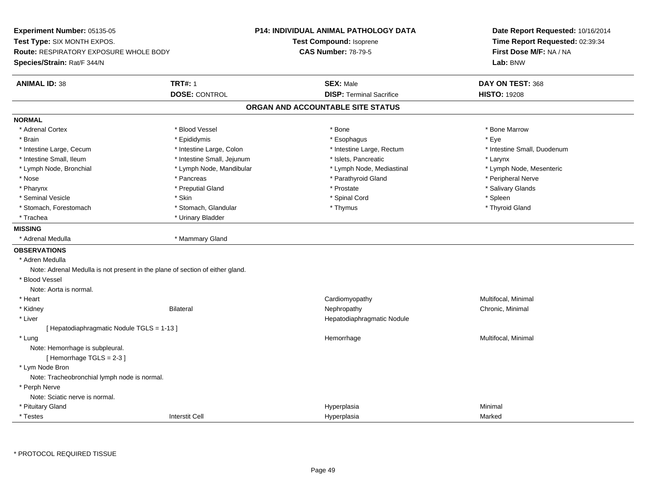| Experiment Number: 05135-05<br>Test Type: SIX MONTH EXPOS.<br>Route: RESPIRATORY EXPOSURE WHOLE BODY<br>Species/Strain: Rat/F 344/N |                            | P14: INDIVIDUAL ANIMAL PATHOLOGY DATA<br>Test Compound: Isoprene<br><b>CAS Number: 78-79-5</b> | Date Report Requested: 10/16/2014<br>Time Report Requested: 02:39:34<br>First Dose M/F: NA / NA<br>Lab: BNW |
|-------------------------------------------------------------------------------------------------------------------------------------|----------------------------|------------------------------------------------------------------------------------------------|-------------------------------------------------------------------------------------------------------------|
| <b>ANIMAL ID: 38</b>                                                                                                                | <b>TRT#: 1</b>             | <b>SEX: Male</b>                                                                               | DAY ON TEST: 368                                                                                            |
|                                                                                                                                     | <b>DOSE: CONTROL</b>       | <b>DISP: Terminal Sacrifice</b>                                                                | <b>HISTO: 19208</b>                                                                                         |
|                                                                                                                                     |                            | ORGAN AND ACCOUNTABLE SITE STATUS                                                              |                                                                                                             |
| <b>NORMAL</b>                                                                                                                       |                            |                                                                                                |                                                                                                             |
| * Adrenal Cortex                                                                                                                    | * Blood Vessel             | * Bone                                                                                         | * Bone Marrow                                                                                               |
| * Brain                                                                                                                             | * Epididymis               | * Esophagus                                                                                    | * Eye                                                                                                       |
| * Intestine Large, Cecum                                                                                                            | * Intestine Large, Colon   | * Intestine Large, Rectum                                                                      | * Intestine Small, Duodenum                                                                                 |
| * Intestine Small, Ileum                                                                                                            | * Intestine Small, Jejunum | * Islets, Pancreatic                                                                           | * Larynx                                                                                                    |
| * Lymph Node, Bronchial                                                                                                             | * Lymph Node, Mandibular   | * Lymph Node, Mediastinal                                                                      | * Lymph Node, Mesenteric                                                                                    |
| * Nose                                                                                                                              | * Pancreas                 | * Parathyroid Gland                                                                            | * Peripheral Nerve                                                                                          |
| * Pharynx                                                                                                                           | * Preputial Gland          | * Prostate                                                                                     | * Salivary Glands                                                                                           |
| * Seminal Vesicle                                                                                                                   | * Skin                     | * Spinal Cord                                                                                  | * Spleen                                                                                                    |
| * Stomach, Forestomach                                                                                                              | * Stomach, Glandular       | * Thymus                                                                                       | * Thyroid Gland                                                                                             |
| * Trachea                                                                                                                           | * Urinary Bladder          |                                                                                                |                                                                                                             |
| <b>MISSING</b>                                                                                                                      |                            |                                                                                                |                                                                                                             |
| * Adrenal Medulla                                                                                                                   | * Mammary Gland            |                                                                                                |                                                                                                             |
| <b>OBSERVATIONS</b>                                                                                                                 |                            |                                                                                                |                                                                                                             |
| * Adren Medulla                                                                                                                     |                            |                                                                                                |                                                                                                             |
| Note: Adrenal Medulla is not present in the plane of section of either gland.                                                       |                            |                                                                                                |                                                                                                             |
| * Blood Vessel                                                                                                                      |                            |                                                                                                |                                                                                                             |
| Note: Aorta is normal.                                                                                                              |                            |                                                                                                |                                                                                                             |
| * Heart                                                                                                                             |                            | Cardiomyopathy                                                                                 | Multifocal, Minimal                                                                                         |
| * Kidney                                                                                                                            | <b>Bilateral</b>           | Nephropathy                                                                                    | Chronic, Minimal                                                                                            |
| * Liver                                                                                                                             |                            | Hepatodiaphragmatic Nodule                                                                     |                                                                                                             |
| [ Hepatodiaphragmatic Nodule TGLS = 1-13 ]                                                                                          |                            |                                                                                                |                                                                                                             |
| * Lung                                                                                                                              |                            | Hemorrhage                                                                                     | Multifocal, Minimal                                                                                         |
| Note: Hemorrhage is subpleural.                                                                                                     |                            |                                                                                                |                                                                                                             |
| [Hemorrhage TGLS = 2-3]                                                                                                             |                            |                                                                                                |                                                                                                             |
| * Lym Node Bron                                                                                                                     |                            |                                                                                                |                                                                                                             |
| Note: Tracheobronchial lymph node is normal.                                                                                        |                            |                                                                                                |                                                                                                             |
| * Perph Nerve                                                                                                                       |                            |                                                                                                |                                                                                                             |
| Note: Sciatic nerve is normal.                                                                                                      |                            |                                                                                                |                                                                                                             |
| * Pituitary Gland                                                                                                                   |                            | Hyperplasia                                                                                    | Minimal                                                                                                     |
| * Testes                                                                                                                            | <b>Interstit Cell</b>      | Hyperplasia                                                                                    | Marked                                                                                                      |

\* PROTOCOL REQUIRED TISSUE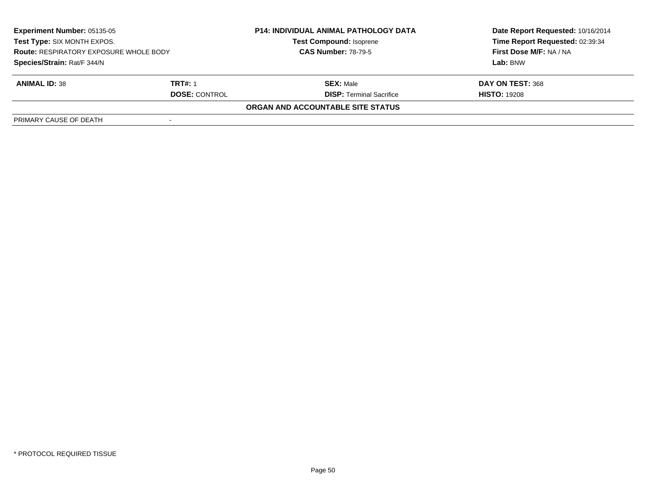| <b>Experiment Number: 05135-05</b><br>Test Type: SIX MONTH EXPOS.<br><b>Route: RESPIRATORY EXPOSURE WHOLE BODY</b><br>Species/Strain: Rat/F 344/N |                      | <b>P14: INDIVIDUAL ANIMAL PATHOLOGY DATA</b> | Date Report Requested: 10/16/2014 |
|---------------------------------------------------------------------------------------------------------------------------------------------------|----------------------|----------------------------------------------|-----------------------------------|
|                                                                                                                                                   |                      | <b>Test Compound: Isoprene</b>               | Time Report Requested: 02:39:34   |
|                                                                                                                                                   |                      | <b>CAS Number: 78-79-5</b>                   | First Dose M/F: NA / NA           |
|                                                                                                                                                   |                      |                                              | Lab: BNW                          |
| <b>ANIMAL ID: 38</b>                                                                                                                              | <b>TRT#: 1</b>       | <b>SEX: Male</b>                             | DAY ON TEST: 368                  |
|                                                                                                                                                   | <b>DOSE: CONTROL</b> | <b>DISP:</b> Terminal Sacrifice              | <b>HISTO: 19208</b>               |
|                                                                                                                                                   |                      | ORGAN AND ACCOUNTABLE SITE STATUS            |                                   |
| PRIMARY CAUSE OF DEATH                                                                                                                            |                      |                                              |                                   |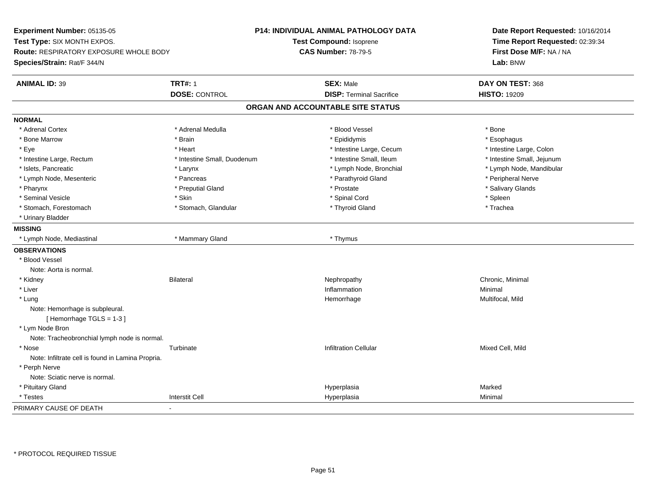**Experiment Number:** 05135-05**Test Type:** SIX MONTH EXPOS.**Route:** RESPIRATORY EXPOSURE WHOLE BODY**Species/Strain:** Rat/F 344/N**P14: INDIVIDUAL ANIMAL PATHOLOGY DATATest Compound:** Isoprene**CAS Number:** 78-79-5**Date Report Requested:** 10/16/2014**Time Report Requested:** 02:39:34**First Dose M/F:** NA / NA**Lab:** BNW**ANIMAL ID:** 39 **TRT#:** <sup>1</sup> **SEX:** Male **DAY ON TEST:** <sup>368</sup> **DOSE:** CONTROL**DISP:** Terminal Sacrifice **HISTO:** 19209 **ORGAN AND ACCOUNTABLE SITE STATUSNORMAL**\* Adrenal Cortex \* Adrenal Cortex \* \* Adrenal Medulla \* \* Adrenal Medulla \* \* Blood Vessel \* \* Brood Vessel \* \* Bone \* Esophagus \* Bone Marrow \* Brain \* Epididymis \* Esophagus \* Intestine Large, Colon \* Eye \* The matrice of the test of the test of the test of the test of the test of the test of the test of the test of the test of the test of the test of the test of the test of the test of the test of the test of the tes \* Intestine Small, Jejunum \* Intestine Large, Rectum \* Intestine Small, Duodenum \* Intestine Small, Duodenum \* 1ntestine Small, Ileum \* Islets, Pancreatic \* Larynx \* Lymph Node, Bronchial \* Lymph Node, Mandibular \* Lymph Node, Mesenteric \* Pancreas \* Parathyroid Gland \* Peripheral Nerve\* Salivary Glands \* Pharynx \* That was the second to the second that the second term in the second term in the second term in the second term in the second term in the second term in the second term in the second term in the second term in \* Seminal Vesicle \* Skin \* Spinal Cord \* Spleen \* Trachea \* Stomach, Forestomach \* The stormach \* Stomach, Glandular \* Thyroid Gland \* Thyroid Gland \* Thyroid Gland \* \* Urinary Bladder**MISSING** \* Lymph Node, Mediastinal \* Mammary Gland \* Thymus**OBSERVATIONS** \* Blood VesselNote: Aorta is normal. \* Kidneyy the controller of the Bilateral Chronic, Minimal and the Chronic, Minimal of the Chronic, Minimal of the Chronic, Minimal of the Chronic, Minimal of the Chronic, Minimal of the Chronic, Minimal of the Chronic, Minimal of \* Liver**Inflammation Inflammation** n and a basic control of the Minimal \* Lungg and the morrhage of the morrhage of the morrhage of the Multifocal, Mild and the Multifocal, Mild and the morrhage  $\sim$  Multifocal, Mild and the morrhage of the morrhage of the morrhage of the morrhage of the morrhage of Note: Hemorrhage is subpleural.[ Hemorrhage TGLS = 1-3 ] \* Lym Node Bron Note: Tracheobronchial lymph node is normal. \* Nose Turbinate Infiltration Cellular Mixed Cell, Mild Note: Infiltrate cell is found in Lamina Propria. \* Perph Nerve Note: Sciatic nerve is normal. \* Pituitary Glandd and the settlement of the settlement of the settlement of the Hyperplasia  $\blacksquare$  Marked  $\blacksquare$  Marked  $\blacksquare$  \* Testess and the contraction of the contraction of the contraction of the contraction of the contraction of the contraction of the contraction of the contraction of the contraction of the contraction of the contraction of the con a Minimal PRIMARY CAUSE OF DEATH-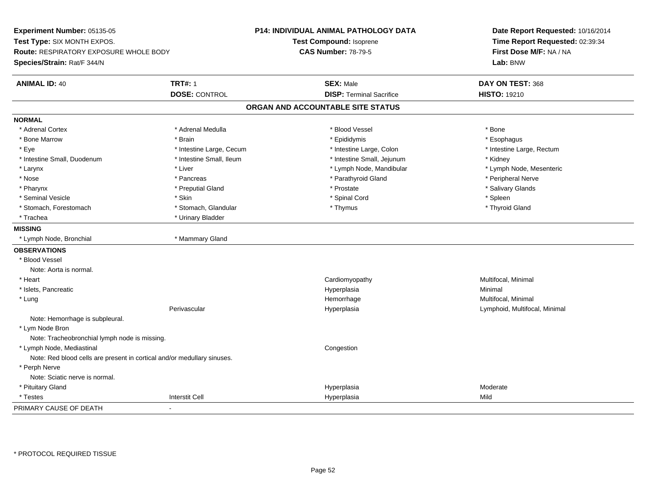**Experiment Number:** 05135-05**Test Type:** SIX MONTH EXPOS.**Route:** RESPIRATORY EXPOSURE WHOLE BODY**Species/Strain:** Rat/F 344/N**P14: INDIVIDUAL ANIMAL PATHOLOGY DATATest Compound:** Isoprene**CAS Number:** 78-79-5**Date Report Requested:** 10/16/2014**Time Report Requested:** 02:39:34**First Dose M/F:** NA / NA**Lab:** BNW**ANIMAL ID:** 40**TRT#:** 1 **SEX:** Male **DAY ON TEST:** 368 **DOSE:** CONTROL**DISP:** Terminal Sacrifice **HISTO:** 19210 **ORGAN AND ACCOUNTABLE SITE STATUSNORMAL**\* Adrenal Cortex \* Adrenal Cortex \* \* Adrenal Medulla \* \* Adrenal Medulla \* \* Blood Vessel \* \* Brood Vessel \* \* Bone \* Esophagus \* Bone Marrow \* Brain \* Epididymis \* Esophagus \* Eye \* Thestine Large, Cecum \* Intestine Large, Cecum \* Intestine Large, Colon \* Intestine Large, Rectum \* Intestine Large, Rectum \* Intestine Small, Duodenum \* Thestine Small, Ileum \* Intestine Small, Ileum \* Intestine Small, Jejunum \* \* Kidney \* Lymph Node, Mesenteric \* Larynx \* Liver \* Liver \* Liver \* Liver \* Lymph Node, Mandibular \* Lymph Node, Mandibular \* Nose \* \* Pancreas \* \* Pancreas \* \* Pancreas \* \* Parathyroid Gland \* \* Peripheral Nerve \* Peripheral Nerve \* \* Salivary Glands \* Pharynx \* That was the second to the second that the second term in the second term in the second term in the second term in the second term in the second term in the second term in the second term in the second term in \* Seminal Vesicle \* Skin \* Spinal Cord \* Spleen \* Thyroid Gland \* Stomach, Forestomach \* Thymus \* Stomach, Glandular \* Thymus \* Thymus \* Thymus \* Thymus \* Thymus \* Thymus \* Thymus \* Thymus \* Thymus \* Thymus \* Thymus \* Thymus \* Thymus \* Thymus \* Thymus \* Thymus \* Thymus \* Thymus \* Thymu \* Trachea \* Urinary Bladder**MISSING** \* Lymph Node, Bronchial \* Mammary Gland**OBSERVATIONS** \* Blood VesselNote: Aorta is normal. \* Heart Cardiomyopathy Multifocal, Minimal \* Islets, Pancreaticc and the control of the control of the control of the control of the control of the control of the control of the control of the control of the control of the control of the control of the control of the control of the co a **Minimal**  \* Lungg and the morrhage of the morrhage of the morrhage of the morrhage  $\mathsf{M}$ ultifocal, Minimal and the morrhage of the morrhage of the morrhage of the morrhage of the morrhage of the morrhage of the morrhage of the morrhage Perivascular Hyperplasia Lymphoid, Multifocal, Minimal Note: Hemorrhage is subpleural. \* Lym Node Bron Note: Tracheobronchial lymph node is missing. \* Lymph Node, Mediastinal CongestionNote: Red blood cells are present in cortical and/or medullary sinuses. \* Perph Nerve Note: Sciatic nerve is normal. \* Pituitary Glandd and the state of the state of the state of the Hyperplasia Moderate of the Moderate of the Moderate of the Moderate of the Moderate of the Moderate of the Moderate of the Moderate of the Moderate of the Moderate of the M \* Testess and the contraction of the contraction of the contraction of the contraction of the contraction of the contraction of the contraction of the contraction of the contraction of the contraction of the contraction of the con a Mild PRIMARY CAUSE OF DEATH-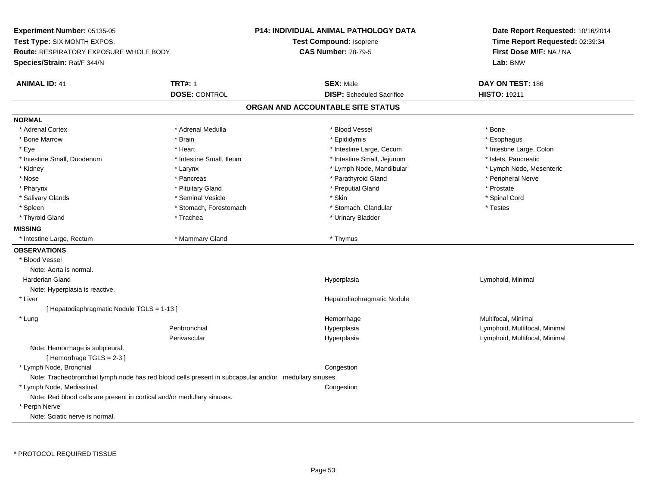**Experiment Number:** 05135-05**Test Type:** SIX MONTH EXPOS.**Route:** RESPIRATORY EXPOSURE WHOLE BODY**Species/Strain:** Rat/F 344/N**P14: INDIVIDUAL ANIMAL PATHOLOGY DATATest Compound:** Isoprene**CAS Number:** 78-79-5**Date Report Requested:** 10/16/2014**Time Report Requested:** 02:39:34**First Dose M/F:** NA / NA**Lab:** BNW**ANIMAL ID:** 41**TRT#:** 1 **SEX:** Male **DAY ON TEST:** 186 **DOSE:** CONTROL**DISP:** Scheduled Sacrifice **HISTO:** 19211 **ORGAN AND ACCOUNTABLE SITE STATUSNORMAL**\* Adrenal Cortex \* Adrenal Cortex \* \* Adrenal Medulla \* \* Adrenal Medulla \* \* Blood Vessel \* \* Brood Vessel \* \* Bone \* Esophagus \* Bone Marrow \* Brain \* Epididymis \* Esophagus \* Intestine Large, Colon \* Eye \* Heart \* Heart \* Intestine Large, Cecum \* 1. The state Large, Cecum \* Intestine Large, Cecum \* \* Intestine Small, Duodenum \* Intestine Small, Ileum \* Intestine Small, Intestine Small, Jejunum \* Islets, Pancreatic \* Lymph Node, Mesenteric \* Kidney \* Larynx \* Larynx \* Larynx \* Larynx \* Lymph Node, Mandibular \* Lymph Node, Mandibular \* Nose \* \* Pancreas \* \* Pancreas \* \* Pancreas \* \* Parathyroid Gland \* \* Peripheral Nerve \* Peripheral Nerve \* \* Pharynx \* Pituitary Gland \* Preputial Gland \* Prostate \* Spinal Cord \* Salivary Glands \* \* Seminal Vesicle \* \* Seminal Vesicle \* \* Skin \* \* Skin \* \* Stember \* Spinal Cord \* Spinal Cord \* Spinal Cord \* Spinal Cord \* Spinal Cord \* Spinal Cord \* Spinal Cord \* Spinal Cord \* Spinal Cord \* Spinal \* Spleen \* Stomach, Forestomach \* Stomach \* Stomach, Slandular \* Testes \* Testes \* Thyroid Gland \* Trachea \* Trachea \* Trachea \* Thyroid Gland **MISSING**\* Intestine Large, Rectum **\* All and \* Mammary Gland** \* Thymus \* Thymus \* Thymus **OBSERVATIONS** \* Blood VesselNote: Aorta is normal. Harderian Gland Hyperplasia Lymphoid, Minimal Note: Hyperplasia is reactive. \* Liver Hepatodiaphragmatic Nodule[ Hepatodiaphragmatic Nodule TGLS = 1-13 ] \* Lungg and the morrhage of the morrhage of the morrhage of the morrhage  $\mathsf{M}$ ultifocal, Minimal and the morrhage of the morrhage of the morrhage of the morrhage of the morrhage of the morrhage of the morrhage of the morrhage Peribronchial Hyperplasia Lymphoid, Multifocal, Minimal Perivascular Hyperplasia Lymphoid, Multifocal, Minimal Note: Hemorrhage is subpleural. $[$  Hemorrhage TGLS = 2-3  $]$  \* Lymph Node, Bronchiallate the composition of the composition of the composition of the composition of the composition of the composition Note: Tracheobronchial lymph node has red blood cells present in subcapsular and/or medullary sinuses. \* Lymph Node, Mediastinal**Congestion** Note: Red blood cells are present in cortical and/or medullary sinuses. \* Perph NerveNote: Sciatic nerve is normal.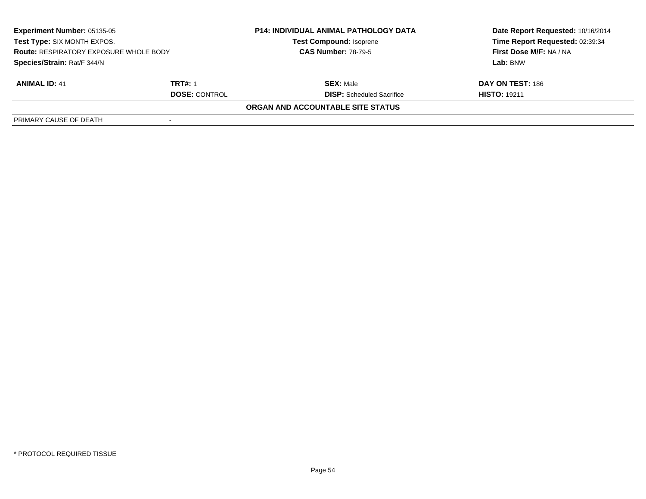| <b>Experiment Number: 05135-05</b><br>Test Type: SIX MONTH EXPOS.<br><b>Route: RESPIRATORY EXPOSURE WHOLE BODY</b> |                      | <b>P14: INDIVIDUAL ANIMAL PATHOLOGY DATA</b><br><b>Test Compound: Isoprene</b> | Date Report Requested: 10/16/2014<br>Time Report Requested: 02:39:34 |
|--------------------------------------------------------------------------------------------------------------------|----------------------|--------------------------------------------------------------------------------|----------------------------------------------------------------------|
|                                                                                                                    |                      | <b>CAS Number: 78-79-5</b>                                                     | First Dose M/F: NA / NA                                              |
| Species/Strain: Rat/F 344/N                                                                                        |                      |                                                                                | Lab: BNW                                                             |
| <b>ANIMAL ID: 41</b>                                                                                               | TRT#: 1              | <b>SEX: Male</b>                                                               | DAY ON TEST: 186                                                     |
|                                                                                                                    | <b>DOSE: CONTROL</b> | <b>DISP:</b> Scheduled Sacrifice                                               | <b>HISTO: 19211</b>                                                  |
|                                                                                                                    |                      | <b>ORGAN AND ACCOUNTABLE SITE STATUS</b>                                       |                                                                      |
| PRIMARY CAUSE OF DEATH                                                                                             |                      |                                                                                |                                                                      |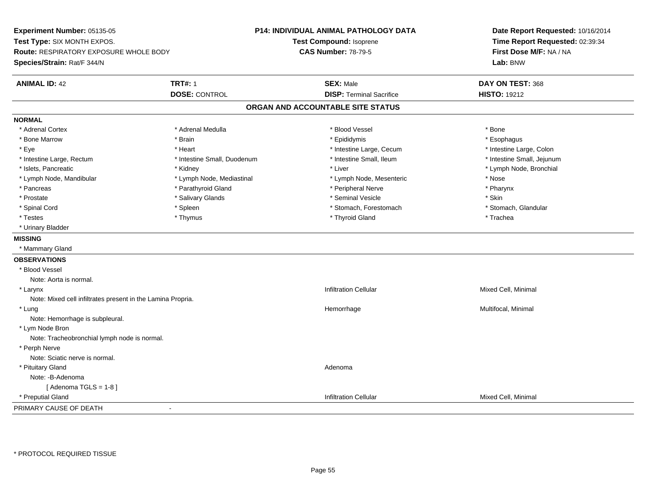**Experiment Number:** 05135-05**Test Type:** SIX MONTH EXPOS.**Route:** RESPIRATORY EXPOSURE WHOLE BODY**Species/Strain:** Rat/F 344/N**P14: INDIVIDUAL ANIMAL PATHOLOGY DATATest Compound:** Isoprene**CAS Number:** 78-79-5**Date Report Requested:** 10/16/2014**Time Report Requested:** 02:39:34**First Dose M/F:** NA / NA**Lab:** BNW**ANIMAL ID:** 42 **TRT#:** <sup>1</sup> **SEX:** Male **DAY ON TEST:** <sup>368</sup> **DOSE:** CONTROL**DISP:** Terminal Sacrifice **HISTO:** 19212 **ORGAN AND ACCOUNTABLE SITE STATUSNORMAL**\* Adrenal Cortex \* Adrenal Cortex \* \* Adrenal Medulla \* \* Adrenal Medulla \* \* Blood Vessel \* \* Brood Vessel \* \* Bone \* Esophagus \* Bone Marrow \* Brain \* Epididymis \* Esophagus \* Intestine Large, Colon \* Eye \* The matter and the state of the test of the test of the test of the test of the test of the test of the test of the test of the test of the test of the test of the test of the test of the test of the test of test o \* Intestine Small, Jejunum \* Intestine Large, Rectum \* Intestine Small, Duodenum \* Intestine Small, Ileum \* Intestine Small, Ileum \* Islets, Pancreatic \* Kidney \* Liver \* Lymph Node, Bronchial \* Lymph Node, Mandibular \* The state of the state of the Mediastinal \* Lymph Node, Mesenteric \* Nose \* Pharynx \* Pancreas \* Parathyroid Gland \* Peripheral Nerve \* Peripheral Nerve \* Peripheral Nerve \* Prostate \* \* Salivary Glands \* \* Salivary Glands \* \* Seminal Vesicle \* \* \* Seminal Yestrich \* \* Skin \* \* Skin \* Stomach, Glandular \* Spinal Cord \* Spinal Cord \* Spinal Cord \* Stomach, Forestomach \* Stomach, Forestomach \* Stomach, Forestomach \* Testes \* Thymus \* Thyroid Gland \* Trachea \* Urinary Bladder**MISSING** \* Mammary Gland**OBSERVATIONS** \* Blood VesselNote: Aorta is normal. \* Larynxx and the state of the control of the control of the control of the control of the control of the control of the control of the control of the control of the control of the control of the control of the control of the cont Note: Mixed cell infiltrates present in the Lamina Propria. \* Lungg and the morrhage of the morrhage of the morrhage of the morrhage  $\mathsf{M}$ ultifocal, Minimal and the morrhage of the morrhage of the morrhage of the morrhage of the morrhage of the morrhage of the morrhage of the morrhage Note: Hemorrhage is subpleural. \* Lym Node Bron Note: Tracheobronchial lymph node is normal. \* Perph Nerve Note: Sciatic nerve is normal. \* Pituitary Glandd and a state of the control of the control of the control of the control of the control of the control of the control of the control of the control of the control of the control of the control of the control of the contro Note: -B-Adenoma[ Adenoma  $TGLS = 1-8$  ] \* Preputial Gland Infiltration Cellular Mixed Cell, Minimal PRIMARY CAUSE OF DEATH-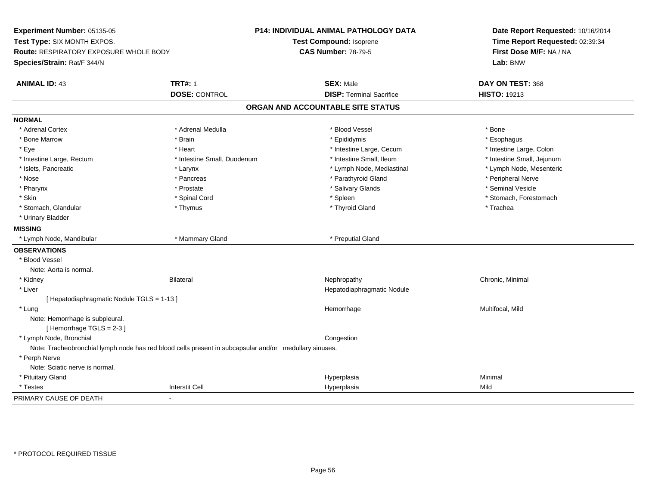**Experiment Number:** 05135-05**Test Type:** SIX MONTH EXPOS.**Route:** RESPIRATORY EXPOSURE WHOLE BODY**Species/Strain:** Rat/F 344/N**P14: INDIVIDUAL ANIMAL PATHOLOGY DATATest Compound:** Isoprene**CAS Number:** 78-79-5**Date Report Requested:** 10/16/2014**Time Report Requested:** 02:39:34**First Dose M/F:** NA / NA**Lab:** BNW**ANIMAL ID:** 43**TRT#:** 1 **SEX:** Male **DAY ON TEST:** 368 **DOSE:** CONTROL**DISP:** Terminal Sacrifice **HISTO:** 19213 **ORGAN AND ACCOUNTABLE SITE STATUSNORMAL**\* Adrenal Cortex \* Adrenal Cortex \* \* Adrenal Medulla \* \* Adrenal Medulla \* \* Blood Vessel \* \* Brood Vessel \* \* Bone \* Esophagus \* Bone Marrow \* Brain \* Epididymis \* Esophagus \* Intestine Large, Colon \* Eye \* Heart \* Heart \* Intestine Large, Cecum \* 1. The state Large, Cecum \* Intestine Large, Cecum \* \* Intestine Small, Jejunum \* Intestine Large, Rectum \* Intestine Small, Duodenum \* Intestine Small, Duodenum \* 1ntestine Small, Ileum \* Lymph Node, Mesenteric \* Islets, Pancreatic \* Larynx \* Larynx \* Larynx \* Larynx \* Lymph Node, Mediastinal \* Lymph Node, Mediastinal \* \* Nose \* \* Pancreas \* \* Pancreas \* \* Pancreas \* \* Parathyroid Gland \* \* Peripheral Nerve \* Peripheral Nerve \* \* Seminal Vesicle \* Pharynx \* Prostate \* Salivary Glands \* Seminal Vesicle \* Skin \* Spinal Cord \* Spinal Cord \* Spinal Cord \* Spinal \* Spinal \* Stomach, Forestomach \* Stomach, Forestomach \* Stomach, Glandular \* Thymus \* Thyroid Gland \* Trachea \* Urinary Bladder**MISSING** \* Lymph Node, Mandibular \* Mammary Gland \* Preputial Gland**OBSERVATIONS** \* Blood VesselNote: Aorta is normal. \* Kidneyy the controller of the Bilateral Chronic, Minimal and the Chronic, Minimal of the Chronic, Minimal of the Chronic, Minimal of the Chronic, Minimal of the Chronic, Minimal of the Chronic, Minimal of the Chronic, Minimal of \* Liver Hepatodiaphragmatic Nodule[ Hepatodiaphragmatic Nodule TGLS = 1-13 ] \* Lungg and the morrhage of the morrhage of the morrhage of the Multifocal, Mild and the Multifocal, Mild and the morrhage  $\sim$  Multifocal, Mild and the morrhage of the morrhage of the morrhage of the morrhage of the morrhage of Note: Hemorrhage is subpleural.[ Hemorrhage TGLS = 2-3 ] \* Lymph Node, Bronchial CongestionNote: Tracheobronchial lymph node has red blood cells present in subcapsular and/or medullary sinuses. \* Perph Nerve Note: Sciatic nerve is normal. \* Pituitary Glandd and the control of the control of the control of the control of the control of the control of the control of the control of the control of the control of the control of the control of the control of the control of the co \* Testess and the contraction of the contraction of the contraction of the contraction of the contraction of the contraction of the contraction of the contraction of the contraction of the contraction of the contraction of the con a Mild PRIMARY CAUSE OF DEATH-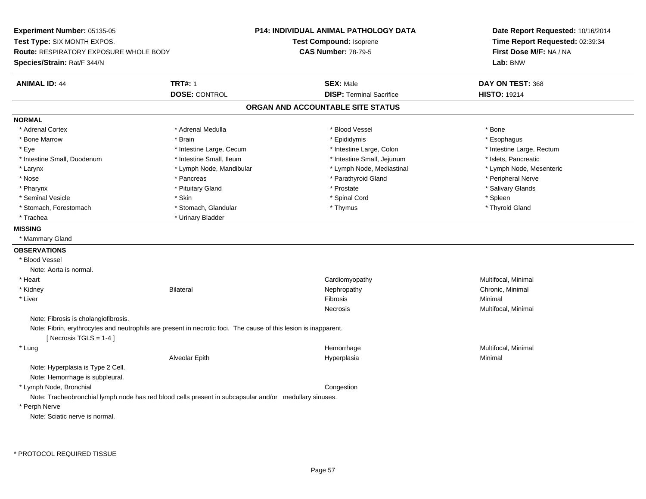**Experiment Number:** 05135-05**Test Type:** SIX MONTH EXPOS.**Route:** RESPIRATORY EXPOSURE WHOLE BODY**Species/Strain:** Rat/F 344/N**P14: INDIVIDUAL ANIMAL PATHOLOGY DATATest Compound:** Isoprene**CAS Number:** 78-79-5**Date Report Requested:** 10/16/2014**Time Report Requested:** 02:39:34**First Dose M/F:** NA / NA**Lab:** BNW**ANIMAL ID:** 44 **TRT#:** <sup>1</sup> **SEX:** Male **DAY ON TEST:** <sup>368</sup> **DOSE:** CONTROL**DISP:** Terminal Sacrifice **HISTO:** 19214 **ORGAN AND ACCOUNTABLE SITE STATUSNORMAL**\* Adrenal Cortex \* Adrenal Cortex \* \* Adrenal Medulla \* \* Adrenal Medulla \* \* Blood Vessel \* \* Brood Vessel \* \* Bone \* Esophagus \* Bone Marrow \* Brain \* Epididymis \* Esophagus \* Eye \* Thestine Large, Cecum \* Intestine Large, Cecum \* Intestine Large, Colon \* Intestine Large, Rectum \* Intestine Large, Rectum \* Intestine Small, Duodenum \* Intestine Small, Ileum \* Intestine Small, Intestine Small, Jejunum \* Islets, Pancreatic \* Lymph Node, Mesenteric \* Larynx **\*** Lymph Node, Mandibular \* Lymph Node, Mediastinal \* Lymph Node, Mediastinal \* \* Nose \* \* Pancreas \* \* Pancreas \* \* Pancreas \* \* Parathyroid Gland \* \* Peripheral Nerve \* Peripheral Nerve \* \* Salivary Glands \* Pharynx \* That was also to the set of the set of the set of the set of the set of the set of the set of the set of the set of the set of the set of the set of the set of the set of the set of the set of the set of the se \* Seminal Vesicle \* Skin \* Spinal Cord \* Spleen \* Thyroid Gland \* Stomach, Forestomach \* Thomach \* Stomach, Glandular \* Thomach, Glandular \* Thymus \* Thomach, Glandular \* Thomach, Glandular \* Thomach, Glandular \* Thomach, Glandular \* Thomach, Glandular \* Thomach, Glandular \* Thomach, G \* Trachea \* Urinary Bladder**MISSING** \* Mammary Gland**OBSERVATIONS** \* Blood VesselNote: Aorta is normal. \* Heart Cardiomyopathy Multifocal, Minimal \* Kidneyy the controller of the Bilateral Chronic, Minimal and the Chronic, Minimal of the Chronic, Minimal of the Chronic, Minimal of the Chronic, Minimal of the Chronic, Minimal of the Chronic, Minimal of the Chronic, Minimal of \* Liverr and the contract of the contract of the contract of the contract of the contract of the contract of the contract of the contract of the contract of the contract of the contract of the contract of the contract of the cont Minimal Necrosis Multifocal, Minimal Note: Fibrosis is cholangiofibrosis.Note: Fibrin, erythrocytes and neutrophils are present in necrotic foci. The cause of this lesion is inapparent. $[$  Necrosis TGLS = 1-4  $]$  \* Lungg and the morrhage of the morrhage of the morrhage of the morrhage  $\mathsf{M}$ ultifocal, Minimal and the morrhage of the morrhage of the morrhage of the morrhage of the morrhage of the morrhage of the morrhage of the morrhage Alveolar Epithh anns an t-Imperplasia anns an t-Imperplasia anns an t-Imperplasia anns an t-Imperplasia anns an t-Imperplasi<br>Iomraidhean Note: Hyperplasia is Type 2 Cell.Note: Hemorrhage is subpleural. \* Lymph Node, Bronchial**Congestion** Note: Tracheobronchial lymph node has red blood cells present in subcapsular and/or medullary sinuses. \* Perph NerveNote: Sciatic nerve is normal.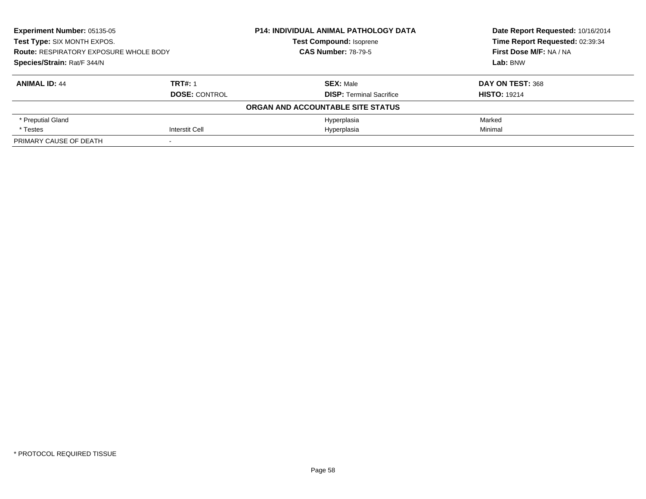| Experiment Number: 05135-05<br>Test Type: SIX MONTH EXPOS. |                      | P14: INDIVIDUAL ANIMAL PATHOLOGY DATA | Date Report Requested: 10/16/2014<br>Time Report Requested: 02:39:34 |
|------------------------------------------------------------|----------------------|---------------------------------------|----------------------------------------------------------------------|
|                                                            |                      | <b>Test Compound: Isoprene</b>        |                                                                      |
| <b>Route: RESPIRATORY EXPOSURE WHOLE BODY</b>              |                      | <b>CAS Number: 78-79-5</b>            | First Dose M/F: NA / NA                                              |
| Species/Strain: Rat/F 344/N                                |                      |                                       | Lab: BNW                                                             |
| <b>ANIMAL ID: 44</b>                                       | <b>TRT#: 1</b>       | <b>SEX: Male</b>                      | DAY ON TEST: 368                                                     |
|                                                            | <b>DOSE: CONTROL</b> | <b>DISP: Terminal Sacrifice</b>       | <b>HISTO: 19214</b>                                                  |
|                                                            |                      | ORGAN AND ACCOUNTABLE SITE STATUS     |                                                                      |
| * Preputial Gland                                          |                      | Hyperplasia                           | Marked                                                               |
| * Testes                                                   | Interstit Cell       | Hyperplasia                           | Minimal                                                              |
| PRIMARY CAUSE OF DEATH                                     |                      |                                       |                                                                      |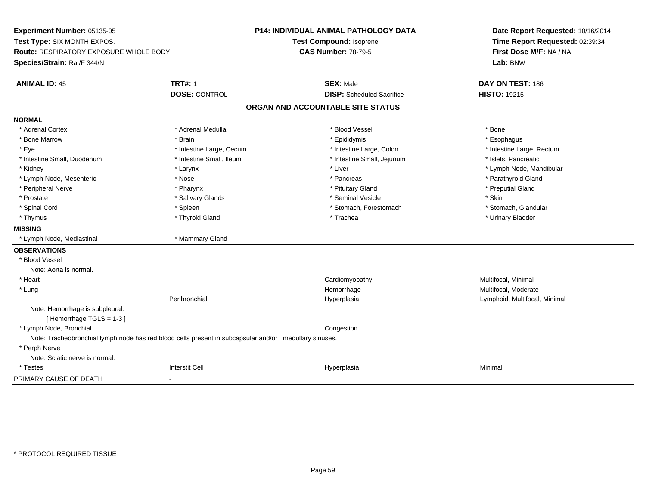| Experiment Number: 05135-05                   |                                                                                                        | P14: INDIVIDUAL ANIMAL PATHOLOGY DATA | Date Report Requested: 10/16/2014 |
|-----------------------------------------------|--------------------------------------------------------------------------------------------------------|---------------------------------------|-----------------------------------|
| Test Type: SIX MONTH EXPOS.                   |                                                                                                        | Test Compound: Isoprene               | Time Report Requested: 02:39:34   |
| <b>Route: RESPIRATORY EXPOSURE WHOLE BODY</b> |                                                                                                        | <b>CAS Number: 78-79-5</b>            | First Dose M/F: NA / NA           |
| Species/Strain: Rat/F 344/N                   |                                                                                                        |                                       | Lab: BNW                          |
| <b>ANIMAL ID: 45</b>                          | <b>TRT#: 1</b>                                                                                         | <b>SEX: Male</b>                      | DAY ON TEST: 186                  |
|                                               | <b>DOSE: CONTROL</b>                                                                                   | <b>DISP:</b> Scheduled Sacrifice      | <b>HISTO: 19215</b>               |
|                                               |                                                                                                        | ORGAN AND ACCOUNTABLE SITE STATUS     |                                   |
| <b>NORMAL</b>                                 |                                                                                                        |                                       |                                   |
| * Adrenal Cortex                              | * Adrenal Medulla                                                                                      | * Blood Vessel                        | * Bone                            |
| * Bone Marrow                                 | * Brain                                                                                                | * Epididymis                          | * Esophagus                       |
| * Eye                                         | * Intestine Large, Cecum                                                                               | * Intestine Large, Colon              | * Intestine Large, Rectum         |
| * Intestine Small, Duodenum                   | * Intestine Small, Ileum                                                                               | * Intestine Small, Jejunum            | * Islets, Pancreatic              |
| * Kidney                                      | * Larynx                                                                                               | * Liver                               | * Lymph Node, Mandibular          |
| * Lymph Node, Mesenteric                      | * Nose                                                                                                 | * Pancreas                            | * Parathyroid Gland               |
| * Peripheral Nerve                            | * Pharynx                                                                                              | * Pituitary Gland                     | * Preputial Gland                 |
| * Prostate                                    | * Salivary Glands                                                                                      | * Seminal Vesicle                     | * Skin                            |
| * Spinal Cord                                 | * Spleen                                                                                               | * Stomach, Forestomach                | * Stomach, Glandular              |
| * Thymus                                      | * Thyroid Gland                                                                                        | * Trachea                             | * Urinary Bladder                 |
| <b>MISSING</b>                                |                                                                                                        |                                       |                                   |
| * Lymph Node, Mediastinal                     | * Mammary Gland                                                                                        |                                       |                                   |
| <b>OBSERVATIONS</b>                           |                                                                                                        |                                       |                                   |
| * Blood Vessel                                |                                                                                                        |                                       |                                   |
| Note: Aorta is normal.                        |                                                                                                        |                                       |                                   |
| * Heart                                       |                                                                                                        | Cardiomyopathy                        | Multifocal, Minimal               |
| * Lung                                        |                                                                                                        | Hemorrhage                            | Multifocal, Moderate              |
|                                               | Peribronchial                                                                                          | Hyperplasia                           | Lymphoid, Multifocal, Minimal     |
| Note: Hemorrhage is subpleural.               |                                                                                                        |                                       |                                   |
| [Hemorrhage TGLS = 1-3]                       |                                                                                                        |                                       |                                   |
| * Lymph Node, Bronchial                       |                                                                                                        | Congestion                            |                                   |
|                                               | Note: Tracheobronchial lymph node has red blood cells present in subcapsular and/or medullary sinuses. |                                       |                                   |
| * Perph Nerve                                 |                                                                                                        |                                       |                                   |
| Note: Sciatic nerve is normal.                |                                                                                                        |                                       |                                   |
| * Testes                                      | Interstit Cell                                                                                         | Hyperplasia                           | Minimal                           |
| PRIMARY CAUSE OF DEATH                        |                                                                                                        |                                       |                                   |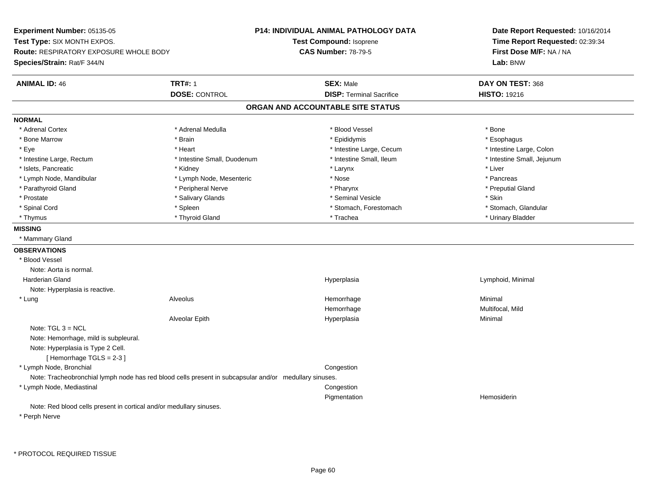**Experiment Number:** 05135-05**Test Type:** SIX MONTH EXPOS.**Route:** RESPIRATORY EXPOSURE WHOLE BODY**Species/Strain:** Rat/F 344/N**P14: INDIVIDUAL ANIMAL PATHOLOGY DATATest Compound:** Isoprene**CAS Number:** 78-79-5**Date Report Requested:** 10/16/2014**Time Report Requested:** 02:39:34**First Dose M/F:** NA / NA**Lab:** BNW**ANIMAL ID:** 46**TRT#:** 1 **SEX:** Male **DAY ON TEST:** 368 **DOSE:** CONTROL**DISP:** Terminal Sacrifice **HISTO:** 19216 **ORGAN AND ACCOUNTABLE SITE STATUSNORMAL**\* Adrenal Cortex \* Adrenal Cortex \* \* Adrenal Medulla \* \* Adrenal Medulla \* \* Blood Vessel \* \* Brood Vessel \* \* Bone \* Esophagus \* Bone Marrow \* Brain \* Epididymis \* Esophagus \* Intestine Large, Colon \* Eye \* The state \* Intestine Large, Cecum \* Heart \* **Intestine Large, Cecum** \* Intestine Large, Cecum \* Intestine Small, Jejunum \* Intestine Large, Rectum \* 10 **\*** Intestine Small, Duodenum \* Intestine Small, Ileum \* Intestine Small, Ileum \* Islets, Pancreatic \* \* \* Andrew \* Kidney \* \* Kidney \* \* Larynx \* Larynx \* \* Larynx \* \* Liver \* Liver \* Liver \* Lymph Node, Mandibular \* The state of the second text of the second text of the second text of the second text of the second of the second text of the second text of the second text of the second text of the second text \* Preputial Gland \* Parathyroid Gland \* \* \* Peripheral Nerve \* \* Peripheral Nerve \* \* Pharynx \* \* Pharynx \* \* Preputial Gland \* Prostate \* \* Salivary Glands \* \* Salivary Glands \* \* Seminal Vesicle \* \* \* Seminal Yestrich \* \* Skin \* \* Skin \* Stomach. Glandular \* Spinal Cord \* Spinal Cord \* Spinal Cord \* Stomach, Forestomach \* Stomach, Forestomach \* Stomach, Forestomach \* Thymus \* Thyroid Gland \* Trachea \* Urinary Bladder \* **MISSING** \* Mammary Gland**OBSERVATIONS** \* Blood VesselNote: Aorta is normal. Harderian Gland Hyperplasia Lymphoid, Minimal Note: Hyperplasia is reactive. \* Lung Alveolus Hemorrhage Minimal HemorrhageHemorrhage **Multifocal, Mild**<br>
Hyperplasia **Multifocal, Mild**<br>
Minimal Alveolar Epithh anns an t-Imperplasia anns an t-Imperplasia anns an t-Imperplasia anns an t-Imperplasia anns an t-Imperplasi<br>Iomraidhean Note: TGL 3 = NCL Note: Hemorrhage, mild is subpleural.Note: Hyperplasia is Type 2 Cell. $[$  Hemorrhage TGLS = 2-3  $]$  \* Lymph Node, Bronchial CongestionNote: Tracheobronchial lymph node has red blood cells present in subcapsular and/or medullary sinuses. \* Lymph Node, Mediastinal Congestion Pigmentation Hemosiderin Note: Red blood cells present in cortical and/or medullary sinuses.\* Perph Nerve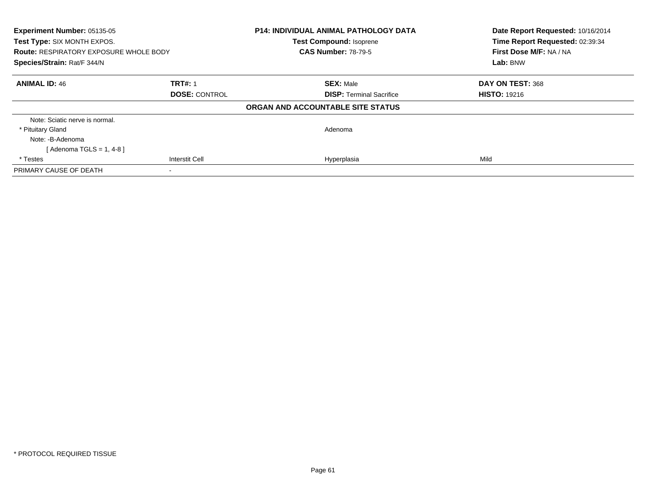| Experiment Number: 05135-05<br>Test Type: SIX MONTH EXPOS.<br><b>Route: RESPIRATORY EXPOSURE WHOLE BODY</b> |                       | <b>P14: INDIVIDUAL ANIMAL PATHOLOGY DATA</b><br><b>Test Compound: Isoprene</b><br><b>CAS Number: 78-79-5</b> | Date Report Requested: 10/16/2014<br>Time Report Requested: 02:39:34<br>First Dose M/F: NA / NA |
|-------------------------------------------------------------------------------------------------------------|-----------------------|--------------------------------------------------------------------------------------------------------------|-------------------------------------------------------------------------------------------------|
| Species/Strain: Rat/F 344/N                                                                                 |                       |                                                                                                              | Lab: BNW                                                                                        |
| <b>ANIMAL ID: 46</b>                                                                                        | <b>TRT#: 1</b>        | <b>SEX: Male</b>                                                                                             | DAY ON TEST: 368                                                                                |
|                                                                                                             | <b>DOSE: CONTROL</b>  | <b>DISP:</b> Terminal Sacrifice                                                                              | <b>HISTO: 19216</b>                                                                             |
|                                                                                                             |                       | ORGAN AND ACCOUNTABLE SITE STATUS                                                                            |                                                                                                 |
| Note: Sciatic nerve is normal.                                                                              |                       |                                                                                                              |                                                                                                 |
| * Pituitary Gland                                                                                           |                       | Adenoma                                                                                                      |                                                                                                 |
| Note: -B-Adenoma                                                                                            |                       |                                                                                                              |                                                                                                 |
| [Adenoma TGLS = 1, 4-8]                                                                                     |                       |                                                                                                              |                                                                                                 |
| * Testes                                                                                                    | <b>Interstit Cell</b> | Hyperplasia                                                                                                  | Mild                                                                                            |
| PRIMARY CAUSE OF DEATH                                                                                      |                       |                                                                                                              |                                                                                                 |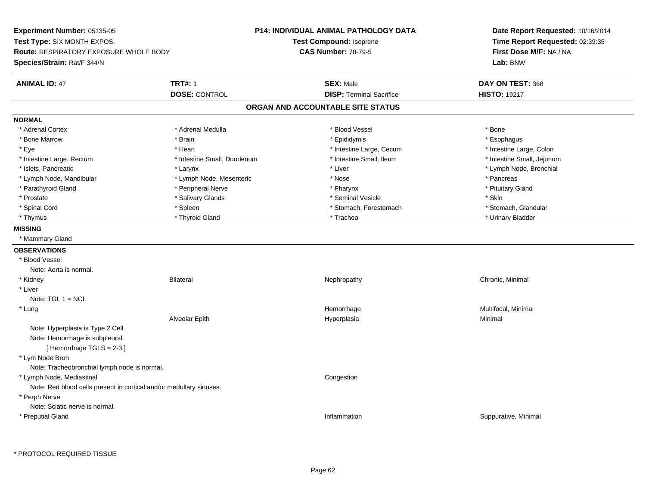**Experiment Number:** 05135-05**Test Type:** SIX MONTH EXPOS.**Route:** RESPIRATORY EXPOSURE WHOLE BODY**Species/Strain:** Rat/F 344/N**P14: INDIVIDUAL ANIMAL PATHOLOGY DATATest Compound:** Isoprene**CAS Number:** 78-79-5**Date Report Requested:** 10/16/2014**Time Report Requested:** 02:39:35**First Dose M/F:** NA / NA**Lab:** BNW**ANIMAL ID:** 47**TRT#:** 1 **SEX:** Male **DAY ON TEST:** 368 **DOSE:** CONTROL**DISP:** Terminal Sacrifice **HISTO:** 19217 **ORGAN AND ACCOUNTABLE SITE STATUSNORMAL**\* Adrenal Cortex \* Adrenal Cortex \* \* Adrenal Medulla \* \* Adrenal Medulla \* \* Blood Vessel \* \* Brood Vessel \* \* Bone \* Esophagus \* Bone Marrow \* Brain \* Epididymis \* Esophagus \* Intestine Large, Colon \* Eye \* The state \* Intestine Large, Cecum \* Heart \* **Intestine Large, Cecum** \* Intestine Large, Cecum \* Intestine Small, Jejunum \* Intestine Large, Rectum \* 10 **\*** Intestine Small, Duodenum \* Intestine Small, Ileum \* Intestine Small, Ileum \* Islets, Pancreatic \* Larynx \* Liver \* Lymph Node, Bronchial \* Lymph Node, Mandibular \* The state of the second text of the second text of the second text of the second text of the second text of the second text of the second text of the second text of the second text of text of tex \* Pituitary Gland \* Parathyroid Gland \* **Arror and \* Peripheral Nerve \* Pharynx \* Pharynx \* Pharynx** \* Pharynx \* Prostate \* \* Salivary Glands \* \* Salivary Glands \* \* Seminal Vesicle \* \* \* Seminal Yestrich \* \* Skin \* \* Skin \* Stomach. Glandular \* Spinal Cord \* Spinal Cord \* Spinal Cord \* Stomach, Forestomach \* Stomach, Forestomach \* Stomach, Forestomach \* Thymus \* Thyroid Gland \* Trachea \* Urinary Bladder \* **MISSING** \* Mammary Gland**OBSERVATIONS** \* Blood VesselNote: Aorta is normal. \* Kidneyy the controller of the Bilateral Chronic, Minimal and the Chronic, Minimal of the Chronic, Minimal of the Chronic, Minimal of the Chronic, Minimal of the Chronic, Minimal of the Chronic, Minimal of the Chronic, Minimal of \* LiverNote: TGL 1 = NCL \* Lungg and the morrhage of the morrhage of the morrhage of the morrhage  $\mathsf{M}$ ultifocal, Minimal and the morrhage of the morrhage of the morrhage of the morrhage of the morrhage of the morrhage of the morrhage of the morrhage Alveolar Epithh anns an t-Imperplasia anns an t-Imperplasia anns an t-Imperplasia anns an t-Imperplasia anns an t-Imperplasi<br>Iomraidhean Note: Hyperplasia is Type 2 Cell.Note: Hemorrhage is subpleural.[ Hemorrhage TGLS = 2-3 ] \* Lym Node Bron Note: Tracheobronchial lymph node is normal. \* Lymph Node, Mediastinal CongestionNote: Red blood cells present in cortical and/or medullary sinuses. \* Perph Nerve Note: Sciatic nerve is normal. \* Preputial Glandd the contract of the contract of the contract of the contract of the contract of the contract of the contract of the contract of the contract of the contract of the contract of the contract of the contract of the contract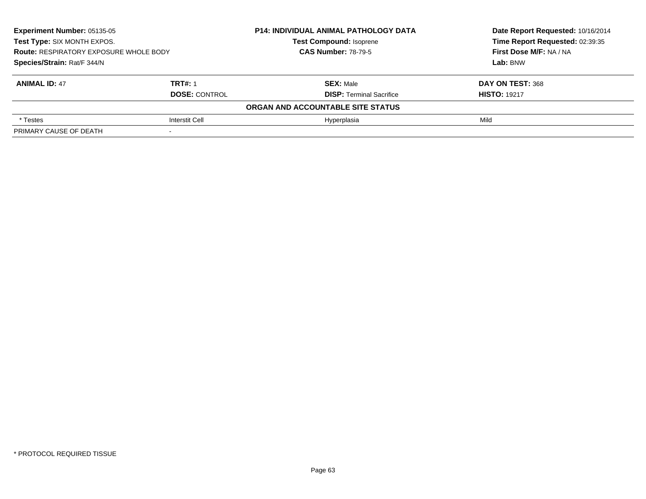| Experiment Number: 05135-05<br>Test Type: SIX MONTH EXPOS.<br><b>Route: RESPIRATORY EXPOSURE WHOLE BODY</b><br>Species/Strain: Rat/F 344/N |                      | <b>P14: INDIVIDUAL ANIMAL PATHOLOGY DATA</b> | Date Report Requested: 10/16/2014 |
|--------------------------------------------------------------------------------------------------------------------------------------------|----------------------|----------------------------------------------|-----------------------------------|
|                                                                                                                                            |                      | <b>Test Compound: Isoprene</b>               | Time Report Requested: 02:39:35   |
|                                                                                                                                            |                      | <b>CAS Number: 78-79-5</b>                   | First Dose M/F: NA / NA           |
|                                                                                                                                            |                      |                                              | Lab: BNW                          |
| <b>ANIMAL ID: 47</b>                                                                                                                       | <b>TRT#: 1</b>       | <b>SEX: Male</b>                             | DAY ON TEST: 368                  |
|                                                                                                                                            | <b>DOSE: CONTROL</b> | <b>DISP:</b> Terminal Sacrifice              | <b>HISTO: 19217</b>               |
|                                                                                                                                            |                      | ORGAN AND ACCOUNTABLE SITE STATUS            |                                   |
| * Testes                                                                                                                                   | Interstit Cell       | Hyperplasia                                  | Mild                              |
| PRIMARY CAUSE OF DEATH                                                                                                                     |                      |                                              |                                   |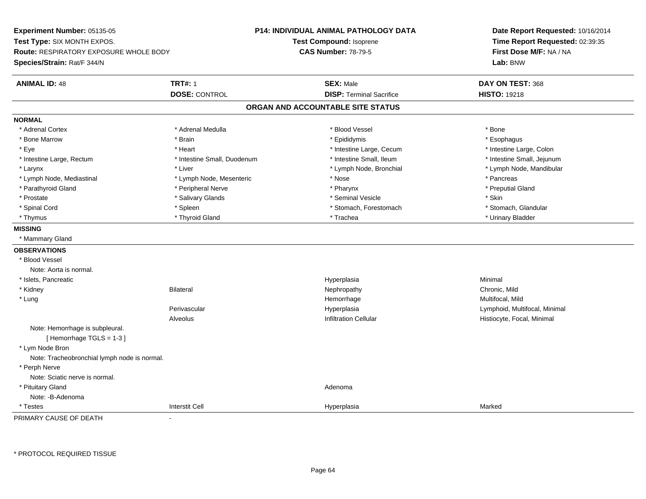**Experiment Number:** 05135-05**Test Type:** SIX MONTH EXPOS.**Route:** RESPIRATORY EXPOSURE WHOLE BODY**Species/Strain:** Rat/F 344/N**P14: INDIVIDUAL ANIMAL PATHOLOGY DATATest Compound:** Isoprene**CAS Number:** 78-79-5**Date Report Requested:** 10/16/2014**Time Report Requested:** 02:39:35**First Dose M/F:** NA / NA**Lab:** BNW**ANIMAL ID:** 48**TRT#:** 1 **SEX:** Male **DAY ON TEST:** 368 **DOSE:** CONTROL**DISP:** Terminal Sacrifice **HISTO:** 19218 **ORGAN AND ACCOUNTABLE SITE STATUSNORMAL**\* Adrenal Cortex \* Adrenal Cortex \* \* Adrenal Medulla \* \* Adrenal Medulla \* \* Blood Vessel \* \* Brood Vessel \* \* Bone \* Esophagus \* Bone Marrow \* Brain \* Epididymis \* Esophagus \* Intestine Large, Colon \* Eye \* The state \* Intestine Large, Cecum \* Heart \* **Intestine Large, Cecum** \* Intestine Large, Cecum \* Intestine Small, Jejunum \* Intestine Large, Rectum \* Intestine Small, Duodenum \* Intestine Small, Ileum \* Intestine Small, Ileum \* Larynx \* Liver \* Lymph Node, Bronchial \* Lymph Node, Mandibular \* Lymph Node, Mediastinal \* The state of the second text of the second text of the second text of the second text of the second text of the second text of the second text of the second text of the second text of text of te \* Preputial Gland \* Parathyroid Gland \* **Archarging \* Peripheral Nerve** \* Pharynx \* Pharynx \* Pharynx \* Pharynx \* Pharynx \* Pharynx \* Prostate \* The state \* Salivary Glands \* Seninal Vesicle \* Seminal Vesicle \* Skin \* Skin \* Skin \* Skin \* Skin \* Stomach, Glandular \* Spinal Cord \* Spinal Cord \* Spinal Cord \* Stomach, Forestomach \* Stomach, Forestomach \* Stomach, Forestomach \* Thymus \* Thyroid Gland \* Trachea \* Urinary Bladder \* **MISSING** \* Mammary Gland**OBSERVATIONS** \* Blood VesselNote: Aorta is normal. \* Islets, Pancreaticc and the control of the control of the control of the control of the control of the control of the control of the control of the control of the control of the control of the control of the control of the control of the co a **Minimal**  \* Kidneyy Bilateral Nephropathy Chronic, Mild Multifocal, Mild \* Lungg and the morrhage of the morrhage of the morrhage of the Multifocal, Mild and the Multifocal, Mild and the morrhage  $\sim$  Multifocal, Mild and the morrhage of the morrhage of the morrhage of the morrhage of the morrhage of Perivascular Hyperplasia Lymphoid, Multifocal, Minimal AlveolusHistiocyte, Focal, Minimal Note: Hemorrhage is subpleural.[ Hemorrhage TGLS = 1-3 ] \* Lym Node Bron Note: Tracheobronchial lymph node is normal. \* Perph Nerve Note: Sciatic nerve is normal. \* Pituitary Glandd and a state of the control of the control of the control of the control of the control of the control of the control of the control of the control of the control of the control of the control of the control of the contro Note: -B-Adenoma \* Testess and the contraction of the contraction of the contraction of the contraction of the contraction of the contraction of the contraction of the contraction of the contraction of the contraction of the contraction of the con a Marked PRIMARY CAUSE OF DEATH-

\* PROTOCOL REQUIRED TISSUE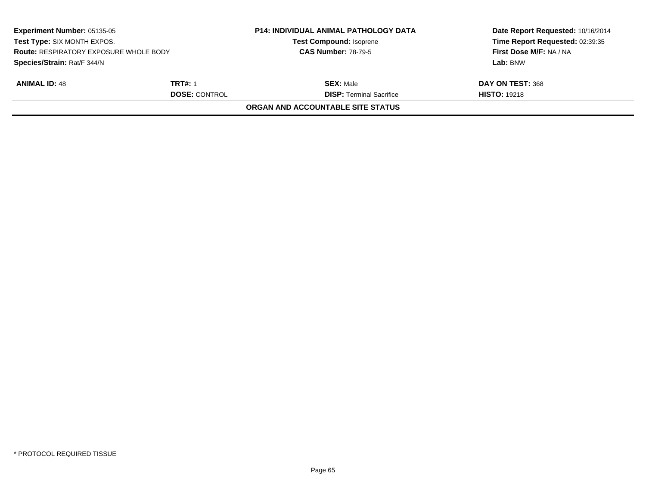| <b>Experiment Number: 05135-05</b><br>Test Type: SIX MONTH EXPOS.<br><b>Route: RESPIRATORY EXPOSURE WHOLE BODY</b><br>Species/Strain: Rat/F 344/N |                      | <b>P14: INDIVIDUAL ANIMAL PATHOLOGY DATA</b> | Date Report Requested: 10/16/2014<br>Time Report Requested: 02:39:35<br>First Dose M/F: NA / NA |
|---------------------------------------------------------------------------------------------------------------------------------------------------|----------------------|----------------------------------------------|-------------------------------------------------------------------------------------------------|
|                                                                                                                                                   |                      | <b>Test Compound: Isoprene</b>               |                                                                                                 |
|                                                                                                                                                   |                      | <b>CAS Number: 78-79-5</b>                   |                                                                                                 |
|                                                                                                                                                   |                      |                                              | Lab: BNW                                                                                        |
| <b>ANIMAL ID: 48</b>                                                                                                                              | <b>TRT#: 1</b>       | <b>SEX: Male</b>                             | DAY ON TEST: 368                                                                                |
|                                                                                                                                                   | <b>DOSE: CONTROL</b> | <b>DISP:</b> Terminal Sacrifice              | <b>HISTO: 19218</b>                                                                             |
|                                                                                                                                                   |                      | <b>ORGAN AND ACCOUNTABLE SITE STATUS</b>     |                                                                                                 |
|                                                                                                                                                   |                      |                                              |                                                                                                 |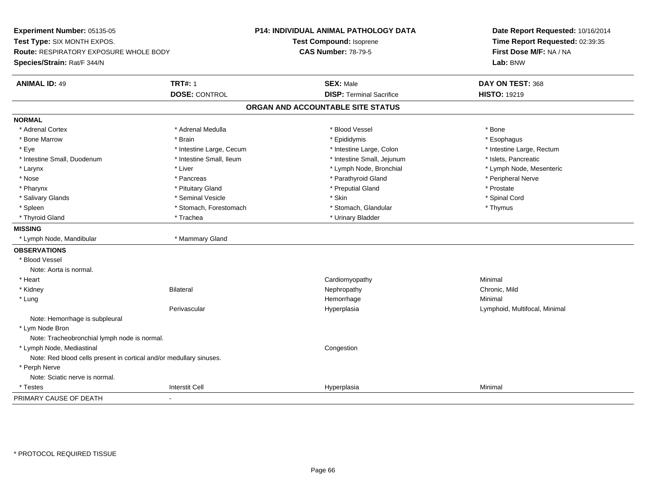**Experiment Number:** 05135-05**Test Type:** SIX MONTH EXPOS.**Route:** RESPIRATORY EXPOSURE WHOLE BODY**Species/Strain:** Rat/F 344/N**P14: INDIVIDUAL ANIMAL PATHOLOGY DATATest Compound:** Isoprene**CAS Number:** 78-79-5**Date Report Requested:** 10/16/2014**Time Report Requested:** 02:39:35**First Dose M/F:** NA / NA**Lab:** BNW**ANIMAL ID:** 49 **TRT#:** <sup>1</sup> **SEX:** Male **DAY ON TEST:** <sup>368</sup> **DOSE:** CONTROL**DISP:** Terminal Sacrifice **HISTO:** 19219 **ORGAN AND ACCOUNTABLE SITE STATUSNORMAL**\* Adrenal Cortex \* Adrenal Cortex \* \* Adrenal Medulla \* \* Adrenal Medulla \* \* Blood Vessel \* \* Brood Vessel \* \* Bone \* Esophagus \* Bone Marrow \* Brain \* Epididymis \* Esophagus \* Eye \* Thestine Large, Cecum \* Intestine Large, Cecum \* Intestine Large, Colon \* Intestine Large, Rectum \* Intestine Large, Rectum \* Intestine Small, Duodenum \* Intestine Small, Ileum \* Intestine Small, Intestine Small, Jejunum \* Islets, Pancreatic \* Larynx \* Liver \* Lymph Node, Bronchial \* Lymph Node, Mesenteric\* Nose \* \* Pancreas \* \* Pancreas \* \* Pancreas \* \* Parathyroid Gland \* \* Peripheral Nerve \* Peripheral Nerve \* \* Pharynx \* Pituitary Gland \* Preputial Gland \* Prostate \* Spinal Cord \* Salivary Glands \* \* Seminal Vesicle \* \* Seminal Vesicle \* \* Skin \* \* Skin \* \* Stember \* Spinal Cord \* Spinal Cord \* Spinal Cord \* Spinal Cord \* Spinal Cord \* Spinal Cord \* Spinal Cord \* Spinal Cord \* Spinal Cord \* Spinal \* Spleen \* Stomach, Forestomach \* Stomach \* Stomach, Glandular \* Stomach, Glandular \* Thymus \* Thyroid Gland \* Trachea \* Trachea \* Trachea \* Urinary Bladder **MISSING** \* Lymph Node, Mandibular \* Mammary Gland**OBSERVATIONS** \* Blood VesselNote: Aorta is normal. \* Heart Cardiomyopathy Minimal \* Kidneyy Bilateral Nephropathy Chronic, Mild \* Lungg and the state of the state of the state of the state of the Minimal Section 1, and the state of the state of the state of the state of the state of the state of the state of the state of the state of the state of the sta Perivascular Hyperplasia Lymphoid, Multifocal, Minimal Note: Hemorrhage is subpleural \* Lym Node Bron Note: Tracheobronchial lymph node is normal. \* Lymph Node, Mediastinal CongestionNote: Red blood cells present in cortical and/or medullary sinuses. \* Perph Nerve Note: Sciatic nerve is normal. \* Testess and the contraction of the contraction of the contraction of the contraction of the contraction of the contraction of the contraction of the contraction of the contraction of the contraction of the contraction of the con a Minimal PRIMARY CAUSE OF DEATH-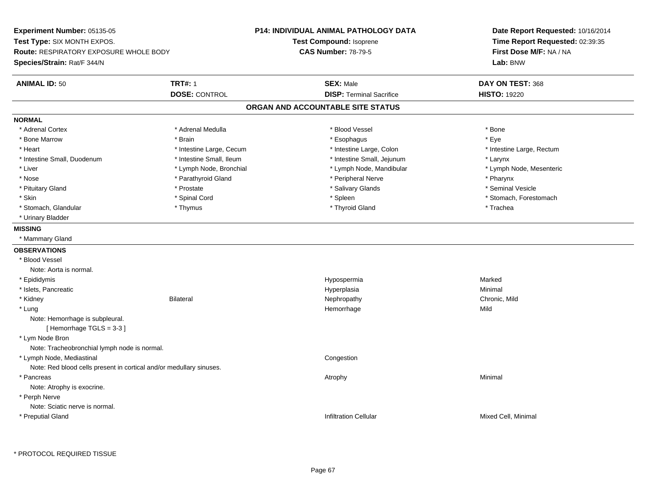**Experiment Number:** 05135-05**Test Type:** SIX MONTH EXPOS.**Route:** RESPIRATORY EXPOSURE WHOLE BODY**Species/Strain:** Rat/F 344/N**P14: INDIVIDUAL ANIMAL PATHOLOGY DATATest Compound:** Isoprene**CAS Number:** 78-79-5**Date Report Requested:** 10/16/2014**Time Report Requested:** 02:39:35**First Dose M/F:** NA / NA**Lab:** BNW**ANIMAL ID:** 50**TRT#:** 1 **SEX:** Male **DAY ON TEST:** 368 **DOSE:** CONTROL**DISP:** Terminal Sacrifice **HISTO:** 19220 **ORGAN AND ACCOUNTABLE SITE STATUSNORMAL**\* Adrenal Cortex \* Adrenal Cortex \* \* Adrenal Medulla \* \* Adrenal Medulla \* \* Blood Vessel \* \* Brood Vessel \* \* Bone \* Eve \* Bone Marrow \* Brain \* Esophagus \* Eye \* Intestine Large, Rectum \* Heart **\*** Intestine Large, Cecum \* Intestine Large, Cecum \* Intestine Large, Colon \* Intestine Small, Duodenum \* Intestine Small, Ileum \* Intestine Small, Jejunum \* Larynx\* Lymph Node, Mesenteric \* Liver \* Lymph Node, Bronchial \* Lymph Node, Mandibular \* Lymph Node, Mandibular \* Nose \* Parathyroid Gland \* Parathyroid Gland \* Peripheral Nerve \* Poster \* Pharynx \* Seminal Vesicle \* Pituitary Gland \* \* \* \* Prostate \* \* Prostate \* \* Salivary Glands \* \* Salivary Glands \* \* Seminal Vesicle \* Skin \* Spinal Cord \* Spinal Cord \* Spinal Cord \* Spinal \* Spinal \* Stomach, Forestomach \* Stomach, Forestomach \* Stomach, Glandular \* Thymus \* Thymus \* Thymus \* Thyroid Gland \* Thyroid Gland \* Trachea \* Urinary Bladder**MISSING** \* Mammary Gland**OBSERVATIONS** \* Blood VesselNote: Aorta is normal. \* Epididymis Hypospermiaa **Marked**  \* Islets, Pancreaticc and the control of the control of the control of the control of the control of the control of the control of the control of the control of the control of the control of the control of the control of the control of the co a **Minimal**  \* Kidneyy Bilateral Nephropathy Chronic, Mild \* Lungg and the state of the state of the state of the state of the Hemorrhage state of the Mild state of the Mild state of the State of the State of the State of the State of the State of the State of the State of the State of Note: Hemorrhage is subpleural.[ Hemorrhage TGLS = 3-3 ] \* Lym Node Bron Note: Tracheobronchial lymph node is normal. \* Lymph Node, Mediastinal CongestionNote: Red blood cells present in cortical and/or medullary sinuses. \* Pancreass the control of the control of the control of the control of the control of the control of the control of the control of the control of the control of the control of the control of the control of the control of the contro Note: Atrophy is exocrine. \* Perph Nerve Note: Sciatic nerve is normal. \* Preputial Glandd العربية العربية والتاريخ المستخدم المستخدم المستخدم المستخدم المستخدم المستخدم المستخدم المستخدم المستخدم ال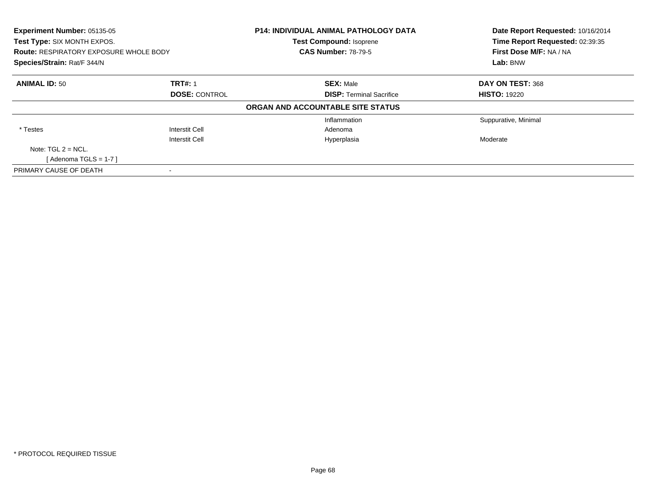| Experiment Number: 05135-05<br>Test Type: SIX MONTH EXPOS.<br><b>Route: RESPIRATORY EXPOSURE WHOLE BODY</b><br>Species/Strain: Rat/F 344/N |                       | <b>P14: INDIVIDUAL ANIMAL PATHOLOGY DATA</b> | Date Report Requested: 10/16/2014<br>Time Report Requested: 02:39:35<br>First Dose M/F: NA / NA<br>Lab: BNW |
|--------------------------------------------------------------------------------------------------------------------------------------------|-----------------------|----------------------------------------------|-------------------------------------------------------------------------------------------------------------|
|                                                                                                                                            |                       | <b>Test Compound: Isoprene</b>               |                                                                                                             |
|                                                                                                                                            |                       | <b>CAS Number: 78-79-5</b>                   |                                                                                                             |
|                                                                                                                                            |                       |                                              |                                                                                                             |
| <b>ANIMAL ID: 50</b>                                                                                                                       | <b>TRT#: 1</b>        | <b>SEX: Male</b>                             | DAY ON TEST: 368                                                                                            |
|                                                                                                                                            | <b>DOSE: CONTROL</b>  | <b>DISP:</b> Terminal Sacrifice              | <b>HISTO: 19220</b>                                                                                         |
|                                                                                                                                            |                       | ORGAN AND ACCOUNTABLE SITE STATUS            |                                                                                                             |
|                                                                                                                                            |                       | Inflammation                                 | Suppurative, Minimal                                                                                        |
| * Testes                                                                                                                                   | <b>Interstit Cell</b> | Adenoma                                      |                                                                                                             |
|                                                                                                                                            | Interstit Cell        | Hyperplasia                                  | Moderate                                                                                                    |
| Note: $TGL 2 = NCL$ .                                                                                                                      |                       |                                              |                                                                                                             |
| [Adenoma TGLS = $1-7$ ]                                                                                                                    |                       |                                              |                                                                                                             |
| PRIMARY CAUSE OF DEATH                                                                                                                     |                       |                                              |                                                                                                             |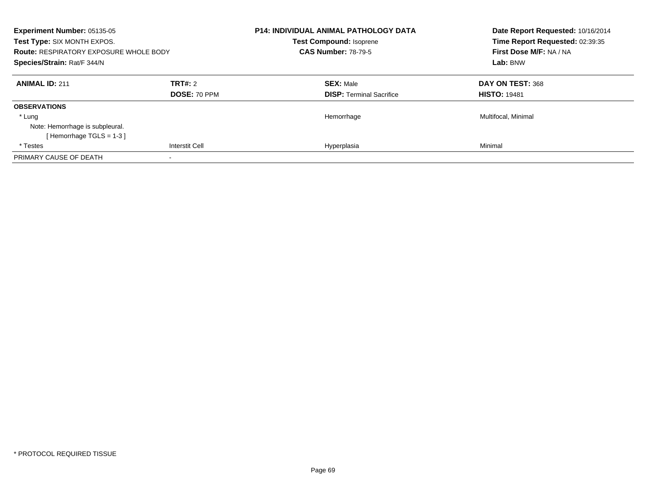| <b>Experiment Number: 05135-05</b><br>Test Type: SIX MONTH EXPOS.<br><b>Route: RESPIRATORY EXPOSURE WHOLE BODY</b><br>Species/Strain: Rat/F 344/N |                                | <b>P14: INDIVIDUAL ANIMAL PATHOLOGY DATA</b><br><b>Test Compound: Isoprene</b><br><b>CAS Number: 78-79-5</b> | Date Report Requested: 10/16/2014<br>Time Report Requested: 02:39:35<br>First Dose M/F: NA / NA<br>Lab: BNW |
|---------------------------------------------------------------------------------------------------------------------------------------------------|--------------------------------|--------------------------------------------------------------------------------------------------------------|-------------------------------------------------------------------------------------------------------------|
| <b>ANIMAL ID: 211</b>                                                                                                                             | <b>TRT#: 2</b><br>DOSE: 70 PPM | <b>SEX: Male</b><br><b>DISP:</b> Terminal Sacrifice                                                          | DAY ON TEST: 368<br><b>HISTO: 19481</b>                                                                     |
| <b>OBSERVATIONS</b>                                                                                                                               |                                |                                                                                                              |                                                                                                             |
| * Lung                                                                                                                                            |                                | Hemorrhage                                                                                                   | Multifocal, Minimal                                                                                         |
| Note: Hemorrhage is subpleural.                                                                                                                   |                                |                                                                                                              |                                                                                                             |
| [Hemorrhage TGLS = 1-3]                                                                                                                           |                                |                                                                                                              |                                                                                                             |
| * Testes                                                                                                                                          | <b>Interstit Cell</b>          | Hyperplasia                                                                                                  | Minimal                                                                                                     |
| PRIMARY CAUSE OF DEATH                                                                                                                            |                                |                                                                                                              |                                                                                                             |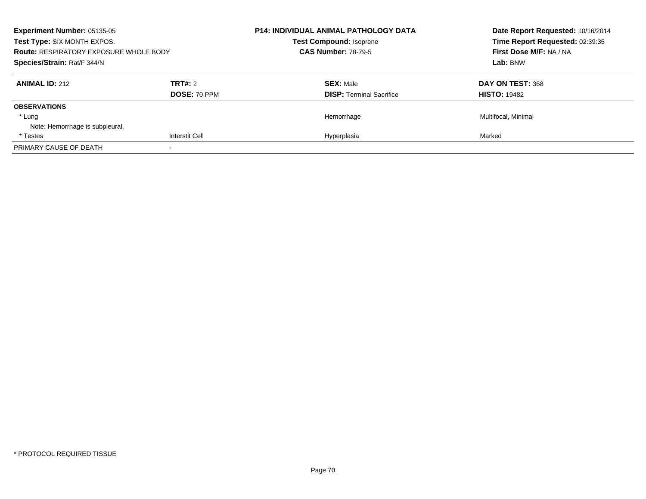| <b>Experiment Number: 05135-05</b><br>Test Type: SIX MONTH EXPOS.<br><b>Route: RESPIRATORY EXPOSURE WHOLE BODY</b><br>Species/Strain: Rat/F 344/N |                       | <b>P14: INDIVIDUAL ANIMAL PATHOLOGY DATA</b><br><b>Test Compound: Isoprene</b><br><b>CAS Number: 78-79-5</b> | Date Report Requested: 10/16/2014<br>Time Report Requested: 02:39:35<br>First Dose M/F: NA / NA<br>Lab: BNW |
|---------------------------------------------------------------------------------------------------------------------------------------------------|-----------------------|--------------------------------------------------------------------------------------------------------------|-------------------------------------------------------------------------------------------------------------|
|                                                                                                                                                   |                       |                                                                                                              |                                                                                                             |
|                                                                                                                                                   |                       | <b>ANIMAL ID: 212</b>                                                                                        |                                                                                                             |
|                                                                                                                                                   | DOSE: 70 PPM          | <b>DISP:</b> Terminal Sacrifice                                                                              | <b>HISTO: 19482</b>                                                                                         |
| <b>OBSERVATIONS</b>                                                                                                                               |                       |                                                                                                              |                                                                                                             |
| * Lung                                                                                                                                            |                       | Hemorrhage                                                                                                   | Multifocal, Minimal                                                                                         |
| Note: Hemorrhage is subpleural.                                                                                                                   |                       |                                                                                                              |                                                                                                             |
| * Testes                                                                                                                                          | <b>Interstit Cell</b> | Hyperplasia                                                                                                  | Marked                                                                                                      |
| PRIMARY CAUSE OF DEATH                                                                                                                            |                       |                                                                                                              |                                                                                                             |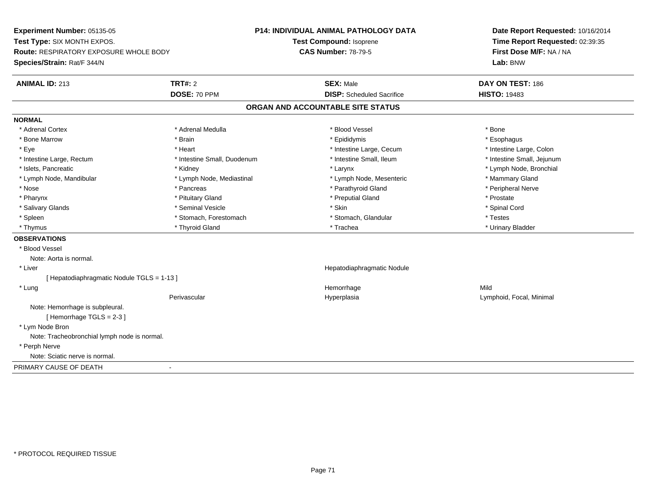**Experiment Number:** 05135-05**Test Type:** SIX MONTH EXPOS.**Route:** RESPIRATORY EXPOSURE WHOLE BODY**Species/Strain:** Rat/F 344/N**P14: INDIVIDUAL ANIMAL PATHOLOGY DATATest Compound:** Isoprene**CAS Number:** 78-79-5**Date Report Requested:** 10/16/2014**Time Report Requested:** 02:39:35**First Dose M/F:** NA / NA**Lab:** BNW**ANIMAL ID:** 213**TRT#:** 2 **SEX:** Male **DAY ON TEST:** 186 **DOSE:** 70 PPM**DISP:** Scheduled Sacrifice **HISTO:** 19483 **ORGAN AND ACCOUNTABLE SITE STATUSNORMAL**\* Adrenal Cortex \* Adrenal Cortex \* \* Adrenal Medulla \* \* Adrenal Medulla \* \* Blood Vessel \* \* Brood Vessel \* \* Bone \* Esophagus \* Bone Marrow \* Brain \* Epididymis \* Esophagus \* Intestine Large, Colon \* Eye \* The matter and the state of the test of the test of the test of the test of the test of the test of the test of the test of the test of the test of the test of the test of the test of the test of the test of test o \* Intestine Small, Jejunum \* Intestine Large, Rectum \* 1992 \* Intestine Small, Duodenum \* Intestine Small, Ileum \* Intestine Small, Ileum \* Islets, Pancreatic \* Kidney \* Larynx \* Lymph Node, Bronchial \* Lymph Node, Mandibular \* Lymph Node, Mediastinal \* Lymph Node, Mesenteric \* Mammary Gland \* Peripheral Nerve \* Nose \* \* Pancreas \* \* Pancreas \* \* Pancreas \* \* Parathyroid Gland \* \* Peripheral Nerve \* Peripheral Nerve \* \* Pharynx \* Pituitary Gland \* Preputial Gland \* Prostate \* Spinal Cord \* Salivary Glands \* \* Seminal Vesicle \* \* Seminal Vesicle \* \* Skin \* \* Skin \* \* Stember \* Spinal Cord \* Spinal Cord \* Spinal Cord \* Spinal Cord \* Spinal Cord \* Spinal Cord \* Spinal Cord \* Spinal Cord \* Spinal Cord \* Spinal \* Spleen \* Stomach, Forestomach \* Stomach \* Stomach, Slandular \* Testes \* Testes \* Urinary Bladder \* Thymus \* Thyroid Gland \* Trachea \* Urinary Bladder \* **OBSERVATIONS** \* Blood VesselNote: Aorta is normal. \* Liver Hepatodiaphragmatic Nodule[ Hepatodiaphragmatic Nodule TGLS = 1-13 ] \* Lungg and the state of the state of the state of the state of the Hemorrhage state of the Mild state of the Mild state of the State of the State of the State of the State of the State of the State of the State of the State of Perivascular Hyperplasia Lymphoid, Focal, Minimal Note: Hemorrhage is subpleural.[ Hemorrhage TGLS = 2-3 ] \* Lym Node Bron Note: Tracheobronchial lymph node is normal. \* Perph Nerve Note: Sciatic nerve is normal.PRIMARY CAUSE OF DEATH-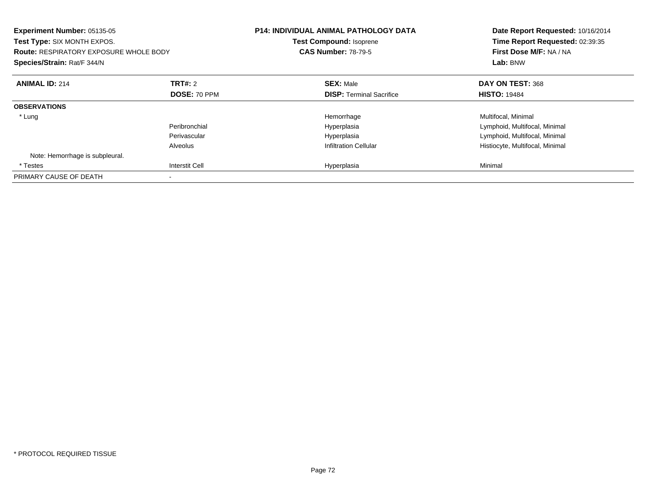| <b>Experiment Number: 05135-05</b><br>Test Type: SIX MONTH EXPOS.<br><b>Route: RESPIRATORY EXPOSURE WHOLE BODY</b><br>Species/Strain: Rat/F 344/N |                       | <b>P14: INDIVIDUAL ANIMAL PATHOLOGY DATA</b><br><b>Test Compound: Isoprene</b><br><b>CAS Number: 78-79-5</b> | Date Report Requested: 10/16/2014<br>Time Report Requested: 02:39:35<br>First Dose M/F: NA / NA<br>Lab: BNW |
|---------------------------------------------------------------------------------------------------------------------------------------------------|-----------------------|--------------------------------------------------------------------------------------------------------------|-------------------------------------------------------------------------------------------------------------|
| <b>ANIMAL ID: 214</b>                                                                                                                             | TRT#: 2               | <b>SEX: Male</b>                                                                                             | DAY ON TEST: 368                                                                                            |
|                                                                                                                                                   | <b>DOSE: 70 PPM</b>   | <b>DISP:</b> Terminal Sacrifice                                                                              | <b>HISTO: 19484</b>                                                                                         |
| <b>OBSERVATIONS</b>                                                                                                                               |                       |                                                                                                              |                                                                                                             |
| * Lung                                                                                                                                            |                       | Hemorrhage                                                                                                   | Multifocal, Minimal                                                                                         |
|                                                                                                                                                   | Peribronchial         | Hyperplasia                                                                                                  | Lymphoid, Multifocal, Minimal                                                                               |
|                                                                                                                                                   | Perivascular          | Hyperplasia                                                                                                  | Lymphoid, Multifocal, Minimal                                                                               |
|                                                                                                                                                   | Alveolus              | <b>Infiltration Cellular</b>                                                                                 | Histiocyte, Multifocal, Minimal                                                                             |
| Note: Hemorrhage is subpleural.                                                                                                                   |                       |                                                                                                              |                                                                                                             |
| * Testes                                                                                                                                          | <b>Interstit Cell</b> | Hyperplasia                                                                                                  | Minimal                                                                                                     |
| PRIMARY CAUSE OF DEATH                                                                                                                            |                       |                                                                                                              |                                                                                                             |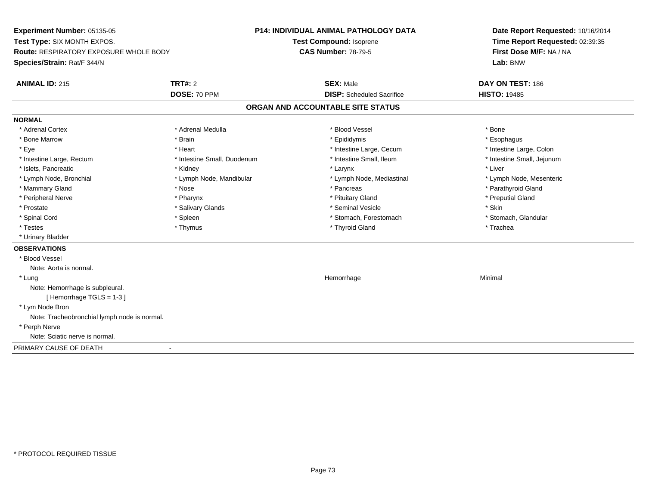**Experiment Number:** 05135-05**Test Type:** SIX MONTH EXPOS.**Route:** RESPIRATORY EXPOSURE WHOLE BODY**Species/Strain:** Rat/F 344/N**P14: INDIVIDUAL ANIMAL PATHOLOGY DATATest Compound:** Isoprene**CAS Number:** 78-79-5**Date Report Requested:** 10/16/2014**Time Report Requested:** 02:39:35**First Dose M/F:** NA / NA**Lab:** BNW**ANIMAL ID:** 215**TRT#:** 2 **SEX:** Male **DAY ON TEST:** 186 **DOSE:** 70 PPM**DISP:** Scheduled Sacrifice **HISTO:** 19485 **ORGAN AND ACCOUNTABLE SITE STATUSNORMAL**\* Adrenal Cortex \* Adrenal Cortex \* \* Adrenal Medulla \* \* Adrenal Medulla \* \* Blood Vessel \* \* Brood Vessel \* \* Bone \* Esophagus \* Bone Marrow \* Brain \* Epididymis \* Esophagus \* Intestine Large, Colon \* Eye \* The matrice of the test of the test of the test of the test of the test of the test of the test of the test of the test of the test of the test of the test of the test of the test of the test of the test of the tes \* Intestine Small, Jejunum \* Intestine Large, Rectum \* Intestine Small, Duodenum \* Intestine Small, Ileum \* Intestine Small, Ileum \* Islets, Pancreatic \* \* \* Andrew \* Kidney \* \* Kidney \* \* Larynx \* Larynx \* \* Larynx \* \* Liver \* Liver \* Liver \* Lymph Node, Bronchial \* Lymph Node, Mandibular \* Lymph Node, Mediastinal \* Lymph Node, Mesenteric\* Mammary Gland \* The strain of the strain of the strain of the strain of the strain of the strain of the strain of the strain of the strain of the strain of the strain of the strain of the strain of the strain of the stra \* Peripheral Nerve \* \* \* \* Pharynx \* \* Pharynx \* \* \* Preputial Gland \* \* Preputial Gland \* \* Preputial Gland \* Prostate \* \* Salivary Glands \* \* Salivary Glands \* \* Seminal Vesicle \* \* \* Seminal Yestrich \* \* Skin \* \* Skin \* Stomach, Glandular \* Spinal Cord \* Spinal Cord \* Spinal Cord \* Stomach, Forestomach \* Spinal Cord \* Stomach, Forestomach \* Testes \* Thymus \* Thyroid Gland \* Trachea \* Urinary Bladder**OBSERVATIONS** \* Blood VesselNote: Aorta is normal. \* Lungg and the state of the state of the state of the state of the Minimal Section 1, the state of the state of the Minimal Section 1, the state of the state of the state of the state of the state of the state of the state of t Note: Hemorrhage is subpleural.[ Hemorrhage TGLS = 1-3 ] \* Lym Node Bron Note: Tracheobronchial lymph node is normal. \* Perph Nerve Note: Sciatic nerve is normal.PRIMARY CAUSE OF DEATH-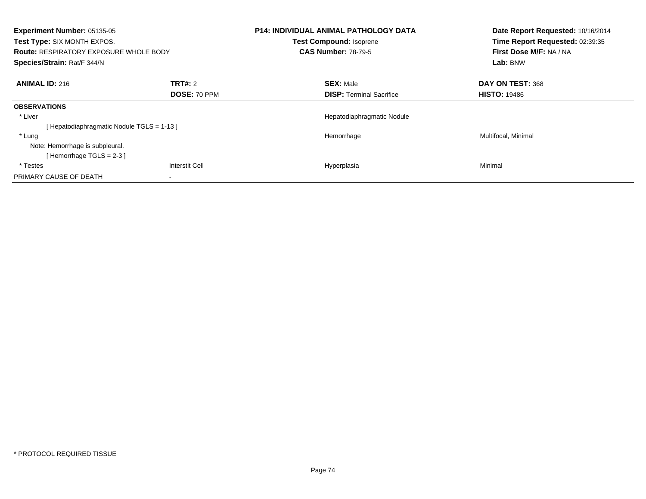| Experiment Number: 05135-05<br>Test Type: SIX MONTH EXPOS.<br><b>Route: RESPIRATORY EXPOSURE WHOLE BODY</b><br>Species/Strain: Rat/F 344/N |                         | <b>P14: INDIVIDUAL ANIMAL PATHOLOGY DATA</b><br>Test Compound: Isoprene<br><b>CAS Number: 78-79-5</b> | Date Report Requested: 10/16/2014<br>Time Report Requested: 02:39:35<br>First Dose M/F: NA / NA<br>Lab: BNW |
|--------------------------------------------------------------------------------------------------------------------------------------------|-------------------------|-------------------------------------------------------------------------------------------------------|-------------------------------------------------------------------------------------------------------------|
| <b>ANIMAL ID: 216</b>                                                                                                                      | TRT#: 2<br>DOSE: 70 PPM | <b>SEX: Male</b><br><b>DISP:</b> Terminal Sacrifice                                                   | DAY ON TEST: 368<br><b>HISTO: 19486</b>                                                                     |
| <b>OBSERVATIONS</b>                                                                                                                        |                         |                                                                                                       |                                                                                                             |
| * Liver<br>[Hepatodiaphragmatic Nodule TGLS = 1-13]                                                                                        |                         | Hepatodiaphragmatic Nodule                                                                            |                                                                                                             |
| * Lung<br>Note: Hemorrhage is subpleural.<br>[Hemorrhage TGLS = $2-3$ ]                                                                    |                         | Hemorrhage                                                                                            | Multifocal, Minimal                                                                                         |
| * Testes                                                                                                                                   | <b>Interstit Cell</b>   | Hyperplasia                                                                                           | Minimal                                                                                                     |
| PRIMARY CAUSE OF DEATH                                                                                                                     |                         |                                                                                                       |                                                                                                             |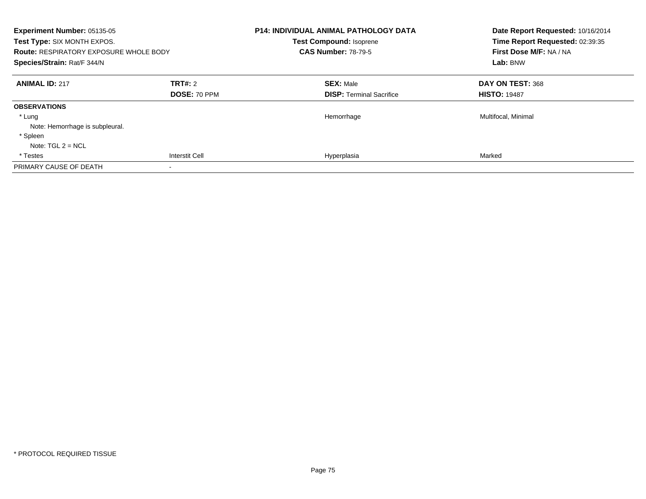| <b>Experiment Number: 05135-05</b><br>Test Type: SIX MONTH EXPOS.<br><b>Route: RESPIRATORY EXPOSURE WHOLE BODY</b><br>Species/Strain: Rat/F 344/N |                | <b>P14: INDIVIDUAL ANIMAL PATHOLOGY DATA</b><br><b>Test Compound: Isoprene</b><br><b>CAS Number: 78-79-5</b> | Date Report Requested: 10/16/2014<br>Time Report Requested: 02:39:35<br>First Dose M/F: NA / NA<br>Lab: BNW |
|---------------------------------------------------------------------------------------------------------------------------------------------------|----------------|--------------------------------------------------------------------------------------------------------------|-------------------------------------------------------------------------------------------------------------|
| <b>ANIMAL ID: 217</b>                                                                                                                             | TRT#: 2        | <b>SEX: Male</b>                                                                                             | DAY ON TEST: 368                                                                                            |
|                                                                                                                                                   | DOSE: 70 PPM   | <b>DISP:</b> Terminal Sacrifice                                                                              | <b>HISTO: 19487</b>                                                                                         |
| <b>OBSERVATIONS</b>                                                                                                                               |                |                                                                                                              |                                                                                                             |
| * Lung                                                                                                                                            |                | Hemorrhage                                                                                                   | Multifocal, Minimal                                                                                         |
| Note: Hemorrhage is subpleural.                                                                                                                   |                |                                                                                                              |                                                                                                             |
| * Spleen                                                                                                                                          |                |                                                                                                              |                                                                                                             |
| Note: $TGL 2 = NCL$                                                                                                                               |                |                                                                                                              |                                                                                                             |
| * Testes                                                                                                                                          | Interstit Cell | Hyperplasia                                                                                                  | Marked                                                                                                      |
| PRIMARY CAUSE OF DEATH                                                                                                                            | $\,$           |                                                                                                              |                                                                                                             |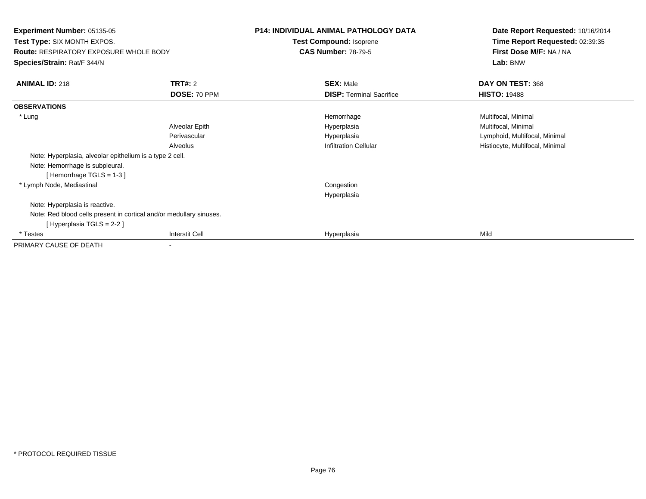**Experiment Number:** 05135-05 **Test Type:** SIX MONTH EXPOS.**Route:** RESPIRATORY EXPOSURE WHOLE BODY**Species/Strain:** Rat/F 344/N**P14: INDIVIDUAL ANIMAL PATHOLOGY DATATest Compound:** Isoprene**CAS Number:** 78-79-5**Date Report Requested:** 10/16/2014**Time Report Requested:** 02:39:35**First Dose M/F:** NA / NA**Lab:** BNW**ANIMAL ID:** 218**TRT#:** 2 **SEX:** Male **DAY ON TEST:** 368 **DOSE:** 70 PPM**DISP:** Terminal Sacrifice **HISTO:** 19488 **OBSERVATIONS** \* Lungg and the morrhage of the morrhage of the morrhage  $\theta$  and  $\theta$  and  $\theta$  and  $\theta$  and  $\theta$  and  $\theta$  and  $\theta$  and  $\theta$  and  $\theta$  and  $\theta$  and  $\theta$  and  $\theta$  and  $\theta$  and  $\theta$  and  $\theta$  and  $\theta$  and  $\theta$  and  $\theta$  and  $\theta$  and Alveolar EpithHyperplasia **Multifocal**, Minimal Perivascular Hyperplasia Lymphoid, Multifocal, Minimal AlveolusHistiocyte, Multifocal, Minimal Note: Hyperplasia, alveolar epithelium is a type 2 cell.Note: Hemorrhage is subpleural.[ Hemorrhage TGLS = 1-3 ] \* Lymph Node, Mediastinal Congestion HyperplasiaNote: Hyperplasia is reactive.Note: Red blood cells present in cortical and/or medullary sinuses.[ Hyperplasia TGLS = 2-2 ] \* Testess and the contract of the contract of the contract of the contract of the contract of the contract of the contract of the contract of the contract of the contract of the contract of the contract of the contract of the cont a Mild PRIMARY CAUSE OF DEATH-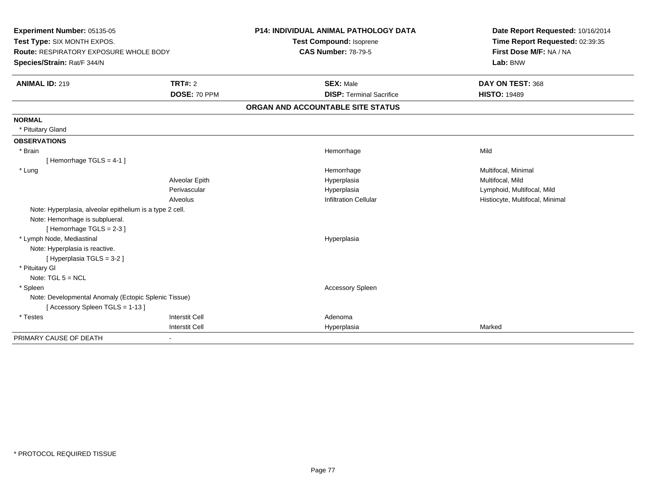| Experiment Number: 05135-05<br>Test Type: SIX MONTH EXPOS.<br><b>Route: RESPIRATORY EXPOSURE WHOLE BODY</b> |                       | P14: INDIVIDUAL ANIMAL PATHOLOGY DATA<br>Test Compound: Isoprene | Date Report Requested: 10/16/2014<br>Time Report Requested: 02:39:35<br>First Dose M/F: NA / NA |
|-------------------------------------------------------------------------------------------------------------|-----------------------|------------------------------------------------------------------|-------------------------------------------------------------------------------------------------|
|                                                                                                             |                       | <b>CAS Number: 78-79-5</b>                                       |                                                                                                 |
| Species/Strain: Rat/F 344/N                                                                                 |                       |                                                                  | Lab: BNW                                                                                        |
|                                                                                                             |                       |                                                                  |                                                                                                 |
| <b>ANIMAL ID: 219</b>                                                                                       | TRT#: 2               | <b>SEX: Male</b>                                                 | DAY ON TEST: 368                                                                                |
|                                                                                                             | DOSE: 70 PPM          | <b>DISP: Terminal Sacrifice</b>                                  | <b>HISTO: 19489</b>                                                                             |
|                                                                                                             |                       | ORGAN AND ACCOUNTABLE SITE STATUS                                |                                                                                                 |
| <b>NORMAL</b>                                                                                               |                       |                                                                  |                                                                                                 |
| * Pituitary Gland                                                                                           |                       |                                                                  |                                                                                                 |
| <b>OBSERVATIONS</b>                                                                                         |                       |                                                                  |                                                                                                 |
| * Brain                                                                                                     |                       | Hemorrhage                                                       | Mild                                                                                            |
| [Hemorrhage TGLS = $4-1$ ]                                                                                  |                       |                                                                  |                                                                                                 |
| * Lung                                                                                                      |                       | Hemorrhage                                                       | Multifocal, Minimal                                                                             |
|                                                                                                             | Alveolar Epith        | Hyperplasia                                                      | Multifocal, Mild                                                                                |
|                                                                                                             | Perivascular          | Hyperplasia                                                      | Lymphoid, Multifocal, Mild                                                                      |
|                                                                                                             | Alveolus              | <b>Infiltration Cellular</b>                                     | Histiocyte, Multifocal, Minimal                                                                 |
| Note: Hyperplasia, alveolar epithelium is a type 2 cell.                                                    |                       |                                                                  |                                                                                                 |
| Note: Hemorrhage is subplueral.                                                                             |                       |                                                                  |                                                                                                 |
| [Hemorrhage TGLS = 2-3]                                                                                     |                       |                                                                  |                                                                                                 |
| * Lymph Node, Mediastinal                                                                                   |                       | Hyperplasia                                                      |                                                                                                 |
| Note: Hyperplasia is reactive.                                                                              |                       |                                                                  |                                                                                                 |
| [Hyperplasia TGLS = 3-2]                                                                                    |                       |                                                                  |                                                                                                 |
| * Pituitary GI                                                                                              |                       |                                                                  |                                                                                                 |
| Note: $TGL 5 = NCL$                                                                                         |                       |                                                                  |                                                                                                 |
| * Spleen                                                                                                    |                       | Accessory Spleen                                                 |                                                                                                 |
| Note: Developmental Anomaly (Ectopic Splenic Tissue)                                                        |                       |                                                                  |                                                                                                 |
| [Accessory Spleen TGLS = 1-13]                                                                              |                       |                                                                  |                                                                                                 |
| * Testes                                                                                                    | <b>Interstit Cell</b> | Adenoma                                                          |                                                                                                 |
|                                                                                                             | <b>Interstit Cell</b> | Hyperplasia                                                      | Marked                                                                                          |
| PRIMARY CAUSE OF DEATH                                                                                      | $\blacksquare$        |                                                                  |                                                                                                 |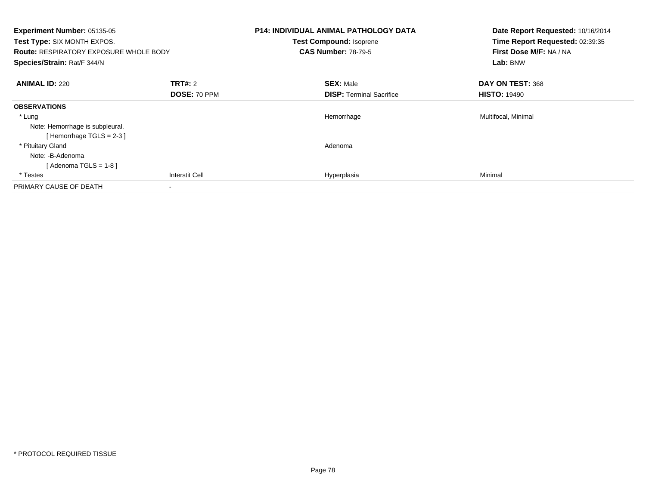| Experiment Number: 05135-05<br>Test Type: SIX MONTH EXPOS.<br><b>Route: RESPIRATORY EXPOSURE WHOLE BODY</b><br>Species/Strain: Rat/F 344/N |                                | <b>P14: INDIVIDUAL ANIMAL PATHOLOGY DATA</b><br>Test Compound: Isoprene<br><b>CAS Number: 78-79-5</b> | Date Report Requested: 10/16/2014<br>Time Report Requested: 02:39:35<br>First Dose M/F: NA / NA<br>Lab: BNW |
|--------------------------------------------------------------------------------------------------------------------------------------------|--------------------------------|-------------------------------------------------------------------------------------------------------|-------------------------------------------------------------------------------------------------------------|
| <b>ANIMAL ID: 220</b>                                                                                                                      | <b>TRT#: 2</b><br>DOSE: 70 PPM | <b>SEX: Male</b><br><b>DISP:</b> Terminal Sacrifice                                                   | DAY ON TEST: 368<br><b>HISTO: 19490</b>                                                                     |
| <b>OBSERVATIONS</b>                                                                                                                        |                                |                                                                                                       |                                                                                                             |
| * Lung<br>Note: Hemorrhage is subpleural.<br>[Hemorrhage TGLS = $2-3$ ]                                                                    |                                | Hemorrhage                                                                                            | Multifocal, Minimal                                                                                         |
| * Pituitary Gland<br>Note: -B-Adenoma<br>[ Adenoma TGLS = 1-8 ]                                                                            |                                | Adenoma                                                                                               |                                                                                                             |
| * Testes                                                                                                                                   | Interstit Cell                 | Hyperplasia                                                                                           | Minimal                                                                                                     |
| PRIMARY CAUSE OF DEATH                                                                                                                     |                                |                                                                                                       |                                                                                                             |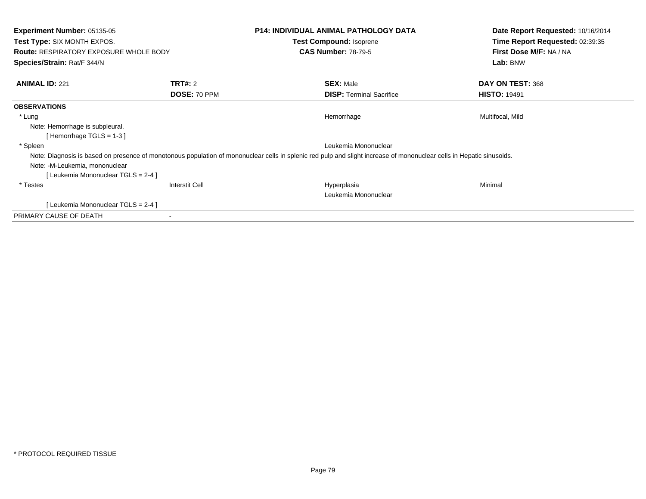| <b>Experiment Number: 05135-05</b><br><b>Test Type: SIX MONTH EXPOS.</b><br><b>Route: RESPIRATORY EXPOSURE WHOLE BODY</b><br>Species/Strain: Rat/F 344/N |                       | <b>P14: INDIVIDUAL ANIMAL PATHOLOGY DATA</b><br>Test Compound: Isoprene<br><b>CAS Number: 78-79-5</b>                                                                 | Date Report Requested: 10/16/2014<br>Time Report Requested: 02:39:35<br>First Dose M/F: NA / NA<br>Lab: BNW |
|----------------------------------------------------------------------------------------------------------------------------------------------------------|-----------------------|-----------------------------------------------------------------------------------------------------------------------------------------------------------------------|-------------------------------------------------------------------------------------------------------------|
| <b>ANIMAL ID: 221</b>                                                                                                                                    | <b>TRT#: 2</b>        | <b>SEX: Male</b>                                                                                                                                                      | DAY ON TEST: 368                                                                                            |
|                                                                                                                                                          | DOSE: 70 PPM          | <b>DISP:</b> Terminal Sacrifice                                                                                                                                       | <b>HISTO: 19491</b>                                                                                         |
| <b>OBSERVATIONS</b>                                                                                                                                      |                       |                                                                                                                                                                       |                                                                                                             |
| * Lung                                                                                                                                                   |                       | Hemorrhage                                                                                                                                                            | Multifocal, Mild                                                                                            |
| Note: Hemorrhage is subpleural.                                                                                                                          |                       |                                                                                                                                                                       |                                                                                                             |
| [Hemorrhage TGLS = $1-3$ ]                                                                                                                               |                       |                                                                                                                                                                       |                                                                                                             |
| * Spleen                                                                                                                                                 |                       | Leukemia Mononuclear                                                                                                                                                  |                                                                                                             |
|                                                                                                                                                          |                       | Note: Diagnosis is based on presence of monotonous population of mononuclear cells in splenic red pulp and slight increase of mononuclear cells in Hepatic sinusoids. |                                                                                                             |
| Note: -M-Leukemia, mononuclear                                                                                                                           |                       |                                                                                                                                                                       |                                                                                                             |
| [Leukemia Mononuclear TGLS = 2-4 ]                                                                                                                       |                       |                                                                                                                                                                       |                                                                                                             |
| * Testes                                                                                                                                                 | <b>Interstit Cell</b> | Hyperplasia                                                                                                                                                           | Minimal                                                                                                     |
|                                                                                                                                                          |                       | Leukemia Mononuclear                                                                                                                                                  |                                                                                                             |
| [Leukemia Mononuclear TGLS = 2-4 ]                                                                                                                       |                       |                                                                                                                                                                       |                                                                                                             |
| PRIMARY CAUSE OF DEATH                                                                                                                                   |                       |                                                                                                                                                                       |                                                                                                             |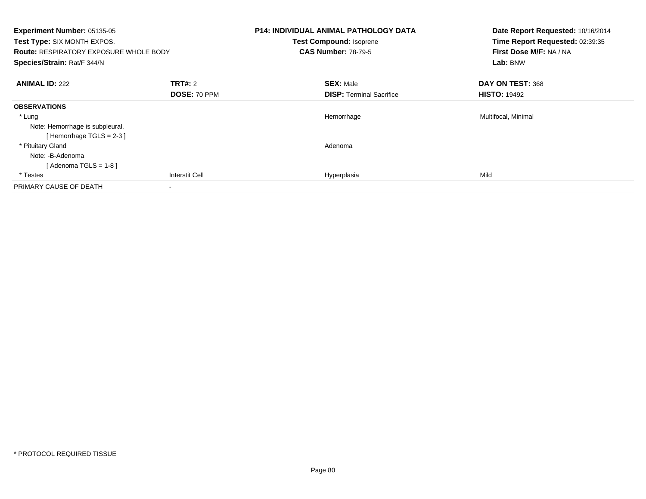| Experiment Number: 05135-05<br>Test Type: SIX MONTH EXPOS.<br><b>Route: RESPIRATORY EXPOSURE WHOLE BODY</b><br>Species/Strain: Rat/F 344/N |                                | <b>P14: INDIVIDUAL ANIMAL PATHOLOGY DATA</b><br>Test Compound: Isoprene<br><b>CAS Number: 78-79-5</b> | Date Report Requested: 10/16/2014<br>Time Report Requested: 02:39:35<br>First Dose M/F: NA / NA<br>Lab: BNW |
|--------------------------------------------------------------------------------------------------------------------------------------------|--------------------------------|-------------------------------------------------------------------------------------------------------|-------------------------------------------------------------------------------------------------------------|
| <b>ANIMAL ID: 222</b>                                                                                                                      | <b>TRT#: 2</b><br>DOSE: 70 PPM | <b>SEX: Male</b><br><b>DISP:</b> Terminal Sacrifice                                                   | DAY ON TEST: 368<br><b>HISTO: 19492</b>                                                                     |
| <b>OBSERVATIONS</b>                                                                                                                        |                                |                                                                                                       |                                                                                                             |
| * Lung<br>Note: Hemorrhage is subpleural.<br>[Hemorrhage TGLS = $2-3$ ]                                                                    |                                | Hemorrhage                                                                                            | Multifocal, Minimal                                                                                         |
| * Pituitary Gland<br>Note: -B-Adenoma<br>[ Adenoma TGLS = 1-8 ]                                                                            |                                | Adenoma                                                                                               |                                                                                                             |
| * Testes                                                                                                                                   | <b>Interstit Cell</b>          | Hyperplasia                                                                                           | Mild                                                                                                        |
| PRIMARY CAUSE OF DEATH                                                                                                                     |                                |                                                                                                       |                                                                                                             |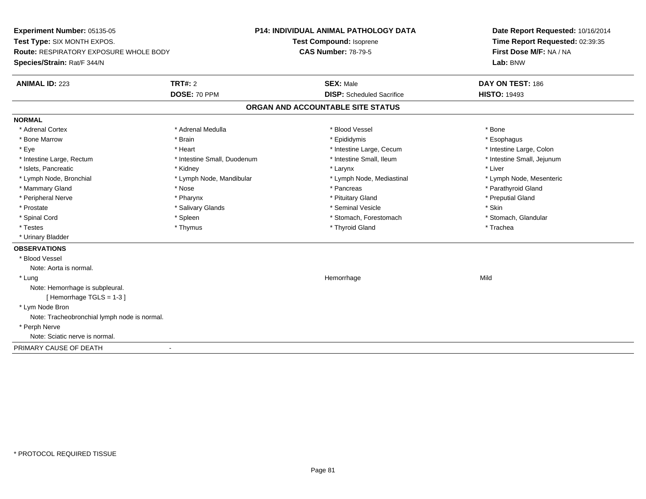**Experiment Number:** 05135-05**Test Type:** SIX MONTH EXPOS.**Route:** RESPIRATORY EXPOSURE WHOLE BODY**Species/Strain:** Rat/F 344/N**P14: INDIVIDUAL ANIMAL PATHOLOGY DATATest Compound:** Isoprene**CAS Number:** 78-79-5**Date Report Requested:** 10/16/2014**Time Report Requested:** 02:39:35**First Dose M/F:** NA / NA**Lab:** BNW**ANIMAL ID:** 223**TRT#:** 2 **SEX:** Male **DAY ON TEST:** 186 **DOSE:** 70 PPM**DISP:** Scheduled Sacrifice **HISTO:** 19493 **ORGAN AND ACCOUNTABLE SITE STATUSNORMAL**\* Adrenal Cortex \* Adrenal Cortex \* \* Adrenal Medulla \* \* Adrenal Medulla \* \* Blood Vessel \* \* Brood Vessel \* \* Bone \* Esophagus \* Bone Marrow \* Brain \* Epididymis \* Esophagus \* Intestine Large, Colon \* Eye \* The matrice of the test of the test of the test of the test of the test of the test of the test of the test of the test of the test of the test of the test of the test of the test of the test of the test of the tes \* Intestine Small, Jejunum \* Intestine Large, Rectum \* Intestine Small, Duodenum \* Intestine Small, Ileum \* Intestine Small, Ileum \* Islets, Pancreatic \* \* \* Andrew \* Kidney \* \* Kidney \* \* Larynx \* Larynx \* \* Larynx \* \* Liver \* Liver \* Liver \* Lymph Node, Bronchial \* Lymph Node, Mandibular \* Lymph Node, Mediastinal \* Lymph Node, Mesenteric\* Mammary Gland \* The strain of the strain of the strain of the strain of the strain of the strain of the strain of the strain of the strain of the strain of the strain of the strain of the strain of the strain of the stra \* Peripheral Nerve \* \* \* \* Pharynx \* \* Pharynx \* \* \* Preputial Gland \* \* Preputial Gland \* \* Preputial Gland \* Prostate \* \* Salivary Glands \* \* Salivary Glands \* \* Seminal Vesicle \* \* \* Seminal Yestrich \* \* Skin \* \* Skin \* Stomach, Glandular \* Spinal Cord \* Spinal Cord \* Spinal Cord \* Stomach, Forestomach \* Spinal Cord \* Stomach, Forestomach \* Testes \* Thymus \* Thyroid Gland \* Trachea \* Urinary Bladder**OBSERVATIONS** \* Blood VesselNote: Aorta is normal. \* Lungg and the state of the state of the state of the state of the Hemorrhage state of the Mild of the Mild of the S Note: Hemorrhage is subpleural.[ Hemorrhage TGLS = 1-3 ] \* Lym Node Bron Note: Tracheobronchial lymph node is normal. \* Perph Nerve Note: Sciatic nerve is normal.PRIMARY CAUSE OF DEATH-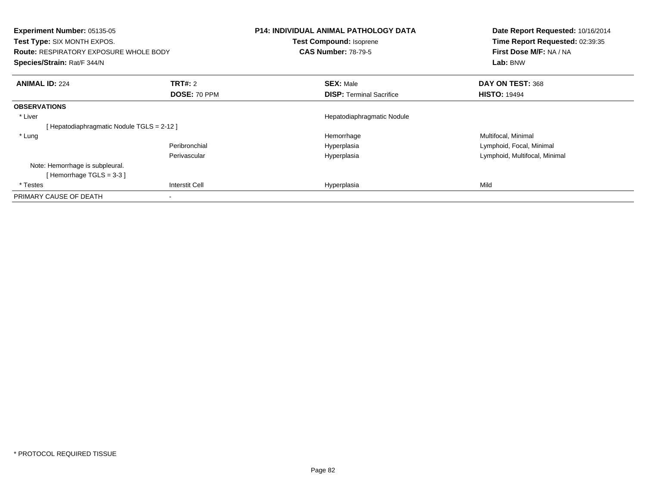| <b>Experiment Number: 05135-05</b><br><b>Test Type: SIX MONTH EXPOS.</b><br><b>Route: RESPIRATORY EXPOSURE WHOLE BODY</b><br>Species/Strain: Rat/F 344/N |                       | <b>P14: INDIVIDUAL ANIMAL PATHOLOGY DATA</b><br>Test Compound: Isoprene<br><b>CAS Number: 78-79-5</b> | Date Report Requested: 10/16/2014<br>Time Report Requested: 02:39:35<br>First Dose M/F: NA / NA<br>Lab: BNW |
|----------------------------------------------------------------------------------------------------------------------------------------------------------|-----------------------|-------------------------------------------------------------------------------------------------------|-------------------------------------------------------------------------------------------------------------|
| <b>ANIMAL ID: 224</b>                                                                                                                                    | <b>TRT#: 2</b>        | <b>SEX: Male</b>                                                                                      | DAY ON TEST: 368                                                                                            |
|                                                                                                                                                          | DOSE: 70 PPM          | <b>DISP: Terminal Sacrifice</b>                                                                       | <b>HISTO: 19494</b>                                                                                         |
| <b>OBSERVATIONS</b>                                                                                                                                      |                       |                                                                                                       |                                                                                                             |
| * Liver                                                                                                                                                  |                       | Hepatodiaphragmatic Nodule                                                                            |                                                                                                             |
| [Hepatodiaphragmatic Nodule TGLS = 2-12]                                                                                                                 |                       |                                                                                                       |                                                                                                             |
| * Lung                                                                                                                                                   |                       | Hemorrhage                                                                                            | Multifocal, Minimal                                                                                         |
|                                                                                                                                                          | Peribronchial         | Hyperplasia                                                                                           | Lymphoid, Focal, Minimal                                                                                    |
|                                                                                                                                                          | Perivascular          | Hyperplasia                                                                                           | Lymphoid, Multifocal, Minimal                                                                               |
| Note: Hemorrhage is subpleural.                                                                                                                          |                       |                                                                                                       |                                                                                                             |
| [Hemorrhage TGLS = $3-3$ ]                                                                                                                               |                       |                                                                                                       |                                                                                                             |
| * Testes                                                                                                                                                 | <b>Interstit Cell</b> | Hyperplasia                                                                                           | Mild                                                                                                        |
| PRIMARY CAUSE OF DEATH                                                                                                                                   |                       |                                                                                                       |                                                                                                             |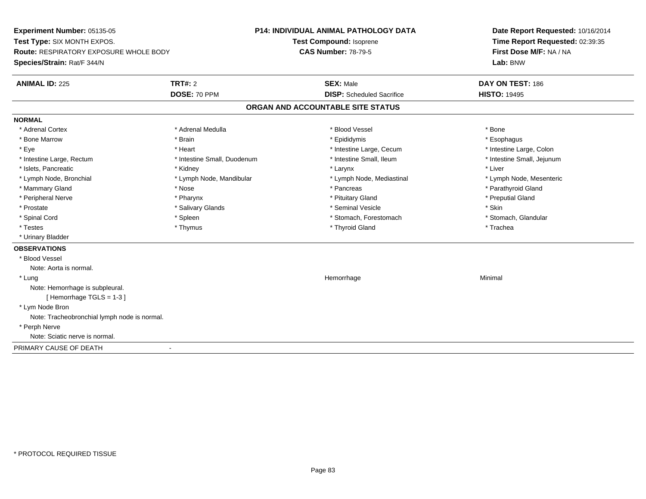**Experiment Number:** 05135-05**Test Type:** SIX MONTH EXPOS.**Route:** RESPIRATORY EXPOSURE WHOLE BODY**Species/Strain:** Rat/F 344/N**P14: INDIVIDUAL ANIMAL PATHOLOGY DATATest Compound:** Isoprene**CAS Number:** 78-79-5**Date Report Requested:** 10/16/2014**Time Report Requested:** 02:39:35**First Dose M/F:** NA / NA**Lab:** BNW**ANIMAL ID:** 225**TRT#:** 2 **SEX:** Male **DAY ON TEST:** 186 **DOSE:** 70 PPM**DISP:** Scheduled Sacrifice **HISTO:** 19495 **ORGAN AND ACCOUNTABLE SITE STATUSNORMAL**\* Adrenal Cortex \* Adrenal Cortex \* \* Adrenal Medulla \* \* Adrenal Medulla \* \* Blood Vessel \* \* Brood Vessel \* \* Bone \* Esophagus \* Bone Marrow \* Brain \* Epididymis \* Esophagus \* Intestine Large, Colon \* Eye \* The matrice of the test of the test of the test of the test of the test of the test of the test of the test of the test of the test of the test of the test of the test of the test of the test of the test of the tes \* Intestine Small, Jejunum \* Intestine Large, Rectum \* Intestine Small, Duodenum \* Intestine Small, Ileum \* Intestine Small, Ileum \* Islets, Pancreatic \* \* \* Andrew \* Kidney \* \* Kidney \* \* Larynx \* Larynx \* \* Larynx \* \* Liver \* Liver \* Liver \* Lymph Node, Bronchial \* Lymph Node, Mandibular \* Lymph Node, Mediastinal \* Lymph Node, Mesenteric\* Mammary Gland \* The strain of the strain of the strain of the strain of the strain of the strain of the strain of the strain of the strain of the strain of the strain of the strain of the strain of the strain of the stra \* Peripheral Nerve \* \* \* \* Pharynx \* \* Pharynx \* \* \* Preputial Gland \* \* Preputial Gland \* \* Preputial Gland \* Prostate \* \* Salivary Glands \* \* Salivary Glands \* \* Seminal Vesicle \* \* \* Seminal Yestrich \* \* Skin \* \* Skin \* Stomach, Glandular \* Spinal Cord \* Spinal Cord \* Spinal Cord \* Stomach, Forestomach \* Spinal Cord \* Stomach, Forestomach \* Testes \* Thymus \* Thyroid Gland \* Trachea \* Urinary Bladder**OBSERVATIONS** \* Blood VesselNote: Aorta is normal. \* Lungg and the state of the state of the state of the state of the Minimal Section 1, the state of the state of the Minimal Section 1, the state of the state of the state of the state of the state of the state of the state of t Note: Hemorrhage is subpleural.[ Hemorrhage TGLS = 1-3 ] \* Lym Node Bron Note: Tracheobronchial lymph node is normal. \* Perph Nerve Note: Sciatic nerve is normal.PRIMARY CAUSE OF DEATH-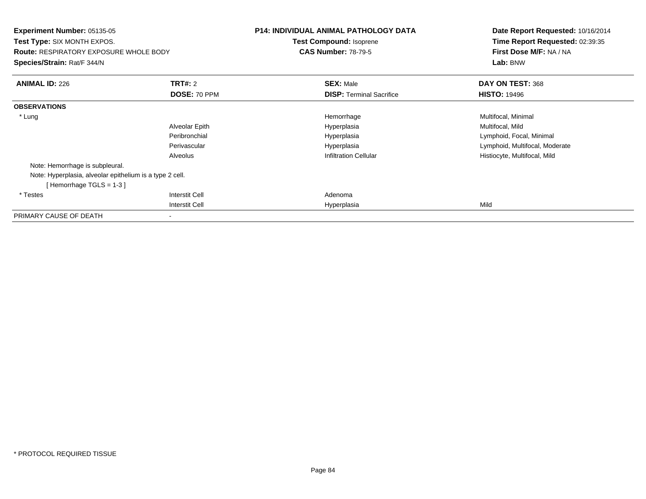| <b>Experiment Number: 05135-05</b><br><b>Test Type: SIX MONTH EXPOS.</b><br>Route: RESPIRATORY EXPOSURE WHOLE BODY<br>Species/Strain: Rat/F 344/N |                | <b>P14: INDIVIDUAL ANIMAL PATHOLOGY DATA</b><br>Test Compound: Isoprene<br><b>CAS Number: 78-79-5</b> | Date Report Requested: 10/16/2014<br>Time Report Requested: 02:39:35<br>First Dose M/F: NA / NA<br>Lab: BNW |
|---------------------------------------------------------------------------------------------------------------------------------------------------|----------------|-------------------------------------------------------------------------------------------------------|-------------------------------------------------------------------------------------------------------------|
| <b>ANIMAL ID: 226</b>                                                                                                                             | <b>TRT#: 2</b> | <b>SEX: Male</b>                                                                                      | DAY ON TEST: 368                                                                                            |
|                                                                                                                                                   | DOSE: 70 PPM   | <b>DISP:</b> Terminal Sacrifice                                                                       | <b>HISTO: 19496</b>                                                                                         |
| <b>OBSERVATIONS</b>                                                                                                                               |                |                                                                                                       |                                                                                                             |
| * Lung                                                                                                                                            |                | Hemorrhage                                                                                            | Multifocal, Minimal                                                                                         |
|                                                                                                                                                   | Alveolar Epith | Hyperplasia                                                                                           | Multifocal, Mild                                                                                            |
|                                                                                                                                                   | Peribronchial  | Hyperplasia                                                                                           | Lymphoid, Focal, Minimal                                                                                    |
|                                                                                                                                                   | Perivascular   | Hyperplasia                                                                                           | Lymphoid, Multifocal, Moderate                                                                              |
|                                                                                                                                                   | Alveolus       | <b>Infiltration Cellular</b>                                                                          | Histiocyte, Multifocal, Mild                                                                                |
| Note: Hemorrhage is subpleural.                                                                                                                   |                |                                                                                                       |                                                                                                             |
| Note: Hyperplasia, alveolar epithelium is a type 2 cell.                                                                                          |                |                                                                                                       |                                                                                                             |
| [Hemorrhage TGLS = 1-3]                                                                                                                           |                |                                                                                                       |                                                                                                             |
| * Testes                                                                                                                                          | Interstit Cell | Adenoma                                                                                               |                                                                                                             |
|                                                                                                                                                   | Interstit Cell | Hyperplasia                                                                                           | Mild                                                                                                        |
| PRIMARY CAUSE OF DEATH                                                                                                                            |                |                                                                                                       |                                                                                                             |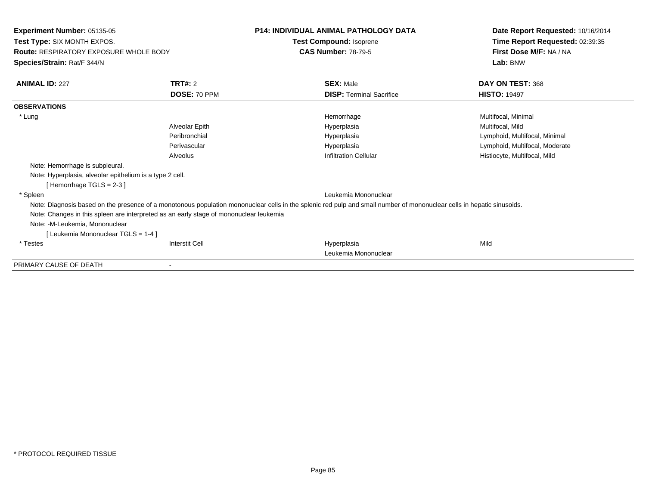**Experiment Number:** 05135-05**Test Type:** SIX MONTH EXPOS.**Route:** RESPIRATORY EXPOSURE WHOLE BODY**Species/Strain:** Rat/F 344/N**P14: INDIVIDUAL ANIMAL PATHOLOGY DATATest Compound:** Isoprene**CAS Number:** 78-79-5**Date Report Requested:** 10/16/2014**Time Report Requested:** 02:39:35**First Dose M/F:** NA / NA**Lab:** BNW**ANIMAL ID:** 227**TRT#:** 2 **SEX:** Male **DAY ON TEST:** 368 **DOSE:** 70 PPM**DISP:** Terminal Sacrifice **HISTO:** 19497 **OBSERVATIONS** \* Lungg and the morrhage of the morrhage of the morrhage  $\theta$  and  $\theta$  and  $\theta$  and  $\theta$  and  $\theta$  and  $\theta$  and  $\theta$  and  $\theta$  and  $\theta$  and  $\theta$  and  $\theta$  and  $\theta$  and  $\theta$  and  $\theta$  and  $\theta$  and  $\theta$  and  $\theta$  and  $\theta$  and  $\theta$  and Alveolar Epith Hyperplasia Multifocal, Mild Peribronchial Hyperplasia Lymphoid, Multifocal, Minimal Perivascular Hyperplasia Lymphoid, Multifocal, Moderate AlveolusInfiltration Cellular **Histiocyte**, Multifocal, Mild Note: Hemorrhage is subpleural.Note: Hyperplasia, alveolar epithelium is a type 2 cell.[ Hemorrhage TGLS = 2-3 ] \* Spleen Leukemia Mononuclear Note: Diagnosis based on the presence of a monotonous population mononuclear cells in the splenic red pulp and small number of mononuclear cells in hepatic sinusoids. Note: Changes in this spleen are interpreted as an early stage of mononuclear leukemiaNote: -M-Leukemia, Mononuclear[ Leukemia Mononuclear TGLS = 1-4 ] \* Testes Interstit Cell Hyperplasiaa Mild Leukemia MononuclearPRIMARY CAUSE OF DEATH-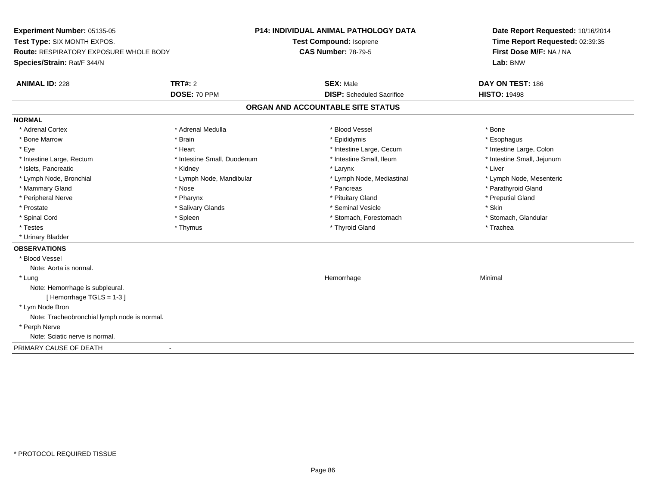**Experiment Number:** 05135-05**Test Type:** SIX MONTH EXPOS.**Route:** RESPIRATORY EXPOSURE WHOLE BODY**Species/Strain:** Rat/F 344/N**P14: INDIVIDUAL ANIMAL PATHOLOGY DATATest Compound:** Isoprene**CAS Number:** 78-79-5**Date Report Requested:** 10/16/2014**Time Report Requested:** 02:39:35**First Dose M/F:** NA / NA**Lab:** BNW**ANIMAL ID:** 228**TRT#:** 2 **SEX:** Male **DAY ON TEST:** 186 **DOSE:** 70 PPM**DISP:** Scheduled Sacrifice **HISTO:** 19498 **ORGAN AND ACCOUNTABLE SITE STATUSNORMAL**\* Adrenal Cortex \* Adrenal Cortex \* \* Adrenal Medulla \* \* Adrenal Medulla \* \* Blood Vessel \* \* Brood Vessel \* \* Bone \* Esophagus \* Bone Marrow \* Brain \* Epididymis \* Esophagus \* Intestine Large, Colon \* Eye \* The matrice of the test of the test of the test of the test of the test of the test of the test of the test of the test of the test of the test of the test of the test of the test of the test of the test of the tes \* Intestine Small, Jejunum \* Intestine Large, Rectum \* Intestine Small, Duodenum \* Intestine Small, Ileum \* Intestine Small, Ileum \* Islets, Pancreatic \* \* \* Andrew \* Kidney \* \* Kidney \* \* Larynx \* Larynx \* \* Larynx \* \* Liver \* Liver \* Liver \* Lymph Node, Bronchial \* Lymph Node, Mandibular \* Lymph Node, Mediastinal \* Lymph Node, Mesenteric\* Mammary Gland \* The strain of the strain of the strain of the strain of the strain of the strain of the strain of the strain of the strain of the strain of the strain of the strain of the strain of the strain of the stra \* Peripheral Nerve \* \* \* \* Pharynx \* \* Pharynx \* \* \* Preputial Gland \* \* Preputial Gland \* \* Preputial Gland \* Prostate \* \* Salivary Glands \* \* Salivary Glands \* \* Seminal Vesicle \* \* \* Seminal Yestrich \* \* Skin \* \* Skin \* Stomach, Glandular \* Spinal Cord \* Spinal Cord \* Spinal Cord \* Stomach, Forestomach \* Spinal Cord \* Stomach, Forestomach \* Testes \* Thymus \* Thyroid Gland \* Trachea \* Urinary Bladder**OBSERVATIONS** \* Blood VesselNote: Aorta is normal. \* Lungg and the state of the state of the state of the state of the Minimal Section 1, the state of the state of the Minimal Section 1, the state of the state of the state of the state of the state of the state of the state of t Note: Hemorrhage is subpleural.[ Hemorrhage TGLS = 1-3 ] \* Lym Node Bron Note: Tracheobronchial lymph node is normal. \* Perph Nerve Note: Sciatic nerve is normal.PRIMARY CAUSE OF DEATH-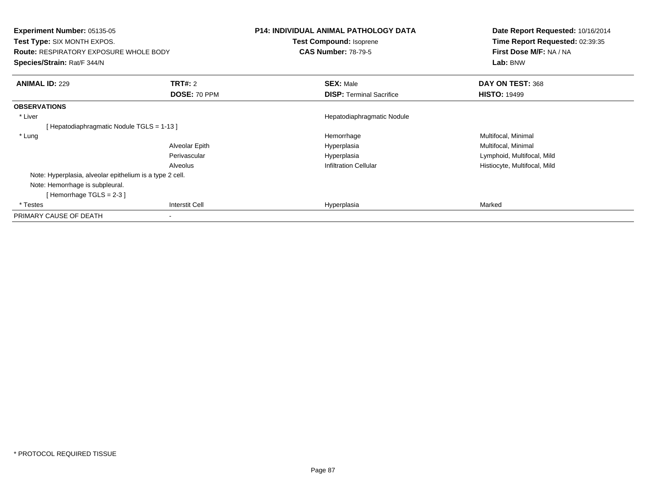| <b>Experiment Number: 05135-05</b><br><b>Test Type: SIX MONTH EXPOS.</b><br><b>Route: RESPIRATORY EXPOSURE WHOLE BODY</b><br>Species/Strain: Rat/F 344/N |                | <b>P14: INDIVIDUAL ANIMAL PATHOLOGY DATA</b><br>Test Compound: Isoprene<br><b>CAS Number: 78-79-5</b> | Date Report Requested: 10/16/2014<br>Time Report Requested: 02:39:35<br>First Dose M/F: NA / NA<br>Lab: BNW |
|----------------------------------------------------------------------------------------------------------------------------------------------------------|----------------|-------------------------------------------------------------------------------------------------------|-------------------------------------------------------------------------------------------------------------|
| <b>ANIMAL ID: 229</b>                                                                                                                                    | <b>TRT#: 2</b> | <b>SEX: Male</b>                                                                                      | DAY ON TEST: 368                                                                                            |
|                                                                                                                                                          | DOSE: 70 PPM   | <b>DISP: Terminal Sacrifice</b>                                                                       | <b>HISTO: 19499</b>                                                                                         |
| <b>OBSERVATIONS</b>                                                                                                                                      |                |                                                                                                       |                                                                                                             |
| * Liver                                                                                                                                                  |                | Hepatodiaphragmatic Nodule                                                                            |                                                                                                             |
| [Hepatodiaphragmatic Nodule TGLS = 1-13]                                                                                                                 |                |                                                                                                       |                                                                                                             |
| * Lung                                                                                                                                                   |                | Hemorrhage                                                                                            | Multifocal, Minimal                                                                                         |
|                                                                                                                                                          | Alveolar Epith | Hyperplasia                                                                                           | Multifocal, Minimal                                                                                         |
|                                                                                                                                                          | Perivascular   | Hyperplasia                                                                                           | Lymphoid, Multifocal, Mild                                                                                  |
|                                                                                                                                                          | Alveolus       | <b>Infiltration Cellular</b>                                                                          | Histiocyte, Multifocal, Mild                                                                                |
| Note: Hyperplasia, alveolar epithelium is a type 2 cell.                                                                                                 |                |                                                                                                       |                                                                                                             |
| Note: Hemorrhage is subpleural.                                                                                                                          |                |                                                                                                       |                                                                                                             |
| [Hemorrhage TGLS = $2-3$ ]                                                                                                                               |                |                                                                                                       |                                                                                                             |
| * Testes                                                                                                                                                 | Interstit Cell | Hyperplasia                                                                                           | Marked                                                                                                      |
| PRIMARY CAUSE OF DEATH                                                                                                                                   |                |                                                                                                       |                                                                                                             |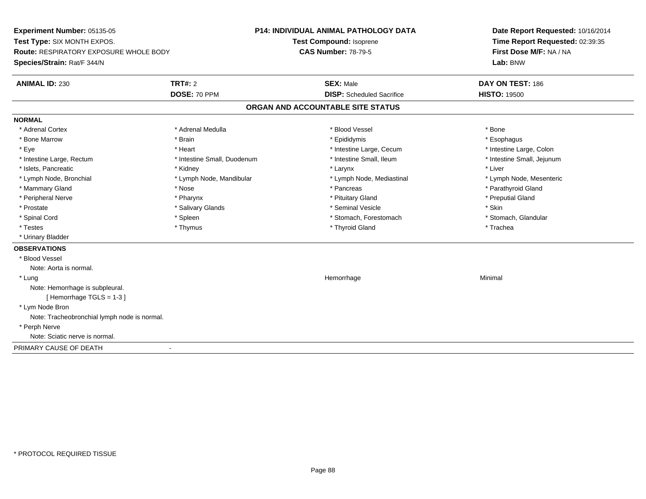**Experiment Number:** 05135-05**Test Type:** SIX MONTH EXPOS.**Route:** RESPIRATORY EXPOSURE WHOLE BODY**Species/Strain:** Rat/F 344/N**P14: INDIVIDUAL ANIMAL PATHOLOGY DATATest Compound:** Isoprene**CAS Number:** 78-79-5**Date Report Requested:** 10/16/2014**Time Report Requested:** 02:39:35**First Dose M/F:** NA / NA**Lab:** BNW**ANIMAL ID:** 230**TRT#:** 2 **SEX:** Male **DAY ON TEST:** 186 **DOSE:** 70 PPM**DISP:** Scheduled Sacrifice **HISTO:** 19500 **ORGAN AND ACCOUNTABLE SITE STATUSNORMAL**\* Adrenal Cortex \* Adrenal Cortex \* \* Adrenal Medulla \* \* Adrenal Medulla \* \* Blood Vessel \* \* Brood Vessel \* \* Bone \* Esophagus \* Bone Marrow \* Brain \* Epididymis \* Esophagus \* Intestine Large, Colon \* Eye \* The matrice of the test of the test of the test of the test of the test of the test of the test of the test of the test of the test of the test of the test of the test of the test of the test of the test of the tes \* Intestine Small, Jejunum \* Intestine Large, Rectum \* Intestine Small, Duodenum \* Intestine Small, Ileum \* Intestine Small, Ileum \* Islets, Pancreatic \* \* \* Andrew \* Kidney \* \* Kidney \* \* Larynx \* Larynx \* \* Larynx \* \* Liver \* Liver \* Liver \* Lymph Node, Bronchial \* Lymph Node, Mandibular \* Lymph Node, Mediastinal \* Lymph Node, Mesenteric\* Mammary Gland \* The strain of the strain of the strain of the strain of the strain of the strain of the strain of the strain of the strain of the strain of the strain of the strain of the strain of the strain of the stra \* Peripheral Nerve \* \* \* \* Pharynx \* \* Pharynx \* \* \* Preputial Gland \* \* Preputial Gland \* \* Preputial Gland \* Prostate \* \* Salivary Glands \* \* Salivary Glands \* \* Seminal Vesicle \* \* \* Seminal Yestrich \* \* Skin \* \* Skin \* Stomach, Glandular \* Spinal Cord \* Spinal Cord \* Spinal Cord \* Stomach, Forestomach \* Spinal Cord \* Stomach, Forestomach \* Testes \* Thymus \* Thyroid Gland \* Trachea \* Urinary Bladder**OBSERVATIONS** \* Blood VesselNote: Aorta is normal. \* Lungg and the state of the state of the state of the state of the Minimal Section 1, the state of the state of the Minimal Section 1, the state of the state of the state of the state of the state of the state of the state of t Note: Hemorrhage is subpleural.[ Hemorrhage TGLS = 1-3 ] \* Lym Node Bron Note: Tracheobronchial lymph node is normal. \* Perph Nerve Note: Sciatic nerve is normal.PRIMARY CAUSE OF DEATH-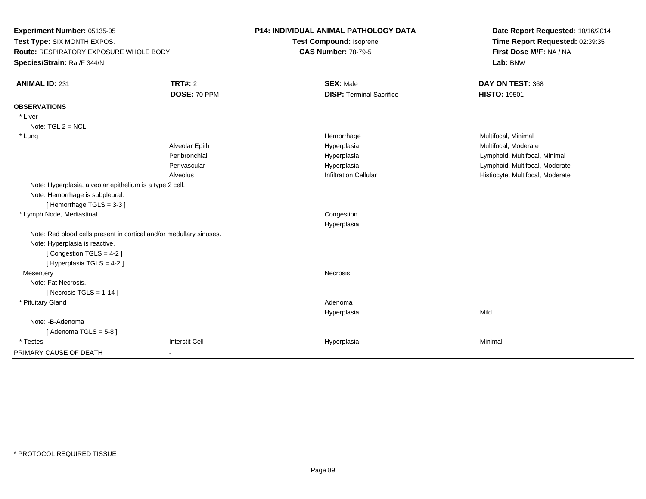**Experiment Number:** 05135-05 **Test Type:** SIX MONTH EXPOS. **Route:** RESPIRATORY EXPOSURE WHOLE BODY**Species/Strain:** Rat/F 344/N

## **P14: INDIVIDUAL ANIMAL PATHOLOGY DATA**

**Test Compound:** Isoprene**CAS Number:** 78-79-5

**Date Report Requested:** 10/16/2014**Time Report Requested:** 02:39:35**First Dose M/F:** NA / NA**Lab:** BNW

| <b>ANIMAL ID: 231</b>                                               | <b>TRT#: 2</b>        | <b>SEX: Male</b>                | DAY ON TEST: 368                 |
|---------------------------------------------------------------------|-----------------------|---------------------------------|----------------------------------|
|                                                                     | DOSE: 70 PPM          | <b>DISP: Terminal Sacrifice</b> | <b>HISTO: 19501</b>              |
| <b>OBSERVATIONS</b>                                                 |                       |                                 |                                  |
| * Liver                                                             |                       |                                 |                                  |
| Note: $TGL 2 = NCL$                                                 |                       |                                 |                                  |
| * Lung                                                              |                       | Hemorrhage                      | Multifocal, Minimal              |
|                                                                     | Alveolar Epith        | Hyperplasia                     | Multifocal, Moderate             |
|                                                                     | Peribronchial         | Hyperplasia                     | Lymphoid, Multifocal, Minimal    |
|                                                                     | Perivascular          | Hyperplasia                     | Lymphoid, Multifocal, Moderate   |
|                                                                     | Alveolus              | <b>Infiltration Cellular</b>    | Histiocyte, Multifocal, Moderate |
| Note: Hyperplasia, alveolar epithelium is a type 2 cell.            |                       |                                 |                                  |
| Note: Hemorrhage is subpleural.                                     |                       |                                 |                                  |
| [Hemorrhage TGLS = 3-3]                                             |                       |                                 |                                  |
| * Lymph Node, Mediastinal                                           |                       | Congestion                      |                                  |
|                                                                     |                       | Hyperplasia                     |                                  |
| Note: Red blood cells present in cortical and/or medullary sinuses. |                       |                                 |                                  |
| Note: Hyperplasia is reactive.                                      |                       |                                 |                                  |
| [Congestion TGLS = 4-2]                                             |                       |                                 |                                  |
| [ Hyperplasia TGLS = 4-2 ]                                          |                       |                                 |                                  |
| Mesentery                                                           |                       | Necrosis                        |                                  |
| Note: Fat Necrosis.                                                 |                       |                                 |                                  |
| [ Necrosis TGLS = $1-14$ ]                                          |                       |                                 |                                  |
| * Pituitary Gland                                                   |                       | Adenoma                         |                                  |
|                                                                     |                       | Hyperplasia                     | Mild                             |
| Note: -B-Adenoma                                                    |                       |                                 |                                  |
| [Adenoma TGLS = $5-8$ ]                                             |                       |                                 |                                  |
| * Testes                                                            | <b>Interstit Cell</b> | Hyperplasia                     | Minimal                          |
| PRIMARY CAUSE OF DEATH                                              | $\blacksquare$        |                                 |                                  |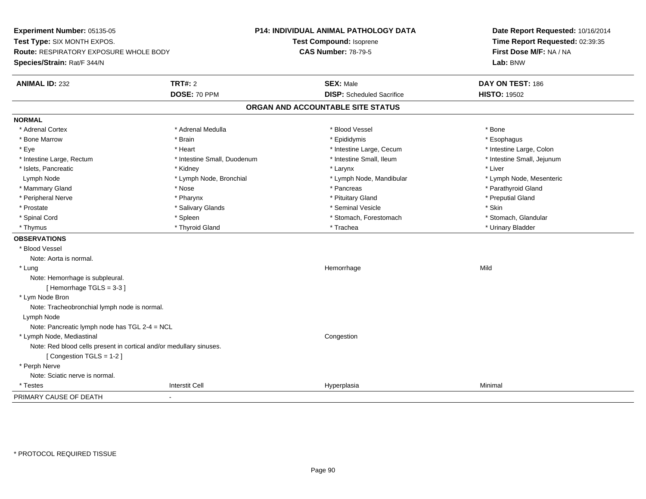**Experiment Number:** 05135-05**Test Type:** SIX MONTH EXPOS.**Route:** RESPIRATORY EXPOSURE WHOLE BODY**Species/Strain:** Rat/F 344/N**P14: INDIVIDUAL ANIMAL PATHOLOGY DATATest Compound:** Isoprene**CAS Number:** 78-79-5**Date Report Requested:** 10/16/2014**Time Report Requested:** 02:39:35**First Dose M/F:** NA / NA**Lab:** BNW**ANIMAL ID:** 232**TRT#:** 2 **SEX:** Male **DAY ON TEST:** 186 **DOSE:** 70 PPM**DISP:** Scheduled Sacrifice **HISTO:** 19502 **ORGAN AND ACCOUNTABLE SITE STATUSNORMAL**\* Adrenal Cortex \* Adrenal Cortex \* \* Adrenal Medulla \* \* Adrenal Medulla \* \* Blood Vessel \* \* Brood Vessel \* \* Bone \* Esophagus \* Bone Marrow \* Brain \* Epididymis \* Esophagus \* Intestine Large, Colon \* Eye \* The matter and the state of the test of the test of the test of the test of the test of the test of the test of the test of the test of the test of the test of the test of the test of the test of the test of test o \* Intestine Small, Jejunum \* Intestine Large, Rectum \* 1992 \* Intestine Small, Duodenum \* Intestine Small, Ileum \* Intestine Small, Ileum \* Islets, Pancreatic \* \* \* Andrew \* Kidney \* \* Kidney \* \* Larynx \* Larynx \* \* Larynx \* \* Liver \* Liver \* Liver Lymph Node \* Lymph Node, Bronchial \* Lymph Node, Mandibular \* Lymph Node, Mesenteric \* Mammary Gland \* The strain of the strain of the strain of the strain of the strain of the strain of the strain of the strain of the strain of the strain of the strain of the strain of the strain of the strain of the stra \* Peripheral Nerve \* \* \* \* Pharynx \* \* Pharynx \* \* \* Preputial Gland \* \* Preputial Gland \* \* Preputial Gland \* Prostate \* \* Salivary Glands \* \* Salivary Glands \* \* Seminal Vesicle \* \* \* Seminal Yestrich \* \* Skin \* \* Skin \* Stomach, Glandular \* Spinal Cord **\* Stomach, Forestomach \* Spinal Cord \*** Stomach, Forestomach \* Stomach, Forestomach \* Thymus \* Thyroid Gland \* Trachea \* Urinary Bladder \* **OBSERVATIONS** \* Blood VesselNote: Aorta is normal. \* Lungg and the state of the state of the state of the state of the Hemorrhage state of the Mild of the Mild of the S Note: Hemorrhage is subpleural.[ Hemorrhage TGLS = 3-3 ] \* Lym Node Bron Note: Tracheobronchial lymph node is normal. Lymph Node Note: Pancreatic lymph node has TGL 2-4 = NCL \* Lymph Node, Mediastinal CongestionNote: Red blood cells present in cortical and/or medullary sinuses.[ Congestion TGLS = 1-2 ] \* Perph Nerve Note: Sciatic nerve is normal. \* Testess and the contract of the contract of the contract of the contract of the contract of the contract of the contract of the contract of the contract of the contract of the contract of the contract of the contract of the cont a Minimal PRIMARY CAUSE OF DEATH-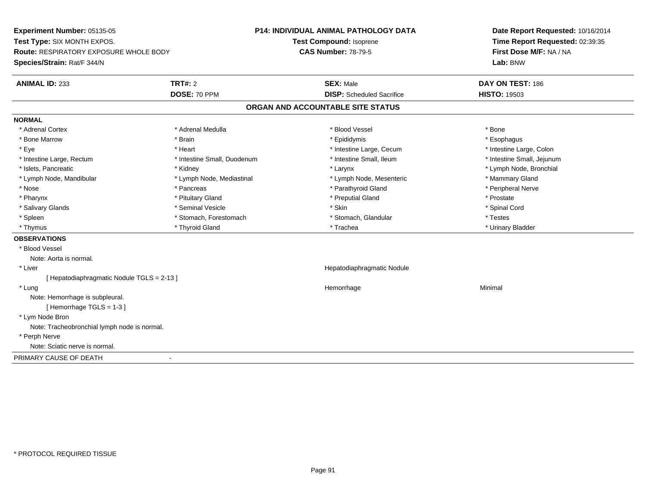**Experiment Number:** 05135-05**Test Type:** SIX MONTH EXPOS.**Route:** RESPIRATORY EXPOSURE WHOLE BODY**Species/Strain:** Rat/F 344/N**P14: INDIVIDUAL ANIMAL PATHOLOGY DATATest Compound:** Isoprene**CAS Number:** 78-79-5**Date Report Requested:** 10/16/2014**Time Report Requested:** 02:39:35**First Dose M/F:** NA / NA**Lab:** BNW**ANIMAL ID:** 233**TRT#:** 2 **SEX:** Male **DAY ON TEST:** 186 **DOSE:** 70 PPM**DISP:** Scheduled Sacrifice **HISTO:** 19503 **ORGAN AND ACCOUNTABLE SITE STATUSNORMAL**\* Adrenal Cortex \* Adrenal Cortex \* \* Adrenal Medulla \* \* Adrenal Medulla \* \* Blood Vessel \* \* Brood Vessel \* \* Bone \* Esophagus \* Bone Marrow \* Brain \* Epididymis \* Esophagus \* Intestine Large, Colon \* Eye \* The matrice of the test of the test of the test of the test of the test of the test of the test of the test of the test of the test of the test of the test of the test of the test of the test of the test of the tes \* Intestine Small, Jejunum \* Intestine Large, Rectum \* Intestine Small, Duodenum \* Intestine Small, Ileum \* Intestine Small, Ileum \* Islets, Pancreatic \* Kidney \* Larynx \* Lymph Node, Bronchial \* Lymph Node, Mandibular \* Lymph Node, Mediastinal \* Lymph Node, Mesenteric \* Mammary Gland \* Peripheral Nerve \* Nose \* \* Pancreas \* \* Pancreas \* \* Pancreas \* \* Parathyroid Gland \* \* Peripheral Nerve \* Peripheral Nerve \* \* Pharynx \* Pituitary Gland \* Preputial Gland \* Prostate \* Spinal Cord \* Salivary Glands \* \* Seminal Vesicle \* \* Seminal Vesicle \* \* Skin \* \* Skin \* \* Stember \* Spinal Cord \* Spinal Cord \* Spinal Cord \* Spinal Cord \* Spinal Cord \* Spinal Cord \* Spinal Cord \* Spinal Cord \* Spinal Cord \* Spinal \* Spleen \* Stomach, Forestomach \* Stomach \* Stomach, Slandular \* Testes \* Testes \* Urinary Bladder \* Thymus \* Thyroid Gland \* Trachea \* Urinary Bladder \* **OBSERVATIONS** \* Blood VesselNote: Aorta is normal. \* Liver Hepatodiaphragmatic Nodule[ Hepatodiaphragmatic Nodule TGLS = 2-13 ] \* Lungg and the state of the state of the state of the state of the Minimal Section 1, the state of the state of the Minimal Section 1, the state of the state of the state of the state of the state of the state of the state of t Note: Hemorrhage is subpleural.[ Hemorrhage TGLS = 1-3 ] \* Lym Node Bron Note: Tracheobronchial lymph node is normal. \* Perph Nerve Note: Sciatic nerve is normal.PRIMARY CAUSE OF DEATH-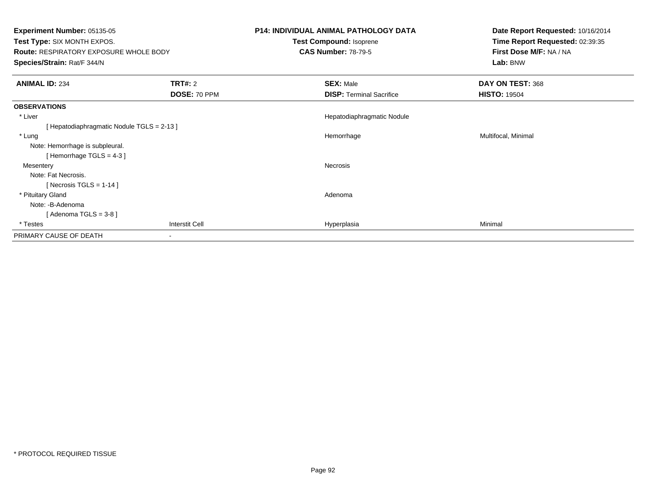| <b>Experiment Number: 05135-05</b><br>Test Type: SIX MONTH EXPOS.<br><b>Route: RESPIRATORY EXPOSURE WHOLE BODY</b><br>Species/Strain: Rat/F 344/N |                                | P14: INDIVIDUAL ANIMAL PATHOLOGY DATA<br>Test Compound: Isoprene<br><b>CAS Number: 78-79-5</b> | Date Report Requested: 10/16/2014<br>Time Report Requested: 02:39:35<br>First Dose M/F: NA / NA<br>Lab: BNW |
|---------------------------------------------------------------------------------------------------------------------------------------------------|--------------------------------|------------------------------------------------------------------------------------------------|-------------------------------------------------------------------------------------------------------------|
| <b>ANIMAL ID: 234</b>                                                                                                                             | <b>TRT#: 2</b><br>DOSE: 70 PPM | <b>SEX: Male</b><br><b>DISP: Terminal Sacrifice</b>                                            | DAY ON TEST: 368<br><b>HISTO: 19504</b>                                                                     |
| <b>OBSERVATIONS</b>                                                                                                                               |                                |                                                                                                |                                                                                                             |
| * Liver                                                                                                                                           |                                | Hepatodiaphragmatic Nodule                                                                     |                                                                                                             |
| [Hepatodiaphragmatic Nodule TGLS = 2-13]                                                                                                          |                                |                                                                                                |                                                                                                             |
| * Lung                                                                                                                                            |                                | Hemorrhage                                                                                     | Multifocal, Minimal                                                                                         |
| Note: Hemorrhage is subpleural.                                                                                                                   |                                |                                                                                                |                                                                                                             |
| [Hemorrhage TGLS = $4-3$ ]                                                                                                                        |                                |                                                                                                |                                                                                                             |
| Mesentery                                                                                                                                         |                                | Necrosis                                                                                       |                                                                                                             |
| Note: Fat Necrosis.                                                                                                                               |                                |                                                                                                |                                                                                                             |
| [ Necrosis TGLS = $1-14$ ]                                                                                                                        |                                |                                                                                                |                                                                                                             |
| * Pituitary Gland                                                                                                                                 |                                | Adenoma                                                                                        |                                                                                                             |
| Note: -B-Adenoma                                                                                                                                  |                                |                                                                                                |                                                                                                             |
| [Adenoma TGLS = $3-8$ ]                                                                                                                           |                                |                                                                                                |                                                                                                             |
| * Testes                                                                                                                                          | Interstit Cell                 | Hyperplasia                                                                                    | Minimal                                                                                                     |
| PRIMARY CAUSE OF DEATH                                                                                                                            |                                |                                                                                                |                                                                                                             |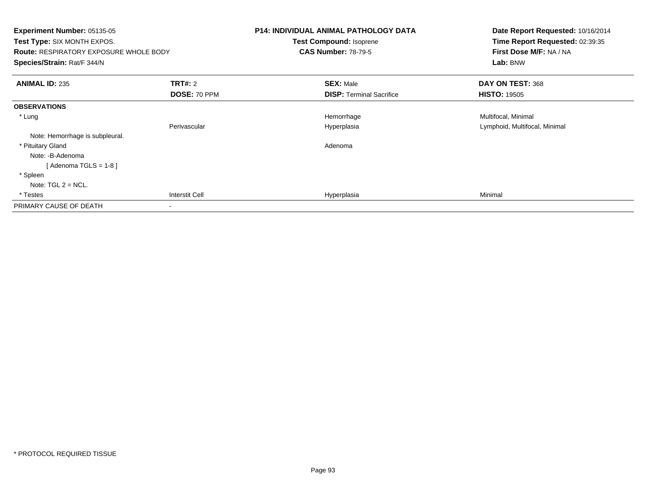| <b>Experiment Number: 05135-05</b><br>Test Type: SIX MONTH EXPOS.<br><b>Route: RESPIRATORY EXPOSURE WHOLE BODY</b><br>Species/Strain: Rat/F 344/N |                | <b>P14: INDIVIDUAL ANIMAL PATHOLOGY DATA</b><br><b>Test Compound: Isoprene</b><br><b>CAS Number: 78-79-5</b> | Date Report Requested: 10/16/2014<br>Time Report Requested: 02:39:35<br>First Dose M/F: NA / NA<br>Lab: BNW |
|---------------------------------------------------------------------------------------------------------------------------------------------------|----------------|--------------------------------------------------------------------------------------------------------------|-------------------------------------------------------------------------------------------------------------|
| <b>ANIMAL ID: 235</b>                                                                                                                             | <b>TRT#: 2</b> | <b>SEX: Male</b>                                                                                             | DAY ON TEST: 368                                                                                            |
|                                                                                                                                                   | DOSE: 70 PPM   | <b>DISP:</b> Terminal Sacrifice                                                                              | <b>HISTO: 19505</b>                                                                                         |
| <b>OBSERVATIONS</b>                                                                                                                               |                |                                                                                                              |                                                                                                             |
| * Lung                                                                                                                                            |                | Hemorrhage                                                                                                   | Multifocal, Minimal                                                                                         |
|                                                                                                                                                   | Perivascular   | Hyperplasia                                                                                                  | Lymphoid, Multifocal, Minimal                                                                               |
| Note: Hemorrhage is subpleural.                                                                                                                   |                |                                                                                                              |                                                                                                             |
| * Pituitary Gland                                                                                                                                 |                | Adenoma                                                                                                      |                                                                                                             |
| Note: -B-Adenoma                                                                                                                                  |                |                                                                                                              |                                                                                                             |
| [Adenoma TGLS = $1-8$ ]                                                                                                                           |                |                                                                                                              |                                                                                                             |
| * Spleen                                                                                                                                          |                |                                                                                                              |                                                                                                             |
| Note: $TGL 2 = NCL$ .                                                                                                                             |                |                                                                                                              |                                                                                                             |
| * Testes                                                                                                                                          | Interstit Cell | Hyperplasia                                                                                                  | Minimal                                                                                                     |
| PRIMARY CAUSE OF DEATH                                                                                                                            |                |                                                                                                              |                                                                                                             |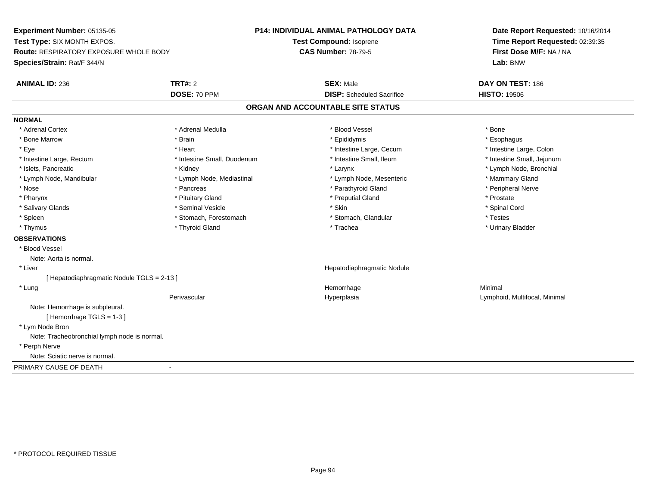**Experiment Number:** 05135-05**Test Type:** SIX MONTH EXPOS.**Route:** RESPIRATORY EXPOSURE WHOLE BODY**Species/Strain:** Rat/F 344/N**P14: INDIVIDUAL ANIMAL PATHOLOGY DATATest Compound:** Isoprene**CAS Number:** 78-79-5**Date Report Requested:** 10/16/2014**Time Report Requested:** 02:39:35**First Dose M/F:** NA / NA**Lab:** BNW**ANIMAL ID:** 236**TRT#:** 2 **SEX:** Male **DAY ON TEST:** 186 **DOSE:** 70 PPM**DISP:** Scheduled Sacrifice **HISTO:** 19506 **ORGAN AND ACCOUNTABLE SITE STATUSNORMAL**\* Adrenal Cortex \* Adrenal Cortex \* \* Adrenal Medulla \* \* Adrenal Medulla \* \* Blood Vessel \* \* Brood Vessel \* \* Bone \* Esophagus \* Bone Marrow \* Brain \* Epididymis \* Esophagus \* Intestine Large, Colon \* Eye \* The matter and the state of the test of the test of the test of the test of the test of the test of the test of the test of the test of the test of the test of the test of the test of the test of the test of test o \* Intestine Small, Jejunum \* Intestine Large, Rectum \* Intestine Small, Duodenum \* Intestine Small, Ileum \* Intestine Small, Ileum \* Islets, Pancreatic \* Kidney \* Larynx \* Lymph Node, Bronchial \* Lymph Node, Mandibular \* Lymph Node, Mediastinal \* Lymph Node, Mesenteric \* Mammary Gland \* Peripheral Nerve \* Nose \* \* Pancreas \* \* Pancreas \* \* Pancreas \* \* Parathyroid Gland \* \* Peripheral Nerve \* Peripheral Nerve \* \* Pharynx \* Pituitary Gland \* Preputial Gland \* Prostate \* Spinal Cord \* Salivary Glands \* \* Seminal Vesicle \* \* Seminal Vesicle \* \* Skin \* \* Skin \* \* Stember \* Spinal Cord \* Spinal Cord \* Spinal Cord \* Spinal Cord \* Spinal Cord \* Spinal Cord \* Spinal Cord \* Spinal Cord \* Spinal Cord \* Spinal \* Spleen \* Stomach, Forestomach \* Stomach \* Stomach, Slandular \* Testes \* Testes \* Urinary Bladder \* Thymus \* Thyroid Gland \* Trachea \* Urinary Bladder \* **OBSERVATIONS** \* Blood VesselNote: Aorta is normal. \* Liver Hepatodiaphragmatic Nodule[ Hepatodiaphragmatic Nodule TGLS = 2-13 ] \* Lungg and the state of the state of the state of the state of the Minimal Section 1, the state of the state of the Minimal Section 1, the state of the state of the state of the state of the state of the state of the state of t Perivascular Hyperplasia Lymphoid, Multifocal, Minimal Note: Hemorrhage is subpleural.[ Hemorrhage TGLS = 1-3 ] \* Lym Node Bron Note: Tracheobronchial lymph node is normal. \* Perph Nerve Note: Sciatic nerve is normal.PRIMARY CAUSE OF DEATH-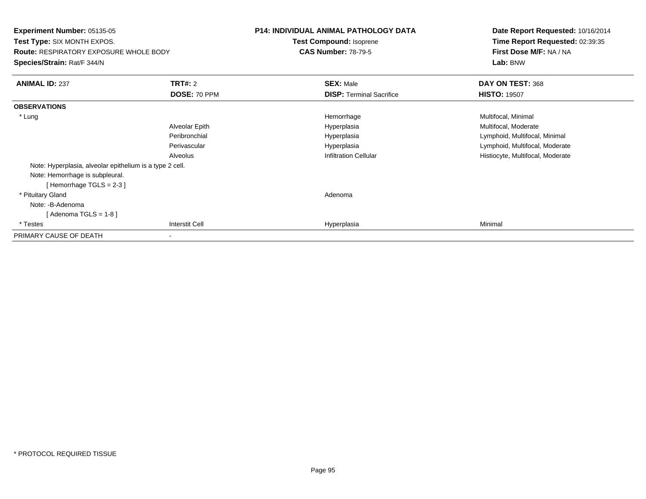**Experiment Number:** 05135-05**Test Type:** SIX MONTH EXPOS.**Route:** RESPIRATORY EXPOSURE WHOLE BODY**Species/Strain:** Rat/F 344/N**P14: INDIVIDUAL ANIMAL PATHOLOGY DATATest Compound:** Isoprene**CAS Number:** 78-79-5**Date Report Requested:** 10/16/2014**Time Report Requested:** 02:39:35**First Dose M/F:** NA / NA**Lab:** BNW**ANIMAL ID:** 237**TRT#:** 2 **SEX:** Male **DAY ON TEST:** 368 **DOSE:** 70 PPM**DISP:** Terminal Sacrifice **HISTO:** 19507 **OBSERVATIONS** \* Lungg and the morrhage of the morrhage of the morrhage  $\theta$  and  $\theta$  and  $\theta$  and  $\theta$  and  $\theta$  and  $\theta$  and  $\theta$  and  $\theta$  and  $\theta$  and  $\theta$  and  $\theta$  and  $\theta$  and  $\theta$  and  $\theta$  and  $\theta$  and  $\theta$  and  $\theta$  and  $\theta$  and  $\theta$  and Alveolar EpithHyperplasia **Multifocal, Moderate** Multifocal, Moderate Peribronchial Hyperplasia Lymphoid, Multifocal, Minimal Perivascular HyperplasiaHyperplasia<br>
Lymphoid, Multifocal, Moderate<br>
Infiltration Cellular<br>
Instituted Multifocal, Moderate AlveolusHistiocyte, Multifocal, Moderate Note: Hyperplasia, alveolar epithelium is a type 2 cell.Note: Hemorrhage is subpleural.[ Hemorrhage TGLS = 2-3 ] \* Pituitary Glandd and a state of the control of the control of the control of the control of the control of the control of the control of the control of the control of the control of the control of the control of the control of the contro Note: -B-Adenoma [ Adenoma TGLS = 1-8 ] \* Testess and the contract of the contract of the contract of the contract of the contract of the contract of the contract of the contract of the contract of the contract of the contract of the contract of the contract of the cont a Minimal PRIMARY CAUSE OF DEATH-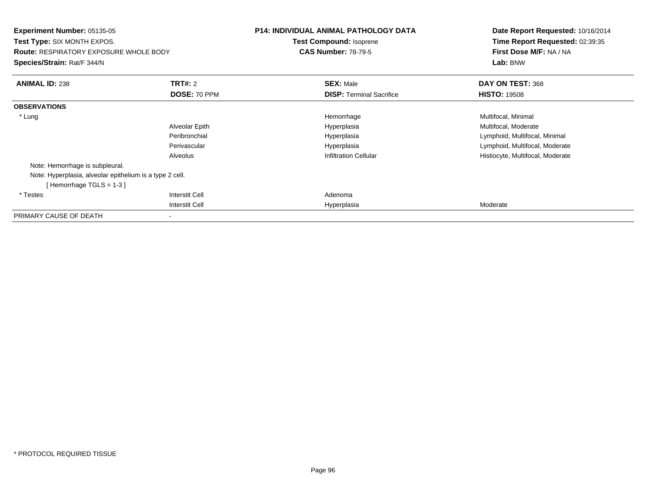| <b>Experiment Number: 05135-05</b><br><b>Test Type: SIX MONTH EXPOS.</b><br><b>Route: RESPIRATORY EXPOSURE WHOLE BODY</b><br>Species/Strain: Rat/F 344/N |                | <b>P14: INDIVIDUAL ANIMAL PATHOLOGY DATA</b><br>Test Compound: Isoprene<br><b>CAS Number: 78-79-5</b> | Date Report Requested: 10/16/2014<br>Time Report Requested: 02:39:35<br>First Dose M/F: NA / NA<br>Lab: BNW |
|----------------------------------------------------------------------------------------------------------------------------------------------------------|----------------|-------------------------------------------------------------------------------------------------------|-------------------------------------------------------------------------------------------------------------|
|                                                                                                                                                          |                |                                                                                                       |                                                                                                             |
| <b>ANIMAL ID: 238</b>                                                                                                                                    | <b>TRT#: 2</b> | <b>SEX: Male</b>                                                                                      | DAY ON TEST: 368                                                                                            |
|                                                                                                                                                          | DOSE: 70 PPM   | <b>DISP: Terminal Sacrifice</b>                                                                       | <b>HISTO: 19508</b>                                                                                         |
| <b>OBSERVATIONS</b>                                                                                                                                      |                |                                                                                                       |                                                                                                             |
| * Lung                                                                                                                                                   |                | Hemorrhage                                                                                            | Multifocal, Minimal                                                                                         |
|                                                                                                                                                          | Alveolar Epith | Hyperplasia                                                                                           | Multifocal, Moderate                                                                                        |
|                                                                                                                                                          | Peribronchial  | Hyperplasia                                                                                           | Lymphoid, Multifocal, Minimal                                                                               |
|                                                                                                                                                          | Perivascular   | Hyperplasia                                                                                           | Lymphoid, Multifocal, Moderate                                                                              |
|                                                                                                                                                          | Alveolus       | <b>Infiltration Cellular</b>                                                                          | Histiocyte, Multifocal, Moderate                                                                            |
| Note: Hemorrhage is subpleural.                                                                                                                          |                |                                                                                                       |                                                                                                             |
| Note: Hyperplasia, alveolar epithelium is a type 2 cell.                                                                                                 |                |                                                                                                       |                                                                                                             |
| [Hemorrhage TGLS = $1-3$ ]                                                                                                                               |                |                                                                                                       |                                                                                                             |
| * Testes                                                                                                                                                 | Interstit Cell | Adenoma                                                                                               |                                                                                                             |
|                                                                                                                                                          | Interstit Cell | Hyperplasia                                                                                           | Moderate                                                                                                    |
| PRIMARY CAUSE OF DEATH                                                                                                                                   |                |                                                                                                       |                                                                                                             |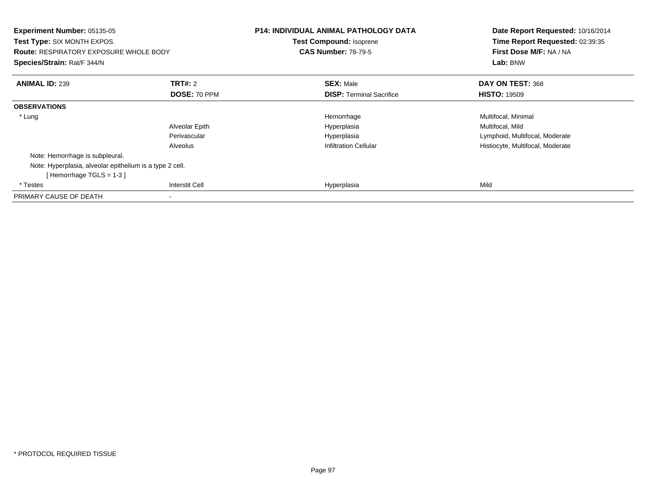| <b>Experiment Number: 05135-05</b><br><b>Test Type: SIX MONTH EXPOS.</b><br><b>Route: RESPIRATORY EXPOSURE WHOLE BODY</b><br>Species/Strain: Rat/F 344/N |                       | <b>P14: INDIVIDUAL ANIMAL PATHOLOGY DATA</b><br><b>Test Compound: Isoprene</b><br><b>CAS Number: 78-79-5</b> | Date Report Requested: 10/16/2014<br>Time Report Requested: 02:39:35<br>First Dose M/F: NA / NA<br>Lab: BNW |
|----------------------------------------------------------------------------------------------------------------------------------------------------------|-----------------------|--------------------------------------------------------------------------------------------------------------|-------------------------------------------------------------------------------------------------------------|
| <b>ANIMAL ID: 239</b>                                                                                                                                    | <b>TRT#: 2</b>        | <b>SEX: Male</b>                                                                                             | DAY ON TEST: 368                                                                                            |
|                                                                                                                                                          | DOSE: 70 PPM          | <b>DISP:</b> Terminal Sacrifice                                                                              | <b>HISTO: 19509</b>                                                                                         |
| <b>OBSERVATIONS</b>                                                                                                                                      |                       |                                                                                                              |                                                                                                             |
| * Lung                                                                                                                                                   |                       | Hemorrhage                                                                                                   | Multifocal, Minimal                                                                                         |
|                                                                                                                                                          | Alveolar Epith        | Hyperplasia                                                                                                  | Multifocal, Mild                                                                                            |
|                                                                                                                                                          | Perivascular          | Hyperplasia                                                                                                  | Lymphoid, Multifocal, Moderate                                                                              |
|                                                                                                                                                          | Alveolus              | <b>Infiltration Cellular</b>                                                                                 | Histiocyte, Multifocal, Moderate                                                                            |
| Note: Hemorrhage is subpleural.                                                                                                                          |                       |                                                                                                              |                                                                                                             |
| Note: Hyperplasia, alveolar epithelium is a type 2 cell.                                                                                                 |                       |                                                                                                              |                                                                                                             |
| [Hemorrhage TGLS = $1-3$ ]                                                                                                                               |                       |                                                                                                              |                                                                                                             |
| * Testes                                                                                                                                                 | <b>Interstit Cell</b> | Hyperplasia                                                                                                  | Mild                                                                                                        |
| PRIMARY CAUSE OF DEATH                                                                                                                                   |                       |                                                                                                              |                                                                                                             |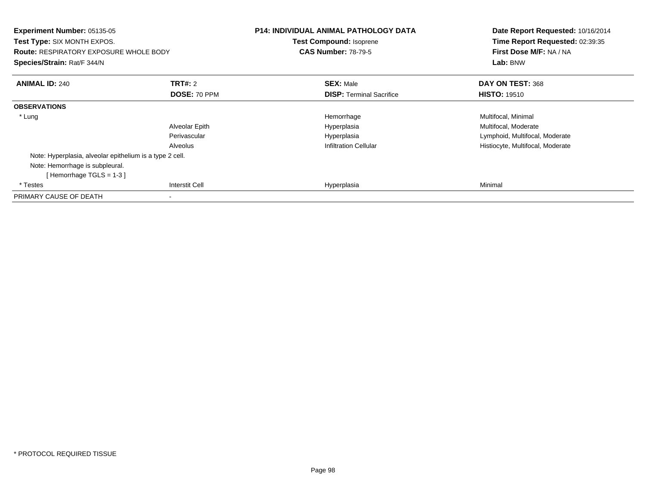| Experiment Number: 05135-05<br><b>Test Type: SIX MONTH EXPOS.</b><br><b>Route: RESPIRATORY EXPOSURE WHOLE BODY</b><br>Species/Strain: Rat/F 344/N |                       | <b>P14: INDIVIDUAL ANIMAL PATHOLOGY DATA</b><br>Test Compound: Isoprene<br><b>CAS Number: 78-79-5</b> | Date Report Requested: 10/16/2014<br>Time Report Requested: 02:39:35<br>First Dose M/F: NA / NA<br>Lab: BNW |
|---------------------------------------------------------------------------------------------------------------------------------------------------|-----------------------|-------------------------------------------------------------------------------------------------------|-------------------------------------------------------------------------------------------------------------|
| <b>ANIMAL ID: 240</b>                                                                                                                             | <b>TRT#: 2</b>        | <b>SEX: Male</b>                                                                                      | DAY ON TEST: 368                                                                                            |
|                                                                                                                                                   | DOSE: 70 PPM          | <b>DISP:</b> Terminal Sacrifice                                                                       | <b>HISTO: 19510</b>                                                                                         |
| <b>OBSERVATIONS</b>                                                                                                                               |                       |                                                                                                       |                                                                                                             |
| * Lung                                                                                                                                            |                       | Hemorrhage                                                                                            | Multifocal, Minimal                                                                                         |
|                                                                                                                                                   | Alveolar Epith        | Hyperplasia                                                                                           | Multifocal, Moderate                                                                                        |
|                                                                                                                                                   | Perivascular          | Hyperplasia                                                                                           | Lymphoid, Multifocal, Moderate                                                                              |
|                                                                                                                                                   | Alveolus              | <b>Infiltration Cellular</b>                                                                          | Histiocyte, Multifocal, Moderate                                                                            |
| Note: Hyperplasia, alveolar epithelium is a type 2 cell.                                                                                          |                       |                                                                                                       |                                                                                                             |
| Note: Hemorrhage is subpleural.                                                                                                                   |                       |                                                                                                       |                                                                                                             |
| [Hemorrhage TGLS = $1-3$ ]                                                                                                                        |                       |                                                                                                       |                                                                                                             |
| * Testes                                                                                                                                          | <b>Interstit Cell</b> | Hyperplasia                                                                                           | Minimal                                                                                                     |
| PRIMARY CAUSE OF DEATH                                                                                                                            |                       |                                                                                                       |                                                                                                             |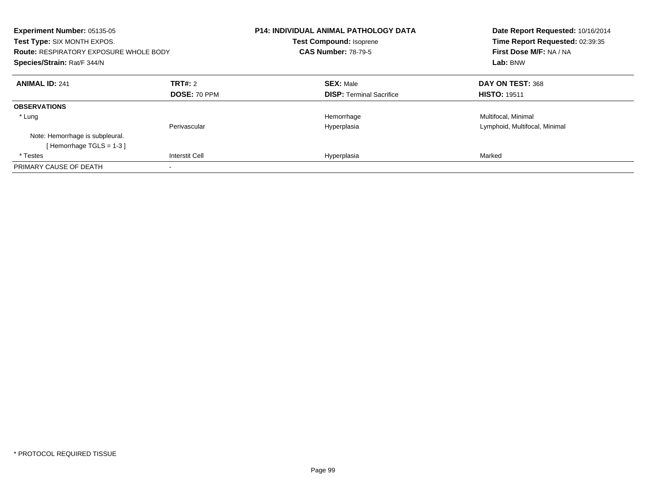| Experiment Number: 05135-05<br>Test Type: SIX MONTH EXPOS.<br><b>Route: RESPIRATORY EXPOSURE WHOLE BODY</b><br>Species/Strain: Rat/F 344/N |                       | <b>P14: INDIVIDUAL ANIMAL PATHOLOGY DATA</b><br><b>Test Compound: Isoprene</b><br><b>CAS Number: 78-79-5</b> | Date Report Requested: 10/16/2014<br>Time Report Requested: 02:39:35<br>First Dose M/F: NA / NA<br>Lab: BNW |
|--------------------------------------------------------------------------------------------------------------------------------------------|-----------------------|--------------------------------------------------------------------------------------------------------------|-------------------------------------------------------------------------------------------------------------|
| <b>ANIMAL ID: 241</b>                                                                                                                      | TRT#: 2               | <b>SEX: Male</b>                                                                                             | DAY ON TEST: 368                                                                                            |
|                                                                                                                                            | DOSE: 70 PPM          | <b>DISP:</b> Terminal Sacrifice                                                                              | <b>HISTO: 19511</b>                                                                                         |
| <b>OBSERVATIONS</b>                                                                                                                        |                       |                                                                                                              |                                                                                                             |
| * Lung                                                                                                                                     |                       | Hemorrhage                                                                                                   | Multifocal, Minimal                                                                                         |
|                                                                                                                                            | Perivascular          | Hyperplasia                                                                                                  | Lymphoid, Multifocal, Minimal                                                                               |
| Note: Hemorrhage is subpleural.                                                                                                            |                       |                                                                                                              |                                                                                                             |
| [Hemorrhage TGLS = $1-3$ ]                                                                                                                 |                       |                                                                                                              |                                                                                                             |
| * Testes                                                                                                                                   | <b>Interstit Cell</b> | Hyperplasia                                                                                                  | Marked                                                                                                      |
| PRIMARY CAUSE OF DEATH                                                                                                                     |                       |                                                                                                              |                                                                                                             |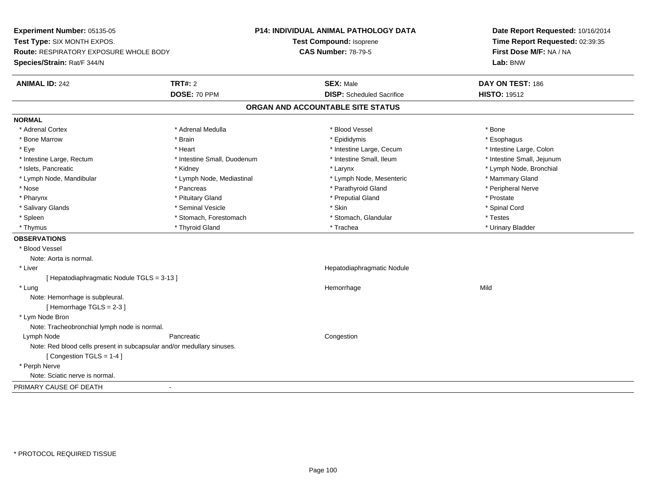**Experiment Number:** 05135-05**Test Type:** SIX MONTH EXPOS.**Route:** RESPIRATORY EXPOSURE WHOLE BODY**Species/Strain:** Rat/F 344/N**P14: INDIVIDUAL ANIMAL PATHOLOGY DATATest Compound:** Isoprene**CAS Number:** 78-79-5**Date Report Requested:** 10/16/2014**Time Report Requested:** 02:39:35**First Dose M/F:** NA / NA**Lab:** BNW**ANIMAL ID:** 242**TRT#:** 2 **SEX:** Male **DAY ON TEST:** 186 **DOSE:** 70 PPM**DISP:** Scheduled Sacrifice **HISTO:** 19512 **ORGAN AND ACCOUNTABLE SITE STATUSNORMAL**\* Adrenal Cortex \* Adrenal Cortex \* \* Adrenal Medulla \* \* Adrenal Medulla \* \* Blood Vessel \* \* Brood Vessel \* \* Bone \* Esophagus \* Bone Marrow \* Brain \* Epididymis \* Esophagus \* Intestine Large, Colon \* Eye \* The state of the state of the state of the state of the state of the state of the state of the state of the state of the state of the state of the state of the state of the state of the state of the state of the st \* Intestine Small, Jejunum \* Intestine Large, Rectum \* 1992 \* Intestine Small, Duodenum \* Intestine Small, Ileum \* Intestine Small, Ileum \* Islets, Pancreatic \* Kidney \* Larynx \* Lymph Node, Bronchial \* Lymph Node, Mandibular \* Lymph Node, Mediastinal \* Lymph Node, Mesenteric \* Mammary Gland \* Peripheral Nerve \* Nose \* \* Pancreas \* \* Pancreas \* \* Pancreas \* \* Parathyroid Gland \* \* Peripheral Nerve \* Peripheral Nerve \* \* Pharynx \* Pituitary Gland \* Preputial Gland \* Prostate \* Spinal Cord \* Salivary Glands \* \* Seminal Vesicle \* \* Seminal Vesicle \* \* Skin \* \* Skin \* \* Stember \* Spinal Cord \* Spinal Cord \* Spinal Cord \* Spinal Cord \* Spinal Cord \* Spinal Cord \* Spinal Cord \* Spinal Cord \* Spinal Cord \* Spinal \* Spleen \* Stomach, Forestomach \* Stomach \* Stomach, Slandular \* Testes \* Testes \* Urinary Bladder \* Thymus \* Thyroid Gland \* Trachea \* Urinary Bladder \* **OBSERVATIONS** \* Blood VesselNote: Aorta is normal. \* Liver Hepatodiaphragmatic Nodule[ Hepatodiaphragmatic Nodule TGLS = 3-13 ] \* Lungg and the state of the state of the state of the state of the Hemorrhage state of the Mild of the Mild of the S Note: Hemorrhage is subpleural.[ Hemorrhage TGLS = 2-3 ] \* Lym Node Bron Note: Tracheobronchial lymph node is normal. Lymph Nodee congestion contractive properties of the Pancreatic Congestion congestion Note: Red blood cells present in subcapsular and/or medullary sinuses.[ Congestion TGLS = 1-4 ] \* Perph Nerve Note: Sciatic nerve is normal.PRIMARY CAUSE OF DEATH-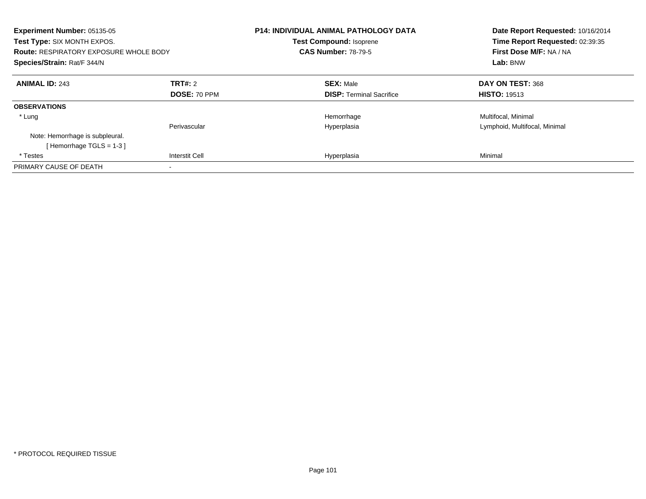| Experiment Number: 05135-05<br>Test Type: SIX MONTH EXPOS.<br><b>Route: RESPIRATORY EXPOSURE WHOLE BODY</b><br>Species/Strain: Rat/F 344/N |                       | <b>P14: INDIVIDUAL ANIMAL PATHOLOGY DATA</b><br><b>Test Compound: Isoprene</b><br><b>CAS Number: 78-79-5</b> | Date Report Requested: 10/16/2014<br>Time Report Requested: 02:39:35<br>First Dose M/F: NA / NA<br>Lab: BNW |
|--------------------------------------------------------------------------------------------------------------------------------------------|-----------------------|--------------------------------------------------------------------------------------------------------------|-------------------------------------------------------------------------------------------------------------|
| <b>ANIMAL ID: 243</b>                                                                                                                      | TRT#: 2               | <b>SEX: Male</b>                                                                                             | DAY ON TEST: 368                                                                                            |
|                                                                                                                                            | DOSE: 70 PPM          | <b>DISP:</b> Terminal Sacrifice                                                                              | <b>HISTO: 19513</b>                                                                                         |
| <b>OBSERVATIONS</b>                                                                                                                        |                       |                                                                                                              |                                                                                                             |
| * Lung                                                                                                                                     |                       | Hemorrhage                                                                                                   | Multifocal, Minimal                                                                                         |
|                                                                                                                                            | Perivascular          | Hyperplasia                                                                                                  | Lymphoid, Multifocal, Minimal                                                                               |
| Note: Hemorrhage is subpleural.                                                                                                            |                       |                                                                                                              |                                                                                                             |
| [Hemorrhage TGLS = $1-3$ ]                                                                                                                 |                       |                                                                                                              |                                                                                                             |
| * Testes                                                                                                                                   | <b>Interstit Cell</b> | Hyperplasia                                                                                                  | Minimal                                                                                                     |
| PRIMARY CAUSE OF DEATH                                                                                                                     |                       |                                                                                                              |                                                                                                             |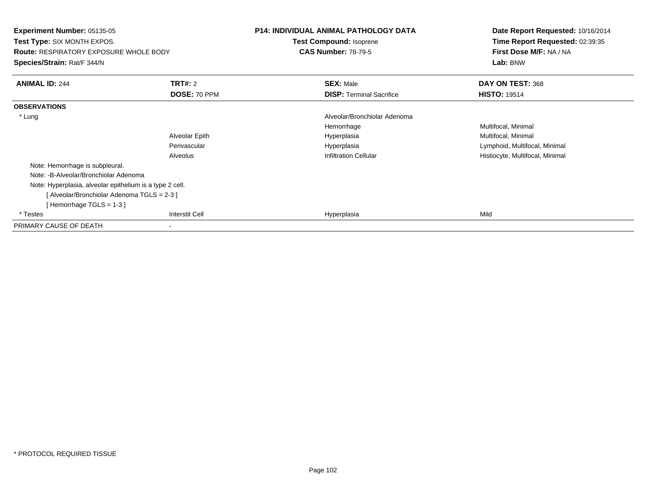| <b>Experiment Number: 05135-05</b><br><b>Test Type: SIX MONTH EXPOS.</b> |                | <b>P14: INDIVIDUAL ANIMAL PATHOLOGY DATA</b><br>Test Compound: Isoprene |                                 | Date Report Requested: 10/16/2014<br>Time Report Requested: 02:39:35 |                                               |
|--------------------------------------------------------------------------|----------------|-------------------------------------------------------------------------|---------------------------------|----------------------------------------------------------------------|-----------------------------------------------|
|                                                                          |                |                                                                         |                                 |                                                                      | <b>Route: RESPIRATORY EXPOSURE WHOLE BODY</b> |
| Species/Strain: Rat/F 344/N                                              |                |                                                                         |                                 | Lab: BNW                                                             |                                               |
| <b>ANIMAL ID: 244</b>                                                    | <b>TRT#: 2</b> |                                                                         | <b>SEX: Male</b>                | DAY ON TEST: 368                                                     |                                               |
|                                                                          | DOSE: 70 PPM   |                                                                         | <b>DISP: Terminal Sacrifice</b> | <b>HISTO: 19514</b>                                                  |                                               |
| <b>OBSERVATIONS</b>                                                      |                |                                                                         |                                 |                                                                      |                                               |
| * Lung                                                                   |                |                                                                         | Alveolar/Bronchiolar Adenoma    |                                                                      |                                               |
|                                                                          |                |                                                                         | Hemorrhage                      | Multifocal, Minimal                                                  |                                               |
|                                                                          | Alveolar Epith |                                                                         | Hyperplasia                     | Multifocal, Minimal                                                  |                                               |
|                                                                          | Perivascular   |                                                                         | Hyperplasia                     | Lymphoid, Multifocal, Minimal                                        |                                               |
|                                                                          | Alveolus       |                                                                         | <b>Infiltration Cellular</b>    | Histiocyte, Multifocal, Minimal                                      |                                               |
| Note: Hemorrhage is subpleural.                                          |                |                                                                         |                                 |                                                                      |                                               |
| Note: -B-Alveolar/Bronchiolar Adenoma                                    |                |                                                                         |                                 |                                                                      |                                               |
| Note: Hyperplasia, alveolar epithelium is a type 2 cell.                 |                |                                                                         |                                 |                                                                      |                                               |
| [ Alveolar/Bronchiolar Adenoma TGLS = 2-3 ]                              |                |                                                                         |                                 |                                                                      |                                               |
| [Hemorrhage TGLS = $1-3$ ]                                               |                |                                                                         |                                 |                                                                      |                                               |
| * Testes                                                                 | Interstit Cell |                                                                         | Hyperplasia                     | Mild                                                                 |                                               |
| PRIMARY CAUSE OF DEATH                                                   |                |                                                                         |                                 |                                                                      |                                               |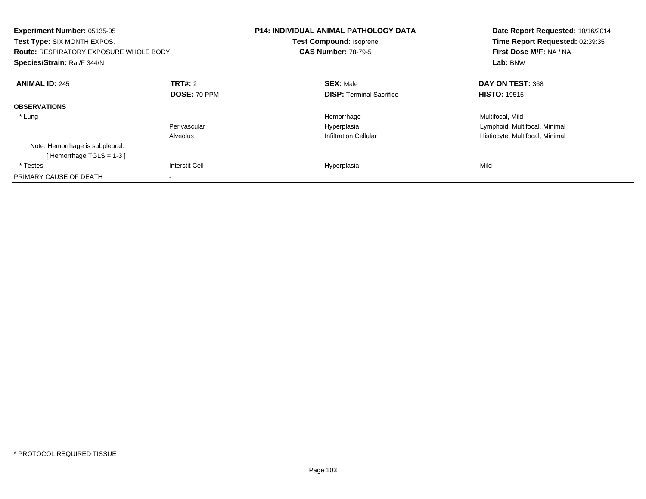| <b>Experiment Number: 05135-05</b><br>Test Type: SIX MONTH EXPOS.<br><b>Route: RESPIRATORY EXPOSURE WHOLE BODY</b><br>Species/Strain: Rat/F 344/N |                     | <b>P14: INDIVIDUAL ANIMAL PATHOLOGY DATA</b><br><b>Test Compound: Isoprene</b><br><b>CAS Number: 78-79-5</b> | Date Report Requested: 10/16/2014<br>Time Report Requested: 02:39:35<br>First Dose M/F: NA / NA<br>Lab: BNW |
|---------------------------------------------------------------------------------------------------------------------------------------------------|---------------------|--------------------------------------------------------------------------------------------------------------|-------------------------------------------------------------------------------------------------------------|
| <b>ANIMAL ID: 245</b>                                                                                                                             | <b>TRT#: 2</b>      | <b>SEX: Male</b>                                                                                             | DAY ON TEST: 368                                                                                            |
|                                                                                                                                                   | <b>DOSE: 70 PPM</b> | <b>DISP:</b> Terminal Sacrifice                                                                              | <b>HISTO: 19515</b>                                                                                         |
| <b>OBSERVATIONS</b>                                                                                                                               |                     |                                                                                                              |                                                                                                             |
| * Lung                                                                                                                                            |                     | Hemorrhage                                                                                                   | Multifocal, Mild                                                                                            |
|                                                                                                                                                   | Perivascular        | Hyperplasia                                                                                                  | Lymphoid, Multifocal, Minimal                                                                               |
|                                                                                                                                                   | Alveolus            | <b>Infiltration Cellular</b>                                                                                 | Histiocyte, Multifocal, Minimal                                                                             |
| Note: Hemorrhage is subpleural.                                                                                                                   |                     |                                                                                                              |                                                                                                             |
| [Hemorrhage TGLS = $1-3$ ]                                                                                                                        |                     |                                                                                                              |                                                                                                             |
| * Testes                                                                                                                                          | Interstit Cell      | Hyperplasia                                                                                                  | Mild                                                                                                        |
| PRIMARY CAUSE OF DEATH                                                                                                                            |                     |                                                                                                              |                                                                                                             |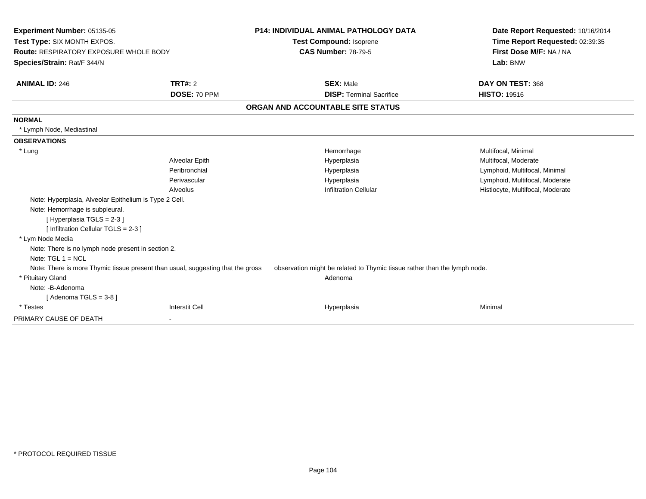| <b>Experiment Number: 05135-05</b>                     |                                                                                 | <b>P14: INDIVIDUAL ANIMAL PATHOLOGY DATA</b>                              | Date Report Requested: 10/16/2014 |
|--------------------------------------------------------|---------------------------------------------------------------------------------|---------------------------------------------------------------------------|-----------------------------------|
| Test Type: SIX MONTH EXPOS.                            |                                                                                 | Test Compound: Isoprene                                                   | Time Report Requested: 02:39:35   |
| <b>Route: RESPIRATORY EXPOSURE WHOLE BODY</b>          |                                                                                 | <b>CAS Number: 78-79-5</b>                                                | First Dose M/F: NA / NA           |
| Species/Strain: Rat/F 344/N                            |                                                                                 |                                                                           | Lab: BNW                          |
| <b>ANIMAL ID: 246</b>                                  | TRT#: 2                                                                         | <b>SEX: Male</b>                                                          | DAY ON TEST: 368                  |
|                                                        | DOSE: 70 PPM                                                                    | <b>DISP: Terminal Sacrifice</b>                                           | <b>HISTO: 19516</b>               |
|                                                        |                                                                                 | ORGAN AND ACCOUNTABLE SITE STATUS                                         |                                   |
| <b>NORMAL</b>                                          |                                                                                 |                                                                           |                                   |
| * Lymph Node, Mediastinal                              |                                                                                 |                                                                           |                                   |
| <b>OBSERVATIONS</b>                                    |                                                                                 |                                                                           |                                   |
| * Lung                                                 |                                                                                 | Hemorrhage                                                                | Multifocal, Minimal               |
|                                                        | Alveolar Epith                                                                  | Hyperplasia                                                               | Multifocal, Moderate              |
|                                                        | Peribronchial                                                                   | Hyperplasia                                                               | Lymphoid, Multifocal, Minimal     |
|                                                        | Perivascular                                                                    | Hyperplasia                                                               | Lymphoid, Multifocal, Moderate    |
|                                                        | Alveolus                                                                        | <b>Infiltration Cellular</b>                                              | Histiocyte, Multifocal, Moderate  |
| Note: Hyperplasia, Alveolar Epithelium is Type 2 Cell. |                                                                                 |                                                                           |                                   |
| Note: Hemorrhage is subpleural.                        |                                                                                 |                                                                           |                                   |
| [Hyperplasia TGLS = 2-3]                               |                                                                                 |                                                                           |                                   |
| [ Infiltration Cellular TGLS = 2-3 ]                   |                                                                                 |                                                                           |                                   |
| * Lym Node Media                                       |                                                                                 |                                                                           |                                   |
| Note: There is no lymph node present in section 2.     |                                                                                 |                                                                           |                                   |
| Note: $TGL 1 = NCL$                                    |                                                                                 |                                                                           |                                   |
|                                                        | Note: There is more Thymic tissue present than usual, suggesting that the gross | observation might be related to Thymic tissue rather than the lymph node. |                                   |
| * Pituitary Gland                                      |                                                                                 | Adenoma                                                                   |                                   |
| Note: -B-Adenoma                                       |                                                                                 |                                                                           |                                   |
| [Adenoma TGLS = $3-8$ ]                                |                                                                                 |                                                                           |                                   |
| * Testes                                               | <b>Interstit Cell</b>                                                           | Hyperplasia                                                               | Minimal                           |
| PRIMARY CAUSE OF DEATH                                 |                                                                                 |                                                                           |                                   |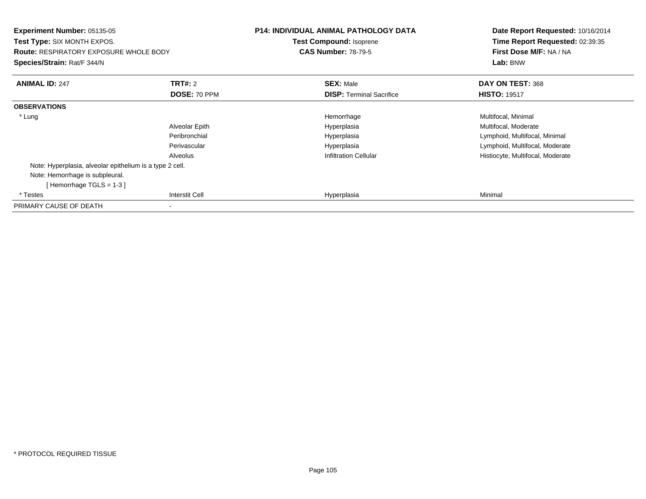| <b>Experiment Number: 05135-05</b><br>Test Type: SIX MONTH EXPOS.<br><b>Route: RESPIRATORY EXPOSURE WHOLE BODY</b><br>Species/Strain: Rat/F 344/N |                | <b>P14: INDIVIDUAL ANIMAL PATHOLOGY DATA</b><br><b>Test Compound: Isoprene</b><br><b>CAS Number: 78-79-5</b> | Date Report Requested: 10/16/2014<br>Time Report Requested: 02:39:35<br>First Dose M/F: NA / NA<br>Lab: BNW |
|---------------------------------------------------------------------------------------------------------------------------------------------------|----------------|--------------------------------------------------------------------------------------------------------------|-------------------------------------------------------------------------------------------------------------|
| <b>ANIMAL ID: 247</b>                                                                                                                             | <b>TRT#:</b> 2 | <b>SEX: Male</b>                                                                                             | DAY ON TEST: 368                                                                                            |
|                                                                                                                                                   | DOSE: 70 PPM   | <b>DISP:</b> Terminal Sacrifice                                                                              | <b>HISTO: 19517</b>                                                                                         |
| <b>OBSERVATIONS</b>                                                                                                                               |                |                                                                                                              |                                                                                                             |
| * Lung                                                                                                                                            |                | Hemorrhage                                                                                                   | Multifocal, Minimal                                                                                         |
|                                                                                                                                                   | Alveolar Epith | Hyperplasia                                                                                                  | Multifocal, Moderate                                                                                        |
|                                                                                                                                                   | Peribronchial  | Hyperplasia                                                                                                  | Lymphoid, Multifocal, Minimal                                                                               |
|                                                                                                                                                   | Perivascular   | Hyperplasia                                                                                                  | Lymphoid, Multifocal, Moderate                                                                              |
|                                                                                                                                                   | Alveolus       | <b>Infiltration Cellular</b>                                                                                 | Histiocyte, Multifocal, Moderate                                                                            |
| Note: Hyperplasia, alveolar epithelium is a type 2 cell.                                                                                          |                |                                                                                                              |                                                                                                             |
| Note: Hemorrhage is subpleural.                                                                                                                   |                |                                                                                                              |                                                                                                             |
| [Hemorrhage TGLS = $1-3$ ]                                                                                                                        |                |                                                                                                              |                                                                                                             |
| * Testes                                                                                                                                          | Interstit Cell | Hyperplasia                                                                                                  | Minimal                                                                                                     |
| PRIMARY CAUSE OF DEATH                                                                                                                            |                |                                                                                                              |                                                                                                             |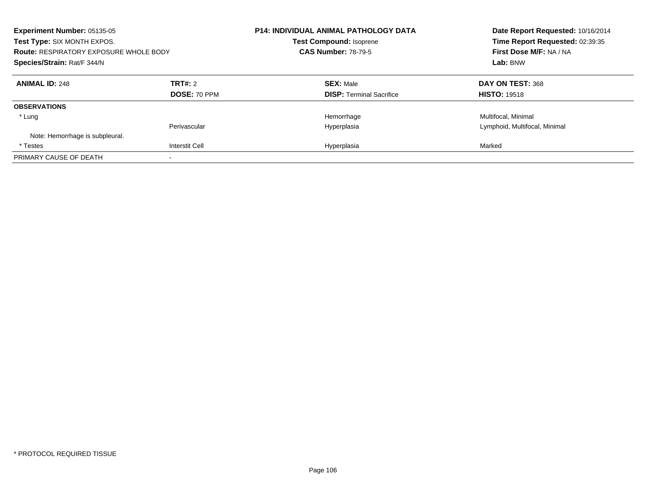| Experiment Number: 05135-05<br>Test Type: SIX MONTH EXPOS.<br><b>Route: RESPIRATORY EXPOSURE WHOLE BODY</b><br>Species/Strain: Rat/F 344/N |                         | <b>P14: INDIVIDUAL ANIMAL PATHOLOGY DATA</b><br><b>Test Compound: Isoprene</b><br><b>CAS Number: 78-79-5</b> | Date Report Requested: 10/16/2014<br>Time Report Requested: 02:39:35<br>First Dose M/F: NA / NA<br>Lab: BNW |
|--------------------------------------------------------------------------------------------------------------------------------------------|-------------------------|--------------------------------------------------------------------------------------------------------------|-------------------------------------------------------------------------------------------------------------|
| <b>ANIMAL ID: 248</b>                                                                                                                      | TRT#: 2<br>DOSE: 70 PPM | <b>SEX: Male</b><br><b>DISP:</b> Terminal Sacrifice                                                          | DAY ON TEST: 368<br><b>HISTO: 19518</b>                                                                     |
| <b>OBSERVATIONS</b>                                                                                                                        |                         |                                                                                                              |                                                                                                             |
| * Lung                                                                                                                                     |                         | Hemorrhage                                                                                                   | Multifocal, Minimal                                                                                         |
| Note: Hemorrhage is subpleural.                                                                                                            | Perivascular            | Hyperplasia                                                                                                  | Lymphoid, Multifocal, Minimal                                                                               |
| * Testes                                                                                                                                   | <b>Interstit Cell</b>   | Hyperplasia                                                                                                  | Marked                                                                                                      |
| PRIMARY CAUSE OF DEATH                                                                                                                     |                         |                                                                                                              |                                                                                                             |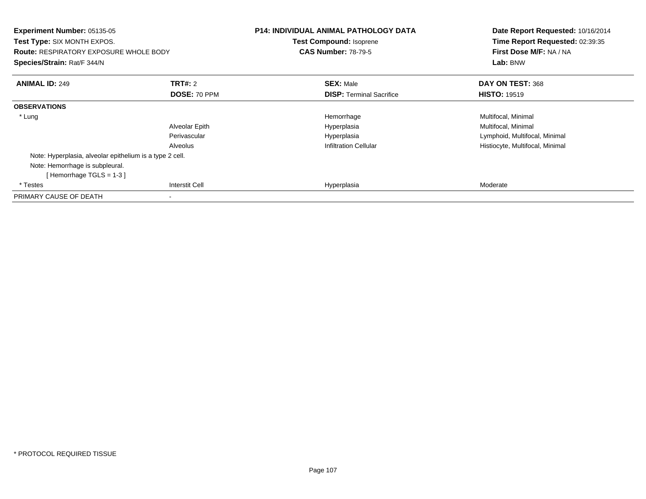| Experiment Number: 05135-05<br><b>Test Type: SIX MONTH EXPOS.</b><br><b>Route: RESPIRATORY EXPOSURE WHOLE BODY</b><br>Species/Strain: Rat/F 344/N |                       | <b>P14: INDIVIDUAL ANIMAL PATHOLOGY DATA</b><br>Test Compound: Isoprene<br><b>CAS Number: 78-79-5</b> | Date Report Requested: 10/16/2014<br>Time Report Requested: 02:39:35<br>First Dose M/F: NA / NA<br>Lab: BNW |
|---------------------------------------------------------------------------------------------------------------------------------------------------|-----------------------|-------------------------------------------------------------------------------------------------------|-------------------------------------------------------------------------------------------------------------|
| <b>ANIMAL ID: 249</b>                                                                                                                             | <b>TRT#: 2</b>        | <b>SEX: Male</b>                                                                                      | DAY ON TEST: 368                                                                                            |
|                                                                                                                                                   | DOSE: 70 PPM          | <b>DISP:</b> Terminal Sacrifice                                                                       | <b>HISTO: 19519</b>                                                                                         |
| <b>OBSERVATIONS</b>                                                                                                                               |                       |                                                                                                       |                                                                                                             |
| * Lung                                                                                                                                            |                       | Hemorrhage                                                                                            | Multifocal, Minimal                                                                                         |
|                                                                                                                                                   | Alveolar Epith        | Hyperplasia                                                                                           | Multifocal, Minimal                                                                                         |
|                                                                                                                                                   | Perivascular          | Hyperplasia                                                                                           | Lymphoid, Multifocal, Minimal                                                                               |
|                                                                                                                                                   | Alveolus              | <b>Infiltration Cellular</b>                                                                          | Histiocyte, Multifocal, Minimal                                                                             |
| Note: Hyperplasia, alveolar epithelium is a type 2 cell.                                                                                          |                       |                                                                                                       |                                                                                                             |
| Note: Hemorrhage is subpleural.                                                                                                                   |                       |                                                                                                       |                                                                                                             |
| [Hemorrhage TGLS = $1-3$ ]                                                                                                                        |                       |                                                                                                       |                                                                                                             |
| * Testes                                                                                                                                          | <b>Interstit Cell</b> | Hyperplasia                                                                                           | Moderate                                                                                                    |
| PRIMARY CAUSE OF DEATH                                                                                                                            |                       |                                                                                                       |                                                                                                             |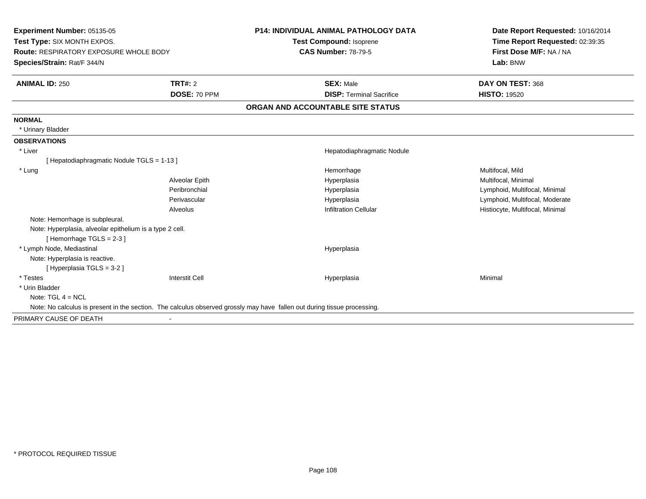| <b>Experiment Number: 05135-05</b>                       |                       | P14: INDIVIDUAL ANIMAL PATHOLOGY DATA                                                                                    | Date Report Requested: 10/16/2014 |
|----------------------------------------------------------|-----------------------|--------------------------------------------------------------------------------------------------------------------------|-----------------------------------|
| Test Type: SIX MONTH EXPOS.                              |                       | Test Compound: Isoprene                                                                                                  | Time Report Requested: 02:39:35   |
| <b>Route: RESPIRATORY EXPOSURE WHOLE BODY</b>            |                       | <b>CAS Number: 78-79-5</b>                                                                                               | First Dose M/F: NA / NA           |
| Species/Strain: Rat/F 344/N                              |                       |                                                                                                                          | Lab: BNW                          |
| <b>ANIMAL ID: 250</b>                                    | <b>TRT#: 2</b>        | <b>SEX: Male</b>                                                                                                         | DAY ON TEST: 368                  |
|                                                          | DOSE: 70 PPM          | <b>DISP: Terminal Sacrifice</b>                                                                                          | <b>HISTO: 19520</b>               |
|                                                          |                       | ORGAN AND ACCOUNTABLE SITE STATUS                                                                                        |                                   |
| <b>NORMAL</b>                                            |                       |                                                                                                                          |                                   |
| * Urinary Bladder                                        |                       |                                                                                                                          |                                   |
| <b>OBSERVATIONS</b>                                      |                       |                                                                                                                          |                                   |
| * Liver                                                  |                       | Hepatodiaphragmatic Nodule                                                                                               |                                   |
| [ Hepatodiaphragmatic Nodule TGLS = 1-13 ]               |                       |                                                                                                                          |                                   |
| * Lung                                                   |                       | Hemorrhage                                                                                                               | Multifocal, Mild                  |
|                                                          | Alveolar Epith        | Hyperplasia                                                                                                              | Multifocal, Minimal               |
|                                                          | Peribronchial         | Hyperplasia                                                                                                              | Lymphoid, Multifocal, Minimal     |
|                                                          | Perivascular          | Hyperplasia                                                                                                              | Lymphoid, Multifocal, Moderate    |
|                                                          | Alveolus              | <b>Infiltration Cellular</b>                                                                                             | Histiocyte, Multifocal, Minimal   |
| Note: Hemorrhage is subpleural.                          |                       |                                                                                                                          |                                   |
| Note: Hyperplasia, alveolar epithelium is a type 2 cell. |                       |                                                                                                                          |                                   |
| [Hemorrhage TGLS = 2-3]                                  |                       |                                                                                                                          |                                   |
| * Lymph Node, Mediastinal                                |                       | Hyperplasia                                                                                                              |                                   |
| Note: Hyperplasia is reactive.                           |                       |                                                                                                                          |                                   |
| [Hyperplasia TGLS = 3-2]                                 |                       |                                                                                                                          |                                   |
| * Testes                                                 | <b>Interstit Cell</b> | Hyperplasia                                                                                                              | Minimal                           |
| * Urin Bladder                                           |                       |                                                                                                                          |                                   |
| Note: $TGL 4 = NCL$                                      |                       |                                                                                                                          |                                   |
|                                                          |                       | Note: No calculus is present in the section. The calculus observed grossly may have fallen out during tissue processing. |                                   |
| PRIMARY CAUSE OF DEATH                                   |                       |                                                                                                                          |                                   |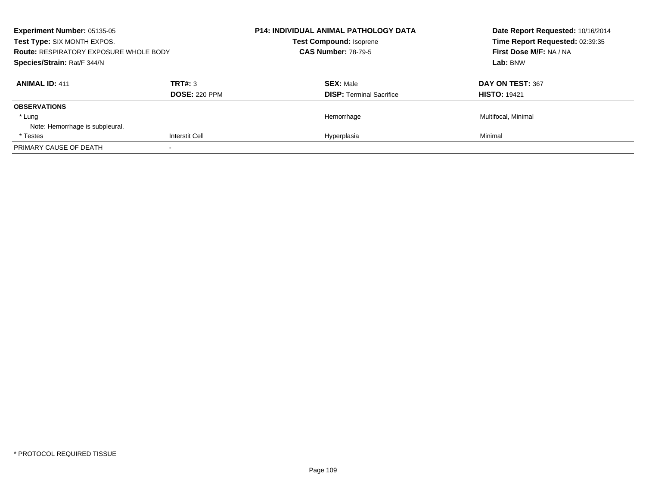| <b>Experiment Number: 05135-05</b><br>Test Type: SIX MONTH EXPOS.<br><b>Route: RESPIRATORY EXPOSURE WHOLE BODY</b><br>Species/Strain: Rat/F 344/N |                                 | <b>P14: INDIVIDUAL ANIMAL PATHOLOGY DATA</b><br><b>Test Compound: Isoprene</b><br><b>CAS Number: 78-79-5</b> |                                 | Date Report Requested: 10/16/2014<br>Time Report Requested: 02:39:35<br>First Dose M/F: NA / NA |
|---------------------------------------------------------------------------------------------------------------------------------------------------|---------------------------------|--------------------------------------------------------------------------------------------------------------|---------------------------------|-------------------------------------------------------------------------------------------------|
|                                                                                                                                                   |                                 |                                                                                                              |                                 | Lab: BNW                                                                                        |
| <b>ANIMAL ID: 411</b>                                                                                                                             | TRT#: 3<br><b>DOSE: 220 PPM</b> | <b>SEX: Male</b>                                                                                             | <b>DISP:</b> Terminal Sacrifice | DAY ON TEST: 367<br><b>HISTO: 19421</b>                                                         |
| <b>OBSERVATIONS</b>                                                                                                                               |                                 |                                                                                                              |                                 |                                                                                                 |
| * Lung<br>Note: Hemorrhage is subpleural.                                                                                                         |                                 | Hemorrhage                                                                                                   |                                 | Multifocal, Minimal                                                                             |
| * Testes                                                                                                                                          | <b>Interstit Cell</b>           | Hyperplasia                                                                                                  |                                 | Minimal                                                                                         |
| PRIMARY CAUSE OF DEATH                                                                                                                            |                                 |                                                                                                              |                                 |                                                                                                 |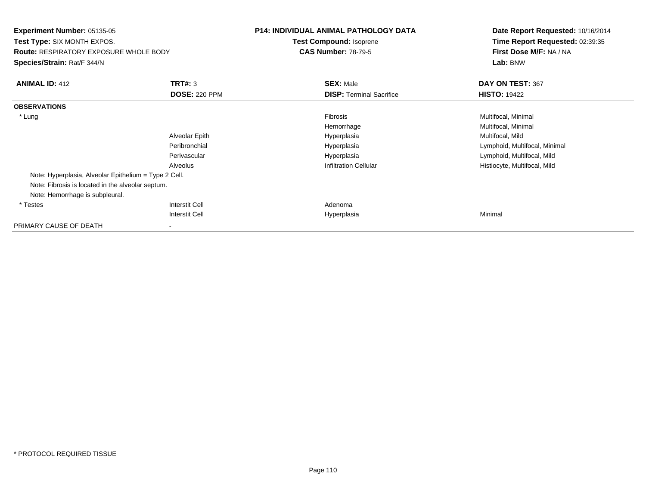| <b>Experiment Number: 05135-05</b><br><b>Test Type: SIX MONTH EXPOS.</b><br><b>Route: RESPIRATORY EXPOSURE WHOLE BODY</b><br>Species/Strain: Rat/F 344/N |                                                             | <b>P14: INDIVIDUAL ANIMAL PATHOLOGY DATA</b><br>Test Compound: Isoprene<br><b>CAS Number: 78-79-5</b> | Date Report Requested: 10/16/2014<br>Time Report Requested: 02:39:35<br>First Dose M/F: NA / NA<br>Lab: BNW                                                   |
|----------------------------------------------------------------------------------------------------------------------------------------------------------|-------------------------------------------------------------|-------------------------------------------------------------------------------------------------------|---------------------------------------------------------------------------------------------------------------------------------------------------------------|
| <b>ANIMAL ID: 412</b>                                                                                                                                    | TRT#: 3<br><b>DOSE: 220 PPM</b>                             | <b>SEX: Male</b><br><b>DISP:</b> Terminal Sacrifice                                                   | DAY ON TEST: 367<br><b>HISTO: 19422</b>                                                                                                                       |
| <b>OBSERVATIONS</b>                                                                                                                                      |                                                             |                                                                                                       |                                                                                                                                                               |
| * Lung<br>Note: Hyperplasia, Alveolar Epithelium = Type 2 Cell.<br>Note: Fibrosis is located in the alveolar septum.                                     | Alveolar Epith<br>Peribronchial<br>Perivascular<br>Alveolus | Fibrosis<br>Hemorrhage<br>Hyperplasia<br>Hyperplasia<br>Hyperplasia<br><b>Infiltration Cellular</b>   | Multifocal, Minimal<br>Multifocal, Minimal<br>Multifocal, Mild<br>Lymphoid, Multifocal, Minimal<br>Lymphoid, Multifocal, Mild<br>Histiocyte, Multifocal, Mild |
| Note: Hemorrhage is subpleural.<br>* Testes                                                                                                              | Interstit Cell                                              | Adenoma                                                                                               |                                                                                                                                                               |
|                                                                                                                                                          | <b>Interstit Cell</b>                                       | Hyperplasia                                                                                           | Minimal                                                                                                                                                       |
| PRIMARY CAUSE OF DEATH                                                                                                                                   |                                                             |                                                                                                       |                                                                                                                                                               |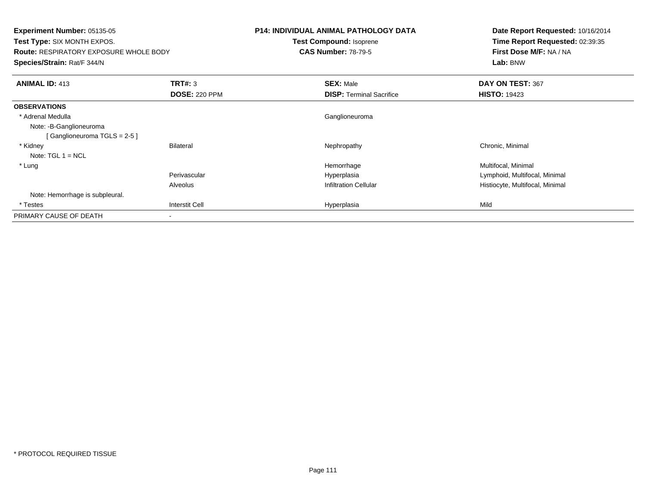**Experiment Number:** 05135-05 **Test Type:** SIX MONTH EXPOS.**Route:** RESPIRATORY EXPOSURE WHOLE BODY**Species/Strain:** Rat/F 344/N**P14: INDIVIDUAL ANIMAL PATHOLOGY DATATest Compound:** Isoprene**CAS Number:** 78-79-5**Date Report Requested:** 10/16/2014**Time Report Requested:** 02:39:35**First Dose M/F:** NA / NA**Lab:** BNW**ANIMAL ID:** 413**TRT#:** 3 **SEX:** Male **DAY ON TEST:** 367 **DOSE:** 220 PPM**DISP:** Terminal Sacrifice **HISTO:** 19423 **OBSERVATIONS** \* Adrenal Medulla Ganglioneuroma Note: -B-Ganglioneuroma[ Ganglioneuroma TGLS = 2-5 ] \* Kidneyy the controller of the Bilateral Chronic, Minimal and the Mechanic Mephropathy the Chronic, Minimal Chronic, Minimal Schronic, Minimal Schronic, Minimal Schronic, Minimal Schronic, Minimal Schronic, Minimal Schronic, Mini Note: TGL 1 = NCL \* Lungg and the morrhage of the morrhage of the morrhage  $\theta$  and  $\theta$  and  $\theta$  and  $\theta$  and  $\theta$  and  $\theta$  and  $\theta$  and  $\theta$  and  $\theta$  and  $\theta$  and  $\theta$  and  $\theta$  and  $\theta$  and  $\theta$  and  $\theta$  and  $\theta$  and  $\theta$  and  $\theta$  and  $\theta$  and Perivascular Hyperplasia Lymphoid, Multifocal, Minimal AlveolusHistiocyte, Multifocal, Minimal Note: Hemorrhage is subpleural. \* Testess Interstit Cell Hyperplasia a Mild PRIMARY CAUSE OF DEATH-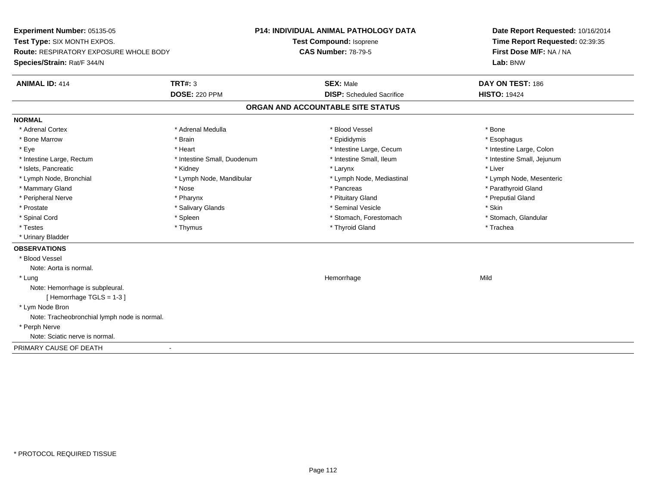**Experiment Number:** 05135-05**Test Type:** SIX MONTH EXPOS.**Route:** RESPIRATORY EXPOSURE WHOLE BODY**Species/Strain:** Rat/F 344/N**P14: INDIVIDUAL ANIMAL PATHOLOGY DATATest Compound:** Isoprene**CAS Number:** 78-79-5**Date Report Requested:** 10/16/2014**Time Report Requested:** 02:39:35**First Dose M/F:** NA / NA**Lab:** BNW**ANIMAL ID:** 414**TRT#:** 3 **SEX:** Male **DAY ON TEST:** 186 **DOSE:** 220 PPM**DISP:** Scheduled Sacrifice **HISTO:** 19424 **ORGAN AND ACCOUNTABLE SITE STATUSNORMAL**\* Adrenal Cortex \* Adrenal Cortex \* \* Adrenal Medulla \* \* Adrenal Medulla \* \* Blood Vessel \* \* Brood Vessel \* \* Bone \* Esophagus \* Bone Marrow \* Brain \* Epididymis \* Esophagus \* Intestine Large, Colon \* Eye \* The matrice of the test of the test of the test of the test of the test of the test of the test of the test of the test of the test of the test of the test of the test of the test of the test of the test of the tes \* Intestine Small, Jejunum \* Intestine Large, Rectum \* Intestine Small, Duodenum \* Intestine Small, Ileum \* Intestine Small, Ileum \* Islets, Pancreatic \* \* \* Andrew \* Kidney \* \* Kidney \* \* Larynx \* Larynx \* \* Larynx \* \* Liver \* Liver \* Liver \* Lymph Node, Bronchial \* Lymph Node, Mandibular \* Lymph Node, Mediastinal \* Lymph Node, Mesenteric\* Mammary Gland \* The strain of the strain of the strain of the strain of the strain of the strain of the strain of the strain of the strain of the strain of the strain of the strain of the strain of the strain of the stra \* Peripheral Nerve \* \* \* \* Pharynx \* \* Pharynx \* \* \* Preputial Gland \* \* Preputial Gland \* \* Preputial Gland \* Prostate \* \* Salivary Glands \* \* Salivary Glands \* \* Seminal Vesicle \* \* \* Seminal Yestrich \* \* Skin \* \* Skin \* Stomach, Glandular \* Spinal Cord \* Spinal Cord \* Spinal Cord \* Stomach, Forestomach \* Spinal Cord \* Stomach, Forestomach \* Testes \* Thymus \* Thyroid Gland \* Trachea \* Urinary Bladder**OBSERVATIONS** \* Blood VesselNote: Aorta is normal. \* Lungg and the state of the state of the state of the state of the Hemorrhage state of the Mild state of the Mild state of the State of the State of the State of the State of the State of the State of the State of the State of Note: Hemorrhage is subpleural.[ Hemorrhage TGLS = 1-3 ] \* Lym Node Bron Note: Tracheobronchial lymph node is normal. \* Perph Nerve Note: Sciatic nerve is normal.PRIMARY CAUSE OF DEATH-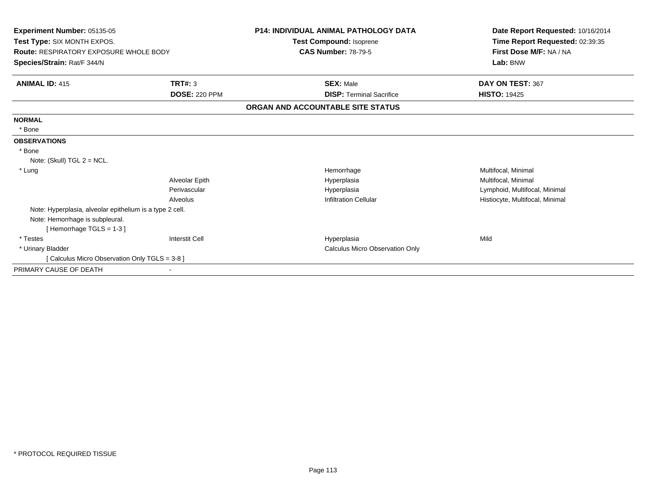| Experiment Number: 05135-05<br>Test Type: SIX MONTH EXPOS.<br>Route: RESPIRATORY EXPOSURE WHOLE BODY<br>Species/Strain: Rat/F 344/N |                      | <b>P14: INDIVIDUAL ANIMAL PATHOLOGY DATA</b><br>Test Compound: Isoprene | Date Report Requested: 10/16/2014<br>Time Report Requested: 02:39:35<br>First Dose M/F: NA / NA<br>Lab: BNW |
|-------------------------------------------------------------------------------------------------------------------------------------|----------------------|-------------------------------------------------------------------------|-------------------------------------------------------------------------------------------------------------|
|                                                                                                                                     |                      | <b>CAS Number: 78-79-5</b>                                              |                                                                                                             |
| <b>ANIMAL ID: 415</b>                                                                                                               | TRT#: 3              | <b>SEX: Male</b>                                                        | DAY ON TEST: 367                                                                                            |
|                                                                                                                                     | <b>DOSE: 220 PPM</b> | <b>DISP: Terminal Sacrifice</b>                                         | <b>HISTO: 19425</b>                                                                                         |
|                                                                                                                                     |                      | ORGAN AND ACCOUNTABLE SITE STATUS                                       |                                                                                                             |
| <b>NORMAL</b>                                                                                                                       |                      |                                                                         |                                                                                                             |
| * Bone                                                                                                                              |                      |                                                                         |                                                                                                             |
| <b>OBSERVATIONS</b>                                                                                                                 |                      |                                                                         |                                                                                                             |
| * Bone                                                                                                                              |                      |                                                                         |                                                                                                             |
| Note: (Skull) $TGL 2 = NCL$ .                                                                                                       |                      |                                                                         |                                                                                                             |
| * Lung                                                                                                                              |                      | Hemorrhage                                                              | Multifocal, Minimal                                                                                         |
|                                                                                                                                     | Alveolar Epith       | Hyperplasia                                                             | Multifocal, Minimal                                                                                         |
|                                                                                                                                     | Perivascular         | Hyperplasia                                                             | Lymphoid, Multifocal, Minimal                                                                               |
|                                                                                                                                     | Alveolus             | <b>Infiltration Cellular</b>                                            | Histiocyte, Multifocal, Minimal                                                                             |
| Note: Hyperplasia, alveolar epithelium is a type 2 cell.                                                                            |                      |                                                                         |                                                                                                             |
| Note: Hemorrhage is subpleural.                                                                                                     |                      |                                                                         |                                                                                                             |
| [Hemorrhage TGLS = 1-3]                                                                                                             |                      |                                                                         |                                                                                                             |
| * Testes                                                                                                                            | Interstit Cell       | Hyperplasia                                                             | Mild                                                                                                        |
| * Urinary Bladder                                                                                                                   |                      | <b>Calculus Micro Observation Only</b>                                  |                                                                                                             |
| [ Calculus Micro Observation Only TGLS = 3-8 ]                                                                                      |                      |                                                                         |                                                                                                             |
| PRIMARY CAUSE OF DEATH                                                                                                              |                      |                                                                         |                                                                                                             |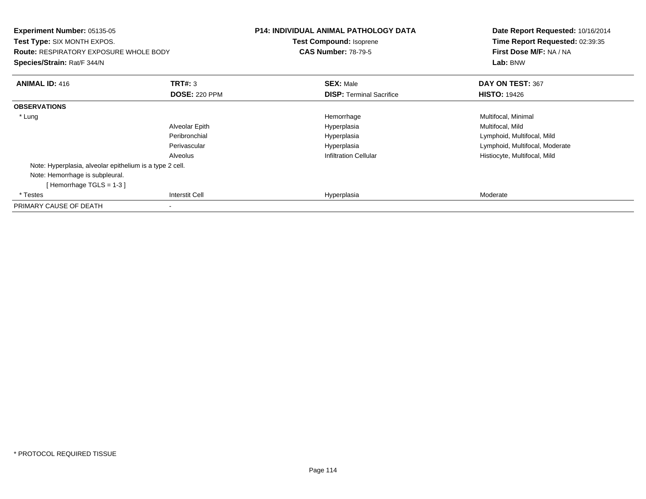| <b>Experiment Number: 05135-05</b><br>Test Type: SIX MONTH EXPOS.<br><b>Route: RESPIRATORY EXPOSURE WHOLE BODY</b><br>Species/Strain: Rat/F 344/N |                       | <b>P14: INDIVIDUAL ANIMAL PATHOLOGY DATA</b><br><b>Test Compound: Isoprene</b><br><b>CAS Number: 78-79-5</b> | Date Report Requested: 10/16/2014<br>Time Report Requested: 02:39:35<br>First Dose M/F: NA / NA<br>Lab: BNW |
|---------------------------------------------------------------------------------------------------------------------------------------------------|-----------------------|--------------------------------------------------------------------------------------------------------------|-------------------------------------------------------------------------------------------------------------|
| <b>ANIMAL ID: 416</b>                                                                                                                             | <b>TRT#: 3</b>        | <b>SEX: Male</b>                                                                                             | DAY ON TEST: 367                                                                                            |
|                                                                                                                                                   | <b>DOSE: 220 PPM</b>  | <b>DISP:</b> Terminal Sacrifice                                                                              | <b>HISTO: 19426</b>                                                                                         |
| <b>OBSERVATIONS</b>                                                                                                                               |                       |                                                                                                              |                                                                                                             |
| * Lung                                                                                                                                            |                       | Hemorrhage                                                                                                   | Multifocal, Minimal                                                                                         |
|                                                                                                                                                   | Alveolar Epith        | Hyperplasia                                                                                                  | Multifocal, Mild                                                                                            |
|                                                                                                                                                   | Peribronchial         | Hyperplasia                                                                                                  | Lymphoid, Multifocal, Mild                                                                                  |
|                                                                                                                                                   | Perivascular          | Hyperplasia                                                                                                  | Lymphoid, Multifocal, Moderate                                                                              |
|                                                                                                                                                   | Alveolus              | <b>Infiltration Cellular</b>                                                                                 | Histiocyte, Multifocal, Mild                                                                                |
| Note: Hyperplasia, alveolar epithelium is a type 2 cell.                                                                                          |                       |                                                                                                              |                                                                                                             |
| Note: Hemorrhage is subpleural.                                                                                                                   |                       |                                                                                                              |                                                                                                             |
| [Hemorrhage TGLS = $1-3$ ]                                                                                                                        |                       |                                                                                                              |                                                                                                             |
| * Testes                                                                                                                                          | <b>Interstit Cell</b> | Hyperplasia                                                                                                  | Moderate                                                                                                    |
| PRIMARY CAUSE OF DEATH                                                                                                                            |                       |                                                                                                              |                                                                                                             |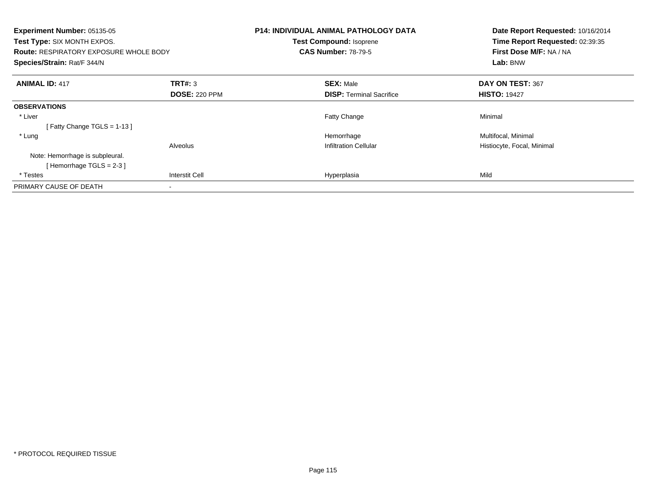| Experiment Number: 05135-05<br>Test Type: SIX MONTH EXPOS.<br><b>Route: RESPIRATORY EXPOSURE WHOLE BODY</b><br>Species/Strain: Rat/F 344/N |                       | <b>P14: INDIVIDUAL ANIMAL PATHOLOGY DATA</b><br>Test Compound: Isoprene<br><b>CAS Number: 78-79-5</b> |                                 | Date Report Requested: 10/16/2014<br>Time Report Requested: 02:39:35<br>First Dose M/F: NA / NA<br>Lab: BNW |
|--------------------------------------------------------------------------------------------------------------------------------------------|-----------------------|-------------------------------------------------------------------------------------------------------|---------------------------------|-------------------------------------------------------------------------------------------------------------|
| <b>ANIMAL ID: 417</b>                                                                                                                      | TRT#: 3               | <b>SEX: Male</b>                                                                                      |                                 | DAY ON TEST: 367                                                                                            |
|                                                                                                                                            | <b>DOSE: 220 PPM</b>  |                                                                                                       | <b>DISP:</b> Terminal Sacrifice | <b>HISTO: 19427</b>                                                                                         |
| <b>OBSERVATIONS</b>                                                                                                                        |                       |                                                                                                       |                                 |                                                                                                             |
| * Liver                                                                                                                                    |                       | <b>Fatty Change</b>                                                                                   |                                 | Minimal                                                                                                     |
| [Fatty Change TGLS = $1-13$ ]                                                                                                              |                       |                                                                                                       |                                 |                                                                                                             |
| * Lung                                                                                                                                     |                       | Hemorrhage                                                                                            |                                 | Multifocal, Minimal                                                                                         |
|                                                                                                                                            | Alveolus              | <b>Infiltration Cellular</b>                                                                          |                                 | Histiocyte, Focal, Minimal                                                                                  |
| Note: Hemorrhage is subpleural.                                                                                                            |                       |                                                                                                       |                                 |                                                                                                             |
| [Hemorrhage TGLS = $2-3$ ]                                                                                                                 |                       |                                                                                                       |                                 |                                                                                                             |
| * Testes                                                                                                                                   | <b>Interstit Cell</b> | Hyperplasia                                                                                           |                                 | Mild                                                                                                        |
| PRIMARY CAUSE OF DEATH                                                                                                                     |                       |                                                                                                       |                                 |                                                                                                             |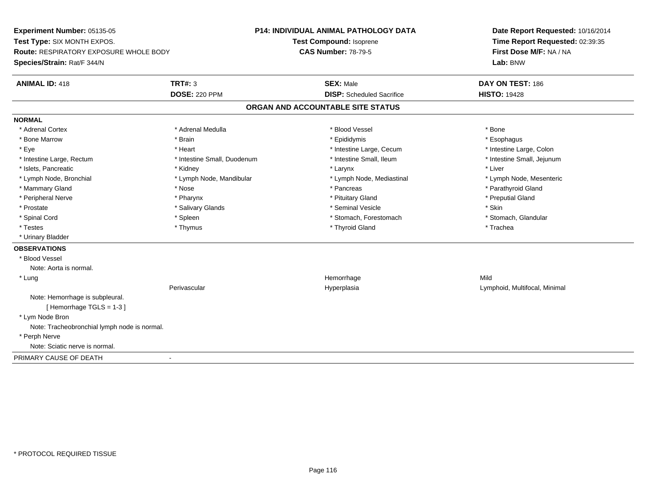**Experiment Number:** 05135-05**Test Type:** SIX MONTH EXPOS.**Route:** RESPIRATORY EXPOSURE WHOLE BODY**Species/Strain:** Rat/F 344/N**P14: INDIVIDUAL ANIMAL PATHOLOGY DATATest Compound:** Isoprene**CAS Number:** 78-79-5**Date Report Requested:** 10/16/2014**Time Report Requested:** 02:39:35**First Dose M/F:** NA / NA**Lab:** BNW**ANIMAL ID:** 418**TRT#:** 3 **SEX:** Male **DAY ON TEST:** 186 **DOSE:** 220 PPM**DISP:** Scheduled Sacrifice **HISTO:** 19428 **ORGAN AND ACCOUNTABLE SITE STATUSNORMAL**\* Adrenal Cortex \* Adrenal Cortex \* \* Adrenal Medulla \* \* Adrenal Medulla \* \* Blood Vessel \* \* Brood Vessel \* \* Bone \* Esophagus \* Bone Marrow \* Brain \* Epididymis \* Esophagus \* Intestine Large, Colon \* Eye \* The matrice of the test of the test of the test of the test of the test of the test of the test of the test of the test of the test of the test of the test of the test of the test of the test of the test of the tes \* Intestine Small, Jejunum \* Intestine Large, Rectum \* Intestine Small, Duodenum \* Intestine Small, Ileum \* Intestine Small, Ileum \* Islets, Pancreatic \* \* \* Andrew \* Kidney \* \* Kidney \* \* Larynx \* Larynx \* \* Larynx \* \* Liver \* Liver \* Liver \* Lymph Node, Bronchial \* Lymph Node, Mandibular \* Lymph Node, Mediastinal \* Lymph Node, Mesenteric\* Mammary Gland \* The strain of the strain of the strain of the strain of the strain of the strain of the strain of the strain of the strain of the strain of the strain of the strain of the strain of the strain of the stra \* Peripheral Nerve \* \* \* \* Pharynx \* \* Pharynx \* \* \* Preputial Gland \* \* Preputial Gland \* \* Preputial Gland \* Prostate \* \* Salivary Glands \* \* Salivary Glands \* \* Seminal Vesicle \* \* \* Seminal Yestrich \* \* Skin \* \* Skin \* Stomach, Glandular \* Spinal Cord \* Spinal Cord \* Spinal Cord \* Stomach, Forestomach \* Spinal Cord \* Stomach, Forestomach \* Testes \* Thymus \* Thyroid Gland \* Trachea \* Urinary Bladder**OBSERVATIONS** \* Blood VesselNote: Aorta is normal. \* Lungg and the state of the state of the state of the state of the Hemorrhage state of the Mild state of the Mild state of the State of the State of the State of the State of the State of the State of the State of the State of Perivascular Hyperplasia Lymphoid, Multifocal, Minimal Note: Hemorrhage is subpleural.[ Hemorrhage TGLS = 1-3 ] \* Lym Node Bron Note: Tracheobronchial lymph node is normal. \* Perph Nerve Note: Sciatic nerve is normal.PRIMARY CAUSE OF DEATH-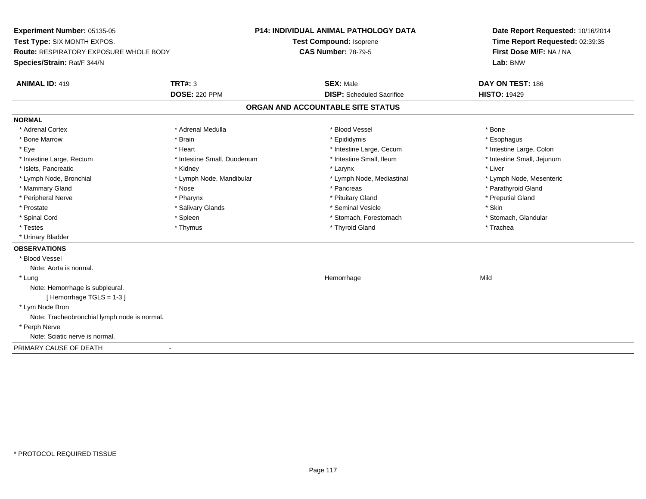**Experiment Number:** 05135-05**Test Type:** SIX MONTH EXPOS.**Route:** RESPIRATORY EXPOSURE WHOLE BODY**Species/Strain:** Rat/F 344/N**P14: INDIVIDUAL ANIMAL PATHOLOGY DATATest Compound:** Isoprene**CAS Number:** 78-79-5**Date Report Requested:** 10/16/2014**Time Report Requested:** 02:39:35**First Dose M/F:** NA / NA**Lab:** BNW**ANIMAL ID:** 419 **TRT#:** <sup>3</sup> **SEX:** Male **DAY ON TEST:** <sup>186</sup> **DOSE:** 220 PPM**DISP:** Scheduled Sacrifice **HISTO:** 19429 **ORGAN AND ACCOUNTABLE SITE STATUSNORMAL**\* Adrenal Cortex \* Adrenal Cortex \* \* Adrenal Medulla \* \* Adrenal Medulla \* \* Blood Vessel \* \* Brood Vessel \* \* Bone \* Esophagus \* Bone Marrow \* Brain \* Epididymis \* Esophagus \* Intestine Large, Colon \* Eye \* The matrice of the test of the test of the test of the test of the test of the test of the test of the test of the test of the test of the test of the test of the test of the test of the test of the test of the tes \* Intestine Small, Jejunum \* Intestine Large, Rectum \* Intestine Small, Duodenum \* Intestine Small, Ileum \* Intestine Small, Ileum \* Islets, Pancreatic \* \* \* Andrew \* Kidney \* \* Kidney \* \* Larynx \* Larynx \* \* Larynx \* \* Liver \* Liver \* Liver \* Lymph Node, Bronchial \* Lymph Node, Mandibular \* Lymph Node, Mediastinal \* Lymph Node, Mesenteric\* Mammary Gland \* The strain of the strain of the strain of the strain of the strain of the strain of the strain of the strain of the strain of the strain of the strain of the strain of the strain of the strain of the stra \* Peripheral Nerve \* \* \* \* Pharynx \* \* Pharynx \* \* \* Preputial Gland \* \* Preputial Gland \* \* Preputial Gland \* Prostate \* \* Salivary Glands \* \* Salivary Glands \* \* Seminal Vesicle \* \* \* Seminal Yestrich \* \* Skin \* \* Skin \* Stomach, Glandular \* Spinal Cord \* Spinal Cord \* Spinal Cord \* Stomach, Forestomach \* Spinal Cord \* Stomach, Forestomach \* Testes \* Thymus \* Thyroid Gland \* Trachea \* Urinary Bladder**OBSERVATIONS** \* Blood VesselNote: Aorta is normal. \* Lungg and the state of the state of the state of the state of the Hemorrhage state of the Mild state of the Mild state of the State of the State of the State of the State of the State of the State of the State of the State of Note: Hemorrhage is subpleural.[ Hemorrhage TGLS = 1-3 ] \* Lym Node Bron Note: Tracheobronchial lymph node is normal. \* Perph Nerve Note: Sciatic nerve is normal.PRIMARY CAUSE OF DEATH-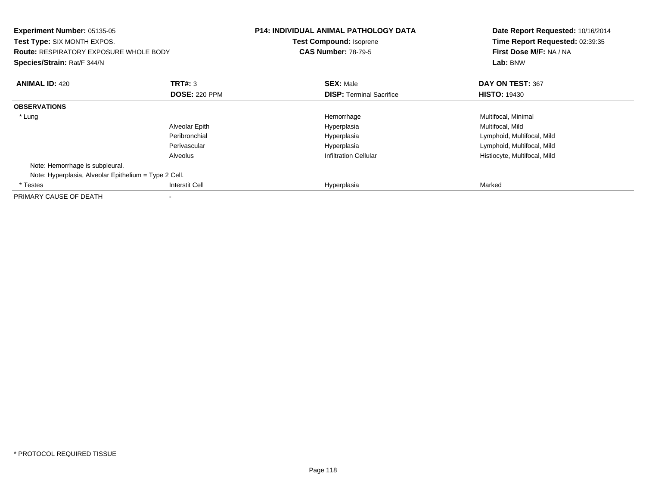| Experiment Number: 05135-05<br>Test Type: SIX MONTH EXPOS.<br><b>Route: RESPIRATORY EXPOSURE WHOLE BODY</b><br>Species/Strain: Rat/F 344/N |                      | <b>P14: INDIVIDUAL ANIMAL PATHOLOGY DATA</b><br><b>Test Compound: Isoprene</b><br><b>CAS Number: 78-79-5</b> | Date Report Requested: 10/16/2014<br>Time Report Requested: 02:39:35<br>First Dose M/F: NA / NA<br>Lab: BNW |
|--------------------------------------------------------------------------------------------------------------------------------------------|----------------------|--------------------------------------------------------------------------------------------------------------|-------------------------------------------------------------------------------------------------------------|
| <b>ANIMAL ID: 420</b>                                                                                                                      | <b>TRT#: 3</b>       | <b>SEX: Male</b>                                                                                             | DAY ON TEST: 367                                                                                            |
|                                                                                                                                            | <b>DOSE: 220 PPM</b> | <b>DISP:</b> Terminal Sacrifice                                                                              | <b>HISTO: 19430</b>                                                                                         |
| <b>OBSERVATIONS</b>                                                                                                                        |                      |                                                                                                              |                                                                                                             |
| * Lung                                                                                                                                     |                      | Hemorrhage                                                                                                   | Multifocal, Minimal                                                                                         |
|                                                                                                                                            | Alveolar Epith       | Hyperplasia                                                                                                  | Multifocal, Mild                                                                                            |
|                                                                                                                                            | Peribronchial        | Hyperplasia                                                                                                  | Lymphoid, Multifocal, Mild                                                                                  |
|                                                                                                                                            | Perivascular         | Hyperplasia                                                                                                  | Lymphoid, Multifocal, Mild                                                                                  |
|                                                                                                                                            | Alveolus             | <b>Infiltration Cellular</b>                                                                                 | Histiocyte, Multifocal, Mild                                                                                |
| Note: Hemorrhage is subpleural.                                                                                                            |                      |                                                                                                              |                                                                                                             |
| Note: Hyperplasia, Alveolar Epithelium = Type 2 Cell.                                                                                      |                      |                                                                                                              |                                                                                                             |
| * Testes                                                                                                                                   | Interstit Cell       | Hyperplasia                                                                                                  | Marked                                                                                                      |
| PRIMARY CAUSE OF DEATH                                                                                                                     |                      |                                                                                                              |                                                                                                             |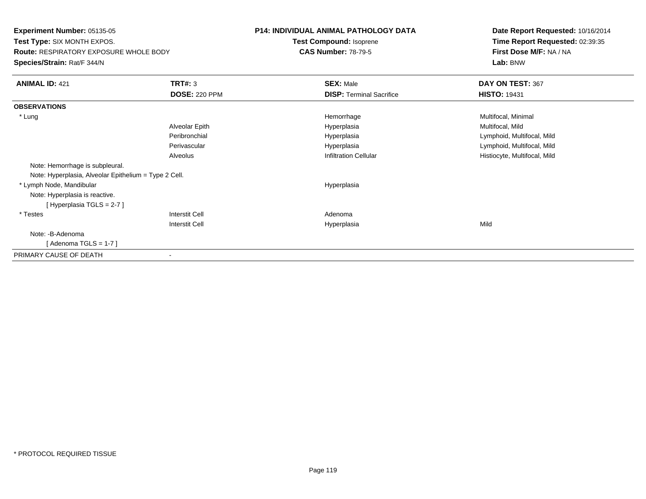**Experiment Number:** 05135-05 **Test Type:** SIX MONTH EXPOS.**Route:** RESPIRATORY EXPOSURE WHOLE BODY**Species/Strain:** Rat/F 344/N**P14: INDIVIDUAL ANIMAL PATHOLOGY DATATest Compound:** Isoprene**CAS Number:** 78-79-5**Date Report Requested:** 10/16/2014**Time Report Requested:** 02:39:35**First Dose M/F:** NA / NA**Lab:** BNW**ANIMAL ID:** 421**TRT#:** 3 **SEX:** Male **DAY ON TEST:** 367 **DOSE:** 220 PPM**DISP:** Terminal Sacrifice **HISTO:** 19431 **OBSERVATIONS** \* Lungg and the morrhage of the morrhage of the morrhage  $\theta$  and  $\theta$  and  $\theta$  and  $\theta$  and  $\theta$  and  $\theta$  and  $\theta$  and  $\theta$  and  $\theta$  and  $\theta$  and  $\theta$  and  $\theta$  and  $\theta$  and  $\theta$  and  $\theta$  and  $\theta$  and  $\theta$  and  $\theta$  and  $\theta$  and Alveolar Epith Hyperplasia Multifocal, Mild Peribronchial Hyperplasia Lymphoid, Multifocal, Mild Perivascular Hyperplasia Lymphoid, Multifocal, Mild AlveolusHistiocyte, Multifocal, Mild Note: Hemorrhage is subpleural.Note: Hyperplasia, Alveolar Epithelium = Type 2 Cell. \* Lymph Node, Mandibular HyperplasiaNote: Hyperplasia is reactive.[ Hyperplasia TGLS = 2-7 ] \* Testes Interstit Cell AdenomaI **Hyperplasia** Interstit Cella Mild Note: -B-Adenoma [ Adenoma TGLS = 1-7 ]PRIMARY CAUSE OF DEATH-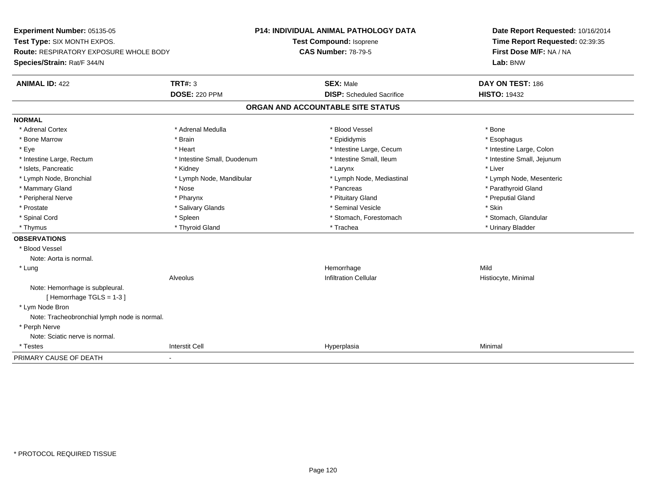**Experiment Number:** 05135-05**Test Type:** SIX MONTH EXPOS.**Route:** RESPIRATORY EXPOSURE WHOLE BODY**Species/Strain:** Rat/F 344/N**P14: INDIVIDUAL ANIMAL PATHOLOGY DATATest Compound:** Isoprene**CAS Number:** 78-79-5**Date Report Requested:** 10/16/2014**Time Report Requested:** 02:39:35**First Dose M/F:** NA / NA**Lab:** BNW**ANIMAL ID:** 422**TRT#:** 3 **SEX:** Male **DAY ON TEST:** 186 **DOSE:** 220 PPM**DISP:** Scheduled Sacrifice **HISTO:** 19432 **ORGAN AND ACCOUNTABLE SITE STATUSNORMAL**\* Adrenal Cortex \* Adrenal Cortex \* \* Adrenal Medulla \* \* Adrenal Medulla \* \* Blood Vessel \* \* Brood Vessel \* \* Bone \* Esophagus \* Bone Marrow \* Brain \* Epididymis \* Esophagus \* Intestine Large, Colon \* Eye \* The matrice of the test of the test of the test of the test of the test of the test of the test of the test of the test of the test of the test of the test of the test of the test of the test of the test of the tes \* Intestine Small, Jejunum \* Intestine Large, Rectum \* Intestine Small, Duodenum \* Intestine Small, Ileum \* Intestine Small, Ileum \* Islets, Pancreatic \* \* \* Andrew \* Kidney \* \* Kidney \* \* Larynx \* Larynx \* \* Larynx \* \* Liver \* Liver \* Liver \* Lymph Node, Bronchial \* Lymph Node, Mandibular \* Lymph Node, Mediastinal \* Lymph Node, Mesenteric\* Mammary Gland \* The straight of the straight of the straight of the straight of the straight of the straight of the straight of Parathyroid Gland \* Pancreas \* Parathyroid Gland \* Peripheral Nerve \* \* \* \* Pharynx \* \* Pharynx \* \* \* Preputial Gland \* \* Preputial Gland \* \* Preputial Gland \* Prostate \* \* Salivary Glands \* \* Salivary Glands \* \* Seminal Vesicle \* \* \* Seminal Yestrich \* \* Skin \* \* Skin \* Stomach, Glandular \* Spinal Cord **\* Stomach, Forestomach \* Spinal Cord \*** Stomach, Forestomach \* Stomach, Forestomach \* Thymus \* Thyroid Gland \* Trachea \* Urinary Bladder \* **OBSERVATIONS** \* Blood VesselNote: Aorta is normal. \* Lungg and the state of the state of the state of the state of the Hemorrhage state of the Mild state of the Mild state of the State of the State of the State of the State of the State of the State of the State of the State of AlveolusInfiltration Cellular **Histiocyte**, Minimal Note: Hemorrhage is subpleural.[ Hemorrhage TGLS = 1-3 ] \* Lym Node Bron Note: Tracheobronchial lymph node is normal. \* Perph Nerve Note: Sciatic nerve is normal. \* Testess Interstit Cell Hyperplasia a Minimal PRIMARY CAUSE OF DEATH-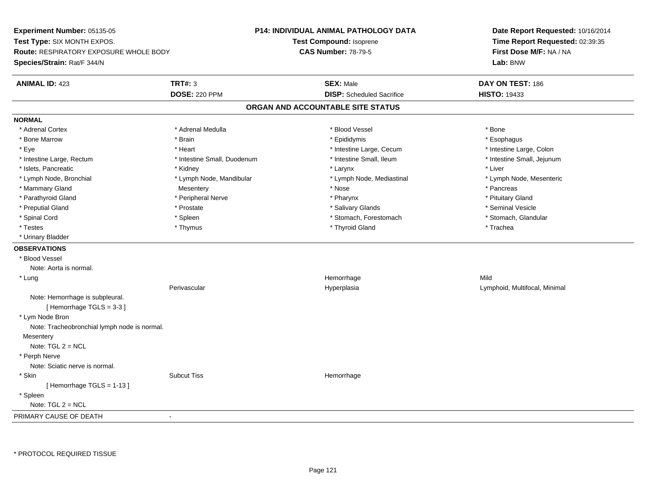**Experiment Number:** 05135-05**Test Type:** SIX MONTH EXPOS.**Route:** RESPIRATORY EXPOSURE WHOLE BODY**Species/Strain:** Rat/F 344/N**P14: INDIVIDUAL ANIMAL PATHOLOGY DATATest Compound:** Isoprene**CAS Number:** 78-79-5**Date Report Requested:** 10/16/2014**Time Report Requested:** 02:39:35**First Dose M/F:** NA / NA**Lab:** BNW**ANIMAL ID:** 423**TRT#:** 3 **SEX:** Male **DAY ON TEST:** 186 **DOSE:** 220 PPM**DISP:** Scheduled Sacrifice **HISTO:** 19433 **ORGAN AND ACCOUNTABLE SITE STATUSNORMAL**\* Adrenal Cortex \* Adrenal Cortex \* \* Adrenal Medulla \* \* Adrenal Medulla \* \* Blood Vessel \* \* Brood Vessel \* \* Bone \* Esophagus \* Bone Marrow \* Brain \* Epididymis \* Esophagus \* Intestine Large, Colon \* Eye \* Intestine Large, Cecum \*  $*$  Heart \*  $*$  Intestine Large, Cecum \* Intestine Large, Cecum \* \* Intestine Small, Jejunum \* Intestine Large, Rectum \* Intestine Small, Duodenum \* Intestine Small, Ileum \* Intestine Small, Ileum \* Islets, Pancreatic \* \* \* Andrew \* Kidney \* \* Kidney \* \* Larynx \* Larynx \* \* Larynx \* \* Liver \* Liver \* Liver \* Lymph Node, Bronchial \* Lymph Node, Mandibular \* Lymph Node, Mediastinal \* Lymph Node, Mesenteric\* Mammary Gland \* \* \* Pancreas \* Pancreas \* Mesentery \* \* Nose \* \* Pancreas \* Pancreas \* Pancreas \* Pancreas \* Pancreas \* Pancreas \* Pancreas \* Pancreas \* Pancreas \* Pancreas \* Pancreas \* Pancreas \* Pancreas \* Pancreas \* P \* Pituitary Gland \* Parathyroid Gland \* **Example 20** \* Peripheral Nerve \* Pharynx \* Pharynx \* Pharynx \* Seminal Vesicle \* Preputial Gland \* \* Annual vesicle \* \* Prostate \* \* Salivary Glands \* \* Salivary Glands \* \* Seminal Vesicle \* \* Stomach, Glandular \* Spinal Cord **\* Stomach, Forestomach \* Spinal Cord \*** Stomach, Forestomach \* Stomach, Forestomach \* Testes \* Thymus \* Thyroid Gland \* Trachea \* Urinary Bladder**OBSERVATIONS** \* Blood VesselNote: Aorta is normal. \* Lungg and the state of the state of the state of the state of the Hemorrhage state of the Mild state of the Mild state of the State of the State of the State of the State of the State of the State of the State of the State of Perivascular Hyperplasia Lymphoid, Multifocal, Minimal Note: Hemorrhage is subpleural.[ Hemorrhage TGLS = 3-3 ] \* Lym Node Bron Note: Tracheobronchial lymph node is normal.**Mesentery**  Note: TGL 2 = NCL \* Perph Nerve Note: Sciatic nerve is normal. \* Skinn and the subcut Tiss the set of the set of the set of the set of the set of the set of the set of the set of t [ Hemorrhage TGLS = 1-13 ] \* Spleen Note: TGL 2 = NCLPRIMARY CAUSE OF DEATH-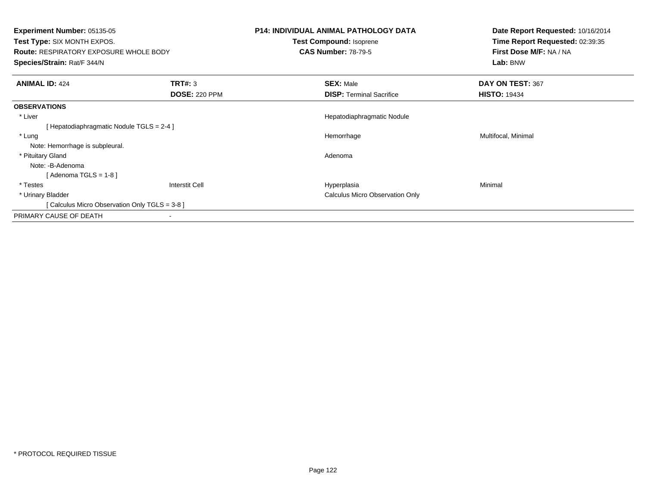| <b>Experiment Number: 05135-05</b><br><b>Test Type: SIX MONTH EXPOS.</b><br><b>Route: RESPIRATORY EXPOSURE WHOLE BODY</b><br>Species/Strain: Rat/F 344/N |                                        | <b>P14: INDIVIDUAL ANIMAL PATHOLOGY DATA</b><br>Test Compound: Isoprene<br><b>CAS Number: 78-79-5</b> | Date Report Requested: 10/16/2014<br>Time Report Requested: 02:39:35<br>First Dose M/F: NA / NA<br>Lab: BNW |
|----------------------------------------------------------------------------------------------------------------------------------------------------------|----------------------------------------|-------------------------------------------------------------------------------------------------------|-------------------------------------------------------------------------------------------------------------|
| <b>ANIMAL ID: 424</b>                                                                                                                                    | <b>TRT#: 3</b><br><b>DOSE: 220 PPM</b> | <b>SEX: Male</b><br><b>DISP: Terminal Sacrifice</b>                                                   | DAY ON TEST: 367<br><b>HISTO: 19434</b>                                                                     |
| <b>OBSERVATIONS</b>                                                                                                                                      |                                        |                                                                                                       |                                                                                                             |
| * Liver                                                                                                                                                  |                                        | Hepatodiaphragmatic Nodule                                                                            |                                                                                                             |
| Hepatodiaphragmatic Nodule TGLS = 2-4 ]                                                                                                                  |                                        |                                                                                                       |                                                                                                             |
| * Lung                                                                                                                                                   |                                        | Hemorrhage                                                                                            | Multifocal, Minimal                                                                                         |
| Note: Hemorrhage is subpleural.                                                                                                                          |                                        |                                                                                                       |                                                                                                             |
| * Pituitary Gland                                                                                                                                        |                                        | Adenoma                                                                                               |                                                                                                             |
| Note: -B-Adenoma                                                                                                                                         |                                        |                                                                                                       |                                                                                                             |
| [ Adenoma TGLS = 1-8 ]                                                                                                                                   |                                        |                                                                                                       |                                                                                                             |
| * Testes                                                                                                                                                 | <b>Interstit Cell</b>                  | Hyperplasia                                                                                           | Minimal                                                                                                     |
| * Urinary Bladder                                                                                                                                        |                                        | <b>Calculus Micro Observation Only</b>                                                                |                                                                                                             |
| Calculus Micro Observation Only TGLS = 3-8 ]                                                                                                             |                                        |                                                                                                       |                                                                                                             |
| PRIMARY CAUSE OF DEATH                                                                                                                                   |                                        |                                                                                                       |                                                                                                             |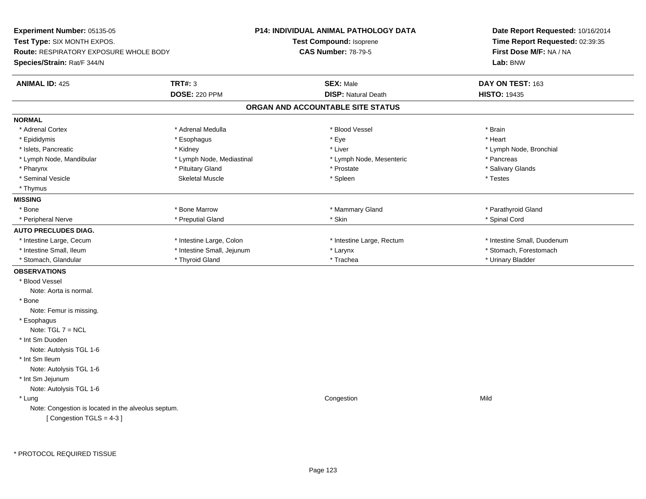**Experiment Number:** 05135-05**Test Type:** SIX MONTH EXPOS.**Route:** RESPIRATORY EXPOSURE WHOLE BODY**Species/Strain:** Rat/F 344/N**P14: INDIVIDUAL ANIMAL PATHOLOGY DATATest Compound:** Isoprene**CAS Number:** 78-79-5**Date Report Requested:** 10/16/2014**Time Report Requested:** 02:39:35**First Dose M/F:** NA / NA**Lab:** BNW**ANIMAL ID:** 425**TRT#:** 3 **SEX:** Male **DAY ON TEST:** 163 **DOSE:** 220 PPM**DISP:** Natural Death **HISTO:** 19435 **ORGAN AND ACCOUNTABLE SITE STATUSNORMAL**\* Adrenal Cortex \* Adrenal Medulla \* Adrenal Medulla \* Blood Vessel \* Brain \* Brain \* Brain \* Brain \* Brain \* Brain \* Brain \* Brain \* Brain \* Brain \* Brain \* Brain \* Brain \* Brain \* Brain \* Brain \* Brain \* Brain \* Brain \* Brain \* Brain \* B \* Heart \* Epididymis \* \* \* ethanology \* Esophagus \* \* \* \* \* \* \* ethanology \* \* Eye \* \* \* \* \* \* \* \* \* \* \* \* \* \* Heart \* Islets, Pancreatic **\* Kidney \* Kidney \* Kidney \* Liver \*** Liver \* Liver \* Lymph Node, Bronchial \* Lymph Node, Mandibular \* The same way \* Lymph Node, Mediastinal \* Lymph Node, Mesenteric \* Pancreas \* Pancreas \* Salivary Glands \* Pharynx \* That was also to the set of the set of the set of the set of the set of the set of the set of the set of the set of the set of the set of the set of the set of the set of the set of the set of the set of the se \* Seminal Vesicle \* \* \* Testes \* \* Spleen \* \* Spleen \* \* Spleen \* \* Spleen \* \* Testes \* Testes \* Testes \* Testes \* Thymus**MISSING**\* Bone \* Bone \* About the Marrow \* About the Marrow \* Mammary Gland \* Mammary Gland \* Parathyroid Gland \* \* Parathyroid Gland \* Peripheral Nerve \* \* \* \$pinal Cord \* \* Perputial Gland \* \* \* \* Skin \* \* Skin \* \* \* Spinal Cord \* Spinal Cord \* \* Spinal Cord \* \* Spinal Cord \* \* Spinal Cord \* \* Spinal Cord \* \* Spinal Cord \* \* Spinal Cord \* \* Spinal Cord **AUTO PRECLUDES DIAG.** \* Intestine Large, Cecum \* Intestine Large, Colon \* Intestine Large, Rectum \* Intestine Small, Duodenum\* Intestine Small, Ileum \* Thestine Small, Jejunum \* Larynx \* Larynx \* Stomach, Forestomach \* Stomach, Glandular \* \* Thyroid Gland \* \* Thyroid Gland \* \* Trachea \* \* Trachea \* \* Urinary Bladder **OBSERVATIONS** \* Blood VesselNote: Aorta is normal. \* Bone Note: Femur is missing. \* EsophagusNote: TGL 7 = NCL \* Int Sm Duoden Note: Autolysis TGL 1-6 \* Int Sm Ileum Note: Autolysis TGL 1-6 \* Int Sm Jejunum Note: Autolysis TGL 1-6 \* Lungg and the congression of the congression of the congression of the congression of the congression of the congression Note: Congestion is located in the alveolus septum.[ Congestion TGLS = 4-3 ]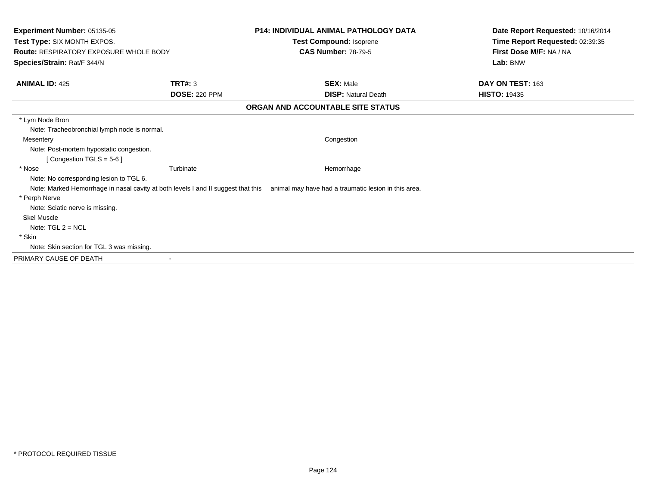| Experiment Number: 05135-05<br>Test Type: SIX MONTH EXPOS.<br><b>Route: RESPIRATORY EXPOSURE WHOLE BODY</b><br>Species/Strain: Rat/F 344/N |                      | <b>P14: INDIVIDUAL ANIMAL PATHOLOGY DATA</b><br>Test Compound: Isoprene<br><b>CAS Number: 78-79-5</b>                                                | Date Report Requested: 10/16/2014<br>Time Report Requested: 02:39:35<br>First Dose M/F: NA / NA<br>Lab: BNW |
|--------------------------------------------------------------------------------------------------------------------------------------------|----------------------|------------------------------------------------------------------------------------------------------------------------------------------------------|-------------------------------------------------------------------------------------------------------------|
| <b>ANIMAL ID: 425</b>                                                                                                                      | <b>TRT#: 3</b>       | <b>SEX: Male</b>                                                                                                                                     | DAY ON TEST: 163                                                                                            |
|                                                                                                                                            | <b>DOSE: 220 PPM</b> | <b>DISP: Natural Death</b>                                                                                                                           | <b>HISTO: 19435</b>                                                                                         |
|                                                                                                                                            |                      | ORGAN AND ACCOUNTABLE SITE STATUS                                                                                                                    |                                                                                                             |
| * Lym Node Bron<br>Note: Tracheobronchial lymph node is normal.                                                                            |                      |                                                                                                                                                      |                                                                                                             |
| Mesentery<br>Note: Post-mortem hypostatic congestion.<br>[Congestion TGLS = $5-6$ ]                                                        |                      | Congestion                                                                                                                                           |                                                                                                             |
| * Nose<br>Note: No corresponding lesion to TGL 6.                                                                                          | Turbinate            | Hemorrhage<br>Note: Marked Hemorrhage in nasal cavity at both levels I and II suggest that this animal may have had a traumatic lesion in this area. |                                                                                                             |
| * Perph Nerve<br>Note: Sciatic nerve is missing.<br><b>Skel Muscle</b>                                                                     |                      |                                                                                                                                                      |                                                                                                             |
| Note: $TGL 2 = NCL$<br>* Skin<br>Note: Skin section for TGL 3 was missing.                                                                 |                      |                                                                                                                                                      |                                                                                                             |
| PRIMARY CAUSE OF DEATH                                                                                                                     |                      |                                                                                                                                                      |                                                                                                             |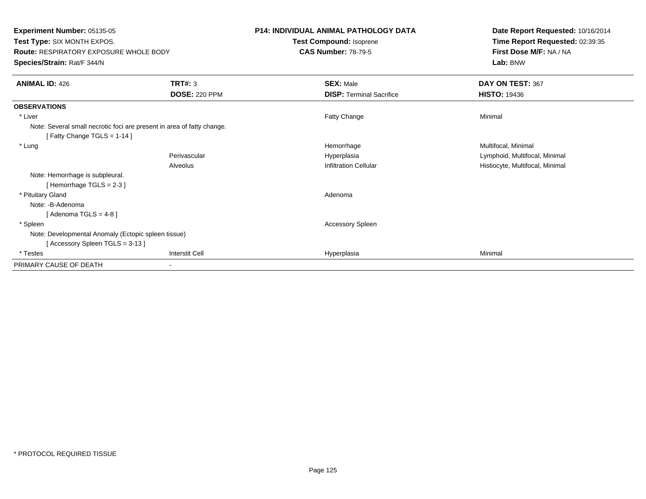**Experiment Number:** 05135-05**Test Type:** SIX MONTH EXPOS.**Route:** RESPIRATORY EXPOSURE WHOLE BODY**Species/Strain:** Rat/F 344/N**P14: INDIVIDUAL ANIMAL PATHOLOGY DATATest Compound:** Isoprene**CAS Number:** 78-79-5**Date Report Requested:** 10/16/2014**Time Report Requested:** 02:39:35**First Dose M/F:** NA / NA**Lab:** BNW**ANIMAL ID:** 426**6 DAY ON TEST:** 367 **DOSE:** 220 PPM**DISP:** Terminal Sacrifice **HISTO:** 19436 **OBSERVATIONS** \* Liver Fatty Changee Minimal Note: Several small necrotic foci are present in area of fatty change.[ Fatty Change TGLS = 1-14 ] \* Lungg and the morrhage of the morrhage of the morrhage  $\theta$  and  $\theta$  and  $\theta$  and  $\theta$  and  $\theta$  and  $\theta$  and  $\theta$  and  $\theta$  and  $\theta$  and  $\theta$  and  $\theta$  and  $\theta$  and  $\theta$  and  $\theta$  and  $\theta$  and  $\theta$  and  $\theta$  and  $\theta$  and  $\theta$  and Perivascular Hyperplasia Lymphoid, Multifocal, Minimal AlveolusHistiocyte, Multifocal, Minimal Note: Hemorrhage is subpleural.[ Hemorrhage TGLS = 2-3 ] \* Pituitary Glandd and a state of the control of the control of the control of the control of the control of the control of the control of the control of the control of the control of the control of the control of the control of the contro Note: -B-Adenoma $[$  Adenoma TGLS = 4-8  $]$  \* Spleen Accessory Spleen Note: Developmental Anomaly (Ectopic spleen tissue)[ Accessory Spleen TGLS = 3-13 ] \* Testess Interstit Cell Hyperplasia a Minimal PRIMARY CAUSE OF DEATH-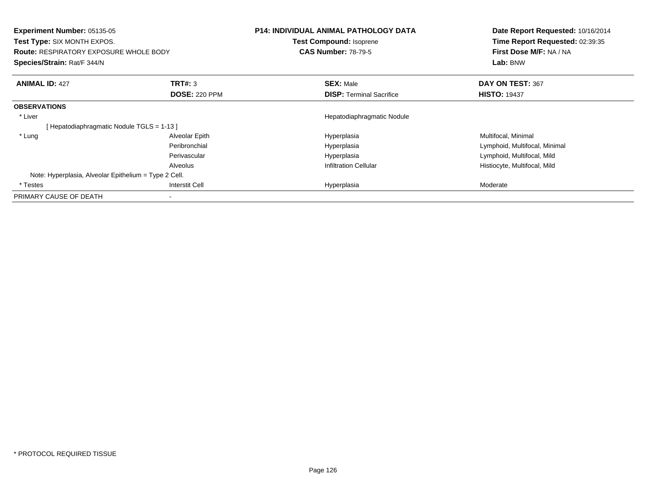| Experiment Number: 05135-05<br><b>Test Type: SIX MONTH EXPOS.</b><br><b>Route: RESPIRATORY EXPOSURE WHOLE BODY</b><br>Species/Strain: Rat/F 344/N |                      | <b>P14: INDIVIDUAL ANIMAL PATHOLOGY DATA</b><br><b>Test Compound: Isoprene</b><br><b>CAS Number: 78-79-5</b> | Date Report Requested: 10/16/2014<br>Time Report Requested: 02:39:35<br>First Dose M/F: NA / NA<br>Lab: BNW |
|---------------------------------------------------------------------------------------------------------------------------------------------------|----------------------|--------------------------------------------------------------------------------------------------------------|-------------------------------------------------------------------------------------------------------------|
| <b>ANIMAL ID: 427</b>                                                                                                                             | <b>TRT#: 3</b>       | <b>SEX: Male</b>                                                                                             | DAY ON TEST: 367                                                                                            |
|                                                                                                                                                   | <b>DOSE: 220 PPM</b> | <b>DISP:</b> Terminal Sacrifice                                                                              | <b>HISTO: 19437</b>                                                                                         |
| <b>OBSERVATIONS</b>                                                                                                                               |                      |                                                                                                              |                                                                                                             |
| * Liver                                                                                                                                           |                      | Hepatodiaphragmatic Nodule                                                                                   |                                                                                                             |
| [Hepatodiaphragmatic Nodule TGLS = 1-13 ]                                                                                                         |                      |                                                                                                              |                                                                                                             |
| * Lung                                                                                                                                            | Alveolar Epith       | Hyperplasia                                                                                                  | Multifocal, Minimal                                                                                         |
|                                                                                                                                                   | Peribronchial        | Hyperplasia                                                                                                  | Lymphoid, Multifocal, Minimal                                                                               |
|                                                                                                                                                   | Perivascular         | Hyperplasia                                                                                                  | Lymphoid, Multifocal, Mild                                                                                  |
|                                                                                                                                                   | Alveolus             | <b>Infiltration Cellular</b>                                                                                 | Histiocyte, Multifocal, Mild                                                                                |
| Note: Hyperplasia, Alveolar Epithelium = Type 2 Cell.                                                                                             |                      |                                                                                                              |                                                                                                             |
| * Testes                                                                                                                                          | Interstit Cell       | Hyperplasia                                                                                                  | Moderate                                                                                                    |
| PRIMARY CAUSE OF DEATH                                                                                                                            |                      |                                                                                                              |                                                                                                             |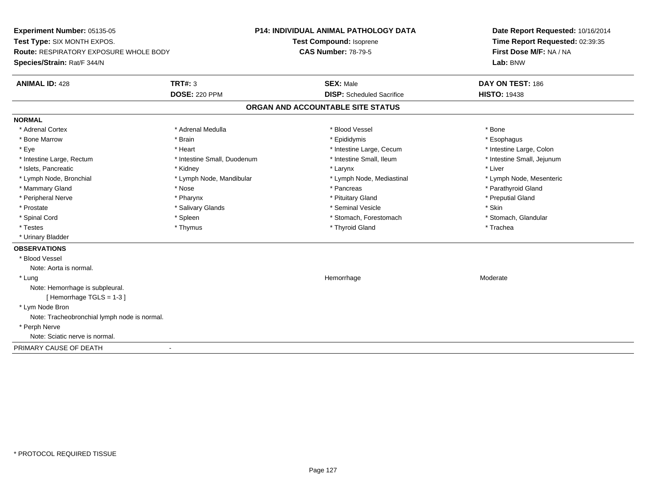**Experiment Number:** 05135-05**Test Type:** SIX MONTH EXPOS.**Route:** RESPIRATORY EXPOSURE WHOLE BODY**Species/Strain:** Rat/F 344/N**P14: INDIVIDUAL ANIMAL PATHOLOGY DATATest Compound:** Isoprene**CAS Number:** 78-79-5**Date Report Requested:** 10/16/2014**Time Report Requested:** 02:39:35**First Dose M/F:** NA / NA**Lab:** BNW**ANIMAL ID:** 428**TRT#:** 3 **SEX:** Male **DAY ON TEST:** 186 **DOSE:** 220 PPM**DISP:** Scheduled Sacrifice **HISTO:** 19438 **ORGAN AND ACCOUNTABLE SITE STATUSNORMAL**\* Adrenal Cortex \* Adrenal Cortex \* \* Adrenal Medulla \* \* Adrenal Medulla \* \* Blood Vessel \* \* Brood Vessel \* \* Bone \* Esophagus \* Bone Marrow \* Brain \* Epididymis \* Esophagus \* Intestine Large, Colon \* Eye \* The matrice of the test of the test of the test of the test of the test of the test of the test of the test of the test of the test of the test of the test of the test of the test of the test of the test of the tes \* Intestine Small, Jejunum \* Intestine Large, Rectum \* Intestine Small, Duodenum \* Intestine Small, Ileum \* Intestine Small, Ileum \* Islets, Pancreatic \* \* \* Andrew \* Kidney \* \* Kidney \* \* Larynx \* Larynx \* \* Larynx \* \* Liver \* Liver \* Liver \* Lymph Node, Bronchial \* Lymph Node, Mandibular \* Lymph Node, Mediastinal \* Lymph Node, Mesenteric\* Mammary Gland \* The strain of the strain of the strain of the strain of the strain of the strain of the strain of the strain of the strain of the strain of the strain of the strain of the strain of the strain of the stra \* Peripheral Nerve \* \* \* \* Pharynx \* \* Pharynx \* \* \* Preputial Gland \* \* Preputial Gland \* \* Preputial Gland \* Prostate \* \* Salivary Glands \* \* Salivary Glands \* \* Seminal Vesicle \* \* \* Seminal Yestrich \* \* Skin \* \* Skin \* Stomach, Glandular \* Spinal Cord \* Spinal Cord \* Spinal Cord \* Stomach, Forestomach \* Spinal Cord \* Stomach, Forestomach \* Testes \* Thymus \* Thyroid Gland \* Trachea \* Urinary Bladder**OBSERVATIONS** \* Blood VesselNote: Aorta is normal. \* Lungg and the state of the state of the state of the Moderate of the Moderate of the Moderate of the Moderate of the Moderate of the Moderate of the Moderate of the Moderate of the Moderate of the Moderate of the Moderate of t Note: Hemorrhage is subpleural.[ Hemorrhage TGLS = 1-3 ] \* Lym Node Bron Note: Tracheobronchial lymph node is normal. \* Perph Nerve Note: Sciatic nerve is normal.PRIMARY CAUSE OF DEATH-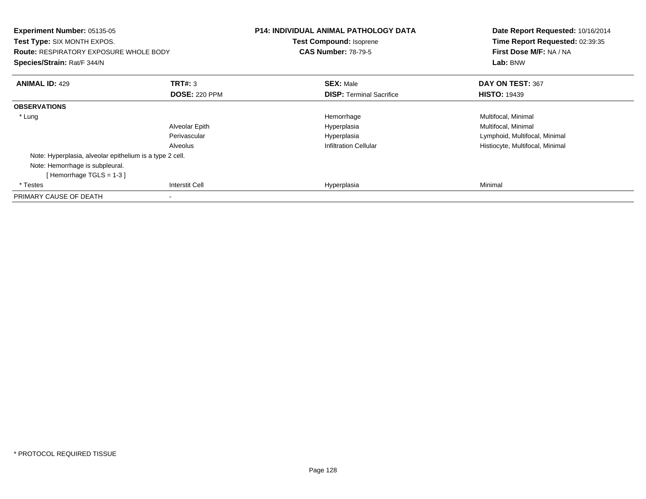| Experiment Number: 05135-05<br><b>Test Type: SIX MONTH EXPOS.</b><br><b>Route: RESPIRATORY EXPOSURE WHOLE BODY</b><br>Species/Strain: Rat/F 344/N |                       | <b>P14: INDIVIDUAL ANIMAL PATHOLOGY DATA</b><br>Test Compound: Isoprene<br><b>CAS Number: 78-79-5</b> | Date Report Requested: 10/16/2014<br>Time Report Requested: 02:39:35<br>First Dose M/F: NA / NA<br>Lab: BNW |
|---------------------------------------------------------------------------------------------------------------------------------------------------|-----------------------|-------------------------------------------------------------------------------------------------------|-------------------------------------------------------------------------------------------------------------|
| <b>ANIMAL ID: 429</b>                                                                                                                             | TRT#: 3               | <b>SEX: Male</b>                                                                                      | DAY ON TEST: 367                                                                                            |
|                                                                                                                                                   | <b>DOSE: 220 PPM</b>  | <b>DISP:</b> Terminal Sacrifice                                                                       | <b>HISTO: 19439</b>                                                                                         |
| <b>OBSERVATIONS</b>                                                                                                                               |                       |                                                                                                       |                                                                                                             |
| * Lung                                                                                                                                            |                       | Hemorrhage                                                                                            | Multifocal, Minimal                                                                                         |
|                                                                                                                                                   | Alveolar Epith        | Hyperplasia                                                                                           | Multifocal, Minimal                                                                                         |
|                                                                                                                                                   | Perivascular          | Hyperplasia                                                                                           | Lymphoid, Multifocal, Minimal                                                                               |
|                                                                                                                                                   | Alveolus              | <b>Infiltration Cellular</b>                                                                          | Histiocyte, Multifocal, Minimal                                                                             |
| Note: Hyperplasia, alveolar epithelium is a type 2 cell.                                                                                          |                       |                                                                                                       |                                                                                                             |
| Note: Hemorrhage is subpleural.                                                                                                                   |                       |                                                                                                       |                                                                                                             |
| [Hemorrhage TGLS = $1-3$ ]                                                                                                                        |                       |                                                                                                       |                                                                                                             |
| * Testes                                                                                                                                          | <b>Interstit Cell</b> | Hyperplasia                                                                                           | Minimal                                                                                                     |
| PRIMARY CAUSE OF DEATH                                                                                                                            |                       |                                                                                                       |                                                                                                             |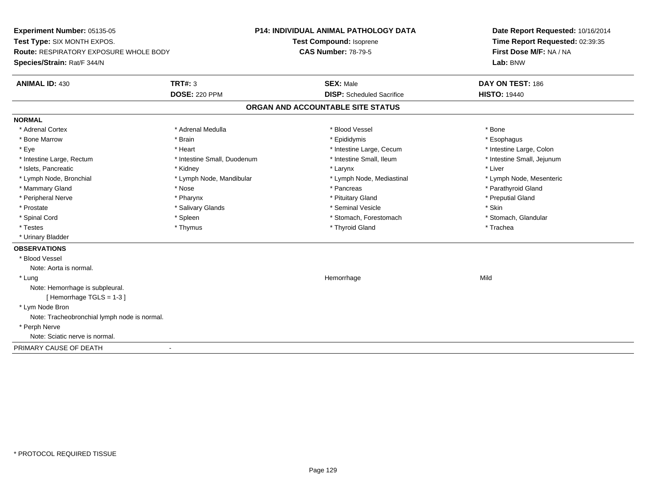**Experiment Number:** 05135-05**Test Type:** SIX MONTH EXPOS.**Route:** RESPIRATORY EXPOSURE WHOLE BODY**Species/Strain:** Rat/F 344/N**P14: INDIVIDUAL ANIMAL PATHOLOGY DATATest Compound:** Isoprene**CAS Number:** 78-79-5**Date Report Requested:** 10/16/2014**Time Report Requested:** 02:39:35**First Dose M/F:** NA / NA**Lab:** BNW**ANIMAL ID:** 430**TRT#:** 3 **SEX:** Male **DAY ON TEST:** 186 **DOSE:** 220 PPM**DISP:** Scheduled Sacrifice **HISTO:** 19440 **ORGAN AND ACCOUNTABLE SITE STATUSNORMAL**\* Adrenal Cortex \* Adrenal Cortex \* \* Adrenal Medulla \* \* Adrenal Medulla \* \* Blood Vessel \* \* Brood Vessel \* \* Bone \* Esophagus \* Bone Marrow \* Brain \* Epididymis \* Esophagus \* Intestine Large, Colon \* Eye \* The matrice of the test of the test of the test of the test of the test of the test of the test of the test of the test of the test of the test of the test of the test of the test of the test of the test of the tes \* Intestine Small, Jejunum \* Intestine Large, Rectum \* Intestine Small, Duodenum \* Intestine Small, Ileum \* Intestine Small, Ileum \* Islets, Pancreatic \* \* \* Andrew \* Kidney \* \* Kidney \* \* Larynx \* Larynx \* \* Larynx \* \* Liver \* Liver \* Liver \* Lymph Node, Bronchial \* Lymph Node, Mandibular \* Lymph Node, Mediastinal \* Lymph Node, Mesenteric\* Mammary Gland \* The strain of the strain of the strain of the strain of the strain of the strain of the strain of the strain of the strain of the strain of the strain of the strain of the strain of the strain of the stra \* Peripheral Nerve \* \* \* \* Pharynx \* \* Pharynx \* \* \* Preputial Gland \* \* Preputial Gland \* \* Preputial Gland \* Prostate \* \* Salivary Glands \* \* Salivary Glands \* \* Seminal Vesicle \* \* \* Seminal Yestrich \* \* Skin \* \* Skin \* Stomach, Glandular \* Spinal Cord \* Spinal Cord \* Spinal Cord \* Stomach, Forestomach \* Spinal Cord \* Stomach, Forestomach \* Testes \* Thymus \* Thyroid Gland \* Trachea \* Urinary Bladder**OBSERVATIONS** \* Blood VesselNote: Aorta is normal. \* Lungg and the state of the state of the state of the state of the Hemorrhage state of the Mild of the Mild of the S Note: Hemorrhage is subpleural.[ Hemorrhage TGLS = 1-3 ] \* Lym Node Bron Note: Tracheobronchial lymph node is normal. \* Perph Nerve Note: Sciatic nerve is normal.PRIMARY CAUSE OF DEATH-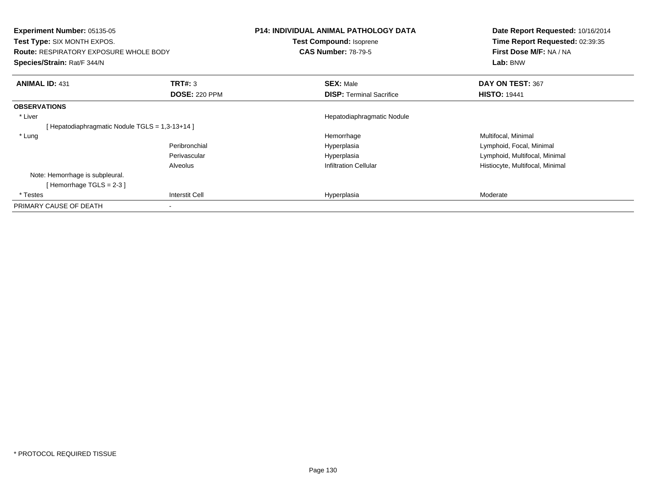| <b>Experiment Number: 05135-05</b><br>Test Type: SIX MONTH EXPOS.<br><b>Route: RESPIRATORY EXPOSURE WHOLE BODY</b><br>Species/Strain: Rat/F 344/N |                                 | P14: INDIVIDUAL ANIMAL PATHOLOGY DATA<br>Test Compound: Isoprene<br><b>CAS Number: 78-79-5</b> | Date Report Requested: 10/16/2014<br>Time Report Requested: 02:39:35<br>First Dose M/F: NA / NA<br>Lab: BNW |
|---------------------------------------------------------------------------------------------------------------------------------------------------|---------------------------------|------------------------------------------------------------------------------------------------|-------------------------------------------------------------------------------------------------------------|
| <b>ANIMAL ID: 431</b>                                                                                                                             | TRT#: 3<br><b>DOSE: 220 PPM</b> | <b>SEX: Male</b><br><b>DISP:</b> Terminal Sacrifice                                            | DAY ON TEST: 367<br><b>HISTO: 19441</b>                                                                     |
|                                                                                                                                                   |                                 |                                                                                                |                                                                                                             |
| <b>OBSERVATIONS</b>                                                                                                                               |                                 |                                                                                                |                                                                                                             |
| * Liver                                                                                                                                           |                                 | Hepatodiaphragmatic Nodule                                                                     |                                                                                                             |
| [Hepatodiaphragmatic Nodule TGLS = 1,3-13+14]                                                                                                     |                                 |                                                                                                |                                                                                                             |
| * Lung                                                                                                                                            |                                 | Hemorrhage                                                                                     | Multifocal, Minimal                                                                                         |
|                                                                                                                                                   | Peribronchial                   | Hyperplasia                                                                                    | Lymphoid, Focal, Minimal                                                                                    |
|                                                                                                                                                   | Perivascular                    | Hyperplasia                                                                                    | Lymphoid, Multifocal, Minimal                                                                               |
|                                                                                                                                                   | Alveolus                        | <b>Infiltration Cellular</b>                                                                   | Histiocyte, Multifocal, Minimal                                                                             |
| Note: Hemorrhage is subpleural.                                                                                                                   |                                 |                                                                                                |                                                                                                             |
| [Hemorrhage TGLS = $2-3$ ]                                                                                                                        |                                 |                                                                                                |                                                                                                             |
| * Testes                                                                                                                                          | <b>Interstit Cell</b>           | Hyperplasia                                                                                    | Moderate                                                                                                    |
| PRIMARY CAUSE OF DEATH                                                                                                                            |                                 |                                                                                                |                                                                                                             |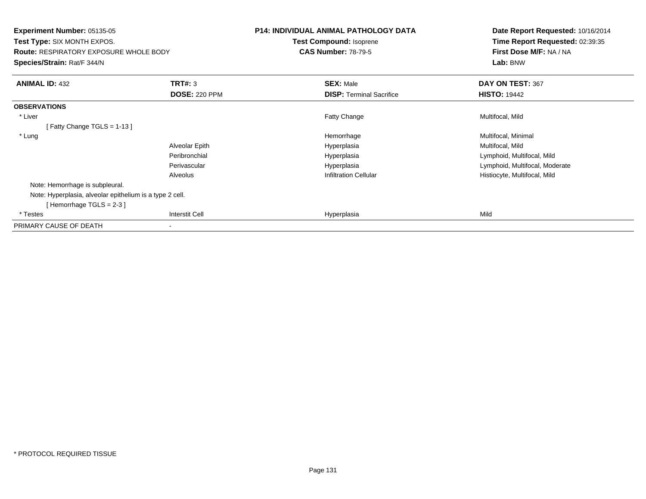| <b>Experiment Number: 05135-05</b>                       |                      | <b>P14: INDIVIDUAL ANIMAL PATHOLOGY DATA</b> | Date Report Requested: 10/16/2014 |
|----------------------------------------------------------|----------------------|----------------------------------------------|-----------------------------------|
| Test Type: SIX MONTH EXPOS.                              |                      | Test Compound: Isoprene                      | Time Report Requested: 02:39:35   |
| <b>Route: RESPIRATORY EXPOSURE WHOLE BODY</b>            |                      | <b>CAS Number: 78-79-5</b>                   | First Dose M/F: NA / NA           |
| Species/Strain: Rat/F 344/N                              |                      |                                              | Lab: BNW                          |
| <b>ANIMAL ID: 432</b>                                    | <b>TRT#: 3</b>       | <b>SEX: Male</b>                             | DAY ON TEST: 367                  |
|                                                          | <b>DOSE: 220 PPM</b> | <b>DISP:</b> Terminal Sacrifice              | <b>HISTO: 19442</b>               |
| <b>OBSERVATIONS</b>                                      |                      |                                              |                                   |
| * Liver                                                  |                      | Fatty Change                                 | Multifocal, Mild                  |
| [Fatty Change TGLS = $1-13$ ]                            |                      |                                              |                                   |
| * Lung                                                   |                      | Hemorrhage                                   | Multifocal, Minimal               |
|                                                          | Alveolar Epith       | Hyperplasia                                  | Multifocal, Mild                  |
|                                                          | Peribronchial        | Hyperplasia                                  | Lymphoid, Multifocal, Mild        |
|                                                          | Perivascular         | Hyperplasia                                  | Lymphoid, Multifocal, Moderate    |
|                                                          | Alveolus             | <b>Infiltration Cellular</b>                 | Histiocyte, Multifocal, Mild      |
| Note: Hemorrhage is subpleural.                          |                      |                                              |                                   |
| Note: Hyperplasia, alveolar epithelium is a type 2 cell. |                      |                                              |                                   |
| [Hemorrhage TGLS = $2-3$ ]                               |                      |                                              |                                   |
| * Testes                                                 | Interstit Cell       | Hyperplasia                                  | Mild                              |
| PRIMARY CAUSE OF DEATH                                   |                      |                                              |                                   |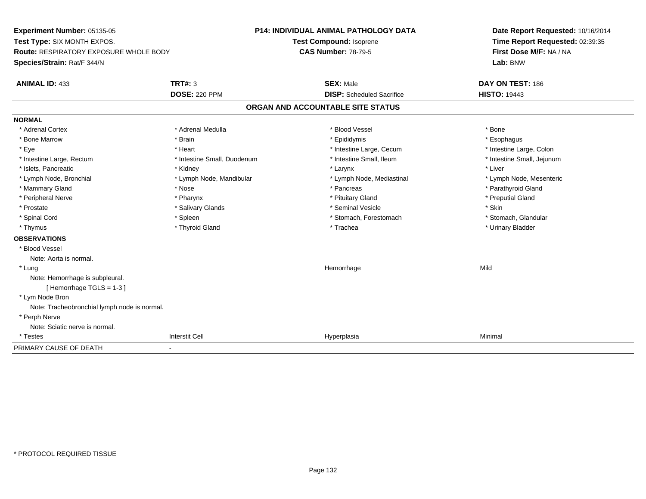**Experiment Number:** 05135-05**Test Type:** SIX MONTH EXPOS.**Route:** RESPIRATORY EXPOSURE WHOLE BODY**Species/Strain:** Rat/F 344/N**P14: INDIVIDUAL ANIMAL PATHOLOGY DATATest Compound:** Isoprene**CAS Number:** 78-79-5**Date Report Requested:** 10/16/2014**Time Report Requested:** 02:39:35**First Dose M/F:** NA / NA**Lab:** BNW**ANIMAL ID:** 433**TRT#:** 3 **SEX:** Male **DAY ON TEST:** 186 **DOSE:** 220 PPM**DISP:** Scheduled Sacrifice **HISTO:** 19443 **ORGAN AND ACCOUNTABLE SITE STATUSNORMAL**\* Adrenal Cortex \* Adrenal Cortex \* \* Adrenal Medulla \* \* Adrenal Medulla \* \* Blood Vessel \* \* Brood Vessel \* \* Bone \* Esophagus \* Bone Marrow \* Brain \* Epididymis \* Esophagus \* Intestine Large, Colon \* Eye \* Heart \* Intestine Large, Cecum \* Intestine Large, Colon\* Intestine Small, Jejunum \* Intestine Large, Rectum \* Intestine Small, Duodenum \* Intestine Small, Ileum \* Intestine Small, Ileum \* Islets, Pancreatic \* \* \* Andrew \* Kidney \* \* Kidney \* \* Larynx \* Larynx \* \* Larynx \* \* Liver \* Liver \* Liver \* Lymph Node, Bronchial \* Lymph Node, Mandibular \* Lymph Node, Mediastinal \* Lymph Node, Mesenteric\* Mammary Gland \* The strain of the strain of the strain of the strain of the strain of the strain of the strain of the strain of the strain of the strain of the strain of the strain of the strain of the strain of the stra \* Peripheral Nerve \* \* \* \* Pharynx \* \* Pharynx \* \* \* Preputial Gland \* \* Preputial Gland \* \* Preputial Gland \* Prostate \* \* Salivary Glands \* \* Salivary Glands \* \* Seminal Vesicle \* \* \* Seminal Yestrich \* \* Skin \* \* Skin \* Stomach, Glandular \* Spinal Cord **\* Stomach, Forestomach \* Spinal Cord \*** Stomach, Forestomach \* Stomach, Forestomach \* Thymus \* Thyroid Gland \* Trachea \* Urinary Bladder \* **OBSERVATIONS** \* Blood VesselNote: Aorta is normal. \* Lungg and the state of the state of the state of the state of the Hemorrhage state of the Mild of the Mild of the S Note: Hemorrhage is subpleural.[ Hemorrhage TGLS = 1-3 ] \* Lym Node Bron Note: Tracheobronchial lymph node is normal. \* Perph Nerve Note: Sciatic nerve is normal. \* Testess and the contract of the contract of the contract of the contract of the contract of the contract of the contract of the contract of the contract of the contract of the contract of the contract of the contract of the cont a Minimal PRIMARY CAUSE OF DEATH-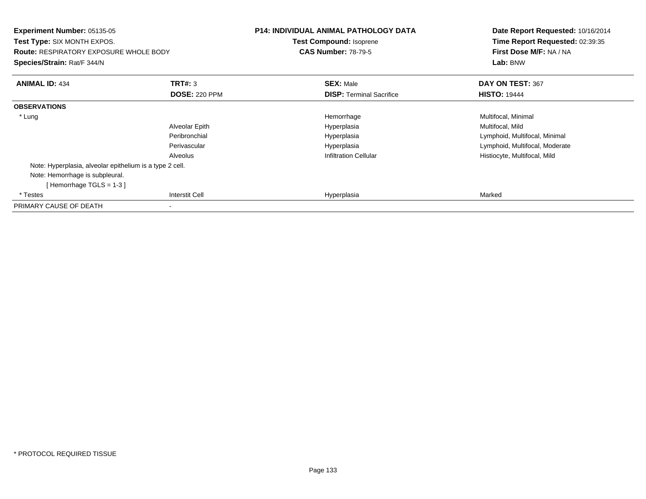| <b>Experiment Number: 05135-05</b><br><b>Test Type: SIX MONTH EXPOS.</b><br><b>Route: RESPIRATORY EXPOSURE WHOLE BODY</b><br>Species/Strain: Rat/F 344/N |                       | <b>P14: INDIVIDUAL ANIMAL PATHOLOGY DATA</b><br><b>Test Compound: Isoprene</b><br><b>CAS Number: 78-79-5</b> | Date Report Requested: 10/16/2014<br>Time Report Requested: 02:39:35<br>First Dose M/F: NA / NA<br>Lab: BNW |
|----------------------------------------------------------------------------------------------------------------------------------------------------------|-----------------------|--------------------------------------------------------------------------------------------------------------|-------------------------------------------------------------------------------------------------------------|
| <b>ANIMAL ID: 434</b>                                                                                                                                    | <b>TRT#: 3</b>        | <b>SEX: Male</b>                                                                                             | DAY ON TEST: 367                                                                                            |
|                                                                                                                                                          | <b>DOSE: 220 PPM</b>  | <b>DISP:</b> Terminal Sacrifice                                                                              | <b>HISTO: 19444</b>                                                                                         |
| <b>OBSERVATIONS</b>                                                                                                                                      |                       |                                                                                                              |                                                                                                             |
| * Lung                                                                                                                                                   |                       | Hemorrhage                                                                                                   | Multifocal, Minimal                                                                                         |
|                                                                                                                                                          | Alveolar Epith        | Hyperplasia                                                                                                  | Multifocal, Mild                                                                                            |
|                                                                                                                                                          | Peribronchial         | Hyperplasia                                                                                                  | Lymphoid, Multifocal, Minimal                                                                               |
|                                                                                                                                                          | Perivascular          | Hyperplasia                                                                                                  | Lymphoid, Multifocal, Moderate                                                                              |
|                                                                                                                                                          | Alveolus              | <b>Infiltration Cellular</b>                                                                                 | Histiocyte, Multifocal, Mild                                                                                |
| Note: Hyperplasia, alveolar epithelium is a type 2 cell.                                                                                                 |                       |                                                                                                              |                                                                                                             |
| Note: Hemorrhage is subpleural.                                                                                                                          |                       |                                                                                                              |                                                                                                             |
| [Hemorrhage $TGLS = 1-3$ ]                                                                                                                               |                       |                                                                                                              |                                                                                                             |
| * Testes                                                                                                                                                 | <b>Interstit Cell</b> | Hyperplasia                                                                                                  | Marked                                                                                                      |
| PRIMARY CAUSE OF DEATH                                                                                                                                   |                       |                                                                                                              |                                                                                                             |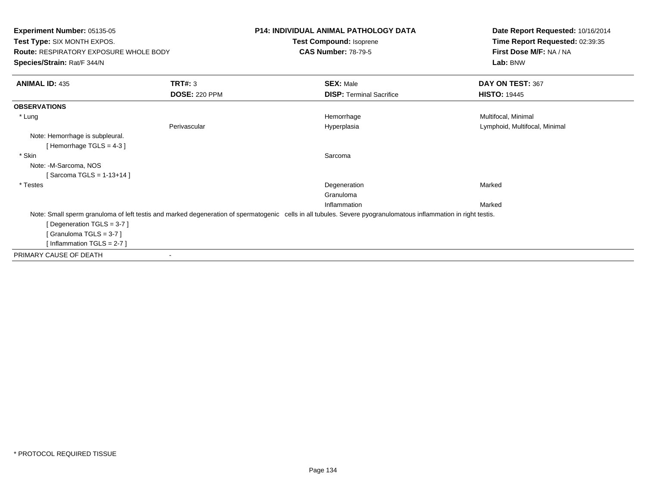| Experiment Number: 05135-05<br>Test Type: SIX MONTH EXPOS.<br><b>Route: RESPIRATORY EXPOSURE WHOLE BODY</b><br>Species/Strain: Rat/F 344/N |                      | <b>P14: INDIVIDUAL ANIMAL PATHOLOGY DATA</b><br>Test Compound: Isoprene<br><b>CAS Number: 78-79-5</b>                                                           | Date Report Requested: 10/16/2014<br>Time Report Requested: 02:39:35<br>First Dose M/F: NA / NA<br>Lab: BNW |
|--------------------------------------------------------------------------------------------------------------------------------------------|----------------------|-----------------------------------------------------------------------------------------------------------------------------------------------------------------|-------------------------------------------------------------------------------------------------------------|
| <b>ANIMAL ID: 435</b>                                                                                                                      | TRT#: 3              | <b>SEX: Male</b>                                                                                                                                                | DAY ON TEST: 367                                                                                            |
|                                                                                                                                            | <b>DOSE: 220 PPM</b> | <b>DISP: Terminal Sacrifice</b>                                                                                                                                 | <b>HISTO: 19445</b>                                                                                         |
| <b>OBSERVATIONS</b>                                                                                                                        |                      |                                                                                                                                                                 |                                                                                                             |
| * Lung                                                                                                                                     |                      | Hemorrhage                                                                                                                                                      | Multifocal, Minimal                                                                                         |
|                                                                                                                                            | Perivascular         | Hyperplasia                                                                                                                                                     | Lymphoid, Multifocal, Minimal                                                                               |
| Note: Hemorrhage is subpleural.<br>[Hemorrhage TGLS = $4-3$ ]                                                                              |                      |                                                                                                                                                                 |                                                                                                             |
| * Skin                                                                                                                                     |                      | Sarcoma                                                                                                                                                         |                                                                                                             |
| Note: -M-Sarcoma, NOS                                                                                                                      |                      |                                                                                                                                                                 |                                                                                                             |
| [Sarcoma TGLS = $1-13+14$ ]                                                                                                                |                      |                                                                                                                                                                 |                                                                                                             |
| * Testes                                                                                                                                   |                      | Degeneration                                                                                                                                                    | Marked                                                                                                      |
|                                                                                                                                            |                      | Granuloma                                                                                                                                                       |                                                                                                             |
|                                                                                                                                            |                      | Inflammation                                                                                                                                                    | Marked                                                                                                      |
|                                                                                                                                            |                      | Note: Small sperm granuloma of left testis and marked degeneration of spermatogenic cells in all tubules. Severe pyogranulomatous inflammation in right testis. |                                                                                                             |
| [Degeneration TGLS = 3-7]                                                                                                                  |                      |                                                                                                                                                                 |                                                                                                             |
| [Granuloma TGLS = $3-7$ ]                                                                                                                  |                      |                                                                                                                                                                 |                                                                                                             |
| [Inflammation TGLS = $2-7$ ]                                                                                                               |                      |                                                                                                                                                                 |                                                                                                             |
| PRIMARY CAUSE OF DEATH                                                                                                                     |                      |                                                                                                                                                                 |                                                                                                             |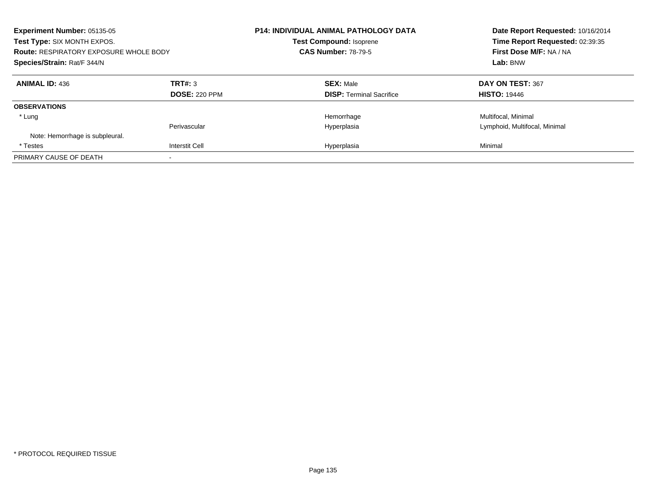| Experiment Number: 05135-05<br>Test Type: SIX MONTH EXPOS.<br><b>Route: RESPIRATORY EXPOSURE WHOLE BODY</b><br>Species/Strain: Rat/F 344/N |                                 | <b>P14: INDIVIDUAL ANIMAL PATHOLOGY DATA</b><br><b>Test Compound: Isoprene</b><br><b>CAS Number: 78-79-5</b> | Date Report Requested: 10/16/2014<br>Time Report Requested: 02:39:35<br>First Dose M/F: NA / NA<br>Lab: BNW |
|--------------------------------------------------------------------------------------------------------------------------------------------|---------------------------------|--------------------------------------------------------------------------------------------------------------|-------------------------------------------------------------------------------------------------------------|
| <b>ANIMAL ID: 436</b>                                                                                                                      | TRT#: 3<br><b>DOSE: 220 PPM</b> | <b>SEX: Male</b><br><b>DISP:</b> Terminal Sacrifice                                                          | DAY ON TEST: 367<br><b>HISTO: 19446</b>                                                                     |
| <b>OBSERVATIONS</b>                                                                                                                        |                                 |                                                                                                              |                                                                                                             |
| * Lung                                                                                                                                     |                                 | Hemorrhage                                                                                                   | Multifocal, Minimal                                                                                         |
| Note: Hemorrhage is subpleural.                                                                                                            | Perivascular                    | Hyperplasia                                                                                                  | Lymphoid, Multifocal, Minimal                                                                               |
| * Testes                                                                                                                                   | <b>Interstit Cell</b>           | Hyperplasia                                                                                                  | Minimal                                                                                                     |
| PRIMARY CAUSE OF DEATH                                                                                                                     |                                 |                                                                                                              |                                                                                                             |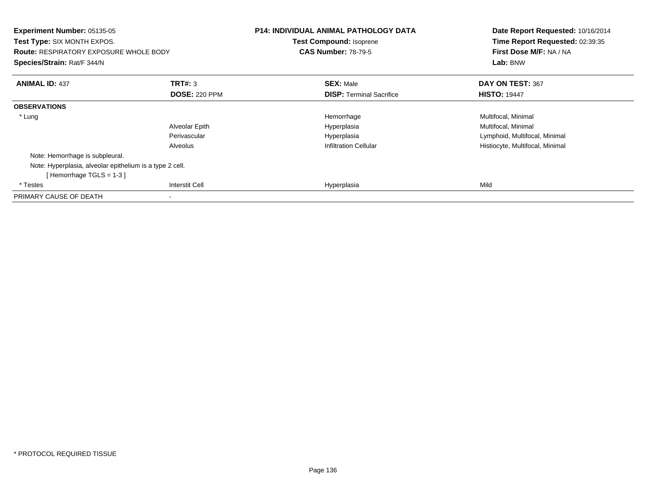| <b>Experiment Number: 05135-05</b><br><b>Test Type: SIX MONTH EXPOS.</b><br><b>Route: RESPIRATORY EXPOSURE WHOLE BODY</b><br>Species/Strain: Rat/F 344/N |                      | P14: INDIVIDUAL ANIMAL PATHOLOGY DATA<br>Test Compound: Isoprene<br><b>CAS Number: 78-79-5</b> | Date Report Requested: 10/16/2014<br>Time Report Requested: 02:39:35<br>First Dose M/F: NA / NA<br>Lab: BNW |
|----------------------------------------------------------------------------------------------------------------------------------------------------------|----------------------|------------------------------------------------------------------------------------------------|-------------------------------------------------------------------------------------------------------------|
| <b>ANIMAL ID: 437</b>                                                                                                                                    | TRT#: 3              | <b>SEX: Male</b>                                                                               | DAY ON TEST: 367                                                                                            |
|                                                                                                                                                          | <b>DOSE: 220 PPM</b> | <b>DISP:</b> Terminal Sacrifice                                                                | <b>HISTO: 19447</b>                                                                                         |
| <b>OBSERVATIONS</b>                                                                                                                                      |                      |                                                                                                |                                                                                                             |
| * Lung                                                                                                                                                   |                      | Hemorrhage                                                                                     | Multifocal, Minimal                                                                                         |
|                                                                                                                                                          | Alveolar Epith       | Hyperplasia                                                                                    | Multifocal, Minimal                                                                                         |
|                                                                                                                                                          | Perivascular         | Hyperplasia                                                                                    | Lymphoid, Multifocal, Minimal                                                                               |
|                                                                                                                                                          | Alveolus             | <b>Infiltration Cellular</b>                                                                   | Histiocyte, Multifocal, Minimal                                                                             |
| Note: Hemorrhage is subpleural.                                                                                                                          |                      |                                                                                                |                                                                                                             |
| Note: Hyperplasia, alveolar epithelium is a type 2 cell.                                                                                                 |                      |                                                                                                |                                                                                                             |
| [Hemorrhage TGLS = $1-3$ ]                                                                                                                               |                      |                                                                                                |                                                                                                             |
| * Testes                                                                                                                                                 | Interstit Cell       | Hyperplasia                                                                                    | Mild                                                                                                        |
| PRIMARY CAUSE OF DEATH                                                                                                                                   |                      |                                                                                                |                                                                                                             |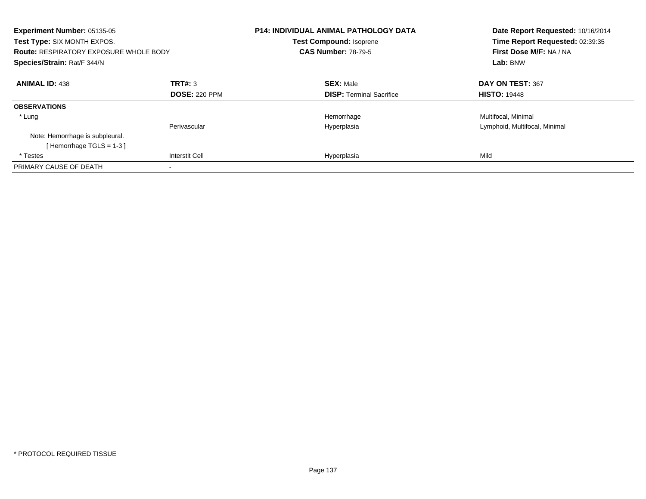| Experiment Number: 05135-05<br>Test Type: SIX MONTH EXPOS.<br><b>Route: RESPIRATORY EXPOSURE WHOLE BODY</b><br>Species/Strain: Rat/F 344/N |                       | <b>P14: INDIVIDUAL ANIMAL PATHOLOGY DATA</b><br><b>Test Compound: Isoprene</b><br><b>CAS Number: 78-79-5</b> | Date Report Requested: 10/16/2014<br>Time Report Requested: 02:39:35<br>First Dose M/F: NA / NA<br>Lab: BNW |
|--------------------------------------------------------------------------------------------------------------------------------------------|-----------------------|--------------------------------------------------------------------------------------------------------------|-------------------------------------------------------------------------------------------------------------|
| <b>ANIMAL ID: 438</b>                                                                                                                      | TRT#: 3               | <b>SEX: Male</b>                                                                                             | DAY ON TEST: 367                                                                                            |
|                                                                                                                                            | <b>DOSE: 220 PPM</b>  | <b>DISP:</b> Terminal Sacrifice                                                                              | <b>HISTO: 19448</b>                                                                                         |
| <b>OBSERVATIONS</b>                                                                                                                        |                       |                                                                                                              |                                                                                                             |
| * Lung                                                                                                                                     |                       | Hemorrhage                                                                                                   | Multifocal, Minimal                                                                                         |
|                                                                                                                                            | Perivascular          | Hyperplasia                                                                                                  | Lymphoid, Multifocal, Minimal                                                                               |
| Note: Hemorrhage is subpleural.                                                                                                            |                       |                                                                                                              |                                                                                                             |
| [Hemorrhage TGLS = $1-3$ ]                                                                                                                 |                       |                                                                                                              |                                                                                                             |
| * Testes                                                                                                                                   | <b>Interstit Cell</b> | Hyperplasia                                                                                                  | Mild                                                                                                        |
| PRIMARY CAUSE OF DEATH                                                                                                                     |                       |                                                                                                              |                                                                                                             |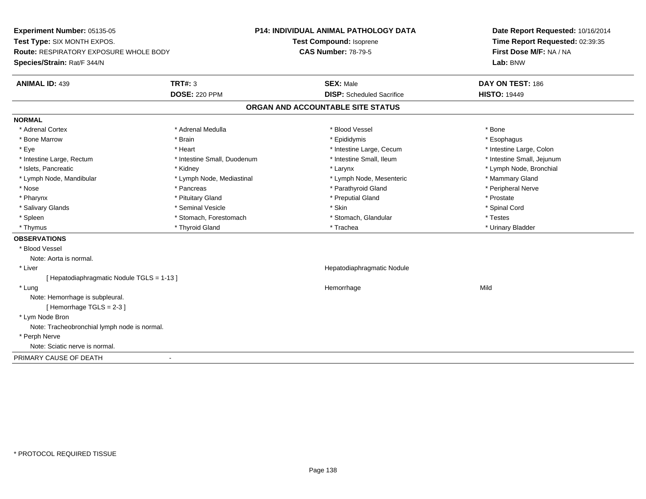**Experiment Number:** 05135-05**Test Type:** SIX MONTH EXPOS.**Route:** RESPIRATORY EXPOSURE WHOLE BODY**Species/Strain:** Rat/F 344/N**P14: INDIVIDUAL ANIMAL PATHOLOGY DATATest Compound:** Isoprene**CAS Number:** 78-79-5**Date Report Requested:** 10/16/2014**Time Report Requested:** 02:39:35**First Dose M/F:** NA / NA**Lab:** BNW**ANIMAL ID:** 439 **TRT#:** <sup>3</sup> **SEX:** Male **DAY ON TEST:** <sup>186</sup> **DOSE:** 220 PPM**DISP:** Scheduled Sacrifice **HISTO:** 19449 **ORGAN AND ACCOUNTABLE SITE STATUSNORMAL**\* Adrenal Cortex \* Adrenal Cortex \* \* Adrenal Medulla \* \* Adrenal Medulla \* \* Blood Vessel \* \* Brood Vessel \* \* Bone \* Esophagus \* Bone Marrow \* Brain \* Epididymis \* Esophagus \* Intestine Large, Colon \* Eye \* The matrice of the test of the test of the test of the test of the test of the test of the test of the test of the test of the test of the test of the test of the test of the test of the test of the test of the tes \* Intestine Small, Jejunum \* Intestine Large, Rectum \* Intestine Small, Duodenum \* Intestine Small, Ileum \* Intestine Small, Ileum \* Islets, Pancreatic \* Kidney \* Larynx \* Lymph Node, Bronchial \* Lymph Node, Mandibular \* Lymph Node, Mediastinal \* Lymph Node, Mesenteric \* Mammary Gland \* Peripheral Nerve \* Nose \* \* Pancreas \* \* Pancreas \* \* Pancreas \* \* Parathyroid Gland \* \* Peripheral Nerve \* Peripheral Nerve \* \* Pharynx \* Pituitary Gland \* Preputial Gland \* Prostate \* Spinal Cord \* Salivary Glands \* \* Seminal Vesicle \* \* Seminal Vesicle \* \* Skin \* \* Skin \* \* Stember \* Spinal Cord \* Spinal Cord \* Spinal Cord \* Spinal Cord \* Spinal Cord \* Spinal Cord \* Spinal Cord \* Spinal Cord \* Spinal Cord \* Spinal \* Spleen \* Stomach, Forestomach \* Stomach \* Stomach, Slandular \* Testes \* Testes \* Urinary Bladder \* Thymus \* Thyroid Gland \* Trachea \* Urinary Bladder \* **OBSERVATIONS** \* Blood VesselNote: Aorta is normal. \* Liver Hepatodiaphragmatic Nodule[ Hepatodiaphragmatic Nodule TGLS = 1-13 ] \* Lungg and the state of the state of the state of the state of the Hemorrhage state of the Mild of the Mild of the S Note: Hemorrhage is subpleural.[ Hemorrhage TGLS = 2-3 ] \* Lym Node Bron Note: Tracheobronchial lymph node is normal. \* Perph Nerve Note: Sciatic nerve is normal.PRIMARY CAUSE OF DEATH-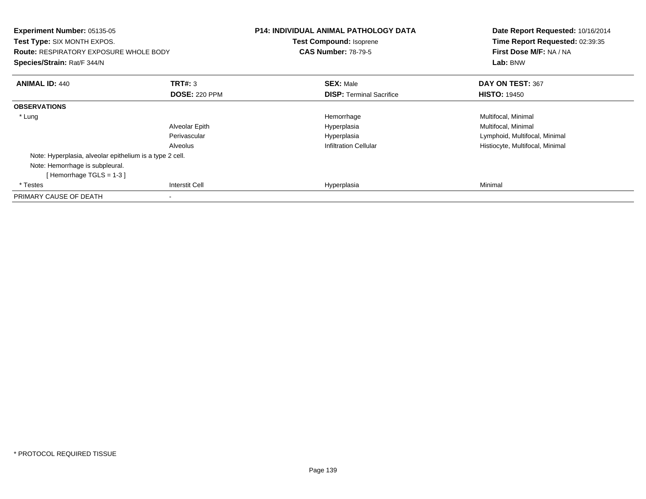| Experiment Number: 05135-05<br><b>Test Type: SIX MONTH EXPOS.</b><br><b>Route: RESPIRATORY EXPOSURE WHOLE BODY</b><br>Species/Strain: Rat/F 344/N |                       | <b>P14: INDIVIDUAL ANIMAL PATHOLOGY DATA</b><br>Test Compound: Isoprene<br><b>CAS Number: 78-79-5</b> | Date Report Requested: 10/16/2014<br>Time Report Requested: 02:39:35<br>First Dose M/F: NA / NA<br>Lab: BNW |
|---------------------------------------------------------------------------------------------------------------------------------------------------|-----------------------|-------------------------------------------------------------------------------------------------------|-------------------------------------------------------------------------------------------------------------|
| <b>ANIMAL ID: 440</b>                                                                                                                             | TRT#: 3               | <b>SEX: Male</b>                                                                                      | DAY ON TEST: 367                                                                                            |
|                                                                                                                                                   | <b>DOSE: 220 PPM</b>  | <b>DISP:</b> Terminal Sacrifice                                                                       | <b>HISTO: 19450</b>                                                                                         |
| <b>OBSERVATIONS</b>                                                                                                                               |                       |                                                                                                       |                                                                                                             |
| * Lung                                                                                                                                            |                       | Hemorrhage                                                                                            | Multifocal, Minimal                                                                                         |
|                                                                                                                                                   | Alveolar Epith        | Hyperplasia                                                                                           | Multifocal, Minimal                                                                                         |
|                                                                                                                                                   | Perivascular          | Hyperplasia                                                                                           | Lymphoid, Multifocal, Minimal                                                                               |
|                                                                                                                                                   | Alveolus              | <b>Infiltration Cellular</b>                                                                          | Histiocyte, Multifocal, Minimal                                                                             |
| Note: Hyperplasia, alveolar epithelium is a type 2 cell.                                                                                          |                       |                                                                                                       |                                                                                                             |
| Note: Hemorrhage is subpleural.                                                                                                                   |                       |                                                                                                       |                                                                                                             |
| [Hemorrhage TGLS = $1-3$ ]                                                                                                                        |                       |                                                                                                       |                                                                                                             |
| * Testes                                                                                                                                          | <b>Interstit Cell</b> | Hyperplasia                                                                                           | Minimal                                                                                                     |
| PRIMARY CAUSE OF DEATH                                                                                                                            |                       |                                                                                                       |                                                                                                             |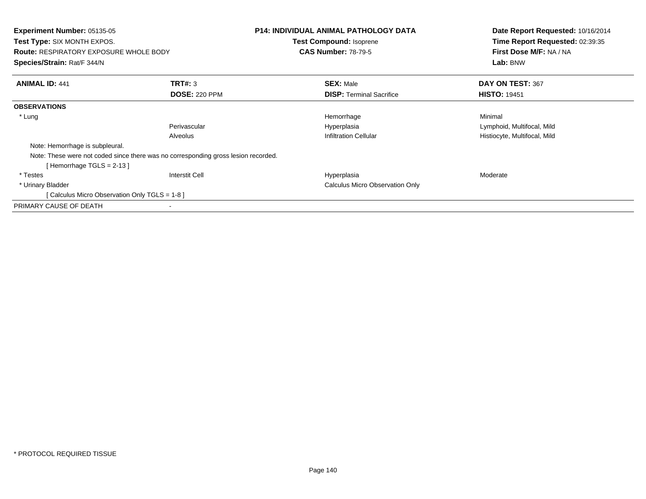| <b>Experiment Number: 05135-05</b><br>Test Type: SIX MONTH EXPOS.<br><b>Route: RESPIRATORY EXPOSURE WHOLE BODY</b><br>Species/Strain: Rat/F 344/N |                      | <b>P14: INDIVIDUAL ANIMAL PATHOLOGY DATA</b><br>Test Compound: Isoprene<br><b>CAS Number: 78-79-5</b> | Date Report Requested: 10/16/2014<br>Time Report Requested: 02:39:35<br>First Dose M/F: NA / NA<br>Lab: BNW |
|---------------------------------------------------------------------------------------------------------------------------------------------------|----------------------|-------------------------------------------------------------------------------------------------------|-------------------------------------------------------------------------------------------------------------|
| <b>ANIMAL ID: 441</b>                                                                                                                             | TRT#: 3              | <b>SEX: Male</b>                                                                                      | DAY ON TEST: 367                                                                                            |
|                                                                                                                                                   | <b>DOSE: 220 PPM</b> | <b>DISP:</b> Terminal Sacrifice                                                                       | <b>HISTO: 19451</b>                                                                                         |
| <b>OBSERVATIONS</b>                                                                                                                               |                      |                                                                                                       |                                                                                                             |
| * Lung                                                                                                                                            |                      | Hemorrhage                                                                                            | Minimal                                                                                                     |
|                                                                                                                                                   | Perivascular         | Hyperplasia                                                                                           | Lymphoid, Multifocal, Mild                                                                                  |
|                                                                                                                                                   | Alveolus             | <b>Infiltration Cellular</b>                                                                          | Histiocyte, Multifocal, Mild                                                                                |
| Note: Hemorrhage is subpleural.                                                                                                                   |                      |                                                                                                       |                                                                                                             |
| Note: These were not coded since there was no corresponding gross lesion recorded.                                                                |                      |                                                                                                       |                                                                                                             |
| [Hemorrhage TGLS = $2-13$ ]                                                                                                                       |                      |                                                                                                       |                                                                                                             |
| * Testes                                                                                                                                          | Interstit Cell       | Hyperplasia                                                                                           | Moderate                                                                                                    |
| * Urinary Bladder                                                                                                                                 |                      | Calculus Micro Observation Only                                                                       |                                                                                                             |
| [ Calculus Micro Observation Only TGLS = 1-8 ]                                                                                                    |                      |                                                                                                       |                                                                                                             |
| PRIMARY CAUSE OF DEATH                                                                                                                            |                      |                                                                                                       |                                                                                                             |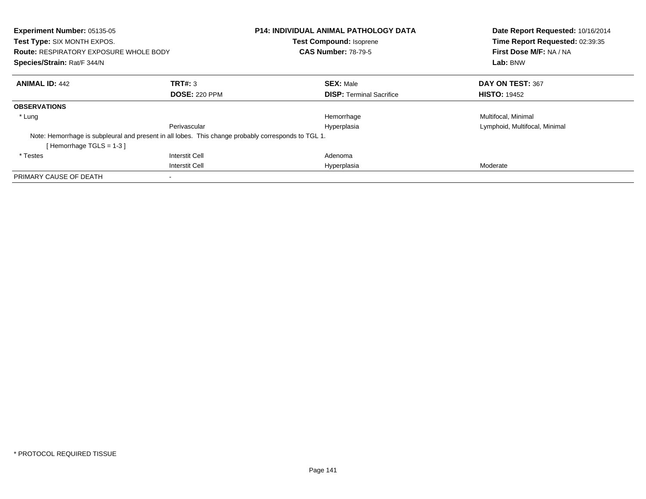| <b>Experiment Number: 05135-05</b><br>Test Type: SIX MONTH EXPOS.<br><b>Route: RESPIRATORY EXPOSURE WHOLE BODY</b><br>Species/Strain: Rat/F 344/N |                       | <b>P14: INDIVIDUAL ANIMAL PATHOLOGY DATA</b><br><b>Test Compound: Isoprene</b><br><b>CAS Number: 78-79-5</b> | Date Report Requested: 10/16/2014<br>Time Report Requested: 02:39:35<br>First Dose M/F: NA / NA<br>Lab: BNW |
|---------------------------------------------------------------------------------------------------------------------------------------------------|-----------------------|--------------------------------------------------------------------------------------------------------------|-------------------------------------------------------------------------------------------------------------|
| <b>ANIMAL ID: 442</b>                                                                                                                             | TRT#: 3               | <b>SEX: Male</b>                                                                                             | DAY ON TEST: 367                                                                                            |
|                                                                                                                                                   | <b>DOSE: 220 PPM</b>  | <b>DISP:</b> Terminal Sacrifice                                                                              | <b>HISTO: 19452</b>                                                                                         |
| <b>OBSERVATIONS</b>                                                                                                                               |                       |                                                                                                              |                                                                                                             |
| * Lung                                                                                                                                            |                       | Hemorrhage                                                                                                   | Multifocal, Minimal                                                                                         |
|                                                                                                                                                   | Perivascular          | Hyperplasia                                                                                                  | Lymphoid, Multifocal, Minimal                                                                               |
| Note: Hemorrhage is subpleural and present in all lobes. This change probably corresponds to TGL 1.<br>[Hemorrhage TGLS = $1-3$ ]                 |                       |                                                                                                              |                                                                                                             |
| * Testes                                                                                                                                          | Interstit Cell        | Adenoma                                                                                                      |                                                                                                             |
|                                                                                                                                                   | <b>Interstit Cell</b> | Hyperplasia                                                                                                  | Moderate                                                                                                    |
| PRIMARY CAUSE OF DEATH                                                                                                                            |                       |                                                                                                              |                                                                                                             |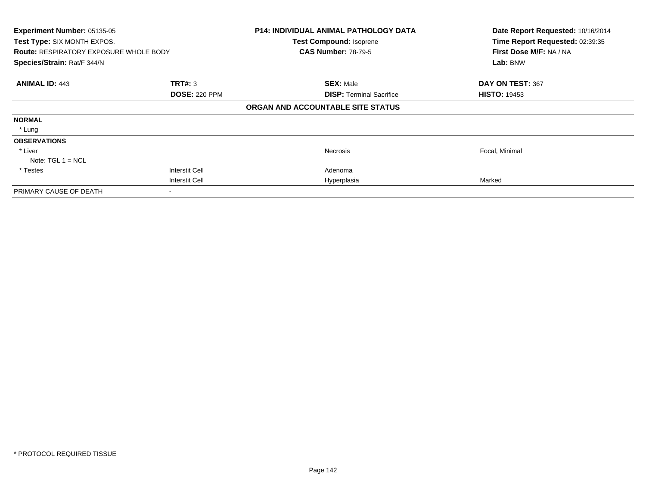| Experiment Number: 05135-05<br>Test Type: SIX MONTH EXPOS.<br><b>Route: RESPIRATORY EXPOSURE WHOLE BODY</b><br>Species/Strain: Rat/F 344/N |                       | <b>P14: INDIVIDUAL ANIMAL PATHOLOGY DATA</b><br><b>Test Compound: Isoprene</b><br><b>CAS Number: 78-79-5</b> | Date Report Requested: 10/16/2014<br>Time Report Requested: 02:39:35<br>First Dose M/F: NA / NA<br>Lab: BNW |
|--------------------------------------------------------------------------------------------------------------------------------------------|-----------------------|--------------------------------------------------------------------------------------------------------------|-------------------------------------------------------------------------------------------------------------|
|                                                                                                                                            |                       |                                                                                                              |                                                                                                             |
| <b>ANIMAL ID: 443</b>                                                                                                                      | <b>TRT#: 3</b>        | <b>SEX: Male</b>                                                                                             | DAY ON TEST: 367                                                                                            |
|                                                                                                                                            | <b>DOSE: 220 PPM</b>  | <b>DISP: Terminal Sacrifice</b>                                                                              | <b>HISTO: 19453</b>                                                                                         |
|                                                                                                                                            |                       | ORGAN AND ACCOUNTABLE SITE STATUS                                                                            |                                                                                                             |
| <b>NORMAL</b>                                                                                                                              |                       |                                                                                                              |                                                                                                             |
| * Lung                                                                                                                                     |                       |                                                                                                              |                                                                                                             |
| <b>OBSERVATIONS</b>                                                                                                                        |                       |                                                                                                              |                                                                                                             |
| * Liver                                                                                                                                    |                       | <b>Necrosis</b>                                                                                              | Focal, Minimal                                                                                              |
| Note: $TGL 1 = NCL$                                                                                                                        |                       |                                                                                                              |                                                                                                             |
| * Testes                                                                                                                                   | <b>Interstit Cell</b> | Adenoma                                                                                                      |                                                                                                             |
|                                                                                                                                            | <b>Interstit Cell</b> | Hyperplasia                                                                                                  | Marked                                                                                                      |
| PRIMARY CAUSE OF DEATH                                                                                                                     |                       |                                                                                                              |                                                                                                             |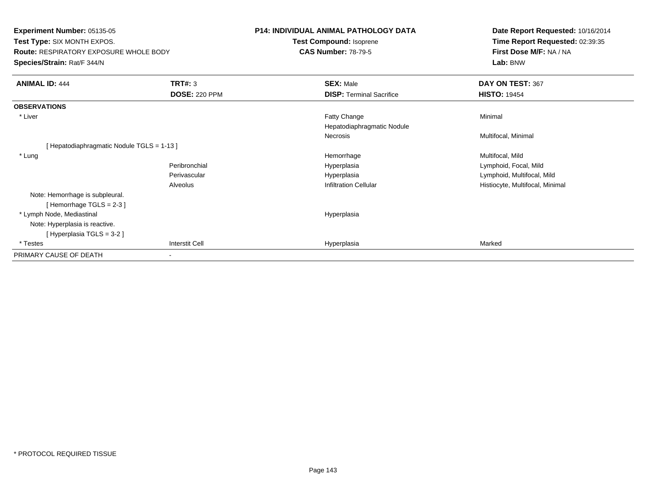**Experiment Number:** 05135-05**Test Type:** SIX MONTH EXPOS.**Route:** RESPIRATORY EXPOSURE WHOLE BODY**Species/Strain:** Rat/F 344/N**P14: INDIVIDUAL ANIMAL PATHOLOGY DATATest Compound:** Isoprene**CAS Number:** 78-79-5**Date Report Requested:** 10/16/2014**Time Report Requested:** 02:39:35**First Dose M/F:** NA / NA**Lab:** BNW**ANIMAL ID:** 444**TRT#:** 3 **SEX:** Male **DAY ON TEST:** 367 **DOSE:** 220 PPM**DISP:** Terminal Sacrifice **HISTO:** 19454 **OBSERVATIONS** \* Liver Fatty Changee Minimal Hepatodiaphragmatic NoduleNecrosis Multifocal, Minimal [ Hepatodiaphragmatic Nodule TGLS = 1-13 ] \* Lungg and the morrhage of the morrhage of the morrhage of the morrhage of the Multifocal, Mild and Multifocal, Mild and Multifocal, Mild and Multifocal, Mild and Multifocal, Mild and Multifocal, Mild and Multifocal, Mild and M Peribronchial Hyperplasia Lymphoid, Focal, Mild Perivascular Hyperplasia Lymphoid, Multifocal, Mild AlveolusHistiocyte, Multifocal, Minimal Note: Hemorrhage is subpleural.[ Hemorrhage TGLS = 2-3 ] \* Lymph Node, Mediastinal HyperplasiaNote: Hyperplasia is reactive.[ Hyperplasia TGLS = 3-2 ] \* Testess and the contract of the contract of the contract of the contract of the contract of the contract of the contract of the contract of the contract of the contract of the contract of the contract of the contract of the cont a Marked PRIMARY CAUSE OF DEATH-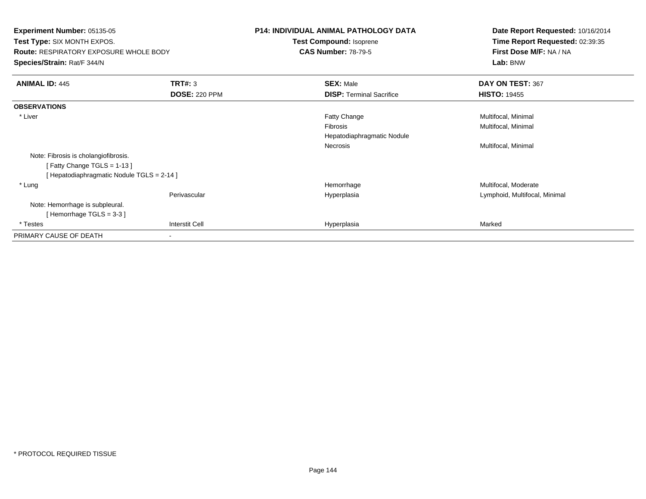| <b>Experiment Number: 05135-05</b><br><b>Test Type: SIX MONTH EXPOS.</b><br><b>Route: RESPIRATORY EXPOSURE WHOLE BODY</b> |                      | <b>P14: INDIVIDUAL ANIMAL PATHOLOGY DATA</b><br>Test Compound: Isoprene<br><b>CAS Number: 78-79-5</b> | Date Report Requested: 10/16/2014<br>Time Report Requested: 02:39:35<br>First Dose M/F: NA / NA |
|---------------------------------------------------------------------------------------------------------------------------|----------------------|-------------------------------------------------------------------------------------------------------|-------------------------------------------------------------------------------------------------|
| Species/Strain: Rat/F 344/N                                                                                               |                      |                                                                                                       | Lab: BNW                                                                                        |
| <b>ANIMAL ID: 445</b>                                                                                                     | <b>TRT#: 3</b>       | <b>SEX: Male</b>                                                                                      | DAY ON TEST: 367                                                                                |
|                                                                                                                           | <b>DOSE: 220 PPM</b> | <b>DISP: Terminal Sacrifice</b>                                                                       | <b>HISTO: 19455</b>                                                                             |
| <b>OBSERVATIONS</b>                                                                                                       |                      |                                                                                                       |                                                                                                 |
| * Liver                                                                                                                   |                      | Fatty Change                                                                                          | Multifocal, Minimal                                                                             |
|                                                                                                                           |                      | <b>Fibrosis</b>                                                                                       | Multifocal, Minimal                                                                             |
|                                                                                                                           |                      | Hepatodiaphragmatic Nodule                                                                            |                                                                                                 |
|                                                                                                                           |                      | Necrosis                                                                                              | Multifocal, Minimal                                                                             |
| Note: Fibrosis is cholangiofibrosis.                                                                                      |                      |                                                                                                       |                                                                                                 |
| [Fatty Change TGLS = 1-13]                                                                                                |                      |                                                                                                       |                                                                                                 |
| [ Hepatodiaphragmatic Nodule TGLS = 2-14 ]                                                                                |                      |                                                                                                       |                                                                                                 |
| * Lung                                                                                                                    |                      | Hemorrhage                                                                                            | Multifocal, Moderate                                                                            |
|                                                                                                                           | Perivascular         | Hyperplasia                                                                                           | Lymphoid, Multifocal, Minimal                                                                   |
| Note: Hemorrhage is subpleural.                                                                                           |                      |                                                                                                       |                                                                                                 |
| [Hemorrhage TGLS = $3-3$ ]                                                                                                |                      |                                                                                                       |                                                                                                 |
| * Testes                                                                                                                  | Interstit Cell       | Hyperplasia                                                                                           | Marked                                                                                          |
| PRIMARY CAUSE OF DEATH                                                                                                    |                      |                                                                                                       |                                                                                                 |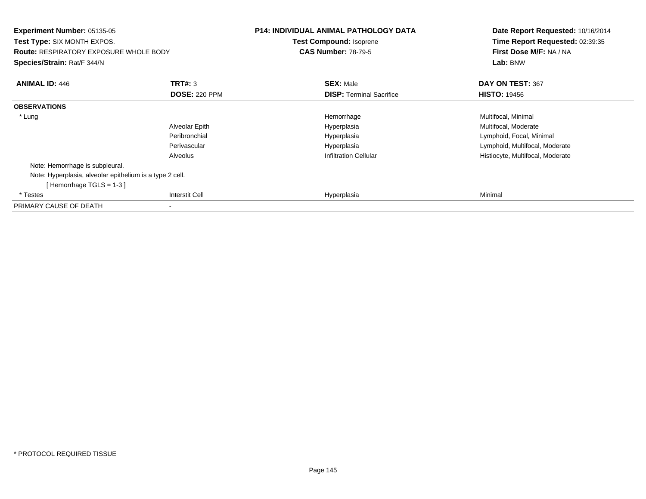| <b>Experiment Number: 05135-05</b><br>Test Type: SIX MONTH EXPOS.<br><b>Route: RESPIRATORY EXPOSURE WHOLE BODY</b><br>Species/Strain: Rat/F 344/N |                      | <b>P14: INDIVIDUAL ANIMAL PATHOLOGY DATA</b><br><b>Test Compound: Isoprene</b><br><b>CAS Number: 78-79-5</b> | Date Report Requested: 10/16/2014<br>Time Report Requested: 02:39:35<br>First Dose M/F: NA / NA<br>Lab: BNW |
|---------------------------------------------------------------------------------------------------------------------------------------------------|----------------------|--------------------------------------------------------------------------------------------------------------|-------------------------------------------------------------------------------------------------------------|
| <b>ANIMAL ID: 446</b>                                                                                                                             | <b>TRT#: 3</b>       | <b>SEX: Male</b>                                                                                             | DAY ON TEST: 367                                                                                            |
|                                                                                                                                                   | <b>DOSE: 220 PPM</b> | <b>DISP: Terminal Sacrifice</b>                                                                              | <b>HISTO: 19456</b>                                                                                         |
| <b>OBSERVATIONS</b>                                                                                                                               |                      |                                                                                                              |                                                                                                             |
| * Lung                                                                                                                                            |                      | Hemorrhage                                                                                                   | Multifocal, Minimal                                                                                         |
|                                                                                                                                                   | Alveolar Epith       | Hyperplasia                                                                                                  | Multifocal, Moderate                                                                                        |
|                                                                                                                                                   | Peribronchial        | Hyperplasia                                                                                                  | Lymphoid, Focal, Minimal                                                                                    |
|                                                                                                                                                   | Perivascular         | Hyperplasia                                                                                                  | Lymphoid, Multifocal, Moderate                                                                              |
|                                                                                                                                                   | Alveolus             | <b>Infiltration Cellular</b>                                                                                 | Histiocyte, Multifocal, Moderate                                                                            |
| Note: Hemorrhage is subpleural.                                                                                                                   |                      |                                                                                                              |                                                                                                             |
| Note: Hyperplasia, alveolar epithelium is a type 2 cell.<br>[Hemorrhage TGLS = $1-3$ ]                                                            |                      |                                                                                                              |                                                                                                             |
| * Testes                                                                                                                                          | Interstit Cell       | Hyperplasia                                                                                                  | Minimal                                                                                                     |
| PRIMARY CAUSE OF DEATH                                                                                                                            |                      |                                                                                                              |                                                                                                             |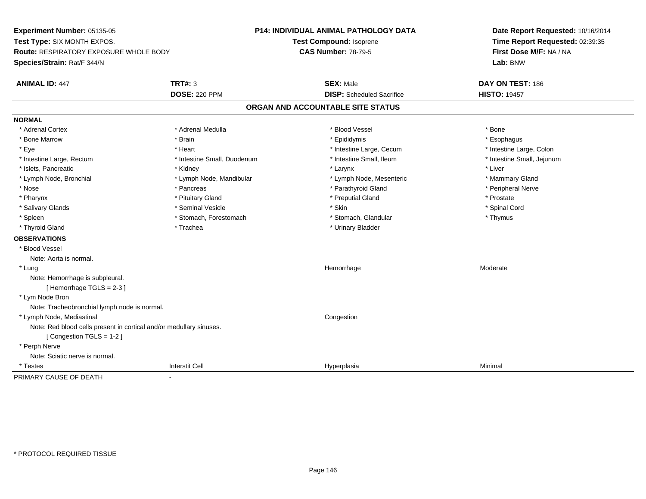**Experiment Number:** 05135-05**Test Type:** SIX MONTH EXPOS.**Route:** RESPIRATORY EXPOSURE WHOLE BODY**Species/Strain:** Rat/F 344/N**P14: INDIVIDUAL ANIMAL PATHOLOGY DATATest Compound:** Isoprene**CAS Number:** 78-79-5**Date Report Requested:** 10/16/2014**Time Report Requested:** 02:39:35**First Dose M/F:** NA / NA**Lab:** BNW**ANIMAL ID:** 447**TRT#:** 3 **SEX:** Male **DAY ON TEST:** 186 **DOSE:** 220 PPM**DISP:** Scheduled Sacrifice **HISTO:** 19457 **ORGAN AND ACCOUNTABLE SITE STATUSNORMAL**\* Adrenal Cortex \* Adrenal Cortex \* \* Adrenal Medulla \* \* Adrenal Medulla \* \* Blood Vessel \* \* Brood Vessel \* \* Bone \* Esophagus \* Bone Marrow \* Brain \* Epididymis \* Esophagus \* Intestine Large, Colon \* Eye \* The matter and the state of the test of the test of the test of the test of the test of the test of the test of the test of the test of the test of the test of the test of the test of the test of the test of test o \* Intestine Small, Jejunum \* Intestine Large, Rectum \* 1992 \* Intestine Small, Duodenum \* Intestine Small, Ileum \* Intestine Small, Ileum \* Islets, Pancreatic \* \* \* Andrew \* Kidney \* \* Kidney \* \* Larynx \* Larynx \* \* Larynx \* \* Liver \* Liver \* Liver \* Lymph Node, Bronchial \* Lymph Node, Mandibular \* Lymph Node, Mesenteric \* Mammary Gland \* Peripheral Nerve \* Nose \* \* Pancreas \* \* Pancreas \* \* Pancreas \* \* Parathyroid Gland \* \* Peripheral Nerve \* Peripheral Nerve \* \* Pharynx \* Pituitary Gland \* Preputial Gland \* Prostate \* Spinal Cord \* Salivary Glands \* \* Seminal Vesicle \* \* Seminal Vesicle \* \* Skin \* \* Skin \* \* Stember \* Spinal Cord \* Spinal Cord \* Spinal Cord \* Spinal Cord \* Spinal Cord \* Spinal Cord \* Spinal Cord \* Spinal Cord \* Spinal Cord \* Spinal \* Spleen \* Stomach, Forestomach \* Stomach \* Stomach, Glandular \* Stomach, Glandular \* Thymus \* Thyroid Gland \* Trachea \* Trachea \* Trachea \* Thyroid Gland **OBSERVATIONS** \* Blood VesselNote: Aorta is normal. \* Lungg and the state of the state of the state of the Moderate of the Moderate of the Moderate of the Moderate of the Moderate of the Moderate of the Moderate of the Moderate of the Moderate of the Moderate of the Moderate of t Note: Hemorrhage is subpleural.[ Hemorrhage TGLS = 2-3 ] \* Lym Node Bron Note: Tracheobronchial lymph node is normal. \* Lymph Node, Mediastinal CongestionNote: Red blood cells present in cortical and/or medullary sinuses.[ Congestion TGLS = 1-2 ] \* Perph Nerve Note: Sciatic nerve is normal. \* Testess Interstit Cell Hyperplasia a Minimal PRIMARY CAUSE OF DEATH-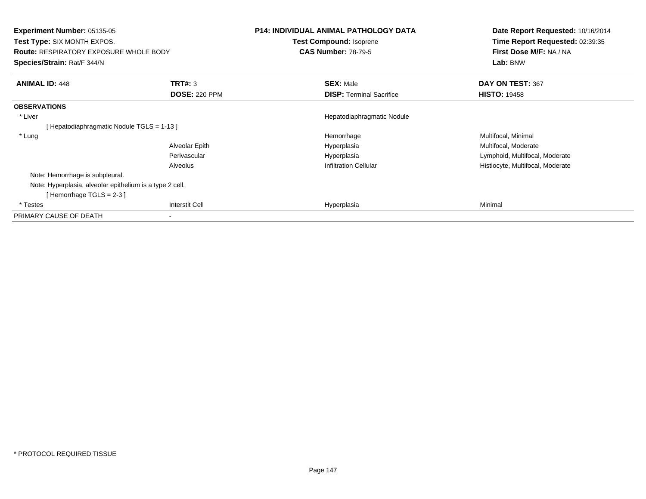| <b>Experiment Number: 05135-05</b><br><b>Test Type: SIX MONTH EXPOS.</b><br><b>Route: RESPIRATORY EXPOSURE WHOLE BODY</b><br>Species/Strain: Rat/F 344/N |                      | <b>P14: INDIVIDUAL ANIMAL PATHOLOGY DATA</b><br><b>Test Compound: Isoprene</b><br><b>CAS Number: 78-79-5</b> | Date Report Requested: 10/16/2014<br>Time Report Requested: 02:39:35<br>First Dose M/F: NA / NA<br>Lab: BNW |
|----------------------------------------------------------------------------------------------------------------------------------------------------------|----------------------|--------------------------------------------------------------------------------------------------------------|-------------------------------------------------------------------------------------------------------------|
| <b>ANIMAL ID: 448</b>                                                                                                                                    | TRT#: 3              | <b>SEX: Male</b>                                                                                             | DAY ON TEST: 367                                                                                            |
|                                                                                                                                                          | <b>DOSE: 220 PPM</b> | <b>DISP: Terminal Sacrifice</b>                                                                              | <b>HISTO: 19458</b>                                                                                         |
| <b>OBSERVATIONS</b>                                                                                                                                      |                      |                                                                                                              |                                                                                                             |
| * Liver                                                                                                                                                  |                      | Hepatodiaphragmatic Nodule                                                                                   |                                                                                                             |
| [Hepatodiaphragmatic Nodule TGLS = 1-13 ]                                                                                                                |                      |                                                                                                              |                                                                                                             |
| * Lung                                                                                                                                                   |                      | Hemorrhage                                                                                                   | Multifocal, Minimal                                                                                         |
|                                                                                                                                                          | Alveolar Epith       | Hyperplasia                                                                                                  | Multifocal, Moderate                                                                                        |
|                                                                                                                                                          | Perivascular         | Hyperplasia                                                                                                  | Lymphoid, Multifocal, Moderate                                                                              |
|                                                                                                                                                          | Alveolus             | <b>Infiltration Cellular</b>                                                                                 | Histiocyte, Multifocal, Moderate                                                                            |
| Note: Hemorrhage is subpleural.                                                                                                                          |                      |                                                                                                              |                                                                                                             |
| Note: Hyperplasia, alveolar epithelium is a type 2 cell.                                                                                                 |                      |                                                                                                              |                                                                                                             |
| [Hemorrhage TGLS = $2-3$ ]                                                                                                                               |                      |                                                                                                              |                                                                                                             |
| * Testes                                                                                                                                                 | Interstit Cell       | Hyperplasia                                                                                                  | Minimal                                                                                                     |
| PRIMARY CAUSE OF DEATH                                                                                                                                   |                      |                                                                                                              |                                                                                                             |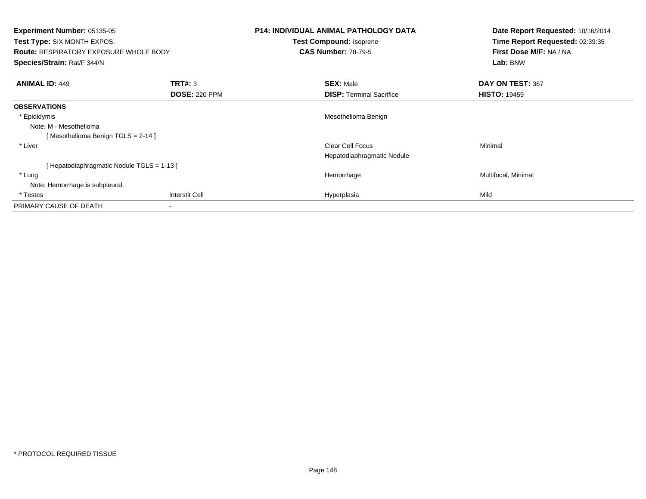| <b>Experiment Number: 05135-05</b><br><b>Test Type: SIX MONTH EXPOS.</b><br><b>Route: RESPIRATORY EXPOSURE WHOLE BODY</b><br>Species/Strain: Rat/F 344/N |                      | <b>P14: INDIVIDUAL ANIMAL PATHOLOGY DATA</b><br><b>Test Compound: Isoprene</b><br><b>CAS Number: 78-79-5</b> | Date Report Requested: 10/16/2014<br>Time Report Requested: 02:39:35<br>First Dose M/F: NA / NA |
|----------------------------------------------------------------------------------------------------------------------------------------------------------|----------------------|--------------------------------------------------------------------------------------------------------------|-------------------------------------------------------------------------------------------------|
|                                                                                                                                                          |                      |                                                                                                              | Lab: BNW                                                                                        |
| <b>ANIMAL ID: 449</b>                                                                                                                                    | <b>TRT#: 3</b>       | <b>SEX: Male</b>                                                                                             | DAY ON TEST: 367                                                                                |
|                                                                                                                                                          | <b>DOSE: 220 PPM</b> | <b>DISP:</b> Terminal Sacrifice                                                                              | <b>HISTO: 19459</b>                                                                             |
| <b>OBSERVATIONS</b>                                                                                                                                      |                      |                                                                                                              |                                                                                                 |
| * Epididymis                                                                                                                                             |                      | Mesothelioma Benign                                                                                          |                                                                                                 |
| Note: M - Mesothelioma                                                                                                                                   |                      |                                                                                                              |                                                                                                 |
| [Mesothelioma Benign TGLS = 2-14 ]                                                                                                                       |                      |                                                                                                              |                                                                                                 |
| * Liver                                                                                                                                                  |                      | Clear Cell Focus                                                                                             | Minimal                                                                                         |
|                                                                                                                                                          |                      | Hepatodiaphragmatic Nodule                                                                                   |                                                                                                 |
| [Hepatodiaphragmatic Nodule TGLS = 1-13 ]                                                                                                                |                      |                                                                                                              |                                                                                                 |
| * Lung                                                                                                                                                   |                      | Hemorrhage                                                                                                   | Multifocal, Minimal                                                                             |
| Note: Hemorrhage is subpleural.                                                                                                                          |                      |                                                                                                              |                                                                                                 |
| * Testes                                                                                                                                                 | Interstit Cell       | Hyperplasia                                                                                                  | Mild                                                                                            |
| PRIMARY CAUSE OF DEATH                                                                                                                                   |                      |                                                                                                              |                                                                                                 |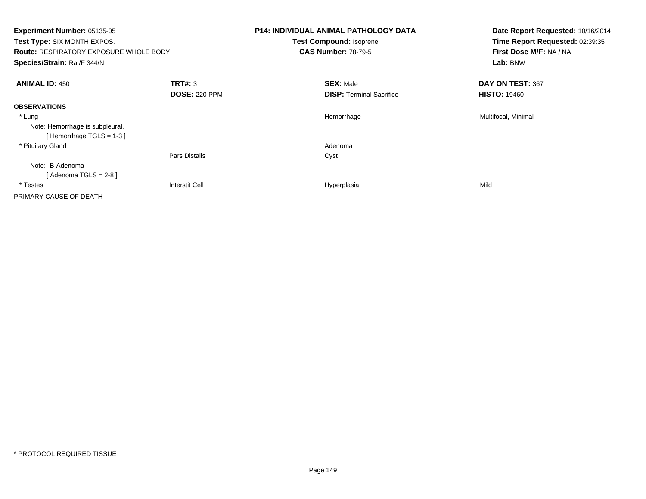| Experiment Number: 05135-05<br><b>Test Type: SIX MONTH EXPOS.</b><br><b>Route: RESPIRATORY EXPOSURE WHOLE BODY</b><br>Species/Strain: Rat/F 344/N |                                 | <b>P14: INDIVIDUAL ANIMAL PATHOLOGY DATA</b><br>Test Compound: Isoprene<br><b>CAS Number: 78-79-5</b> | Date Report Requested: 10/16/2014<br>Time Report Requested: 02:39:35<br>First Dose M/F: NA / NA<br>Lab: BNW |
|---------------------------------------------------------------------------------------------------------------------------------------------------|---------------------------------|-------------------------------------------------------------------------------------------------------|-------------------------------------------------------------------------------------------------------------|
| <b>ANIMAL ID: 450</b>                                                                                                                             | TRT#: 3<br><b>DOSE: 220 PPM</b> | <b>SEX: Male</b><br><b>DISP:</b> Terminal Sacrifice                                                   | DAY ON TEST: 367<br><b>HISTO: 19460</b>                                                                     |
| <b>OBSERVATIONS</b>                                                                                                                               |                                 |                                                                                                       |                                                                                                             |
| * Lung<br>Note: Hemorrhage is subpleural.<br>[Hemorrhage TGLS = $1-3$ ]                                                                           |                                 | Hemorrhage                                                                                            | Multifocal, Minimal                                                                                         |
| * Pituitary Gland                                                                                                                                 |                                 | Adenoma                                                                                               |                                                                                                             |
| Note: -B-Adenoma<br>[Adenoma TGLS = $2-8$ ]                                                                                                       | Pars Distalis                   | Cyst                                                                                                  |                                                                                                             |
| * Testes                                                                                                                                          | <b>Interstit Cell</b>           | Hyperplasia                                                                                           | Mild                                                                                                        |
| PRIMARY CAUSE OF DEATH                                                                                                                            |                                 |                                                                                                       |                                                                                                             |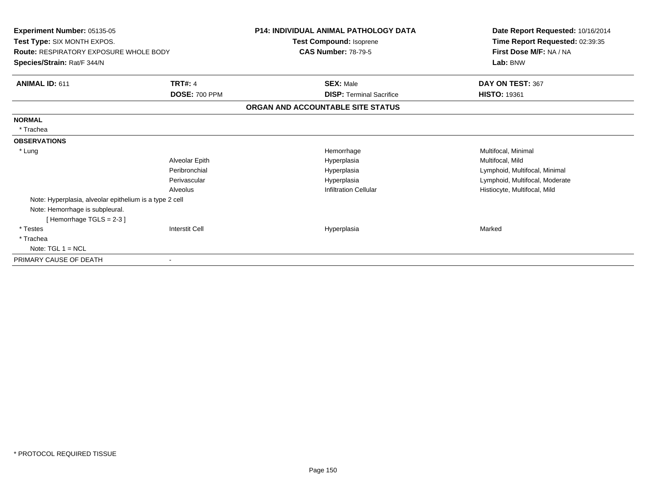| Experiment Number: 05135-05<br>Test Type: SIX MONTH EXPOS.<br><b>Route: RESPIRATORY EXPOSURE WHOLE BODY</b><br>Species/Strain: Rat/F 344/N |                      | <b>P14: INDIVIDUAL ANIMAL PATHOLOGY DATA</b><br>Test Compound: Isoprene | Date Report Requested: 10/16/2014<br>Time Report Requested: 02:39:35 |
|--------------------------------------------------------------------------------------------------------------------------------------------|----------------------|-------------------------------------------------------------------------|----------------------------------------------------------------------|
|                                                                                                                                            |                      | <b>CAS Number: 78-79-5</b>                                              | First Dose M/F: NA / NA<br>Lab: BNW                                  |
| ANIMAL ID: 611                                                                                                                             | <b>TRT#: 4</b>       | <b>SEX: Male</b>                                                        | DAY ON TEST: 367                                                     |
|                                                                                                                                            | <b>DOSE: 700 PPM</b> | <b>DISP: Terminal Sacrifice</b>                                         | <b>HISTO: 19361</b>                                                  |
|                                                                                                                                            |                      | ORGAN AND ACCOUNTABLE SITE STATUS                                       |                                                                      |
| <b>NORMAL</b>                                                                                                                              |                      |                                                                         |                                                                      |
| * Trachea                                                                                                                                  |                      |                                                                         |                                                                      |
| <b>OBSERVATIONS</b>                                                                                                                        |                      |                                                                         |                                                                      |
| * Lung                                                                                                                                     |                      | Hemorrhage                                                              | Multifocal, Minimal                                                  |
|                                                                                                                                            | Alveolar Epith       | Hyperplasia                                                             | Multifocal, Mild                                                     |
|                                                                                                                                            | Peribronchial        | Hyperplasia                                                             | Lymphoid, Multifocal, Minimal                                        |
|                                                                                                                                            | Perivascular         | Hyperplasia                                                             | Lymphoid, Multifocal, Moderate                                       |
|                                                                                                                                            | Alveolus             | <b>Infiltration Cellular</b>                                            | Histiocyte, Multifocal, Mild                                         |
| Note: Hyperplasia, alveolar epithelium is a type 2 cell                                                                                    |                      |                                                                         |                                                                      |
| Note: Hemorrhage is subpleural.<br>Hemorrhage TGLS = 2-3 ]                                                                                 |                      |                                                                         |                                                                      |
| * Testes                                                                                                                                   | Interstit Cell       | Hyperplasia                                                             | Marked                                                               |
| * Trachea                                                                                                                                  |                      |                                                                         |                                                                      |
| Note: $TGL 1 = NCL$                                                                                                                        |                      |                                                                         |                                                                      |
| PRIMARY CAUSE OF DEATH                                                                                                                     |                      |                                                                         |                                                                      |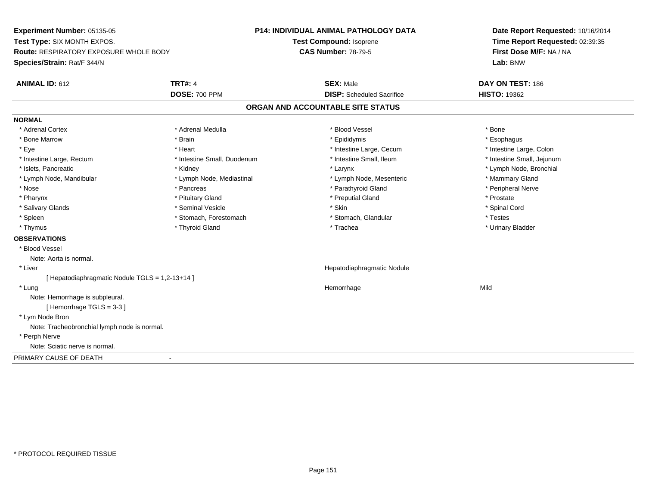**Experiment Number:** 05135-05**Test Type:** SIX MONTH EXPOS.**Route:** RESPIRATORY EXPOSURE WHOLE BODY**Species/Strain:** Rat/F 344/N**P14: INDIVIDUAL ANIMAL PATHOLOGY DATATest Compound:** Isoprene**CAS Number:** 78-79-5**Date Report Requested:** 10/16/2014**Time Report Requested:** 02:39:35**First Dose M/F:** NA / NA**Lab:** BNW**ANIMAL ID:** 612**TRT#:** 4 **SEX:** Male **DAY ON TEST:** 186 **DOSE:** 700 PPM**DISP:** Scheduled Sacrifice **HISTO:** 19362 **ORGAN AND ACCOUNTABLE SITE STATUSNORMAL**\* Adrenal Cortex \* Adrenal Cortex \* \* Adrenal Medulla \* \* Adrenal Medulla \* \* Blood Vessel \* \* Brood Vessel \* \* Bone \* Esophagus \* Bone Marrow \* Brain \* Epididymis \* Esophagus \* Intestine Large, Colon \* Eye \* The matrice of the test of the test of the test of the test of the test of the test of the test of the test of the test of the test of the test of the test of the test of the test of the test of the test of the tes \* Intestine Small, Jejunum \* Intestine Large, Rectum \* Intestine Small, Duodenum \* Intestine Small, Ileum \* Intestine Small, Ileum \* Islets, Pancreatic \* Kidney \* Larynx \* Lymph Node, Bronchial \* Lymph Node, Mandibular \* Lymph Node, Mediastinal \* Lymph Node, Mesenteric \* Mammary Gland \* Peripheral Nerve \* Nose \* \* Pancreas \* \* Pancreas \* \* Pancreas \* \* Parathyroid Gland \* \* Peripheral Nerve \* Peripheral Nerve \* \* Pharynx \* Pituitary Gland \* Preputial Gland \* Prostate \* Spinal Cord \* Salivary Glands \* \* Seminal Vesicle \* \* Seminal Vesicle \* \* Skin \* \* Skin \* \* Stember \* Spinal Cord \* Spinal Cord \* Spinal Cord \* Spinal Cord \* Spinal Cord \* Spinal Cord \* Spinal Cord \* Spinal Cord \* Spinal Cord \* Spinal \* Spleen \* Stomach, Forestomach \* Stomach \* Stomach, Slandular \* Testes \* Testes \* Urinary Bladder \* Thymus \* Thyroid Gland \* Trachea \* Urinary Bladder \* **OBSERVATIONS** \* Blood VesselNote: Aorta is normal. \* Liver Hepatodiaphragmatic Nodule[ Hepatodiaphragmatic Nodule TGLS = 1,2-13+14 ] \* Lungg and the state of the state of the state of the state of the Hemorrhage state of the Mild state of the Mild state of the State of the State of the State of the State of the State of the State of the State of the State of Note: Hemorrhage is subpleural.[ Hemorrhage TGLS = 3-3 ] \* Lym Node Bron Note: Tracheobronchial lymph node is normal. \* Perph Nerve Note: Sciatic nerve is normal.PRIMARY CAUSE OF DEATH-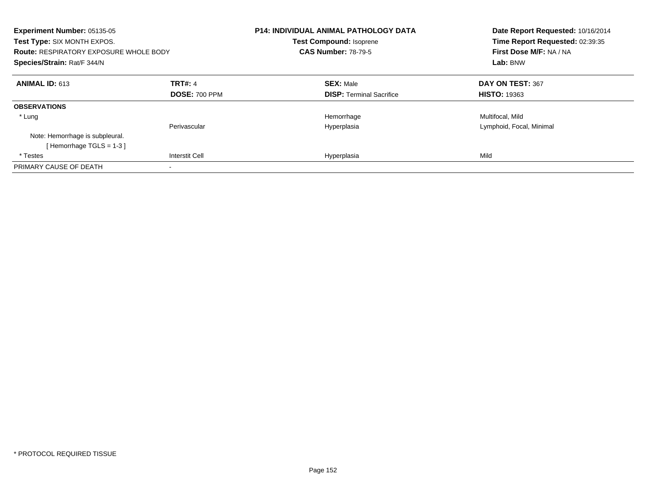| Experiment Number: 05135-05<br>Test Type: SIX MONTH EXPOS.<br><b>Route: RESPIRATORY EXPOSURE WHOLE BODY</b><br>Species/Strain: Rat/F 344/N |                       | <b>P14: INDIVIDUAL ANIMAL PATHOLOGY DATA</b><br><b>Test Compound: Isoprene</b><br><b>CAS Number: 78-79-5</b> | Date Report Requested: 10/16/2014<br>Time Report Requested: 02:39:35<br>First Dose M/F: NA / NA<br>Lab: BNW |
|--------------------------------------------------------------------------------------------------------------------------------------------|-----------------------|--------------------------------------------------------------------------------------------------------------|-------------------------------------------------------------------------------------------------------------|
| <b>ANIMAL ID: 613</b>                                                                                                                      | <b>TRT#: 4</b>        | <b>SEX: Male</b>                                                                                             | DAY ON TEST: 367                                                                                            |
|                                                                                                                                            | <b>DOSE: 700 PPM</b>  | <b>DISP:</b> Terminal Sacrifice                                                                              | <b>HISTO: 19363</b>                                                                                         |
| <b>OBSERVATIONS</b>                                                                                                                        |                       |                                                                                                              |                                                                                                             |
| * Lung                                                                                                                                     |                       | Hemorrhage                                                                                                   | Multifocal, Mild                                                                                            |
|                                                                                                                                            | Perivascular          | Hyperplasia                                                                                                  | Lymphoid, Focal, Minimal                                                                                    |
| Note: Hemorrhage is subpleural.                                                                                                            |                       |                                                                                                              |                                                                                                             |
| [Hemorrhage TGLS = $1-3$ ]                                                                                                                 |                       |                                                                                                              |                                                                                                             |
| * Testes                                                                                                                                   | <b>Interstit Cell</b> | Hyperplasia                                                                                                  | Mild                                                                                                        |
| PRIMARY CAUSE OF DEATH                                                                                                                     |                       |                                                                                                              |                                                                                                             |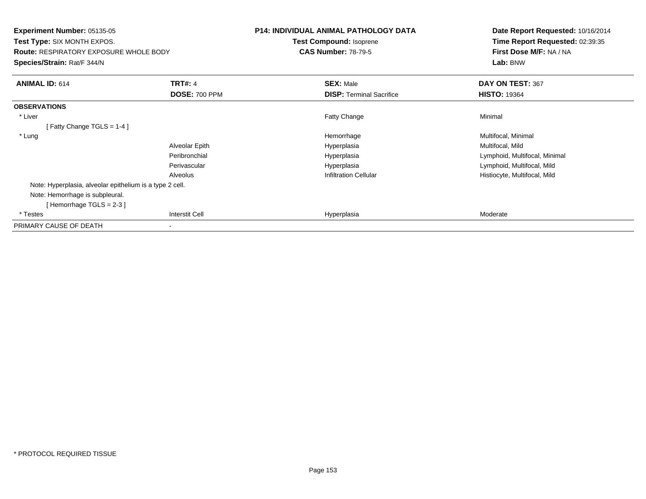| Experiment Number: 05135-05<br><b>Test Type: SIX MONTH EXPOS.</b> |                      | <b>P14: INDIVIDUAL ANIMAL PATHOLOGY DATA</b> | Date Report Requested: 10/16/2014<br>Time Report Requested: 02:39:35 |
|-------------------------------------------------------------------|----------------------|----------------------------------------------|----------------------------------------------------------------------|
|                                                                   |                      | Test Compound: Isoprene                      |                                                                      |
| <b>Route: RESPIRATORY EXPOSURE WHOLE BODY</b>                     |                      | <b>CAS Number: 78-79-5</b>                   | First Dose M/F: NA / NA                                              |
| Species/Strain: Rat/F 344/N                                       |                      |                                              | Lab: BNW                                                             |
| <b>ANIMAL ID: 614</b>                                             | <b>TRT#: 4</b>       | <b>SEX: Male</b>                             | DAY ON TEST: 367                                                     |
|                                                                   | <b>DOSE: 700 PPM</b> | <b>DISP:</b> Terminal Sacrifice              | <b>HISTO: 19364</b>                                                  |
| <b>OBSERVATIONS</b>                                               |                      |                                              |                                                                      |
| * Liver                                                           |                      | Fatty Change                                 | Minimal                                                              |
| [Fatty Change TGLS = $1-4$ ]                                      |                      |                                              |                                                                      |
| * Lung                                                            |                      | Hemorrhage                                   | Multifocal, Minimal                                                  |
|                                                                   | Alveolar Epith       | Hyperplasia                                  | Multifocal, Mild                                                     |
|                                                                   | Peribronchial        | Hyperplasia                                  | Lymphoid, Multifocal, Minimal                                        |
|                                                                   | Perivascular         | Hyperplasia                                  | Lymphoid, Multifocal, Mild                                           |
|                                                                   | Alveolus             | <b>Infiltration Cellular</b>                 | Histiocyte, Multifocal, Mild                                         |
| Note: Hyperplasia, alveolar epithelium is a type 2 cell.          |                      |                                              |                                                                      |
| Note: Hemorrhage is subpleural.                                   |                      |                                              |                                                                      |
| [Hemorrhage TGLS = $2-3$ ]                                        |                      |                                              |                                                                      |
| * Testes                                                          | Interstit Cell       | Hyperplasia                                  | Moderate                                                             |
| PRIMARY CAUSE OF DEATH                                            |                      |                                              |                                                                      |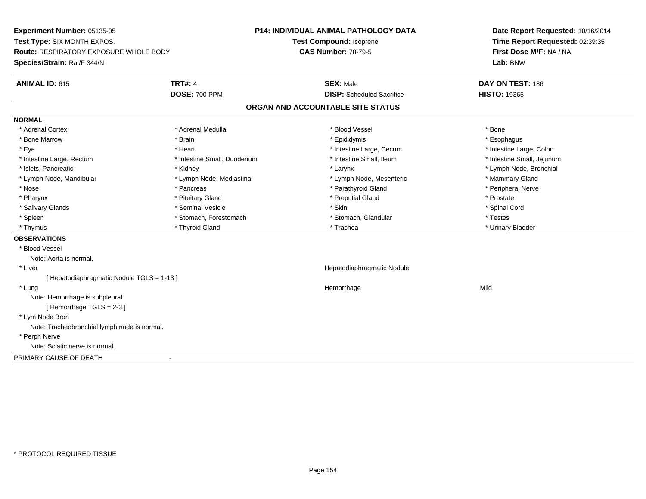**Experiment Number:** 05135-05**Test Type:** SIX MONTH EXPOS.**Route:** RESPIRATORY EXPOSURE WHOLE BODY**Species/Strain:** Rat/F 344/N**P14: INDIVIDUAL ANIMAL PATHOLOGY DATATest Compound:** Isoprene**CAS Number:** 78-79-5**Date Report Requested:** 10/16/2014**Time Report Requested:** 02:39:35**First Dose M/F:** NA / NA**Lab:** BNW**ANIMAL ID:** 615**TRT#:** 4 **SEX:** Male **DAY ON TEST:** 186 **DOSE:** 700 PPM**DISP:** Scheduled Sacrifice **HISTO:** 19365 **ORGAN AND ACCOUNTABLE SITE STATUSNORMAL**\* Adrenal Cortex \* Adrenal Cortex \* \* Adrenal Medulla \* \* Adrenal Medulla \* \* Blood Vessel \* \* Brood Vessel \* \* Bone \* Esophagus \* Bone Marrow \* Brain \* Epididymis \* Esophagus \* Intestine Large, Colon \* Eye \* The matrice of the test of the test of the test of the test of the test of the test of the test of the test of the test of the test of the test of the test of the test of the test of the test of the test of the tes \* Intestine Small, Jejunum \* Intestine Large, Rectum \* Intestine Small, Duodenum \* Intestine Small, Ileum \* Intestine Small, Ileum \* Islets, Pancreatic \* Kidney \* Larynx \* Lymph Node, Bronchial \* Lymph Node, Mandibular \* Lymph Node, Mediastinal \* Lymph Node, Mesenteric \* Mammary Gland \* Peripheral Nerve \* Nose \* \* Pancreas \* \* Pancreas \* \* Pancreas \* \* Parathyroid Gland \* \* Peripheral Nerve \* Peripheral Nerve \* \* Pharynx \* Pituitary Gland \* Preputial Gland \* Prostate \* Spinal Cord \* Salivary Glands \* \* Seminal Vesicle \* \* Seminal Vesicle \* \* Skin \* \* Skin \* \* Stember \* Spinal Cord \* Spinal Cord \* Spinal Cord \* Spinal Cord \* Spinal Cord \* Spinal Cord \* Spinal Cord \* Spinal Cord \* Spinal Cord \* Spinal \* Spleen \* Stomach, Forestomach \* Stomach \* Stomach, Slandular \* Testes \* Testes \* Urinary Bladder \* Thymus \* Thyroid Gland \* Trachea \* Urinary Bladder \* **OBSERVATIONS** \* Blood VesselNote: Aorta is normal. \* Liver Hepatodiaphragmatic Nodule[ Hepatodiaphragmatic Nodule TGLS = 1-13 ] \* Lungg and the state of the state of the state of the state of the Hemorrhage state of the Mild state of the Mild state of the State of the State of the State of the State of the State of the State of the State of the State of Note: Hemorrhage is subpleural.[ Hemorrhage TGLS = 2-3 ] \* Lym Node Bron Note: Tracheobronchial lymph node is normal. \* Perph Nerve Note: Sciatic nerve is normal.PRIMARY CAUSE OF DEATH-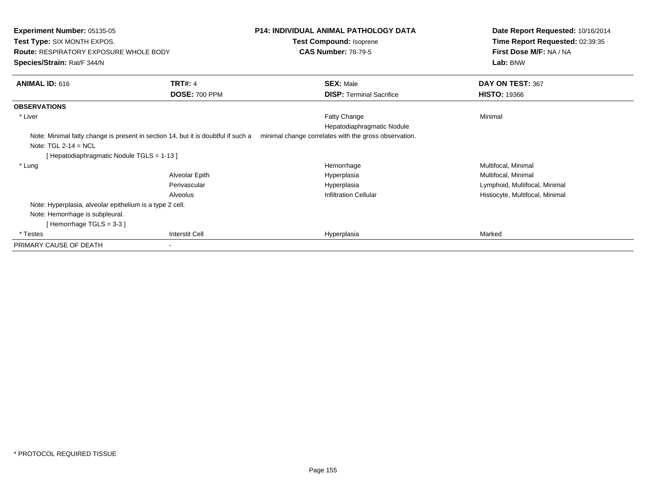| Experiment Number: 05135-05<br><b>Test Type: SIX MONTH EXPOS.</b>                 |                       | <b>P14: INDIVIDUAL ANIMAL PATHOLOGY DATA</b>          | Date Report Requested: 10/16/2014<br>Time Report Requested: 02:39:35 |  |
|-----------------------------------------------------------------------------------|-----------------------|-------------------------------------------------------|----------------------------------------------------------------------|--|
|                                                                                   |                       | Test Compound: Isoprene                               |                                                                      |  |
| <b>Route: RESPIRATORY EXPOSURE WHOLE BODY</b>                                     |                       | <b>CAS Number: 78-79-5</b>                            | First Dose M/F: NA / NA                                              |  |
| Species/Strain: Rat/F 344/N                                                       |                       |                                                       | Lab: BNW                                                             |  |
| ANIMAL ID: 616                                                                    | <b>TRT#: 4</b>        | <b>SEX: Male</b>                                      | DAY ON TEST: 367                                                     |  |
|                                                                                   | <b>DOSE: 700 PPM</b>  | <b>DISP: Terminal Sacrifice</b>                       | <b>HISTO: 19366</b>                                                  |  |
| <b>OBSERVATIONS</b>                                                               |                       |                                                       |                                                                      |  |
| * Liver                                                                           |                       | Fatty Change                                          | Minimal                                                              |  |
|                                                                                   |                       | Hepatodiaphragmatic Nodule                            |                                                                      |  |
| Note: Minimal fatty change is present in section 14, but it is doubtful if such a |                       | minimal change correlates with the gross observation. |                                                                      |  |
| Note: $TGL 2-14 = NCL$                                                            |                       |                                                       |                                                                      |  |
| [Hepatodiaphragmatic Nodule TGLS = 1-13]                                          |                       |                                                       |                                                                      |  |
| * Lung                                                                            |                       | Hemorrhage                                            | Multifocal, Minimal                                                  |  |
|                                                                                   | Alveolar Epith        | Hyperplasia                                           | Multifocal, Minimal                                                  |  |
|                                                                                   | Perivascular          | Hyperplasia                                           | Lymphoid, Multifocal, Minimal                                        |  |
|                                                                                   | Alveolus              | <b>Infiltration Cellular</b>                          | Histiocyte, Multifocal, Minimal                                      |  |
| Note: Hyperplasia, alveolar epithelium is a type 2 cell.                          |                       |                                                       |                                                                      |  |
| Note: Hemorrhage is subpleural.                                                   |                       |                                                       |                                                                      |  |
| Hemorrhage TGLS = 3-3 ]                                                           |                       |                                                       |                                                                      |  |
| * Testes                                                                          | <b>Interstit Cell</b> | Hyperplasia                                           | Marked                                                               |  |
| PRIMARY CAUSE OF DEATH                                                            |                       |                                                       |                                                                      |  |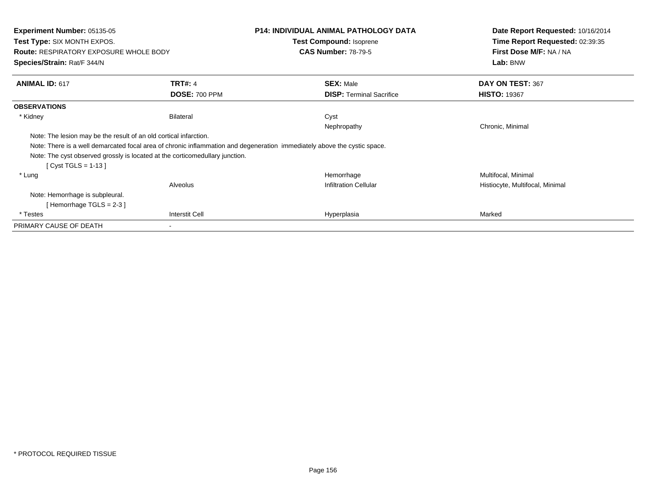| <b>Experiment Number: 05135-05</b><br><b>Test Type: SIX MONTH EXPOS.</b><br><b>Route: RESPIRATORY EXPOSURE WHOLE BODY</b><br>Species/Strain: Rat/F 344/N |                                        | <b>P14: INDIVIDUAL ANIMAL PATHOLOGY DATA</b><br><b>Test Compound: Isoprene</b><br><b>CAS Number: 78-79-5</b>             | Date Report Requested: 10/16/2014<br>Time Report Requested: 02:39:35<br>First Dose M/F: NA / NA<br>Lab: BNW |  |
|----------------------------------------------------------------------------------------------------------------------------------------------------------|----------------------------------------|--------------------------------------------------------------------------------------------------------------------------|-------------------------------------------------------------------------------------------------------------|--|
| <b>ANIMAL ID: 617</b>                                                                                                                                    | <b>TRT#: 4</b><br><b>DOSE: 700 PPM</b> | <b>SEX: Male</b><br><b>DISP:</b> Terminal Sacrifice                                                                      | DAY ON TEST: 367<br><b>HISTO: 19367</b>                                                                     |  |
| <b>OBSERVATIONS</b>                                                                                                                                      |                                        |                                                                                                                          |                                                                                                             |  |
| * Kidney                                                                                                                                                 | <b>Bilateral</b>                       | Cyst<br>Nephropathy                                                                                                      | Chronic, Minimal                                                                                            |  |
| Note: The lesion may be the result of an old cortical infarction.                                                                                        |                                        | Note: There is a well demarcated focal area of chronic inflammation and degeneration immediately above the cystic space. |                                                                                                             |  |
| Note: The cyst observed grossly is located at the corticomedullary junction.<br>[ Cyst TGLS = 1-13 ]                                                     |                                        |                                                                                                                          |                                                                                                             |  |
| * Lung                                                                                                                                                   |                                        | Hemorrhage                                                                                                               | Multifocal, Minimal                                                                                         |  |
| Alveolus                                                                                                                                                 |                                        | <b>Infiltration Cellular</b>                                                                                             | Histiocyte, Multifocal, Minimal                                                                             |  |
| Note: Hemorrhage is subpleural.<br>[Hemorrhage TGLS = $2-3$ ]                                                                                            |                                        |                                                                                                                          |                                                                                                             |  |
| * Testes                                                                                                                                                 | Interstit Cell                         | Hyperplasia                                                                                                              | Marked                                                                                                      |  |
| PRIMARY CAUSE OF DEATH                                                                                                                                   |                                        |                                                                                                                          |                                                                                                             |  |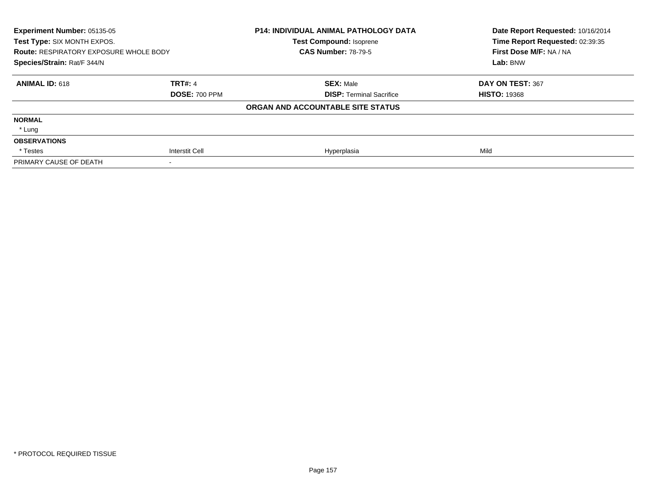| Experiment Number: 05135-05<br>Test Type: SIX MONTH EXPOS.<br><b>Route: RESPIRATORY EXPOSURE WHOLE BODY</b><br>Species/Strain: Rat/F 344/N |                      | <b>P14: INDIVIDUAL ANIMAL PATHOLOGY DATA</b><br><b>Test Compound: Isoprene</b><br><b>CAS Number: 78-79-5</b> | Date Report Requested: 10/16/2014<br>Time Report Requested: 02:39:35 |
|--------------------------------------------------------------------------------------------------------------------------------------------|----------------------|--------------------------------------------------------------------------------------------------------------|----------------------------------------------------------------------|
|                                                                                                                                            |                      |                                                                                                              | First Dose M/F: NA / NA<br>Lab: BNW                                  |
|                                                                                                                                            |                      |                                                                                                              |                                                                      |
| <b>ANIMAL ID: 618</b>                                                                                                                      | <b>TRT#: 4</b>       | <b>SEX: Male</b>                                                                                             | DAY ON TEST: 367                                                     |
|                                                                                                                                            | <b>DOSE: 700 PPM</b> | <b>DISP: Terminal Sacrifice</b>                                                                              | <b>HISTO: 19368</b>                                                  |
|                                                                                                                                            |                      | ORGAN AND ACCOUNTABLE SITE STATUS                                                                            |                                                                      |
| <b>NORMAL</b>                                                                                                                              |                      |                                                                                                              |                                                                      |
| * Lung                                                                                                                                     |                      |                                                                                                              |                                                                      |
| <b>OBSERVATIONS</b>                                                                                                                        |                      |                                                                                                              |                                                                      |
| * Testes                                                                                                                                   | Interstit Cell       | Hyperplasia                                                                                                  | Mild                                                                 |
| PRIMARY CAUSE OF DEATH                                                                                                                     |                      |                                                                                                              |                                                                      |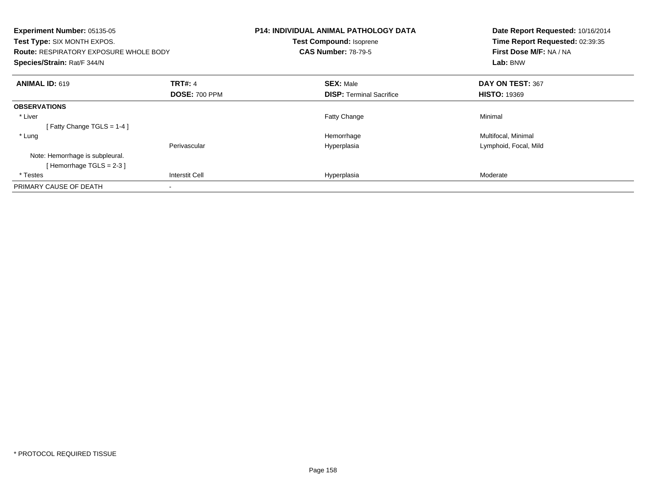| Experiment Number: 05135-05<br>Test Type: SIX MONTH EXPOS.<br><b>Route: RESPIRATORY EXPOSURE WHOLE BODY</b><br>Species/Strain: Rat/F 344/N |                       | <b>P14: INDIVIDUAL ANIMAL PATHOLOGY DATA</b><br><b>Test Compound: Isoprene</b><br><b>CAS Number: 78-79-5</b> |                                 | Date Report Requested: 10/16/2014<br>Time Report Requested: 02:39:35<br>First Dose M/F: NA / NA<br>Lab: BNW |
|--------------------------------------------------------------------------------------------------------------------------------------------|-----------------------|--------------------------------------------------------------------------------------------------------------|---------------------------------|-------------------------------------------------------------------------------------------------------------|
| <b>ANIMAL ID: 619</b>                                                                                                                      | <b>TRT#: 4</b>        | <b>SEX: Male</b>                                                                                             |                                 | DAY ON TEST: 367                                                                                            |
|                                                                                                                                            | <b>DOSE: 700 PPM</b>  |                                                                                                              | <b>DISP:</b> Terminal Sacrifice | <b>HISTO: 19369</b>                                                                                         |
| <b>OBSERVATIONS</b>                                                                                                                        |                       |                                                                                                              |                                 |                                                                                                             |
| * Liver                                                                                                                                    |                       | <b>Fatty Change</b>                                                                                          |                                 | Minimal                                                                                                     |
| [ Fatty Change TGLS = $1-4$ ]                                                                                                              |                       |                                                                                                              |                                 |                                                                                                             |
| * Lung                                                                                                                                     |                       | Hemorrhage                                                                                                   |                                 | Multifocal, Minimal                                                                                         |
|                                                                                                                                            | Perivascular          | Hyperplasia                                                                                                  |                                 | Lymphoid, Focal, Mild                                                                                       |
| Note: Hemorrhage is subpleural.                                                                                                            |                       |                                                                                                              |                                 |                                                                                                             |
| [Hemorrhage TGLS = $2-3$ ]                                                                                                                 |                       |                                                                                                              |                                 |                                                                                                             |
| * Testes                                                                                                                                   | <b>Interstit Cell</b> | Hyperplasia                                                                                                  |                                 | Moderate                                                                                                    |
| PRIMARY CAUSE OF DEATH                                                                                                                     |                       |                                                                                                              |                                 |                                                                                                             |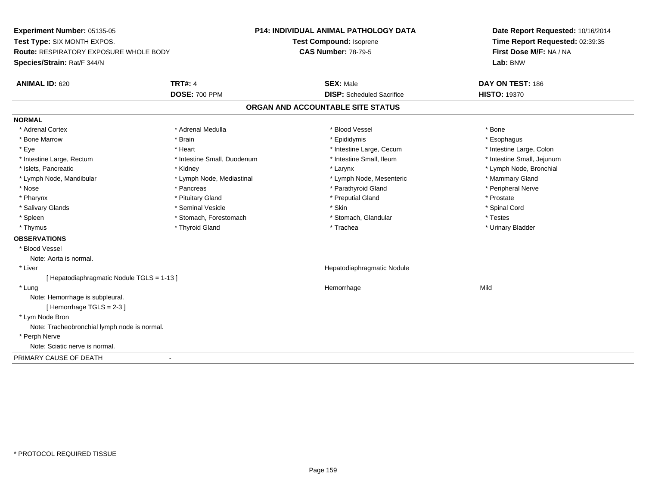**Experiment Number:** 05135-05**Test Type:** SIX MONTH EXPOS.**Route:** RESPIRATORY EXPOSURE WHOLE BODY**Species/Strain:** Rat/F 344/N**P14: INDIVIDUAL ANIMAL PATHOLOGY DATATest Compound:** Isoprene**CAS Number:** 78-79-5**Date Report Requested:** 10/16/2014**Time Report Requested:** 02:39:35**First Dose M/F:** NA / NA**Lab:** BNW**ANIMAL ID:** 620**TRT#:** 4 **SEX:** Male **DAY ON TEST:** 186 **DOSE:** 700 PPM**DISP:** Scheduled Sacrifice **HISTO:** 19370 **ORGAN AND ACCOUNTABLE SITE STATUSNORMAL**\* Adrenal Cortex \* Adrenal Cortex \* \* Adrenal Medulla \* \* Adrenal Medulla \* \* Blood Vessel \* \* Brood Vessel \* \* Bone \* Esophagus \* Bone Marrow \* Brain \* Epididymis \* Esophagus \* Intestine Large, Colon \* Eye \* The matrice of the test of the test of the test of the test of the test of the test of the test of the test of the test of the test of the test of the test of the test of the test of the test of the test of the tes \* Intestine Small, Jejunum \* Intestine Large, Rectum \* Intestine Small, Duodenum \* Intestine Small, Ileum \* Intestine Small, Ileum \* Islets, Pancreatic \* Kidney \* Larynx \* Lymph Node, Bronchial \* Lymph Node, Mandibular \* Lymph Node, Mediastinal \* Lymph Node, Mesenteric \* Mammary Gland \* Peripheral Nerve \* Nose \* \* Pancreas \* \* Pancreas \* \* Pancreas \* \* Parathyroid Gland \* \* Peripheral Nerve \* Peripheral Nerve \* \* Pharynx \* Pituitary Gland \* Preputial Gland \* Prostate \* Spinal Cord \* Salivary Glands \* \* Seminal Vesicle \* \* Seminal Vesicle \* \* Skin \* \* Skin \* \* Stember \* Spinal Cord \* Spinal Cord \* Spinal Cord \* Spinal Cord \* Spinal Cord \* Spinal Cord \* Spinal Cord \* Spinal Cord \* Spinal Cord \* Spinal \* Spleen \* Stomach, Forestomach \* Stomach \* Stomach, Slandular \* Testes \* Testes \* Urinary Bladder \* Thymus \* Thyroid Gland \* Trachea \* Urinary Bladder \* **OBSERVATIONS** \* Blood VesselNote: Aorta is normal. \* Liver Hepatodiaphragmatic Nodule[ Hepatodiaphragmatic Nodule TGLS = 1-13 ] \* Lungg and the state of the state of the state of the state of the Hemorrhage state of the Mild state of the Mild state of the State of the State of the State of the State of the State of the State of the State of the State of Note: Hemorrhage is subpleural.[ Hemorrhage TGLS = 2-3 ] \* Lym Node Bron Note: Tracheobronchial lymph node is normal. \* Perph Nerve Note: Sciatic nerve is normal.PRIMARY CAUSE OF DEATH-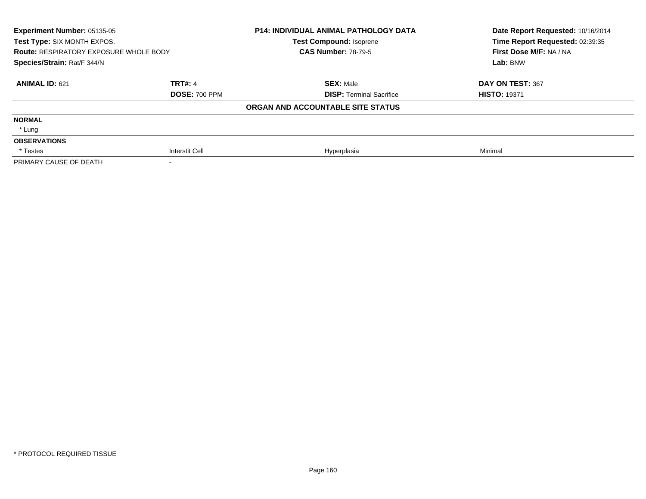| Experiment Number: 05135-05<br>Test Type: SIX MONTH EXPOS.<br><b>Route: RESPIRATORY EXPOSURE WHOLE BODY</b><br>Species/Strain: Rat/F 344/N |                      | <b>P14: INDIVIDUAL ANIMAL PATHOLOGY DATA</b><br><b>Test Compound: Isoprene</b> | Date Report Requested: 10/16/2014<br>Time Report Requested: 02:39:35<br>First Dose M/F: NA / NA<br>Lab: BNW |
|--------------------------------------------------------------------------------------------------------------------------------------------|----------------------|--------------------------------------------------------------------------------|-------------------------------------------------------------------------------------------------------------|
|                                                                                                                                            |                      | <b>CAS Number: 78-79-5</b>                                                     |                                                                                                             |
|                                                                                                                                            |                      |                                                                                |                                                                                                             |
| <b>ANIMAL ID: 621</b>                                                                                                                      | <b>TRT#: 4</b>       | <b>SEX: Male</b>                                                               | DAY ON TEST: 367                                                                                            |
|                                                                                                                                            | <b>DOSE: 700 PPM</b> | <b>DISP: Terminal Sacrifice</b>                                                | <b>HISTO: 19371</b>                                                                                         |
|                                                                                                                                            |                      | ORGAN AND ACCOUNTABLE SITE STATUS                                              |                                                                                                             |
| <b>NORMAL</b>                                                                                                                              |                      |                                                                                |                                                                                                             |
| * Lung                                                                                                                                     |                      |                                                                                |                                                                                                             |
| <b>OBSERVATIONS</b>                                                                                                                        |                      |                                                                                |                                                                                                             |
| * Testes                                                                                                                                   | Interstit Cell       | Hyperplasia                                                                    | Minimal                                                                                                     |
| PRIMARY CAUSE OF DEATH                                                                                                                     |                      |                                                                                |                                                                                                             |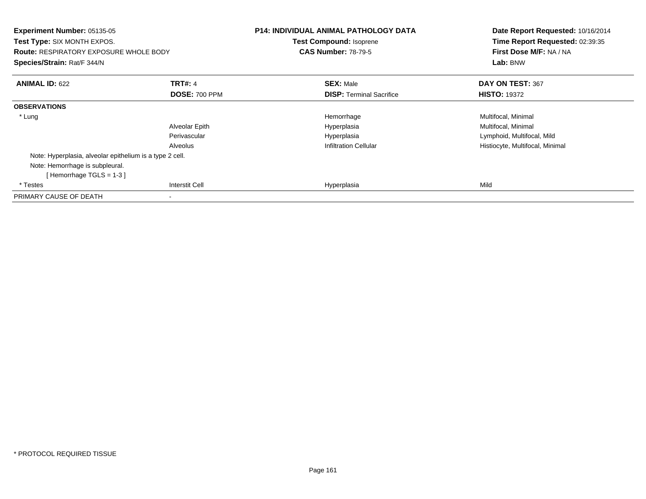| Experiment Number: 05135-05<br><b>Test Type: SIX MONTH EXPOS.</b><br><b>Route: RESPIRATORY EXPOSURE WHOLE BODY</b><br>Species/Strain: Rat/F 344/N |                      | <b>P14: INDIVIDUAL ANIMAL PATHOLOGY DATA</b><br>Test Compound: Isoprene<br><b>CAS Number: 78-79-5</b> | Date Report Requested: 10/16/2014<br>Time Report Requested: 02:39:35<br>First Dose M/F: NA / NA<br>Lab: BNW |
|---------------------------------------------------------------------------------------------------------------------------------------------------|----------------------|-------------------------------------------------------------------------------------------------------|-------------------------------------------------------------------------------------------------------------|
| <b>ANIMAL ID: 622</b>                                                                                                                             | <b>TRT#: 4</b>       | <b>SEX: Male</b>                                                                                      | DAY ON TEST: 367                                                                                            |
|                                                                                                                                                   | <b>DOSE: 700 PPM</b> | <b>DISP:</b> Terminal Sacrifice                                                                       | <b>HISTO: 19372</b>                                                                                         |
| <b>OBSERVATIONS</b>                                                                                                                               |                      |                                                                                                       |                                                                                                             |
| * Lung                                                                                                                                            |                      | Hemorrhage                                                                                            | Multifocal, Minimal                                                                                         |
|                                                                                                                                                   | Alveolar Epith       | Hyperplasia                                                                                           | Multifocal, Minimal                                                                                         |
|                                                                                                                                                   | Perivascular         | Hyperplasia                                                                                           | Lymphoid, Multifocal, Mild                                                                                  |
|                                                                                                                                                   | Alveolus             | <b>Infiltration Cellular</b>                                                                          | Histiocyte, Multifocal, Minimal                                                                             |
| Note: Hyperplasia, alveolar epithelium is a type 2 cell.                                                                                          |                      |                                                                                                       |                                                                                                             |
| Note: Hemorrhage is subpleural.                                                                                                                   |                      |                                                                                                       |                                                                                                             |
| [Hemorrhage TGLS = $1-3$ ]                                                                                                                        |                      |                                                                                                       |                                                                                                             |
| * Testes                                                                                                                                          | Interstit Cell       | Hyperplasia                                                                                           | Mild                                                                                                        |
| PRIMARY CAUSE OF DEATH                                                                                                                            |                      |                                                                                                       |                                                                                                             |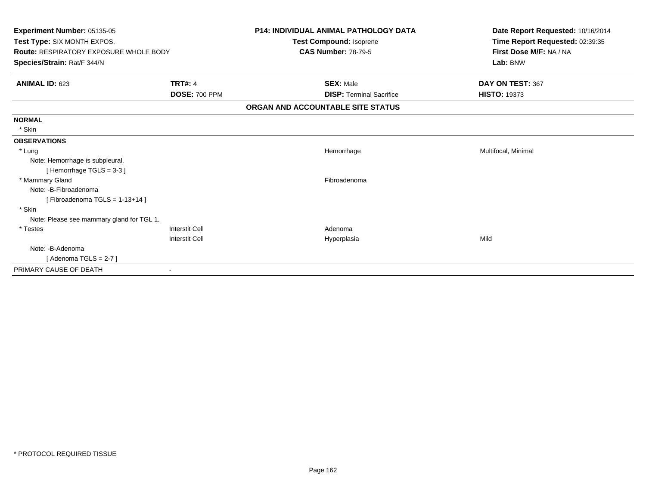| Experiment Number: 05135-05<br>Test Type: SIX MONTH EXPOS.<br><b>Route: RESPIRATORY EXPOSURE WHOLE BODY</b><br>Species/Strain: Rat/F 344/N |                       | <b>P14: INDIVIDUAL ANIMAL PATHOLOGY DATA</b><br>Test Compound: Isoprene<br><b>CAS Number: 78-79-5</b> | Date Report Requested: 10/16/2014<br>Time Report Requested: 02:39:35<br>First Dose M/F: NA / NA<br>Lab: BNW |
|--------------------------------------------------------------------------------------------------------------------------------------------|-----------------------|-------------------------------------------------------------------------------------------------------|-------------------------------------------------------------------------------------------------------------|
|                                                                                                                                            |                       |                                                                                                       |                                                                                                             |
| <b>ANIMAL ID: 623</b>                                                                                                                      | <b>TRT#: 4</b>        | <b>SEX: Male</b>                                                                                      | DAY ON TEST: 367                                                                                            |
|                                                                                                                                            | <b>DOSE: 700 PPM</b>  | <b>DISP: Terminal Sacrifice</b>                                                                       | <b>HISTO: 19373</b>                                                                                         |
|                                                                                                                                            |                       | ORGAN AND ACCOUNTABLE SITE STATUS                                                                     |                                                                                                             |
| <b>NORMAL</b>                                                                                                                              |                       |                                                                                                       |                                                                                                             |
| * Skin                                                                                                                                     |                       |                                                                                                       |                                                                                                             |
| <b>OBSERVATIONS</b>                                                                                                                        |                       |                                                                                                       |                                                                                                             |
| * Lung                                                                                                                                     |                       | Hemorrhage                                                                                            | Multifocal, Minimal                                                                                         |
| Note: Hemorrhage is subpleural.                                                                                                            |                       |                                                                                                       |                                                                                                             |
| [Hemorrhage TGLS = $3-3$ ]                                                                                                                 |                       |                                                                                                       |                                                                                                             |
| * Mammary Gland                                                                                                                            |                       | Fibroadenoma                                                                                          |                                                                                                             |
| Note: -B-Fibroadenoma                                                                                                                      |                       |                                                                                                       |                                                                                                             |
| [Fibroadenoma TGLS = $1-13+14$ ]                                                                                                           |                       |                                                                                                       |                                                                                                             |
| * Skin                                                                                                                                     |                       |                                                                                                       |                                                                                                             |
| Note: Please see mammary gland for TGL 1.                                                                                                  |                       |                                                                                                       |                                                                                                             |
| * Testes                                                                                                                                   | <b>Interstit Cell</b> | Adenoma                                                                                               |                                                                                                             |
|                                                                                                                                            | <b>Interstit Cell</b> | Hyperplasia                                                                                           | Mild                                                                                                        |
| Note: -B-Adenoma                                                                                                                           |                       |                                                                                                       |                                                                                                             |
| [Adenoma TGLS = $2-7$ ]                                                                                                                    |                       |                                                                                                       |                                                                                                             |
| PRIMARY CAUSE OF DEATH                                                                                                                     |                       |                                                                                                       |                                                                                                             |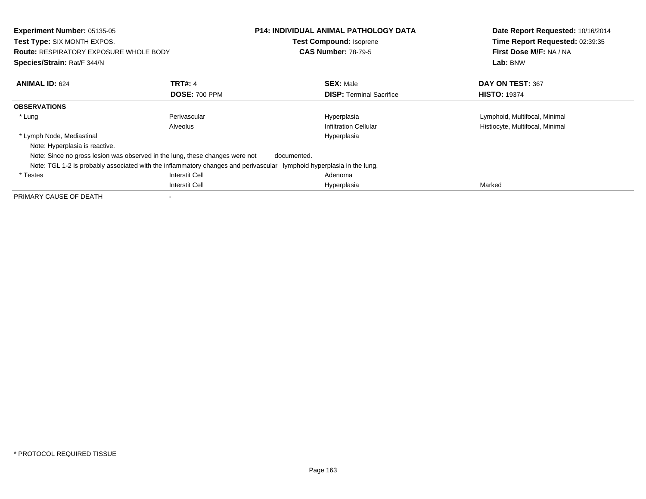| Experiment Number: 05135-05<br>Test Type: SIX MONTH EXPOS.<br><b>Route: RESPIRATORY EXPOSURE WHOLE BODY</b><br>Species/Strain: Rat/F 344/N |                                                                                     | <b>P14: INDIVIDUAL ANIMAL PATHOLOGY DATA</b><br><b>Test Compound: Isoprene</b><br><b>CAS Number: 78-79-5</b> | Date Report Requested: 10/16/2014<br>Time Report Requested: 02:39:35<br>First Dose M/F: NA / NA<br>Lab: BNW |
|--------------------------------------------------------------------------------------------------------------------------------------------|-------------------------------------------------------------------------------------|--------------------------------------------------------------------------------------------------------------|-------------------------------------------------------------------------------------------------------------|
| <b>ANIMAL ID: 624</b>                                                                                                                      | <b>TRT#: 4</b>                                                                      | <b>SEX: Male</b>                                                                                             | DAY ON TEST: 367                                                                                            |
|                                                                                                                                            | <b>DOSE: 700 PPM</b>                                                                | <b>DISP:</b> Terminal Sacrifice                                                                              | <b>HISTO: 19374</b>                                                                                         |
| <b>OBSERVATIONS</b>                                                                                                                        |                                                                                     |                                                                                                              |                                                                                                             |
| * Lung                                                                                                                                     | Perivascular                                                                        | Hyperplasia                                                                                                  | Lymphoid, Multifocal, Minimal                                                                               |
|                                                                                                                                            | Alveolus                                                                            | <b>Infiltration Cellular</b>                                                                                 | Histiocyte, Multifocal, Minimal                                                                             |
| * Lymph Node, Mediastinal<br>Note: Hyperplasia is reactive.                                                                                |                                                                                     | Hyperplasia                                                                                                  |                                                                                                             |
|                                                                                                                                            | Note: Since no gross lesion was observed in the lung, these changes were not        | documented.                                                                                                  |                                                                                                             |
|                                                                                                                                            | Note: TGL 1-2 is probably associated with the inflammatory changes and perivascular | lymphoid hyperplasia in the lung.                                                                            |                                                                                                             |
| * Testes                                                                                                                                   | Interstit Cell                                                                      | Adenoma                                                                                                      |                                                                                                             |
|                                                                                                                                            | Interstit Cell                                                                      | Hyperplasia                                                                                                  | Marked                                                                                                      |
| PRIMARY CAUSE OF DEATH                                                                                                                     |                                                                                     |                                                                                                              |                                                                                                             |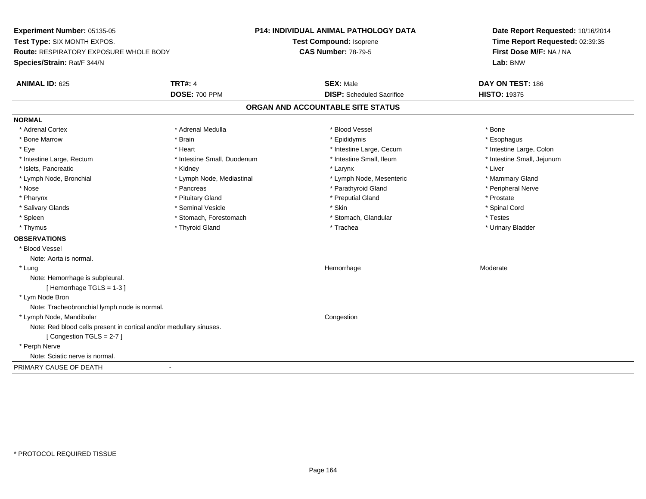**Experiment Number:** 05135-05**Test Type:** SIX MONTH EXPOS.**Route:** RESPIRATORY EXPOSURE WHOLE BODY**Species/Strain:** Rat/F 344/N**P14: INDIVIDUAL ANIMAL PATHOLOGY DATATest Compound:** Isoprene**CAS Number:** 78-79-5**Date Report Requested:** 10/16/2014**Time Report Requested:** 02:39:35**First Dose M/F:** NA / NA**Lab:** BNW**ANIMAL ID:** 625**TRT#:** 4 **SEX:** Male **DAY ON TEST:** 186 **DOSE:** 700 PPM**DISP:** Scheduled Sacrifice **HISTO:** 19375 **ORGAN AND ACCOUNTABLE SITE STATUSNORMAL**\* Adrenal Cortex \* Adrenal Cortex \* \* Adrenal Medulla \* \* Adrenal Medulla \* \* Blood Vessel \* \* Brood Vessel \* \* Bone \* Esophagus \* Bone Marrow \* Brain \* Epididymis \* Esophagus \* Intestine Large, Colon \* Eye \* The matrice of the test of the test of the test of the test of the test of the test of the test of the test of the test of the test of the test of the test of the test of the test of the test of the test of the tes \* Intestine Small, Jejunum \* Intestine Large, Rectum \* Intestine Small, Duodenum \* Intestine Small, Ileum \* Intestine Small, Ileum \* Islets, Pancreatic \* \* \* Andrew \* Kidney \* \* Kidney \* \* Larynx \* Larynx \* \* Larynx \* \* Liver \* Liver \* Liver \* Lymph Node, Bronchial \* Lymph Node, Mediastinal \* Lymph Node, Mesenteric \* Mammary Gland \* Peripheral Nerve \* Nose \* \* Pancreas \* \* Pancreas \* \* Pancreas \* \* Parathyroid Gland \* \* Peripheral Nerve \* Peripheral Nerve \* \* Pharynx \* Pituitary Gland \* Preputial Gland \* Prostate \* Spinal Cord \* Salivary Glands \* \* Seminal Vesicle \* \* Seminal Vesicle \* \* Skin \* \* Skin \* \* Stember \* Spinal Cord \* Spinal Cord \* Spinal Cord \* Spinal Cord \* Spinal Cord \* Spinal Cord \* Spinal Cord \* Spinal Cord \* Spinal Cord \* Spinal \* Spleen \* Stomach, Forestomach \* Stomach \* Stomach, Slandular \* Testes \* Testes \* Urinary Bladder \* Thymus \* Thyroid Gland \* Trachea \* Urinary Bladder \* **OBSERVATIONS** \* Blood VesselNote: Aorta is normal. \* Lungg and the state of the state of the state of the Moderate of the Moderate of the Moderate of the Moderate of the Moderate of the Moderate of the Moderate of the Moderate of the Moderate of the Moderate of the Moderate of t Note: Hemorrhage is subpleural.[ Hemorrhage TGLS = 1-3 ] \* Lym Node Bron Note: Tracheobronchial lymph node is normal. \* Lymph Node, Mandibular CongestionNote: Red blood cells present in cortical and/or medullary sinuses.[ Congestion TGLS = 2-7 ] \* Perph Nerve Note: Sciatic nerve is normal.PRIMARY CAUSE OF DEATH-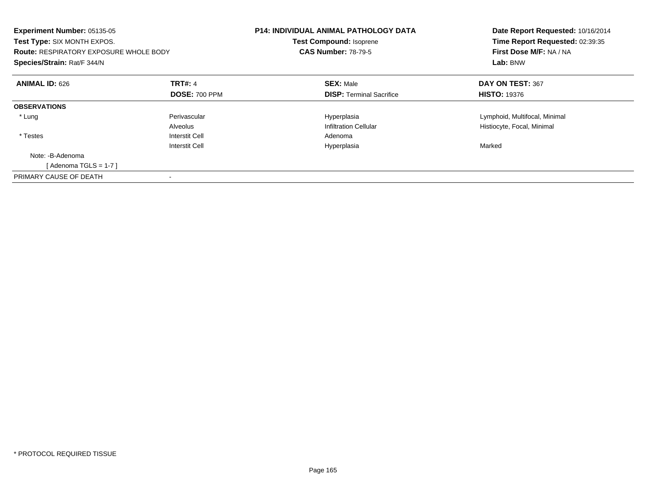| <b>Experiment Number: 05135-05</b><br>Test Type: SIX MONTH EXPOS.<br><b>Route: RESPIRATORY EXPOSURE WHOLE BODY</b><br>Species/Strain: Rat/F 344/N |                                        | <b>P14: INDIVIDUAL ANIMAL PATHOLOGY DATA</b><br><b>Test Compound: Isoprene</b><br><b>CAS Number: 78-79-5</b> | Date Report Requested: 10/16/2014<br>Time Report Requested: 02:39:35<br>First Dose M/F: NA / NA<br>Lab: BNW |
|---------------------------------------------------------------------------------------------------------------------------------------------------|----------------------------------------|--------------------------------------------------------------------------------------------------------------|-------------------------------------------------------------------------------------------------------------|
| <b>ANIMAL ID: 626</b>                                                                                                                             | <b>TRT#: 4</b><br><b>DOSE: 700 PPM</b> | <b>SEX: Male</b><br><b>DISP:</b> Terminal Sacrifice                                                          | DAY ON TEST: 367<br><b>HISTO: 19376</b>                                                                     |
| <b>OBSERVATIONS</b>                                                                                                                               |                                        |                                                                                                              |                                                                                                             |
| * Lung                                                                                                                                            | Perivascular<br>Alveolus               | Hyperplasia<br><b>Infiltration Cellular</b>                                                                  | Lymphoid, Multifocal, Minimal<br>Histiocyte, Focal, Minimal                                                 |
| * Testes                                                                                                                                          | Interstit Cell<br>Interstit Cell       | Adenoma<br>Hyperplasia                                                                                       | Marked                                                                                                      |
| Note: -B-Adenoma<br>[Adenoma TGLS = $1-7$ ]                                                                                                       |                                        |                                                                                                              |                                                                                                             |
| PRIMARY CAUSE OF DEATH                                                                                                                            |                                        |                                                                                                              |                                                                                                             |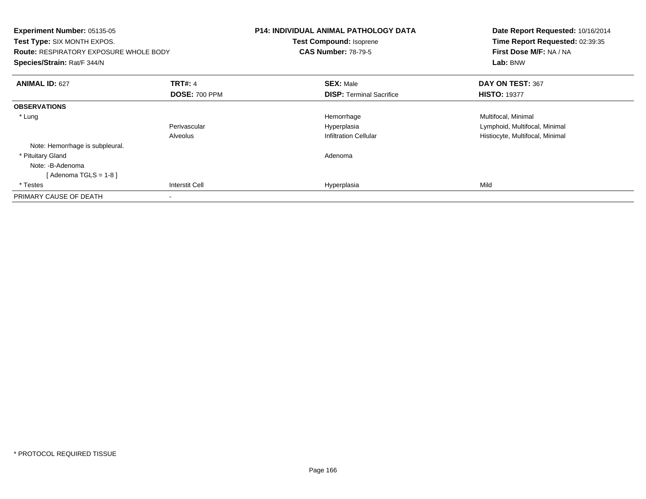| Experiment Number: 05135-05<br><b>Test Type:</b> SIX MONTH EXPOS.<br><b>Route: RESPIRATORY EXPOSURE WHOLE BODY</b><br>Species/Strain: Rat/F 344/N |                      | <b>P14: INDIVIDUAL ANIMAL PATHOLOGY DATA</b><br>Test Compound: Isoprene<br><b>CAS Number: 78-79-5</b> | Date Report Requested: 10/16/2014<br>Time Report Requested: 02:39:35<br>First Dose M/F: NA / NA<br>Lab: BNW |
|---------------------------------------------------------------------------------------------------------------------------------------------------|----------------------|-------------------------------------------------------------------------------------------------------|-------------------------------------------------------------------------------------------------------------|
| <b>ANIMAL ID: 627</b>                                                                                                                             | <b>TRT#: 4</b>       | <b>SEX: Male</b>                                                                                      | DAY ON TEST: 367                                                                                            |
|                                                                                                                                                   | <b>DOSE: 700 PPM</b> | <b>DISP: Terminal Sacrifice</b>                                                                       | <b>HISTO: 19377</b>                                                                                         |
| <b>OBSERVATIONS</b>                                                                                                                               |                      |                                                                                                       |                                                                                                             |
| * Lung                                                                                                                                            |                      | Hemorrhage                                                                                            | Multifocal, Minimal                                                                                         |
|                                                                                                                                                   | Perivascular         | Hyperplasia                                                                                           | Lymphoid, Multifocal, Minimal                                                                               |
|                                                                                                                                                   | Alveolus             | <b>Infiltration Cellular</b>                                                                          | Histiocyte, Multifocal, Minimal                                                                             |
| Note: Hemorrhage is subpleural.                                                                                                                   |                      |                                                                                                       |                                                                                                             |
| * Pituitary Gland                                                                                                                                 |                      | Adenoma                                                                                               |                                                                                                             |
| Note: -B-Adenoma                                                                                                                                  |                      |                                                                                                       |                                                                                                             |
| [ Adenoma TGLS = 1-8 ]                                                                                                                            |                      |                                                                                                       |                                                                                                             |
| * Testes                                                                                                                                          | Interstit Cell       | Hyperplasia                                                                                           | Mild                                                                                                        |
| PRIMARY CAUSE OF DEATH                                                                                                                            |                      |                                                                                                       |                                                                                                             |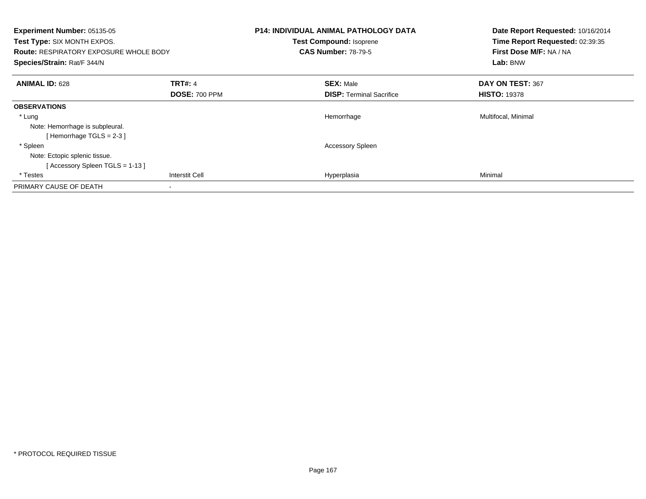| Experiment Number: 05135-05<br>Test Type: SIX MONTH EXPOS.<br><b>Route: RESPIRATORY EXPOSURE WHOLE BODY</b><br>Species/Strain: Rat/F 344/N |                                        | <b>P14: INDIVIDUAL ANIMAL PATHOLOGY DATA</b><br><b>Test Compound: Isoprene</b><br><b>CAS Number: 78-79-5</b> | Date Report Requested: 10/16/2014<br>Time Report Requested: 02:39:35<br>First Dose M/F: NA / NA<br>Lab: BNW |
|--------------------------------------------------------------------------------------------------------------------------------------------|----------------------------------------|--------------------------------------------------------------------------------------------------------------|-------------------------------------------------------------------------------------------------------------|
| <b>ANIMAL ID: 628</b>                                                                                                                      | <b>TRT#: 4</b><br><b>DOSE: 700 PPM</b> | <b>SEX: Male</b><br><b>DISP:</b> Terminal Sacrifice                                                          | DAY ON TEST: 367<br><b>HISTO: 19378</b>                                                                     |
| <b>OBSERVATIONS</b>                                                                                                                        |                                        |                                                                                                              |                                                                                                             |
| * Lung<br>Note: Hemorrhage is subpleural.<br>[Hemorrhage TGLS = 2-3 ]                                                                      |                                        | Hemorrhage                                                                                                   | Multifocal, Minimal                                                                                         |
| * Spleen<br>Note: Ectopic splenic tissue.<br>[Accessory Spleen TGLS = 1-13]                                                                |                                        | <b>Accessory Spleen</b>                                                                                      |                                                                                                             |
| * Testes                                                                                                                                   | <b>Interstit Cell</b>                  | Hyperplasia                                                                                                  | Minimal                                                                                                     |
| PRIMARY CAUSE OF DEATH                                                                                                                     |                                        |                                                                                                              |                                                                                                             |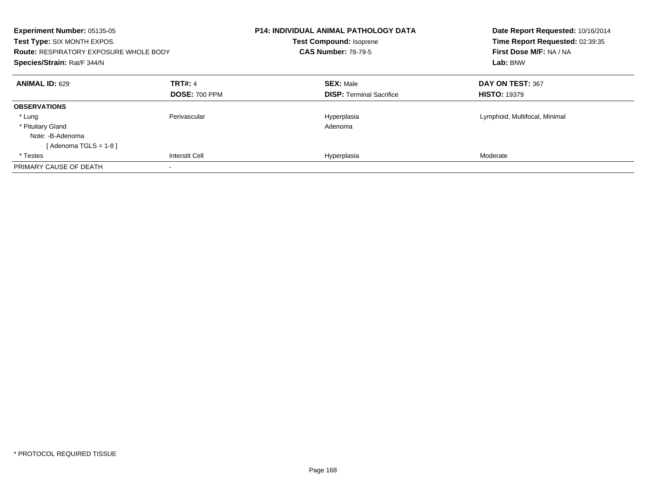| Experiment Number: 05135-05<br>Test Type: SIX MONTH EXPOS.<br><b>Route: RESPIRATORY EXPOSURE WHOLE BODY</b><br>Species/Strain: Rat/F 344/N |                       | <b>P14: INDIVIDUAL ANIMAL PATHOLOGY DATA</b><br><b>Test Compound: Isoprene</b><br><b>CAS Number: 78-79-5</b> | Date Report Requested: 10/16/2014<br>Time Report Requested: 02:39:35<br>First Dose M/F: NA / NA<br>Lab: BNW |
|--------------------------------------------------------------------------------------------------------------------------------------------|-----------------------|--------------------------------------------------------------------------------------------------------------|-------------------------------------------------------------------------------------------------------------|
| <b>ANIMAL ID: 629</b>                                                                                                                      | <b>TRT#: 4</b>        | <b>SEX: Male</b>                                                                                             | DAY ON TEST: 367                                                                                            |
|                                                                                                                                            | <b>DOSE: 700 PPM</b>  | <b>DISP:</b> Terminal Sacrifice                                                                              | <b>HISTO: 19379</b>                                                                                         |
| <b>OBSERVATIONS</b>                                                                                                                        |                       |                                                                                                              |                                                                                                             |
| * Lung                                                                                                                                     | Perivascular          | Hyperplasia                                                                                                  | Lymphoid, Multifocal, Minimal                                                                               |
| * Pituitary Gland                                                                                                                          |                       | Adenoma                                                                                                      |                                                                                                             |
| Note: -B-Adenoma                                                                                                                           |                       |                                                                                                              |                                                                                                             |
| [ Adenoma TGLS = 1-8 ]                                                                                                                     |                       |                                                                                                              |                                                                                                             |
| * Testes                                                                                                                                   | <b>Interstit Cell</b> | Hyperplasia                                                                                                  | Moderate                                                                                                    |
| PRIMARY CAUSE OF DEATH                                                                                                                     |                       |                                                                                                              |                                                                                                             |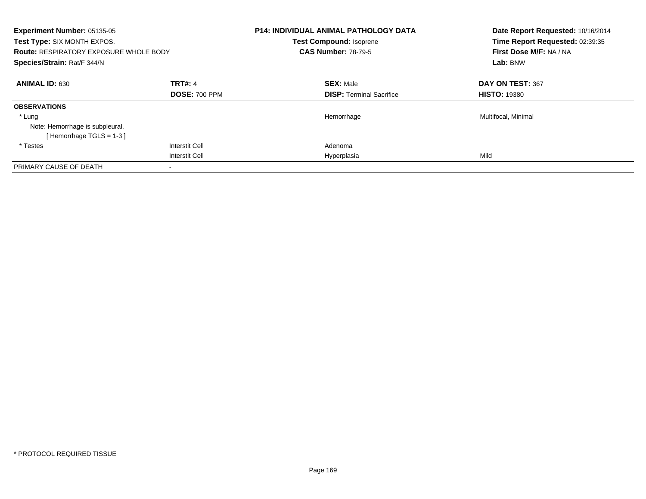| Experiment Number: 05135-05<br>Test Type: SIX MONTH EXPOS.<br><b>Route: RESPIRATORY EXPOSURE WHOLE BODY</b><br>Species/Strain: Rat/F 344/N |                       | <b>P14: INDIVIDUAL ANIMAL PATHOLOGY DATA</b><br><b>Test Compound: Isoprene</b><br><b>CAS Number: 78-79-5</b> | Date Report Requested: 10/16/2014<br>Time Report Requested: 02:39:35<br>First Dose M/F: NA / NA<br>Lab: BNW |
|--------------------------------------------------------------------------------------------------------------------------------------------|-----------------------|--------------------------------------------------------------------------------------------------------------|-------------------------------------------------------------------------------------------------------------|
| <b>ANIMAL ID: 630</b>                                                                                                                      | <b>TRT#: 4</b>        | <b>SEX: Male</b>                                                                                             | DAY ON TEST: 367                                                                                            |
|                                                                                                                                            | <b>DOSE: 700 PPM</b>  | <b>DISP:</b> Terminal Sacrifice                                                                              | <b>HISTO: 19380</b>                                                                                         |
| <b>OBSERVATIONS</b>                                                                                                                        |                       |                                                                                                              |                                                                                                             |
| * Lung                                                                                                                                     |                       | Hemorrhage                                                                                                   | Multifocal, Minimal                                                                                         |
| Note: Hemorrhage is subpleural.                                                                                                            |                       |                                                                                                              |                                                                                                             |
| [Hemorrhage TGLS = 1-3]                                                                                                                    |                       |                                                                                                              |                                                                                                             |
| * Testes                                                                                                                                   | Interstit Cell        | Adenoma                                                                                                      |                                                                                                             |
|                                                                                                                                            | <b>Interstit Cell</b> | Hyperplasia                                                                                                  | Mild                                                                                                        |
| PRIMARY CAUSE OF DEATH                                                                                                                     |                       |                                                                                                              |                                                                                                             |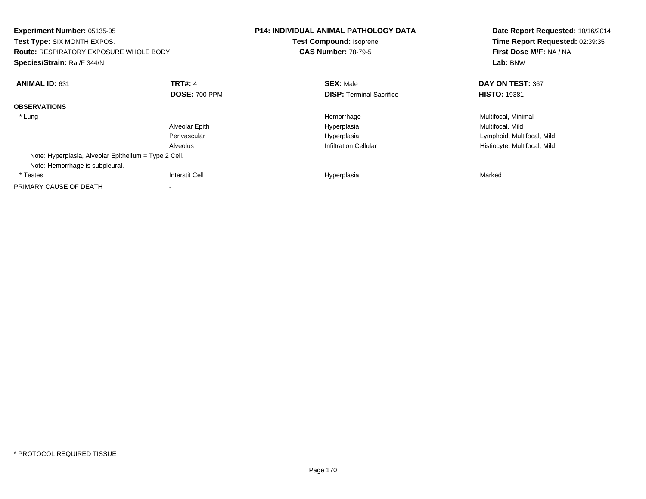| <b>Experiment Number: 05135-05</b><br>Test Type: SIX MONTH EXPOS.<br><b>Route: RESPIRATORY EXPOSURE WHOLE BODY</b><br>Species/Strain: Rat/F 344/N |                       | <b>P14: INDIVIDUAL ANIMAL PATHOLOGY DATA</b><br><b>Test Compound: Isoprene</b><br><b>CAS Number: 78-79-5</b> | Date Report Requested: 10/16/2014<br>Time Report Requested: 02:39:35<br>First Dose M/F: NA / NA<br>Lab: BNW |
|---------------------------------------------------------------------------------------------------------------------------------------------------|-----------------------|--------------------------------------------------------------------------------------------------------------|-------------------------------------------------------------------------------------------------------------|
| <b>ANIMAL ID: 631</b>                                                                                                                             | <b>TRT#: 4</b>        | <b>SEX: Male</b>                                                                                             | DAY ON TEST: 367                                                                                            |
|                                                                                                                                                   | <b>DOSE: 700 PPM</b>  | <b>DISP:</b> Terminal Sacrifice                                                                              | <b>HISTO: 19381</b>                                                                                         |
| <b>OBSERVATIONS</b>                                                                                                                               |                       |                                                                                                              |                                                                                                             |
| * Lung                                                                                                                                            |                       | Hemorrhage                                                                                                   | Multifocal, Minimal                                                                                         |
|                                                                                                                                                   | Alveolar Epith        | Hyperplasia                                                                                                  | Multifocal, Mild                                                                                            |
|                                                                                                                                                   | Perivascular          | Hyperplasia                                                                                                  | Lymphoid, Multifocal, Mild                                                                                  |
|                                                                                                                                                   | Alveolus              | Infiltration Cellular                                                                                        | Histiocyte, Multifocal, Mild                                                                                |
| Note: Hyperplasia, Alveolar Epithelium = Type 2 Cell.                                                                                             |                       |                                                                                                              |                                                                                                             |
| Note: Hemorrhage is subpleural.                                                                                                                   |                       |                                                                                                              |                                                                                                             |
| * Testes                                                                                                                                          | <b>Interstit Cell</b> | Hyperplasia                                                                                                  | Marked                                                                                                      |
| PRIMARY CAUSE OF DEATH                                                                                                                            |                       |                                                                                                              |                                                                                                             |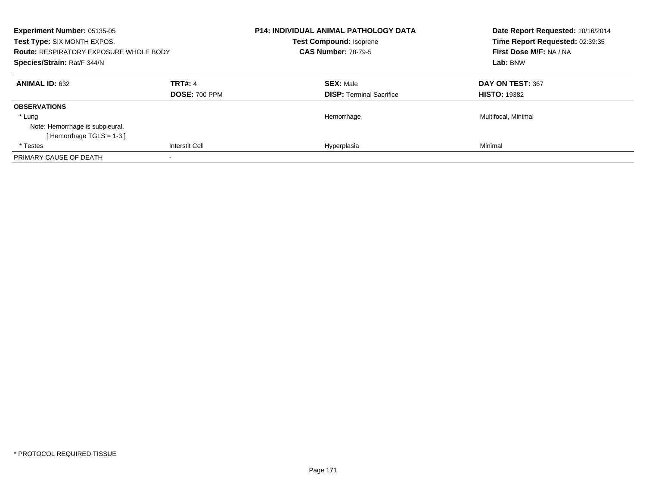| <b>Experiment Number: 05135-05</b><br>Test Type: SIX MONTH EXPOS.<br><b>Route: RESPIRATORY EXPOSURE WHOLE BODY</b><br>Species/Strain: Rat/F 344/N |                                        | <b>P14: INDIVIDUAL ANIMAL PATHOLOGY DATA</b><br><b>Test Compound: Isoprene</b><br><b>CAS Number: 78-79-5</b> | Date Report Requested: 10/16/2014<br>Time Report Requested: 02:39:35<br>First Dose M/F: NA / NA<br>Lab: BNW |
|---------------------------------------------------------------------------------------------------------------------------------------------------|----------------------------------------|--------------------------------------------------------------------------------------------------------------|-------------------------------------------------------------------------------------------------------------|
| <b>ANIMAL ID: 632</b>                                                                                                                             | <b>TRT#: 4</b><br><b>DOSE: 700 PPM</b> | <b>SEX: Male</b><br><b>DISP:</b> Terminal Sacrifice                                                          | DAY ON TEST: 367<br><b>HISTO: 19382</b>                                                                     |
| <b>OBSERVATIONS</b>                                                                                                                               |                                        |                                                                                                              |                                                                                                             |
| * Lung                                                                                                                                            |                                        | Hemorrhage                                                                                                   | Multifocal, Minimal                                                                                         |
| Note: Hemorrhage is subpleural.<br>[Hemorrhage TGLS = 1-3]                                                                                        |                                        |                                                                                                              |                                                                                                             |
| * Testes                                                                                                                                          | <b>Interstit Cell</b>                  | Hyperplasia                                                                                                  | Minimal                                                                                                     |
| PRIMARY CAUSE OF DEATH                                                                                                                            |                                        |                                                                                                              |                                                                                                             |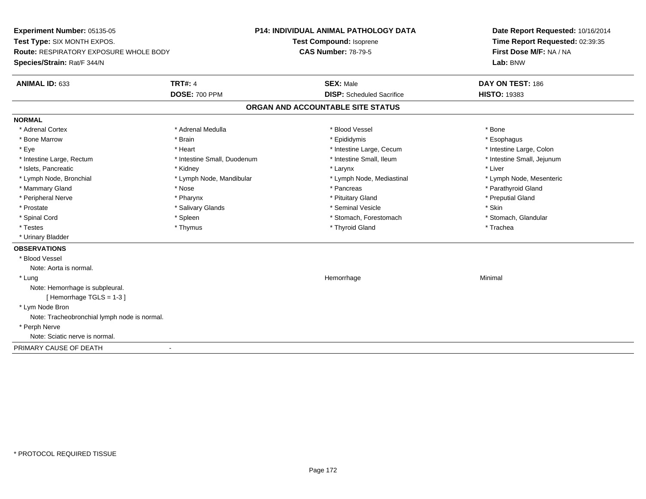**Experiment Number:** 05135-05**Test Type:** SIX MONTH EXPOS.**Route:** RESPIRATORY EXPOSURE WHOLE BODY**Species/Strain:** Rat/F 344/N**P14: INDIVIDUAL ANIMAL PATHOLOGY DATATest Compound:** Isoprene**CAS Number:** 78-79-5**Date Report Requested:** 10/16/2014**Time Report Requested:** 02:39:35**First Dose M/F:** NA / NA**Lab:** BNW**ANIMAL ID:** 633**TRT#:** 4 **SEX:** Male **DAY ON TEST:** 186 **DOSE:** 700 PPM**DISP:** Scheduled Sacrifice **HISTO:** 19383 **ORGAN AND ACCOUNTABLE SITE STATUSNORMAL**\* Adrenal Cortex \* Adrenal Cortex \* \* Adrenal Medulla \* \* Adrenal Medulla \* \* Blood Vessel \* \* Brood Vessel \* \* Bone \* Esophagus \* Bone Marrow \* Brain \* Epididymis \* Esophagus \* Intestine Large, Colon \* Eye \* The matrice of the test of the test of the test of the test of the test of the test of the test of the test of the test of the test of the test of the test of the test of the test of the test of the test of the tes \* Intestine Small, Jejunum \* Intestine Large, Rectum \* Intestine Small, Duodenum \* Intestine Small, Ileum \* Intestine Small, Ileum \* Islets, Pancreatic \* \* \* Andrew \* Kidney \* \* Kidney \* \* Larynx \* Larynx \* \* Larynx \* \* Liver \* Liver \* Liver \* Lymph Node, Bronchial \* Lymph Node, Mandibular \* Lymph Node, Mediastinal \* Lymph Node, Mesenteric\* Mammary Gland \* The strain of the strain of the strain of the strain of the strain of the strain of the strain of the strain of the strain of the strain of the strain of the strain of the strain of the strain of the stra \* Peripheral Nerve \* \* \* \* Pharynx \* \* Pharynx \* \* \* Preputial Gland \* \* Preputial Gland \* \* Preputial Gland \* Prostate \* \* Salivary Glands \* \* Salivary Glands \* \* Seminal Vesicle \* \* \* Seminal Yestrich \* \* Skin \* \* Skin \* Stomach, Glandular \* Spinal Cord \* Spinal Cord \* Spinal Cord \* Stomach, Forestomach \* Spinal Cord \* Stomach, Forestomach \* Testes \* Thymus \* Thyroid Gland \* Trachea \* Urinary Bladder**OBSERVATIONS** \* Blood VesselNote: Aorta is normal. \* Lungg and the state of the state of the state of the state of the Minimal Section 1, the state of the state of the Minimal Section 1, the state of the state of the state of the state of the state of the state of the state of t Note: Hemorrhage is subpleural.[ Hemorrhage TGLS = 1-3 ] \* Lym Node Bron Note: Tracheobronchial lymph node is normal. \* Perph Nerve Note: Sciatic nerve is normal.PRIMARY CAUSE OF DEATH-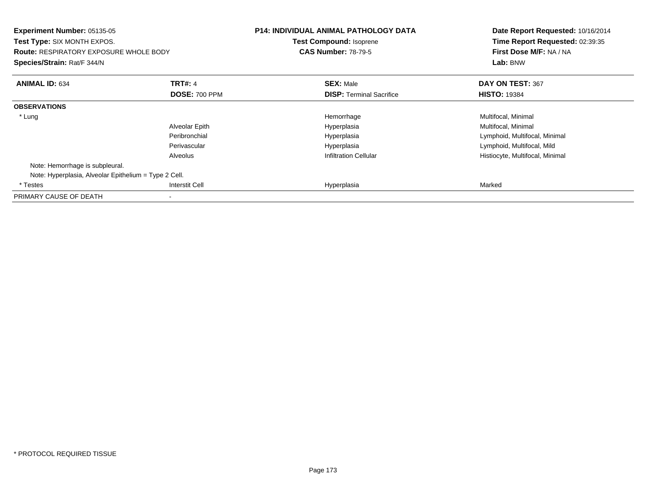| Experiment Number: 05135-05<br>Test Type: SIX MONTH EXPOS.<br><b>Route: RESPIRATORY EXPOSURE WHOLE BODY</b><br>Species/Strain: Rat/F 344/N |                      | <b>P14: INDIVIDUAL ANIMAL PATHOLOGY DATA</b><br><b>Test Compound: Isoprene</b><br><b>CAS Number: 78-79-5</b> | Date Report Requested: 10/16/2014<br>Time Report Requested: 02:39:35<br>First Dose M/F: NA / NA<br>Lab: BNW |
|--------------------------------------------------------------------------------------------------------------------------------------------|----------------------|--------------------------------------------------------------------------------------------------------------|-------------------------------------------------------------------------------------------------------------|
| <b>ANIMAL ID: 634</b>                                                                                                                      | <b>TRT#: 4</b>       | <b>SEX: Male</b>                                                                                             | DAY ON TEST: 367                                                                                            |
|                                                                                                                                            | <b>DOSE: 700 PPM</b> | <b>DISP:</b> Terminal Sacrifice                                                                              | <b>HISTO: 19384</b>                                                                                         |
| <b>OBSERVATIONS</b>                                                                                                                        |                      |                                                                                                              |                                                                                                             |
| * Lung                                                                                                                                     |                      | Hemorrhage                                                                                                   | Multifocal, Minimal                                                                                         |
|                                                                                                                                            | Alveolar Epith       | Hyperplasia                                                                                                  | Multifocal, Minimal                                                                                         |
|                                                                                                                                            | Peribronchial        | Hyperplasia                                                                                                  | Lymphoid, Multifocal, Minimal                                                                               |
|                                                                                                                                            | Perivascular         | Hyperplasia                                                                                                  | Lymphoid, Multifocal, Mild                                                                                  |
|                                                                                                                                            | Alveolus             | <b>Infiltration Cellular</b>                                                                                 | Histiocyte, Multifocal, Minimal                                                                             |
| Note: Hemorrhage is subpleural.                                                                                                            |                      |                                                                                                              |                                                                                                             |
| Note: Hyperplasia, Alveolar Epithelium = Type 2 Cell.                                                                                      |                      |                                                                                                              |                                                                                                             |
| * Testes                                                                                                                                   | Interstit Cell       | Hyperplasia                                                                                                  | Marked                                                                                                      |
| PRIMARY CAUSE OF DEATH                                                                                                                     |                      |                                                                                                              |                                                                                                             |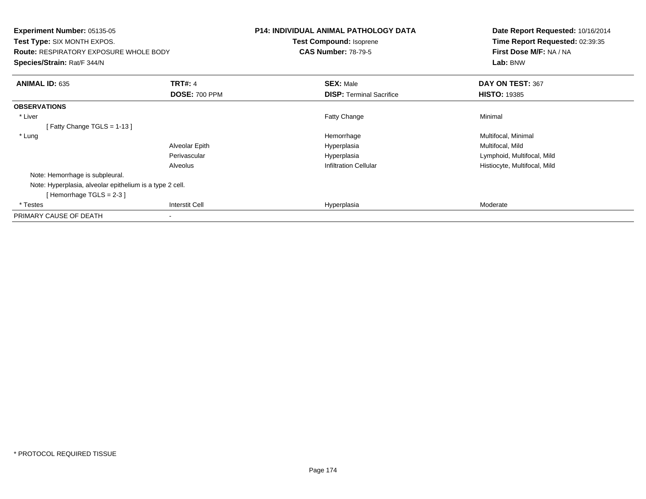| <b>Experiment Number: 05135-05</b><br><b>Test Type: SIX MONTH EXPOS.</b><br><b>Route: RESPIRATORY EXPOSURE WHOLE BODY</b><br>Species/Strain: Rat/F 344/N |                       | <b>P14: INDIVIDUAL ANIMAL PATHOLOGY DATA</b><br><b>Test Compound: Isoprene</b><br><b>CAS Number: 78-79-5</b> | Date Report Requested: 10/16/2014<br>Time Report Requested: 02:39:35<br>First Dose M/F: NA / NA<br>Lab: BNW |
|----------------------------------------------------------------------------------------------------------------------------------------------------------|-----------------------|--------------------------------------------------------------------------------------------------------------|-------------------------------------------------------------------------------------------------------------|
| <b>ANIMAL ID: 635</b>                                                                                                                                    | <b>TRT#: 4</b>        | <b>SEX: Male</b>                                                                                             | DAY ON TEST: 367                                                                                            |
|                                                                                                                                                          | <b>DOSE: 700 PPM</b>  | <b>DISP: Terminal Sacrifice</b>                                                                              | <b>HISTO: 19385</b>                                                                                         |
| <b>OBSERVATIONS</b>                                                                                                                                      |                       |                                                                                                              |                                                                                                             |
| * Liver                                                                                                                                                  |                       | Fatty Change                                                                                                 | Minimal                                                                                                     |
| [Fatty Change TGLS = $1-13$ ]                                                                                                                            |                       |                                                                                                              |                                                                                                             |
| * Lung                                                                                                                                                   |                       | Hemorrhage                                                                                                   | Multifocal, Minimal                                                                                         |
|                                                                                                                                                          | Alveolar Epith        | Hyperplasia                                                                                                  | Multifocal, Mild                                                                                            |
|                                                                                                                                                          | Perivascular          | Hyperplasia                                                                                                  | Lymphoid, Multifocal, Mild                                                                                  |
|                                                                                                                                                          | Alveolus              | <b>Infiltration Cellular</b>                                                                                 | Histiocyte, Multifocal, Mild                                                                                |
| Note: Hemorrhage is subpleural.                                                                                                                          |                       |                                                                                                              |                                                                                                             |
| Note: Hyperplasia, alveolar epithelium is a type 2 cell.                                                                                                 |                       |                                                                                                              |                                                                                                             |
| [Hemorrhage TGLS = 2-3]                                                                                                                                  |                       |                                                                                                              |                                                                                                             |
| * Testes                                                                                                                                                 | <b>Interstit Cell</b> | Hyperplasia                                                                                                  | Moderate                                                                                                    |
| PRIMARY CAUSE OF DEATH                                                                                                                                   |                       |                                                                                                              |                                                                                                             |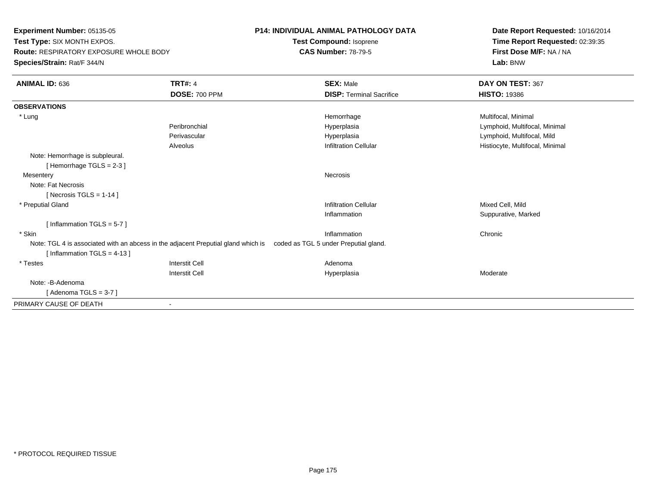**Experiment Number:** 05135-05 **Test Type:** SIX MONTH EXPOS. **Route:** RESPIRATORY EXPOSURE WHOLE BODY**Species/Strain:** Rat/F 344/N

## **P14: INDIVIDUAL ANIMAL PATHOLOGY DATA**

**Test Compound:** Isoprene**CAS Number:** 78-79-5

**Date Report Requested:** 10/16/2014**Time Report Requested:** 02:39:35**First Dose M/F:** NA / NA**Lab:** BNW

| <b>ANIMAL ID: 636</b>                                         | <b>TRT#: 4</b>                                                                                                          | <b>SEX: Male</b>                | DAY ON TEST: 367                |
|---------------------------------------------------------------|-------------------------------------------------------------------------------------------------------------------------|---------------------------------|---------------------------------|
|                                                               | <b>DOSE: 700 PPM</b>                                                                                                    | <b>DISP: Terminal Sacrifice</b> | <b>HISTO: 19386</b>             |
| <b>OBSERVATIONS</b>                                           |                                                                                                                         |                                 |                                 |
| * Lung                                                        |                                                                                                                         | Hemorrhage                      | Multifocal, Minimal             |
|                                                               | Peribronchial                                                                                                           | Hyperplasia                     | Lymphoid, Multifocal, Minimal   |
|                                                               | Perivascular                                                                                                            | Hyperplasia                     | Lymphoid, Multifocal, Mild      |
|                                                               | Alveolus                                                                                                                | <b>Infiltration Cellular</b>    | Histiocyte, Multifocal, Minimal |
| Note: Hemorrhage is subpleural.<br>[Hemorrhage TGLS = $2-3$ ] |                                                                                                                         |                                 |                                 |
| Mesentery                                                     |                                                                                                                         | <b>Necrosis</b>                 |                                 |
| Note: Fat Necrosis                                            |                                                                                                                         |                                 |                                 |
| [Necrosis TGLS = $1-14$ ]                                     |                                                                                                                         |                                 |                                 |
| * Preputial Gland                                             |                                                                                                                         | <b>Infiltration Cellular</b>    | Mixed Cell, Mild                |
|                                                               |                                                                                                                         | Inflammation                    | Suppurative, Marked             |
| [Inflammation TGLS = $5-7$ ]                                  |                                                                                                                         |                                 |                                 |
| * Skin                                                        |                                                                                                                         | Inflammation                    | Chronic                         |
|                                                               | Note: TGL 4 is associated with an abcess in the adjacent Preputial gland which is coded as TGL 5 under Preputial gland. |                                 |                                 |
| [Inflammation TGLS = $4-13$ ]                                 |                                                                                                                         |                                 |                                 |
| * Testes                                                      | <b>Interstit Cell</b>                                                                                                   | Adenoma                         |                                 |
|                                                               | <b>Interstit Cell</b>                                                                                                   | Hyperplasia                     | Moderate                        |
| Note: -B-Adenoma                                              |                                                                                                                         |                                 |                                 |
| [Adenoma TGLS = $3-7$ ]                                       |                                                                                                                         |                                 |                                 |
| PRIMARY CAUSE OF DEATH                                        |                                                                                                                         |                                 |                                 |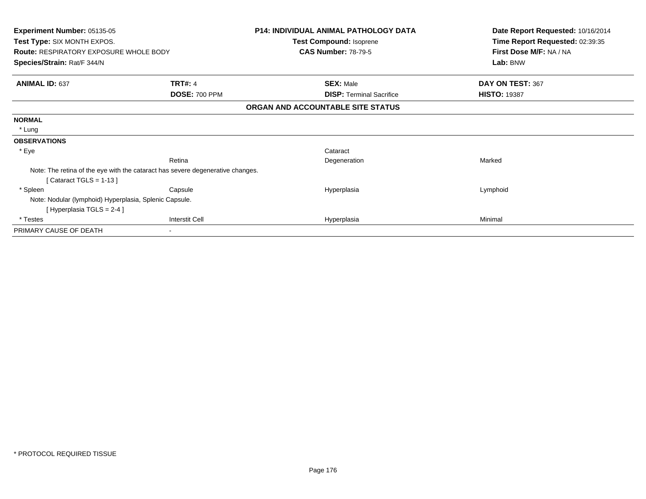| Experiment Number: 05135-05<br>Test Type: SIX MONTH EXPOS.<br><b>Route: RESPIRATORY EXPOSURE WHOLE BODY</b> |                                                                                | <b>P14: INDIVIDUAL ANIMAL PATHOLOGY DATA</b><br>Test Compound: Isoprene<br><b>CAS Number: 78-79-5</b> | Date Report Requested: 10/16/2014<br>Time Report Requested: 02:39:35<br>First Dose M/F: NA / NA<br>Lab: BNW |
|-------------------------------------------------------------------------------------------------------------|--------------------------------------------------------------------------------|-------------------------------------------------------------------------------------------------------|-------------------------------------------------------------------------------------------------------------|
| Species/Strain: Rat/F 344/N                                                                                 |                                                                                |                                                                                                       |                                                                                                             |
| <b>ANIMAL ID: 637</b>                                                                                       | <b>TRT#: 4</b>                                                                 | <b>SEX: Male</b>                                                                                      | DAY ON TEST: 367                                                                                            |
|                                                                                                             | <b>DOSE: 700 PPM</b>                                                           | <b>DISP:</b> Terminal Sacrifice                                                                       | <b>HISTO: 19387</b>                                                                                         |
|                                                                                                             |                                                                                | ORGAN AND ACCOUNTABLE SITE STATUS                                                                     |                                                                                                             |
| <b>NORMAL</b>                                                                                               |                                                                                |                                                                                                       |                                                                                                             |
| * Lung                                                                                                      |                                                                                |                                                                                                       |                                                                                                             |
| <b>OBSERVATIONS</b>                                                                                         |                                                                                |                                                                                                       |                                                                                                             |
| * Eye                                                                                                       |                                                                                | Cataract                                                                                              |                                                                                                             |
|                                                                                                             | Retina                                                                         | Degeneration                                                                                          | Marked                                                                                                      |
|                                                                                                             | Note: The retina of the eye with the cataract has severe degenerative changes. |                                                                                                       |                                                                                                             |
| Cataract TGLS = $1-13$ ]                                                                                    |                                                                                |                                                                                                       |                                                                                                             |
| * Spleen                                                                                                    | Capsule                                                                        | Hyperplasia                                                                                           | Lymphoid                                                                                                    |
| Note: Nodular (lymphoid) Hyperplasia, Splenic Capsule.                                                      |                                                                                |                                                                                                       |                                                                                                             |
| [Hyperplasia TGLS = 2-4 ]                                                                                   |                                                                                |                                                                                                       |                                                                                                             |
| * Testes                                                                                                    | <b>Interstit Cell</b>                                                          | Hyperplasia                                                                                           | Minimal                                                                                                     |
| PRIMARY CAUSE OF DEATH                                                                                      | $\blacksquare$                                                                 |                                                                                                       |                                                                                                             |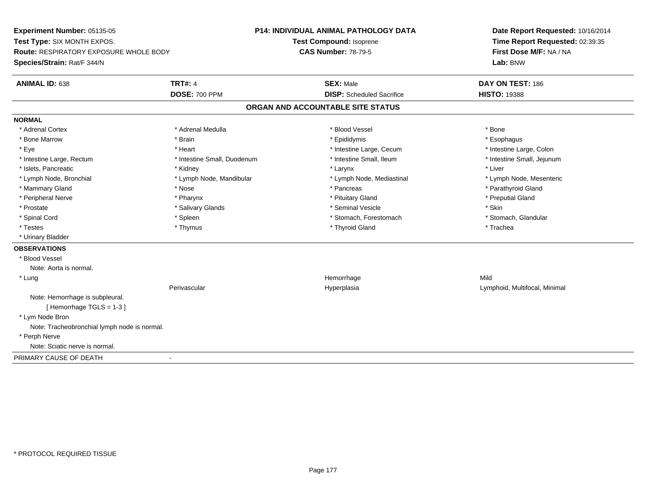**Experiment Number:** 05135-05**Test Type:** SIX MONTH EXPOS.**Route:** RESPIRATORY EXPOSURE WHOLE BODY**Species/Strain:** Rat/F 344/N**P14: INDIVIDUAL ANIMAL PATHOLOGY DATATest Compound:** Isoprene**CAS Number:** 78-79-5**Date Report Requested:** 10/16/2014**Time Report Requested:** 02:39:35**First Dose M/F:** NA / NA**Lab:** BNW**ANIMAL ID:** 638**TRT#:** 4 **SEX:** Male **DAY ON TEST:** 186 **DOSE:** 700 PPM**DISP:** Scheduled Sacrifice **HISTO:** 19388 **ORGAN AND ACCOUNTABLE SITE STATUSNORMAL**\* Adrenal Cortex \* Adrenal Cortex \* \* Adrenal Medulla \* \* Adrenal Medulla \* \* Blood Vessel \* \* Brood Vessel \* \* Bone \* Esophagus \* Bone Marrow \* Brain \* Epididymis \* Esophagus \* Intestine Large, Colon \* Eye \* The matrice of the test of the test of the test of the test of the test of the test of the test of the test of the test of the test of the test of the test of the test of the test of the test of the test of the tes \* Intestine Small, Jejunum \* Intestine Large, Rectum \* Intestine Small, Duodenum \* Intestine Small, Ileum \* Intestine Small, Ileum \* Islets, Pancreatic \* \* \* Andrew \* Kidney \* \* Kidney \* \* Larynx \* Larynx \* \* Larynx \* \* Liver \* Liver \* Liver \* Lymph Node, Bronchial \* Lymph Node, Mandibular \* Lymph Node, Mediastinal \* Lymph Node, Mesenteric\* Mammary Gland \* The strain of the strain of the strain of the strain of the strain of the strain of the strain of the strain of the strain of the strain of the strain of the strain of the strain of the strain of the stra \* Peripheral Nerve \* \* \* \* Pharynx \* \* Pharynx \* \* \* Preputial Gland \* \* Preputial Gland \* \* Preputial Gland \* Prostate \* \* Salivary Glands \* \* Salivary Glands \* \* Seminal Vesicle \* \* \* Seminal Yestrich \* \* Skin \* \* Skin \* Stomach, Glandular \* Spinal Cord \* Spinal Cord \* Spinal Cord \* Stomach, Forestomach \* Spinal Cord \* Stomach, Forestomach \* Testes \* Thymus \* Thyroid Gland \* Trachea \* Urinary Bladder**OBSERVATIONS** \* Blood VesselNote: Aorta is normal. \* Lungg and the state of the state of the state of the state of the Hemorrhage state of the Mild state of the Mild state of the State of the State of the State of the State of the State of the State of the State of the State of Perivascular Hyperplasia Lymphoid, Multifocal, Minimal Note: Hemorrhage is subpleural.[ Hemorrhage TGLS = 1-3 ] \* Lym Node Bron Note: Tracheobronchial lymph node is normal. \* Perph Nerve Note: Sciatic nerve is normal.PRIMARY CAUSE OF DEATH-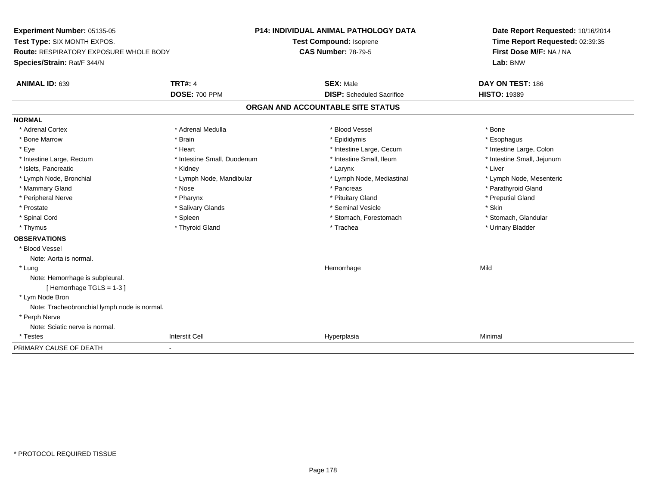**Experiment Number:** 05135-05**Test Type:** SIX MONTH EXPOS.**Route:** RESPIRATORY EXPOSURE WHOLE BODY**Species/Strain:** Rat/F 344/N**P14: INDIVIDUAL ANIMAL PATHOLOGY DATATest Compound:** Isoprene**CAS Number:** 78-79-5**Date Report Requested:** 10/16/2014**Time Report Requested:** 02:39:35**First Dose M/F:** NA / NA**Lab:** BNW**ANIMAL ID:** 639**TRT#:** 4 **SEX:** Male **DAY ON TEST:** 186 **DOSE:** 700 PPM**DISP:** Scheduled Sacrifice **HISTO:** 19389 **ORGAN AND ACCOUNTABLE SITE STATUSNORMAL**\* Adrenal Cortex \* Adrenal Cortex \* \* Adrenal Medulla \* \* Adrenal Medulla \* \* Blood Vessel \* \* Brood Vessel \* \* Bone \* Esophagus \* Bone Marrow \* Brain \* Epididymis \* Esophagus \* Intestine Large, Colon \* Eye \* Heart \* Heart \* Intestine Large, Cecum \* 1. The state Large, Cecum \* Intestine Large, Cecum \* \* Intestine Small, Jejunum \* Intestine Large, Rectum \* Intestine Small, Duodenum \* Intestine Small, Ileum \* Intestine Small, Ileum \* Islets, Pancreatic \* \* \* Andrew \* Kidney \* \* Kidney \* \* Larynx \* Larynx \* \* Larynx \* \* Liver \* Liver \* Liver \* Lymph Node, Bronchial \* Lymph Node, Mandibular \* Lymph Node, Mediastinal \* Lymph Node, Mesenteric\* Mammary Gland \* The strain of the strain of the strain of the strain of the strain of the strain of the strain of the strain of the strain of the strain of the strain of the strain of the strain of the strain of the stra \* Peripheral Nerve \* \* \* \* Pharynx \* \* Pharynx \* \* \* Preputial Gland \* \* Preputial Gland \* \* Preputial Gland \* Prostate \* \* Salivary Glands \* \* Salivary Glands \* \* Seminal Vesicle \* \* \* Seminal Yestrich \* \* Skin \* \* Skin \* Stomach, Glandular \* Spinal Cord **\* Stomach, Forestomach \* Spinal Cord \*** Stomach, Forestomach \* Stomach, Forestomach \* Thymus \* Thyroid Gland \* Trachea \* Urinary Bladder \* **OBSERVATIONS** \* Blood VesselNote: Aorta is normal. \* Lungg and the state of the state of the state of the state of the Hemorrhage state of the Mild state of the Mild state of the State of the State of the State of the State of the State of the State of the State of the State of Note: Hemorrhage is subpleural.[ Hemorrhage TGLS = 1-3 ] \* Lym Node Bron Note: Tracheobronchial lymph node is normal. \* Perph Nerve Note: Sciatic nerve is normal. \* Testess and the contract of the contract of the contract of the contract of the contract of the contract of the contract of the contract of the contract of the contract of the contract of the contract of the contract of the cont a Minimal PRIMARY CAUSE OF DEATH-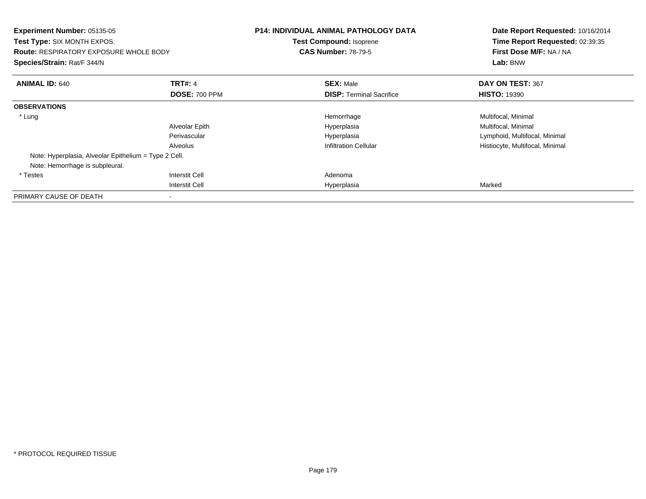| Experiment Number: 05135-05<br><b>Test Type: SIX MONTH EXPOS.</b><br><b>Route: RESPIRATORY EXPOSURE WHOLE BODY</b><br>Species/Strain: Rat/F 344/N |                      | <b>P14: INDIVIDUAL ANIMAL PATHOLOGY DATA</b><br>Test Compound: Isoprene<br><b>CAS Number: 78-79-5</b> | Date Report Requested: 10/16/2014<br>Time Report Requested: 02:39:35<br>First Dose M/F: NA / NA<br>Lab: BNW |
|---------------------------------------------------------------------------------------------------------------------------------------------------|----------------------|-------------------------------------------------------------------------------------------------------|-------------------------------------------------------------------------------------------------------------|
| <b>ANIMAL ID: 640</b>                                                                                                                             | <b>TRT#: 4</b>       | <b>SEX: Male</b>                                                                                      | DAY ON TEST: 367                                                                                            |
|                                                                                                                                                   | <b>DOSE: 700 PPM</b> | <b>DISP: Terminal Sacrifice</b>                                                                       | <b>HISTO: 19390</b>                                                                                         |
| <b>OBSERVATIONS</b>                                                                                                                               |                      |                                                                                                       |                                                                                                             |
| * Lung                                                                                                                                            |                      | Hemorrhage                                                                                            | Multifocal, Minimal                                                                                         |
|                                                                                                                                                   | Alveolar Epith       | Hyperplasia                                                                                           | Multifocal, Minimal                                                                                         |
|                                                                                                                                                   | Perivascular         | Hyperplasia                                                                                           | Lymphoid, Multifocal, Minimal                                                                               |
|                                                                                                                                                   | Alveolus             | <b>Infiltration Cellular</b>                                                                          | Histiocyte, Multifocal, Minimal                                                                             |
| Note: Hyperplasia, Alveolar Epithelium = Type 2 Cell.                                                                                             |                      |                                                                                                       |                                                                                                             |
| Note: Hemorrhage is subpleural.                                                                                                                   |                      |                                                                                                       |                                                                                                             |
| * Testes                                                                                                                                          | Interstit Cell       | Adenoma                                                                                               |                                                                                                             |
|                                                                                                                                                   | Interstit Cell       | Hyperplasia                                                                                           | Marked                                                                                                      |
| PRIMARY CAUSE OF DEATH                                                                                                                            |                      |                                                                                                       |                                                                                                             |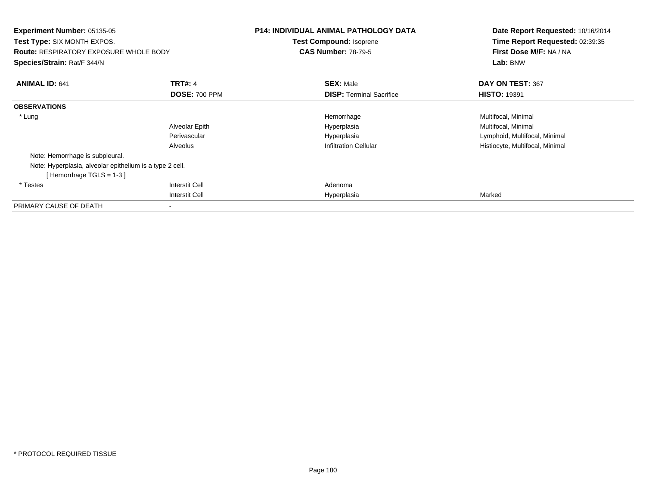| <b>Experiment Number: 05135-05</b><br><b>Test Type: SIX MONTH EXPOS.</b><br><b>Route: RESPIRATORY EXPOSURE WHOLE BODY</b><br>Species/Strain: Rat/F 344/N |                       | <b>P14: INDIVIDUAL ANIMAL PATHOLOGY DATA</b><br><b>Test Compound: Isoprene</b><br><b>CAS Number: 78-79-5</b> | Date Report Requested: 10/16/2014<br>Time Report Requested: 02:39:35<br>First Dose M/F: NA / NA<br>Lab: BNW |
|----------------------------------------------------------------------------------------------------------------------------------------------------------|-----------------------|--------------------------------------------------------------------------------------------------------------|-------------------------------------------------------------------------------------------------------------|
| <b>ANIMAL ID: 641</b>                                                                                                                                    | <b>TRT#: 4</b>        | <b>SEX: Male</b>                                                                                             | DAY ON TEST: 367                                                                                            |
|                                                                                                                                                          | <b>DOSE: 700 PPM</b>  | <b>DISP:</b> Terminal Sacrifice                                                                              | <b>HISTO: 19391</b>                                                                                         |
| <b>OBSERVATIONS</b>                                                                                                                                      |                       |                                                                                                              |                                                                                                             |
| * Lung                                                                                                                                                   |                       | Hemorrhage                                                                                                   | Multifocal, Minimal                                                                                         |
|                                                                                                                                                          | Alveolar Epith        | Hyperplasia                                                                                                  | Multifocal, Minimal                                                                                         |
|                                                                                                                                                          | Perivascular          | Hyperplasia                                                                                                  | Lymphoid, Multifocal, Minimal                                                                               |
|                                                                                                                                                          | Alveolus              | <b>Infiltration Cellular</b>                                                                                 | Histiocyte, Multifocal, Minimal                                                                             |
| Note: Hemorrhage is subpleural.                                                                                                                          |                       |                                                                                                              |                                                                                                             |
| Note: Hyperplasia, alveolar epithelium is a type 2 cell.                                                                                                 |                       |                                                                                                              |                                                                                                             |
| [Hemorrhage TGLS = $1-3$ ]                                                                                                                               |                       |                                                                                                              |                                                                                                             |
| * Testes                                                                                                                                                 | <b>Interstit Cell</b> | Adenoma                                                                                                      |                                                                                                             |
|                                                                                                                                                          | <b>Interstit Cell</b> | Hyperplasia                                                                                                  | Marked                                                                                                      |
| PRIMARY CAUSE OF DEATH                                                                                                                                   |                       |                                                                                                              |                                                                                                             |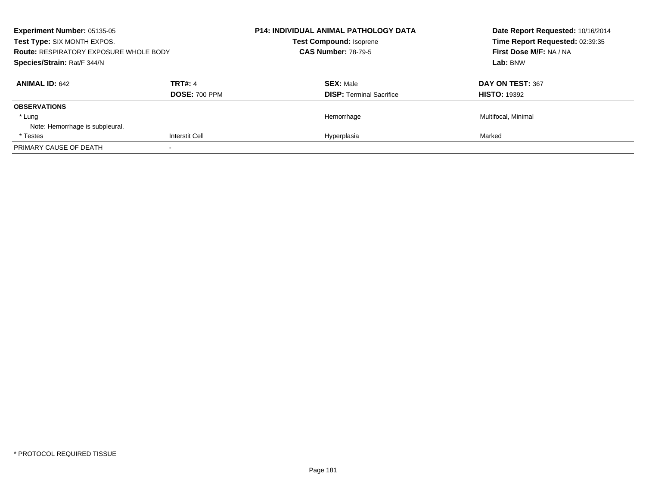| <b>Experiment Number: 05135-05</b><br>Test Type: SIX MONTH EXPOS.<br><b>Route: RESPIRATORY EXPOSURE WHOLE BODY</b> |                                        | <b>P14: INDIVIDUAL ANIMAL PATHOLOGY DATA</b><br><b>Test Compound: Isoprene</b><br><b>CAS Number: 78-79-5</b> | Date Report Requested: 10/16/2014<br>Time Report Requested: 02:39:35<br>First Dose M/F: NA / NA |
|--------------------------------------------------------------------------------------------------------------------|----------------------------------------|--------------------------------------------------------------------------------------------------------------|-------------------------------------------------------------------------------------------------|
| Species/Strain: Rat/F 344/N                                                                                        |                                        |                                                                                                              | Lab: BNW                                                                                        |
| <b>ANIMAL ID: 642</b>                                                                                              | <b>TRT#: 4</b><br><b>DOSE: 700 PPM</b> | <b>SEX: Male</b><br><b>DISP:</b> Terminal Sacrifice                                                          | DAY ON TEST: 367<br><b>HISTO: 19392</b>                                                         |
| <b>OBSERVATIONS</b><br>* Lung<br>Note: Hemorrhage is subpleural.                                                   |                                        | Hemorrhage                                                                                                   | Multifocal, Minimal                                                                             |
| * Testes                                                                                                           | <b>Interstit Cell</b>                  | Hyperplasia                                                                                                  | Marked                                                                                          |
| PRIMARY CAUSE OF DEATH                                                                                             |                                        |                                                                                                              |                                                                                                 |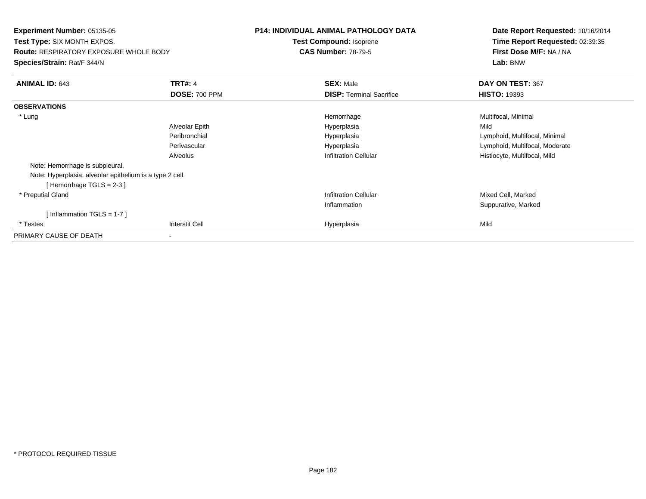**Experiment Number:** 05135-05**Test Type:** SIX MONTH EXPOS.**Route:** RESPIRATORY EXPOSURE WHOLE BODY**Species/Strain:** Rat/F 344/N**P14: INDIVIDUAL ANIMAL PATHOLOGY DATATest Compound:** Isoprene**CAS Number:** 78-79-5**Date Report Requested:** 10/16/2014**Time Report Requested:** 02:39:35**First Dose M/F:** NA / NA**Lab:** BNW**ANIMAL ID:** 643**TRT#:** 4 **SEX:** Male **SEX:** Male **DAY ON TEST:** 367 **DOSE:** 700 PPM**DISP:** Terminal Sacrifice **HISTO:** 19393 **OBSERVATIONS** \* Lungg and the morrhage of the morrhage of the morrhage  $\theta$  and  $\theta$  and  $\theta$  and  $\theta$  and  $\theta$  and  $\theta$  and  $\theta$  and  $\theta$  and  $\theta$  and  $\theta$  and  $\theta$  and  $\theta$  and  $\theta$  and  $\theta$  and  $\theta$  and  $\theta$  and  $\theta$  and  $\theta$  and  $\theta$  and Alveolar Epithh anns an t-Imperplasia anns an t-Imperplasia anns an t-Imperplasia anns an t-Imperplasia anns an t-Imperplasi Peribronchial Hyperplasia Lymphoid, Multifocal, Minimal Perivascular HyperplasiaHyperplasia and the control of the control of the control of the control of the control of the control of the c<br>
Lymphoid, Multifocal, Mild<br>
Histiocyte, Multifocal, Mild AlveolusHistiocyte, Multifocal, Mild Note: Hemorrhage is subpleural.Note: Hyperplasia, alveolar epithelium is a type 2 cell.[ Hemorrhage TGLS = 2-3 ] \* Preputial Gland Infiltration Cellular Mixed Cell, Marked Inflammation Suppurative, Marked [ Inflammation TGLS = 1-7 ] \* Testess Interstit Cell Hyperplasia a Mild PRIMARY CAUSE OF DEATH-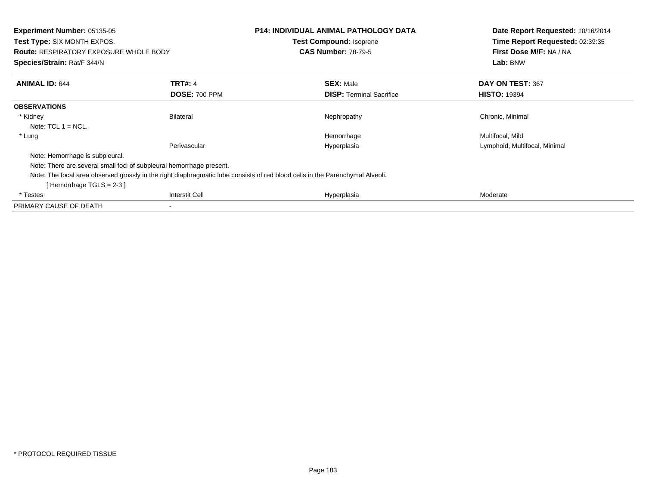| Experiment Number: 05135-05<br><b>Test Type: SIX MONTH EXPOS.</b><br><b>Route: RESPIRATORY EXPOSURE WHOLE BODY</b><br>Species/Strain: Rat/F 344/N |                       | P14: INDIVIDUAL ANIMAL PATHOLOGY DATA<br><b>Test Compound: Isoprene</b><br><b>CAS Number: 78-79-5</b>                         | Date Report Requested: 10/16/2014<br>Time Report Requested: 02:39:35<br>First Dose M/F: NA / NA<br>Lab: BNW |
|---------------------------------------------------------------------------------------------------------------------------------------------------|-----------------------|-------------------------------------------------------------------------------------------------------------------------------|-------------------------------------------------------------------------------------------------------------|
| <b>ANIMAL ID: 644</b>                                                                                                                             | <b>TRT#: 4</b>        | <b>SEX: Male</b>                                                                                                              | DAY ON TEST: 367                                                                                            |
|                                                                                                                                                   | <b>DOSE: 700 PPM</b>  | <b>DISP:</b> Terminal Sacrifice                                                                                               | <b>HISTO: 19394</b>                                                                                         |
| <b>OBSERVATIONS</b>                                                                                                                               |                       |                                                                                                                               |                                                                                                             |
| * Kidney                                                                                                                                          | <b>Bilateral</b>      | Nephropathy                                                                                                                   | Chronic, Minimal                                                                                            |
| Note: $TCL 1 = NCL$ .                                                                                                                             |                       |                                                                                                                               |                                                                                                             |
| * Lung                                                                                                                                            |                       | Hemorrhage                                                                                                                    | Multifocal, Mild                                                                                            |
|                                                                                                                                                   | Perivascular          | Hyperplasia                                                                                                                   | Lymphoid, Multifocal, Minimal                                                                               |
| Note: Hemorrhage is subpleural.                                                                                                                   |                       |                                                                                                                               |                                                                                                             |
| Note: There are several small foci of subpleural hemorrhage present.                                                                              |                       |                                                                                                                               |                                                                                                             |
| Hemorrhage TGLS = 2-3 ]                                                                                                                           |                       | Note: The focal area observed grossly in the right diaphragmatic lobe consists of red blood cells in the Parenchymal Alveoli. |                                                                                                             |
| * Testes                                                                                                                                          | <b>Interstit Cell</b> | Hyperplasia                                                                                                                   | Moderate                                                                                                    |
| PRIMARY CAUSE OF DEATH                                                                                                                            | $\,$                  |                                                                                                                               |                                                                                                             |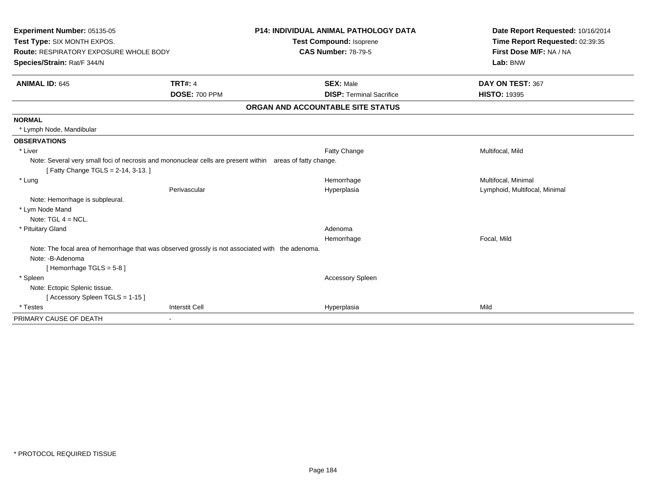| Experiment Number: 05135-05<br>Test Type: SIX MONTH EXPOS.<br><b>Route: RESPIRATORY EXPOSURE WHOLE BODY</b><br>Species/Strain: Rat/F 344/N<br><b>ANIMAL ID: 645</b> | <b>TRT#: 4</b>        | <b>P14: INDIVIDUAL ANIMAL PATHOLOGY DATA</b><br>Test Compound: Isoprene<br><b>CAS Number: 78-79-5</b><br><b>SEX: Male</b> | Date Report Requested: 10/16/2014<br>Time Report Requested: 02:39:35<br>First Dose M/F: NA / NA<br>Lab: BNW<br>DAY ON TEST: 367 |
|---------------------------------------------------------------------------------------------------------------------------------------------------------------------|-----------------------|---------------------------------------------------------------------------------------------------------------------------|---------------------------------------------------------------------------------------------------------------------------------|
|                                                                                                                                                                     | <b>DOSE: 700 PPM</b>  | <b>DISP: Terminal Sacrifice</b>                                                                                           | <b>HISTO: 19395</b>                                                                                                             |
|                                                                                                                                                                     |                       | ORGAN AND ACCOUNTABLE SITE STATUS                                                                                         |                                                                                                                                 |
| <b>NORMAL</b>                                                                                                                                                       |                       |                                                                                                                           |                                                                                                                                 |
| * Lymph Node, Mandibular                                                                                                                                            |                       |                                                                                                                           |                                                                                                                                 |
| <b>OBSERVATIONS</b>                                                                                                                                                 |                       |                                                                                                                           |                                                                                                                                 |
| * Liver                                                                                                                                                             |                       | Fatty Change                                                                                                              | Multifocal, Mild                                                                                                                |
| Note: Several very small foci of necrosis and mononuclear cells are present within areas of fatty change.<br>[Fatty Change TGLS = 2-14, 3-13.]                      |                       |                                                                                                                           |                                                                                                                                 |
| * Lung                                                                                                                                                              |                       | Hemorrhage                                                                                                                | Multifocal, Minimal                                                                                                             |
|                                                                                                                                                                     | Perivascular          | Hyperplasia                                                                                                               | Lymphoid, Multifocal, Minimal                                                                                                   |
| Note: Hemorrhage is subpleural.                                                                                                                                     |                       |                                                                                                                           |                                                                                                                                 |
| * Lym Node Mand                                                                                                                                                     |                       |                                                                                                                           |                                                                                                                                 |
| Note: $TGL$ 4 = NCL.                                                                                                                                                |                       |                                                                                                                           |                                                                                                                                 |
| * Pituitary Gland                                                                                                                                                   |                       | Adenoma                                                                                                                   |                                                                                                                                 |
|                                                                                                                                                                     |                       | Hemorrhage                                                                                                                | Focal, Mild                                                                                                                     |
| Note: The focal area of hemorrhage that was observed grossly is not associated with the adenoma.                                                                    |                       |                                                                                                                           |                                                                                                                                 |
| Note: -B-Adenoma                                                                                                                                                    |                       |                                                                                                                           |                                                                                                                                 |
| [Hemorrhage TGLS = $5-8$ ]                                                                                                                                          |                       |                                                                                                                           |                                                                                                                                 |
| * Spleen                                                                                                                                                            |                       | <b>Accessory Spleen</b>                                                                                                   |                                                                                                                                 |
| Note: Ectopic Splenic tissue.                                                                                                                                       |                       |                                                                                                                           |                                                                                                                                 |
| Accessory Spleen TGLS = 1-15 ]                                                                                                                                      |                       |                                                                                                                           |                                                                                                                                 |
| * Testes                                                                                                                                                            | <b>Interstit Cell</b> | Hyperplasia                                                                                                               | Mild                                                                                                                            |
| PRIMARY CAUSE OF DEATH                                                                                                                                              | $\blacksquare$        |                                                                                                                           |                                                                                                                                 |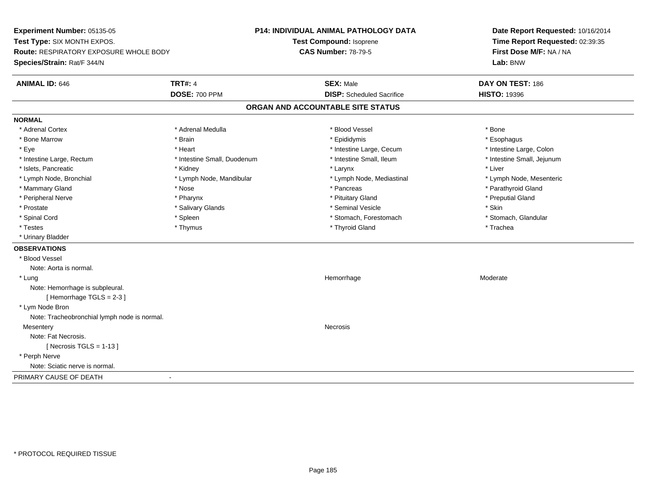**Experiment Number:** 05135-05**Test Type:** SIX MONTH EXPOS.**Route:** RESPIRATORY EXPOSURE WHOLE BODY**Species/Strain:** Rat/F 344/N**P14: INDIVIDUAL ANIMAL PATHOLOGY DATATest Compound:** Isoprene**CAS Number:** 78-79-5**Date Report Requested:** 10/16/2014**Time Report Requested:** 02:39:35**First Dose M/F:** NA / NA**Lab:** BNW**ANIMAL ID:** 646**TRT#:** 4 **SEX:** Male **DAY ON TEST:** 186 **DOSE:** 700 PPM**DISP:** Scheduled Sacrifice **HISTO:** 19396 **ORGAN AND ACCOUNTABLE SITE STATUSNORMAL**\* Adrenal Cortex \* Adrenal Cortex \* \* Adrenal Medulla \* \* Adrenal Medulla \* \* Blood Vessel \* \* Brood Vessel \* \* Bone \* Esophagus \* Bone Marrow \* Brain \* Epididymis \* Esophagus \* Intestine Large, Colon \* Eye \* The matrice of the test of the test of the test of the test of the test of the test of the test of the test of the test of the test of the test of the test of the test of the test of the test of the test of the tes \* Intestine Small, Jejunum \* Intestine Large, Rectum \* Intestine Small, Duodenum \* Intestine Small, Ileum \* Intestine Small, Ileum \* Islets, Pancreatic \* \* \* Andrew \* Kidney \* \* Kidney \* \* Larynx \* Larynx \* \* Larynx \* \* Liver \* Liver \* Liver \* Lymph Node, Bronchial \* Lymph Node, Mandibular \* Lymph Node, Mediastinal \* Lymph Node, Mesenteric\* Mammary Gland \* The straight of the straight of the straight of the straight of the straight of the straight of the straight of Parathyroid Gland \* Pancreas \* Parathyroid Gland \* Peripheral Nerve \* \* \* \* Pharynx \* \* Pharynx \* \* \* Preputial Gland \* \* Preputial Gland \* \* Preputial Gland \* Prostate \* \* Salivary Glands \* \* Salivary Glands \* \* Seminal Vesicle \* \* \* Seminal Yestrich \* \* Skin \* \* Skin \* Stomach, Glandular \* Spinal Cord **\* Spinal Cord \* Stomach, Forestomach \* Spieen** \* Stomach, Forestomach \* Stomach, Forestomach \* Testes \* Thymus \* Thyroid Gland \* Trachea \* Urinary Bladder**OBSERVATIONS** \* Blood VesselNote: Aorta is normal. \* Lungg and the state of the state of the state of the Moderate of the Moderate of the Moderate of the Moderate of the Moderate of the Moderate of the Moderate of the Moderate of the Moderate of the Moderate of the Moderate of t Note: Hemorrhage is subpleural.[ Hemorrhage TGLS = 2-3 ] \* Lym Node Bron Note: Tracheobronchial lymph node is normal.**Mesentery** y which is a set of the set of the set of the set of the set of the set of the set of the set of the set of the set of the set of the set of the set of the set of the set of the set of the set of the set of the set of the Note: Fat Necrosis. $[$  Necrosis TGLS = 1-13  $]$  \* Perph Nerve Note: Sciatic nerve is normal.PRIMARY CAUSE OF DEATH-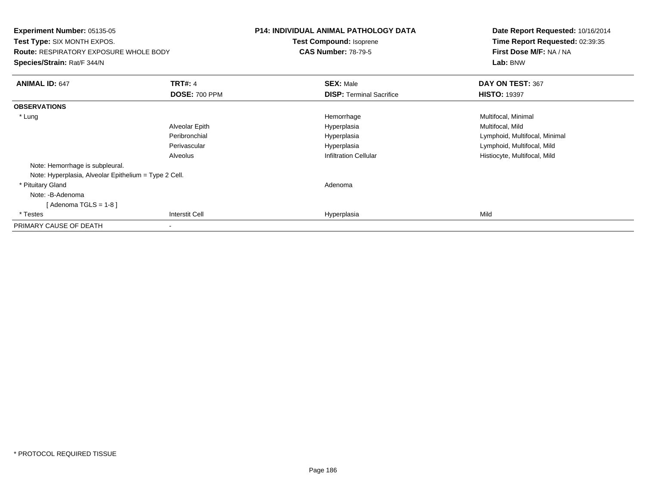**Experiment Number:** 05135-05 **Test Type:** SIX MONTH EXPOS.**Route:** RESPIRATORY EXPOSURE WHOLE BODY**Species/Strain:** Rat/F 344/N**P14: INDIVIDUAL ANIMAL PATHOLOGY DATATest Compound:** Isoprene**CAS Number:** 78-79-5**Date Report Requested:** 10/16/2014**Time Report Requested:** 02:39:35**First Dose M/F:** NA / NA**Lab:** BNW**ANIMAL ID:** 647**TRT#:** 4 **SEX:** Male **DAY ON TEST:** 367 **DOSE:** 700 PPM**DISP:** Terminal Sacrifice **HISTO:** 19397 **OBSERVATIONS** \* Lungg and the morrhage of the morrhage of the morrhage  $\theta$  and  $\theta$  and  $\theta$  and  $\theta$  and  $\theta$  and  $\theta$  and  $\theta$  and  $\theta$  and  $\theta$  and  $\theta$  and  $\theta$  and  $\theta$  and  $\theta$  and  $\theta$  and  $\theta$  and  $\theta$  and  $\theta$  and  $\theta$  and  $\theta$  and Alveolar Epith Hyperplasia Multifocal, Mild Peribronchial Hyperplasia Lymphoid, Multifocal, Minimal Perivascular Hyperplasia Lymphoid, Multifocal, Mild AlveolusHistiocyte, Multifocal, Mild Note: Hemorrhage is subpleural.Note: Hyperplasia, Alveolar Epithelium = Type 2 Cell. \* Pituitary Glandd and a state of the control of the control of the control of the control of the control of the control of the control of the control of the control of the control of the control of the control of the control of the contro Note: -B-Adenoma [ Adenoma TGLS = 1-8 ] \* Testess Interstit Cell Hyperplasia a Mild PRIMARY CAUSE OF DEATH-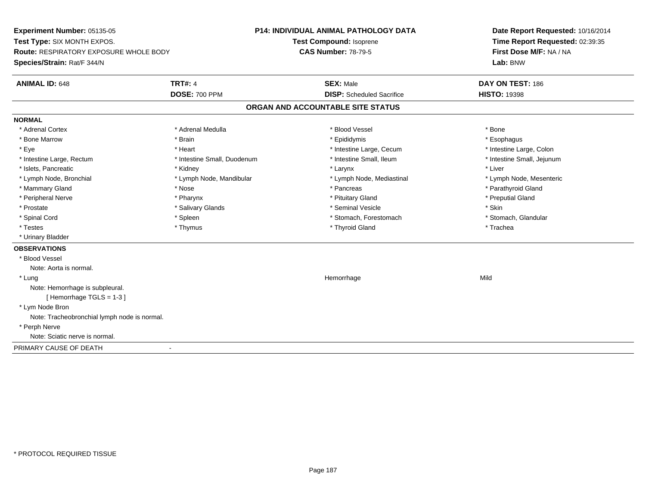**Experiment Number:** 05135-05**Test Type:** SIX MONTH EXPOS.**Route:** RESPIRATORY EXPOSURE WHOLE BODY**Species/Strain:** Rat/F 344/N**P14: INDIVIDUAL ANIMAL PATHOLOGY DATATest Compound:** Isoprene**CAS Number:** 78-79-5**Date Report Requested:** 10/16/2014**Time Report Requested:** 02:39:35**First Dose M/F:** NA / NA**Lab:** BNW**ANIMAL ID:** 648**TRT#:** 4 **SEX:** Male **DAY ON TEST:** 186 **DOSE:** 700 PPM**DISP:** Scheduled Sacrifice **HISTO:** 19398 **ORGAN AND ACCOUNTABLE SITE STATUSNORMAL**\* Adrenal Cortex \* Adrenal Cortex \* \* Adrenal Medulla \* \* Adrenal Medulla \* \* Blood Vessel \* \* Brood Vessel \* \* Bone \* Esophagus \* Bone Marrow \* Brain \* Epididymis \* Esophagus \* Intestine Large, Colon \* Eye \* The matrice of the test of the test of the test of the test of the test of the test of the test of the test of the test of the test of the test of the test of the test of the test of the test of the test of the tes \* Intestine Small, Jejunum \* Intestine Large, Rectum \* Intestine Small, Duodenum \* Intestine Small, Ileum \* Intestine Small, Ileum \* Islets, Pancreatic \* \* \* Andrew \* Kidney \* \* Kidney \* \* Larynx \* Larynx \* \* Larynx \* \* Liver \* Liver \* Liver \* Lymph Node, Bronchial \* Lymph Node, Mandibular \* Lymph Node, Mediastinal \* Lymph Node, Mesenteric\* Mammary Gland \* The strain of the strain of the strain of the strain of the strain of the strain of the strain of the strain of the strain of the strain of the strain of the strain of the strain of the strain of the stra \* Peripheral Nerve \* \* \* \* Pharynx \* \* Pharynx \* \* \* Preputial Gland \* \* Preputial Gland \* \* Preputial Gland \* Prostate \* \* Salivary Glands \* \* Salivary Glands \* \* Seminal Vesicle \* \* \* Seminal Yestrich \* \* Skin \* \* Skin \* Stomach, Glandular \* Spinal Cord \* Spinal Cord \* Spinal Cord \* Stomach, Forestomach \* Spinal Cord \* Stomach, Forestomach \* Testes \* Thymus \* Thyroid Gland \* Trachea \* Urinary Bladder**OBSERVATIONS** \* Blood VesselNote: Aorta is normal. \* Lungg and the state of the state of the state of the state of the Hemorrhage state of the Mild of the Mild of the S Note: Hemorrhage is subpleural.[ Hemorrhage TGLS = 1-3 ] \* Lym Node Bron Note: Tracheobronchial lymph node is normal. \* Perph Nerve Note: Sciatic nerve is normal.PRIMARY CAUSE OF DEATH-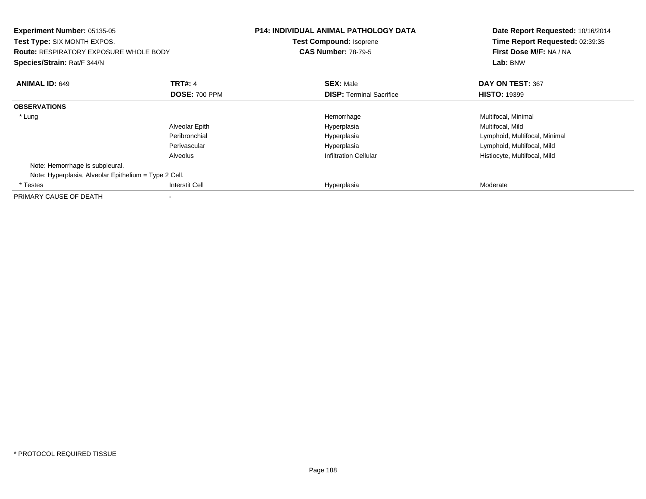| Experiment Number: 05135-05<br><b>Test Type: SIX MONTH EXPOS.</b><br><b>Route: RESPIRATORY EXPOSURE WHOLE BODY</b><br>Species/Strain: Rat/F 344/N |                       | <b>P14: INDIVIDUAL ANIMAL PATHOLOGY DATA</b><br><b>Test Compound: Isoprene</b><br><b>CAS Number: 78-79-5</b> | Date Report Requested: 10/16/2014<br>Time Report Requested: 02:39:35<br>First Dose M/F: NA / NA<br>Lab: BNW |
|---------------------------------------------------------------------------------------------------------------------------------------------------|-----------------------|--------------------------------------------------------------------------------------------------------------|-------------------------------------------------------------------------------------------------------------|
| <b>ANIMAL ID: 649</b>                                                                                                                             | <b>TRT#: 4</b>        | <b>SEX: Male</b>                                                                                             | DAY ON TEST: 367                                                                                            |
|                                                                                                                                                   | <b>DOSE: 700 PPM</b>  | <b>DISP:</b> Terminal Sacrifice                                                                              | <b>HISTO: 19399</b>                                                                                         |
| <b>OBSERVATIONS</b>                                                                                                                               |                       |                                                                                                              |                                                                                                             |
| * Lung                                                                                                                                            |                       | Hemorrhage                                                                                                   | Multifocal, Minimal                                                                                         |
|                                                                                                                                                   | Alveolar Epith        | Hyperplasia                                                                                                  | Multifocal, Mild                                                                                            |
|                                                                                                                                                   | Peribronchial         | Hyperplasia                                                                                                  | Lymphoid, Multifocal, Minimal                                                                               |
|                                                                                                                                                   | Perivascular          | Hyperplasia                                                                                                  | Lymphoid, Multifocal, Mild                                                                                  |
|                                                                                                                                                   | Alveolus              | <b>Infiltration Cellular</b>                                                                                 | Histiocyte, Multifocal, Mild                                                                                |
| Note: Hemorrhage is subpleural.                                                                                                                   |                       |                                                                                                              |                                                                                                             |
| Note: Hyperplasia, Alveolar Epithelium = Type 2 Cell.                                                                                             |                       |                                                                                                              |                                                                                                             |
| * Testes                                                                                                                                          | <b>Interstit Cell</b> | Hyperplasia                                                                                                  | Moderate                                                                                                    |
| PRIMARY CAUSE OF DEATH                                                                                                                            |                       |                                                                                                              |                                                                                                             |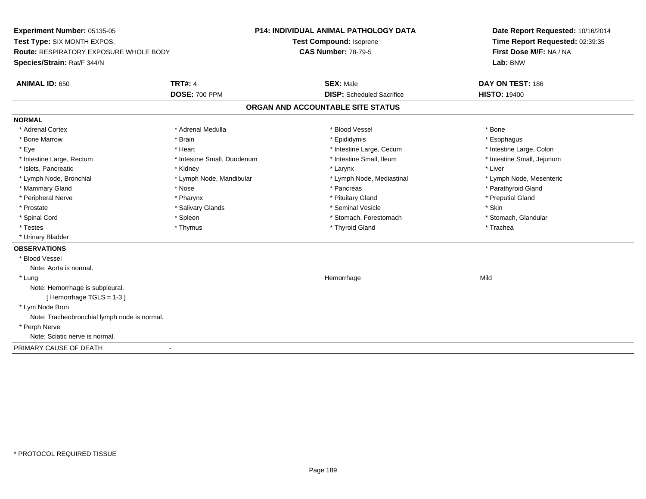**Experiment Number:** 05135-05**Test Type:** SIX MONTH EXPOS.**Route:** RESPIRATORY EXPOSURE WHOLE BODY**Species/Strain:** Rat/F 344/N**P14: INDIVIDUAL ANIMAL PATHOLOGY DATATest Compound:** Isoprene**CAS Number:** 78-79-5**Date Report Requested:** 10/16/2014**Time Report Requested:** 02:39:35**First Dose M/F:** NA / NA**Lab:** BNW**ANIMAL ID:** 650**TRT#:** 4 **SEX:** Male **DAY ON TEST:** 186 **DOSE:** 700 PPM**DISP:** Scheduled Sacrifice **HISTO:** 19400 **ORGAN AND ACCOUNTABLE SITE STATUSNORMAL**\* Adrenal Cortex \* Adrenal Cortex \* \* Adrenal Medulla \* \* Adrenal Medulla \* \* Blood Vessel \* \* Brood Vessel \* \* Bone \* Esophagus \* Bone Marrow \* Brain \* Epididymis \* Esophagus \* Intestine Large, Colon \* Eye \* The matrice of the test of the test of the test of the test of the test of the test of the test of the test of the test of the test of the test of the test of the test of the test of the test of the test of the tes \* Intestine Small, Jejunum \* Intestine Large, Rectum \* Intestine Small, Duodenum \* Intestine Small, Ileum \* Intestine Small, Ileum \* Islets, Pancreatic \* \* \* Andrew \* Kidney \* \* Kidney \* \* Larynx \* Larynx \* \* Larynx \* \* Liver \* Liver \* Liver \* Lymph Node, Bronchial \* Lymph Node, Mandibular \* Lymph Node, Mediastinal \* Lymph Node, Mesenteric\* Mammary Gland \* The strain of the strain of the strain of the strain of the strain of the strain of the strain of the strain of the strain of the strain of the strain of the strain of the strain of the strain of the stra \* Peripheral Nerve \* \* \* \* Pharynx \* \* Pharynx \* \* \* Preputial Gland \* \* Preputial Gland \* \* Preputial Gland \* Prostate \* \* Salivary Glands \* \* Salivary Glands \* \* Seminal Vesicle \* \* \* Seminal Yestrich \* \* Skin \* \* Skin \* Stomach, Glandular \* Spinal Cord \* Spinal Cord \* Spinal Cord \* Stomach, Forestomach \* Spinal Cord \* Stomach, Forestomach \* Testes \* Thymus \* Thyroid Gland \* Trachea \* Urinary Bladder**OBSERVATIONS** \* Blood VesselNote: Aorta is normal. \* Lungg and the state of the state of the state of the state of the Hemorrhage state of the Mild of the Mild of the S Note: Hemorrhage is subpleural.[ Hemorrhage TGLS = 1-3 ] \* Lym Node Bron Note: Tracheobronchial lymph node is normal. \* Perph Nerve Note: Sciatic nerve is normal.PRIMARY CAUSE OF DEATH-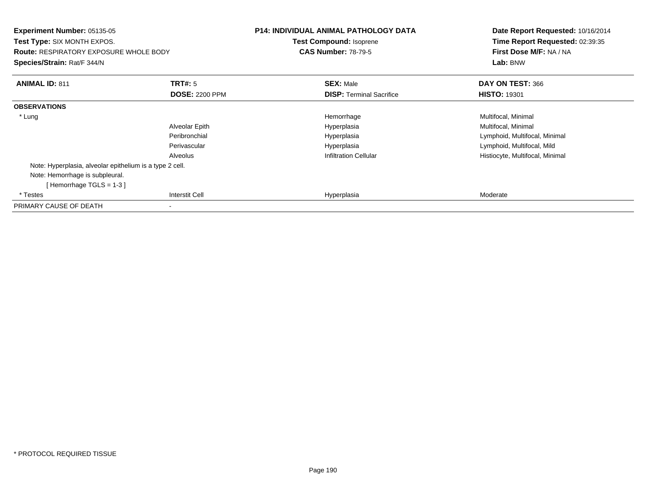| <b>Experiment Number: 05135-05</b><br>Test Type: SIX MONTH EXPOS.<br><b>Route: RESPIRATORY EXPOSURE WHOLE BODY</b><br>Species/Strain: Rat/F 344/N |                       | <b>P14: INDIVIDUAL ANIMAL PATHOLOGY DATA</b><br><b>Test Compound: Isoprene</b><br><b>CAS Number: 78-79-5</b> | Date Report Requested: 10/16/2014<br>Time Report Requested: 02:39:35<br>First Dose M/F: NA / NA<br>Lab: BNW |
|---------------------------------------------------------------------------------------------------------------------------------------------------|-----------------------|--------------------------------------------------------------------------------------------------------------|-------------------------------------------------------------------------------------------------------------|
| <b>ANIMAL ID: 811</b>                                                                                                                             | <b>TRT#:</b> 5        | <b>SEX: Male</b>                                                                                             | DAY ON TEST: 366                                                                                            |
|                                                                                                                                                   | <b>DOSE: 2200 PPM</b> | <b>DISP: Terminal Sacrifice</b>                                                                              | <b>HISTO: 19301</b>                                                                                         |
| <b>OBSERVATIONS</b>                                                                                                                               |                       |                                                                                                              |                                                                                                             |
| * Lung                                                                                                                                            |                       | Hemorrhage                                                                                                   | Multifocal, Minimal                                                                                         |
|                                                                                                                                                   | Alveolar Epith        | Hyperplasia                                                                                                  | Multifocal, Minimal                                                                                         |
|                                                                                                                                                   | Peribronchial         | Hyperplasia                                                                                                  | Lymphoid, Multifocal, Minimal                                                                               |
|                                                                                                                                                   | Perivascular          | Hyperplasia                                                                                                  | Lymphoid, Multifocal, Mild                                                                                  |
|                                                                                                                                                   | Alveolus              | <b>Infiltration Cellular</b>                                                                                 | Histiocyte, Multifocal, Minimal                                                                             |
| Note: Hyperplasia, alveolar epithelium is a type 2 cell.                                                                                          |                       |                                                                                                              |                                                                                                             |
| Note: Hemorrhage is subpleural.<br>[Hemorrhage TGLS = $1-3$ ]                                                                                     |                       |                                                                                                              |                                                                                                             |
| * Testes                                                                                                                                          | <b>Interstit Cell</b> | Hyperplasia                                                                                                  | Moderate                                                                                                    |
| PRIMARY CAUSE OF DEATH                                                                                                                            |                       |                                                                                                              |                                                                                                             |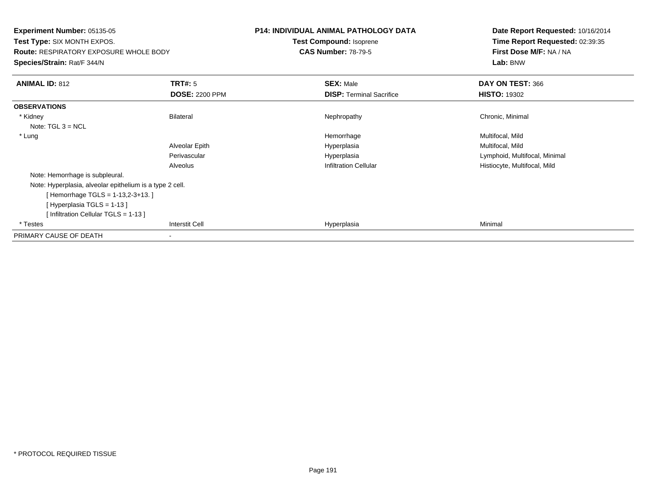**Experiment Number:** 05135-05 **Test Type:** SIX MONTH EXPOS.**Route:** RESPIRATORY EXPOSURE WHOLE BODY**Species/Strain:** Rat/F 344/N**P14: INDIVIDUAL ANIMAL PATHOLOGY DATATest Compound:** Isoprene**CAS Number:** 78-79-5**Date Report Requested:** 10/16/2014**Time Report Requested:** 02:39:35**First Dose M/F:** NA / NA**Lab:** BNW**ANIMAL ID:** 812**TRT#:** 5 **SEX:** Male **DAY ON TEST:** 366 **DOSE:** 2200 PPM**DISP:** Terminal Sacrifice **HISTO:** 19302 **OBSERVATIONS** \* Kidneyy the controller of the Bilateral Chronic, Minimal and the Mechanic Mephropathy the Chronic, Minimal Chronic, Minimal Schronic, Minimal Schronic, Minimal Schronic, Minimal Schronic, Minimal Schronic, Minimal Schronic, Mini Note: TGL 3 = NCL \* Lungg and the state of the state of the Multifocal, Mild and the Multifocal, Mild and the Multifocal, Mild and the Multifocal, Mild and the Multifocal, Mild and the Multifocal, Mild and the Multifocal, Mild and the Multifocal, Alveolar Epith Hyperplasia Multifocal, Mild Perivascular Hyperplasia Lymphoid, Multifocal, Minimal AlveolusHistiocyte, Multifocal, Mild Note: Hemorrhage is subpleural.Note: Hyperplasia, alveolar epithelium is a type 2 cell.[ Hemorrhage TGLS = 1-13,2-3+13. ][ Hyperplasia TGLS = 1-13 ][ Infiltration Cellular TGLS = 1-13 ] \* Testess Interstit Cell Hyperplasia a Minimal PRIMARY CAUSE OF DEATH-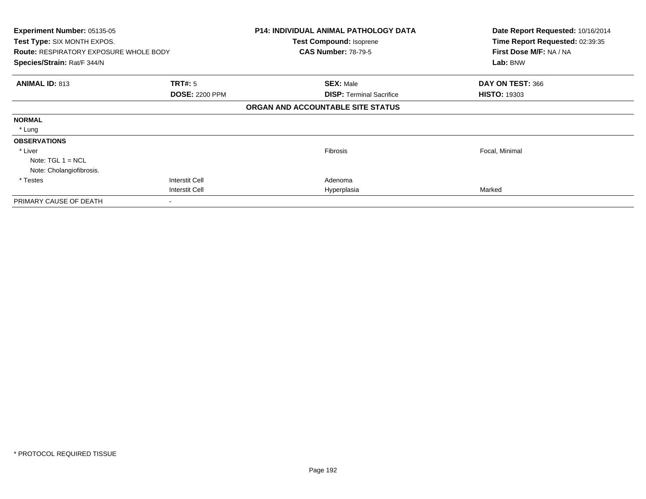| <b>Experiment Number: 05135-05</b><br>Test Type: SIX MONTH EXPOS. |                       | <b>P14: INDIVIDUAL ANIMAL PATHOLOGY DATA</b><br><b>Test Compound: Isoprene</b> | Date Report Requested: 10/16/2014<br>Time Report Requested: 02:39:35 |
|-------------------------------------------------------------------|-----------------------|--------------------------------------------------------------------------------|----------------------------------------------------------------------|
| <b>Route: RESPIRATORY EXPOSURE WHOLE BODY</b>                     |                       | <b>CAS Number: 78-79-5</b>                                                     | First Dose M/F: NA / NA                                              |
| Species/Strain: Rat/F 344/N                                       |                       |                                                                                | Lab: BNW                                                             |
| <b>ANIMAL ID: 813</b>                                             | <b>TRT#: 5</b>        | <b>SEX: Male</b>                                                               | DAY ON TEST: 366                                                     |
|                                                                   | <b>DOSE: 2200 PPM</b> | <b>DISP: Terminal Sacrifice</b>                                                | <b>HISTO: 19303</b>                                                  |
|                                                                   |                       | ORGAN AND ACCOUNTABLE SITE STATUS                                              |                                                                      |
| <b>NORMAL</b>                                                     |                       |                                                                                |                                                                      |
| * Lung                                                            |                       |                                                                                |                                                                      |
| <b>OBSERVATIONS</b>                                               |                       |                                                                                |                                                                      |
| * Liver                                                           |                       | Fibrosis                                                                       | Focal, Minimal                                                       |
| Note: $TGL 1 = NCL$                                               |                       |                                                                                |                                                                      |
| Note: Cholangiofibrosis.                                          |                       |                                                                                |                                                                      |
| * Testes                                                          | Interstit Cell        | Adenoma                                                                        |                                                                      |
|                                                                   | <b>Interstit Cell</b> | Hyperplasia                                                                    | Marked                                                               |
| PRIMARY CAUSE OF DEATH                                            |                       |                                                                                |                                                                      |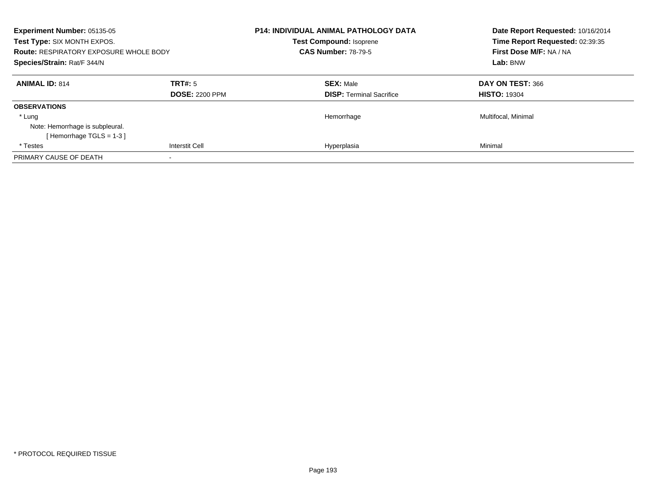| <b>Experiment Number: 05135-05</b><br>Test Type: SIX MONTH EXPOS.<br><b>Route: RESPIRATORY EXPOSURE WHOLE BODY</b><br>Species/Strain: Rat/F 344/N |                                  | <b>P14: INDIVIDUAL ANIMAL PATHOLOGY DATA</b><br><b>Test Compound: Isoprene</b><br><b>CAS Number: 78-79-5</b> | Date Report Requested: 10/16/2014<br>Time Report Requested: 02:39:35<br>First Dose M/F: NA / NA<br>Lab: BNW |
|---------------------------------------------------------------------------------------------------------------------------------------------------|----------------------------------|--------------------------------------------------------------------------------------------------------------|-------------------------------------------------------------------------------------------------------------|
| <b>ANIMAL ID: 814</b>                                                                                                                             | TRT#: 5<br><b>DOSE: 2200 PPM</b> | <b>SEX: Male</b><br><b>DISP:</b> Terminal Sacrifice                                                          | DAY ON TEST: 366<br><b>HISTO: 19304</b>                                                                     |
| <b>OBSERVATIONS</b>                                                                                                                               |                                  |                                                                                                              |                                                                                                             |
| * Lung                                                                                                                                            |                                  | Hemorrhage                                                                                                   | Multifocal, Minimal                                                                                         |
| Note: Hemorrhage is subpleural.                                                                                                                   |                                  |                                                                                                              |                                                                                                             |
| [Hemorrhage TGLS = 1-3]                                                                                                                           |                                  |                                                                                                              |                                                                                                             |
| * Testes                                                                                                                                          | <b>Interstit Cell</b>            | Hyperplasia                                                                                                  | Minimal                                                                                                     |
| PRIMARY CAUSE OF DEATH                                                                                                                            |                                  |                                                                                                              |                                                                                                             |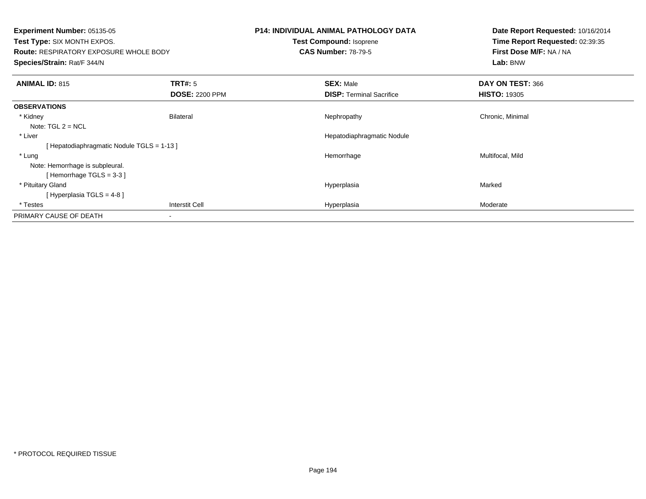| <b>Experiment Number: 05135-05</b><br>Test Type: SIX MONTH EXPOS.<br><b>Route: RESPIRATORY EXPOSURE WHOLE BODY</b><br>Species/Strain: Rat/F 344/N |                                         | <b>P14: INDIVIDUAL ANIMAL PATHOLOGY DATA</b><br>Test Compound: Isoprene<br><b>CAS Number: 78-79-5</b> | Date Report Requested: 10/16/2014<br>Time Report Requested: 02:39:35<br>First Dose M/F: NA / NA<br>Lab: BNW |
|---------------------------------------------------------------------------------------------------------------------------------------------------|-----------------------------------------|-------------------------------------------------------------------------------------------------------|-------------------------------------------------------------------------------------------------------------|
| <b>ANIMAL ID: 815</b>                                                                                                                             | <b>TRT#: 5</b><br><b>DOSE: 2200 PPM</b> | <b>SEX: Male</b><br><b>DISP:</b> Terminal Sacrifice                                                   | DAY ON TEST: 366<br><b>HISTO: 19305</b>                                                                     |
| <b>OBSERVATIONS</b>                                                                                                                               |                                         |                                                                                                       |                                                                                                             |
| * Kidney<br>Note: $TGL 2 = NCL$                                                                                                                   | <b>Bilateral</b>                        | Nephropathy                                                                                           | Chronic, Minimal                                                                                            |
| * Liver                                                                                                                                           |                                         | Hepatodiaphragmatic Nodule                                                                            |                                                                                                             |
| [Hepatodiaphragmatic Nodule TGLS = 1-13]                                                                                                          |                                         |                                                                                                       |                                                                                                             |
| * Lung<br>Note: Hemorrhage is subpleural.<br>[Hemorrhage TGLS = $3-3$ ]                                                                           |                                         | Hemorrhage                                                                                            | Multifocal, Mild                                                                                            |
| * Pituitary Gland<br>[Hyperplasia TGLS = $4-8$ ]                                                                                                  |                                         | Hyperplasia                                                                                           | Marked                                                                                                      |
| * Testes                                                                                                                                          | Interstit Cell                          | Hyperplasia                                                                                           | Moderate                                                                                                    |
| PRIMARY CAUSE OF DEATH                                                                                                                            |                                         |                                                                                                       |                                                                                                             |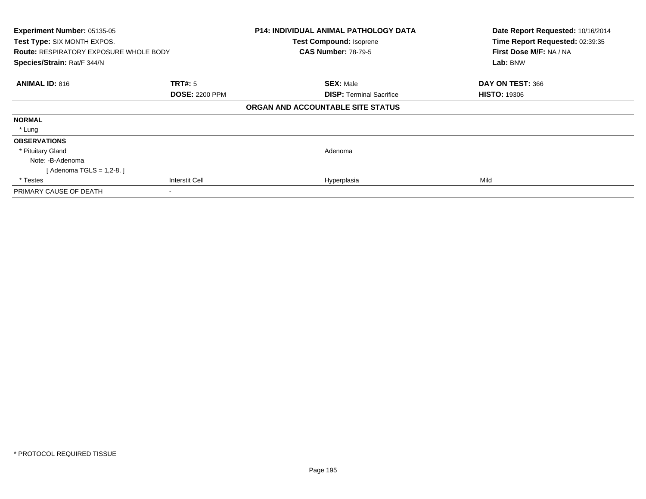| Experiment Number: 05135-05<br>Test Type: SIX MONTH EXPOS.<br><b>Route: RESPIRATORY EXPOSURE WHOLE BODY</b><br>Species/Strain: Rat/F 344/N |                       | <b>P14: INDIVIDUAL ANIMAL PATHOLOGY DATA</b><br>Test Compound: Isoprene<br><b>CAS Number: 78-79-5</b> | Date Report Requested: 10/16/2014<br>Time Report Requested: 02:39:35<br>First Dose M/F: NA / NA<br>Lab: BNW |
|--------------------------------------------------------------------------------------------------------------------------------------------|-----------------------|-------------------------------------------------------------------------------------------------------|-------------------------------------------------------------------------------------------------------------|
| <b>ANIMAL ID: 816</b>                                                                                                                      | TRT#: 5               | <b>SEX: Male</b>                                                                                      | DAY ON TEST: 366                                                                                            |
|                                                                                                                                            | <b>DOSE: 2200 PPM</b> | <b>DISP: Terminal Sacrifice</b><br>ORGAN AND ACCOUNTABLE SITE STATUS                                  | <b>HISTO: 19306</b>                                                                                         |
| <b>NORMAL</b>                                                                                                                              |                       |                                                                                                       |                                                                                                             |
| * Lung                                                                                                                                     |                       |                                                                                                       |                                                                                                             |
| <b>OBSERVATIONS</b>                                                                                                                        |                       |                                                                                                       |                                                                                                             |
| * Pituitary Gland                                                                                                                          |                       | Adenoma                                                                                               |                                                                                                             |
| Note: -B-Adenoma                                                                                                                           |                       |                                                                                                       |                                                                                                             |
| [ Adenoma TGLS = 1,2-8. ]                                                                                                                  |                       |                                                                                                       |                                                                                                             |
| * Testes                                                                                                                                   | Interstit Cell        | Hyperplasia                                                                                           | Mild                                                                                                        |
| PRIMARY CAUSE OF DEATH                                                                                                                     |                       |                                                                                                       |                                                                                                             |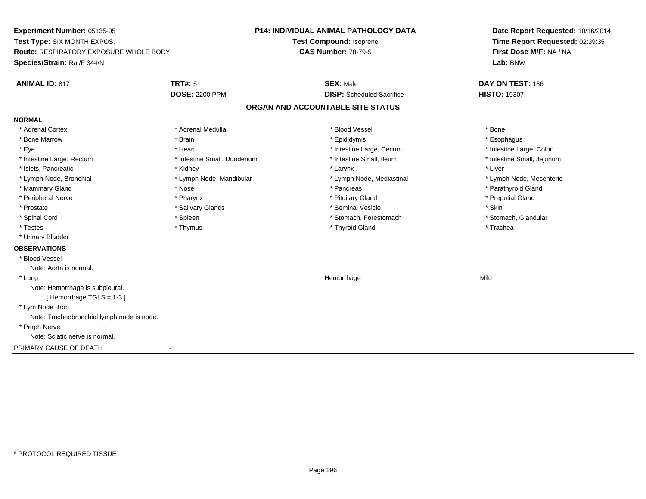**Experiment Number:** 05135-05**Test Type:** SIX MONTH EXPOS.**Route:** RESPIRATORY EXPOSURE WHOLE BODY**Species/Strain:** Rat/F 344/N**P14: INDIVIDUAL ANIMAL PATHOLOGY DATATest Compound:** Isoprene**CAS Number:** 78-79-5**Date Report Requested:** 10/16/2014**Time Report Requested:** 02:39:35**First Dose M/F:** NA / NA**Lab:** BNW**ANIMAL ID:** 817**TRT#:** 5 **SEX:** Male **DAY ON TEST:** 186 **DOSE:** 2200 PPM**DISP:** Scheduled Sacrifice **HISTO:** 19307 **ORGAN AND ACCOUNTABLE SITE STATUSNORMAL**\* Adrenal Cortex \* Adrenal Cortex \* \* Adrenal Medulla \* \* Adrenal Medulla \* \* Blood Vessel \* \* Brood Vessel \* \* Bone \* Esophagus \* Bone Marrow \* Brain \* Epididymis \* Esophagus \* Intestine Large, Colon \* Eye \* The matrice of the test of the test of the test of the test of the test of the test of the test of the test of the test of the test of the test of the test of the test of the test of the test of the test of the tes \* Intestine Small, Jejunum \* Intestine Large, Rectum \* Intestine Small, Duodenum \* Intestine Small, Ileum \* Intestine Small, Ileum \* Islets, Pancreatic \* \* \* Andrew \* Kidney \* \* Kidney \* \* Larynx \* Larynx \* \* Larynx \* \* Liver \* Liver \* Liver \* Lymph Node, Bronchial \* Lymph Node, Mandibular \* Lymph Node, Mediastinal \* Lymph Node, Mesenteric\* Mammary Gland \* The strain of the strain of the strain of the strain of the strain of the strain of the strain of the strain of the strain of the strain of the strain of the strain of the strain of the strain of the stra \* Peripheral Nerve \* \* \* \* Pharynx \* \* Pharynx \* \* \* Preputial Gland \* \* Preputial Gland \* \* Preputial Gland \* Prostate \* \* Salivary Glands \* \* Salivary Glands \* \* Seminal Vesicle \* \* \* Seminal Yestrich \* \* Skin \* \* Skin \* Stomach, Glandular \* Spinal Cord \* Spinal Cord \* Spinal Cord \* Stomach, Forestomach \* Spinal Cord \* Stomach, Forestomach \* Testes \* Thymus \* Thyroid Gland \* Trachea \* Urinary Bladder**OBSERVATIONS** \* Blood VesselNote: Aorta is normal. \* Lungg and the state of the state of the state of the state of the Hemorrhage state of the Mild of the Mild of the S Note: Hemorrhage is subpleural.[ Hemorrhage TGLS = 1-3 ] \* Lym Node Bron Note: Tracheobronchial lymph node is node. \* Perph Nerve Note: Sciatic nerve is normal.PRIMARY CAUSE OF DEATH-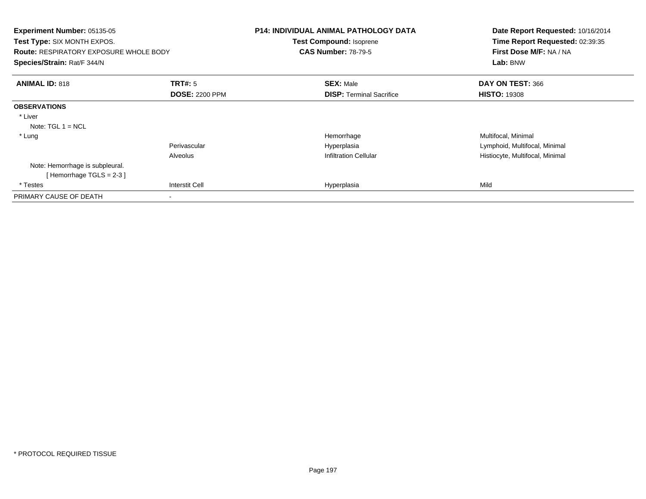| Experiment Number: 05135-05<br><b>Test Type: SIX MONTH EXPOS.</b><br><b>Route: RESPIRATORY EXPOSURE WHOLE BODY</b><br>Species/Strain: Rat/F 344/N |                       | <b>P14: INDIVIDUAL ANIMAL PATHOLOGY DATA</b><br>Test Compound: Isoprene<br><b>CAS Number: 78-79-5</b> | Date Report Requested: 10/16/2014<br>Time Report Requested: 02:39:35<br>First Dose M/F: NA / NA<br>Lab: BNW |
|---------------------------------------------------------------------------------------------------------------------------------------------------|-----------------------|-------------------------------------------------------------------------------------------------------|-------------------------------------------------------------------------------------------------------------|
| <b>ANIMAL ID: 818</b>                                                                                                                             | <b>TRT#:</b> 5        | <b>SEX: Male</b>                                                                                      | DAY ON TEST: 366                                                                                            |
|                                                                                                                                                   | <b>DOSE: 2200 PPM</b> | <b>DISP: Terminal Sacrifice</b>                                                                       | <b>HISTO: 19308</b>                                                                                         |
| <b>OBSERVATIONS</b>                                                                                                                               |                       |                                                                                                       |                                                                                                             |
| * Liver                                                                                                                                           |                       |                                                                                                       |                                                                                                             |
| Note: $TGL 1 = NCL$                                                                                                                               |                       |                                                                                                       |                                                                                                             |
| * Lung                                                                                                                                            |                       | Hemorrhage                                                                                            | Multifocal, Minimal                                                                                         |
|                                                                                                                                                   | Perivascular          | Hyperplasia                                                                                           | Lymphoid, Multifocal, Minimal                                                                               |
|                                                                                                                                                   | Alveolus              | <b>Infiltration Cellular</b>                                                                          | Histiocyte, Multifocal, Minimal                                                                             |
| Note: Hemorrhage is subpleural.                                                                                                                   |                       |                                                                                                       |                                                                                                             |
| [Hemorrhage TGLS = $2-3$ ]                                                                                                                        |                       |                                                                                                       |                                                                                                             |
| * Testes                                                                                                                                          | Interstit Cell        | Hyperplasia                                                                                           | Mild                                                                                                        |
| PRIMARY CAUSE OF DEATH                                                                                                                            |                       |                                                                                                       |                                                                                                             |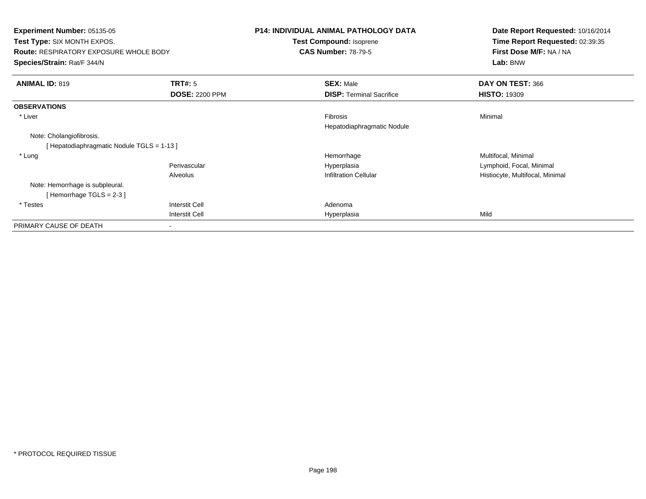**Experiment Number:** 05135-05 **Test Type:** SIX MONTH EXPOS.**Route:** RESPIRATORY EXPOSURE WHOLE BODY**Species/Strain:** Rat/F 344/N**P14: INDIVIDUAL ANIMAL PATHOLOGY DATATest Compound:** Isoprene**CAS Number:** 78-79-5**Date Report Requested:** 10/16/2014**Time Report Requested:** 02:39:35**First Dose M/F:** NA / NA**Lab:** BNW**ANIMAL ID:** 819**TRT#:** 5 **SEX:** Male **DAY ON TEST:** 366 **DOSE:** 2200 PPM**DISP:** Terminal Sacrifice **HISTO:** 19309 **OBSERVATIONS** \* Liverr and the contract of the contract of the contract of the contract of the contract of the contract of the contract of the contract of the contract of the contract of the contract of the contract of the contract of the cont s and the contract of the Minimal Hepatodiaphragmatic NoduleNote: Cholangiofibrosis.[ Hepatodiaphragmatic Nodule TGLS = 1-13 ] \* Lungg and the morrhage of the morrhage of the morrhage  $\theta$  and  $\theta$  and  $\theta$  and  $\theta$  and  $\theta$  and  $\theta$  and  $\theta$  and  $\theta$  and  $\theta$  and  $\theta$  and  $\theta$  and  $\theta$  and  $\theta$  and  $\theta$  and  $\theta$  and  $\theta$  and  $\theta$  and  $\theta$  and  $\theta$  and Perivascular Hyperplasia Lymphoid, Focal, Minimal AlveolusHistiocyte, Multifocal, Minimal Note: Hemorrhage is subpleural.[ Hemorrhage TGLS = 2-3 ] \* Testes Interstit Cell AdenomaI **Hyperplasia** Interstit Cella Mild PRIMARY CAUSE OF DEATH-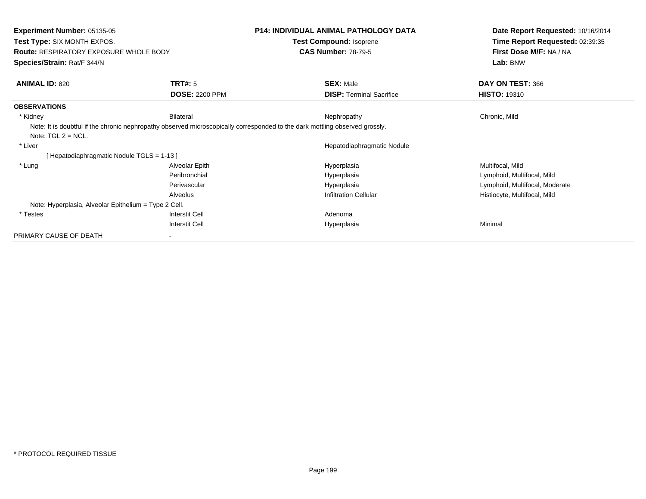| <b>Experiment Number: 05135-05</b><br>Test Type: SIX MONTH EXPOS.<br><b>Route: RESPIRATORY EXPOSURE WHOLE BODY</b> |                                         | <b>P14: INDIVIDUAL ANIMAL PATHOLOGY DATA</b><br>Test Compound: Isoprene<br><b>CAS Number: 78-79-5</b>                                       | Date Report Requested: 10/16/2014<br>Time Report Requested: 02:39:35<br>First Dose M/F: NA / NA |
|--------------------------------------------------------------------------------------------------------------------|-----------------------------------------|---------------------------------------------------------------------------------------------------------------------------------------------|-------------------------------------------------------------------------------------------------|
| Species/Strain: Rat/F 344/N                                                                                        |                                         |                                                                                                                                             | Lab: BNW                                                                                        |
| <b>ANIMAL ID: 820</b>                                                                                              | <b>TRT#: 5</b><br><b>DOSE: 2200 PPM</b> | <b>SEX: Male</b><br><b>DISP: Terminal Sacrifice</b>                                                                                         | DAY ON TEST: 366<br><b>HISTO: 19310</b>                                                         |
| <b>OBSERVATIONS</b>                                                                                                |                                         |                                                                                                                                             |                                                                                                 |
| * Kidney<br>Note: $TGL 2 = NCL$ .                                                                                  | Bilateral                               | Nephropathy<br>Note: It is doubtful if the chronic nephropathy observed microscopically corresponded to the dark mottling observed grossly. | Chronic, Mild                                                                                   |
| * Liver                                                                                                            |                                         | Hepatodiaphragmatic Nodule                                                                                                                  |                                                                                                 |
| [Hepatodiaphragmatic Nodule TGLS = 1-13]                                                                           |                                         |                                                                                                                                             |                                                                                                 |
| * Lung                                                                                                             | Alveolar Epith                          | Hyperplasia                                                                                                                                 | Multifocal, Mild                                                                                |
|                                                                                                                    | Peribronchial                           | Hyperplasia                                                                                                                                 | Lymphoid, Multifocal, Mild                                                                      |
|                                                                                                                    | Perivascular                            | Hyperplasia                                                                                                                                 | Lymphoid, Multifocal, Moderate                                                                  |
|                                                                                                                    | Alveolus                                | <b>Infiltration Cellular</b>                                                                                                                | Histiocyte, Multifocal, Mild                                                                    |
| Note: Hyperplasia, Alveolar Epithelium = Type 2 Cell.                                                              |                                         |                                                                                                                                             |                                                                                                 |
| * Testes                                                                                                           | <b>Interstit Cell</b>                   | Adenoma                                                                                                                                     |                                                                                                 |
|                                                                                                                    | <b>Interstit Cell</b>                   | Hyperplasia                                                                                                                                 | Minimal                                                                                         |
| PRIMARY CAUSE OF DEATH                                                                                             |                                         |                                                                                                                                             |                                                                                                 |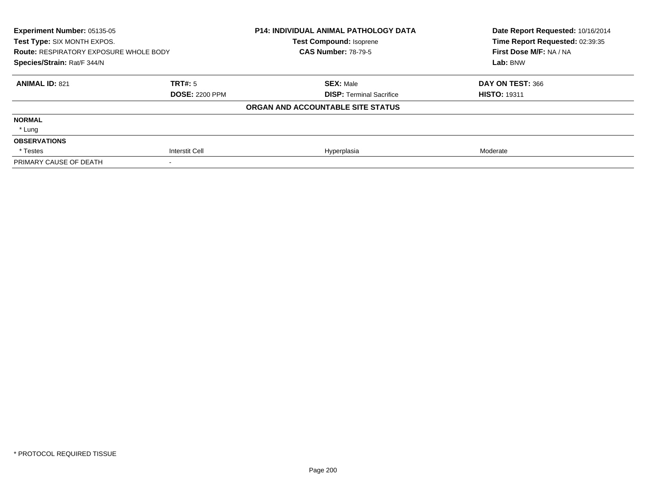| Experiment Number: 05135-05<br>Test Type: SIX MONTH EXPOS.<br><b>Route: RESPIRATORY EXPOSURE WHOLE BODY</b><br>Species/Strain: Rat/F 344/N |                       | <b>P14: INDIVIDUAL ANIMAL PATHOLOGY DATA</b><br><b>Test Compound: Isoprene</b><br><b>CAS Number: 78-79-5</b> | Date Report Requested: 10/16/2014<br>Time Report Requested: 02:39:35<br>First Dose M/F: NA / NA<br>Lab: BNW |
|--------------------------------------------------------------------------------------------------------------------------------------------|-----------------------|--------------------------------------------------------------------------------------------------------------|-------------------------------------------------------------------------------------------------------------|
| <b>ANIMAL ID: 821</b>                                                                                                                      | TRT#: 5               | <b>SEX: Male</b>                                                                                             | DAY ON TEST: 366                                                                                            |
|                                                                                                                                            | <b>DOSE: 2200 PPM</b> | <b>DISP: Terminal Sacrifice</b>                                                                              | <b>HISTO: 19311</b>                                                                                         |
|                                                                                                                                            |                       | ORGAN AND ACCOUNTABLE SITE STATUS                                                                            |                                                                                                             |
| <b>NORMAL</b>                                                                                                                              |                       |                                                                                                              |                                                                                                             |
| * Lung                                                                                                                                     |                       |                                                                                                              |                                                                                                             |
| <b>OBSERVATIONS</b>                                                                                                                        |                       |                                                                                                              |                                                                                                             |
| * Testes                                                                                                                                   | Interstit Cell        | Hyperplasia                                                                                                  | Moderate                                                                                                    |
| PRIMARY CAUSE OF DEATH                                                                                                                     |                       |                                                                                                              |                                                                                                             |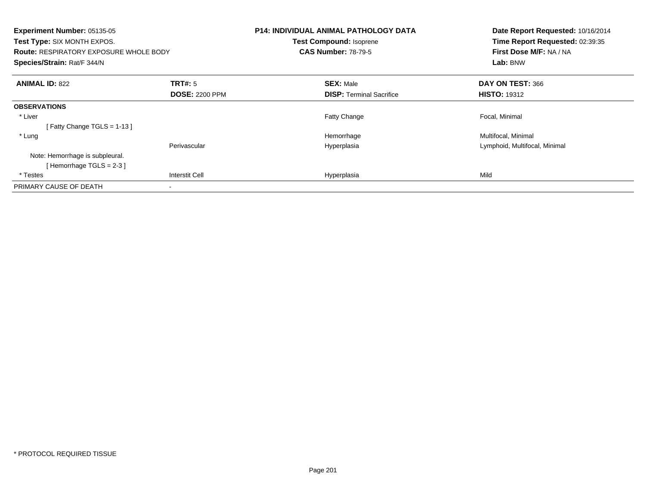| Experiment Number: 05135-05<br>Test Type: SIX MONTH EXPOS.<br><b>Route: RESPIRATORY EXPOSURE WHOLE BODY</b><br>Species/Strain: Rat/F 344/N |                       | <b>P14: INDIVIDUAL ANIMAL PATHOLOGY DATA</b><br><b>Test Compound: Isoprene</b><br><b>CAS Number: 78-79-5</b> |                                 | Date Report Requested: 10/16/2014<br>Time Report Requested: 02:39:35<br>First Dose M/F: NA / NA<br>Lab: BNW |
|--------------------------------------------------------------------------------------------------------------------------------------------|-----------------------|--------------------------------------------------------------------------------------------------------------|---------------------------------|-------------------------------------------------------------------------------------------------------------|
| <b>ANIMAL ID: 822</b>                                                                                                                      | <b>TRT#: 5</b>        |                                                                                                              | <b>SEX: Male</b>                | DAY ON TEST: 366                                                                                            |
|                                                                                                                                            | <b>DOSE: 2200 PPM</b> |                                                                                                              | <b>DISP:</b> Terminal Sacrifice | <b>HISTO: 19312</b>                                                                                         |
| <b>OBSERVATIONS</b>                                                                                                                        |                       |                                                                                                              |                                 |                                                                                                             |
| * Liver                                                                                                                                    |                       |                                                                                                              | <b>Fatty Change</b>             | Focal, Minimal                                                                                              |
| [Fatty Change TGLS = $1-13$ ]                                                                                                              |                       |                                                                                                              |                                 |                                                                                                             |
| * Lung                                                                                                                                     |                       |                                                                                                              | Hemorrhage                      | Multifocal, Minimal                                                                                         |
|                                                                                                                                            | Perivascular          |                                                                                                              | Hyperplasia                     | Lymphoid, Multifocal, Minimal                                                                               |
| Note: Hemorrhage is subpleural.                                                                                                            |                       |                                                                                                              |                                 |                                                                                                             |
| [Hemorrhage TGLS = $2-3$ ]                                                                                                                 |                       |                                                                                                              |                                 |                                                                                                             |
| * Testes                                                                                                                                   | <b>Interstit Cell</b> |                                                                                                              | Hyperplasia                     | Mild                                                                                                        |
| PRIMARY CAUSE OF DEATH                                                                                                                     |                       |                                                                                                              |                                 |                                                                                                             |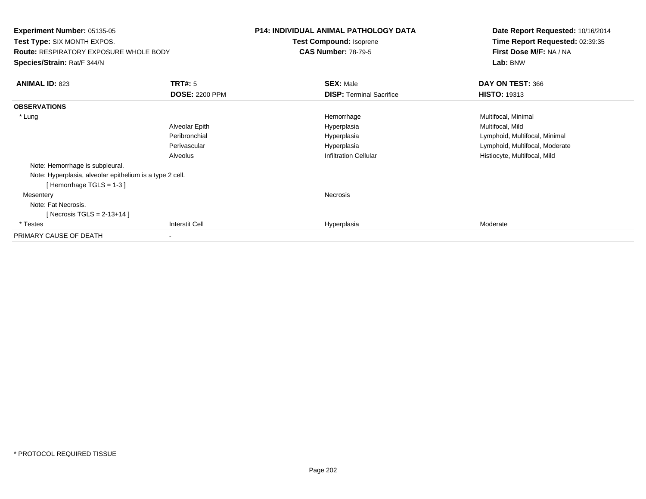**Experiment Number:** 05135-05**Test Type:** SIX MONTH EXPOS.**Route:** RESPIRATORY EXPOSURE WHOLE BODY**Species/Strain:** Rat/F 344/N**P14: INDIVIDUAL ANIMAL PATHOLOGY DATATest Compound:** Isoprene**CAS Number:** 78-79-5**Date Report Requested:** 10/16/2014**Time Report Requested:** 02:39:35**First Dose M/F:** NA / NA**Lab:** BNW**ANIMAL ID:** 823**TRT#:** 5 **SEX:** Male **DAY ON TEST:** 366 **DOSE:** 2200 PPM**DISP:** Terminal Sacrifice **HISTO:** 19313 **OBSERVATIONS** \* Lungg and the morrhage of the morrhage of the morrhage  $\theta$  and  $\theta$  and  $\theta$  and  $\theta$  and  $\theta$  and  $\theta$  and  $\theta$  and  $\theta$  and  $\theta$  and  $\theta$  and  $\theta$  and  $\theta$  and  $\theta$  and  $\theta$  and  $\theta$  and  $\theta$  and  $\theta$  and  $\theta$  and  $\theta$  and Alveolar Epith Hyperplasia Multifocal, Mild Peribronchial Hyperplasia Lymphoid, Multifocal, Minimal Perivascular HyperplasiaHyperplasia and the control of the control of the control of the control of the control of the control of the c<br>
Lymphoid, Multifocal, Mild<br>
Histiocyte, Multifocal, Mild AlveolusHistiocyte, Multifocal, Mild Note: Hemorrhage is subpleural.Note: Hyperplasia, alveolar epithelium is a type 2 cell.[ Hemorrhage TGLS = 1-3 ] Mesenteryy which is a set of the set of the set of the set of the set of the set of the set of the set of the set of the set of the set of the set of the set of the set of the set of the set of the set of the set of the set of the Note: Fat Necrosis.[ Necrosis TGLS = 2-13+14 ] \* Testess Interstit Cell Hyperplasia Hyperplasia eta alderate eta alderate eta alderate eta alderate eta alderate eta alderate eta alderate PRIMARY CAUSE OF DEATH-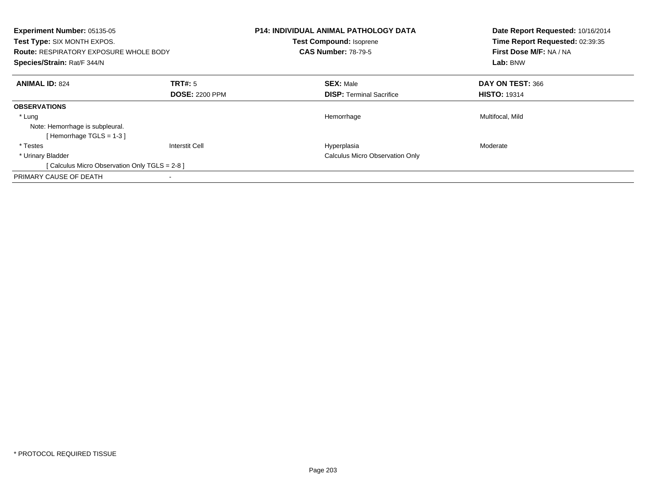| <b>Experiment Number: 05135-05</b><br>Test Type: SIX MONTH EXPOS.<br><b>Route: RESPIRATORY EXPOSURE WHOLE BODY</b><br>Species/Strain: Rat/F 344/N |                                  | <b>P14: INDIVIDUAL ANIMAL PATHOLOGY DATA</b><br>Test Compound: Isoprene<br><b>CAS Number: 78-79-5</b> | Date Report Requested: 10/16/2014<br>Time Report Requested: 02:39:35<br>First Dose M/F: NA / NA<br>Lab: BNW |
|---------------------------------------------------------------------------------------------------------------------------------------------------|----------------------------------|-------------------------------------------------------------------------------------------------------|-------------------------------------------------------------------------------------------------------------|
| <b>ANIMAL ID: 824</b>                                                                                                                             | TRT#: 5<br><b>DOSE: 2200 PPM</b> | <b>SEX: Male</b><br><b>DISP: Terminal Sacrifice</b>                                                   | DAY ON TEST: 366<br><b>HISTO: 19314</b>                                                                     |
| <b>OBSERVATIONS</b>                                                                                                                               |                                  |                                                                                                       |                                                                                                             |
| * Lung<br>Note: Hemorrhage is subpleural.<br>Hemorrhage TGLS = 1-3 ]                                                                              |                                  | Hemorrhage                                                                                            | Multifocal, Mild                                                                                            |
| * Testes                                                                                                                                          | Interstit Cell                   | Hyperplasia                                                                                           | Moderate                                                                                                    |
| * Urinary Bladder                                                                                                                                 |                                  | <b>Calculus Micro Observation Only</b>                                                                |                                                                                                             |
| [ Calculus Micro Observation Only TGLS = 2-8 ]                                                                                                    |                                  |                                                                                                       |                                                                                                             |
| PRIMARY CAUSE OF DEATH                                                                                                                            |                                  |                                                                                                       |                                                                                                             |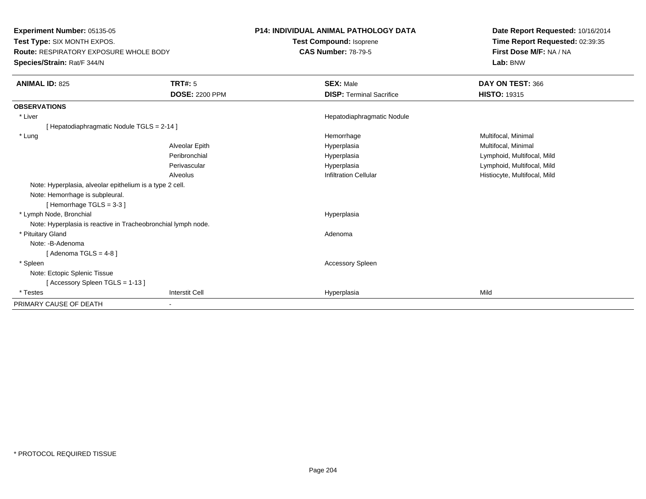**Experiment Number:** 05135-05 **Test Type:** SIX MONTH EXPOS. **Route:** RESPIRATORY EXPOSURE WHOLE BODY**Species/Strain:** Rat/F 344/N

## **P14: INDIVIDUAL ANIMAL PATHOLOGY DATA**

**Test Compound:** Isoprene**CAS Number:** 78-79-5

**Date Report Requested:** 10/16/2014**Time Report Requested:** 02:39:35**First Dose M/F:** NA / NA**Lab:** BNW

| <b>ANIMAL ID: 825</b>                                         | <b>TRT#: 5</b>        | <b>SEX: Male</b>                | DAY ON TEST: 366             |
|---------------------------------------------------------------|-----------------------|---------------------------------|------------------------------|
|                                                               | <b>DOSE: 2200 PPM</b> | <b>DISP: Terminal Sacrifice</b> | <b>HISTO: 19315</b>          |
| <b>OBSERVATIONS</b>                                           |                       |                                 |                              |
| * Liver                                                       |                       | Hepatodiaphragmatic Nodule      |                              |
| [Hepatodiaphragmatic Nodule TGLS = 2-14]                      |                       |                                 |                              |
| * Lung                                                        |                       | Hemorrhage                      | Multifocal, Minimal          |
|                                                               | Alveolar Epith        | Hyperplasia                     | Multifocal, Minimal          |
|                                                               | Peribronchial         | Hyperplasia                     | Lymphoid, Multifocal, Mild   |
|                                                               | Perivascular          | Hyperplasia                     | Lymphoid, Multifocal, Mild   |
|                                                               | Alveolus              | <b>Infiltration Cellular</b>    | Histiocyte, Multifocal, Mild |
| Note: Hyperplasia, alveolar epithelium is a type 2 cell.      |                       |                                 |                              |
| Note: Hemorrhage is subpleural.                               |                       |                                 |                              |
| [Hemorrhage $TGLS = 3-3$ ]                                    |                       |                                 |                              |
| * Lymph Node, Bronchial                                       |                       | Hyperplasia                     |                              |
| Note: Hyperplasia is reactive in Tracheobronchial lymph node. |                       |                                 |                              |
| * Pituitary Gland                                             |                       | Adenoma                         |                              |
| Note: -B-Adenoma                                              |                       |                                 |                              |
| [Adenoma TGLS = $4-8$ ]                                       |                       |                                 |                              |
| * Spleen                                                      |                       | <b>Accessory Spleen</b>         |                              |
| Note: Ectopic Splenic Tissue                                  |                       |                                 |                              |
| [ Accessory Spleen TGLS = $1-13$ ]                            |                       |                                 |                              |
| * Testes                                                      | <b>Interstit Cell</b> | Hyperplasia                     | Mild                         |
| PRIMARY CAUSE OF DEATH                                        |                       |                                 |                              |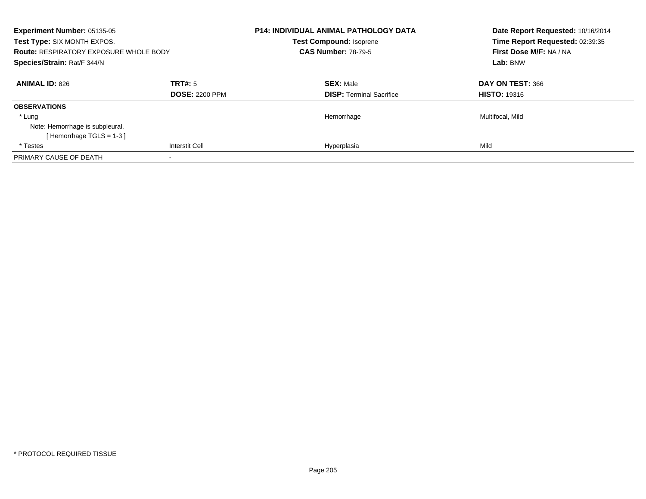| <b>Experiment Number: 05135-05</b><br>Test Type: SIX MONTH EXPOS.<br><b>Route: RESPIRATORY EXPOSURE WHOLE BODY</b><br>Species/Strain: Rat/F 344/N |                                  | <b>P14: INDIVIDUAL ANIMAL PATHOLOGY DATA</b><br><b>Test Compound: Isoprene</b><br><b>CAS Number: 78-79-5</b> | Date Report Requested: 10/16/2014<br>Time Report Requested: 02:39:35<br>First Dose M/F: NA / NA<br>Lab: BNW |
|---------------------------------------------------------------------------------------------------------------------------------------------------|----------------------------------|--------------------------------------------------------------------------------------------------------------|-------------------------------------------------------------------------------------------------------------|
| <b>ANIMAL ID: 826</b>                                                                                                                             | TRT#: 5<br><b>DOSE: 2200 PPM</b> | <b>SEX: Male</b><br><b>DISP:</b> Terminal Sacrifice                                                          | DAY ON TEST: 366<br><b>HISTO: 19316</b>                                                                     |
| <b>OBSERVATIONS</b>                                                                                                                               |                                  |                                                                                                              |                                                                                                             |
| * Lung                                                                                                                                            |                                  | Hemorrhage                                                                                                   | Multifocal, Mild                                                                                            |
| Note: Hemorrhage is subpleural.                                                                                                                   |                                  |                                                                                                              |                                                                                                             |
| [Hemorrhage TGLS = 1-3]                                                                                                                           |                                  |                                                                                                              |                                                                                                             |
| * Testes                                                                                                                                          | <b>Interstit Cell</b>            | Hyperplasia                                                                                                  | Mild                                                                                                        |
| PRIMARY CAUSE OF DEATH                                                                                                                            |                                  |                                                                                                              |                                                                                                             |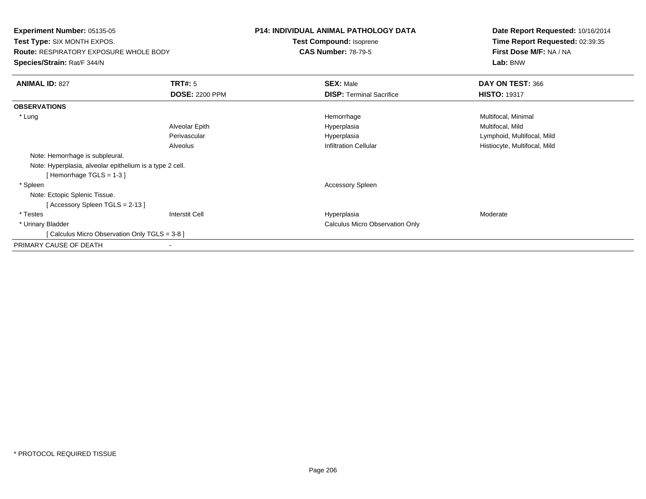**Experiment Number:** 05135-05**Test Type:** SIX MONTH EXPOS.**Route:** RESPIRATORY EXPOSURE WHOLE BODY**Species/Strain:** Rat/F 344/N**P14: INDIVIDUAL ANIMAL PATHOLOGY DATATest Compound:** Isoprene**CAS Number:** 78-79-5**Date Report Requested:** 10/16/2014**Time Report Requested:** 02:39:35**First Dose M/F:** NA / NA**Lab:** BNW**ANIMAL ID:** 827**TRT#:** 5 **SEX:** Male **DAY ON TEST:** 366 **DOSE:** 2200 PPM**DISP:** Terminal Sacrifice **HISTO:** 19317 **OBSERVATIONS** \* Lungg and the morrhage of the morrhage of the morrhage  $\theta$  and  $\theta$  and  $\theta$  and  $\theta$  and  $\theta$  and  $\theta$  and  $\theta$  and  $\theta$  and  $\theta$  and  $\theta$  and  $\theta$  and  $\theta$  and  $\theta$  and  $\theta$  and  $\theta$  and  $\theta$  and  $\theta$  and  $\theta$  and  $\theta$  and Alveolar Epith Hyperplasia Multifocal, Mild Perivascular Hyperplasia Lymphoid, Multifocal, Mild AlveolusHistiocyte, Multifocal, Mild Note: Hemorrhage is subpleural.Note: Hyperplasia, alveolar epithelium is a type 2 cell.[ Hemorrhage TGLS = 1-3 ] \* Spleen Accessory Spleen Note: Ectopic Splenic Tissue.[ Accessory Spleen TGLS = 2-13 ] \* Testes Interstit Cell Hyperplasiaa **Moderate**  \* Urinary Bladder Calculus Micro Observation Only[ Calculus Micro Observation Only TGLS = 3-8 ]PRIMARY CAUSE OF DEATH-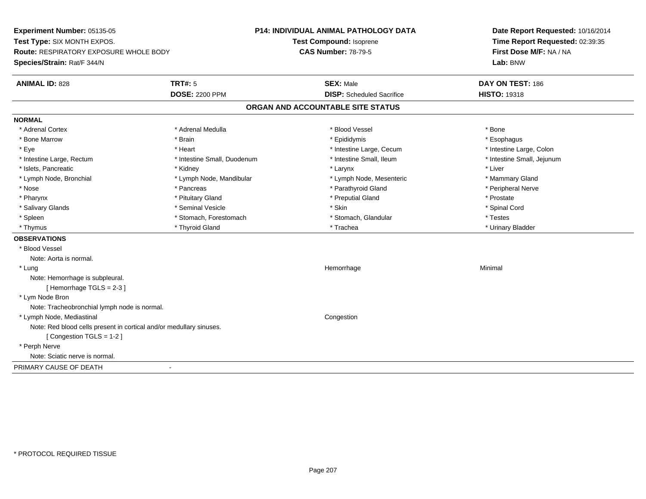**Experiment Number:** 05135-05**Test Type:** SIX MONTH EXPOS.**Route:** RESPIRATORY EXPOSURE WHOLE BODY**Species/Strain:** Rat/F 344/N**P14: INDIVIDUAL ANIMAL PATHOLOGY DATATest Compound:** Isoprene**CAS Number:** 78-79-5**Date Report Requested:** 10/16/2014**Time Report Requested:** 02:39:35**First Dose M/F:** NA / NA**Lab:** BNW**ANIMAL ID:** 828**TRT#:** 5 **SEX:** Male **DAY ON TEST:** 186 **DOSE:** 2200 PPM**DISP:** Scheduled Sacrifice **HISTO:** 19318 **ORGAN AND ACCOUNTABLE SITE STATUSNORMAL**\* Adrenal Cortex \* Adrenal Cortex \* \* Adrenal Medulla \* \* Adrenal Medulla \* \* Blood Vessel \* \* Brood Vessel \* \* Bone \* Esophagus \* Bone Marrow \* Brain \* Epididymis \* Esophagus \* Intestine Large, Colon \* Eye \* The matrice of the test of the test of the test of the test of the test of the test of the test of the test of the test of the test of the test of the test of the test of the test of the test of the test of the tes \* Intestine Small, Jejunum \* Intestine Large, Rectum \* 1992 \* Intestine Small, Duodenum \* Intestine Small, Ileum \* Intestine Small, Ileum \* Islets, Pancreatic \* \* \* Andrew \* Kidney \* \* Kidney \* \* Larynx \* Larynx \* \* Larynx \* \* Liver \* Liver \* Liver \* Lymph Node, Bronchial \* Lymph Node, Mandibular \* Lymph Node, Mesenteric \* Mammary Gland \* Peripheral Nerve \* Nose \* \* Pancreas \* \* Pancreas \* \* Pancreas \* \* Parathyroid Gland \* \* Peripheral Nerve \* Peripheral Nerve \* \* Pharynx \* Pituitary Gland \* Preputial Gland \* Prostate \* Spinal Cord \* Salivary Glands \* \* Seminal Vesicle \* \* Seminal Vesicle \* \* Skin \* \* Skin \* \* Stember \* Spinal Cord \* Spinal Cord \* Spinal Cord \* Spinal Cord \* Spinal Cord \* Spinal Cord \* Spinal Cord \* Spinal Cord \* Spinal Cord \* Spinal \* Spleen \* Stomach, Forestomach \* Stomach \* Stomach, Slandular \* Testes \* Testes \* Urinary Bladder \* Thymus \* Thyroid Gland \* Trachea \* Urinary Bladder \* **OBSERVATIONS** \* Blood VesselNote: Aorta is normal. \* Lungg and the state of the state of the state of the state of the Minimal Section 1, the state of the state of the Minimal Section 1, the state of the state of the state of the state of the state of the state of the state of t Note: Hemorrhage is subpleural.[ Hemorrhage TGLS = 2-3 ] \* Lym Node Bron Note: Tracheobronchial lymph node is normal. \* Lymph Node, Mediastinal CongestionNote: Red blood cells present in cortical and/or medullary sinuses.[ Congestion TGLS = 1-2 ] \* Perph Nerve Note: Sciatic nerve is normal.PRIMARY CAUSE OF DEATH-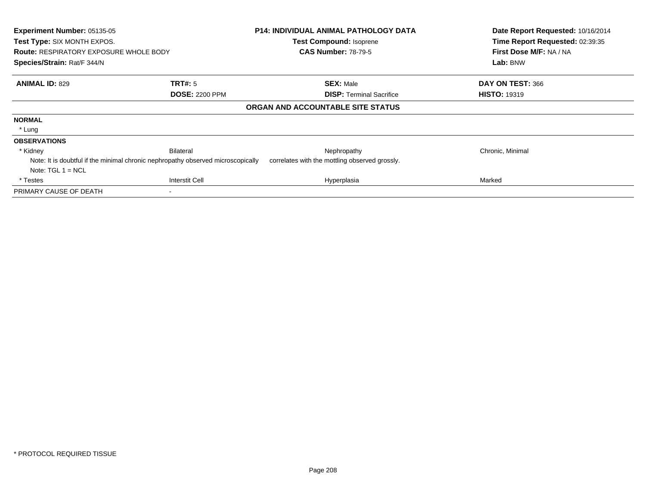| Experiment Number: 05135-05<br>Test Type: SIX MONTH EXPOS.<br><b>Route: RESPIRATORY EXPOSURE WHOLE BODY</b><br>Species/Strain: Rat/F 344/N |                                                                                  | <b>P14: INDIVIDUAL ANIMAL PATHOLOGY DATA</b><br>Test Compound: Isoprene<br><b>CAS Number: 78-79-5</b> | Date Report Requested: 10/16/2014<br>Time Report Requested: 02:39:35<br>First Dose M/F: NA / NA<br>Lab: BNW |
|--------------------------------------------------------------------------------------------------------------------------------------------|----------------------------------------------------------------------------------|-------------------------------------------------------------------------------------------------------|-------------------------------------------------------------------------------------------------------------|
| <b>ANIMAL ID: 829</b>                                                                                                                      | TRT#: 5                                                                          | <b>SEX: Male</b>                                                                                      | DAY ON TEST: 366                                                                                            |
|                                                                                                                                            | <b>DOSE: 2200 PPM</b>                                                            | <b>DISP:</b> Terminal Sacrifice                                                                       | <b>HISTO: 19319</b>                                                                                         |
|                                                                                                                                            |                                                                                  | ORGAN AND ACCOUNTABLE SITE STATUS                                                                     |                                                                                                             |
| <b>NORMAL</b>                                                                                                                              |                                                                                  |                                                                                                       |                                                                                                             |
| * Lung                                                                                                                                     |                                                                                  |                                                                                                       |                                                                                                             |
| <b>OBSERVATIONS</b>                                                                                                                        |                                                                                  |                                                                                                       |                                                                                                             |
| * Kidney                                                                                                                                   | <b>Bilateral</b>                                                                 | Nephropathy                                                                                           | Chronic, Minimal                                                                                            |
|                                                                                                                                            | Note: It is doubtful if the minimal chronic nephropathy observed microscopically | correlates with the mottling observed grossly.                                                        |                                                                                                             |
| Note: $TGL 1 = NCL$                                                                                                                        |                                                                                  |                                                                                                       |                                                                                                             |
| * Testes                                                                                                                                   | <b>Interstit Cell</b>                                                            | Hyperplasia                                                                                           | Marked                                                                                                      |
| PRIMARY CAUSE OF DEATH                                                                                                                     |                                                                                  |                                                                                                       |                                                                                                             |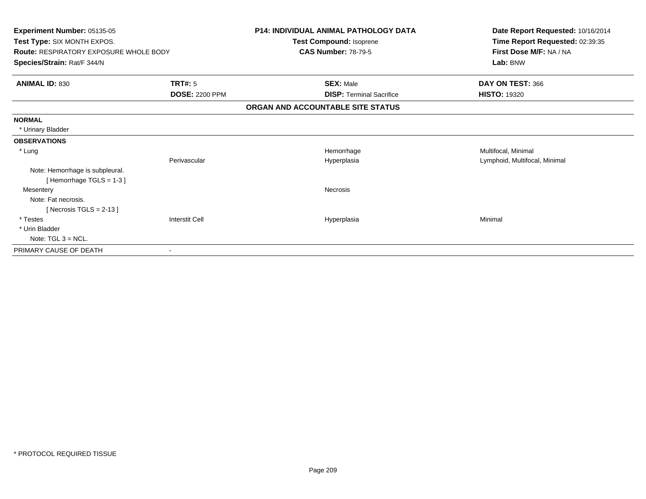| Experiment Number: 05135-05                   |                          | <b>P14: INDIVIDUAL ANIMAL PATHOLOGY DATA</b> | Date Report Requested: 10/16/2014 |
|-----------------------------------------------|--------------------------|----------------------------------------------|-----------------------------------|
| Test Type: SIX MONTH EXPOS.                   |                          | Test Compound: Isoprene                      | Time Report Requested: 02:39:35   |
| <b>Route: RESPIRATORY EXPOSURE WHOLE BODY</b> |                          | <b>CAS Number: 78-79-5</b>                   | First Dose M/F: NA / NA           |
| Species/Strain: Rat/F 344/N                   |                          |                                              | Lab: BNW                          |
| <b>ANIMAL ID: 830</b>                         | <b>TRT#: 5</b>           | <b>SEX: Male</b>                             | DAY ON TEST: 366                  |
|                                               | <b>DOSE: 2200 PPM</b>    | <b>DISP: Terminal Sacrifice</b>              | <b>HISTO: 19320</b>               |
|                                               |                          | ORGAN AND ACCOUNTABLE SITE STATUS            |                                   |
| <b>NORMAL</b>                                 |                          |                                              |                                   |
| * Urinary Bladder                             |                          |                                              |                                   |
| <b>OBSERVATIONS</b>                           |                          |                                              |                                   |
| * Lung                                        |                          | Hemorrhage                                   | Multifocal, Minimal               |
|                                               | Perivascular             | Hyperplasia                                  | Lymphoid, Multifocal, Minimal     |
| Note: Hemorrhage is subpleural.               |                          |                                              |                                   |
| [Hemorrhage TGLS = $1-3$ ]                    |                          |                                              |                                   |
| Mesentery                                     |                          | Necrosis                                     |                                   |
| Note: Fat necrosis.                           |                          |                                              |                                   |
| [Necrosis TGLS = $2-13$ ]                     |                          |                                              |                                   |
| * Testes                                      | <b>Interstit Cell</b>    | Hyperplasia                                  | Minimal                           |
| * Urin Bladder                                |                          |                                              |                                   |
| Note: $TGL_3 = NCL$ .                         |                          |                                              |                                   |
| PRIMARY CAUSE OF DEATH                        | $\overline{\phantom{a}}$ |                                              |                                   |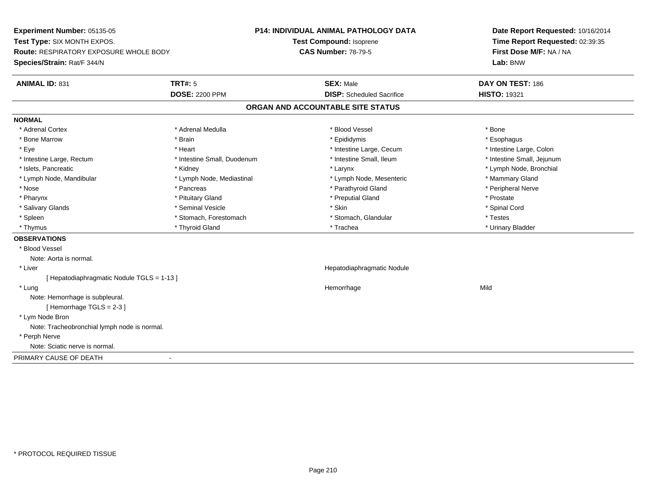**Experiment Number:** 05135-05**Test Type:** SIX MONTH EXPOS.**Route:** RESPIRATORY EXPOSURE WHOLE BODY**Species/Strain:** Rat/F 344/N**P14: INDIVIDUAL ANIMAL PATHOLOGY DATATest Compound:** Isoprene**CAS Number:** 78-79-5**Date Report Requested:** 10/16/2014**Time Report Requested:** 02:39:35**First Dose M/F:** NA / NA**Lab:** BNW**ANIMAL ID:** 831**TRT#:** 5 **SEX:** Male **DAY ON TEST:** 186 **DOSE:** 2200 PPM**DISP:** Scheduled Sacrifice **HISTO:** 19321 **ORGAN AND ACCOUNTABLE SITE STATUSNORMAL**\* Adrenal Cortex \* Adrenal Cortex \* \* Adrenal Medulla \* \* Adrenal Medulla \* \* Blood Vessel \* \* Brood Vessel \* \* Bone \* Esophagus \* Bone Marrow \* Brain \* Epididymis \* Esophagus \* Intestine Large, Colon \* Eye \* The matrice of the test of the test of the test of the test of the test of the test of the test of the test of the test of the test of the test of the test of the test of the test of the test of the test of the tes \* Intestine Small, Jejunum \* Intestine Large, Rectum \* Intestine Small, Duodenum \* Intestine Small, Ileum \* Intestine Small, Ileum \* Islets, Pancreatic \* Kidney \* Larynx \* Lymph Node, Bronchial \* Lymph Node, Mandibular \* Lymph Node, Mediastinal \* Lymph Node, Mesenteric \* Mammary Gland \* Peripheral Nerve \* Nose \* \* Pancreas \* \* Pancreas \* \* Pancreas \* \* Parathyroid Gland \* \* Peripheral Nerve \* Peripheral Nerve \* \* Pharynx \* Pituitary Gland \* Preputial Gland \* Prostate \* Spinal Cord \* Salivary Glands \* \* Seminal Vesicle \* \* Seminal Vesicle \* \* Skin \* \* Skin \* \* Stember \* Spinal Cord \* Spinal Cord \* Spinal Cord \* Spinal Cord \* Spinal Cord \* Spinal Cord \* Spinal Cord \* Spinal Cord \* Spinal Cord \* Spinal \* Spleen \* Stomach, Forestomach \* Stomach \* Stomach, Slandular \* Testes \* Testes \* Urinary Bladder \* Thymus \* Thyroid Gland \* Trachea \* Urinary Bladder \* **OBSERVATIONS** \* Blood VesselNote: Aorta is normal. \* Liver Hepatodiaphragmatic Nodule[ Hepatodiaphragmatic Nodule TGLS = 1-13 ] \* Lungg and the state of the state of the state of the state of the Hemorrhage state of the Mild of the Mild of the S Note: Hemorrhage is subpleural.[ Hemorrhage TGLS = 2-3 ] \* Lym Node Bron Note: Tracheobronchial lymph node is normal. \* Perph Nerve Note: Sciatic nerve is normal.PRIMARY CAUSE OF DEATH-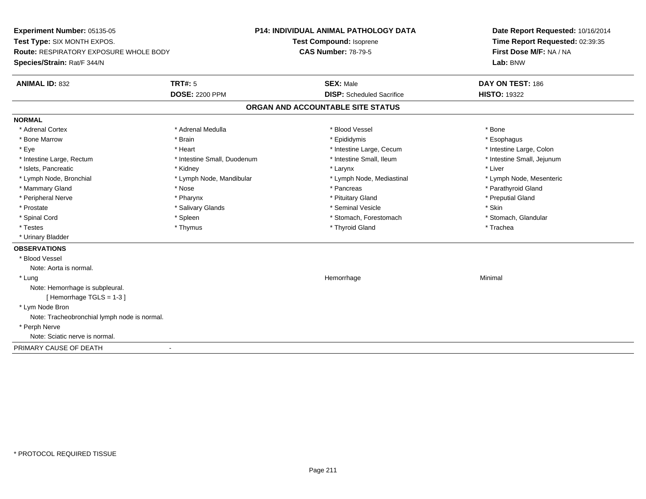**Experiment Number:** 05135-05**Test Type:** SIX MONTH EXPOS.**Route:** RESPIRATORY EXPOSURE WHOLE BODY**Species/Strain:** Rat/F 344/N**P14: INDIVIDUAL ANIMAL PATHOLOGY DATATest Compound:** Isoprene**CAS Number:** 78-79-5**Date Report Requested:** 10/16/2014**Time Report Requested:** 02:39:35**First Dose M/F:** NA / NA**Lab:** BNW**ANIMAL ID:** 832**TRT#:** 5 **SEX:** Male **DAY ON TEST:** 186 **DOSE:** 2200 PPM**DISP:** Scheduled Sacrifice **HISTO:** 19322 **ORGAN AND ACCOUNTABLE SITE STATUSNORMAL**\* Adrenal Cortex \* Adrenal Cortex \* \* Adrenal Medulla \* \* Adrenal Medulla \* \* Blood Vessel \* \* Brood Vessel \* \* Bone \* Esophagus \* Bone Marrow \* Brain \* Epididymis \* Esophagus \* Intestine Large, Colon \* Eye \* The matrice of the test of the test of the test of the test of the test of the test of the test of the test of the test of the test of the test of the test of the test of the test of the test of the test of the tes \* Intestine Small, Jejunum \* Intestine Large, Rectum \* Intestine Small, Duodenum \* Intestine Small, Ileum \* Intestine Small, Ileum \* Islets, Pancreatic \* \* \* Andrew \* Kidney \* \* Kidney \* \* Larynx \* Larynx \* \* Larynx \* \* Liver \* Liver \* Liver \* Lymph Node, Bronchial \* Lymph Node, Mandibular \* Lymph Node, Mediastinal \* Lymph Node, Mesenteric\* Mammary Gland \* The strain of the strain of the strain of the strain of the strain of the strain of the strain of the strain of the strain of the strain of the strain of the strain of the strain of the strain of the stra \* Peripheral Nerve \* \* \* \* Pharynx \* \* Pharynx \* \* \* Preputial Gland \* \* Preputial Gland \* \* Preputial Gland \* Prostate \* \* Salivary Glands \* \* Salivary Glands \* \* Seminal Vesicle \* \* \* Seminal Yestrich \* \* Skin \* \* Skin \* Stomach, Glandular \* Spinal Cord \* Spinal Cord \* Spinal Cord \* Stomach, Forestomach \* Spinal Cord \* Stomach, Forestomach \* Testes \* Thymus \* Thyroid Gland \* Trachea \* Urinary Bladder**OBSERVATIONS** \* Blood VesselNote: Aorta is normal. \* Lungg and the state of the state of the state of the state of the Minimal Section 1, the state of the state of the Minimal Section 1, the state of the state of the state of the state of the state of the state of the state of t Note: Hemorrhage is subpleural.[ Hemorrhage TGLS = 1-3 ] \* Lym Node Bron Note: Tracheobronchial lymph node is normal. \* Perph Nerve Note: Sciatic nerve is normal.PRIMARY CAUSE OF DEATH-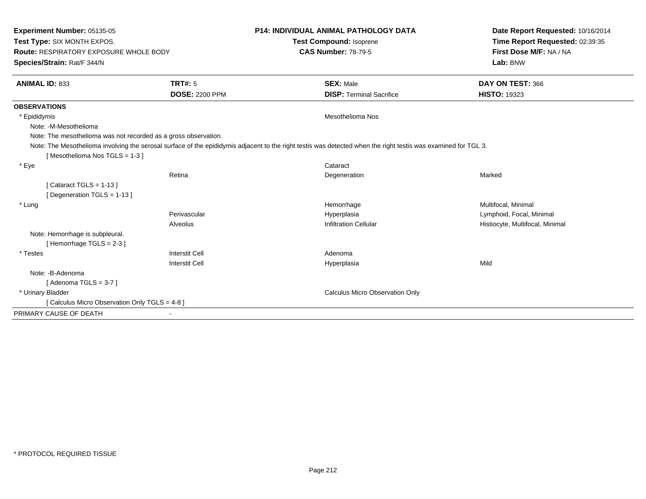| <b>Experiment Number: 05135-05</b><br>Test Type: SIX MONTH EXPOS.<br><b>Route: RESPIRATORY EXPOSURE WHOLE BODY</b><br>Species/Strain: Rat/F 344/N |                       | <b>P14: INDIVIDUAL ANIMAL PATHOLOGY DATA</b>                                                                                                                   | Date Report Requested: 10/16/2014<br>Time Report Requested: 02:39:35<br>First Dose M/F: NA / NA<br>Lab: BNW |
|---------------------------------------------------------------------------------------------------------------------------------------------------|-----------------------|----------------------------------------------------------------------------------------------------------------------------------------------------------------|-------------------------------------------------------------------------------------------------------------|
|                                                                                                                                                   |                       | <b>Test Compound: Isoprene</b>                                                                                                                                 |                                                                                                             |
|                                                                                                                                                   |                       | <b>CAS Number: 78-79-5</b>                                                                                                                                     |                                                                                                             |
|                                                                                                                                                   |                       |                                                                                                                                                                |                                                                                                             |
| <b>ANIMAL ID: 833</b>                                                                                                                             | TRT#: 5               | <b>SEX: Male</b>                                                                                                                                               | DAY ON TEST: 366                                                                                            |
|                                                                                                                                                   | <b>DOSE: 2200 PPM</b> | <b>DISP: Terminal Sacrifice</b>                                                                                                                                | <b>HISTO: 19323</b>                                                                                         |
| <b>OBSERVATIONS</b>                                                                                                                               |                       |                                                                                                                                                                |                                                                                                             |
| * Epididymis                                                                                                                                      |                       | <b>Mesothelioma Nos</b>                                                                                                                                        |                                                                                                             |
| Note: -M-Mesothelioma                                                                                                                             |                       |                                                                                                                                                                |                                                                                                             |
| Note: The mesothelioma was not recorded as a gross observation.                                                                                   |                       |                                                                                                                                                                |                                                                                                             |
|                                                                                                                                                   |                       | Note: The Mesothelioma involving the serosal surface of the epididymis adjacent to the right testis was detected when the right testis was examined for TGL 3. |                                                                                                             |
| [Mesothelioma Nos TGLS = 1-3]                                                                                                                     |                       |                                                                                                                                                                |                                                                                                             |
| * Eye                                                                                                                                             |                       | Cataract                                                                                                                                                       |                                                                                                             |
|                                                                                                                                                   | Retina                | Degeneration                                                                                                                                                   | Marked                                                                                                      |
| [Cataract TGLS = $1-13$ ]                                                                                                                         |                       |                                                                                                                                                                |                                                                                                             |
| [Degeneration TGLS = 1-13]                                                                                                                        |                       |                                                                                                                                                                |                                                                                                             |
| * Lung                                                                                                                                            |                       | Hemorrhage                                                                                                                                                     | Multifocal, Minimal                                                                                         |
|                                                                                                                                                   | Perivascular          | Hyperplasia                                                                                                                                                    | Lymphoid, Focal, Minimal                                                                                    |
|                                                                                                                                                   | Alveolus              | <b>Infiltration Cellular</b>                                                                                                                                   | Histiocyte, Multifocal, Minimal                                                                             |
| Note: Hemorrhage is subpleural.                                                                                                                   |                       |                                                                                                                                                                |                                                                                                             |
| [Hemorrhage TGLS = 2-3]                                                                                                                           |                       |                                                                                                                                                                |                                                                                                             |
| $^\star$ Testes                                                                                                                                   | <b>Interstit Cell</b> | Adenoma                                                                                                                                                        |                                                                                                             |
|                                                                                                                                                   | <b>Interstit Cell</b> | Hyperplasia                                                                                                                                                    | Mild                                                                                                        |
| Note: -B-Adenoma                                                                                                                                  |                       |                                                                                                                                                                |                                                                                                             |
| [Adenoma TGLS = $3-7$ ]                                                                                                                           |                       |                                                                                                                                                                |                                                                                                             |
| * Urinary Bladder                                                                                                                                 |                       | Calculus Micro Observation Only                                                                                                                                |                                                                                                             |
| [ Calculus Micro Observation Only TGLS = 4-8 ]                                                                                                    |                       |                                                                                                                                                                |                                                                                                             |
| PRIMARY CAUSE OF DEATH                                                                                                                            |                       |                                                                                                                                                                |                                                                                                             |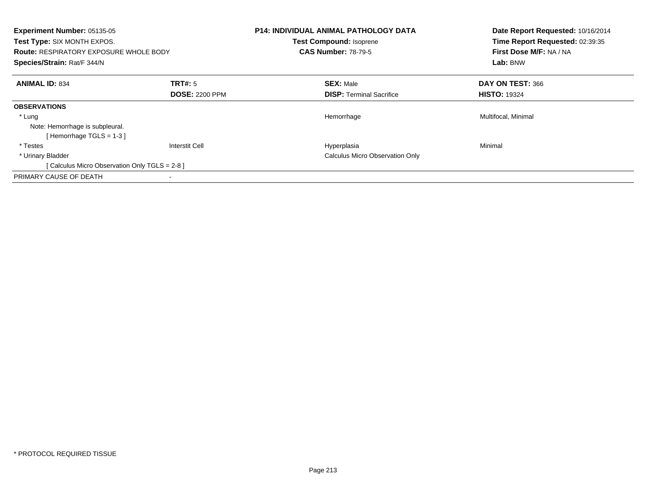| <b>Experiment Number: 05135-05</b><br>Test Type: SIX MONTH EXPOS.<br><b>Route: RESPIRATORY EXPOSURE WHOLE BODY</b><br>Species/Strain: Rat/F 344/N |                                  | <b>P14: INDIVIDUAL ANIMAL PATHOLOGY DATA</b><br>Test Compound: Isoprene<br><b>CAS Number: 78-79-5</b> | Date Report Requested: 10/16/2014<br>Time Report Requested: 02:39:35<br>First Dose M/F: NA / NA<br>Lab: BNW |
|---------------------------------------------------------------------------------------------------------------------------------------------------|----------------------------------|-------------------------------------------------------------------------------------------------------|-------------------------------------------------------------------------------------------------------------|
| <b>ANIMAL ID: 834</b>                                                                                                                             | TRT#: 5<br><b>DOSE: 2200 PPM</b> | <b>SEX: Male</b><br><b>DISP: Terminal Sacrifice</b>                                                   | DAY ON TEST: 366<br><b>HISTO: 19324</b>                                                                     |
| <b>OBSERVATIONS</b>                                                                                                                               |                                  |                                                                                                       |                                                                                                             |
| * Lung<br>Note: Hemorrhage is subpleural.<br>[Hemorrhage TGLS = 1-3]                                                                              |                                  | Hemorrhage                                                                                            | Multifocal, Minimal                                                                                         |
| * Testes                                                                                                                                          | Interstit Cell                   | Hyperplasia                                                                                           | Minimal                                                                                                     |
| * Urinary Bladder                                                                                                                                 |                                  | <b>Calculus Micro Observation Only</b>                                                                |                                                                                                             |
| [ Calculus Micro Observation Only TGLS = 2-8 ]                                                                                                    |                                  |                                                                                                       |                                                                                                             |
| PRIMARY CAUSE OF DEATH                                                                                                                            |                                  |                                                                                                       |                                                                                                             |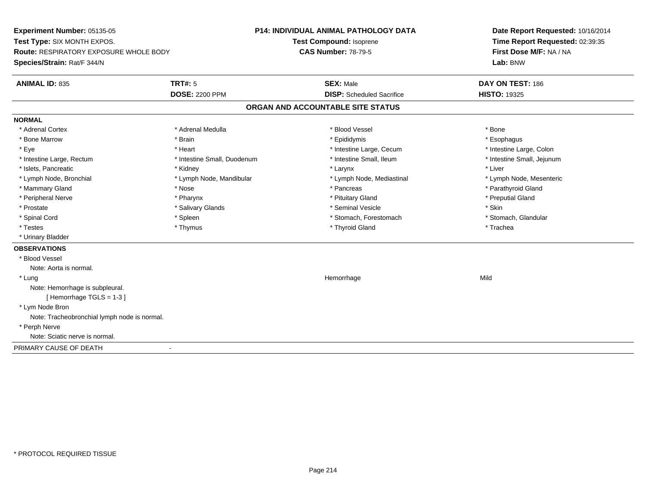**Experiment Number:** 05135-05**Test Type:** SIX MONTH EXPOS.**Route:** RESPIRATORY EXPOSURE WHOLE BODY**Species/Strain:** Rat/F 344/N**P14: INDIVIDUAL ANIMAL PATHOLOGY DATATest Compound:** Isoprene**CAS Number:** 78-79-5**Date Report Requested:** 10/16/2014**Time Report Requested:** 02:39:35**First Dose M/F:** NA / NA**Lab:** BNW**ANIMAL ID:** 835**TRT#:** 5 **SEX:** Male **DAY ON TEST:** 186 **DOSE:** 2200 PPM**DISP:** Scheduled Sacrifice **HISTO:** 19325 **ORGAN AND ACCOUNTABLE SITE STATUSNORMAL**\* Adrenal Cortex \* Adrenal Cortex \* \* Adrenal Medulla \* \* Adrenal Medulla \* \* Blood Vessel \* \* Brood Vessel \* \* Bone \* Esophagus \* Bone Marrow \* Brain \* Epididymis \* Esophagus \* Intestine Large, Colon \* Eye \* The matrice of the test of the test of the test of the test of the test of the test of the test of the test of the test of the test of the test of the test of the test of the test of the test of the test of the tes \* Intestine Small, Jejunum \* Intestine Large, Rectum \* Intestine Small, Duodenum \* Intestine Small, Ileum \* Intestine Small, Ileum \* Islets, Pancreatic \* \* \* Andrew \* Kidney \* \* Kidney \* \* Larynx \* Larynx \* \* Larynx \* \* Liver \* Liver \* Liver \* Lymph Node, Bronchial \* Lymph Node, Mandibular \* Lymph Node, Mediastinal \* Lymph Node, Mesenteric\* Mammary Gland \* The strain of the strain of the strain of the strain of the strain of the strain of the strain of the strain of the strain of the strain of the strain of the strain of the strain of the strain of the stra \* Peripheral Nerve \* \* \* \* Pharynx \* \* Pharynx \* \* \* Preputial Gland \* \* Preputial Gland \* \* Preputial Gland \* Prostate \* \* Salivary Glands \* \* Salivary Glands \* \* Seminal Vesicle \* \* \* Seminal Yestrich \* \* Skin \* \* Skin \* Stomach, Glandular \* Spinal Cord \* Spinal Cord \* Spinal Cord \* Stomach, Forestomach \* Spinal Cord \* Stomach, Forestomach \* Testes \* Thymus \* Thyroid Gland \* Trachea \* Urinary Bladder**OBSERVATIONS** \* Blood VesselNote: Aorta is normal. \* Lungg and the state of the state of the state of the state of the Hemorrhage state of the Mild of the Mild of the S Note: Hemorrhage is subpleural.[ Hemorrhage TGLS = 1-3 ] \* Lym Node Bron Note: Tracheobronchial lymph node is normal. \* Perph Nerve Note: Sciatic nerve is normal.PRIMARY CAUSE OF DEATH-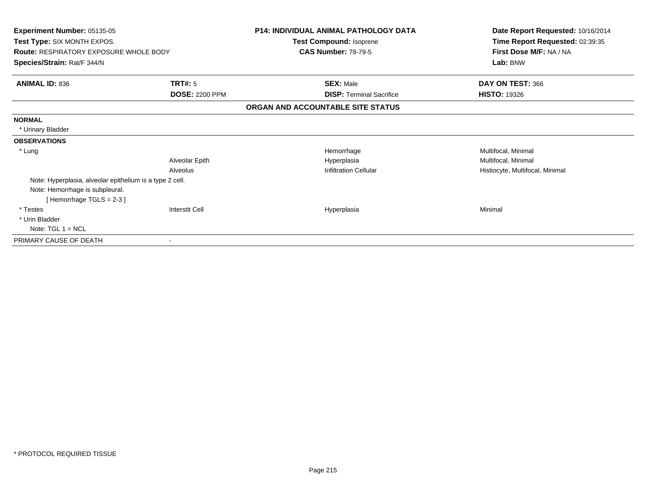| <b>Experiment Number: 05135-05</b><br><b>Test Type: SIX MONTH EXPOS.</b><br><b>Route: RESPIRATORY EXPOSURE WHOLE BODY</b><br>Species/Strain: Rat/F 344/N |                       | <b>P14: INDIVIDUAL ANIMAL PATHOLOGY DATA</b><br>Test Compound: Isoprene<br><b>CAS Number: 78-79-5</b> | Date Report Requested: 10/16/2014<br>Time Report Requested: 02:39:35<br>First Dose M/F: NA / NA<br>Lab: BNW |
|----------------------------------------------------------------------------------------------------------------------------------------------------------|-----------------------|-------------------------------------------------------------------------------------------------------|-------------------------------------------------------------------------------------------------------------|
| <b>ANIMAL ID: 836</b>                                                                                                                                    | TRT#: 5               | <b>SEX: Male</b>                                                                                      | DAY ON TEST: 366                                                                                            |
|                                                                                                                                                          | <b>DOSE: 2200 PPM</b> | <b>DISP: Terminal Sacrifice</b>                                                                       | <b>HISTO: 19326</b>                                                                                         |
|                                                                                                                                                          |                       | ORGAN AND ACCOUNTABLE SITE STATUS                                                                     |                                                                                                             |
| <b>NORMAL</b>                                                                                                                                            |                       |                                                                                                       |                                                                                                             |
| * Urinary Bladder                                                                                                                                        |                       |                                                                                                       |                                                                                                             |
| <b>OBSERVATIONS</b>                                                                                                                                      |                       |                                                                                                       |                                                                                                             |
| * Lung                                                                                                                                                   |                       | Hemorrhage                                                                                            | Multifocal, Minimal                                                                                         |
|                                                                                                                                                          | Alveolar Epith        | Hyperplasia                                                                                           | Multifocal, Minimal                                                                                         |
|                                                                                                                                                          | Alveolus              | <b>Infiltration Cellular</b>                                                                          | Histiocyte, Multifocal, Minimal                                                                             |
| Note: Hyperplasia, alveolar epithelium is a type 2 cell.                                                                                                 |                       |                                                                                                       |                                                                                                             |
| Note: Hemorrhage is subpleural.                                                                                                                          |                       |                                                                                                       |                                                                                                             |
| [Hemorrhage TGLS = $2-3$ ]                                                                                                                               |                       |                                                                                                       |                                                                                                             |
| * Testes                                                                                                                                                 | <b>Interstit Cell</b> | Hyperplasia                                                                                           | Minimal                                                                                                     |
| * Urin Bladder                                                                                                                                           |                       |                                                                                                       |                                                                                                             |
| Note: $TGL 1 = NCL$                                                                                                                                      |                       |                                                                                                       |                                                                                                             |
| PRIMARY CAUSE OF DEATH                                                                                                                                   |                       |                                                                                                       |                                                                                                             |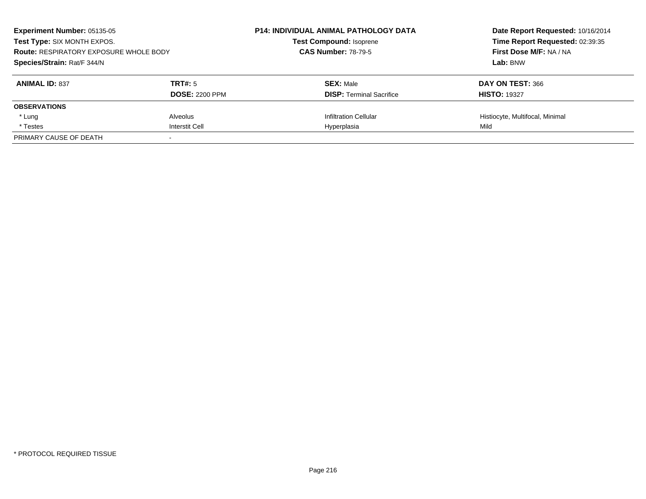| Experiment Number: 05135-05<br>Test Type: SIX MONTH EXPOS.<br><b>Route: RESPIRATORY EXPOSURE WHOLE BODY</b><br>Species/Strain: Rat/F 344/N |                       | <b>P14: INDIVIDUAL ANIMAL PATHOLOGY DATA</b><br><b>Test Compound: Isoprene</b> | Date Report Requested: 10/16/2014<br>Time Report Requested: 02:39:35<br>First Dose M/F: NA / NA<br>Lab: BNW |
|--------------------------------------------------------------------------------------------------------------------------------------------|-----------------------|--------------------------------------------------------------------------------|-------------------------------------------------------------------------------------------------------------|
|                                                                                                                                            |                       | <b>CAS Number: 78-79-5</b>                                                     |                                                                                                             |
|                                                                                                                                            |                       |                                                                                |                                                                                                             |
| <b>ANIMAL ID: 837</b>                                                                                                                      | TRT#: 5               | <b>SEX: Male</b>                                                               | DAY ON TEST: 366                                                                                            |
|                                                                                                                                            | <b>DOSE: 2200 PPM</b> | <b>DISP:</b> Terminal Sacrifice                                                | <b>HISTO: 19327</b>                                                                                         |
| <b>OBSERVATIONS</b>                                                                                                                        |                       |                                                                                |                                                                                                             |
| * Lung                                                                                                                                     | Alveolus              | <b>Infiltration Cellular</b>                                                   | Histiocyte, Multifocal, Minimal                                                                             |
| * Testes                                                                                                                                   | <b>Interstit Cell</b> | Hyperplasia                                                                    | Mild                                                                                                        |
| PRIMARY CAUSE OF DEATH                                                                                                                     |                       |                                                                                |                                                                                                             |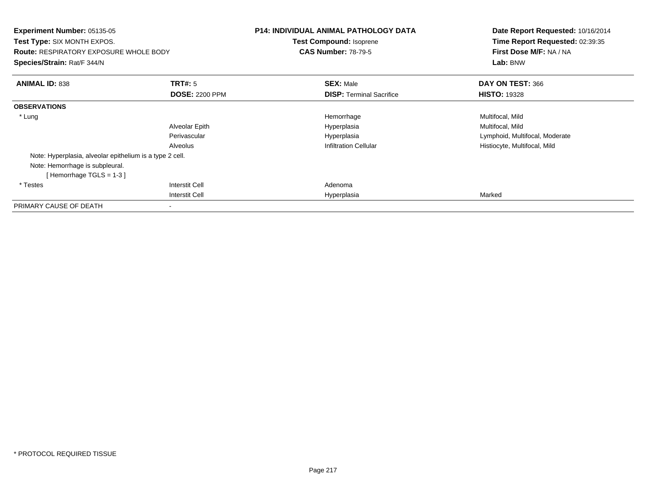| <b>Experiment Number: 05135-05</b><br><b>Test Type: SIX MONTH EXPOS.</b><br><b>Route: RESPIRATORY EXPOSURE WHOLE BODY</b><br>Species/Strain: Rat/F 344/N |                       | <b>P14: INDIVIDUAL ANIMAL PATHOLOGY DATA</b><br><b>Test Compound: Isoprene</b><br><b>CAS Number: 78-79-5</b> | Date Report Requested: 10/16/2014<br>Time Report Requested: 02:39:35<br>First Dose M/F: NA / NA<br>Lab: BNW |
|----------------------------------------------------------------------------------------------------------------------------------------------------------|-----------------------|--------------------------------------------------------------------------------------------------------------|-------------------------------------------------------------------------------------------------------------|
| <b>ANIMAL ID: 838</b>                                                                                                                                    | TRT#: 5               | <b>SEX: Male</b>                                                                                             | DAY ON TEST: 366                                                                                            |
|                                                                                                                                                          | <b>DOSE: 2200 PPM</b> | <b>DISP:</b> Terminal Sacrifice                                                                              | <b>HISTO: 19328</b>                                                                                         |
| <b>OBSERVATIONS</b>                                                                                                                                      |                       |                                                                                                              |                                                                                                             |
| * Lung                                                                                                                                                   |                       | Hemorrhage                                                                                                   | Multifocal, Mild                                                                                            |
|                                                                                                                                                          | Alveolar Epith        | Hyperplasia                                                                                                  | Multifocal, Mild                                                                                            |
|                                                                                                                                                          | Perivascular          | Hyperplasia                                                                                                  | Lymphoid, Multifocal, Moderate                                                                              |
|                                                                                                                                                          | Alveolus              | <b>Infiltration Cellular</b>                                                                                 | Histiocyte, Multifocal, Mild                                                                                |
| Note: Hyperplasia, alveolar epithelium is a type 2 cell.                                                                                                 |                       |                                                                                                              |                                                                                                             |
| Note: Hemorrhage is subpleural.                                                                                                                          |                       |                                                                                                              |                                                                                                             |
| [Hemorrhage TGLS = $1-3$ ]                                                                                                                               |                       |                                                                                                              |                                                                                                             |
| * Testes                                                                                                                                                 | <b>Interstit Cell</b> | Adenoma                                                                                                      |                                                                                                             |
|                                                                                                                                                          | <b>Interstit Cell</b> | Hyperplasia                                                                                                  | Marked                                                                                                      |
| PRIMARY CAUSE OF DEATH                                                                                                                                   |                       |                                                                                                              |                                                                                                             |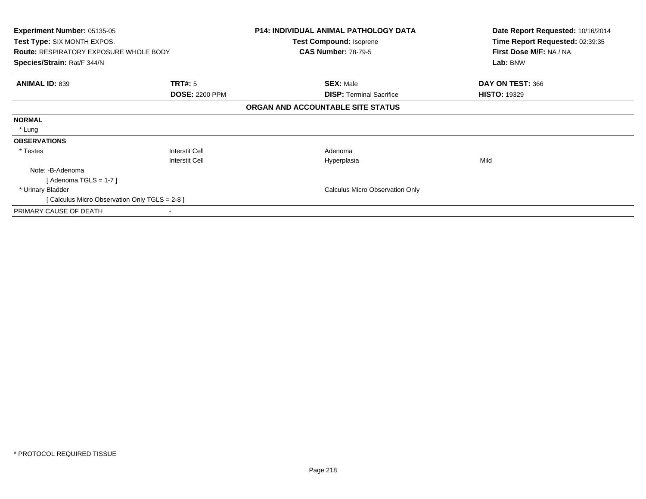| <b>Experiment Number: 05135-05</b><br>Test Type: SIX MONTH EXPOS.<br><b>Route: RESPIRATORY EXPOSURE WHOLE BODY</b> |                       | <b>P14: INDIVIDUAL ANIMAL PATHOLOGY DATA</b><br>Test Compound: Isoprene<br><b>CAS Number: 78-79-5</b> | Date Report Requested: 10/16/2014<br>Time Report Requested: 02:39:35<br>First Dose M/F: NA / NA |
|--------------------------------------------------------------------------------------------------------------------|-----------------------|-------------------------------------------------------------------------------------------------------|-------------------------------------------------------------------------------------------------|
| Species/Strain: Rat/F 344/N                                                                                        |                       |                                                                                                       | Lab: BNW                                                                                        |
| <b>ANIMAL ID: 839</b>                                                                                              | <b>TRT#:</b> 5        | <b>SEX: Male</b>                                                                                      | DAY ON TEST: 366                                                                                |
|                                                                                                                    | <b>DOSE: 2200 PPM</b> | <b>DISP:</b> Terminal Sacrifice                                                                       | <b>HISTO: 19329</b>                                                                             |
|                                                                                                                    |                       | ORGAN AND ACCOUNTABLE SITE STATUS                                                                     |                                                                                                 |
| <b>NORMAL</b>                                                                                                      |                       |                                                                                                       |                                                                                                 |
| * Lung                                                                                                             |                       |                                                                                                       |                                                                                                 |
| <b>OBSERVATIONS</b>                                                                                                |                       |                                                                                                       |                                                                                                 |
| * Testes                                                                                                           | <b>Interstit Cell</b> | Adenoma                                                                                               |                                                                                                 |
|                                                                                                                    | <b>Interstit Cell</b> | Hyperplasia                                                                                           | Mild                                                                                            |
| Note: -B-Adenoma                                                                                                   |                       |                                                                                                       |                                                                                                 |
| [Adenoma TGLS = $1-7$ ]                                                                                            |                       |                                                                                                       |                                                                                                 |
| * Urinary Bladder                                                                                                  |                       | <b>Calculus Micro Observation Only</b>                                                                |                                                                                                 |
| [ Calculus Micro Observation Only TGLS = 2-8 ]                                                                     |                       |                                                                                                       |                                                                                                 |
| PRIMARY CAUSE OF DEATH                                                                                             |                       |                                                                                                       |                                                                                                 |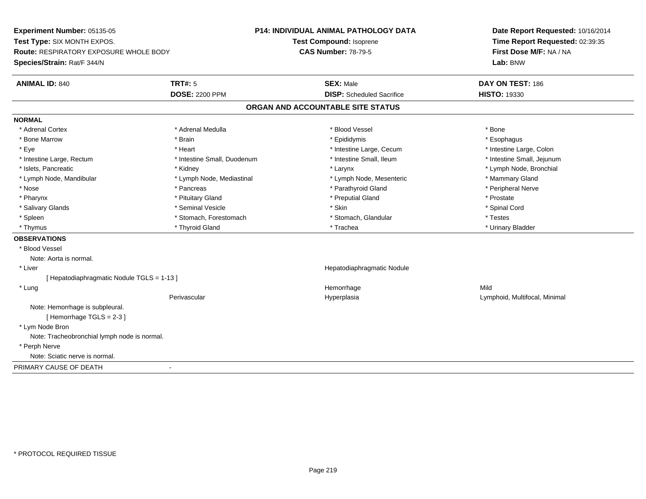**Experiment Number:** 05135-05**Test Type:** SIX MONTH EXPOS.**Route:** RESPIRATORY EXPOSURE WHOLE BODY**Species/Strain:** Rat/F 344/N**P14: INDIVIDUAL ANIMAL PATHOLOGY DATATest Compound:** Isoprene**CAS Number:** 78-79-5**Date Report Requested:** 10/16/2014**Time Report Requested:** 02:39:35**First Dose M/F:** NA / NA**Lab:** BNW**ANIMAL ID:** 840**TRT#:** 5 **SEX:** Male **DAY ON TEST:** 186 **DOSE:** 2200 PPM**DISP:** Scheduled Sacrifice **HISTO:** 19330 **ORGAN AND ACCOUNTABLE SITE STATUSNORMAL**\* Adrenal Cortex \* Adrenal Cortex \* \* Adrenal Medulla \* \* Adrenal Medulla \* \* Blood Vessel \* \* Brood Vessel \* \* Bone \* Esophagus \* Bone Marrow \* Brain \* Epididymis \* Esophagus \* Intestine Large, Colon \* Eye \* The matter and the state of the test of the test of the test of the test of the test of the test of the test of the test of the test of the test of the test of the test of the test of the test of the test of test o \* Intestine Small, Jejunum \* Intestine Large, Rectum \* Intestine Small, Duodenum \* Intestine Small, Ileum \* Intestine Small, Ileum \* Islets, Pancreatic \* Kidney \* Larynx \* Lymph Node, Bronchial \* Lymph Node, Mandibular \* Lymph Node, Mediastinal \* Lymph Node, Mesenteric \* Mammary Gland \* Peripheral Nerve \* Nose \* \* Pancreas \* \* Pancreas \* \* Pancreas \* \* Parathyroid Gland \* \* Peripheral Nerve \* Peripheral Nerve \* \* Pharynx \* Pituitary Gland \* Preputial Gland \* Prostate \* Spinal Cord \* Salivary Glands \* \* Seminal Vesicle \* \* Seminal Vesicle \* \* Skin \* \* Skin \* \* Stember \* Spinal Cord \* Spinal Cord \* Spinal Cord \* Spinal Cord \* Spinal Cord \* Spinal Cord \* Spinal Cord \* Spinal Cord \* Spinal Cord \* Spinal \* Spleen \* Stomach, Forestomach \* Stomach \* Stomach, Slandular \* Testes \* Testes \* Urinary Bladder \* Thymus \* Thyroid Gland \* Trachea \* Urinary Bladder \* **OBSERVATIONS** \* Blood VesselNote: Aorta is normal. \* Liver Hepatodiaphragmatic Nodule[ Hepatodiaphragmatic Nodule TGLS = 1-13 ] \* Lungg and the state of the state of the state of the state of the Hemorrhage state of the Mild state of the Mild state of the State of the State of the State of the State of the State of the State of the State of the State of Perivascular Hyperplasia Lymphoid, Multifocal, Minimal Note: Hemorrhage is subpleural.[ Hemorrhage TGLS = 2-3 ] \* Lym Node Bron Note: Tracheobronchial lymph node is normal. \* Perph Nerve Note: Sciatic nerve is normal.PRIMARY CAUSE OF DEATH-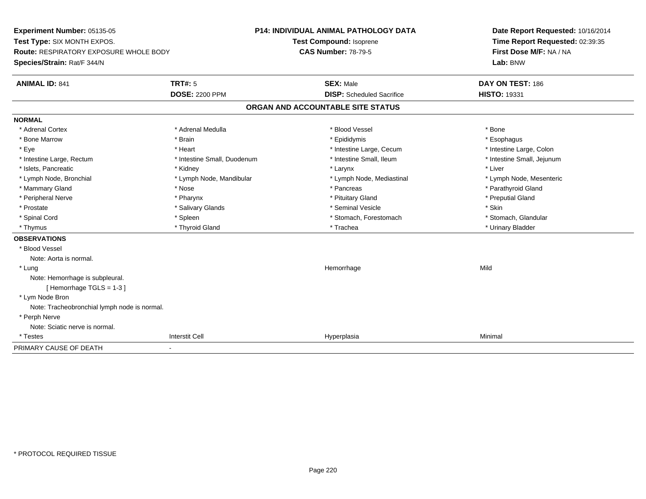**Experiment Number:** 05135-05**Test Type:** SIX MONTH EXPOS.**Route:** RESPIRATORY EXPOSURE WHOLE BODY**Species/Strain:** Rat/F 344/N**P14: INDIVIDUAL ANIMAL PATHOLOGY DATATest Compound:** Isoprene**CAS Number:** 78-79-5**Date Report Requested:** 10/16/2014**Time Report Requested:** 02:39:35**First Dose M/F:** NA / NA**Lab:** BNW**ANIMAL ID:** 841**TRT#:** 5 **SEX:** Male **DAY ON TEST:** 186 **DOSE:** 2200 PPM**DISP:** Scheduled Sacrifice **HISTO:** 19331 **ORGAN AND ACCOUNTABLE SITE STATUSNORMAL**\* Adrenal Cortex \* Adrenal Cortex \* \* Adrenal Medulla \* \* Adrenal Medulla \* \* Blood Vessel \* \* Brood Vessel \* \* Bone \* Esophagus \* Bone Marrow \* Brain \* Epididymis \* Esophagus \* Intestine Large, Colon \* Eye \* Heart \* Intestine Large, Cecum \* Intestine Large, Colon\* Intestine Small, Jejunum \* Intestine Large, Rectum \* Intestine Small, Duodenum \* Intestine Small, Ileum \* Intestine Small, Ileum \* Islets, Pancreatic \* \* \* Andrew \* Kidney \* \* Kidney \* \* Larynx \* Larynx \* \* Larynx \* \* Liver \* Liver \* Liver \* Lymph Node, Bronchial \* Lymph Node, Mandibular \* Lymph Node, Mediastinal \* Lymph Node, Mesenteric\* Mammary Gland \* The straight of the straight of the straight of the straight of the straight of the straight of the straight of Parathyroid Gland \* Pancreas \* Parathyroid Gland \* Peripheral Nerve \* \* \* \* Pharynx \* \* Pharynx \* \* \* Preputial Gland \* \* Preputial Gland \* \* Preputial Gland \* Prostate \* \* Salivary Glands \* \* Salivary Glands \* \* Seminal Vesicle \* \* \* Seminal Yestrich \* \* Skin \* \* Skin \* Stomach, Glandular \* Spinal Cord **\* Stomach, Forestomach \* Spinal Cord \*** Stomach, Forestomach \* Stomach, Forestomach \* Thymus \* Thyroid Gland \* Trachea \* Urinary Bladder \* **OBSERVATIONS** \* Blood VesselNote: Aorta is normal. \* Lungg and the state of the state of the state of the state of the Hemorrhage state of the Mild state of the Mild state of the State of the State of the State of the State of the State of the State of the State of the State of Note: Hemorrhage is subpleural.[ Hemorrhage TGLS = 1-3 ] \* Lym Node Bron Note: Tracheobronchial lymph node is normal. \* Perph Nerve Note: Sciatic nerve is normal. \* Testess Interstit Cell Hyperplasia a Minimal PRIMARY CAUSE OF DEATH-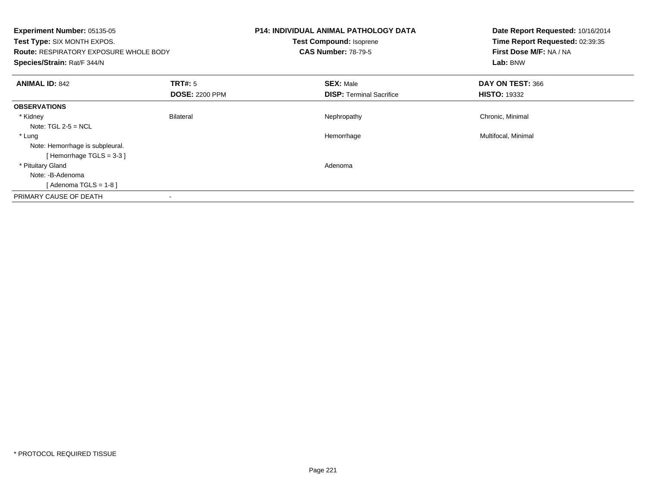| Experiment Number: 05135-05<br><b>Test Type: SIX MONTH EXPOS.</b><br><b>Route: RESPIRATORY EXPOSURE WHOLE BODY</b><br>Species/Strain: Rat/F 344/N |                       | <b>P14: INDIVIDUAL ANIMAL PATHOLOGY DATA</b><br><b>Test Compound: Isoprene</b><br><b>CAS Number: 78-79-5</b> | Date Report Requested: 10/16/2014<br>Time Report Requested: 02:39:35<br>First Dose M/F: NA / NA<br>Lab: BNW |
|---------------------------------------------------------------------------------------------------------------------------------------------------|-----------------------|--------------------------------------------------------------------------------------------------------------|-------------------------------------------------------------------------------------------------------------|
| <b>ANIMAL ID: 842</b>                                                                                                                             | <b>TRT#:</b> 5        | <b>SEX: Male</b>                                                                                             | DAY ON TEST: 366                                                                                            |
|                                                                                                                                                   | <b>DOSE: 2200 PPM</b> | <b>DISP:</b> Terminal Sacrifice                                                                              | <b>HISTO: 19332</b>                                                                                         |
| <b>OBSERVATIONS</b>                                                                                                                               |                       |                                                                                                              |                                                                                                             |
| * Kidney                                                                                                                                          | <b>Bilateral</b>      | Nephropathy                                                                                                  | Chronic, Minimal                                                                                            |
| Note: $TGL 2-5 = NCL$                                                                                                                             |                       |                                                                                                              |                                                                                                             |
| * Lung                                                                                                                                            |                       | Hemorrhage                                                                                                   | Multifocal, Minimal                                                                                         |
| Note: Hemorrhage is subpleural.                                                                                                                   |                       |                                                                                                              |                                                                                                             |
| [Hemorrhage TGLS = $3-3$ ]                                                                                                                        |                       |                                                                                                              |                                                                                                             |
| * Pituitary Gland                                                                                                                                 |                       | Adenoma                                                                                                      |                                                                                                             |
| Note: -B-Adenoma                                                                                                                                  |                       |                                                                                                              |                                                                                                             |
| [Adenoma TGLS = $1-8$ ]                                                                                                                           |                       |                                                                                                              |                                                                                                             |
| PRIMARY CAUSE OF DEATH                                                                                                                            | $\blacksquare$        |                                                                                                              |                                                                                                             |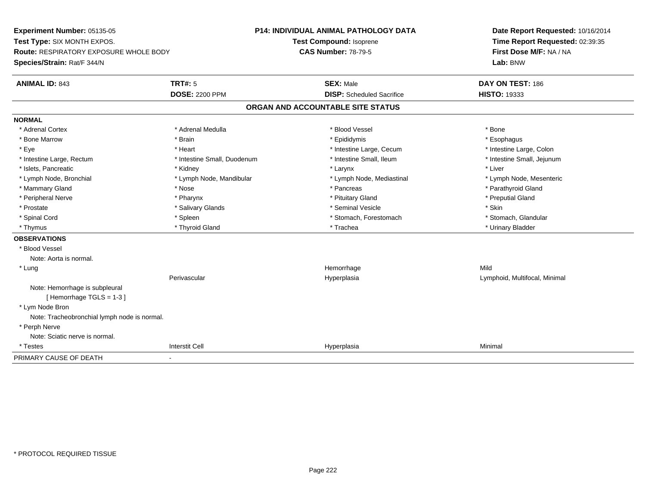**Experiment Number:** 05135-05**Test Type:** SIX MONTH EXPOS.**Route:** RESPIRATORY EXPOSURE WHOLE BODY**Species/Strain:** Rat/F 344/N**P14: INDIVIDUAL ANIMAL PATHOLOGY DATATest Compound:** Isoprene**CAS Number:** 78-79-5**Date Report Requested:** 10/16/2014**Time Report Requested:** 02:39:35**First Dose M/F:** NA / NA**Lab:** BNW**ANIMAL ID:** 843**TRT#:** 5 **SEX:** Male **DAY ON TEST:** 186 **DOSE:** 2200 PPM**DISP:** Scheduled Sacrifice **HISTO:** 19333 **ORGAN AND ACCOUNTABLE SITE STATUSNORMAL**\* Adrenal Cortex \* Adrenal Cortex \* \* Adrenal Medulla \* \* Adrenal Medulla \* \* Blood Vessel \* \* Brood Vessel \* \* Bone \* Esophagus \* Bone Marrow \* Brain \* Epididymis \* Esophagus \* Intestine Large, Colon \* Eye \* The matrice of the test of the test of the test of the test of the test of the test of the test of the test of the test of the test of the test of the test of the test of the test of the test of the test of the tes \* Intestine Small, Jejunum \* Intestine Large, Rectum \* Intestine Small, Duodenum \* Intestine Small, Ileum \* Intestine Small, Ileum \* Islets, Pancreatic \* \* \* Andrew \* Kidney \* \* Kidney \* \* Larynx \* Larynx \* \* Larynx \* \* Liver \* Liver \* Liver \* Lymph Node, Bronchial \* Lymph Node, Mandibular \* Lymph Node, Mediastinal \* Lymph Node, Mesenteric\* Mammary Gland \* The straight of the straight of the straight of the straight of the straight of the straight of the straight of Parathyroid Gland \* Pancreas \* Parathyroid Gland \* Peripheral Nerve \* \* \* \* Pharynx \* \* Pharynx \* \* \* Preputial Gland \* \* Preputial Gland \* \* Preputial Gland \* Prostate \* \* Salivary Glands \* \* Salivary Glands \* \* Seminal Vesicle \* \* \* Seminal Yestrich \* \* Skin \* \* Skin \* Stomach, Glandular \* Spinal Cord **\* Stomach, Forestomach \* Spinal Cord \*** Stomach, Forestomach \* Stomach, Forestomach \* Thymus \* Thyroid Gland \* Trachea \* Urinary Bladder \* **OBSERVATIONS** \* Blood VesselNote: Aorta is normal. \* Lungg and the state of the state of the state of the state of the Hemorrhage state of the Mild of the Mild of the S Perivascular Hyperplasia Lymphoid, Multifocal, Minimal Note: Hemorrhage is subpleural[ Hemorrhage TGLS = 1-3 ] \* Lym Node Bron Note: Tracheobronchial lymph node is normal. \* Perph Nerve Note: Sciatic nerve is normal. \* Testess Interstit Cell Hyperplasia a Minimal PRIMARY CAUSE OF DEATH-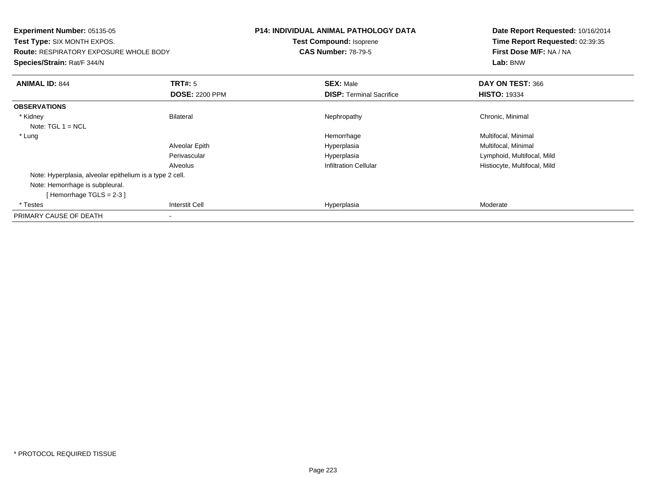| <b>Experiment Number: 05135-05</b><br><b>Test Type: SIX MONTH EXPOS.</b><br><b>Route: RESPIRATORY EXPOSURE WHOLE BODY</b><br>Species/Strain: Rat/F 344/N |                                  | <b>P14: INDIVIDUAL ANIMAL PATHOLOGY DATA</b><br><b>Test Compound: Isoprene</b><br><b>CAS Number: 78-79-5</b> | Date Report Requested: 10/16/2014<br>Time Report Requested: 02:39:35<br>First Dose M/F: NA / NA<br>Lab: BNW |
|----------------------------------------------------------------------------------------------------------------------------------------------------------|----------------------------------|--------------------------------------------------------------------------------------------------------------|-------------------------------------------------------------------------------------------------------------|
| <b>ANIMAL ID: 844</b>                                                                                                                                    | TRT#: 5<br><b>DOSE: 2200 PPM</b> | <b>SEX: Male</b><br><b>DISP: Terminal Sacrifice</b>                                                          | DAY ON TEST: 366<br><b>HISTO: 19334</b>                                                                     |
| <b>OBSERVATIONS</b>                                                                                                                                      |                                  |                                                                                                              |                                                                                                             |
| * Kidney<br>Note: $TGL 1 = NCL$                                                                                                                          | Bilateral                        | Nephropathy                                                                                                  | Chronic, Minimal                                                                                            |
| * Lung                                                                                                                                                   |                                  | Hemorrhage                                                                                                   | Multifocal, Minimal                                                                                         |
|                                                                                                                                                          | Alveolar Epith                   | Hyperplasia                                                                                                  | Multifocal, Minimal                                                                                         |
|                                                                                                                                                          | Perivascular                     | Hyperplasia                                                                                                  | Lymphoid, Multifocal, Mild                                                                                  |
|                                                                                                                                                          | Alveolus                         | <b>Infiltration Cellular</b>                                                                                 | Histiocyte, Multifocal, Mild                                                                                |
| Note: Hyperplasia, alveolar epithelium is a type 2 cell.                                                                                                 |                                  |                                                                                                              |                                                                                                             |
| Note: Hemorrhage is subpleural.<br>[Hemorrhage TGLS = $2-3$ ]                                                                                            |                                  |                                                                                                              |                                                                                                             |
| * Testes                                                                                                                                                 | <b>Interstit Cell</b>            | Hyperplasia                                                                                                  | Moderate                                                                                                    |
| PRIMARY CAUSE OF DEATH                                                                                                                                   |                                  |                                                                                                              |                                                                                                             |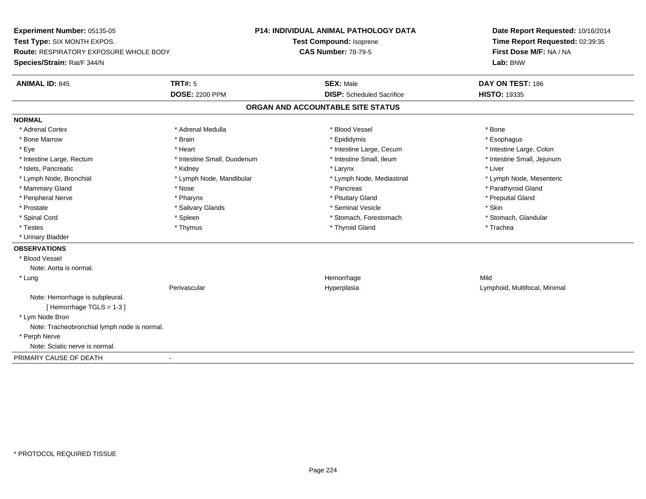**Experiment Number:** 05135-05**Test Type:** SIX MONTH EXPOS.**Route:** RESPIRATORY EXPOSURE WHOLE BODY**Species/Strain:** Rat/F 344/N**P14: INDIVIDUAL ANIMAL PATHOLOGY DATATest Compound:** Isoprene**CAS Number:** 78-79-5**Date Report Requested:** 10/16/2014**Time Report Requested:** 02:39:35**First Dose M/F:** NA / NA**Lab:** BNW**ANIMAL ID:** 845**TRT#:** 5 **SEX:** Male **DAY ON TEST:** 186 **DOSE:** 2200 PPM**DISP:** Scheduled Sacrifice **HISTO:** 19335 **ORGAN AND ACCOUNTABLE SITE STATUSNORMAL**\* Adrenal Cortex \* Adrenal Cortex \* \* Adrenal Medulla \* \* Adrenal Medulla \* \* Blood Vessel \* \* Brood Vessel \* \* Bone \* Esophagus \* Bone Marrow \* Brain \* Epididymis \* Esophagus \* Intestine Large, Colon \* Eye \* The matrice of the test of the test of the test of the test of the test of the test of the test of the test of the test of the test of the test of the test of the test of the test of the test of the test of the tes \* Intestine Small, Jejunum \* Intestine Large, Rectum \* Intestine Small, Duodenum \* Intestine Small, Ileum \* Intestine Small, Ileum \* Islets, Pancreatic \* \* \* Andrew \* Kidney \* \* Kidney \* \* Larynx \* Larynx \* \* Larynx \* \* Liver \* Liver \* Liver \* Lymph Node, Bronchial \* Lymph Node, Mandibular \* Lymph Node, Mediastinal \* Lymph Node, Mesenteric\* Mammary Gland \* The strain of the strain of the strain of the strain of the strain of the strain of the strain of the strain of the strain of the strain of the strain of the strain of the strain of the strain of the stra \* Peripheral Nerve \* \* \* \* Pharynx \* \* Pharynx \* \* \* Preputial Gland \* \* Preputial Gland \* \* Preputial Gland \* Prostate \* \* Salivary Glands \* \* Salivary Glands \* \* Seminal Vesicle \* \* \* Seminal Yestrich \* \* Skin \* \* Skin \* Stomach, Glandular \* Spinal Cord \* Spinal Cord \* Spinal Cord \* Stomach, Forestomach \* Spinal Cord \* Stomach, Forestomach \* Testes \* Thymus \* Thyroid Gland \* Trachea \* Urinary Bladder**OBSERVATIONS** \* Blood VesselNote: Aorta is normal. \* Lungg and the state of the state of the state of the state of the Hemorrhage state of the Mild of the Mild of the S Perivascular Hyperplasia Lymphoid, Multifocal, Minimal Note: Hemorrhage is subpleural.[ Hemorrhage TGLS = 1-3 ] \* Lym Node Bron Note: Tracheobronchial lymph node is normal. \* Perph Nerve Note: Sciatic nerve is normal.PRIMARY CAUSE OF DEATH-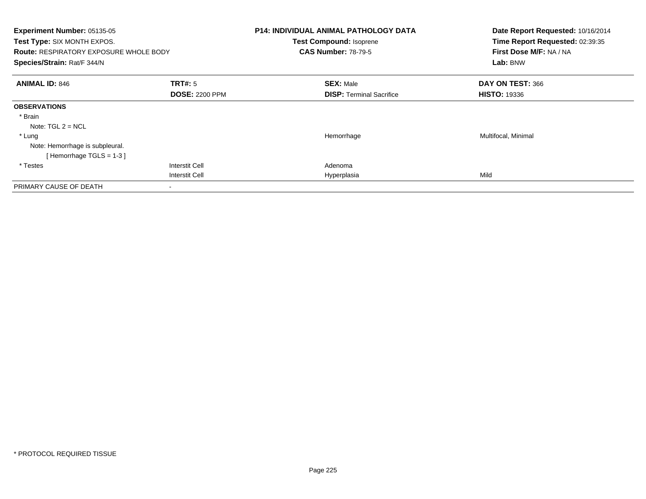| Experiment Number: 05135-05<br>Test Type: SIX MONTH EXPOS.<br><b>Route: RESPIRATORY EXPOSURE WHOLE BODY</b><br>Species/Strain: Rat/F 344/N |                                  | <b>P14: INDIVIDUAL ANIMAL PATHOLOGY DATA</b><br>Test Compound: Isoprene<br><b>CAS Number: 78-79-5</b> | Date Report Requested: 10/16/2014<br>Time Report Requested: 02:39:35<br>First Dose M/F: NA / NA<br>Lab: BNW |
|--------------------------------------------------------------------------------------------------------------------------------------------|----------------------------------|-------------------------------------------------------------------------------------------------------|-------------------------------------------------------------------------------------------------------------|
| <b>ANIMAL ID: 846</b>                                                                                                                      | TRT#: 5<br><b>DOSE: 2200 PPM</b> | <b>SEX: Male</b><br><b>DISP:</b> Terminal Sacrifice                                                   | DAY ON TEST: 366<br><b>HISTO: 19336</b>                                                                     |
| <b>OBSERVATIONS</b>                                                                                                                        |                                  |                                                                                                       |                                                                                                             |
| * Brain<br>Note: $TGL 2 = NCL$                                                                                                             |                                  |                                                                                                       |                                                                                                             |
| * Lung<br>Note: Hemorrhage is subpleural.<br>[Hemorrhage TGLS = $1-3$ ]                                                                    |                                  | Hemorrhage                                                                                            | Multifocal, Minimal                                                                                         |
| * Testes                                                                                                                                   | <b>Interstit Cell</b>            | Adenoma                                                                                               |                                                                                                             |
|                                                                                                                                            | <b>Interstit Cell</b>            | Hyperplasia                                                                                           | Mild                                                                                                        |
| PRIMARY CAUSE OF DEATH                                                                                                                     |                                  |                                                                                                       |                                                                                                             |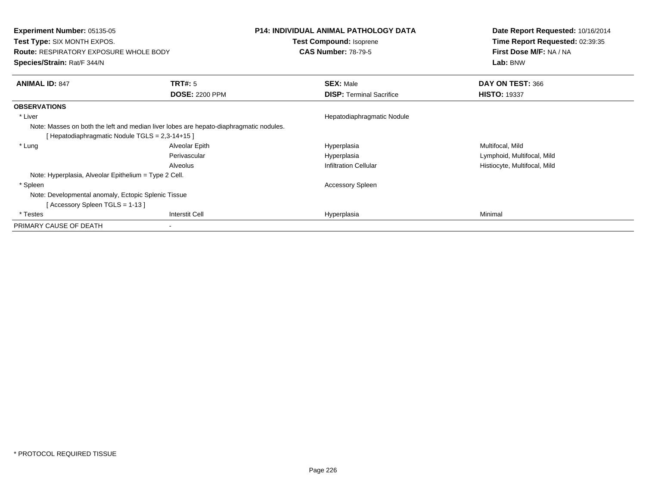| <b>Experiment Number: 05135-05</b><br><b>Test Type: SIX MONTH EXPOS.</b>               |                       | P14: INDIVIDUAL ANIMAL PATHOLOGY DATA<br>Test Compound: Isoprene | Date Report Requested: 10/16/2014<br>Time Report Requested: 02:39:35 |
|----------------------------------------------------------------------------------------|-----------------------|------------------------------------------------------------------|----------------------------------------------------------------------|
| <b>Route: RESPIRATORY EXPOSURE WHOLE BODY</b>                                          |                       | <b>CAS Number: 78-79-5</b>                                       | First Dose M/F: NA / NA                                              |
| <b>Species/Strain: Rat/F 344/N</b>                                                     |                       |                                                                  | Lab: BNW                                                             |
| <b>ANIMAL ID: 847</b>                                                                  | <b>TRT#: 5</b>        | <b>SEX: Male</b>                                                 | DAY ON TEST: 366                                                     |
|                                                                                        | <b>DOSE: 2200 PPM</b> | <b>DISP:</b> Terminal Sacrifice                                  | <b>HISTO: 19337</b>                                                  |
| <b>OBSERVATIONS</b>                                                                    |                       |                                                                  |                                                                      |
| * Liver                                                                                |                       | Hepatodiaphragmatic Nodule                                       |                                                                      |
| Note: Masses on both the left and median liver lobes are hepato-diaphragmatic nodules. |                       |                                                                  |                                                                      |
| [Hepatodiaphragmatic Nodule TGLS = 2,3-14+15]                                          |                       |                                                                  |                                                                      |
| * Lung                                                                                 | Alveolar Epith        | Hyperplasia                                                      | Multifocal, Mild                                                     |
|                                                                                        | Perivascular          | Hyperplasia                                                      | Lymphoid, Multifocal, Mild                                           |
|                                                                                        | Alveolus              | <b>Infiltration Cellular</b>                                     | Histiocyte, Multifocal, Mild                                         |
| Note: Hyperplasia, Alveolar Epithelium = Type 2 Cell.                                  |                       |                                                                  |                                                                      |
| * Spleen                                                                               |                       | <b>Accessory Spleen</b>                                          |                                                                      |
| Note: Developmental anomaly, Ectopic Splenic Tissue                                    |                       |                                                                  |                                                                      |
| [Accessory Spleen TGLS = $1-13$ ]                                                      |                       |                                                                  |                                                                      |
| * Testes                                                                               | <b>Interstit Cell</b> | Hyperplasia                                                      | Minimal                                                              |
| PRIMARY CAUSE OF DEATH                                                                 |                       |                                                                  |                                                                      |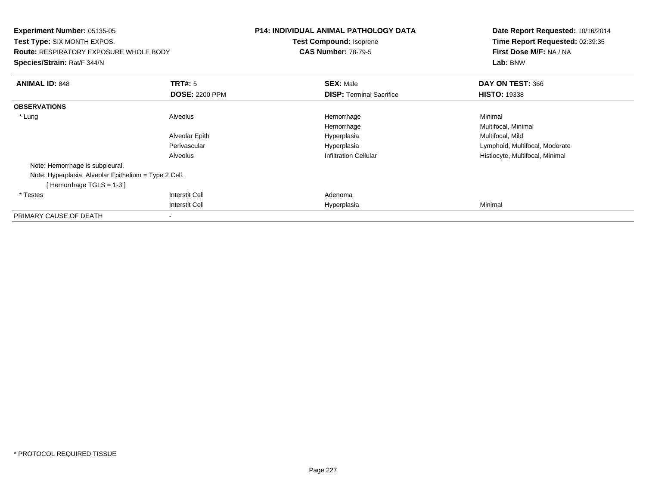| <b>Experiment Number: 05135-05</b><br><b>Test Type: SIX MONTH EXPOS.</b><br><b>Route: RESPIRATORY EXPOSURE WHOLE BODY</b><br>Species/Strain: Rat/F 344/N |                       | <b>P14: INDIVIDUAL ANIMAL PATHOLOGY DATA</b><br>Test Compound: Isoprene<br><b>CAS Number: 78-79-5</b> | Date Report Requested: 10/16/2014<br>Time Report Requested: 02:39:35<br>First Dose M/F: NA / NA<br>Lab: BNW |
|----------------------------------------------------------------------------------------------------------------------------------------------------------|-----------------------|-------------------------------------------------------------------------------------------------------|-------------------------------------------------------------------------------------------------------------|
| <b>ANIMAL ID: 848</b>                                                                                                                                    | <b>TRT#:</b> 5        | <b>SEX: Male</b>                                                                                      | DAY ON TEST: 366                                                                                            |
|                                                                                                                                                          | <b>DOSE: 2200 PPM</b> | <b>DISP:</b> Terminal Sacrifice                                                                       | <b>HISTO: 19338</b>                                                                                         |
| <b>OBSERVATIONS</b>                                                                                                                                      |                       |                                                                                                       |                                                                                                             |
| * Lung                                                                                                                                                   | Alveolus              | Hemorrhage                                                                                            | Minimal                                                                                                     |
|                                                                                                                                                          |                       | Hemorrhage                                                                                            | Multifocal, Minimal                                                                                         |
|                                                                                                                                                          | Alveolar Epith        | Hyperplasia                                                                                           | Multifocal, Mild                                                                                            |
|                                                                                                                                                          | Perivascular          | Hyperplasia                                                                                           | Lymphoid, Multifocal, Moderate                                                                              |
|                                                                                                                                                          | Alveolus              | <b>Infiltration Cellular</b>                                                                          | Histiocyte, Multifocal, Minimal                                                                             |
| Note: Hemorrhage is subpleural.                                                                                                                          |                       |                                                                                                       |                                                                                                             |
| Note: Hyperplasia, Alveolar Epithelium = Type 2 Cell.                                                                                                    |                       |                                                                                                       |                                                                                                             |
| [Hemorrhage TGLS = $1-3$ ]                                                                                                                               |                       |                                                                                                       |                                                                                                             |
| * Testes                                                                                                                                                 | Interstit Cell        | Adenoma                                                                                               |                                                                                                             |
|                                                                                                                                                          | Interstit Cell        | Hyperplasia                                                                                           | Minimal                                                                                                     |
| PRIMARY CAUSE OF DEATH                                                                                                                                   |                       |                                                                                                       |                                                                                                             |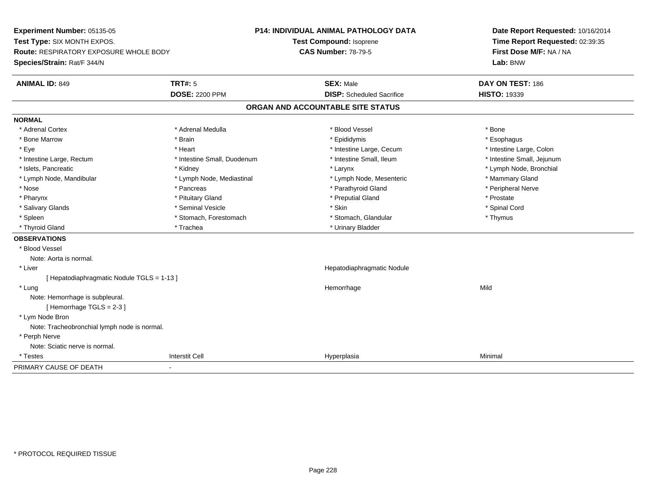**Experiment Number:** 05135-05**Test Type:** SIX MONTH EXPOS.**Route:** RESPIRATORY EXPOSURE WHOLE BODY**Species/Strain:** Rat/F 344/N**P14: INDIVIDUAL ANIMAL PATHOLOGY DATATest Compound:** Isoprene**CAS Number:** 78-79-5**Date Report Requested:** 10/16/2014**Time Report Requested:** 02:39:35**First Dose M/F:** NA / NA**Lab:** BNW**ANIMAL ID:** 849**TRT#:** 5 **SEX:** Male **DAY ON TEST:** 186 **DOSE:** 2200 PPM**DISP:** Scheduled Sacrifice **HISTO:** 19339 **ORGAN AND ACCOUNTABLE SITE STATUSNORMAL**\* Adrenal Cortex \* Adrenal Cortex \* \* Adrenal Medulla \* \* Adrenal Medulla \* \* Blood Vessel \* \* Brood Vessel \* \* Bone \* Esophagus \* Bone Marrow \* Brain \* Epididymis \* Esophagus \* Intestine Large, Colon \* Eye \* The matter and the state of the test of the test of the test of the test of the test of the test of the test of the test of the test of the test of the test of the test of the test of the test of the test of test o \* Intestine Small, Jejunum \* Intestine Large, Rectum \* Intestine Small, Duodenum \* Intestine Small, Ileum \* Intestine Small, Ileum \* Islets, Pancreatic \* Kidney \* Larynx \* Lymph Node, Bronchial \* Lymph Node, Mandibular \* Lymph Node, Mediastinal \* Lymph Node, Mesenteric \* Mammary Gland \* Peripheral Nerve \* Nose \* \* Pancreas \* \* Pancreas \* \* Pancreas \* \* Parathyroid Gland \* \* Peripheral Nerve \* Peripheral Nerve \* \* Pharynx \* Pituitary Gland \* Preputial Gland \* Prostate \* Spinal Cord \* Salivary Glands \* \* Seminal Vesicle \* \* Seminal Vesicle \* \* Skin \* \* Skin \* \* Stember \* Spinal Cord \* Spinal Cord \* Spinal Cord \* Spinal Cord \* Spinal Cord \* Spinal Cord \* Spinal Cord \* Spinal Cord \* Spinal Cord \* Spinal \* Spleen \* Stomach, Forestomach \* Stomach \* Stomach, Glandular \* Stomach, Glandular \* Thymus \* Thyroid Gland \* Trachea \* Trachea \* Trachea \* Trachea \* Urinary Bladder **OBSERVATIONS** \* Blood VesselNote: Aorta is normal. \* Liver Hepatodiaphragmatic Nodule[ Hepatodiaphragmatic Nodule TGLS = 1-13 ] \* Lungg and the state of the state of the state of the state of the Hemorrhage state of the Mild of the Mild of the S Note: Hemorrhage is subpleural.[ Hemorrhage TGLS = 2-3 ] \* Lym Node Bron Note: Tracheobronchial lymph node is normal. \* Perph Nerve Note: Sciatic nerve is normal. \* Testess Interstit Cell Hyperplasia a Minimal PRIMARY CAUSE OF DEATH-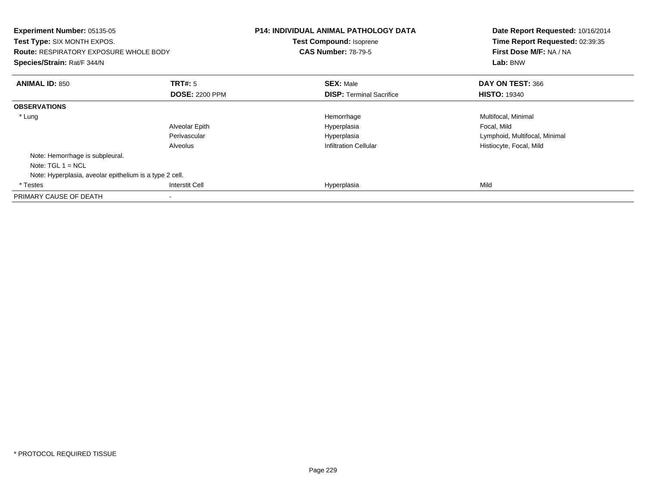| <b>Experiment Number: 05135-05</b><br><b>Test Type: SIX MONTH EXPOS.</b><br><b>Route: RESPIRATORY EXPOSURE WHOLE BODY</b><br>Species/Strain: Rat/F 344/N |                       | <b>P14: INDIVIDUAL ANIMAL PATHOLOGY DATA</b><br><b>Test Compound: Isoprene</b><br><b>CAS Number: 78-79-5</b> | Date Report Requested: 10/16/2014<br>Time Report Requested: 02:39:35<br>First Dose M/F: NA / NA<br>Lab: BNW |
|----------------------------------------------------------------------------------------------------------------------------------------------------------|-----------------------|--------------------------------------------------------------------------------------------------------------|-------------------------------------------------------------------------------------------------------------|
| <b>ANIMAL ID: 850</b>                                                                                                                                    | TRT#: 5               | <b>SEX: Male</b>                                                                                             | DAY ON TEST: 366                                                                                            |
|                                                                                                                                                          | <b>DOSE: 2200 PPM</b> | <b>DISP:</b> Terminal Sacrifice                                                                              | <b>HISTO: 19340</b>                                                                                         |
| <b>OBSERVATIONS</b>                                                                                                                                      |                       |                                                                                                              |                                                                                                             |
| * Lung                                                                                                                                                   |                       | Hemorrhage                                                                                                   | Multifocal, Minimal                                                                                         |
|                                                                                                                                                          | Alveolar Epith        | Hyperplasia                                                                                                  | Focal, Mild                                                                                                 |
|                                                                                                                                                          | Perivascular          | Hyperplasia                                                                                                  | Lymphoid, Multifocal, Minimal                                                                               |
|                                                                                                                                                          | Alveolus              | <b>Infiltration Cellular</b>                                                                                 | Histiocyte, Focal, Mild                                                                                     |
| Note: Hemorrhage is subpleural.                                                                                                                          |                       |                                                                                                              |                                                                                                             |
| Note: $TGL 1 = NCL$                                                                                                                                      |                       |                                                                                                              |                                                                                                             |
| Note: Hyperplasia, aveolar epithelium is a type 2 cell.                                                                                                  |                       |                                                                                                              |                                                                                                             |
| * Testes                                                                                                                                                 | <b>Interstit Cell</b> | Hyperplasia                                                                                                  | Mild                                                                                                        |
| PRIMARY CAUSE OF DEATH                                                                                                                                   |                       |                                                                                                              |                                                                                                             |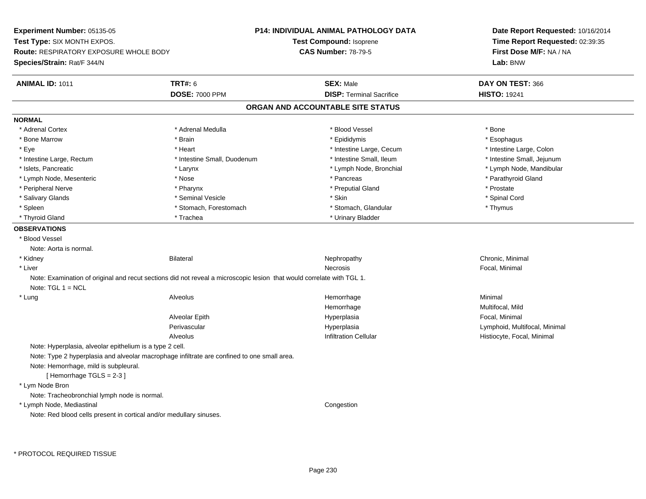**Experiment Number:** 05135-05**Test Type:** SIX MONTH EXPOS.**Route:** RESPIRATORY EXPOSURE WHOLE BODY**Species/Strain:** Rat/F 344/N**P14: INDIVIDUAL ANIMAL PATHOLOGY DATATest Compound:** Isoprene**CAS Number:** 78-79-5**Date Report Requested:** 10/16/2014**Time Report Requested:** 02:39:35**First Dose M/F:** NA / NA**Lab:** BNW**ANIMAL ID:** 1011**TRT#:** 6 **SEX:** Male **DAY ON TEST:** 366 **DOSE:** 7000 PPM**DISP:** Terminal Sacrifice **HISTO:** 19241 **ORGAN AND ACCOUNTABLE SITE STATUSNORMAL**\* Adrenal Cortex \* Adrenal Cortex \* \* Adrenal Medulla \* \* Adrenal Medulla \* \* Blood Vessel \* \* Brood Vessel \* \* Bone \* Esophagus \* Bone Marrow \* Brain \* Epididymis \* Esophagus \* Intestine Large, Colon \* Eye \* The state \* Intestine Large, Cecum \* Heart \* **Intestine Large, Cecum** \* Intestine Large, Cecum \* Intestine Small, Jejunum \* Intestine Large, Rectum \* Intestine Small, Duodenum \* Intestine Small, Duodenum \* 1ntestine Small, Ileum \* Islets, Pancreatic \* Larynx \* Lymph Node, Bronchial \* Lymph Node, Mandibular \* Lymph Node, Mesenteric \* The state of the state of the state of the state of the state of the state of the state of the state of the state of the state of the state of the state of the state of the state of the state of \* Peripheral Nerve \* \* \* Pharynx \* Pharynx \* \* Pharynx \* \* Preputial Gland \* \* Preputial Gland \* \* Prostate \* Spinal Cord \* Salivary Glands \* \* Seminal Vesicle \* \* Seminal Vesicle \* \* Skin \* \* Skin \* \* Stember \* Spinal Cord \* Spinal Cord \* Spinal Cord \* Spinal Cord \* Spinal Cord \* Spinal Cord \* Spinal Cord \* Spinal Cord \* Spinal Cord \* Spinal \* Spleen \* Stomach, Forestomach \* Stomach \* Stomach, Glandular \* Stomach, Glandular \* Thymus \* Thyroid Gland \* Trachea \* Trachea \* Trachea \* Thyroid Gland \* Urinary Bladder **OBSERVATIONS** \* Blood VesselNote: Aorta is normal. \* Kidneyy the controller of the Bilateral Chronic, Minimal and the Mechanic Mephropathy the Chronic, Minimal Chronic, Minimal Schronic, Minimal Schronic, Minimal Schronic, Minimal Schronic, Minimal Schronic, Minimal Schronic, Mini \* Liverr and the contract of the contract of the contract of the contract of the contract of the contract of the contract of the contract of the contract of the contract of the contract of the contract of the contract of the cont Necrosis **Focal, Minimal** Note: Examination of original and recut sections did not reveal a microscopic lesion that would correlate with TGL 1.Note: TGL 1 = NCL \* Lung Alveolus Hemorrhage Minimal Hemorrhage Multifocal, Mild Alveolar Epith Hyperplasia Focal, Minimal Perivascular Hyperplasia Lymphoid, Multifocal, Minimal AlveolusInfiltration Cellular **Histiocyte**, Focal, Minimal Note: Hyperplasia, alveolar epithelium is a type 2 cell.Note: Type 2 hyperplasia and alveolar macrophage infiltrate are confined to one small area.Note: Hemorrhage, mild is subpleural.[ Hemorrhage TGLS = 2-3 ] \* Lym Node Bron Note: Tracheobronchial lymph node is normal. \* Lymph Node, Mediastinal CongestionNote: Red blood cells present in cortical and/or medullary sinuses.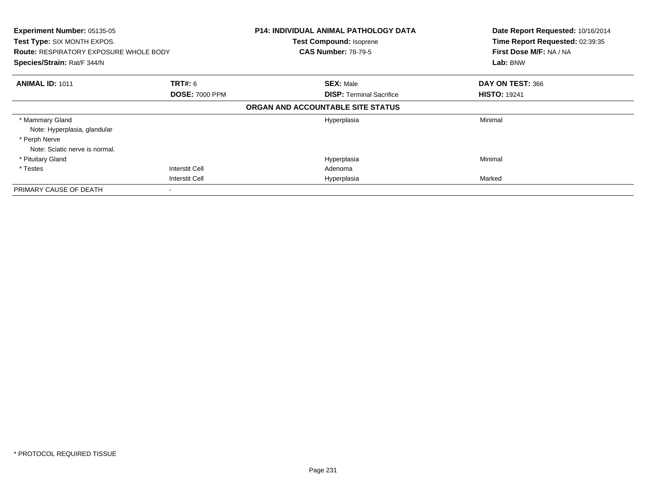| Experiment Number: 05135-05<br>Test Type: SIX MONTH EXPOS.<br><b>Route: RESPIRATORY EXPOSURE WHOLE BODY</b><br>Species/Strain: Rat/F 344/N |                       | <b>P14: INDIVIDUAL ANIMAL PATHOLOGY DATA</b><br><b>Test Compound: Isoprene</b><br><b>CAS Number: 78-79-5</b> | Date Report Requested: 10/16/2014<br>Time Report Requested: 02:39:35<br>First Dose M/F: NA / NA<br>Lab: BNW |
|--------------------------------------------------------------------------------------------------------------------------------------------|-----------------------|--------------------------------------------------------------------------------------------------------------|-------------------------------------------------------------------------------------------------------------|
|                                                                                                                                            |                       |                                                                                                              |                                                                                                             |
| <b>ANIMAL ID: 1011</b>                                                                                                                     | <b>TRT#:</b> 6        | <b>SEX: Male</b>                                                                                             | DAY ON TEST: 366                                                                                            |
|                                                                                                                                            | <b>DOSE: 7000 PPM</b> | <b>DISP:</b> Terminal Sacrifice                                                                              | <b>HISTO: 19241</b>                                                                                         |
|                                                                                                                                            |                       | ORGAN AND ACCOUNTABLE SITE STATUS                                                                            |                                                                                                             |
| * Mammary Gland                                                                                                                            |                       | Hyperplasia                                                                                                  | Minimal                                                                                                     |
| Note: Hyperplasia, glandular                                                                                                               |                       |                                                                                                              |                                                                                                             |
| * Perph Nerve                                                                                                                              |                       |                                                                                                              |                                                                                                             |
| Note: Sciatic nerve is normal.                                                                                                             |                       |                                                                                                              |                                                                                                             |
| * Pituitary Gland                                                                                                                          |                       | Hyperplasia                                                                                                  | Minimal                                                                                                     |
| * Testes                                                                                                                                   | <b>Interstit Cell</b> | Adenoma                                                                                                      |                                                                                                             |
|                                                                                                                                            | <b>Interstit Cell</b> | Hyperplasia                                                                                                  | Marked                                                                                                      |
| PRIMARY CAUSE OF DEATH                                                                                                                     |                       |                                                                                                              |                                                                                                             |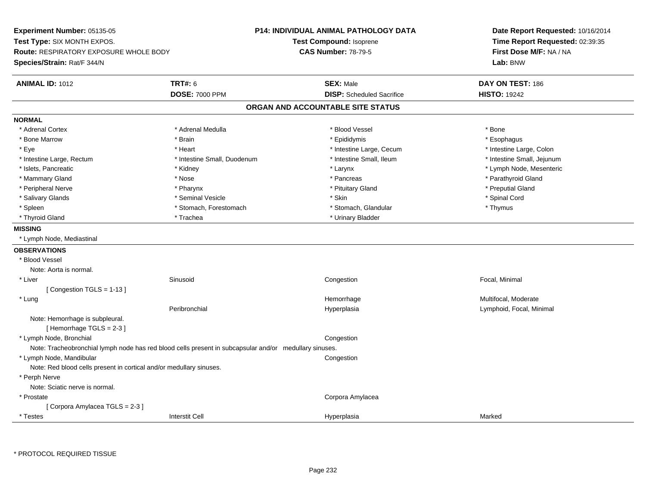**Experiment Number:** 05135-05**Test Type:** SIX MONTH EXPOS.**Route:** RESPIRATORY EXPOSURE WHOLE BODY**Species/Strain:** Rat/F 344/N**P14: INDIVIDUAL ANIMAL PATHOLOGY DATATest Compound:** Isoprene**CAS Number:** 78-79-5**Date Report Requested:** 10/16/2014**Time Report Requested:** 02:39:35**First Dose M/F:** NA / NA**Lab:** BNW**ANIMAL ID:** 1012 **TRT#:** <sup>6</sup> **SEX:** Male **DAY ON TEST:** <sup>186</sup> **DOSE:** 7000 PPM**DISP:** Scheduled Sacrifice **HISTO:** 19242 **ORGAN AND ACCOUNTABLE SITE STATUSNORMAL**\* Adrenal Cortex \* Adrenal Cortex \* \* Adrenal Medulla \* \* Adrenal Medulla \* \* Blood Vessel \* \* Brood Vessel \* \* Bone \* Esophagus \* Bone Marrow \* Brain \* Epididymis \* Esophagus \* Intestine Large, Colon \* Eye \* The state \* Intestine Large, Cecum \* Heart \* **Intestine Large, Cecum** \* Intestine Large, Cecum \* Intestine Small, Jejunum \* Intestine Large, Rectum \* Intestine Small, Duodenum \* Intestine Small, Duodenum \* 1ntestine Small, Ileum \* Islets, Pancreatic \* \* Widney \* Kidney \* \* Kidney \* Larynx \* Larynx \* Larynx \* Letter \* Number \* Larynx \* Lymph Node, Mesenteric \* Mammary Gland \* \* Nose \* \* Nose \* \* Pancreas \* Pancreas \* \* Pancreas \* \* Pancreas \* \* Pancreas \* \* Parathyroid Gland \* Peripheral Nerve \* \* \* \* Pharynx \* \* Pharynx \* \* \* Preputial Gland \* \* Preputial Gland \* \* Preputial Gland \* Salivary Glands \* \* Seminal Vesicle \* \* Seminal Vesicle \* \* Skin \* \* Skin \* \* Stember \* Spinal Cord \* Spinal Cord \* Spinal Cord \* Spinal Cord \* Spinal Cord \* Spinal Cord \* Spinal Cord \* Spinal Cord \* Spinal Cord \* Spinal \* Spleen \* Stomach, Forestomach \* Stomach \* Stomach, Glandular \* Stomach, Glandular \* Thymus \* Thyroid Gland \* Trachea \* Trachea \* Trachea \* Thyroid Gland **MISSING** \* Lymph Node, Mediastinal**OBSERVATIONS** \* Blood VesselNote: Aorta is normal. \* Liver Sinusoid Congestion Focal, Minimal [ Congestion TGLS = 1-13 ] \* Lungg was a state of the monotonic metallic of the Multifocal, Moderate of the Multifocal, Moderate of the Multifocal, Moderate of the Multifocal, Moderate of the Multifocal, Moderate of the Multifocal, Moderate of the Multifo Peribronchial Hyperplasia Lymphoid, Focal, Minimal Note: Hemorrhage is subpleural. $[$  Hemorrhage TGLS = 2-3  $]$  \* Lymph Node, Bronchial CongestionNote: Tracheobronchial lymph node has red blood cells present in subcapsular and/or medullary sinuses. \* Lymph Node, Mandibular**Example 2** is a state of the congression of the congression of the congression of the congression of the congression Note: Red blood cells present in cortical and/or medullary sinuses. \* Perph Nerve Note: Sciatic nerve is normal. \* Prostate Corpora Amylacea [ Corpora Amylacea TGLS = 2-3 ] \* Testess and the contraction of the contraction of the contraction of the contraction of the contraction of the contraction of the contraction of the contraction of the contraction of the contraction of the contraction of the con a Marked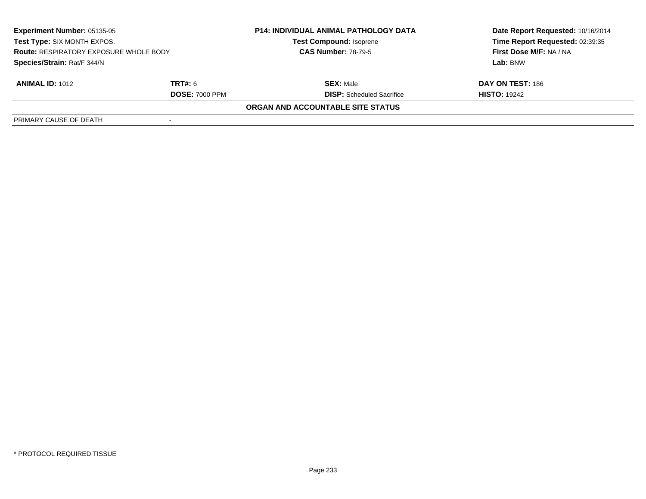| <b>Experiment Number: 05135-05</b><br>Test Type: SIX MONTH EXPOS.<br><b>Route: RESPIRATORY EXPOSURE WHOLE BODY</b><br>Species/Strain: Rat/F 344/N |                | <b>P14: INDIVIDUAL ANIMAL PATHOLOGY DATA</b><br><b>Test Compound: Isoprene</b><br><b>CAS Number: 78-79-5</b> | Date Report Requested: 10/16/2014 |
|---------------------------------------------------------------------------------------------------------------------------------------------------|----------------|--------------------------------------------------------------------------------------------------------------|-----------------------------------|
|                                                                                                                                                   |                |                                                                                                              | Time Report Requested: 02:39:35   |
|                                                                                                                                                   |                |                                                                                                              | First Dose M/F: NA / NA           |
|                                                                                                                                                   |                |                                                                                                              | Lab: BNW                          |
| <b>ANIMAL ID: 1012</b>                                                                                                                            | <b>TRT#:</b> 6 | <b>SEX: Male</b>                                                                                             | DAY ON TEST: 186                  |
| <b>DOSE: 7000 PPM</b>                                                                                                                             |                | <b>DISP:</b> Scheduled Sacrifice                                                                             | <b>HISTO: 19242</b>               |
|                                                                                                                                                   |                | ORGAN AND ACCOUNTABLE SITE STATUS                                                                            |                                   |
| PRIMARY CAUSE OF DEATH                                                                                                                            |                |                                                                                                              |                                   |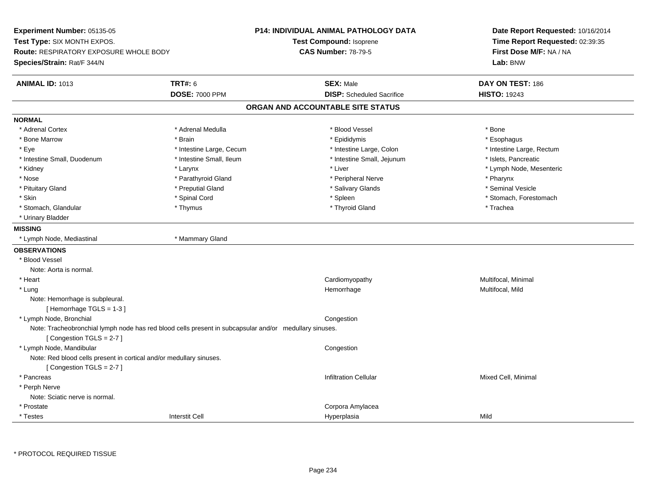**Experiment Number:** 05135-05**Test Type:** SIX MONTH EXPOS.**Route:** RESPIRATORY EXPOSURE WHOLE BODY**Species/Strain:** Rat/F 344/N**P14: INDIVIDUAL ANIMAL PATHOLOGY DATATest Compound:** Isoprene**CAS Number:** 78-79-5**Date Report Requested:** 10/16/2014**Time Report Requested:** 02:39:35**First Dose M/F:** NA / NA**Lab:** BNW**ANIMAL ID:** 1013**TRT#:** 6 **SEX:** Male **DAY ON TEST:** 186 **DOSE:** 7000 PPM**DISP:** Scheduled Sacrifice **HISTO:** 19243 **ORGAN AND ACCOUNTABLE SITE STATUSNORMAL**\* Adrenal Cortex \* Adrenal Cortex \* \* Adrenal Medulla \* \* Adrenal Medulla \* \* Blood Vessel \* \* Brood Vessel \* \* Bone \* Esophagus \* Bone Marrow \* Brain \* Epididymis \* Esophagus \* Eye \* Thestine Large, Cecum \* Intestine Large, Cecum \* Intestine Large, Colon \* Intestine Large, Rectum \* Intestine Large, Rectum \* Intestine Small, Duodenum \* Intestine Small, Ileum \* Intestine Small, Intestine Small, Jejunum \* Islets, Pancreatic \* Kidney \* The mode, Mesenteric \* Larynx \* Larynx \* Larynx \* Liver \* Liver \* Liver \* Liver \* Liver \* Lymph Node, Mesenteric \* Nose \* Parathyroid Gland \* Parathyroid Gland \* Peripheral Nerve \* Posterious \* Pharynx \* Seminal Vesicle \* Pituitary Gland \* \* Annual Cland \* \* Preputial Gland \* \* \* \* Salivary Glands \* \* Seminal Vesicle \* \* Seminal Vesicle \* Skin \* Spinal Cord \* Spinal Cord \* Spinal Cord \* Spinal \* Spinal \* Stomach, Forestomach \* Stomach, Forestomach \* Stomach, Glandular \* Thymus \* Thymus \* Thymus \* Thyroid Gland \* Thyroid Gland \* Trachea \* Urinary Bladder**MISSING** \* Lymph Node, Mediastinal \* Mammary Gland**OBSERVATIONS** \* Blood VesselNote: Aorta is normal. \* Heart Cardiomyopathy Multifocal, Minimal \* Lungg and the morrhage of the morrhage of the morrhage of the Multifocal, Mild and the Multifocal, Mild and the morrhage  $\mu$ Note: Hemorrhage is subpleural.[ Hemorrhage TGLS = 1-3 ] \* Lymph Node, Bronchial CongestionNote: Tracheobronchial lymph node has red blood cells present in subcapsular and/or medullary sinuses.[ Congestion TGLS = 2-7 ] \* Lymph Node, Mandibular**Example 2** is a state of the congression of the congression of the congression of the congression of the congression Note: Red blood cells present in cortical and/or medullary sinuses.[ Congestion TGLS = 2-7 ] \* Pancreass and the contraction Cellular Minimal of the Mixed Cell, Minimal of the contraction Cellular Mixed Cell, Minimal of the contraction  $\mathbf{C}$  and  $\mathbf{C}$  and  $\mathbf{C}$  and  $\mathbf{C}$  and  $\mathbf{C}$  and  $\mathbf{C}$  and  $\mathbf{C}$  an \* Perph Nerve Note: Sciatic nerve is normal. \* Prostate Corpora Amylacea \* Testess and the contraction of the contraction of the contraction of the contraction of the contraction of the contraction of the contraction of the contraction of the contraction of the contraction of the contraction of the con a Mild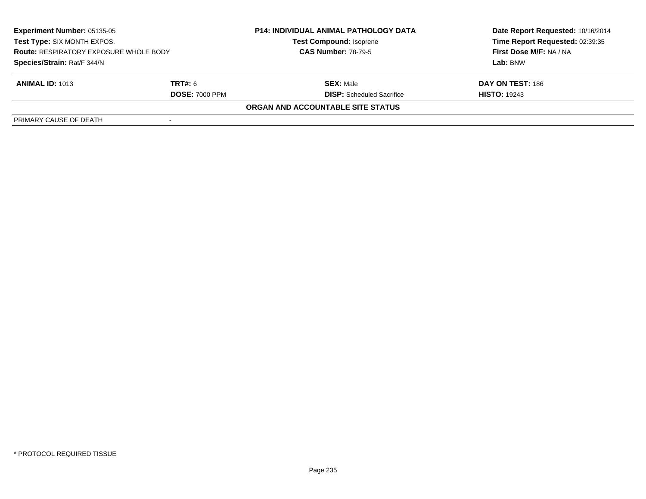| <b>Experiment Number: 05135-05</b><br>Test Type: SIX MONTH EXPOS.<br><b>Route: RESPIRATORY EXPOSURE WHOLE BODY</b><br>Species/Strain: Rat/F 344/N |                | <b>P14: INDIVIDUAL ANIMAL PATHOLOGY DATA</b><br><b>Test Compound: Isoprene</b><br><b>CAS Number: 78-79-5</b> | Date Report Requested: 10/16/2014<br>Time Report Requested: 02:39:35 |
|---------------------------------------------------------------------------------------------------------------------------------------------------|----------------|--------------------------------------------------------------------------------------------------------------|----------------------------------------------------------------------|
|                                                                                                                                                   |                |                                                                                                              | First Dose M/F: NA / NA                                              |
|                                                                                                                                                   |                |                                                                                                              | Lab: BNW                                                             |
| <b>ANIMAL ID: 1013</b>                                                                                                                            | <b>TRT#:</b> 6 | <b>SEX: Male</b>                                                                                             | DAY ON TEST: 186                                                     |
| <b>DOSE: 7000 PPM</b>                                                                                                                             |                | <b>DISP:</b> Scheduled Sacrifice                                                                             | <b>HISTO: 19243</b>                                                  |
|                                                                                                                                                   |                | ORGAN AND ACCOUNTABLE SITE STATUS                                                                            |                                                                      |
| PRIMARY CAUSE OF DEATH                                                                                                                            |                |                                                                                                              |                                                                      |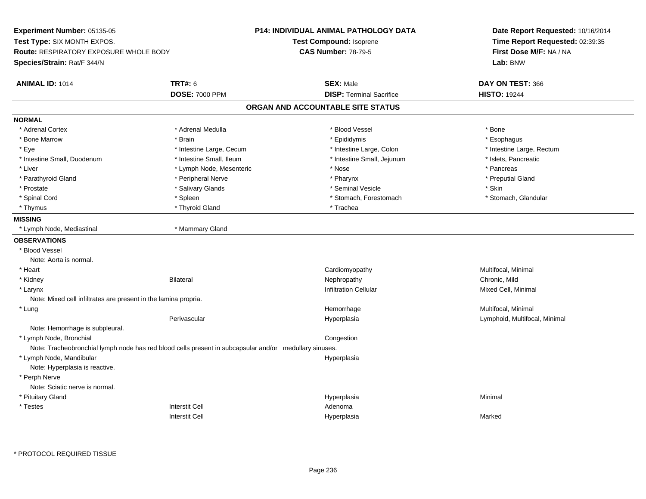**Experiment Number:** 05135-05**Test Type:** SIX MONTH EXPOS.**Route:** RESPIRATORY EXPOSURE WHOLE BODY**Species/Strain:** Rat/F 344/N**P14: INDIVIDUAL ANIMAL PATHOLOGY DATATest Compound:** Isoprene**CAS Number:** 78-79-5**Date Report Requested:** 10/16/2014**Time Report Requested:** 02:39:35**First Dose M/F:** NA / NA**Lab:** BNW**ANIMAL ID:** 1014 **TRT#:** <sup>6</sup> **SEX:** Male **DAY ON TEST:** <sup>366</sup> **DOSE:** 7000 PPM**DISP:** Terminal Sacrifice **HISTO:** 19244 **ORGAN AND ACCOUNTABLE SITE STATUSNORMAL**\* Adrenal Cortex \* Adrenal Cortex \* \* Adrenal Medulla \* \* Adrenal Medulla \* \* Blood Vessel \* \* Brood Vessel \* \* Bone \* Esophagus \* Bone Marrow \* Brain \* Epididymis \* Esophagus \* Eye \* Thestine Large, Cecum \* Intestine Large, Cecum \* Intestine Large, Colon \* Intestine Large, Rectum \* Intestine Large, Rectum \* Intestine Small, Duodenum \* Intestine Small, Ileum \* Intestine Small, Intestine Small, Jejunum \* Islets, Pancreatic \* Liver \* Nose \* Lymph Node, Mesenteric \* Nose \* Nose \* Nose \* Pancreas \* Pancreas \* Pancreas \* Pancreas \* Pancreas \* Pancreas \* Pancreas \* Pancreas \* Pancreas \* Pancreas \* Pancreas \* Pancreas \* Pancreas \* Pancreas \* Pancr \* Preputial Gland \* Parathyroid Gland \* \* \* Peripheral Nerve \* \* Peripheral Nerve \* \* Pharynx \* \* Pharynx \* \* Preputial Gland \* Prostate \* \* Salivary Glands \* \* Salivary Glands \* \* Seminal Vesicle \* \* \* Seminal Yestrich \* \* Skin \* \* Skin \* Stomach, Glandular \* Spinal Cord \* Spinal Cord \* Spinal Cord \* Stomach, Forestomach \* Stomach, Forestomach \* Stomach, Forestomach \* Thymus \* Thyroid Gland \* Thyroid Gland \* The \* Trachea **MISSING** \* Lymph Node, Mediastinal \* Mammary Gland**OBSERVATIONS** \* Blood VesselNote: Aorta is normal. \* Heart Cardiomyopathy Multifocal, Minimal \* Kidney Bilateral Nephropathy Chronic, MildMixed Cell, Minimal \* Larynxx and the state of the control of the control of the control of the control of the control of the control of the control of the control of the control of the control of the control of the control of the control of the cont Note: Mixed cell infiltrates are present in the lamina propria. \* Lungg and the morrhage of the morrhage of the morrhage of the morrhage  $\mathsf{M}$ ultifocal, Minimal and the morrhage of the morrhage of the morrhage of the morrhage of the morrhage of the morrhage of the morrhage of the morrhage Perivascular Hyperplasia Lymphoid, Multifocal, Minimal Note: Hemorrhage is subpleural. \* Lymph Node, Bronchial CongestionNote: Tracheobronchial lymph node has red blood cells present in subcapsular and/or medullary sinuses. \* Lymph Node, Mandibularr and the contract of the contract of the contract of the contract of the contract of the contract of the contract of the contract of the contract of the contract of the contract of the contract of the contract of the cont Note: Hyperplasia is reactive. \* Perph Nerve Note: Sciatic nerve is normal. \* Pituitary Glandd and the control of the control of the control of the control of the control of the control of the control of the control of the control of the control of the control of the control of the control of the control of the co \* Testess and the contractive contractive contractive contractive contractive contractive contractive contractive contractive contractive contractive contractive contractive contractive contractive contractive contractive contract I and the contract of the Hyperplasia Interstit Cella **Marked** 

\* PROTOCOL REQUIRED TISSUE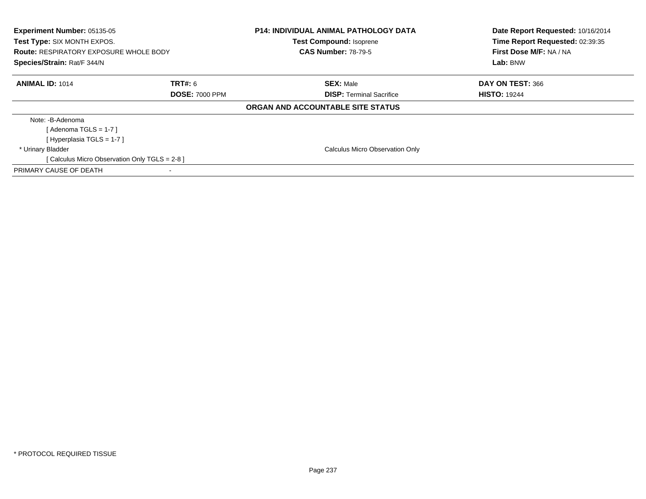| <b>Experiment Number: 05135-05</b><br><b>Test Type: SIX MONTH EXPOS.</b><br><b>Route: RESPIRATORY EXPOSURE WHOLE BODY</b><br>Species/Strain: Rat/F 344/N |                       | <b>P14: INDIVIDUAL ANIMAL PATHOLOGY DATA</b><br><b>Test Compound: Isoprene</b><br><b>CAS Number: 78-79-5</b> | Date Report Requested: 10/16/2014<br>Time Report Requested: 02:39:35<br>First Dose M/F: NA / NA<br>Lab: BNW |
|----------------------------------------------------------------------------------------------------------------------------------------------------------|-----------------------|--------------------------------------------------------------------------------------------------------------|-------------------------------------------------------------------------------------------------------------|
| <b>ANIMAL ID: 1014</b>                                                                                                                                   | TRT#: 6               | <b>SEX: Male</b>                                                                                             | DAY ON TEST: 366                                                                                            |
|                                                                                                                                                          | <b>DOSE: 7000 PPM</b> | <b>DISP:</b> Terminal Sacrifice                                                                              | <b>HISTO: 19244</b>                                                                                         |
|                                                                                                                                                          |                       | ORGAN AND ACCOUNTABLE SITE STATUS                                                                            |                                                                                                             |
| Note: -B-Adenoma                                                                                                                                         |                       |                                                                                                              |                                                                                                             |
| [Adenoma TGLS = $1-7$ ]                                                                                                                                  |                       |                                                                                                              |                                                                                                             |
| [Hyperplasia TGLS = $1-7$ ]                                                                                                                              |                       |                                                                                                              |                                                                                                             |
| * Urinary Bladder                                                                                                                                        |                       | <b>Calculus Micro Observation Only</b>                                                                       |                                                                                                             |
| [ Calculus Micro Observation Only TGLS = 2-8 ]                                                                                                           |                       |                                                                                                              |                                                                                                             |
| PRIMARY CAUSE OF DEATH                                                                                                                                   | $\,$                  |                                                                                                              |                                                                                                             |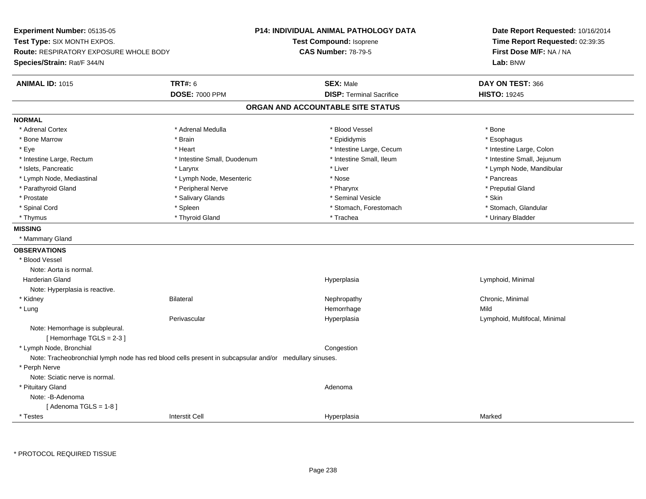**Experiment Number:** 05135-05**Test Type:** SIX MONTH EXPOS.**Route:** RESPIRATORY EXPOSURE WHOLE BODY**Species/Strain:** Rat/F 344/N**P14: INDIVIDUAL ANIMAL PATHOLOGY DATATest Compound:** Isoprene**CAS Number:** 78-79-5**Date Report Requested:** 10/16/2014**Time Report Requested:** 02:39:35**First Dose M/F:** NA / NA**Lab:** BNW**ANIMAL ID:** 1015 **TRT#:** <sup>6</sup> **SEX:** Male **DAY ON TEST:** <sup>366</sup> **DOSE:** 7000 PPM**DISP:** Terminal Sacrifice **HISTO:** 19245 **ORGAN AND ACCOUNTABLE SITE STATUSNORMAL**\* Adrenal Cortex \* Adrenal Cortex \* \* Adrenal Medulla \* \* Adrenal Medulla \* \* Blood Vessel \* \* Brood Vessel \* \* Bone \* Esophagus \* Bone Marrow \* Brain \* Epididymis \* Esophagus \* Intestine Large, Colon \* Eye \* The state \* Intestine Large, Cecum \* Heart \* **Intestine Large, Cecum** \* Intestine Large, Cecum \* Intestine Small, Jejunum \* Intestine Large, Rectum \* Intestine Small, Duodenum \* Intestine Small, Duodenum \* 1ntestine Small, Ileum \* Islets, Pancreatic \* Larynx \* Liver \* Lymph Node, Mandibular \* Lymph Node, Mediastinal \* The state of the second text of the second text of the second text of the second text of the second of the second text of the second text of the second text of the second text of the second text \* Preputial Gland \* Parathyroid Gland \* **Archarging \* Peripheral Nerve** \* Pharynx \* Pharynx \* Pharynx \* Pharynx \* Pharynx \* Pharynx \* Prostate \* \* Salivary Glands \* \* Salivary Glands \* \* Seminal Vesicle \* \* \* Seminal Yestrich \* \* Skin \* \* Skin \* Stomach. Glandular \* Spinal Cord \* Spinal Cord \* Spinal Cord \* Stomach, Forestomach \* Stomach, Forestomach \* Stomach, Forestomach \* Thymus \* Thyroid Gland \* Trachea \* Urinary Bladder \* **MISSING** \* Mammary Gland**OBSERVATIONS** \* Blood VesselNote: Aorta is normal. Harderian Gland Hyperplasia Lymphoid, Minimal Note: Hyperplasia is reactive. \* Kidneyy the controller of the Bilateral Chronic, Minimal and the Chronic, Minimal of the Chronic, Minimal of the Chronic, Minimal of the Chronic, Minimal of the Chronic, Minimal of the Chronic, Minimal of the Chronic, Minimal of \* Lungg and the state of the state of the state of the state of the Hemorrhage state of the Mild state of the Mild state of the State of the State of the State of the State of the State of the State of the State of the State of Perivascular Hyperplasia Lymphoid, Multifocal, Minimal Note: Hemorrhage is subpleural.[ Hemorrhage TGLS = 2-3 ] \* Lymph Node, Bronchial CongestionNote: Tracheobronchial lymph node has red blood cells present in subcapsular and/or medullary sinuses. \* Perph Nerve Note: Sciatic nerve is normal. \* Pituitary Glandd and a state of the control of the control of the control of the control of the control of the control of the control of the control of the control of the control of the control of the control of the control of the contro Note: -B-Adenoma[ Adenoma  $TGLS = 1-8$  ] \* Testess and the contraction of the contraction of the contraction of the contraction of the contraction of the contraction of the contraction of the contraction of the contraction of the contraction of the contraction of the con a Marked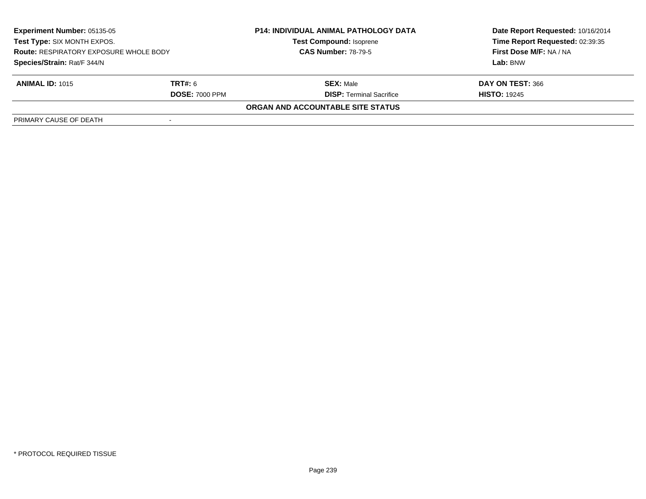| <b>Experiment Number: 05135-05</b><br>Test Type: SIX MONTH EXPOS.<br><b>Route: RESPIRATORY EXPOSURE WHOLE BODY</b><br>Species/Strain: Rat/F 344/N |                       | <b>P14: INDIVIDUAL ANIMAL PATHOLOGY DATA</b> | Date Report Requested: 10/16/2014<br>Time Report Requested: 02:39:35<br>First Dose M/F: NA / NA |
|---------------------------------------------------------------------------------------------------------------------------------------------------|-----------------------|----------------------------------------------|-------------------------------------------------------------------------------------------------|
|                                                                                                                                                   |                       | <b>Test Compound: Isoprene</b>               |                                                                                                 |
|                                                                                                                                                   |                       | <b>CAS Number: 78-79-5</b>                   |                                                                                                 |
|                                                                                                                                                   |                       |                                              | Lab: BNW                                                                                        |
| <b>ANIMAL ID: 1015</b>                                                                                                                            | <b>TRT#:</b> 6        | <b>SEX: Male</b>                             | DAY ON TEST: 366                                                                                |
|                                                                                                                                                   | <b>DOSE: 7000 PPM</b> | <b>DISP:</b> Terminal Sacrifice              | <b>HISTO: 19245</b>                                                                             |
|                                                                                                                                                   |                       | ORGAN AND ACCOUNTABLE SITE STATUS            |                                                                                                 |
| PRIMARY CAUSE OF DEATH                                                                                                                            |                       |                                              |                                                                                                 |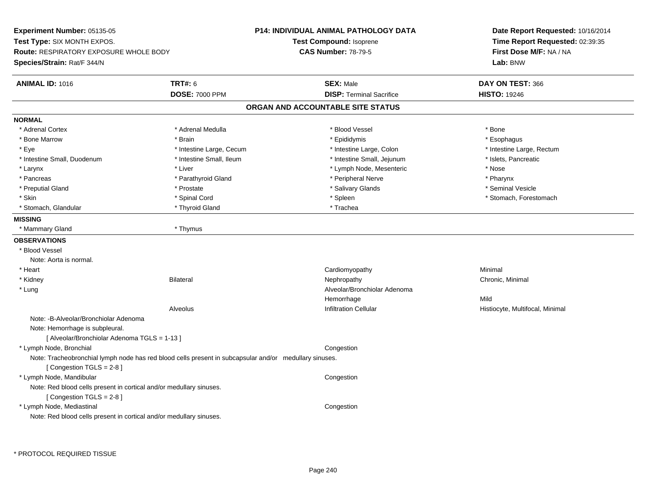**Experiment Number:** 05135-05**Test Type:** SIX MONTH EXPOS.**Route:** RESPIRATORY EXPOSURE WHOLE BODY**Species/Strain:** Rat/F 344/N**P14: INDIVIDUAL ANIMAL PATHOLOGY DATATest Compound:** Isoprene**CAS Number:** 78-79-5**Date Report Requested:** 10/16/2014**Time Report Requested:** 02:39:35**First Dose M/F:** NA / NA**Lab:** BNW**ANIMAL ID:** 1016 **TRT#:** <sup>6</sup> **SEX:** Male **DAY ON TEST:** <sup>366</sup> **DOSE:** 7000 PPM**DISP:** Terminal Sacrifice **HISTO:** 19246 **ORGAN AND ACCOUNTABLE SITE STATUSNORMAL**\* Adrenal Cortex \* Adrenal Cortex \* \* Adrenal Medulla \* \* Adrenal Medulla \* \* Blood Vessel \* \* Brood Vessel \* \* Bone \* Esophagus \* Bone Marrow \* Brain \* Epididymis \* Esophagus \* Eye \* Thestine Large, Cecum \* Intestine Large, Cecum \* Intestine Large, Colon \* Intestine Large, Rectum \* Intestine Large, Rectum \* Intestine Small, Duodenum \* Intestine Small, Ileum \* Intestine Small, Intestine Small, Jejunum \* Islets, Pancreatic \* Larynx \* Liver \* Liver \* Liver \* Liver \* Liver \* Nose \* Nose \* Nose \* Nose \* Nose \* Nose \* Nose \* Nose \* Nose \* Pharynx \* Pancreas \* Pancreas \* Parathyroid Gland \* Peripheral Nerve \* Peripheral Nerve \* Seminal Vesicle \* Preputial Gland \* \* Annual vesicle \* \* Prostate \* \* Salivary Glands \* \* Salivary Glands \* \* Seminal Vesicle \* \* Skin \* Spinal Cord \* Spinal Cord \* Spinal Cord \* Spinal \* Spinal \* Stomach, Forestomach \* Stomach, Forestomach \* Stomach, Glandular \* Thyroid Gland \* Thyroid Gland \* Trachea **MISSING** \* Mammary Gland \* Thymus**OBSERVATIONS** \* Blood VesselNote: Aorta is normal. \* Heart Cardiomyopathy Minimal \* Kidneyy the controller of the Bilateral Chronic, Minimal and the Chronic, Minimal of the Chronic, Minimal of the Chronic, Minimal of the Chronic, Minimal of the Chronic, Minimal of the Chronic, Minimal of the Chronic, Minimal of \* Lung Alveolar/Bronchiolar Adenoma Hemorrhagee Mild AlveolusInfiltration Cellular **Mateurs Cellular** Histiocyte, Multifocal, Minimal Note: -B-Alveolar/Bronchiolar AdenomaNote: Hemorrhage is subpleural.[ Alveolar/Bronchiolar Adenoma TGLS = 1-13 ] \* Lymph Node, Bronchial CongestionNote: Tracheobronchial lymph node has red blood cells present in subcapsular and/or medullary sinuses.[ Congestion TGLS = 2-8 ] \* Lymph Node, Mandibular**Example 2** is a state of the congression of the congression of the congression of the congression of the congression Note: Red blood cells present in cortical and/or medullary sinuses.[ Congestion TGLS = 2-8 ] \* Lymph Node, Mediastinal CongestionNote: Red blood cells present in cortical and/or medullary sinuses.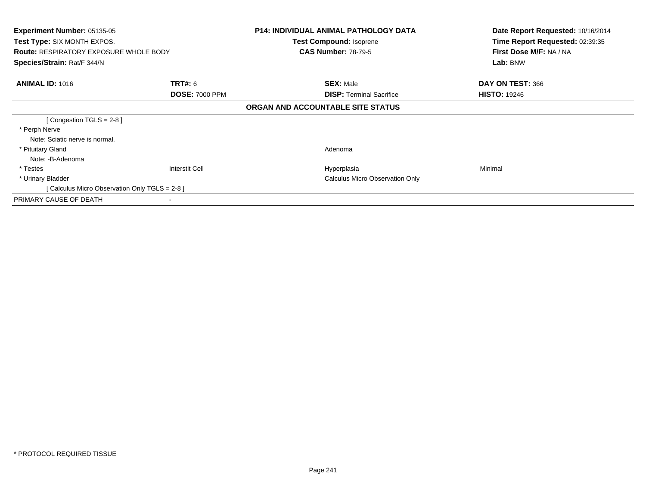| <b>Experiment Number: 05135-05</b><br>Test Type: SIX MONTH EXPOS.<br><b>Route: RESPIRATORY EXPOSURE WHOLE BODY</b><br>Species/Strain: Rat/F 344/N |                       | <b>P14: INDIVIDUAL ANIMAL PATHOLOGY DATA</b><br><b>Test Compound: Isoprene</b> | Date Report Requested: 10/16/2014<br>Time Report Requested: 02:39:35<br>First Dose M/F: NA / NA<br>Lab: BNW |
|---------------------------------------------------------------------------------------------------------------------------------------------------|-----------------------|--------------------------------------------------------------------------------|-------------------------------------------------------------------------------------------------------------|
|                                                                                                                                                   |                       | <b>CAS Number: 78-79-5</b>                                                     |                                                                                                             |
|                                                                                                                                                   |                       |                                                                                |                                                                                                             |
| <b>ANIMAL ID: 1016</b>                                                                                                                            | <b>TRT#: 6</b>        | <b>SEX: Male</b>                                                               | DAY ON TEST: 366                                                                                            |
|                                                                                                                                                   | <b>DOSE: 7000 PPM</b> | <b>DISP:</b> Terminal Sacrifice                                                | <b>HISTO: 19246</b>                                                                                         |
|                                                                                                                                                   |                       | ORGAN AND ACCOUNTABLE SITE STATUS                                              |                                                                                                             |
| [Congestion TGLS = $2-8$ ]                                                                                                                        |                       |                                                                                |                                                                                                             |
| * Perph Nerve                                                                                                                                     |                       |                                                                                |                                                                                                             |
| Note: Sciatic nerve is normal.                                                                                                                    |                       |                                                                                |                                                                                                             |
| * Pituitary Gland                                                                                                                                 |                       | Adenoma                                                                        |                                                                                                             |
| Note: -B-Adenoma                                                                                                                                  |                       |                                                                                |                                                                                                             |
| * Testes                                                                                                                                          | Interstit Cell        | Hyperplasia                                                                    | Minimal                                                                                                     |
| * Urinary Bladder                                                                                                                                 |                       | Calculus Micro Observation Only                                                |                                                                                                             |
| [ Calculus Micro Observation Only TGLS = 2-8 ]                                                                                                    |                       |                                                                                |                                                                                                             |
| PRIMARY CAUSE OF DEATH                                                                                                                            |                       |                                                                                |                                                                                                             |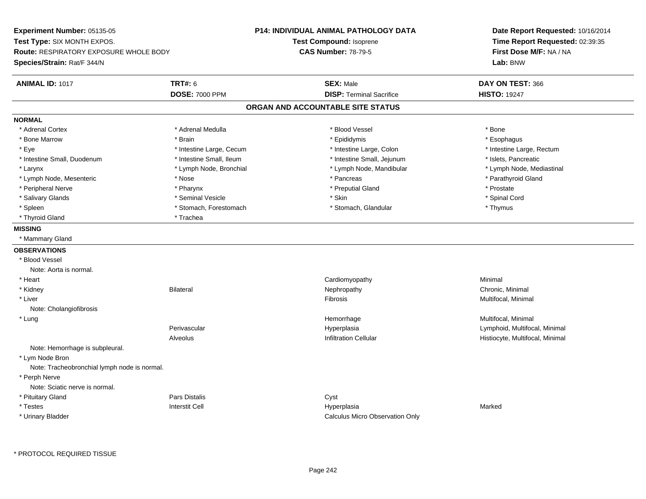**Experiment Number:** 05135-05**Test Type:** SIX MONTH EXPOS.**Route:** RESPIRATORY EXPOSURE WHOLE BODY**Species/Strain:** Rat/F 344/N**P14: INDIVIDUAL ANIMAL PATHOLOGY DATATest Compound:** Isoprene**CAS Number:** 78-79-5**Date Report Requested:** 10/16/2014**Time Report Requested:** 02:39:35**First Dose M/F:** NA / NA**Lab:** BNW**ANIMAL ID:** 1017**TRT#:** 6 **SEX:** Male **DAY ON TEST:** 366 **DOSE:** 7000 PPM**DISP:** Terminal Sacrifice **HISTO:** 19247 **ORGAN AND ACCOUNTABLE SITE STATUSNORMAL**\* Adrenal Cortex \* Adrenal Cortex \* \* Adrenal Medulla \* \* Adrenal Medulla \* \* Blood Vessel \* \* Brood Vessel \* \* Bone \* Esophagus \* Bone Marrow \* Brain \* Epididymis \* Esophagus \* Eye \* Thestine Large, Cecum \* Intestine Large, Cecum \* Intestine Large, Colon \* Intestine Large, Rectum \* Intestine Large, Rectum \* Intestine Small, Duodenum \* Intestine Small, Ileum \* Intestine Small, Intestine Small, Jejunum \* Islets, Pancreatic \* Lymph Node, Mediastinal \* Larynx \* Lymph Node, Bronchial \* Lymph Node, Bronchial \* Lymph Node, Mandibular \* Lymph Node, Mesenteric \* The state of the state of the state of the state of the state of the state of the state of the state of the state of the state of the state of the state of the state of the state of the state of \* Peripheral Nerve \* \* \* Pharynx \* Pharynx \* \* Pharynx \* \* Preputial Gland \* \* Preputial Gland \* \* Prostate \* Spinal Cord \* Salivary Glands \* \* Seminal Vesicle \* \* Seminal Vesicle \* \* Skin \* \* Skin \* \* Stember \* Spinal Cord \* Spinal Cord \* Spinal Cord \* Spinal Cord \* Spinal Cord \* Spinal Cord \* Spinal Cord \* Spinal Cord \* Spinal Cord \* Spinal \* Spleen \* Stomach, Forestomach \* Stomach \* Stomach, Glandular \* Stomach, Glandular \* Thymus \* Thyroid Gland \* Trachea**MISSING** \* Mammary Gland**OBSERVATIONS** \* Blood VesselNote: Aorta is normal. \* Heart Cardiomyopathy Minimal \* Kidneyy the controller of the Bilateral Chronic, Minimal and the Chronic, Minimal of the Chronic, Minimal of the Chronic, Minimal of the Chronic, Minimal of the Chronic, Minimal of the Chronic, Minimal of the Chronic, Minimal of \* Liverr and the contract of the contract of the contract of the contract of the contract of the contract of the contract of the contract of the contract of the contract of the contract of the contract of the contract of the cont Fibrosis **Multifocal, Minimal** Note: Cholangiofibrosis \* Lungg and the morrhage of the morrhage of the morrhage of the morrhage  $\mathsf{M}$ ultifocal, Minimal and the morrhage of the morrhage of the morrhage of the morrhage of the morrhage of the morrhage of the morrhage of the morrhage Perivascular Hyperplasia Lymphoid, Multifocal, Minimal AlveolusHistiocyte, Multifocal, Minimal Note: Hemorrhage is subpleural. \* Lym Node Bron Note: Tracheobronchial lymph node is normal. \* Perph Nerve Note: Sciatic nerve is normal. \* Pituitary Glandd **Example 2018** Pars Distalis **Contains 2018** Cyst \* Testess Interstit Cell Hyperplasia a **Marked**  \* Urinary BladderCalculus Micro Observation Only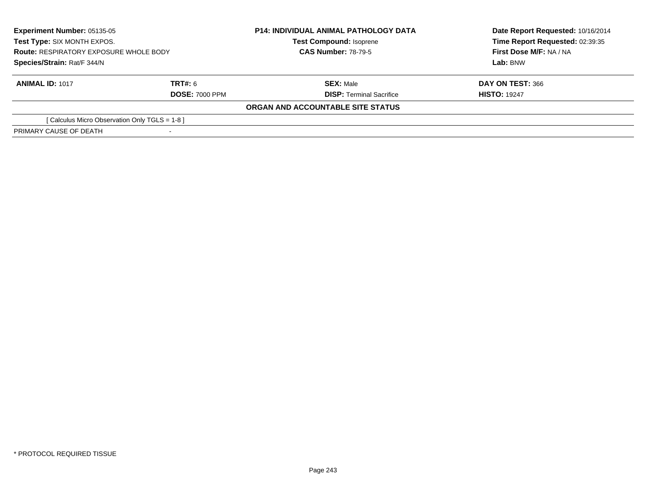| <b>Experiment Number: 05135-05</b><br>Test Type: SIX MONTH EXPOS.<br><b>Route: RESPIRATORY EXPOSURE WHOLE BODY</b><br>Species/Strain: Rat/F 344/N |                       | <b>P14: INDIVIDUAL ANIMAL PATHOLOGY DATA</b> | Date Report Requested: 10/16/2014<br>Time Report Requested: 02:39:35<br>First Dose M/F: NA / NA<br>Lab: BNW |
|---------------------------------------------------------------------------------------------------------------------------------------------------|-----------------------|----------------------------------------------|-------------------------------------------------------------------------------------------------------------|
|                                                                                                                                                   |                       | <b>Test Compound: Isoprene</b>               |                                                                                                             |
|                                                                                                                                                   |                       | <b>CAS Number: 78-79-5</b>                   |                                                                                                             |
|                                                                                                                                                   |                       |                                              |                                                                                                             |
| <b>ANIMAL ID: 1017</b>                                                                                                                            | TRT#: 6               | <b>SEX: Male</b>                             | DAY ON TEST: 366                                                                                            |
|                                                                                                                                                   | <b>DOSE: 7000 PPM</b> | <b>DISP:</b> Terminal Sacrifice              | <b>HISTO: 19247</b>                                                                                         |
|                                                                                                                                                   |                       | ORGAN AND ACCOUNTABLE SITE STATUS            |                                                                                                             |
| [ Calculus Micro Observation Only TGLS = 1-8 ]                                                                                                    |                       |                                              |                                                                                                             |
| PRIMARY CAUSE OF DEATH                                                                                                                            |                       |                                              |                                                                                                             |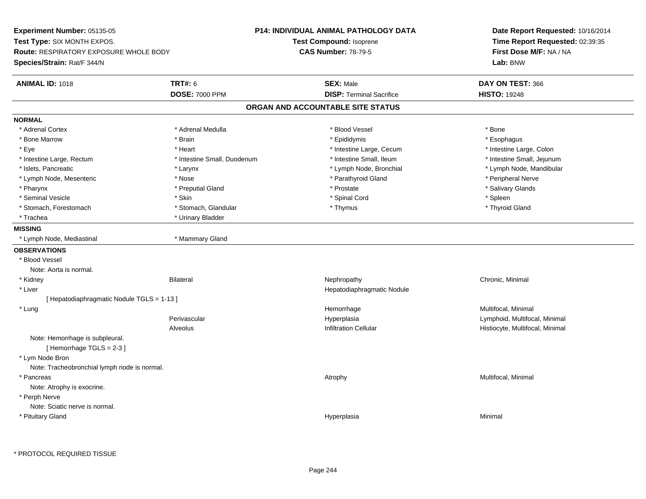**Experiment Number:** 05135-05**Test Type:** SIX MONTH EXPOS.**Route:** RESPIRATORY EXPOSURE WHOLE BODY**Species/Strain:** Rat/F 344/N**P14: INDIVIDUAL ANIMAL PATHOLOGY DATATest Compound:** Isoprene**CAS Number:** 78-79-5**Date Report Requested:** 10/16/2014**Time Report Requested:** 02:39:35**First Dose M/F:** NA / NA**Lab:** BNW**ANIMAL ID:** 1018**TRT#:** 6 **SEX:** Male **DAY ON TEST:** 366 **DOSE:** 7000 PPM**DISP:** Terminal Sacrifice **HISTO:** 19248 **ORGAN AND ACCOUNTABLE SITE STATUSNORMAL**\* Adrenal Cortex \* Adrenal Cortex \* \* Adrenal Medulla \* \* Adrenal Medulla \* \* Blood Vessel \* \* Brood Vessel \* \* Bone \* Esophagus \* Bone Marrow \* Brain \* Epididymis \* Esophagus \* Intestine Large, Colon \* Eye \* The state \* Intestine Large, Cecum \* Heart \* **Intestine Large, Cecum** \* Intestine Large, Cecum \* Intestine Small, Jejunum \* Intestine Large, Rectum \* 10 **\*** Intestine Small, Duodenum \* Intestine Small, Ileum \* Intestine Small, Ileum \* Islets, Pancreatic \* Larynx \* Lymph Node, Bronchial \* Lymph Node, Mandibular \* Lymph Node, Mesenteric \* The state of the state of the Nose \* Nose \* Nose \* Parathyroid Gland \* Peripheral Nerve \* Salivary Glands \* Pharynx \* That was the second to the second that the second term in the second term in the second term in the second term in the second term in the second term in the second term in the second term in the second term in \* Seminal Vesicle \* Skin \* Spinal Cord \* Spleen \* Thyroid Gland \* Stomach, Forestomach \* Thymus \* Stomach, Glandular \* Thymus \* Thymus \* Thymus \* Thymus \* Thymus \* Thymus \* Thymus \* Thymus \* Thymus \* Thymus \* Thymus \* Thymus \* Thymus \* Thymus \* Thymus \* Thymus \* Thymus \* Thymus \* Thymu \* Trachea \* Urinary Bladder**MISSING** \* Lymph Node, Mediastinal \* Mammary Gland**OBSERVATIONS** \* Blood VesselNote: Aorta is normal. \* Kidneyy the controller of the Bilateral Chronic, Minimal and the Chronic, Minimal of the Chronic, Minimal of the Chronic, Minimal of the Chronic, Minimal of the Chronic, Minimal of the Chronic, Minimal of the Chronic, Minimal of \* Liver Hepatodiaphragmatic Nodule[ Hepatodiaphragmatic Nodule TGLS = 1-13 ] \* Lungg and the morrhage of the morrhage of the morrhage of the morrhage  $\mathsf{M}$ ultifocal, Minimal and the morrhage of the morrhage of the morrhage of the morrhage of the morrhage of the morrhage of the morrhage of the morrhage Perivascular Hyperplasia Lymphoid, Multifocal, Minimal AlveolusHistiocyte, Multifocal, Minimal Note: Hemorrhage is subpleural. $[$  Hemorrhage TGLS = 2-3  $]$  \* Lym Node Bron Note: Tracheobronchial lymph node is normal. \* Pancreass and the contract of the contract of the contract of the contract of the contract of the contract of the contract of  $\lambda$  and  $\lambda$  and  $\lambda$  and  $\lambda$  and  $\lambda$  and  $\lambda$  and  $\lambda$  and  $\lambda$  and  $\lambda$  and  $\lambda$  and  $\lambda$  and  $\lambda$  Note: Atrophy is exocrine. \* Perph Nerve Note: Sciatic nerve is normal. \* Pituitary Glandd and the control of the control of the control of the control of the control of the control of the control of the control of the control of the control of the control of the control of the control of the control of the co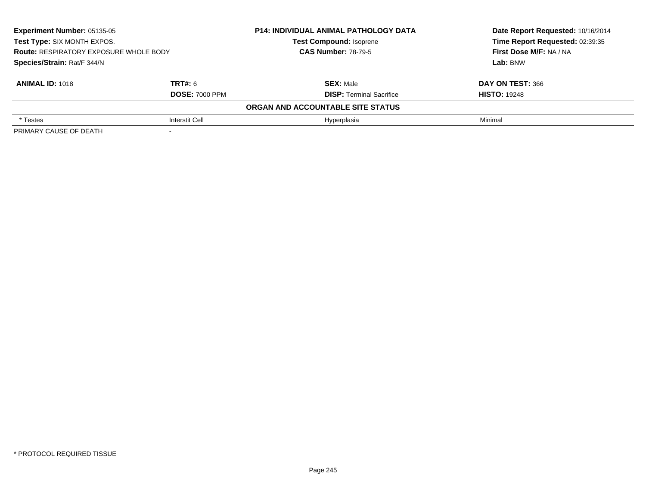| <b>Experiment Number: 05135-05</b><br>Test Type: SIX MONTH EXPOS.<br><b>Route: RESPIRATORY EXPOSURE WHOLE BODY</b><br>Species/Strain: Rat/F 344/N |                       | <b>P14: INDIVIDUAL ANIMAL PATHOLOGY DATA</b> | Date Report Requested: 10/16/2014<br>Time Report Requested: 02:39:35<br>First Dose M/F: NA / NA<br>Lab: BNW |
|---------------------------------------------------------------------------------------------------------------------------------------------------|-----------------------|----------------------------------------------|-------------------------------------------------------------------------------------------------------------|
|                                                                                                                                                   |                       | <b>Test Compound: Isoprene</b>               |                                                                                                             |
|                                                                                                                                                   |                       | <b>CAS Number: 78-79-5</b>                   |                                                                                                             |
|                                                                                                                                                   |                       |                                              |                                                                                                             |
| <b>ANIMAL ID: 1018</b>                                                                                                                            | <b>TRT#: 6</b>        | <b>SEX: Male</b>                             | DAY ON TEST: 366                                                                                            |
|                                                                                                                                                   | <b>DOSE: 7000 PPM</b> | <b>DISP: Terminal Sacrifice</b>              | <b>HISTO: 19248</b>                                                                                         |
|                                                                                                                                                   |                       | ORGAN AND ACCOUNTABLE SITE STATUS            |                                                                                                             |
| * Testes                                                                                                                                          | Interstit Cell        | Hyperplasia                                  | Minimal                                                                                                     |
| PRIMARY CAUSE OF DEATH                                                                                                                            |                       |                                              |                                                                                                             |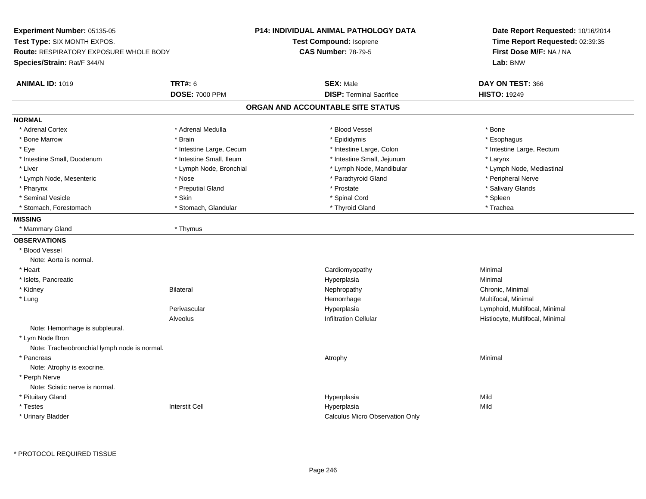**Experiment Number:** 05135-05**Test Type:** SIX MONTH EXPOS.**Route:** RESPIRATORY EXPOSURE WHOLE BODY**Species/Strain:** Rat/F 344/N**P14: INDIVIDUAL ANIMAL PATHOLOGY DATATest Compound:** Isoprene**CAS Number:** 78-79-5**Date Report Requested:** 10/16/2014**Time Report Requested:** 02:39:35**First Dose M/F:** NA / NA**Lab:** BNW**ANIMAL ID:** 1019 **TRT#:** <sup>6</sup> **SEX:** Male **DAY ON TEST:** <sup>366</sup> **DOSE:** 7000 PPM**DISP:** Terminal Sacrifice **HISTO:** 19249 **ORGAN AND ACCOUNTABLE SITE STATUSNORMAL**\* Adrenal Cortex \* Adrenal Cortex \* \* Adrenal Medulla \* \* Adrenal Medulla \* \* Blood Vessel \* \* Brood Vessel \* \* Bone \* Esophagus \* Bone Marrow \* Brain \* Epididymis \* Esophagus \* Eye \* Thestine Large, Cecum \* Intestine Large, Cecum \* Intestine Large, Colon \* Intestine Large, Rectum \* Intestine Large, Rectum \* Intestine Small, Duodenum \* Intestine Small, Ileum \* Intestine Small, Jejunum \* Larynx\* Lymph Node, Mediastinal \* Liver \* Lymph Node, Bronchial \* Lymph Node, Annual \* Lymph Node, Mandibular \* Lymph Node, Mandibular \* Lymph Node, Mesenteric \* The state of the state of the Nose \* Nose \* Parathyroid Gland \* Parathyroid Gland \* Peripheral Nerve \* Salivary Glands \* Pharynx \* That was the second to the second that the second term in the second term in the second term in the second term in the second term in the second term in the second term in the second term in the second term in \* Seminal Vesicle \* Skin \* Spinal Cord \* Spleen \* Trachea \* Stomach, Forestomach \* The stormach \* Stomach, Glandular \* Thyroid Gland \* Thyroid Gland \* Thyroid Gland \* **MISSING** \* Mammary Gland \* Thymus**OBSERVATIONS** \* Blood VesselNote: Aorta is normal. \* Heart Cardiomyopathy Minimal \* Islets, Pancreaticc and the contract of the contract of the contract of the contract of the contract of the contract of the contract of the contract of the contract of the contract of the contract of the contract of the contract of the cont a **Minimal**  \* Kidneyy the controller of the Bilateral Chronic, Minimal and the Chronic, Minimal of the Chronic, Minimal of the Chronic, Minimal of the Chronic, Minimal of the Chronic, Minimal of the Chronic, Minimal of the Chronic, Minimal of \* Lungg and the morrhage of the morrhage of the morrhage of the morrhage  $\mathsf{M}$ ultifocal, Minimal and the morrhage of the morrhage of the morrhage of the morrhage of the morrhage of the morrhage of the morrhage of the morrhage Perivascular Hyperplasia Lymphoid, Multifocal, Minimal AlveolusHistiocyte, Multifocal, Minimal Note: Hemorrhage is subpleural. \* Lym Node Bron Note: Tracheobronchial lymph node is normal. \* Pancreass the control of the control of the control of the control of the control of the control of the control of the control of the control of the control of the control of the control of the control of the control of the contro Note: Atrophy is exocrine. \* Perph Nerve Note: Sciatic nerve is normal. \* Pituitary Glandd and the control of the control of the control of the control of the control of the control of the control of the control of the control of the control of the control of the control of the control of the control of the co \* Testess Interstit Cell Hyperplasia a Mild \* Urinary BladderCalculus Micro Observation Only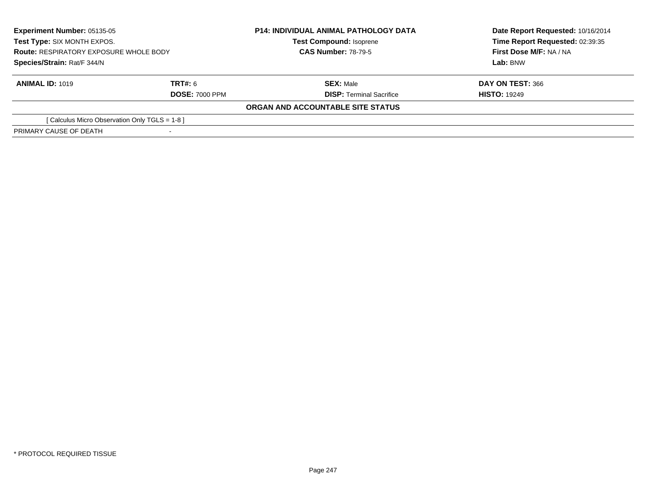| <b>Experiment Number: 05135-05</b><br>Test Type: SIX MONTH EXPOS.<br><b>Route: RESPIRATORY EXPOSURE WHOLE BODY</b><br>Species/Strain: Rat/F 344/N |                       | <b>P14: INDIVIDUAL ANIMAL PATHOLOGY DATA</b> | Date Report Requested: 10/16/2014<br>Time Report Requested: 02:39:35<br>First Dose M/F: NA / NA<br>Lab: BNW |
|---------------------------------------------------------------------------------------------------------------------------------------------------|-----------------------|----------------------------------------------|-------------------------------------------------------------------------------------------------------------|
|                                                                                                                                                   |                       | <b>Test Compound: Isoprene</b>               |                                                                                                             |
|                                                                                                                                                   |                       | <b>CAS Number: 78-79-5</b>                   |                                                                                                             |
|                                                                                                                                                   |                       |                                              |                                                                                                             |
| <b>ANIMAL ID: 1019</b>                                                                                                                            | <b>TRT#: 6</b>        | <b>SEX: Male</b>                             | DAY ON TEST: 366                                                                                            |
|                                                                                                                                                   | <b>DOSE: 7000 PPM</b> | <b>DISP: Terminal Sacrifice</b>              | <b>HISTO: 19249</b>                                                                                         |
|                                                                                                                                                   |                       | ORGAN AND ACCOUNTABLE SITE STATUS            |                                                                                                             |
| [Calculus Micro Observation Only TGLS = 1-8]                                                                                                      |                       |                                              |                                                                                                             |
| PRIMARY CAUSE OF DEATH                                                                                                                            |                       |                                              |                                                                                                             |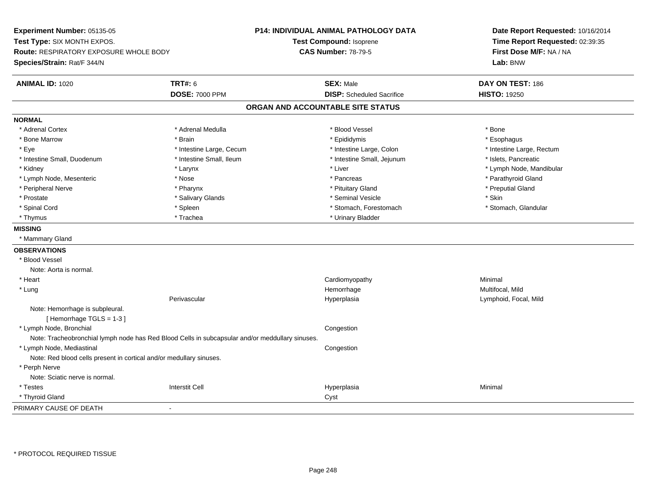**Experiment Number:** 05135-05**Test Type:** SIX MONTH EXPOS.**Route:** RESPIRATORY EXPOSURE WHOLE BODY**Species/Strain:** Rat/F 344/N**P14: INDIVIDUAL ANIMAL PATHOLOGY DATATest Compound:** Isoprene**CAS Number:** 78-79-5**Date Report Requested:** 10/16/2014**Time Report Requested:** 02:39:35**First Dose M/F:** NA / NA**Lab:** BNW**ANIMAL ID:** 1020**TRT#:** 6 **SEX:** Male **DAY ON TEST:** 186 **DOSE:** 7000 PPM**DISP:** Scheduled Sacrifice **HISTO:** 19250 **ORGAN AND ACCOUNTABLE SITE STATUSNORMAL**\* Adrenal Cortex \* Adrenal Cortex \* \* Adrenal Medulla \* \* Adrenal Medulla \* \* Blood Vessel \* \* Brood Vessel \* \* Bone \* Esophagus \* Bone Marrow \* Brain \* Epididymis \* Esophagus \* Eye \* Thestine Large, Cecum \* Intestine Large, Cecum \* Intestine Large, Colon \* Intestine Large, Rectum \* Intestine Large, Rectum \* Intestine Small, Duodenum \* Intestine Small, Ileum \* Intestine Small, Intestine Small, Jejunum \* Islets, Pancreatic \* Kidney \* The mode, Mandibular \* Larynx \* Larynx \* Larynx \* Liver \* Liver \* Number \* Liver \* Lymph Node, Mandibular \* Lymph Node, Mesenteric \* The state of the state of the state of the state of the state of the state of the state of the state of the state of the state of the state of the state of the state of the state of the state of \* Peripheral Nerve \* \* \* \* Pharynx \* \* Pharynx \* \* \* Preputial Gland \* \* Preputial Gland \* \* Preputial Gland \* Prostate \* \* Salivary Glands \* \* Salivary Glands \* \* Seminal Vesicle \* \* \* Seminal Yestrich \* \* Skin \* \* Skin \* Stomach. Glandular \* Spinal Cord \* Spinal Cord \* Spinal Cord \* Stomach, Forestomach \* Stomach, Forestomach \* Stomach, Forestomach \* Thymus \* Trachea \* Trachea \* Urinary Bladder **MISSING** \* Mammary Gland**OBSERVATIONS** \* Blood VesselNote: Aorta is normal. \* Heart Cardiomyopathy Minimal \* Lungg and the morrhage of the morrhage of the morrhage of the Multifocal, Mild and the Multifocal, Mild and the morrhage  $\mu$ Perivascular Hyperplasia Lymphoid, Focal, Mild Note: Hemorrhage is subpleural.[ Hemorrhage TGLS = 1-3 ] \* Lymph Node, Bronchial CongestionNote: Tracheobronchial lymph node has Red Blood Cells in subcapsular and/or meddullary sinuses. \* Lymph Node, Mediastinal CongestionNote: Red blood cells present in cortical and/or medullary sinuses. \* Perph Nerve Note: Sciatic nerve is normal. \* Testess Interstit Cell Hyperplasia a **Minimal**  \* Thyroid Glandd<sub>d</sub> Cyst PRIMARY CAUSE OF DEATH-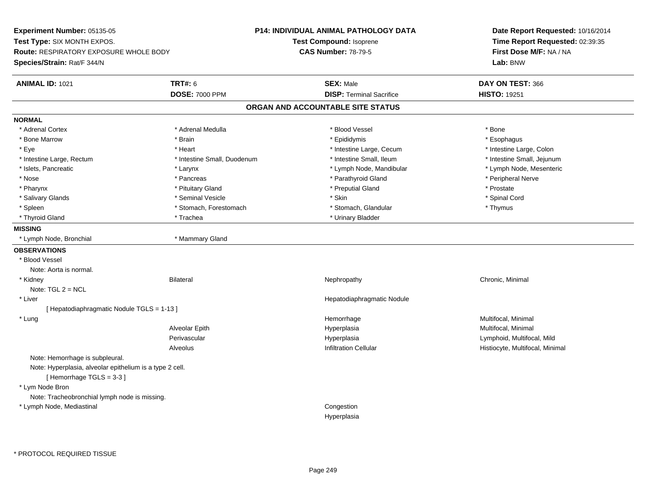**Experiment Number:** 05135-05**Test Type:** SIX MONTH EXPOS.**Route:** RESPIRATORY EXPOSURE WHOLE BODY**Species/Strain:** Rat/F 344/N**P14: INDIVIDUAL ANIMAL PATHOLOGY DATATest Compound:** Isoprene**CAS Number:** 78-79-5**Date Report Requested:** 10/16/2014**Time Report Requested:** 02:39:35**First Dose M/F:** NA / NA**Lab:** BNW**ANIMAL ID:** 1021**TRT#:** 6 **SEX:** Male **DAY ON TEST:** 366 **DOSE:** 7000 PPM**DISP:** Terminal Sacrifice **HISTO:** 19251 **ORGAN AND ACCOUNTABLE SITE STATUSNORMAL**\* Adrenal Cortex \* Adrenal Cortex \* \* Adrenal Medulla \* \* Adrenal Medulla \* \* Blood Vessel \* \* Brood Vessel \* \* Bone \* Esophagus \* Bone Marrow \* Brain \* Epididymis \* Esophagus \* Intestine Large, Colon \* Eye \* The matter and the state of the test of the test of the test of the test of the test of the test of the test of the test of the test of the test of the test of the test of the test of the test of the test of test o \* Intestine Small, Jejunum \* Intestine Large, Rectum \* Intestine Small, Duodenum \* Intestine Small, Duodenum \* 1ntestine Small, Ileum \* Lymph Node, Mesenteric \* Islets, Pancreatic **\* Larynx \* Larynx** \* Larynx \* Lymph Node, Mandibular \* Lymph Node, Mandibular \* Nose \* \* Pancreas \* \* Pancreas \* \* Pancreas \* \* Parathyroid Gland \* \* Peripheral Nerve \* Peripheral Nerve \* \* Pharynx \* Pituitary Gland \* Preputial Gland \* Prostate \* Spinal Cord \* Salivary Glands \* \* Seminal Vesicle \* \* Seminal Vesicle \* \* Skin \* \* Skin \* \* Stember \* Spinal Cord \* Spinal Cord \* Spinal Cord \* Spinal Cord \* Spinal Cord \* Spinal Cord \* Spinal Cord \* Spinal Cord \* Spinal Cord \* Spinal \* Spleen \* Stomach, Forestomach \* Stomach \* Stomach, Glandular \* Stomach, Glandular \* Thymus \* Thyroid Gland \* Trachea \* Trachea \* Trachea \* Urinary Bladder **MISSING** \* Lymph Node, Bronchial \* Mammary Gland**OBSERVATIONS** \* Blood VesselNote: Aorta is normal. \* Kidneyy the controller of the Bilateral Chronic, Minimal and the Chronic, Minimal of the Chronic, Minimal of the Chronic, Minimal of the Chronic, Minimal of the Chronic, Minimal of the Chronic, Minimal of the Chronic, Minimal of Note: TGL 2 = NCL \* Liver Hepatodiaphragmatic Nodule[ Hepatodiaphragmatic Nodule TGLS = 1-13 ] \* Lungg and the morrhage of the morrhage of the morrhage of the morrhage  $\mathsf{M}$ ultifocal, Minimal and the morrhage of the morrhage of the morrhage of the morrhage of the morrhage of the morrhage of the morrhage of the morrhage Alveolar EpithHyperplasia **Multifocal, Minimal** Perivascular Hyperplasia Lymphoid, Multifocal, Mild AlveolusHistiocyte, Multifocal, Minimal Note: Hemorrhage is subpleural.Note: Hyperplasia, alveolar epithelium is a type 2 cell.[ Hemorrhage TGLS = 3-3 ] \* Lym Node Bron Note: Tracheobronchial lymph node is missing. \* Lymph Node, Mediastinal CongestionHyperplasia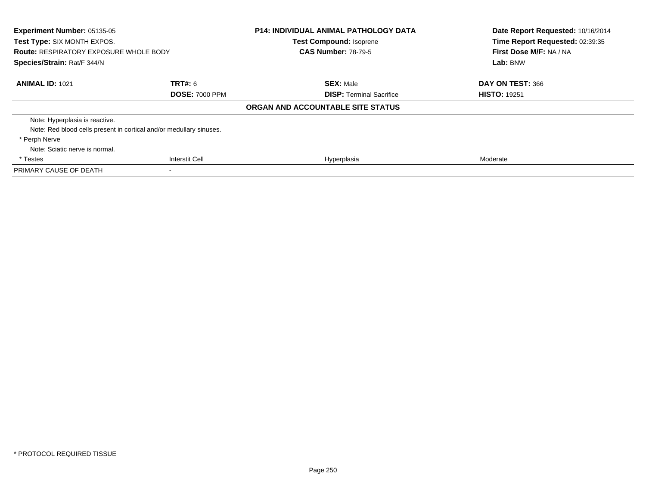| <b>Experiment Number: 05135-05</b><br>Test Type: SIX MONTH EXPOS.<br><b>Route: RESPIRATORY EXPOSURE WHOLE BODY</b><br>Species/Strain: Rat/F 344/N |                       | <b>P14: INDIVIDUAL ANIMAL PATHOLOGY DATA</b><br><b>Test Compound: Isoprene</b><br><b>CAS Number: 78-79-5</b> | Date Report Requested: 10/16/2014<br>Time Report Requested: 02:39:35<br>First Dose M/F: NA / NA<br>Lab: BNW |
|---------------------------------------------------------------------------------------------------------------------------------------------------|-----------------------|--------------------------------------------------------------------------------------------------------------|-------------------------------------------------------------------------------------------------------------|
| <b>ANIMAL ID: 1021</b>                                                                                                                            | TRT#: 6               | <b>SEX: Male</b>                                                                                             | DAY ON TEST: 366                                                                                            |
|                                                                                                                                                   | <b>DOSE: 7000 PPM</b> | <b>DISP: Terminal Sacrifice</b>                                                                              | <b>HISTO: 19251</b>                                                                                         |
|                                                                                                                                                   |                       | ORGAN AND ACCOUNTABLE SITE STATUS                                                                            |                                                                                                             |
| Note: Hyperplasia is reactive.                                                                                                                    |                       |                                                                                                              |                                                                                                             |
| Note: Red blood cells present in cortical and/or medullary sinuses.                                                                               |                       |                                                                                                              |                                                                                                             |
| * Perph Nerve                                                                                                                                     |                       |                                                                                                              |                                                                                                             |
| Note: Sciatic nerve is normal.                                                                                                                    |                       |                                                                                                              |                                                                                                             |
| * Testes                                                                                                                                          | <b>Interstit Cell</b> | Hyperplasia                                                                                                  | Moderate                                                                                                    |
| PRIMARY CAUSE OF DEATH                                                                                                                            |                       |                                                                                                              |                                                                                                             |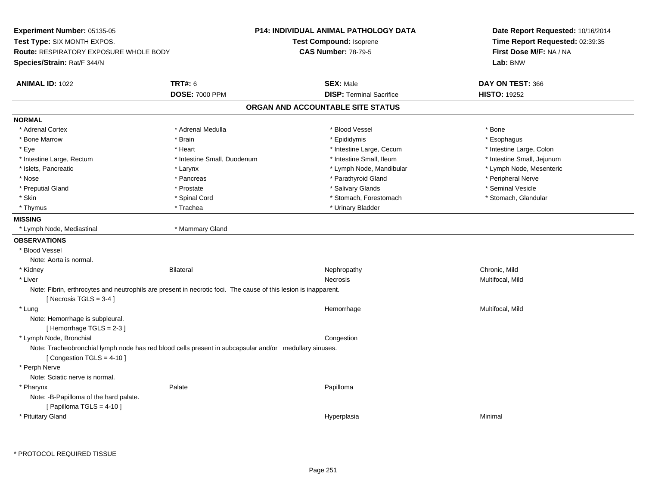| Experiment Number: 05135-05<br><b>Test Type: SIX MONTH EXPOS.</b><br><b>Route: RESPIRATORY EXPOSURE WHOLE BODY</b><br>Species/Strain: Rat/F 344/N |                                                                                                                 | <b>P14: INDIVIDUAL ANIMAL PATHOLOGY DATA</b><br><b>Test Compound: Isoprene</b><br><b>CAS Number: 78-79-5</b> | Date Report Requested: 10/16/2014<br>Time Report Requested: 02:39:35<br>First Dose M/F: NA / NA<br>Lab: BNW |
|---------------------------------------------------------------------------------------------------------------------------------------------------|-----------------------------------------------------------------------------------------------------------------|--------------------------------------------------------------------------------------------------------------|-------------------------------------------------------------------------------------------------------------|
| <b>ANIMAL ID: 1022</b>                                                                                                                            | <b>TRT#: 6</b>                                                                                                  | <b>SEX: Male</b>                                                                                             | DAY ON TEST: 366                                                                                            |
|                                                                                                                                                   | <b>DOSE: 7000 PPM</b>                                                                                           | <b>DISP: Terminal Sacrifice</b>                                                                              | <b>HISTO: 19252</b>                                                                                         |
|                                                                                                                                                   |                                                                                                                 | ORGAN AND ACCOUNTABLE SITE STATUS                                                                            |                                                                                                             |
| <b>NORMAL</b>                                                                                                                                     |                                                                                                                 |                                                                                                              |                                                                                                             |
| * Adrenal Cortex                                                                                                                                  | * Adrenal Medulla                                                                                               | * Blood Vessel                                                                                               | * Bone                                                                                                      |
| * Bone Marrow                                                                                                                                     | * Brain                                                                                                         | * Epididymis                                                                                                 | * Esophagus                                                                                                 |
| * Eye                                                                                                                                             | * Heart                                                                                                         | * Intestine Large, Cecum                                                                                     | * Intestine Large, Colon                                                                                    |
| * Intestine Large, Rectum                                                                                                                         | * Intestine Small, Duodenum                                                                                     | * Intestine Small, Ileum                                                                                     | * Intestine Small, Jejunum                                                                                  |
| * Islets, Pancreatic                                                                                                                              | * Larynx                                                                                                        | * Lymph Node, Mandibular                                                                                     | * Lymph Node, Mesenteric                                                                                    |
| * Nose                                                                                                                                            | * Pancreas                                                                                                      | * Parathyroid Gland                                                                                          | * Peripheral Nerve                                                                                          |
| * Preputial Gland                                                                                                                                 | * Prostate                                                                                                      | * Salivary Glands                                                                                            | * Seminal Vesicle                                                                                           |
| * Skin                                                                                                                                            | * Spinal Cord                                                                                                   | * Stomach, Forestomach                                                                                       | * Stomach, Glandular                                                                                        |
| * Thymus                                                                                                                                          | * Trachea                                                                                                       | * Urinary Bladder                                                                                            |                                                                                                             |
| <b>MISSING</b>                                                                                                                                    |                                                                                                                 |                                                                                                              |                                                                                                             |
| * Lymph Node, Mediastinal                                                                                                                         | * Mammary Gland                                                                                                 |                                                                                                              |                                                                                                             |
| <b>OBSERVATIONS</b>                                                                                                                               |                                                                                                                 |                                                                                                              |                                                                                                             |
| * Blood Vessel                                                                                                                                    |                                                                                                                 |                                                                                                              |                                                                                                             |
| Note: Aorta is normal.                                                                                                                            |                                                                                                                 |                                                                                                              |                                                                                                             |
| * Kidney                                                                                                                                          | <b>Bilateral</b>                                                                                                | Nephropathy                                                                                                  | Chronic, Mild                                                                                               |
| * Liver                                                                                                                                           |                                                                                                                 | <b>Necrosis</b>                                                                                              | Multifocal, Mild                                                                                            |
| [ Necrosis $TGLS = 3-4$ ]                                                                                                                         | Note: Fibrin, erthrocytes and neutrophils are present in necrotic foci. The cause of this lesion is inapparent. |                                                                                                              |                                                                                                             |
| * Lung<br>Note: Hemorrhage is subpleural.<br>[Hemorrhage TGLS = $2-3$ ]                                                                           |                                                                                                                 | Hemorrhage                                                                                                   | Multifocal, Mild                                                                                            |
| * Lymph Node, Bronchial                                                                                                                           |                                                                                                                 | Congestion                                                                                                   |                                                                                                             |
| [Congestion TGLS = $4-10$ ]                                                                                                                       | Note: Tracheobronchial lymph node has red blood cells present in subcapsular and/or medullary sinuses.          |                                                                                                              |                                                                                                             |
| * Perph Nerve<br>Note: Sciatic nerve is normal.                                                                                                   |                                                                                                                 |                                                                                                              |                                                                                                             |
| * Pharynx<br>Note: - B-Papilloma of the hard palate.<br>[ Papilloma TGLS = $4-10$ ]                                                               | Palate                                                                                                          | Papilloma                                                                                                    |                                                                                                             |
| * Pituitary Gland                                                                                                                                 |                                                                                                                 | Hyperplasia                                                                                                  | Minimal                                                                                                     |

 $\sim$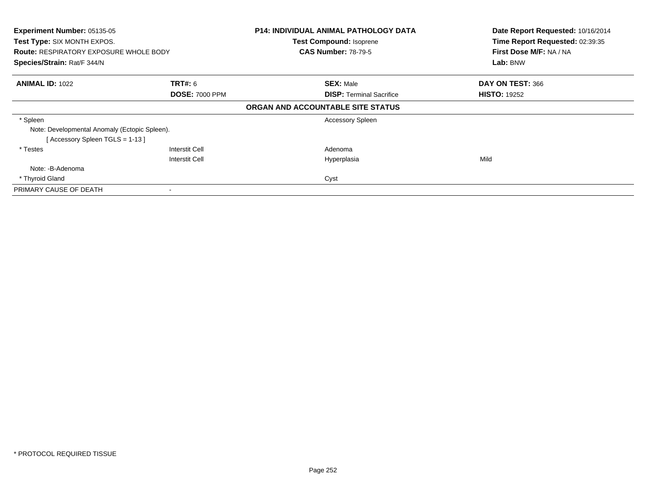| Experiment Number: 05135-05<br><b>Test Type: SIX MONTH EXPOS.</b><br><b>Route: RESPIRATORY EXPOSURE WHOLE BODY</b><br>Species/Strain: Rat/F 344/N |                                         | <b>P14: INDIVIDUAL ANIMAL PATHOLOGY DATA</b><br><b>Test Compound: Isoprene</b><br><b>CAS Number: 78-79-5</b> | Date Report Requested: 10/16/2014<br>Time Report Requested: 02:39:35<br>First Dose M/F: NA / NA<br>Lab: BNW |
|---------------------------------------------------------------------------------------------------------------------------------------------------|-----------------------------------------|--------------------------------------------------------------------------------------------------------------|-------------------------------------------------------------------------------------------------------------|
| <b>ANIMAL ID: 1022</b>                                                                                                                            | <b>TRT#: 6</b><br><b>DOSE: 7000 PPM</b> | <b>SEX: Male</b><br><b>DISP:</b> Terminal Sacrifice                                                          | DAY ON TEST: 366<br><b>HISTO: 19252</b>                                                                     |
|                                                                                                                                                   |                                         | ORGAN AND ACCOUNTABLE SITE STATUS                                                                            |                                                                                                             |
| * Spleen<br>Note: Developmental Anomaly (Ectopic Spleen).<br>[Accessory Spleen TGLS = 1-13]                                                       |                                         | <b>Accessory Spleen</b>                                                                                      |                                                                                                             |
| * Testes                                                                                                                                          | Interstit Cell<br>Interstit Cell        | Adenoma<br>Hyperplasia                                                                                       | Mild                                                                                                        |
| Note: -B-Adenoma                                                                                                                                  |                                         |                                                                                                              |                                                                                                             |
| * Thyroid Gland                                                                                                                                   |                                         | Cyst                                                                                                         |                                                                                                             |
| PRIMARY CAUSE OF DEATH                                                                                                                            |                                         |                                                                                                              |                                                                                                             |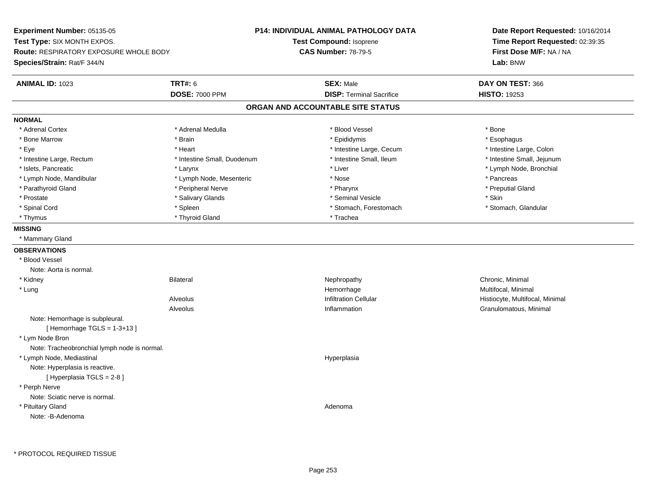**Experiment Number:** 05135-05**Test Type:** SIX MONTH EXPOS.**Route:** RESPIRATORY EXPOSURE WHOLE BODY**Species/Strain:** Rat/F 344/N**P14: INDIVIDUAL ANIMAL PATHOLOGY DATATest Compound:** Isoprene**CAS Number:** 78-79-5**Date Report Requested:** 10/16/2014**Time Report Requested:** 02:39:35**First Dose M/F:** NA / NA**Lab:** BNW**ANIMAL ID:** 1023**TRT#:** 6 **SEX:** Male **DAY ON TEST:** 366 **DOSE:** 7000 PPM**DISP:** Terminal Sacrifice **HISTO:** 19253 **ORGAN AND ACCOUNTABLE SITE STATUSNORMAL**\* Adrenal Cortex \* Adrenal Cortex \* \* Adrenal Medulla \* \* Adrenal Medulla \* \* Blood Vessel \* \* Brood Vessel \* \* Bone \* Esophagus \* Bone Marrow \* Brain \* Epididymis \* Esophagus \* Intestine Large, Colon \* Eye \* The matter and the state of the test of the test of the test of the test of the test of the test of the test of the test of the test of the test of the test of the test of the test of the test of the test of test o \* Intestine Small, Jejunum \* Intestine Large, Rectum \* Intestine Small, Duodenum \* Intestine Small, Duodenum \* 1ntestine Small, Ileum \* Islets, Pancreatic \* Larynx \* Liver \* Lymph Node, Bronchial \* Lymph Node, Mandibular \* The state of the second text of the second text of the second text of the second version of the second of the second version of the second version of the second version of the second version of t \* Preputial Gland \* Parathyroid Gland \* \* \* Peripheral Nerve \* \* Peripheral Nerve \* \* Pharynx \* \* Pharynx \* \* Preputial Gland \* Prostate \* \* Salivary Glands \* \* Salivary Glands \* \* Seminal Vesicle \* \* \* Seminal Yestrich \* \* Skin \* \* Skin \* Stomach. Glandular \* Spinal Cord \* Spinal Cord \* Spinal Cord \* Stomach, Forestomach \* Stomach, Forestomach \* Stomach, Forestomach \* Thyrnus \* Thyroid Gland \* Thursday \* Thursday \* Thursday \* Thursday \* Trachea **MISSING** \* Mammary Gland**OBSERVATIONS** \* Blood VesselNote: Aorta is normal. \* Kidneyy the controller of the Bilateral Chronic, Minimal and the Chronic, Minimal of the Chronic, Minimal of the Chronic, Minimal of the Chronic, Minimal of the Chronic, Minimal of the Chronic, Minimal of the Chronic, Minimal of \* Lungg and the morrhage of the morrhage of the morrhage of the morrhage  $\mathsf{M}$ ultifocal, Minimal and the morrhage of the morrhage of the morrhage of the morrhage of the morrhage of the morrhage of the morrhage of the morrhage AlveolusInfiltration Cellular **Histiocyte, Multifocal, Minimal** Alveolus Inflammation Granulomatous, Minimal Note: Hemorrhage is subpleural. $[$  Hemorrhage TGLS = 1-3+13  $]$  \* Lym Node Bron Note: Tracheobronchial lymph node is normal. \* Lymph Node, Mediastinal HyperplasiaNote: Hyperplasia is reactive.[ Hyperplasia TGLS = 2-8 ] \* Perph Nerve Note: Sciatic nerve is normal. \* Pituitary Glandd and a state of the control of the control of the control of the control of the control of the control of the control of the control of the control of the control of the control of the control of the control of the contro Note: -B-Adenoma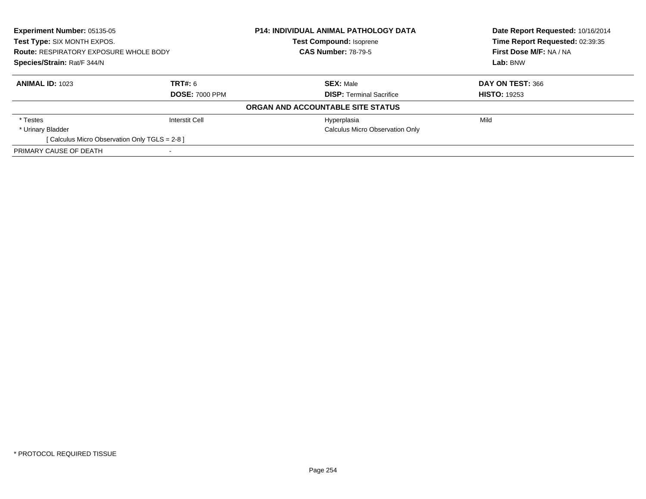| Experiment Number: 05135-05<br>Test Type: SIX MONTH EXPOS.<br><b>Route: RESPIRATORY EXPOSURE WHOLE BODY</b><br>Species/Strain: Rat/F 344/N |                       | <b>P14: INDIVIDUAL ANIMAL PATHOLOGY DATA</b> | Date Report Requested: 10/16/2014 |
|--------------------------------------------------------------------------------------------------------------------------------------------|-----------------------|----------------------------------------------|-----------------------------------|
|                                                                                                                                            |                       | <b>Test Compound: Isoprene</b>               | Time Report Requested: 02:39:35   |
|                                                                                                                                            |                       | <b>CAS Number: 78-79-5</b>                   | First Dose M/F: NA / NA           |
|                                                                                                                                            |                       |                                              | Lab: BNW                          |
| <b>ANIMAL ID: 1023</b>                                                                                                                     | TRT#: 6               | <b>SEX: Male</b>                             | DAY ON TEST: 366                  |
|                                                                                                                                            | <b>DOSE: 7000 PPM</b> | <b>DISP:</b> Terminal Sacrifice              | <b>HISTO: 19253</b>               |
|                                                                                                                                            |                       | ORGAN AND ACCOUNTABLE SITE STATUS            |                                   |
| * Testes                                                                                                                                   | Interstit Cell        | Hyperplasia                                  | Mild                              |
| * Urinary Bladder                                                                                                                          |                       | Calculus Micro Observation Only              |                                   |
| [ Calculus Micro Observation Only TGLS = 2-8 ]                                                                                             |                       |                                              |                                   |
| PRIMARY CAUSE OF DEATH                                                                                                                     |                       |                                              |                                   |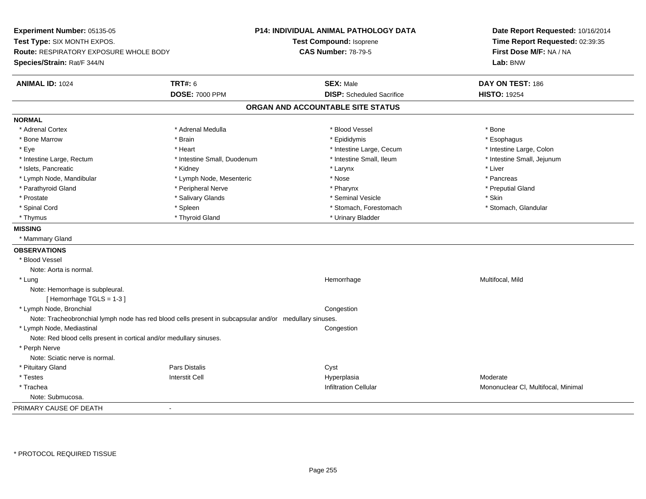**Experiment Number:** 05135-05**Test Type:** SIX MONTH EXPOS.**Route:** RESPIRATORY EXPOSURE WHOLE BODY**Species/Strain:** Rat/F 344/N**P14: INDIVIDUAL ANIMAL PATHOLOGY DATATest Compound:** Isoprene**CAS Number:** 78-79-5**Date Report Requested:** 10/16/2014**Time Report Requested:** 02:39:35**First Dose M/F:** NA / NA**Lab:** BNW**ANIMAL ID:** 1024 **TRT#:** <sup>6</sup> **SEX:** Male **DAY ON TEST:** <sup>186</sup> **DOSE:** 7000 PPM**DISP:** Scheduled Sacrifice **HISTO:** 19254 **ORGAN AND ACCOUNTABLE SITE STATUSNORMAL**\* Adrenal Cortex \* Adrenal Cortex \* \* Adrenal Medulla \* \* Adrenal Medulla \* \* Blood Vessel \* \* Brood Vessel \* \* Bone \* Esophagus \* Bone Marrow \* Brain \* Epididymis \* Esophagus \* Intestine Large, Colon \* Eye \* The state \* Intestine Large, Cecum \* Heart \* **Intestine Large, Cecum** \* Intestine Large, Cecum \* Intestine Small, Jejunum \* Intestine Large, Rectum \* Intestine Small, Duodenum \* Intestine Small, Duodenum \* 1ntestine Small, Ileum \* Islets, Pancreatic \* \* \* Andrew \* Kidney \* \* Kidney \* \* Larynx \* Larynx \* \* Larynx \* \* Liver \* Liver \* Liver \* Lymph Node, Mandibular \* The state of the second text of the second text of the second text of the second text of the second text of the second text of the second text of the second text of the second text of text of tex \* Preputial Gland \* Parathyroid Gland \* \* \* Peripheral Nerve \* \* Peripheral Nerve \* \* Pharynx \* \* Pharynx \* \* Preputial Gland \* Prostate \* The state \* Salivary Glands \* Seninal Vesicle \* Seminal Vesicle \* Skin \* Skin \* Skin \* Skin \* Skin \* Stomach. Glandular \* Spinal Cord \* Spinal Cord \* Spinal Cord \* Stomach, Forestomach \* Stomach, Forestomach \* Stomach, Forestomach \* Thymus \* Thyroid Gland \* Thymus \* Thymus \* Urinary Bladder **MISSING** \* Mammary Gland**OBSERVATIONS** \* Blood VesselNote: Aorta is normal. \* Lungg and the morrhage of the morrhage of the morrhage of the Multifocal, Mild and the Multifocal, Mild and the morrhage  $\mu$ Note: Hemorrhage is subpleural.[ Hemorrhage TGLS = 1-3 ] \* Lymph Node, Bronchial CongestionNote: Tracheobronchial lymph node has red blood cells present in subcapsular and/or medullary sinuses. \* Lymph Node, Mediastinal CongestionNote: Red blood cells present in cortical and/or medullary sinuses. \* Perph Nerve Note: Sciatic nerve is normal. \* Pituitary Glandd **Example 2018** Pars Distalis **Contains 2018** Cyst \* Testess Interstit Cell Hyperplasia Hyperplasia and the material of the Moderate<br>Mononucleum and the Mononucleum Mononucleum Mononucleum \* TracheaMononuclear Cl, Multifocal, Minimal Note: Submucosa.PRIMARY CAUSE OF DEATH-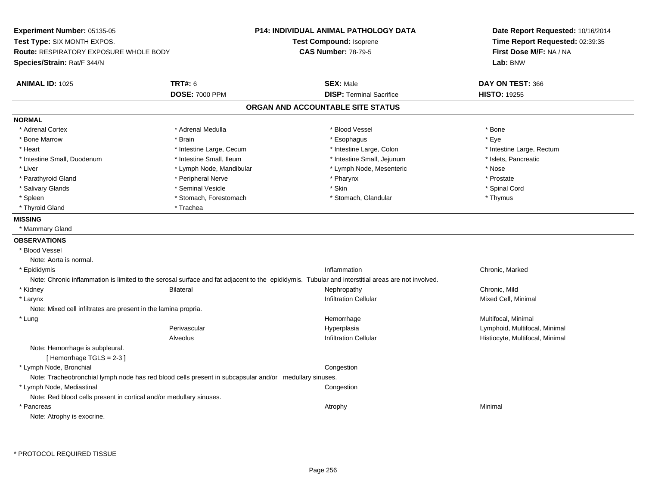**Experiment Number:** 05135-05**Test Type:** SIX MONTH EXPOS.**Route:** RESPIRATORY EXPOSURE WHOLE BODY**Species/Strain:** Rat/F 344/N**P14: INDIVIDUAL ANIMAL PATHOLOGY DATATest Compound:** Isoprene**CAS Number:** 78-79-5**Date Report Requested:** 10/16/2014**Time Report Requested:** 02:39:35**First Dose M/F:** NA / NA**Lab:** BNW**ANIMAL ID:** 1025 **TRT#:** <sup>6</sup> **SEX:** Male **DAY ON TEST:** <sup>366</sup> **DOSE:** 7000 PPM**DISP:** Terminal Sacrifice **HISTO:** 19255 **ORGAN AND ACCOUNTABLE SITE STATUSNORMAL**\* Adrenal Cortex \* Adrenal Cortex \* \* Adrenal Medulla \* \* Adrenal Medulla \* \* Blood Vessel \* \* Brood Vessel \* \* Bone \* Eve \* Bone Marrow \* Brain \* Esophagus \* Eye \* Heart Thestine Large, Cecum Thestine Large, Cecum And Alternative Large, Colon Thestine Large, Rectum \* Intestine Large, Rectum \* Intestine Large, Rectum \* Intestine Small, Duodenum \* Intestine Small, Ileum \* Intestine Small, Jejunum \* Islets, Pancreatic\* Liver \* Lymph Node, Mandibular \* Nose \* Lymph Node, Mesenteric \* Nose \* Nose \* Prostate \* Parathyroid Gland \* **Archarging \* Peripheral Nerve** \* Pharynx \* Pharynx \* Pharynx \* Spinal Cord \* Salivary Glands \* \* Seminal Vesicle \* \* Seminal Vesicle \* \* Skin \* \* Skin \* \* Stember \* Spinal Cord \* Spinal Cord \* Spinal Cord \* Spinal Cord \* Spinal Cord \* Spinal Cord \* Spinal Cord \* Spinal Cord \* Spinal Cord \* Spinal \* Spleen \* Stomach, Forestomach \* Stomach \* Stomach, Glandular \* Stomach, Glandular \* Thymus \* Thyroid Gland \* Trachea **MISSING** \* Mammary Gland**OBSERVATIONS** \* Blood VesselNote: Aorta is normal. \* Epididymiss and the contract of the contract of the contract of the contract of the contract of the contract of the contract of the contract of the contract of the contract of the contract of the contract of the contract of the cont Chronic, Marked Note: Chronic inflammation is limited to the serosal surface and fat adjacent to the epididymis. Tubular and interstitial areas are not involved. \* Kidney Bilateral Nephropathy Chronic, MildMixed Cell, Minimal \* Larynxx and the state of the control of the control of the control of the control of the control of the control of the control of the control of the control of the control of the control of the control of the control of the cont Note: Mixed cell infiltrates are present in the lamina propria. \* Lungg and the morrhage of the morrhage of the morrhage of the morrhage  $\mathsf{M}$ ultifocal, Minimal and the morrhage of the morrhage of the morrhage of the morrhage of the morrhage of the morrhage of the morrhage of the morrhage Perivascular Hyperplasia Lymphoid, Multifocal, Minimal AlveolusHistiocyte, Multifocal, Minimal Note: Hemorrhage is subpleural. $[$  Hemorrhage TGLS = 2-3  $]$  \* Lymph Node, Bronchiallate the composition of the composition of the composition of the composition of the composition of the composition Note: Tracheobronchial lymph node has red blood cells present in subcapsular and/or medullary sinuses. \* Lymph Node, Mediastinal**Congestion** Note: Red blood cells present in cortical and/or medullary sinuses. \* Pancreass the control of the control of the control of the control of the control of the control of the control of the control of the control of the control of the control of the control of the control of the control of the contro Note: Atrophy is exocrine.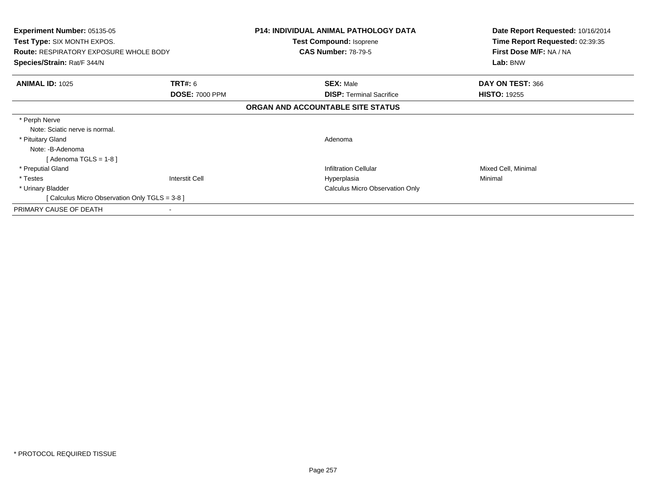| <b>Experiment Number: 05135-05</b><br>Test Type: SIX MONTH EXPOS.<br><b>Route: RESPIRATORY EXPOSURE WHOLE BODY</b><br>Species/Strain: Rat/F 344/N |                       | <b>P14: INDIVIDUAL ANIMAL PATHOLOGY DATA</b><br>Test Compound: Isoprene<br><b>CAS Number: 78-79-5</b> | Date Report Requested: 10/16/2014<br>Time Report Requested: 02:39:35<br>First Dose M/F: NA / NA<br>Lab: BNW |
|---------------------------------------------------------------------------------------------------------------------------------------------------|-----------------------|-------------------------------------------------------------------------------------------------------|-------------------------------------------------------------------------------------------------------------|
| <b>ANIMAL ID: 1025</b>                                                                                                                            | <b>TRT#: 6</b>        | <b>SEX: Male</b>                                                                                      | DAY ON TEST: 366                                                                                            |
|                                                                                                                                                   | <b>DOSE: 7000 PPM</b> | <b>DISP:</b> Terminal Sacrifice                                                                       | <b>HISTO: 19255</b>                                                                                         |
|                                                                                                                                                   |                       | ORGAN AND ACCOUNTABLE SITE STATUS                                                                     |                                                                                                             |
| * Perph Nerve                                                                                                                                     |                       |                                                                                                       |                                                                                                             |
| Note: Sciatic nerve is normal.                                                                                                                    |                       |                                                                                                       |                                                                                                             |
| * Pituitary Gland                                                                                                                                 |                       | Adenoma                                                                                               |                                                                                                             |
| Note: -B-Adenoma                                                                                                                                  |                       |                                                                                                       |                                                                                                             |
| [Adenoma TGLS = $1-8$ ]                                                                                                                           |                       |                                                                                                       |                                                                                                             |
| * Preputial Gland                                                                                                                                 |                       | <b>Infiltration Cellular</b>                                                                          | Mixed Cell, Minimal                                                                                         |
| * Testes                                                                                                                                          | <b>Interstit Cell</b> | Hyperplasia                                                                                           | Minimal                                                                                                     |
| * Urinary Bladder                                                                                                                                 |                       | <b>Calculus Micro Observation Only</b>                                                                |                                                                                                             |
| [ Calculus Micro Observation Only TGLS = 3-8 ]                                                                                                    |                       |                                                                                                       |                                                                                                             |
| PRIMARY CAUSE OF DEATH                                                                                                                            |                       |                                                                                                       |                                                                                                             |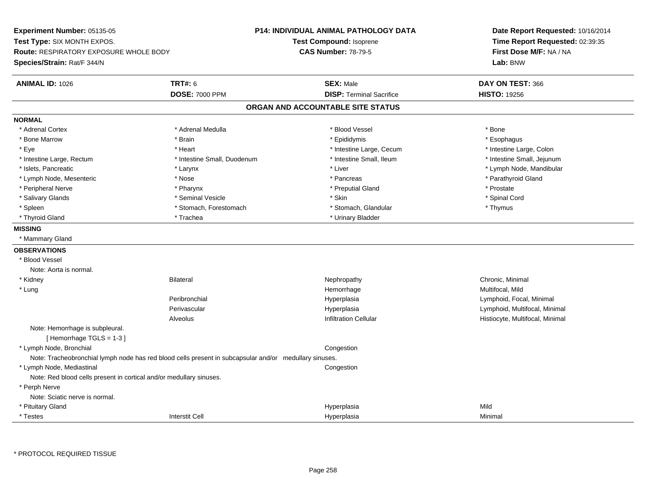**Experiment Number:** 05135-05**Test Type:** SIX MONTH EXPOS.**Route:** RESPIRATORY EXPOSURE WHOLE BODY**Species/Strain:** Rat/F 344/N**P14: INDIVIDUAL ANIMAL PATHOLOGY DATATest Compound:** Isoprene**CAS Number:** 78-79-5**Date Report Requested:** 10/16/2014**Time Report Requested:** 02:39:35**First Dose M/F:** NA / NA**Lab:** BNW**ANIMAL ID:** 1026 **TRT#:** <sup>6</sup> **SEX:** Male **DAY ON TEST:** <sup>366</sup> **DOSE:** 7000 PPM**DISP:** Terminal Sacrifice **HISTO:** 19256 **ORGAN AND ACCOUNTABLE SITE STATUSNORMAL**\* Adrenal Cortex \* Adrenal Cortex \* \* Adrenal Medulla \* \* Adrenal Medulla \* \* Blood Vessel \* \* Brood Vessel \* \* Bone \* Esophagus \* Bone Marrow \* Brain \* Epididymis \* Esophagus \* Intestine Large, Colon \* Eye \* The state \* Intestine Large, Cecum \* Heart \* **Intestine Large, Cecum** \* Intestine Large, Cecum \* Intestine Small, Jejunum \* Intestine Large, Rectum \* 10 **\*** Intestine Small, Duodenum \* Intestine Small, Ileum \* Intestine Small, Ileum \* Islets, Pancreatic \* Larynx \* Liver \* Lymph Node, Mandibular \* Lymph Node, Mesenteric \* The state of the state of the state of the state of the state of the state of the state of the state of the state of the state of the state of the state of the state of the state of the state of \* Peripheral Nerve \* \* \* Pharynx \* Pharynx \* \* Pharynx \* \* Preputial Gland \* \* Preputial Gland \* \* Prostate \* Spinal Cord \* Salivary Glands \* \* Seminal Vesicle \* \* Seminal Vesicle \* \* Skin \* \* Skin \* \* Stember \* Spinal Cord \* Spinal Cord \* Spinal Cord \* Spinal Cord \* Spinal Cord \* Spinal Cord \* Spinal Cord \* Spinal Cord \* Spinal Cord \* Spinal \* Spleen \* Stomach, Forestomach \* Stomach \* Stomach \* Stomach, Glandular \* Thymus \* Thymus \* Thyroid Gland \* Trachea \* Trachea \* Trachea \* Thyroid Gland \* Urinary Bladder **MISSING** \* Mammary Gland**OBSERVATIONS** \* Blood VesselNote: Aorta is normal. \* Kidneyy the controller of the Bilateral Chronic, Minimal and the Chronic, Minimal of the Chronic, Minimal of the Chronic, Minimal of the Chronic, Minimal of the Chronic, Minimal of the Chronic, Minimal of the Chronic, Minimal of \* Lungg and the morrhage of the morrhage of the morrhage of the Multifocal, Mild and the Multifocal, Mild and the morrhage  $\mu$ Peribronchial Hyperplasia Lymphoid, Focal, Minimal Perivascular Hyperplasia Lymphoid, Multifocal, Minimal AlveolusHistiocyte, Multifocal, Minimal Note: Hemorrhage is subpleural.[ Hemorrhage TGLS = 1-3 ] \* Lymph Node, Bronchial CongestionNote: Tracheobronchial lymph node has red blood cells present in subcapsular and/or medullary sinuses. \* Lymph Node, Mediastinal**Congestion** Note: Red blood cells present in cortical and/or medullary sinuses. \* Perph Nerve Note: Sciatic nerve is normal. \* Pituitary Glandd and the state of the state of the state of the Hyperplasia and the state of the Mild Shane of the Shane of the Shane of the Shane of the Shane of the Shane of the Shane of the Shane of the Shane of the Shane of the Shane \* Testess and the contraction of the contraction of the contraction of the contraction of the contraction of the contraction of the contraction of the contraction of the contraction of the contraction of the contraction of the con a Minimal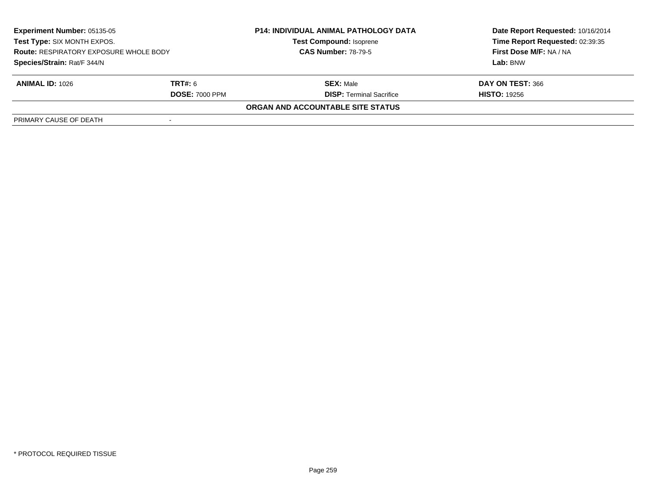| <b>Experiment Number: 05135-05</b><br>Test Type: SIX MONTH EXPOS.<br><b>Route: RESPIRATORY EXPOSURE WHOLE BODY</b><br>Species/Strain: Rat/F 344/N |                       | <b>P14: INDIVIDUAL ANIMAL PATHOLOGY DATA</b><br><b>Test Compound: Isoprene</b><br><b>CAS Number: 78-79-5</b> | Date Report Requested: 10/16/2014 |
|---------------------------------------------------------------------------------------------------------------------------------------------------|-----------------------|--------------------------------------------------------------------------------------------------------------|-----------------------------------|
|                                                                                                                                                   |                       |                                                                                                              | Time Report Requested: 02:39:35   |
|                                                                                                                                                   |                       |                                                                                                              | First Dose M/F: NA / NA           |
|                                                                                                                                                   |                       |                                                                                                              | Lab: BNW                          |
| <b>ANIMAL ID: 1026</b>                                                                                                                            | <b>TRT#:</b> 6        | <b>SEX: Male</b>                                                                                             | DAY ON TEST: 366                  |
|                                                                                                                                                   | <b>DOSE: 7000 PPM</b> | <b>DISP:</b> Terminal Sacrifice                                                                              | <b>HISTO: 19256</b>               |
|                                                                                                                                                   |                       | ORGAN AND ACCOUNTABLE SITE STATUS                                                                            |                                   |
| PRIMARY CAUSE OF DEATH                                                                                                                            |                       |                                                                                                              |                                   |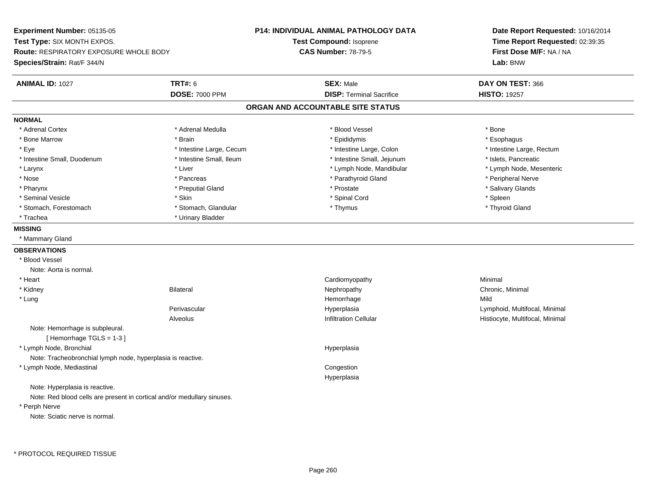**Experiment Number:** 05135-05**Test Type:** SIX MONTH EXPOS.**Route:** RESPIRATORY EXPOSURE WHOLE BODY**Species/Strain:** Rat/F 344/N**P14: INDIVIDUAL ANIMAL PATHOLOGY DATATest Compound:** Isoprene**CAS Number:** 78-79-5**Date Report Requested:** 10/16/2014**Time Report Requested:** 02:39:35**First Dose M/F:** NA / NA**Lab:** BNW**ANIMAL ID:** 1027**TRT#:** 6 **SEX:** Male **DAY ON TEST:** 366 **DOSE:** 7000 PPM**DISP:** Terminal Sacrifice **HISTO:** 19257 **ORGAN AND ACCOUNTABLE SITE STATUSNORMAL**\* Adrenal Cortex \* Adrenal Cortex \* \* Adrenal Medulla \* \* Adrenal Medulla \* \* Blood Vessel \* \* Brood Vessel \* \* Bone \* Esophagus \* Bone Marrow \* Brain \* Epididymis \* Esophagus \* Eye \* Thestine Large, Cecum \* Intestine Large, Cecum \* Intestine Large, Colon \* Intestine Large, Rectum \* Intestine Large, Rectum \* Intestine Small, Duodenum \* Intestine Small, Ileum \* Intestine Small, Intestine Small, Jejunum \* Islets, Pancreatic \* Lymph Node, Mesenteric \* Larynx \* Liver \* Liver \* Liver \* Liver \* Lymph Node, Mandibular \* Lymph Node, Mandibular \* Nose \* \* Pancreas \* \* Pancreas \* \* Pancreas \* \* Parathyroid Gland \* \* Peripheral Nerve \* Peripheral Nerve \* \* Salivary Glands \* Pharynx \* That was the second to the second that the second term in the second term in the second term in the second term in the second term in the second term in the second term in the second term in the second term in \* Seminal Vesicle \* Skin \* Spinal Cord \* Spleen \* Thyroid Gland \* Stomach, Forestomach \* Thomach \* Stomach, Glandular \* Thomach, Glandular \* Thymus \* Thomach, Glandular \* Thomach, Glandular \* Thomach, Glandular \* Thomach, Glandular \* Thomach, Glandular \* Thomach, Glandular \* Thomach, G \* Trachea \* Urinary Bladder**MISSING** \* Mammary Gland**OBSERVATIONS** \* Blood VesselNote: Aorta is normal. \* Heart Cardiomyopathy Minimal \* Kidneyy the controller of the Bilateral Chronic, Minimal and the Chronic, Minimal of the Chronic, Minimal of the Chronic, Minimal of the Chronic, Minimal of the Chronic, Minimal of the Chronic, Minimal of the Chronic, Minimal of \* Lungg and the state of the state of the state of the state of the Hemorrhage state of the Mild state of the Mild state of the State of the State of the State of the State of the State of the State of the State of the State of Perivascular Hyperplasia Lymphoid, Multifocal, Minimal AlveolusHistiocyte, Multifocal, Minimal Note: Hemorrhage is subpleural.[ Hemorrhage TGLS = 1-3 ] \* Lymph Node, Bronchial HyperplasiaNote: Tracheobronchial lymph node, hyperplasia is reactive. \* Lymph Node, Mediastinal Congestion HyperplasiaNote: Hyperplasia is reactive.Note: Red blood cells are present in cortical and/or medullary sinuses. \* Perph NerveNote: Sciatic nerve is normal.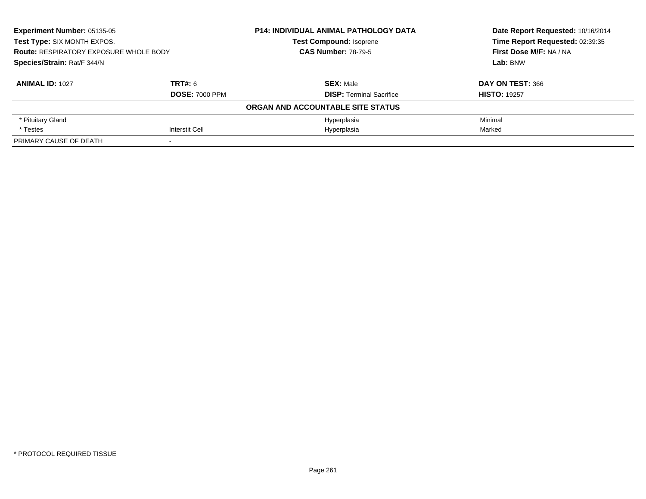| Experiment Number: 05135-05<br>Test Type: SIX MONTH EXPOS.<br><b>Route: RESPIRATORY EXPOSURE WHOLE BODY</b><br>Species/Strain: Rat/F 344/N |                       | P14: INDIVIDUAL ANIMAL PATHOLOGY DATA | Date Report Requested: 10/16/2014<br>Time Report Requested: 02:39:35<br>First Dose M/F: NA / NA<br>Lab: BNW |
|--------------------------------------------------------------------------------------------------------------------------------------------|-----------------------|---------------------------------------|-------------------------------------------------------------------------------------------------------------|
|                                                                                                                                            |                       | <b>Test Compound: Isoprene</b>        |                                                                                                             |
|                                                                                                                                            |                       | <b>CAS Number: 78-79-5</b>            |                                                                                                             |
|                                                                                                                                            |                       |                                       |                                                                                                             |
| <b>ANIMAL ID: 1027</b>                                                                                                                     | TRT#: 6               | <b>SEX: Male</b>                      | DAY ON TEST: 366                                                                                            |
|                                                                                                                                            | <b>DOSE: 7000 PPM</b> | <b>DISP: Terminal Sacrifice</b>       | <b>HISTO: 19257</b>                                                                                         |
|                                                                                                                                            |                       | ORGAN AND ACCOUNTABLE SITE STATUS     |                                                                                                             |
| * Pituitary Gland                                                                                                                          |                       | Hyperplasia                           | Minimal                                                                                                     |
| * Testes                                                                                                                                   | Interstit Cell        | Hyperplasia                           | Marked                                                                                                      |
| PRIMARY CAUSE OF DEATH                                                                                                                     |                       |                                       |                                                                                                             |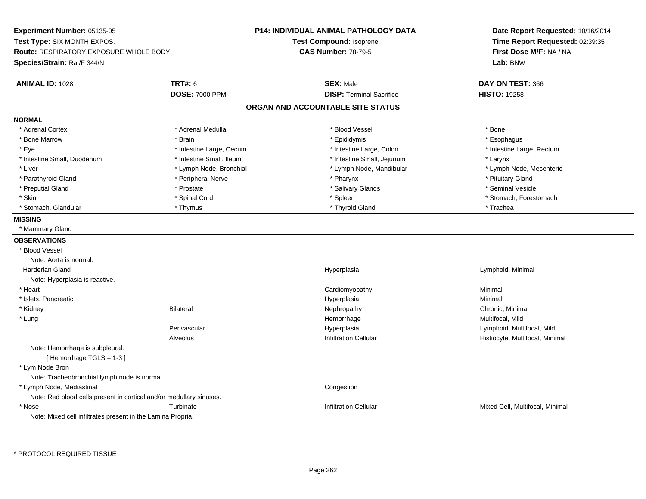**Experiment Number:** 05135-05**Test Type:** SIX MONTH EXPOS.**Route:** RESPIRATORY EXPOSURE WHOLE BODY**Species/Strain:** Rat/F 344/N**P14: INDIVIDUAL ANIMAL PATHOLOGY DATATest Compound:** Isoprene**CAS Number:** 78-79-5**Date Report Requested:** 10/16/2014**Time Report Requested:** 02:39:35**First Dose M/F:** NA / NA**Lab:** BNW**ANIMAL ID:** 1028**TRT#:** 6 **SEX:** Male **DAY ON TEST:** 366 **DOSE:** 7000 PPM**DISP:** Terminal Sacrifice **HISTO:** 19258 **ORGAN AND ACCOUNTABLE SITE STATUSNORMAL**\* Adrenal Cortex \* Adrenal Cortex \* \* Adrenal Medulla \* \* Adrenal Medulla \* \* Blood Vessel \* \* Brood Vessel \* \* Bone \* Esophagus \* Bone Marrow \* Brain \* Epididymis \* Esophagus \* Eye \* Thestine Large, Cecum \* Intestine Large, Cecum \* Intestine Large, Colon \* Intestine Large, Rectum \* Intestine Large, Rectum \* Intestine Small, Duodenum \* Intestine Small, Ileum \* Intestine Small, Jejunum \* Larynx\* Lymph Node, Mesenteric \* Liver \* Lymph Node, Bronchial \* Lymph Node, Mandibular \* Lymph Node, Mandibular \* Parathyroid Gland \* The strain of the strain of the Peripheral Nerve \* Peripheral Nerve \* Pharynx \* Pharynx \* Prituitary Gland \* Seminal Vesicle \* Preputial Gland \* \* Annual vesicle \* \* Prostate \* \* Salivary Glands \* \* Salivary Glands \* \* Seminal Vesicle \* \* Skin \* Spinal Cord \* Spinal Cord \* Spinal Cord \* Spinal \* Spinal \* Stomach, Forestomach \* Stomach, Forestomach \* Stomach, Glandular \* Thymus \* Thyroid Gland \* Trachea**MISSING** \* Mammary Gland**OBSERVATIONS** \* Blood VesselNote: Aorta is normal. Harderian Gland Hyperplasia Lymphoid, Minimal Note: Hyperplasia is reactive. \* Heart Cardiomyopathy Minimal \* Islets, Pancreaticc and the contract of the contract of the contract of the contract of the contract of the contract of the contract of the contract of the contract of the contract of the contract of the contract of the contract of the cont a **Minimal**  \* Kidneyy the controller of the Bilateral Chronic, Minimal and the Chronic, Minimal of the Chronic, Minimal of the Chronic, Minimal of the Chronic, Minimal of the Chronic, Minimal of the Chronic, Minimal of the Chronic, Minimal of \* Lungg and the morrhage of the morrhage of the morrhage of the Multifocal, Mild and the Multifocal, Mild and the morrhage  $\sim$  Multifocal, Mild and the morrhage of the morrhage of the morrhage of the morrhage of the morrhage of Perivascular Hyperplasia Lymphoid, Multifocal, Mild AlveolusHistiocyte, Multifocal, Minimal Note: Hemorrhage is subpleural.[ Hemorrhage TGLS = 1-3 ] \* Lym Node Bron Note: Tracheobronchial lymph node is normal. \* Lymph Node, Mediastinal**Congestion** Note: Red blood cells present in cortical and/or medullary sinuses. \* Nose Turbinate Infiltration Cellular Mixed Cell, Multifocal, Minimal Note: Mixed cell infiltrates present in the Lamina Propria.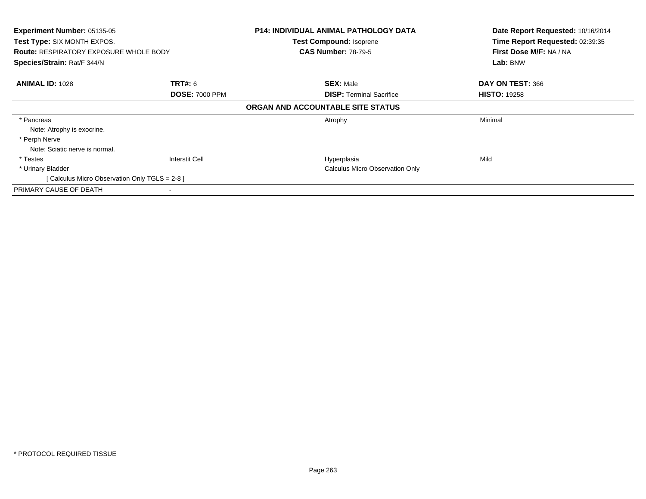| Experiment Number: 05135-05<br>Test Type: SIX MONTH EXPOS. |                       | <b>P14: INDIVIDUAL ANIMAL PATHOLOGY DATA</b><br><b>Test Compound: Isoprene</b> | Date Report Requested: 10/16/2014<br>Time Report Requested: 02:39:35 |
|------------------------------------------------------------|-----------------------|--------------------------------------------------------------------------------|----------------------------------------------------------------------|
| <b>Route: RESPIRATORY EXPOSURE WHOLE BODY</b>              |                       | <b>CAS Number: 78-79-5</b>                                                     | First Dose M/F: NA / NA                                              |
| Species/Strain: Rat/F 344/N                                |                       |                                                                                | Lab: BNW                                                             |
| <b>ANIMAL ID: 1028</b>                                     | <b>TRT#: 6</b>        | <b>SEX: Male</b>                                                               | DAY ON TEST: 366                                                     |
|                                                            | <b>DOSE: 7000 PPM</b> | <b>DISP:</b> Terminal Sacrifice                                                | <b>HISTO: 19258</b>                                                  |
|                                                            |                       | ORGAN AND ACCOUNTABLE SITE STATUS                                              |                                                                      |
| * Pancreas                                                 |                       | Atrophy                                                                        | Minimal                                                              |
| Note: Atrophy is exocrine.                                 |                       |                                                                                |                                                                      |
| * Perph Nerve                                              |                       |                                                                                |                                                                      |
| Note: Sciatic nerve is normal.                             |                       |                                                                                |                                                                      |
| * Testes                                                   | Interstit Cell        | Hyperplasia                                                                    | Mild                                                                 |
| * Urinary Bladder                                          |                       | <b>Calculus Micro Observation Only</b>                                         |                                                                      |
| [ Calculus Micro Observation Only TGLS = 2-8 ]             |                       |                                                                                |                                                                      |
| PRIMARY CAUSE OF DEATH                                     |                       |                                                                                |                                                                      |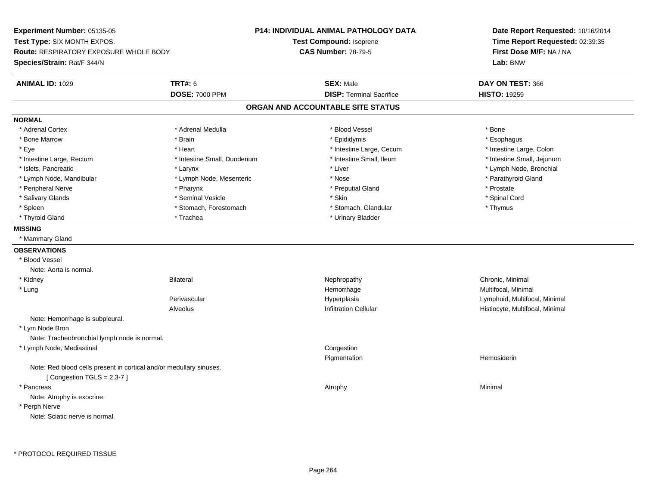**Experiment Number:** 05135-05**Test Type:** SIX MONTH EXPOS.**Route:** RESPIRATORY EXPOSURE WHOLE BODY**Species/Strain:** Rat/F 344/N**P14: INDIVIDUAL ANIMAL PATHOLOGY DATATest Compound:** Isoprene**CAS Number:** 78-79-5**Date Report Requested:** 10/16/2014**Time Report Requested:** 02:39:35**First Dose M/F:** NA / NA**Lab:** BNW**ANIMAL ID:** 1029 **TRT#:** <sup>6</sup> **SEX:** Male **DAY ON TEST:** <sup>366</sup> **DOSE:** 7000 PPM**DISP:** Terminal Sacrifice **HISTO:** 19259 **ORGAN AND ACCOUNTABLE SITE STATUSNORMAL**\* Adrenal Cortex \* Adrenal Cortex \* \* Adrenal Medulla \* \* Adrenal Medulla \* \* Blood Vessel \* \* Brood Vessel \* \* Bone \* Esophagus \* Bone Marrow \* Brain \* Epididymis \* Esophagus \* Intestine Large, Colon \* Eye \* The state \* Intestine Large, Cecum \* Heart \* **Intestine Large, Cecum** \* Intestine Large, Cecum \* Intestine Small, Jejunum \* Intestine Large, Rectum \* Intestine Small, Duodenum \* Intestine Small, Duodenum \* 1ntestine Small, Ileum \* Islets, Pancreatic \* Larynx \* Liver \* Lymph Node, Bronchial \* Lymph Node, Mandibular \* The state of the state of the Mesenteric \* Nose \* Nose \* Nose \* Nose \* Parathyroid Gland \* Peripheral Nerve \* \* \* Pharynx \* Pharynx \* \* Pharynx \* \* Preputial Gland \* \* Preputial Gland \* \* Prostate \* Spinal Cord \* Salivary Glands \* \* Seminal Vesicle \* \* Seminal Vesicle \* \* Skin \* \* Skin \* \* Stember \* Spinal Cord \* Spinal Cord \* Spinal Cord \* Spinal Cord \* Spinal Cord \* Spinal Cord \* Spinal Cord \* Spinal Cord \* Spinal Cord \* Spinal \* Spleen \* Stomach, Forestomach \* Stomach \* Stomach, Glandular \* Stomach, Glandular \* Thymus \* Thyroid Gland \* Trachea \* Trachea \* Trachea \* Urinary Bladder **MISSING** \* Mammary Gland**OBSERVATIONS** \* Blood VesselNote: Aorta is normal. \* Kidneyy the controller of the Bilateral Chronic, Minimal and the Chronic, Minimal of the Chronic, Minimal of the Chronic, Minimal of the Chronic, Minimal of the Chronic, Minimal of the Chronic, Minimal of the Chronic, Minimal of \* Lungg and the morrhage of the morrhage of the morrhage of the morrhage  $\mathsf{M}$ ultifocal, Minimal and the morrhage of the morrhage of the morrhage of the morrhage of the morrhage of the morrhage of the morrhage of the morrhage Perivascular Hyperplasia Lymphoid, Multifocal, Minimal AlveolusHistiocyte, Multifocal, Minimal Note: Hemorrhage is subpleural. \* Lym Node Bron Note: Tracheobronchial lymph node is normal. \* Lymph Node, Mediastinal Congestion Pigmentation Hemosiderin Note: Red blood cells present in cortical and/or medullary sinuses. $[$  Congestion TGLS = 2,3-7  $]$  \* Pancreass the control of the control of the control of the control of the control of the control of the control of the control of the control of the control of the control of the control of the control of the control of the contro Note: Atrophy is exocrine. \* Perph NerveNote: Sciatic nerve is normal.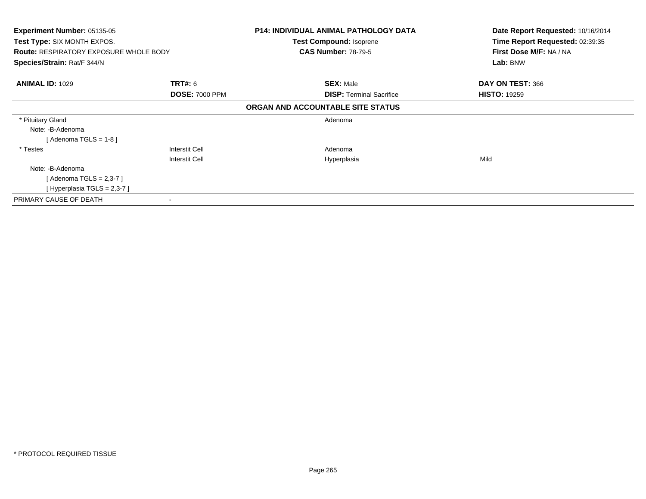| <b>Experiment Number: 05135-05</b><br><b>Test Type: SIX MONTH EXPOS.</b> |                       | <b>P14: INDIVIDUAL ANIMAL PATHOLOGY DATA</b> | Date Report Requested: 10/16/2014<br>Time Report Requested: 02:39:35 |
|--------------------------------------------------------------------------|-----------------------|----------------------------------------------|----------------------------------------------------------------------|
|                                                                          |                       | Test Compound: Isoprene                      |                                                                      |
| <b>Route: RESPIRATORY EXPOSURE WHOLE BODY</b>                            |                       | <b>CAS Number: 78-79-5</b>                   | First Dose M/F: NA / NA                                              |
| Species/Strain: Rat/F 344/N                                              |                       |                                              | Lab: BNW                                                             |
| <b>ANIMAL ID: 1029</b>                                                   | <b>TRT#:</b> 6        | <b>SEX: Male</b>                             | DAY ON TEST: 366                                                     |
|                                                                          | <b>DOSE: 7000 PPM</b> | <b>DISP: Terminal Sacrifice</b>              | <b>HISTO: 19259</b>                                                  |
|                                                                          |                       | ORGAN AND ACCOUNTABLE SITE STATUS            |                                                                      |
| * Pituitary Gland                                                        |                       | Adenoma                                      |                                                                      |
| Note: -B-Adenoma                                                         |                       |                                              |                                                                      |
| [ Adenoma TGLS = 1-8 ]                                                   |                       |                                              |                                                                      |
| * Testes                                                                 | Interstit Cell        | Adenoma                                      |                                                                      |
|                                                                          | Interstit Cell        | Hyperplasia                                  | Mild                                                                 |
| Note: -B-Adenoma                                                         |                       |                                              |                                                                      |
| [ Adenoma TGLS = 2,3-7 ]                                                 |                       |                                              |                                                                      |
| [Hyperplasia TGLS = $2,3-7$ ]                                            |                       |                                              |                                                                      |
| PRIMARY CAUSE OF DEATH                                                   |                       |                                              |                                                                      |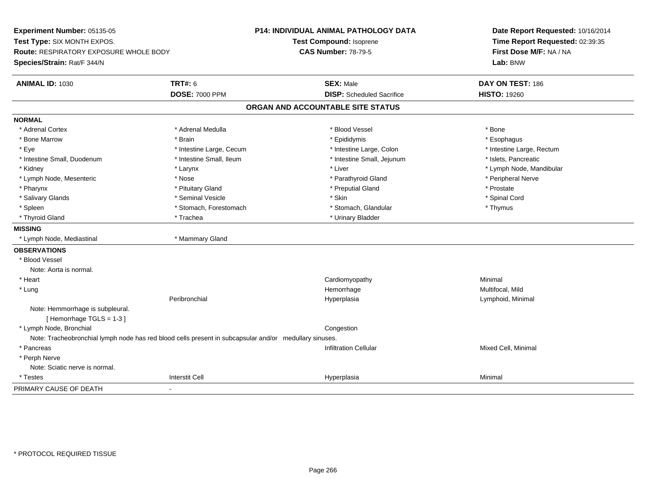**Experiment Number:** 05135-05**Test Type:** SIX MONTH EXPOS.**Route:** RESPIRATORY EXPOSURE WHOLE BODY**Species/Strain:** Rat/F 344/N**P14: INDIVIDUAL ANIMAL PATHOLOGY DATATest Compound:** Isoprene**CAS Number:** 78-79-5**Date Report Requested:** 10/16/2014**Time Report Requested:** 02:39:35**First Dose M/F:** NA / NA**Lab:** BNW**ANIMAL ID:** 1030**TRT#:** 6 **SEX:** Male **DAY ON TEST:** 186 **DOSE:** 7000 PPM**DISP:** Scheduled Sacrifice **HISTO:** 19260 **ORGAN AND ACCOUNTABLE SITE STATUSNORMAL**\* Adrenal Cortex \* Adrenal Cortex \* \* Adrenal Medulla \* \* Adrenal Medulla \* \* Blood Vessel \* \* Brood Vessel \* \* Bone \* Esophagus \* Bone Marrow \* Brain \* Epididymis \* Esophagus \* Intestine Large, Rectum \* Eye \* Intestine Large, Cecum \* Intestine Large, Cecum \* Intestine Large, Colon \* Intestine Small, Duodenum \* Intestine Small, Ileum \* Intestine Small, Intestine Small, Jejunum \* Islets, Pancreatic \* Kidney \* The mode, Mandibular \* Larynx \* Larynx \* Larynx \* Liver \* Liver \* Number \* Liver \* Lymph Node, Mandibular \* Lymph Node, Mesenteric \* The state of the state of the Nose \* Nose \* Parathyroid Gland \* Parathyroid Gland \* Peripheral Nerve \* Pharynx \* Pituitary Gland \* Preputial Gland \* Prostate \* Spinal Cord \* Salivary Glands \* \* Seminal Vesicle \* \* Seminal Vesicle \* \* Skin \* \* Skin \* \* Stember \* Spinal Cord \* Spinal Cord \* Spinal Cord \* Spinal Cord \* Spinal Cord \* Spinal Cord \* Spinal Cord \* Spinal Cord \* Spinal Cord \* Spinal \* Spleen \* Stomach, Forestomach \* Stomach \* Stomach, Glandular \* Stomach, Glandular \* Thymus \* Thyroid Gland \* Trachea \* Trachea \* Trachea \* Urinary Bladder **MISSING** \* Lymph Node, Mediastinal \* Mammary Gland**OBSERVATIONS** \* Blood VesselNote: Aorta is normal. \* Heart Cardiomyopathy Minimal \* Lungg and the morrhage of the morrhage of the morrhage of the Multifocal, Mild and the Multifocal, Mild and the morrhage  $\sim$  Multifocal, Mild and the morrhage of the morrhage of the morrhage of the morrhage of the morrhage of Peribronchial Hyperplasia Lymphoid, Minimal Note: Hemmorrhage is subpleural.[ Hemorrhage TGLS = 1-3 ] \* Lymph Node, Bronchial CongestionNote: Tracheobronchial lymph node has red blood cells present in subcapsular and/or medullary sinuses. \* Pancreass and the contraction Cellular Minimal of the Mixed Cell, Minimal of the Mixed Cell, Minimal of the Mixed Cell, Minimal of the contraction Cellular  $\sim$  100  $\mu$  m. The contraction Cellular contraction Cellular contraction \* Perph Nerve Note: Sciatic nerve is normal. \* Testess and the contraction of the contraction of the contraction of the contraction of the contraction of the contraction of the contraction of the contraction of the contraction of the contraction of the contraction of the con a Minimal PRIMARY CAUSE OF DEATH-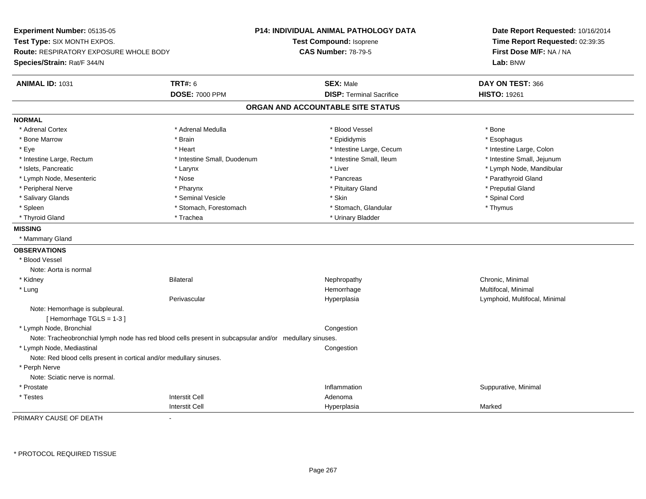**Experiment Number:** 05135-05**Test Type:** SIX MONTH EXPOS.**Route:** RESPIRATORY EXPOSURE WHOLE BODY**Species/Strain:** Rat/F 344/N**P14: INDIVIDUAL ANIMAL PATHOLOGY DATATest Compound:** Isoprene**CAS Number:** 78-79-5**Date Report Requested:** 10/16/2014**Time Report Requested:** 02:39:35**First Dose M/F:** NA / NA**Lab:** BNW**ANIMAL ID:** 1031**TRT#:** 6 **SEX:** Male **DAY ON TEST:** 366 **DOSE:** 7000 PPM**DISP:** Terminal Sacrifice **HISTO:** 19261 **ORGAN AND ACCOUNTABLE SITE STATUSNORMAL**\* Adrenal Cortex \* Adrenal Cortex \* \* Adrenal Medulla \* \* Adrenal Medulla \* \* Blood Vessel \* \* Brood Vessel \* \* Bone \* Esophagus \* Bone Marrow \* Brain \* Epididymis \* Esophagus \* Intestine Large, Colon \* Eye \* The state \* Intestine Large, Cecum \* Heart \* **Intestine Large, Cecum** \* Intestine Large, Cecum \* Intestine Small, Jejunum \* Intestine Large, Rectum \* Intestine Small, Duodenum \* Intestine Small, Duodenum \* 1ntestine Small, Ileum \* Islets, Pancreatic \* Larynx \* Liver \* Lymph Node, Mandibular \* Lymph Node, Mesenteric \* The state of the state of the state of the state of the state of the state of the state of the state of the state of the state of the state of the state of the state of the state of the state of \* Peripheral Nerve \* \* \* \* Pharynx \* \* Pharynx \* \* \* Preputial Gland \* \* Preputial Gland \* \* Preputial Gland \* Salivary Glands \* \* Seminal Vesicle \* \* Seminal Vesicle \* \* Skin \* \* Skin \* \* Stember \* Spinal Cord \* Spinal Cord \* Spinal Cord \* Spinal Cord \* Spinal Cord \* Spinal Cord \* Spinal Cord \* Spinal Cord \* Spinal Cord \* Spinal \* Spleen \* Stomach, Forestomach \* Stomach \* Stomach, Glandular \* Stomach, Glandular \* Thymus \* Thyroid Gland \* Trachea \* Trachea \* Trachea \* Urinary Bladder **MISSING** \* Mammary Gland**OBSERVATIONS** \* Blood VesselNote: Aorta is normal \* Kidneyy the controller of the Bilateral Chronic, Minimal and the Chronic, Minimal of the Chronic, Minimal of the Chronic, Minimal of the Chronic, Minimal of the Chronic, Minimal of the Chronic, Minimal of the Chronic, Minimal of \* Lungg and the morrhage of the morrhage of the morrhage of the morrhage  $\mathsf{M}$ ultifocal, Minimal and the morrhage of the morrhage of the morrhage of the morrhage of the morrhage of the morrhage of the morrhage of the morrhage Perivascular Hyperplasia Lymphoid, Multifocal, Minimal Note: Hemorrhage is subpleural.[ Hemorrhage TGLS = 1-3 ] \* Lymph Node, Bronchial CongestionNote: Tracheobronchial lymph node has red blood cells present in subcapsular and/or medullary sinuses. \* Lymph Node, Mediastinal CongestionNote: Red blood cells present in cortical and/or medullary sinuses. \* Perph Nerve Note: Sciatic nerve is normal. \* Prostatee the contraction of the contraction of the contraction of the contraction of the contraction of the contraction of  $\mathbf S$ uppurative, Minimal of the contraction of the contraction of the contraction of the contraction of t \* Testess and the contractive contractive contractive contractive contractive contractive contractive contractive contractive contractive contractive contractive contractive contractive contractive contractive contractive contract I and the contract of the Hyperplasia Interstit Cella Marked

PRIMARY CAUSE OF DEATH-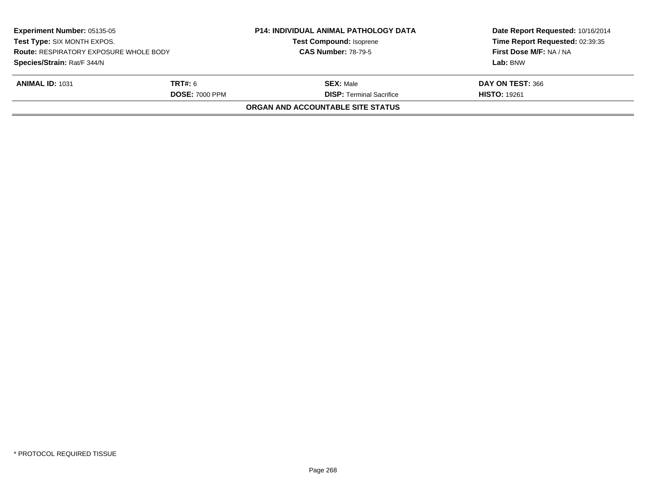| <b>Experiment Number: 05135-05</b><br>Test Type: SIX MONTH EXPOS.<br><b>Route: RESPIRATORY EXPOSURE WHOLE BODY</b><br>Species/Strain: Rat/F 344/N |                       | <b>P14: INDIVIDUAL ANIMAL PATHOLOGY DATA</b> | Date Report Requested: 10/16/2014 |  |
|---------------------------------------------------------------------------------------------------------------------------------------------------|-----------------------|----------------------------------------------|-----------------------------------|--|
|                                                                                                                                                   |                       | <b>Test Compound: Isoprene</b>               | Time Report Requested: 02:39:35   |  |
|                                                                                                                                                   |                       | <b>CAS Number: 78-79-5</b>                   | First Dose M/F: NA / NA           |  |
|                                                                                                                                                   |                       |                                              | Lab: BNW                          |  |
| <b>ANIMAL ID: 1031</b>                                                                                                                            | TRT#: 6               | <b>SEX: Male</b>                             | DAY ON TEST: 366                  |  |
|                                                                                                                                                   | <b>DOSE: 7000 PPM</b> | <b>DISP: Terminal Sacrifice</b>              | <b>HISTO: 19261</b>               |  |
|                                                                                                                                                   |                       | ORGAN AND ACCOUNTABLE SITE STATUS            |                                   |  |
|                                                                                                                                                   |                       |                                              |                                   |  |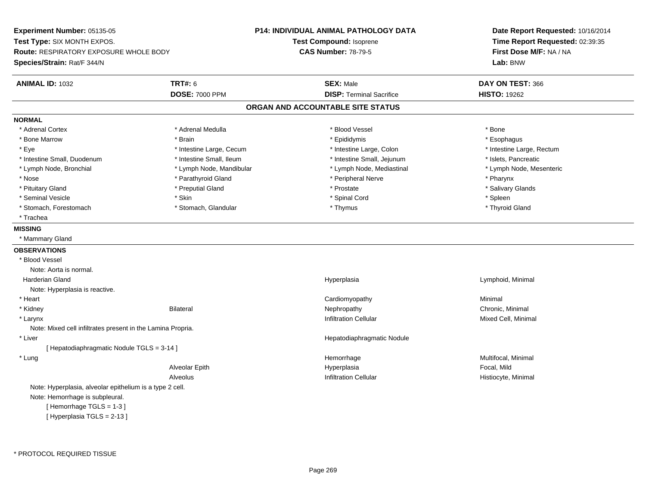**Experiment Number:** 05135-05**Test Type:** SIX MONTH EXPOS.**Route:** RESPIRATORY EXPOSURE WHOLE BODY**Species/Strain:** Rat/F 344/N**P14: INDIVIDUAL ANIMAL PATHOLOGY DATATest Compound:** Isoprene**CAS Number:** 78-79-5**Date Report Requested:** 10/16/2014**Time Report Requested:** 02:39:35**First Dose M/F:** NA / NA**Lab:** BNW**ANIMAL ID:** 1032 **TRT#:** <sup>6</sup> **SEX:** Male **DAY ON TEST:** <sup>366</sup> **DOSE:** 7000 PPM**DISP:** Terminal Sacrifice **HISTO:** 19262 **ORGAN AND ACCOUNTABLE SITE STATUSNORMAL**\* Adrenal Cortex \* Adrenal Cortex \* \* Adrenal Medulla \* \* Adrenal Medulla \* \* Blood Vessel \* \* Brood Vessel \* \* Bone \* Esophagus \* Bone Marrow \* Brain \* Epididymis \* Esophagus \* Eye \* Thestine Large, Cecum \* Intestine Large, Cecum \* Intestine Large, Colon \* Intestine Large, Rectum \* Intestine Large, Rectum \* Intestine Small, Duodenum \* Intestine Small, Ileum \* Intestine Small, Intestine Small, Jejunum \* Islets, Pancreatic \* Lymph Node, Mesenteric \* Lymph Node, Bronchial \* Lymph Node, Mandibular \* Lymph Node, Mediastinal \* Lymph Node, Mediastinal \* Nose \* Parathyroid Gland \* Parathyroid Gland \* Peripheral Nerve \* Poster \* Pharynx \* Salivary Glands \* Pituitary Gland \* \* Then the state \* Preputial Gland \* Prosection \* Prostate \* \* Salivary Glands \* Salivary Glands \* Salivary Glands \* Salivary Glands \* Salivary Glands \* Salivary Glands \* Salivary Glands \* Salivary Glan \* Seminal Vesicle \* Skin \* Spinal Cord \* Spleen \* Thyroid Gland \* Stomach, Forestomach \* Thymus \* Stomach, Glandular \* Thymus \* Thymus \* Thymus \* Thymus \* Thymus \* Thymus \* Thymus \* Thymus \* Thymus \* Thymus \* Thymus \* Thymus \* Thymus \* Thymus \* Thymus \* Thymus \* Thymus \* Thymus \* Thymu \* Trachea**MISSING** \* Mammary Gland**OBSERVATIONS** \* Blood VesselNote: Aorta is normal. Harderian Gland Hyperplasia Lymphoid, Minimal Note: Hyperplasia is reactive. \* Heart CardiomyopathyMinimal<br>Chronic, Minimal \* Kidneyy the controller of the Bilateral Chronic, Minimal and the Chronic, Minimal of the Chronic, Minimal of the Chronic, Minimal of the Chronic, Minimal of the Chronic, Minimal of the Chronic, Minimal of the Chronic, Minimal of \* Larynxx and the state of the control of the control of the control of the control of the control of the control of the control of the control of the control of the control of the control of the control of the control of the cont Note: Mixed cell infiltrates present in the Lamina Propria. \* Liver Hepatodiaphragmatic Nodule[ Hepatodiaphragmatic Nodule TGLS = 3-14 ] \* Lungg and the morrhage of the morrhage of the morrhage of the morrhage  $\mathsf{M}$ ultifocal, Minimal and the morrhage of the morrhage of the morrhage of the morrhage of the morrhage of the morrhage of the morrhage of the morrhage Alveolar Epith Hyperplasia Focal, Mild AlveolusInfiltration Cellular **Histocyte**, Minimal Note: Hyperplasia, alveolar epithelium is a type 2 cell.Note: Hemorrhage is subpleural.[ Hemorrhage TGLS = 1-3 ]

[ Hyperplasia TGLS = 2-13 ]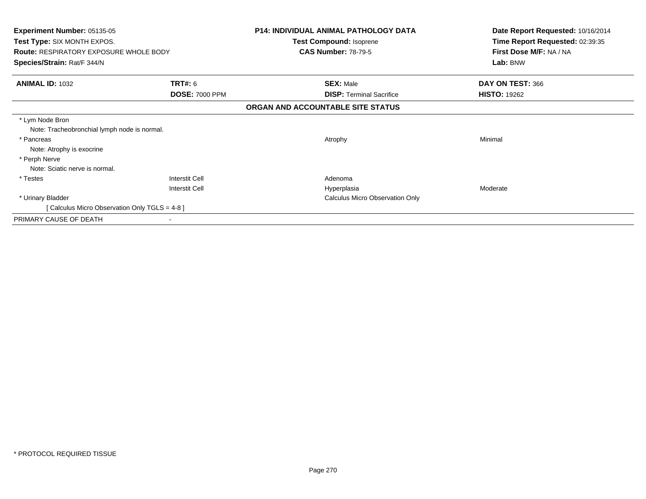| <b>Experiment Number: 05135-05</b><br><b>Test Type: SIX MONTH EXPOS.</b><br><b>Route: RESPIRATORY EXPOSURE WHOLE BODY</b><br>Species/Strain: Rat/F 344/N |                                                | <b>P14: INDIVIDUAL ANIMAL PATHOLOGY DATA</b><br>Test Compound: Isoprene<br><b>CAS Number: 78-79-5</b> | Date Report Requested: 10/16/2014<br>Time Report Requested: 02:39:35<br>First Dose M/F: NA / NA<br>Lab: BNW |
|----------------------------------------------------------------------------------------------------------------------------------------------------------|------------------------------------------------|-------------------------------------------------------------------------------------------------------|-------------------------------------------------------------------------------------------------------------|
| <b>ANIMAL ID: 1032</b>                                                                                                                                   | <b>TRT#: 6</b><br><b>DOSE: 7000 PPM</b>        | <b>SEX: Male</b><br><b>DISP: Terminal Sacrifice</b>                                                   | DAY ON TEST: 366<br><b>HISTO: 19262</b>                                                                     |
|                                                                                                                                                          |                                                | ORGAN AND ACCOUNTABLE SITE STATUS                                                                     |                                                                                                             |
| * Lym Node Bron<br>Note: Tracheobronchial lymph node is normal.<br>* Pancreas<br>Note: Atrophy is exocrine<br>* Perph Nerve                              |                                                | Atrophy                                                                                               | Minimal                                                                                                     |
| Note: Sciatic nerve is normal.                                                                                                                           |                                                |                                                                                                       |                                                                                                             |
| * Testes                                                                                                                                                 | <b>Interstit Cell</b><br><b>Interstit Cell</b> | Adenoma<br>Hyperplasia                                                                                | Moderate                                                                                                    |
| * Urinary Bladder                                                                                                                                        |                                                | <b>Calculus Micro Observation Only</b>                                                                |                                                                                                             |
| [ Calculus Micro Observation Only TGLS = 4-8 ]                                                                                                           |                                                |                                                                                                       |                                                                                                             |
| PRIMARY CAUSE OF DEATH                                                                                                                                   |                                                |                                                                                                       |                                                                                                             |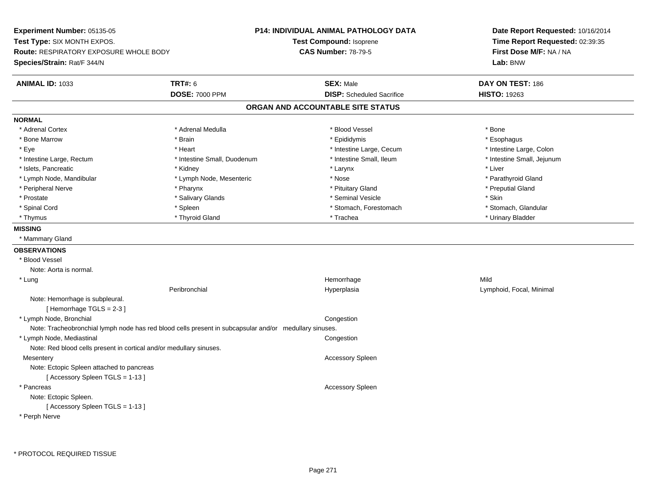**Experiment Number:** 05135-05**Test Type:** SIX MONTH EXPOS.**Route:** RESPIRATORY EXPOSURE WHOLE BODY**Species/Strain:** Rat/F 344/N**P14: INDIVIDUAL ANIMAL PATHOLOGY DATATest Compound:** Isoprene**CAS Number:** 78-79-5**Date Report Requested:** 10/16/2014**Time Report Requested:** 02:39:35**First Dose M/F:** NA / NA**Lab:** BNW**ANIMAL ID:** 1033**TRT#:** 6 **SEX:** Male **DAY ON TEST:** 186 **DOSE:** 7000 PPM**DISP:** Scheduled Sacrifice **HISTO:** 19263 **ORGAN AND ACCOUNTABLE SITE STATUSNORMAL**\* Adrenal Cortex \* Adrenal Cortex \* \* Adrenal Medulla \* \* Adrenal Medulla \* \* Blood Vessel \* \* Brood Vessel \* \* Bone \* Esophagus \* Bone Marrow \* Brain \* Epididymis \* Esophagus \* Intestine Large, Colon \* Eye \* The state of the state of the state of the state of the state of the state of the state of the state of the state of the state of the state of the state of the state of the state of the state of the state of the st \* Intestine Small, Jejunum \* Intestine Large, Rectum \* Intestine Small, Duodenum \* Intestine Small, Duodenum \* 1ntestine Small, Ileum \* Islets, Pancreatic \* \* \* Andrew \* Kidney \* \* Kidney \* \* Larynx \* Larynx \* \* Larynx \* \* Liver \* Liver \* Liver \* Lymph Node, Mandibular \* The state of the state of the Mesenteric \* Nose \* Nose \* Nose \* Parathyroid Gland \* Peripheral Nerve \* \* \* \* Pharynx \* \* Pharynx \* \* \* Preputial Gland \* \* Preputial Gland \* \* Preputial Gland \* Prostate \* \* Salivary Glands \* \* Salivary Glands \* \* Seminal Vesicle \* \* \* Seminal Yestrich \* \* Skin \* \* Skin \* Stomach, Glandular \* Spinal Cord \* Spinal Cord \* Spinal Cord \* Stomach, Forestomach \* Stomach, Forestomach \* Stomach, Forestomach \* Thymus \* Thyroid Gland \* Trachea \* Urinary Bladder \* **MISSING** \* Mammary Gland**OBSERVATIONS** \* Blood VesselNote: Aorta is normal. \* Lungg and the state of the state of the state of the state of the Hemorrhage state of the Mild state of the Mild state of the State of the State of the State of the State of the State of the State of the State of the State of Peribronchial Hyperplasia Lymphoid, Focal, Minimal Note: Hemorrhage is subpleural.[ Hemorrhage TGLS = 2-3 ] \* Lymph Node, Bronchial CongestionNote: Tracheobronchial lymph node has red blood cells present in subcapsular and/or medullary sinuses. \* Lymph Node, Mediastinal CongestionNote: Red blood cells present in cortical and/or medullary sinuses.**Mesentery**  Accessory SpleenNote: Ectopic Spleen attached to pancreas[ Accessory Spleen TGLS = 1-13 ] \* Pancreas Accessory SpleenNote: Ectopic Spleen.[ Accessory Spleen TGLS = 1-13 ]\* Perph Nerve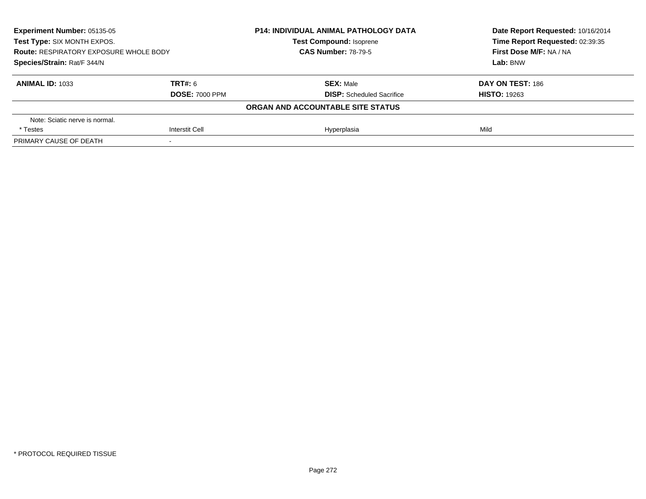| Experiment Number: 05135-05<br>Test Type: SIX MONTH EXPOS.<br><b>Route: RESPIRATORY EXPOSURE WHOLE BODY</b><br>Species/Strain: Rat/F 344/N |                       | <b>P14: INDIVIDUAL ANIMAL PATHOLOGY DATA</b> | Date Report Requested: 10/16/2014<br>Time Report Requested: 02:39:35 |
|--------------------------------------------------------------------------------------------------------------------------------------------|-----------------------|----------------------------------------------|----------------------------------------------------------------------|
|                                                                                                                                            |                       | <b>Test Compound: Isoprene</b>               |                                                                      |
|                                                                                                                                            |                       | <b>CAS Number: 78-79-5</b>                   | First Dose M/F: NA / NA                                              |
|                                                                                                                                            |                       |                                              | Lab: BNW                                                             |
| <b>ANIMAL ID: 1033</b>                                                                                                                     | TRT#: 6               | <b>SEX: Male</b>                             | DAY ON TEST: 186                                                     |
|                                                                                                                                            | <b>DOSE: 7000 PPM</b> | <b>DISP:</b> Scheduled Sacrifice             | <b>HISTO: 19263</b>                                                  |
|                                                                                                                                            |                       | ORGAN AND ACCOUNTABLE SITE STATUS            |                                                                      |
| Note: Sciatic nerve is normal.                                                                                                             |                       |                                              |                                                                      |
| * Testes                                                                                                                                   | <b>Interstit Cell</b> | Hyperplasia                                  | Mild                                                                 |
| PRIMARY CAUSE OF DEATH                                                                                                                     |                       |                                              |                                                                      |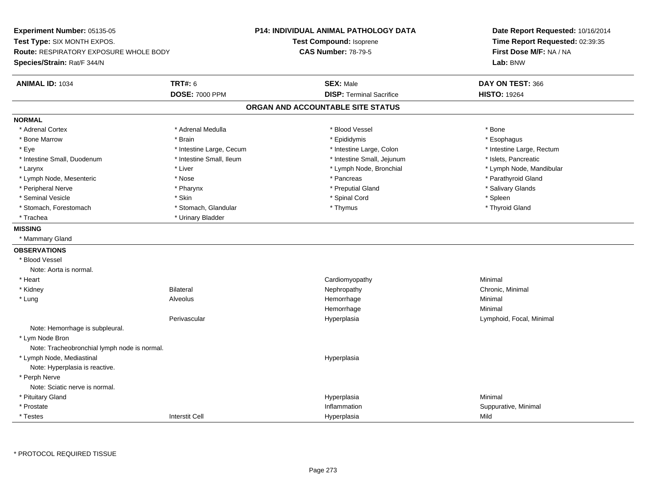**Experiment Number:** 05135-05**Test Type:** SIX MONTH EXPOS.**Route:** RESPIRATORY EXPOSURE WHOLE BODY**Species/Strain:** Rat/F 344/N**P14: INDIVIDUAL ANIMAL PATHOLOGY DATATest Compound:** Isoprene**CAS Number:** 78-79-5**Date Report Requested:** 10/16/2014**Time Report Requested:** 02:39:35**First Dose M/F:** NA / NA**Lab:** BNW**ANIMAL ID:** 1034 **TRT#:** <sup>6</sup> **SEX:** Male **DAY ON TEST:** <sup>366</sup> **DOSE:** 7000 PPM**DISP:** Terminal Sacrifice **HISTO:** 19264 **ORGAN AND ACCOUNTABLE SITE STATUSNORMAL**\* Adrenal Cortex \* Adrenal Cortex \* \* Adrenal Medulla \* \* Adrenal Medulla \* \* Blood Vessel \* \* Brood Vessel \* \* Bone \* Esophagus \* Bone Marrow \* Brain \* Epididymis \* Esophagus \* Eye \* Thestine Large, Cecum \* Intestine Large, Cecum \* Intestine Large, Colon \* Intestine Large, Rectum \* Intestine Large, Rectum \* Intestine Small, Duodenum \* Intestine Small, Ileum \* Intestine Small, Intestine Small, Jejunum \* Islets, Pancreatic \* Larynx \* Lymph Node, Bronchial \* Lymph Node, Bronchial \* Lymph Node, Mandibular \* Lymph Node, Mandibular \* Lymph Node, Mandibular \* Lymph Node, Mesenteric \* The state of the state of the state of the state of the state of the state of the state of the state of the state of the state of the state of the state of the state of the state of the state of \* Peripheral Nerve \* \* Andrew \* Pharynx \* Pharynx \* \* Preputial Gland \* \* Salivary Glands \* Salivary Glands \* Salivary Glands \* Salivary Glands \* Salivary Glands \* Salivary Glands \* Salivary Glands \* Salivary Glands \* Sali \* Seminal Vesicle \* Skin \* Spinal Cord \* Spleen \* Thyroid Gland \* Stomach, Forestomach \* Thymus \* Stomach, Glandular \* Thymus \* Thymus \* Thymus \* Thymus \* Thymus \* Thymus \* Thymus \* Thymus \* Thymus \* Thymus \* Thymus \* Thymus \* Thymus \* Thymus \* Thymus \* Thymus \* Thymus \* Thymus \* Thymu \* Trachea \* Urinary Bladder**MISSING** \* Mammary Gland**OBSERVATIONS** \* Blood VesselNote: Aorta is normal. \* Heart Cardiomyopathy Minimal \* Kidneyy the controller of the Bilateral Chronic, Minimal and the Chronic, Minimal of the Chronic, Minimal of the Chronic, Minimal of the Chronic, Minimal of the Chronic, Minimal of the Chronic, Minimal of the Chronic, Minimal of \* Lung Alveolus Hemorrhage Minimal Hemorrhagee Minimal Perivascular Hyperplasia Lymphoid, Focal, Minimal Note: Hemorrhage is subpleural. \* Lym Node Bron Note: Tracheobronchial lymph node is normal. \* Lymph Node, Mediastinal HyperplasiaNote: Hyperplasia is reactive. \* Perph Nerve Note: Sciatic nerve is normal. \* Pituitary Glandd and the control of the control of the control of the control of the control of the control of the control of the control of the control of the control of the control of the control of the control of the control of the co \* Prostatee the contraction of the contraction of the contraction of the contraction of the contraction of the contraction of  $\mathbf S$ uppurative, Minimal of the contraction of the contraction of the contraction of the contraction of t \* Testess and the contraction of the contraction of the contraction of the contraction of the contraction of the contraction of the contraction of the contraction of the contraction of the contraction of the contraction of the con a Mild

\* PROTOCOL REQUIRED TISSUE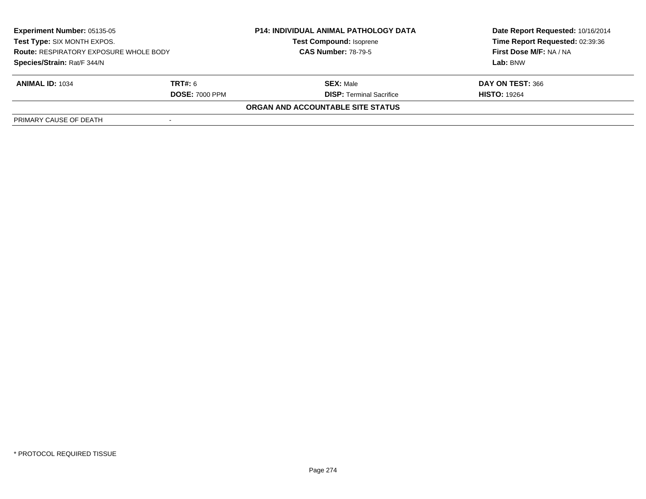| <b>Experiment Number: 05135-05</b><br>Test Type: SIX MONTH EXPOS.<br><b>Route: RESPIRATORY EXPOSURE WHOLE BODY</b><br>Species/Strain: Rat/F 344/N |                       | <b>P14: INDIVIDUAL ANIMAL PATHOLOGY DATA</b><br><b>Test Compound: Isoprene</b><br><b>CAS Number: 78-79-5</b> | Date Report Requested: 10/16/2014 |
|---------------------------------------------------------------------------------------------------------------------------------------------------|-----------------------|--------------------------------------------------------------------------------------------------------------|-----------------------------------|
|                                                                                                                                                   |                       |                                                                                                              | Time Report Requested: 02:39:36   |
|                                                                                                                                                   |                       |                                                                                                              | First Dose M/F: NA / NA           |
|                                                                                                                                                   |                       |                                                                                                              | Lab: BNW                          |
| <b>ANIMAL ID: 1034</b>                                                                                                                            | <b>TRT#:</b> 6        | <b>SEX: Male</b>                                                                                             | DAY ON TEST: 366                  |
|                                                                                                                                                   | <b>DOSE: 7000 PPM</b> | <b>DISP:</b> Terminal Sacrifice                                                                              | <b>HISTO: 19264</b>               |
|                                                                                                                                                   |                       | ORGAN AND ACCOUNTABLE SITE STATUS                                                                            |                                   |
| PRIMARY CAUSE OF DEATH                                                                                                                            |                       |                                                                                                              |                                   |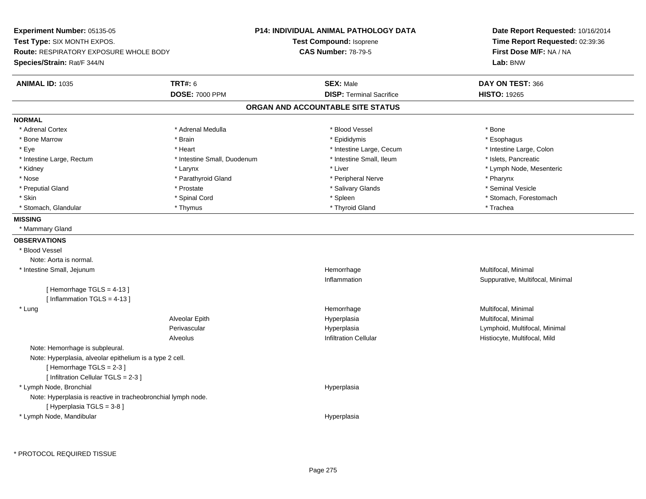**Experiment Number:** 05135-05**Test Type:** SIX MONTH EXPOS.**Route:** RESPIRATORY EXPOSURE WHOLE BODY**Species/Strain:** Rat/F 344/N**P14: INDIVIDUAL ANIMAL PATHOLOGY DATATest Compound:** Isoprene**CAS Number:** 78-79-5**Date Report Requested:** 10/16/2014**Time Report Requested:** 02:39:36**First Dose M/F:** NA / NA**Lab:** BNW**ANIMAL ID:** 1035 **TRT#:** <sup>6</sup> **SEX:** Male **DAY ON TEST:** <sup>366</sup> **DOSE:** 7000 PPM**DISP:** Terminal Sacrifice **HISTO:** 19265 **ORGAN AND ACCOUNTABLE SITE STATUSNORMAL**\* Adrenal Cortex \* Adrenal Cortex \* \* Adrenal Medulla \* \* Adrenal Medulla \* \* Blood Vessel \* \* Brood Vessel \* \* Bone \* Esophagus \* Bone Marrow \* Brain \* Epididymis \* Esophagus \* Intestine Large, Colon \* Eye \* Heart \* Intestine Large, Cecum \* Intestine Large, Colon\* Intestine Large, Rectum \* Thestine Small, Duodenum \* Intestine Small, Ileum \* Intestine Small, Ileum \* Islets, Pancreatic \* Kidney \* The mode, Mesenteric \* Larynx \* Larynx \* Larynx \* Liver \* Liver \* Liver \* Liver \* Liver \* Lymph Node, Mesenteric \* Nose \* Parathyroid Gland \* Parathyroid Gland \* Peripheral Nerve \* Posterious \* Pharynx \* Seminal Vesicle \* Preputial Gland \* \* Annual vesicle \* \* Prostate \* \* Salivary Glands \* \* Salivary Glands \* \* Seminal Vesicle \* \* Skin \* Spinal Cord \* Spinal Cord \* Spinal Cord \* Spinal \* Spinal \* Stomach, Forestomach \* Stomach, Forestomach \* Stomach, Glandular \* Thymus \* Thyroid Gland \* Trachea**MISSING** \* Mammary Gland**OBSERVATIONS** \* Blood VesselNote: Aorta is normal. \* Intestine Small, Jejunumm and the morrhage the morrhage that the morrhage method is a multifocal, Minimal multifocal, Minimal multifocal, Minimal multifocal, Minimal multifocal, Minimal multifocal, Minimal multifocal,  $\frac{1}{2}$ Inflammation Suppurative, Multifocal, Minimal [ Hemorrhage TGLS = 4-13 ] [ Inflammation TGLS = 4-13 ] \* Lungg and the morrhage of the morrhage of the morrhage of the morrhage  $\mathsf{M}$ ultifocal, Minimal and the morrhage of the morrhage of the morrhage of the morrhage of the morrhage of the morrhage of the morrhage of the morrhage Alveolar Epith Hyperplasia Multifocal, Minimal Perivascular HyperplasiaHyperplasia and the control of the control of the Lymphoid, Multifocal, Minimal Infiltration Cellular and the control of Histiocyte. Multifocal. Mild AlveolusHistiocyte, Multifocal, Mild Note: Hemorrhage is subpleural.Note: Hyperplasia, alveolar epithelium is a type 2 cell.[ Hemorrhage TGLS = 2-3 ] [ Infiltration Cellular TGLS = 2-3 ] \* Lymph Node, Bronchial HyperplasiaNote: Hyperplasia is reactive in tracheobronchial lymph node.[ Hyperplasia TGLS = 3-8 ] \* Lymph Node, MandibularHyperplasia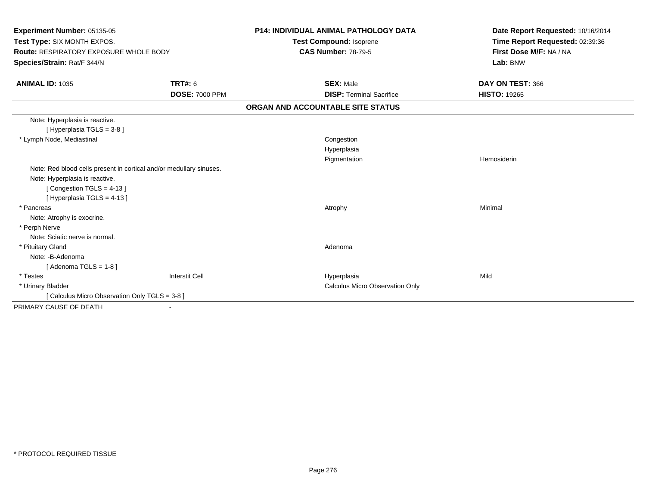| Experiment Number: 05135-05                                                  |                       | <b>P14: INDIVIDUAL ANIMAL PATHOLOGY DATA</b>          | Date Report Requested: 10/16/2014 |
|------------------------------------------------------------------------------|-----------------------|-------------------------------------------------------|-----------------------------------|
| Test Type: SIX MONTH EXPOS.<br><b>Route: RESPIRATORY EXPOSURE WHOLE BODY</b> |                       | Test Compound: Isoprene<br><b>CAS Number: 78-79-5</b> | Time Report Requested: 02:39:36   |
|                                                                              |                       |                                                       | First Dose M/F: NA / NA           |
| Species/Strain: Rat/F 344/N                                                  |                       |                                                       | Lab: BNW                          |
| <b>ANIMAL ID: 1035</b>                                                       | <b>TRT#: 6</b>        | <b>SEX: Male</b>                                      | DAY ON TEST: 366                  |
|                                                                              | <b>DOSE: 7000 PPM</b> | <b>DISP: Terminal Sacrifice</b>                       | <b>HISTO: 19265</b>               |
|                                                                              |                       | ORGAN AND ACCOUNTABLE SITE STATUS                     |                                   |
| Note: Hyperplasia is reactive.                                               |                       |                                                       |                                   |
| [Hyperplasia TGLS = 3-8]                                                     |                       |                                                       |                                   |
| * Lymph Node, Mediastinal                                                    |                       | Congestion                                            |                                   |
|                                                                              |                       | Hyperplasia                                           |                                   |
|                                                                              |                       | Pigmentation                                          | Hemosiderin                       |
| Note: Red blood cells present in cortical and/or medullary sinuses.          |                       |                                                       |                                   |
| Note: Hyperplasia is reactive.                                               |                       |                                                       |                                   |
| [Congestion TGLS = 4-13]                                                     |                       |                                                       |                                   |
| [Hyperplasia TGLS = 4-13]                                                    |                       |                                                       |                                   |
| * Pancreas                                                                   |                       | Atrophy                                               | Minimal                           |
| Note: Atrophy is exocrine.                                                   |                       |                                                       |                                   |
| * Perph Nerve                                                                |                       |                                                       |                                   |
| Note: Sciatic nerve is normal.                                               |                       |                                                       |                                   |
| * Pituitary Gland                                                            |                       | Adenoma                                               |                                   |
| Note: -B-Adenoma                                                             |                       |                                                       |                                   |
| [Adenoma TGLS = $1-8$ ]                                                      |                       |                                                       |                                   |
| * Testes                                                                     | <b>Interstit Cell</b> | Hyperplasia                                           | Mild                              |
| * Urinary Bladder                                                            |                       | Calculus Micro Observation Only                       |                                   |
| [ Calculus Micro Observation Only TGLS = 3-8 ]                               |                       |                                                       |                                   |
| PRIMARY CAUSE OF DEATH                                                       |                       |                                                       |                                   |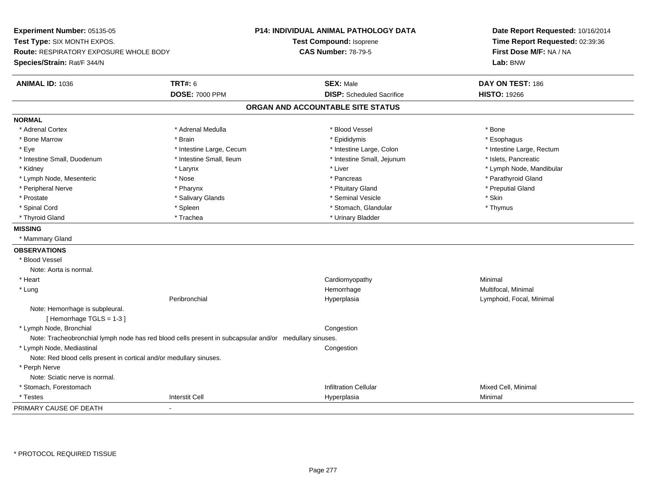**Experiment Number:** 05135-05**Test Type:** SIX MONTH EXPOS.**Route:** RESPIRATORY EXPOSURE WHOLE BODY**Species/Strain:** Rat/F 344/N**P14: INDIVIDUAL ANIMAL PATHOLOGY DATATest Compound:** Isoprene**CAS Number:** 78-79-5**Date Report Requested:** 10/16/2014**Time Report Requested:** 02:39:36**First Dose M/F:** NA / NA**Lab:** BNW**ANIMAL ID:** 1036 **TRT#:** <sup>6</sup> **SEX:** Male **DAY ON TEST:** <sup>186</sup> **DOSE:** 7000 PPM**DISP:** Scheduled Sacrifice **HISTO:** 19266 **ORGAN AND ACCOUNTABLE SITE STATUSNORMAL**\* Adrenal Cortex \* Adrenal Cortex \* \* Adrenal Medulla \* \* Adrenal Medulla \* \* Blood Vessel \* \* Brood Vessel \* \* Bone \* Esophagus \* Bone Marrow \* Brain \* Epididymis \* Esophagus \* Eye \* Thestine Large, Cecum \* Intestine Large, Cecum \* Intestine Large, Colon \* Intestine Large, Rectum \* Intestine Large, Rectum \* Intestine Small, Duodenum \* Intestine Small, Ileum \* Intestine Small, Intestine Small, Jejunum \* Islets, Pancreatic \* Kidney \* The mode, Mandibular \* Larynx \* Larynx \* Larynx \* Liver \* Liver \* Number \* Liver \* Lymph Node, Mandibular \* Lymph Node, Mesenteric \* The state of the state of the state of the state of the state of the state of the state of the state of the state of the state of the state of the state of the state of the state of the state of \* Peripheral Nerve \* \* \* \* Pharynx \* \* Pharynx \* \* \* Preputial Gland \* \* Preputial Gland \* \* Preputial Gland \* Prostate \* \* Salivary Glands \* \* Salivary Glands \* \* Seminal Vesicle \* \* \* Seminal Yestrich \* \* Skin \* \* Skin \* Thymus \* Spinal Cord \* Spinal Cord \* Spinal Cord \* Stomach, Glandular \* Stomach, Glandular \* Stomach, Glandular \* Thyroid Gland \* Trachea \* Trachea \* Trachea \* Urinary Bladder **MISSING** \* Mammary Gland**OBSERVATIONS** \* Blood VesselNote: Aorta is normal. \* Heart Cardiomyopathy Minimal \* Lungg and the morrhage of the morrhage of the morrhage of the morrhage  $\mathsf{M}$ ultifocal, Minimal and the morrhage of the morrhage of the morrhage of the morrhage of the morrhage of the morrhage of the morrhage of the morrhage Peribronchial Hyperplasia Lymphoid, Focal, Minimal Note: Hemorrhage is subpleural.[ Hemorrhage TGLS = 1-3 ] \* Lymph Node, Bronchial CongestionNote: Tracheobronchial lymph node has red blood cells present in subcapsular and/or medullary sinuses. \* Lymph Node, Mediastinal CongestionNote: Red blood cells present in cortical and/or medullary sinuses. \* Perph Nerve Note: Sciatic nerve is normal. \* Stomach, Forestomachh anns an t-ìre anns an t-ìre anns an t-ìre anns an t-ìre anns an t-ìre anns an t-ìre anns an t-ìre anns an t-ì \* Testess and the contraction of the contraction of the contraction of the contraction of the contraction of the contraction of the contraction of the contraction of the contraction of the contraction of the contraction of the con a Minimal PRIMARY CAUSE OF DEATH-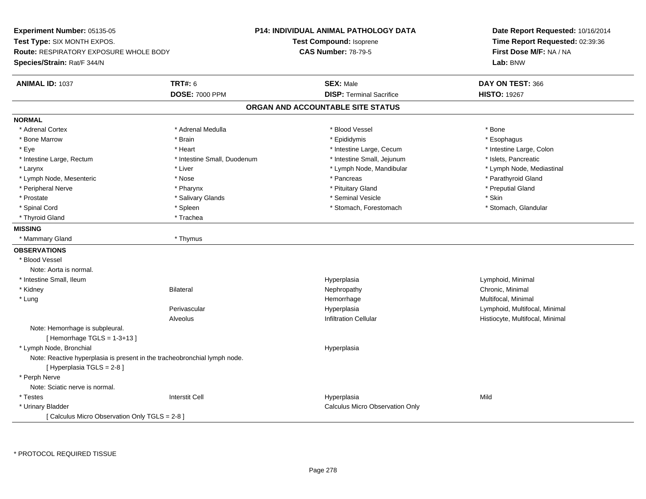**Experiment Number:** 05135-05**Test Type:** SIX MONTH EXPOS.**Route:** RESPIRATORY EXPOSURE WHOLE BODY**Species/Strain:** Rat/F 344/N**P14: INDIVIDUAL ANIMAL PATHOLOGY DATATest Compound:** Isoprene**CAS Number:** 78-79-5**Date Report Requested:** 10/16/2014**Time Report Requested:** 02:39:36**First Dose M/F:** NA / NA**Lab:** BNW**ANIMAL ID:** 1037**TRT#:** 6 **SEX:** Male **DAY ON TEST:** 366 **DOSE:** 7000 PPM**DISP:** Terminal Sacrifice **HISTO:** 19267 **ORGAN AND ACCOUNTABLE SITE STATUSNORMAL**\* Adrenal Cortex \* Adrenal Cortex \* \* Adrenal Medulla \* \* Adrenal Medulla \* \* Blood Vessel \* \* Brood Vessel \* \* Bone \* Esophagus \* Bone Marrow \* Brain \* Epididymis \* Esophagus \* Intestine Large, Colon \* Eye \* The state \* Intestine Large, Cecum \* Heart \* **Intestine Large, Cecum** \* Intestine Large, Cecum \* Intestine Large, Rectum \* Thestine Small, Duodenum \* Intestine Small, Deiunum \* Intestine Small, District and Thestine Small, District and Thestine Small, District and Thestine Small, District and Thestine Small, Distric \* Lymph Node, Mediastinal \* Larynx \* Liver \* Liver \* Liver \* Liver \* Lymph Node, Mandibular \* Lymph Node, Mandibular \* Lymph Node, Mesenteric \* The state of the state of the state of the state of the state of the state of the state of the state of the state of the state of the state of the state of the state of the state of the state of \* Peripheral Nerve \* \* \* \* Pharynx \* \* Pharynx \* \* \* Preputial Gland \* \* Preputial Gland \* \* Preputial Gland \* Prostate \* \* Salivary Glands \* \* Salivary Glands \* \* Seminal Vesicle \* \* \* Seminal Yestrich \* \* Skin \* \* Skin \* Stomach. Glandular \* Spinal Cord \* Spinal Cord \* Spinal Cord \* Stomach, Forestomach \* Stomach, Forestomach \* Stomach, Forestomach \* Thyroid Gland \* Trachea**MISSING** \* Mammary Gland \* Thymus**OBSERVATIONS** \* Blood VesselNote: Aorta is normal. \* Intestine Small, Ileumm and the contract of the contract of the Hyperplasia contract of the Lymphoid, Minimal Separation of the contract of the contract of the contract of the contract of the contract of the contract of the contract of the cont \* Kidneyy the controller of the Bilateral Chronic, Minimal and the Chronic, Minimal of the Chronic, Minimal of the Chronic, Minimal of the Chronic, Minimal of the Chronic, Minimal of the Chronic, Minimal of the Chronic, Minimal of \* Lungg and the morrhage of the morrhage of the morrhage of the morrhage  $\mathsf{M}$ ultifocal, Minimal and the morrhage of the morrhage of the morrhage of the morrhage of the morrhage of the morrhage of the morrhage of the morrhage Perivascular Hyperplasia Lymphoid, Multifocal, Minimal AlveolusHistiocyte, Multifocal, Minimal Note: Hemorrhage is subpleural. $[$  Hemorrhage TGLS = 1-3+13  $]$  \* Lymph Node, Bronchial HyperplasiaNote: Reactive hyperplasia is present in the tracheobronchial lymph node.[ Hyperplasia TGLS = 2-8 ] \* Perph Nerve Note: Sciatic nerve is normal. \* Testess Interstit Cell Hyperplasia a Mild \* Urinary Bladder Calculus Micro Observation Only[ Calculus Micro Observation Only TGLS = 2-8 ]

\* PROTOCOL REQUIRED TISSUE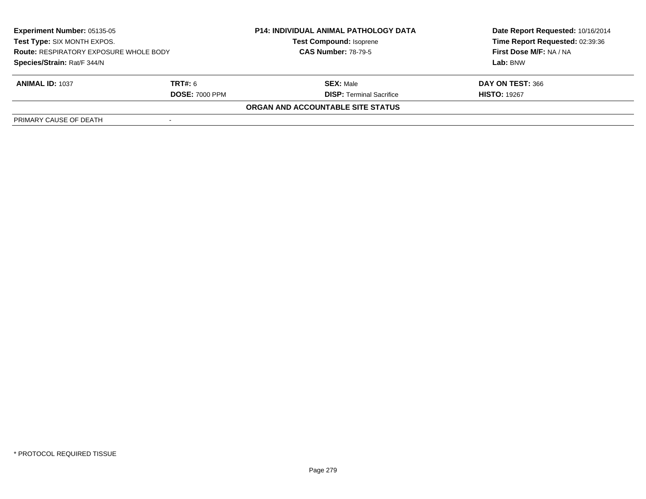| <b>Experiment Number: 05135-05</b><br>Test Type: SIX MONTH EXPOS.<br><b>Route: RESPIRATORY EXPOSURE WHOLE BODY</b><br>Species/Strain: Rat/F 344/N |                       | <b>P14: INDIVIDUAL ANIMAL PATHOLOGY DATA</b><br><b>Test Compound: Isoprene</b><br><b>CAS Number: 78-79-5</b> | Date Report Requested: 10/16/2014 |
|---------------------------------------------------------------------------------------------------------------------------------------------------|-----------------------|--------------------------------------------------------------------------------------------------------------|-----------------------------------|
|                                                                                                                                                   |                       |                                                                                                              | Time Report Requested: 02:39:36   |
|                                                                                                                                                   |                       |                                                                                                              | First Dose M/F: NA / NA           |
|                                                                                                                                                   |                       |                                                                                                              | Lab: BNW                          |
| <b>ANIMAL ID: 1037</b>                                                                                                                            | <b>TRT#:</b> 6        | <b>SEX: Male</b>                                                                                             | DAY ON TEST: 366                  |
|                                                                                                                                                   | <b>DOSE: 7000 PPM</b> | <b>DISP:</b> Terminal Sacrifice                                                                              | <b>HISTO: 19267</b>               |
|                                                                                                                                                   |                       | ORGAN AND ACCOUNTABLE SITE STATUS                                                                            |                                   |
| PRIMARY CAUSE OF DEATH                                                                                                                            |                       |                                                                                                              |                                   |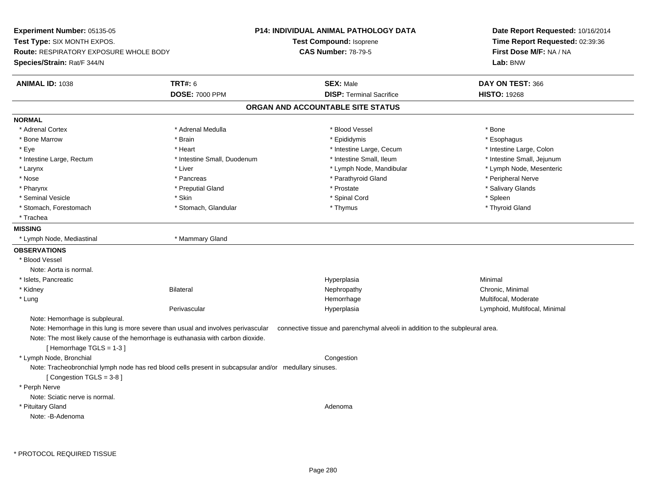**Experiment Number:** 05135-05**Test Type:** SIX MONTH EXPOS.**Route:** RESPIRATORY EXPOSURE WHOLE BODY**Species/Strain:** Rat/F 344/N**P14: INDIVIDUAL ANIMAL PATHOLOGY DATATest Compound:** Isoprene**CAS Number:** 78-79-5**Date Report Requested:** 10/16/2014**Time Report Requested:** 02:39:36**First Dose M/F:** NA / NA**Lab:** BNW**ANIMAL ID:** 1038**TRT#:** 6 **SEX:** Male **DAY ON TEST:** 366 **DOSE:** 7000 PPM**DISP:** Terminal Sacrifice **HISTO:** 19268 **ORGAN AND ACCOUNTABLE SITE STATUSNORMAL**\* Adrenal Cortex \* Adrenal Cortex \* \* Adrenal Medulla \* \* Adrenal Medulla \* \* Blood Vessel \* \* Brood Vessel \* \* Bone \* Esophagus \* Bone Marrow \* Brain \* Epididymis \* Esophagus \* Intestine Large, Colon \* Eye \* The state \* Integrating the state \* Heart \* Intestine Large, Cecum \* Intestine Large, Cecum \* Intestine Large, Cecum \* Intestine Large, Rectum \* Thestine Small, Duodenum \* Number of the small, Ileum \* Intestine Small, Jejunum \* Intestine Small, Jejunum \* Lymph Node, Mesenteric \* Larynx \* Liver \* Liver \* Liver \* Liver \* Larynx \* Lymph Node, Mandibular \* Lymph Node, Mandibular \* Nose \* \* Pancreas \* \* Pancreas \* \* Pancreas \* \* Parathyroid Gland \* \* Peripheral Nerve \* Peripheral Nerve \* \* Salivary Glands \* Pharynx \* That was the second to the second that the second term in the second term in the second term in the second term in the second term in the second term in the second term in the second term in the second term in \* Seminal Vesicle \* Skin \* Spinal Cord \* Spleen \* Thyroid Gland \* Stomach, Forestomach \* Thymus \* Stomach, Glandular \* Thymus \* Thymus \* Thymus \* Thymus \* Thymus \* Thymus \* Thymus \* Thymus \* Thymus \* Thymus \* Thymus \* Thymus \* Thymus \* Thymus \* Thymus \* Thymus \* Thymus \* Thymus \* Thymu \* Trachea**MISSING** \* Lymph Node, Mediastinal \* Mammary Gland**OBSERVATIONS** \* Blood VesselNote: Aorta is normal. \* Islets, Pancreaticc and the contract of the contract of the contract of the contract of the contract of the contract of the contract of the contract of the contract of the contract of the contract of the contract of the contract of the cont a **Minimal**  \* Kidneyy the controller of the Bilateral Chronic, Minimal and the Chronic, Minimal of the Chronic, Minimal of the Chronic, Minimal of the Chronic, Minimal of the Chronic, Minimal of the Chronic, Minimal of the Chronic, Minimal of \* Lungg was a statement of the monotonic memorrhage the monotonic memorrhage  $\sim$  Multifocal, Moderate  $\sim$  Multifocal, Moderate Perivascular Hyperplasia Lymphoid, Multifocal, Minimal Note: Hemorrhage is subpleural.Note: Hemorrhage in this lung is more severe than usual and involves perivascular connective tissue and parenchymal alveoli in addition to the subpleural area. Note: The most likely cause of the hemorrhage is euthanasia with carbon dioxide.[ Hemorrhage TGLS = 1-3 ] \* Lymph Node, Bronchial CongestionNote: Tracheobronchial lymph node has red blood cells present in subcapsular and/or medullary sinuses.[ Congestion TGLS = 3-8 ] \* Perph Nerve Note: Sciatic nerve is normal. \* Pituitary Glandd and a state of the control of the control of the control of the control of the control of the control of the control of the control of the control of the control of the control of the control of the control of the contro Note: -B-Adenoma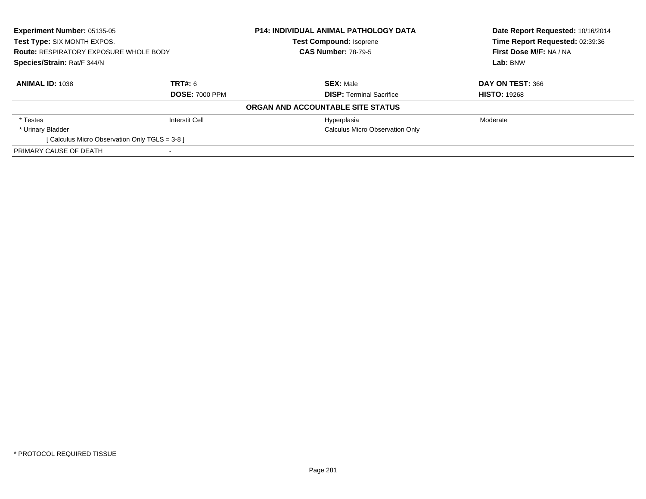| <b>Experiment Number: 05135-05</b><br>Test Type: SIX MONTH EXPOS.<br><b>Route: RESPIRATORY EXPOSURE WHOLE BODY</b><br>Species/Strain: Rat/F 344/N |                       | <b>P14: INDIVIDUAL ANIMAL PATHOLOGY DATA</b> | Date Report Requested: 10/16/2014<br>Time Report Requested: 02:39:36<br>First Dose M/F: NA / NA<br>Lab: BNW |  |  |  |  |
|---------------------------------------------------------------------------------------------------------------------------------------------------|-----------------------|----------------------------------------------|-------------------------------------------------------------------------------------------------------------|--|--|--|--|
|                                                                                                                                                   |                       | <b>Test Compound: Isoprene</b>               |                                                                                                             |  |  |  |  |
|                                                                                                                                                   |                       | <b>CAS Number: 78-79-5</b>                   |                                                                                                             |  |  |  |  |
|                                                                                                                                                   |                       |                                              |                                                                                                             |  |  |  |  |
| <b>ANIMAL ID: 1038</b>                                                                                                                            | TRT#: 6               | <b>SEX: Male</b>                             | DAY ON TEST: 366                                                                                            |  |  |  |  |
|                                                                                                                                                   | <b>DOSE: 7000 PPM</b> | <b>DISP:</b> Terminal Sacrifice              | <b>HISTO: 19268</b>                                                                                         |  |  |  |  |
| ORGAN AND ACCOUNTABLE SITE STATUS                                                                                                                 |                       |                                              |                                                                                                             |  |  |  |  |
| * Testes                                                                                                                                          | <b>Interstit Cell</b> | Hyperplasia                                  | Moderate                                                                                                    |  |  |  |  |
| * Urinary Bladder                                                                                                                                 |                       | <b>Calculus Micro Observation Only</b>       |                                                                                                             |  |  |  |  |
| [ Calculus Micro Observation Only TGLS = 3-8 ]                                                                                                    |                       |                                              |                                                                                                             |  |  |  |  |
| PRIMARY CAUSE OF DEATH                                                                                                                            |                       |                                              |                                                                                                             |  |  |  |  |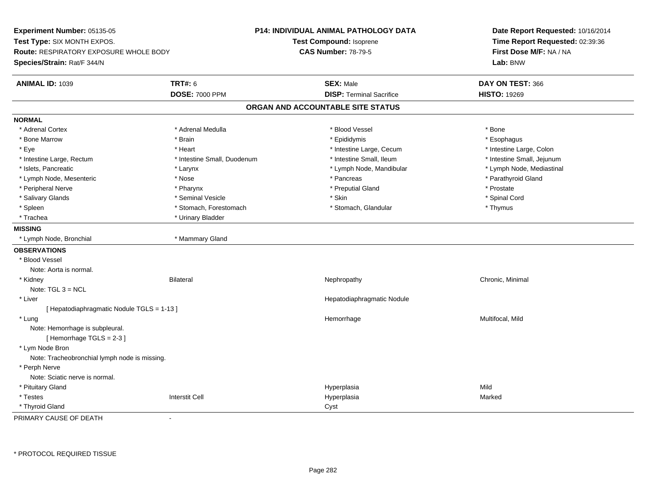**Experiment Number:** 05135-05**Test Type:** SIX MONTH EXPOS.**Route:** RESPIRATORY EXPOSURE WHOLE BODY**Species/Strain:** Rat/F 344/N**P14: INDIVIDUAL ANIMAL PATHOLOGY DATATest Compound:** Isoprene**CAS Number:** 78-79-5**Date Report Requested:** 10/16/2014**Time Report Requested:** 02:39:36**First Dose M/F:** NA / NA**Lab:** BNW**ANIMAL ID:** 1039 **TRT#:** <sup>6</sup> **SEX:** Male **DAY ON TEST:** <sup>366</sup> **DOSE:** 7000 PPM**DISP:** Terminal Sacrifice **HISTO:** 19269 **ORGAN AND ACCOUNTABLE SITE STATUSNORMAL**\* Adrenal Cortex \* Adrenal Cortex \* \* Adrenal Medulla \* \* Adrenal Medulla \* \* Blood Vessel \* \* Brood Vessel \* \* Bone \* Esophagus \* Bone Marrow \* Brain \* Epididymis \* Esophagus \* Intestine Large, Colon \* Eye \* The state \* Intestine Large, Cecum \* Heart \* **Intestine Large, Cecum** \* Intestine Large, Cecum \* Intestine Small, Jejunum \* Intestine Large, Rectum \* 10 **\*** Intestine Small, Duodenum \* Intestine Small, Ileum \* Intestine Small, Ileum \* Lymph Node, Mediastinal \* Islets, Pancreatic \* Larynx \* Larynx \* Larynx \* Larynx \* Lymph Node, Mandibular \* Lymph Node, Mandibular \* Lymph Node, Mesenteric \* The state of the state of the state of the state of the state of the state of the state of the state of the state of the state of the state of the state of the state of the state of the state of \* Peripheral Nerve \* \* \* Pharynx \* Pharynx \* \* Pharynx \* \* Preputial Gland \* \* Preputial Gland \* \* Prostate \* Spinal Cord \* Salivary Glands \* \* Seminal Vesicle \* \* Seminal Vesicle \* \* Skin \* \* Skin \* \* Stember \* Spinal Cord \* Spinal Cord \* Spinal Cord \* Spinal Cord \* Spinal Cord \* Spinal Cord \* Spinal Cord \* Spinal Cord \* Spinal Cord \* Spinal \* Spleen \* Stomach, Forestomach \* Stomach \* Stomach, Glandular \* Stomach, Glandular \* Thymus \* Trachea \* Urinary Bladder**MISSING** \* Lymph Node, Bronchial \* Mammary Gland**OBSERVATIONS** \* Blood VesselNote: Aorta is normal. \* Kidneyy the controller of the Bilateral Chronic, Minimal and the Chronic, Minimal of the Chronic, Minimal of the Chronic, Minimal of the Chronic, Minimal of the Chronic, Minimal of the Chronic, Minimal of the Chronic, Minimal of Note: TGL 3 = NCL \* Liver Hepatodiaphragmatic Nodule[ Hepatodiaphragmatic Nodule TGLS = 1-13 ] \* Lungg and the morrhage of the morrhage of the morrhage of the Multifocal, Mild and the Multifocal, Mild and the morrhage  $\sim$  Multifocal, Mild and the morrhage of the morrhage of the morrhage of the morrhage of the morrhage of Note: Hemorrhage is subpleural.[ Hemorrhage TGLS = 2-3 ] \* Lym Node Bron Note: Tracheobronchial lymph node is missing. \* Perph Nerve Note: Sciatic nerve is normal. \* Pituitary Glandd and the state of the state of the state of the Hyperplasia and the state of the Mild Shane of the Shane of the Shane of the Shane of the Shane of the Shane of the Shane of the Shane of the Shane of the Shane of the Shane \* Testess Interstit Cell Hyperplasia a **Marked**  \* Thyroid Glandd<sub>d</sub> Cyst

PRIMARY CAUSE OF DEATH-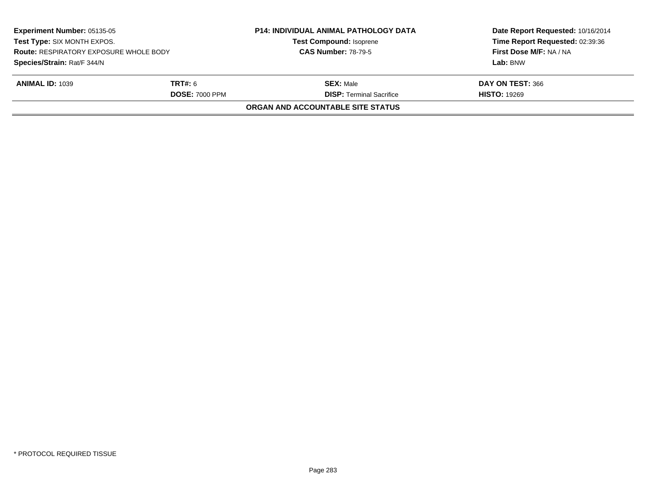| <b>Experiment Number: 05135-05</b><br>Test Type: SIX MONTH EXPOS.<br><b>Route: RESPIRATORY EXPOSURE WHOLE BODY</b> |                       | <b>P14: INDIVIDUAL ANIMAL PATHOLOGY DATA</b><br><b>Test Compound: Isoprene</b><br><b>CAS Number: 78-79-5</b> | Date Report Requested: 10/16/2014<br>Time Report Requested: 02:39:36<br>First Dose M/F: NA / NA |                             |         |                  |                  |
|--------------------------------------------------------------------------------------------------------------------|-----------------------|--------------------------------------------------------------------------------------------------------------|-------------------------------------------------------------------------------------------------|-----------------------------|---------|------------------|------------------|
|                                                                                                                    |                       |                                                                                                              |                                                                                                 | Species/Strain: Rat/F 344/N |         |                  | Lab: BNW         |
|                                                                                                                    |                       |                                                                                                              |                                                                                                 | <b>ANIMAL ID: 1039</b>      | TRT#: 6 | <b>SEX: Male</b> | DAY ON TEST: 366 |
|                                                                                                                    | <b>DOSE: 7000 PPM</b> | <b>DISP: Terminal Sacrifice</b>                                                                              | <b>HISTO: 19269</b>                                                                             |                             |         |                  |                  |
|                                                                                                                    |                       | ORGAN AND ACCOUNTABLE SITE STATUS                                                                            |                                                                                                 |                             |         |                  |                  |
|                                                                                                                    |                       |                                                                                                              |                                                                                                 |                             |         |                  |                  |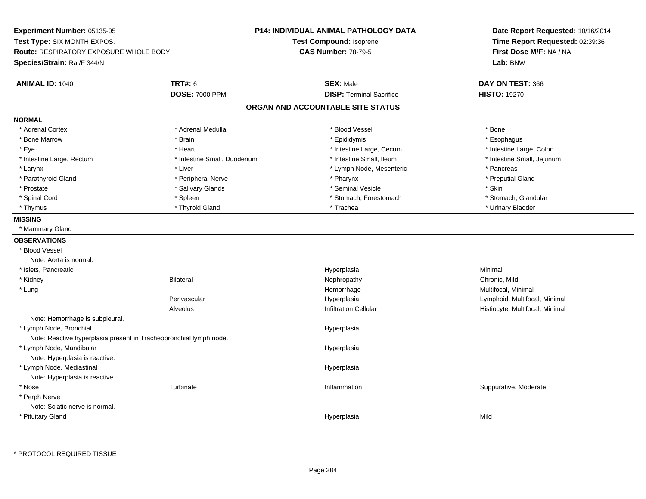**Experiment Number:** 05135-05**Test Type:** SIX MONTH EXPOS.**Route:** RESPIRATORY EXPOSURE WHOLE BODY**Species/Strain:** Rat/F 344/N**P14: INDIVIDUAL ANIMAL PATHOLOGY DATATest Compound:** Isoprene**CAS Number:** 78-79-5**Date Report Requested:** 10/16/2014**Time Report Requested:** 02:39:36**First Dose M/F:** NA / NA**Lab:** BNW**ANIMAL ID:** 1040**TRT#:** 6 **SEX:** Male **DAY ON TEST:** 366 **DOSE:** 7000 PPM**DISP:** Terminal Sacrifice **HISTO:** 19270 **ORGAN AND ACCOUNTABLE SITE STATUSNORMAL**\* Adrenal Cortex \* Adrenal Cortex \* \* Adrenal Medulla \* \* Adrenal Medulla \* \* Blood Vessel \* \* Brood Vessel \* \* Bone \* Esophagus \* Bone Marrow \* Brain \* Epididymis \* Esophagus \* Intestine Large, Colon \* Eye \* The state \* Intestine Large, Cecum \* Heart \* **Intestine Large, Cecum** \* Intestine Large, Cecum \* Intestine Small, Jejunum \* Intestine Large, Rectum \* 10 **\*** Intestine Small, Duodenum \* Intestine Small, Ileum \* Intestine Small, Ileum \* Larynx **\* Larynx** \* Liver \* Liver \* Liver \* Pancreas \* Pancreas \* Pancreas \* Pancreas \* Pancreas \* Pancreas \* Pancreas \* Pancreas \* Pancreas \* Pancreas \* Pancreas \* Pancreas \* Pancreas \* Pancreas \* Pancreas \* Pancreas \* \* Preputial Gland \* Parathyroid Gland \* \* \* Peripheral Nerve \* \* Peripheral Nerve \* \* Pharynx \* \* Pharynx \* \* Preputial Gland \* Prostate \* \* Salivary Glands \* \* Salivary Glands \* \* Seminal Vesicle \* \* \* Seminal Yestrich \* \* Skin \* \* Skin \* Stomach, Glandular \* Spinal Cord **\* Stomach, Forestomach \* Spinal Cord \*** Stomach, Forestomach \* Stomach, Forestomach \* Thymus \* Thyroid Gland \* Trachea \* Urinary Bladder \* **MISSING** \* Mammary Gland**OBSERVATIONS** \* Blood VesselNote: Aorta is normal. \* Islets, Pancreaticc and the contract of the contract of the contract of the contract of the contract of the contract of the contract of the contract of the contract of the contract of the contract of the contract of the contract of the cont a **Minimal**  \* Kidney Bilateral Nephropathy Chronic, MildMultifocal, Minimal \* Lungg and the morrhage of the morrhage of the morrhage of the morrhage  $\mathsf{M}$ ultifocal, Minimal and the morrhage of the morrhage of the morrhage of the morrhage of the morrhage of the morrhage of the morrhage of the morrhage Perivascular Hyperplasia Lymphoid, Multifocal, Minimal AlveolusHistiocyte, Multifocal, Minimal Note: Hemorrhage is subpleural. \* Lymph Node, Bronchial HyperplasiaNote: Reactive hyperplasia present in Tracheobronchial lymph node. \* Lymph Node, Mandibular HyperplasiaNote: Hyperplasia is reactive. \* Lymph Node, Mediastinal HyperplasiaNote: Hyperplasia is reactive. \* Nosee Suppurative, Moderate Turbinate and Suppurative, Turbinate and Suppurative, Moderate and Suppurative, Moderate \* Perph Nerve Note: Sciatic nerve is normal. \* Pituitary Glandd and the state of the state of the state of the Hyperplasia and the state of the Mild Shane of the Shane of the Shane of the Shane of the Shane of the Shane of the Shane of the Shane of the Shane of the Shane of the Shane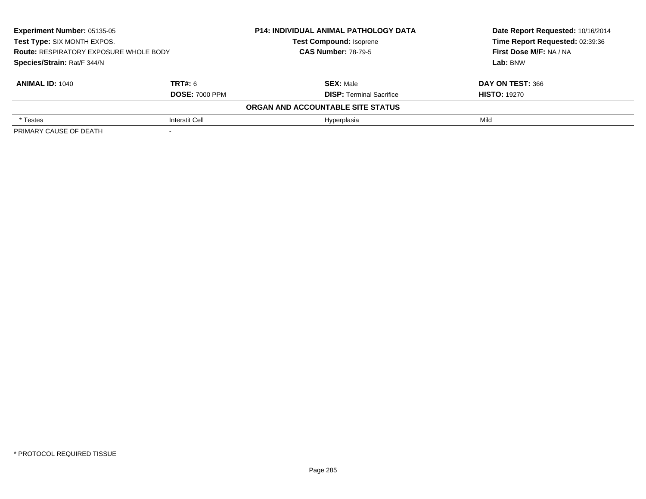| Experiment Number: 05135-05<br>Test Type: SIX MONTH EXPOS.<br><b>Route: RESPIRATORY EXPOSURE WHOLE BODY</b> |                       | <b>P14: INDIVIDUAL ANIMAL PATHOLOGY DATA</b> | Date Report Requested: 10/16/2014<br>Time Report Requested: 02:39:36<br>First Dose M/F: NA / NA |  |  |  |  |
|-------------------------------------------------------------------------------------------------------------|-----------------------|----------------------------------------------|-------------------------------------------------------------------------------------------------|--|--|--|--|
|                                                                                                             |                       | <b>Test Compound: Isoprene</b>               |                                                                                                 |  |  |  |  |
|                                                                                                             |                       | <b>CAS Number: 78-79-5</b>                   |                                                                                                 |  |  |  |  |
| Species/Strain: Rat/F 344/N                                                                                 |                       |                                              | Lab: BNW                                                                                        |  |  |  |  |
| <b>ANIMAL ID: 1040</b>                                                                                      | <b>TRT#: 6</b>        | <b>SEX: Male</b>                             | DAY ON TEST: 366                                                                                |  |  |  |  |
|                                                                                                             | <b>DOSE: 7000 PPM</b> | <b>DISP:</b> Terminal Sacrifice              | <b>HISTO: 19270</b>                                                                             |  |  |  |  |
| ORGAN AND ACCOUNTABLE SITE STATUS                                                                           |                       |                                              |                                                                                                 |  |  |  |  |
| * Testes                                                                                                    | <b>Interstit Cell</b> | Hyperplasia                                  | Mild                                                                                            |  |  |  |  |
| PRIMARY CAUSE OF DEATH                                                                                      |                       |                                              |                                                                                                 |  |  |  |  |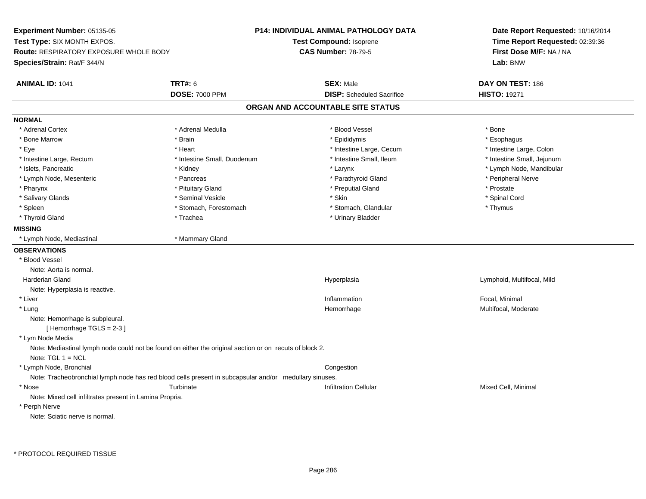**Experiment Number:** 05135-05**Test Type:** SIX MONTH EXPOS.**Route:** RESPIRATORY EXPOSURE WHOLE BODY**Species/Strain:** Rat/F 344/N**P14: INDIVIDUAL ANIMAL PATHOLOGY DATATest Compound:** Isoprene**CAS Number:** 78-79-5**Date Report Requested:** 10/16/2014**Time Report Requested:** 02:39:36**First Dose M/F:** NA / NA**Lab:** BNW**ANIMAL ID:** 1041**TRT#:** 6 **SEX:** Male **DAY ON TEST:** 186 **DOSE:** 7000 PPM**DISP:** Scheduled Sacrifice **HISTO:** 19271 **ORGAN AND ACCOUNTABLE SITE STATUSNORMAL**\* Adrenal Cortex \* Adrenal Cortex \* \* Adrenal Medulla \* \* Adrenal Medulla \* \* Blood Vessel \* \* Brood Vessel \* \* Bone \* Esophagus \* Bone Marrow \* Brain \* Epididymis \* Esophagus \* Intestine Large, Colon \* Eye \* The state of the state of the state of the state of the state of the state of the state of the state of the state of the state of the state of the state of the state of the state of the state of the state of the st \* Intestine Large, Rectum \* Thestine Small, Duodenum \* Number of the small, Ileum \* Intestine Small, Jejunum \* Intestine Small, Jejunum \* Islets, Pancreatic \* \* Widney \* Kidney \* Kidney \* Kerynx \* Larynx \* Larynx \* Letters \* Lymph Node, Mandibular \* Lymph Node, Mesenteric \* Pancreas \* Parathyroid Gland \* Peripheral Nerve\* Pharynx \* Pituitary Gland \* Preputial Gland \* Prostate \* Spinal Cord \* Salivary Glands \* \* Seminal Vesicle \* \* Seminal Vesicle \* \* Skin \* \* Skin \* \* Stember \* Spinal Cord \* Spinal Cord \* Spinal Cord \* Spinal Cord \* Spinal Cord \* Spinal Cord \* Spinal Cord \* Spinal Cord \* Spinal Cord \* Spinal \* Spleen \* Stomach, Forestomach \* Stomach \* Stomach, Glandular \* Stomach, Glandular \* Thymus \* Thyroid Gland \* Trachea \* Trachea \* Trachea \* Thyroid Gland **MISSING** \* Lymph Node, Mediastinal \* Mammary Gland**OBSERVATIONS** \* Blood VesselNote: Aorta is normal. Harderian Gland Hyperplasia Lymphoid, Multifocal, Mild Note: Hyperplasia is reactive. \* Liver**Inflammation Inflammation**  Focal, Minimal \* Lungg was a statement of the monotonic memorrhage the monotonic memorrhage  $\sim$  Multifocal, Moderate  $\sim$  Multifocal, Moderate Note: Hemorrhage is subpleural.[ Hemorrhage TGLS = 2-3 ] \* Lym Node Media Note: Mediastinal lymph node could not be found on either the original section or on recuts of block 2.Note:  $TGI \t1 = NCL$  \* Lymph Node, Bronchial CongestionNote: Tracheobronchial lymph node has red blood cells present in subcapsular and/or medullary sinuses. \* Nose Turbinate Infiltration Cellular Mixed Cell, Minimal Note: Mixed cell infiltrates present in Lamina Propria. \* Perph NerveNote: Sciatic nerve is normal.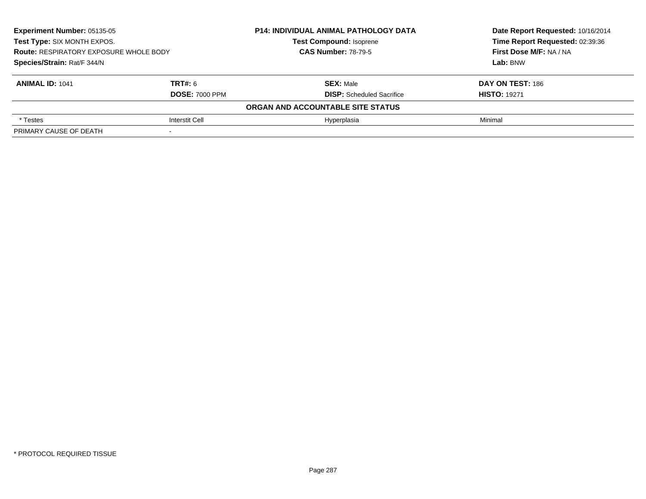| <b>Experiment Number: 05135-05</b><br>Test Type: SIX MONTH EXPOS.<br><b>Route: RESPIRATORY EXPOSURE WHOLE BODY</b> |                       | <b>P14: INDIVIDUAL ANIMAL PATHOLOGY DATA</b> | Date Report Requested: 10/16/2014<br>Time Report Requested: 02:39:36<br>First Dose M/F: NA / NA |  |  |  |  |
|--------------------------------------------------------------------------------------------------------------------|-----------------------|----------------------------------------------|-------------------------------------------------------------------------------------------------|--|--|--|--|
|                                                                                                                    |                       | <b>Test Compound: Isoprene</b>               |                                                                                                 |  |  |  |  |
|                                                                                                                    |                       | <b>CAS Number: 78-79-5</b>                   |                                                                                                 |  |  |  |  |
| Species/Strain: Rat/F 344/N                                                                                        |                       |                                              | Lab: BNW                                                                                        |  |  |  |  |
| <b>ANIMAL ID: 1041</b>                                                                                             | <b>TRT#: 6</b>        | <b>SEX: Male</b>                             | DAY ON TEST: 186                                                                                |  |  |  |  |
|                                                                                                                    | <b>DOSE: 7000 PPM</b> | <b>DISP:</b> Scheduled Sacrifice             | <b>HISTO: 19271</b>                                                                             |  |  |  |  |
| ORGAN AND ACCOUNTABLE SITE STATUS                                                                                  |                       |                                              |                                                                                                 |  |  |  |  |
| * Testes                                                                                                           | Interstit Cell        | Hyperplasia                                  | Minimal                                                                                         |  |  |  |  |
| PRIMARY CAUSE OF DEATH                                                                                             |                       |                                              |                                                                                                 |  |  |  |  |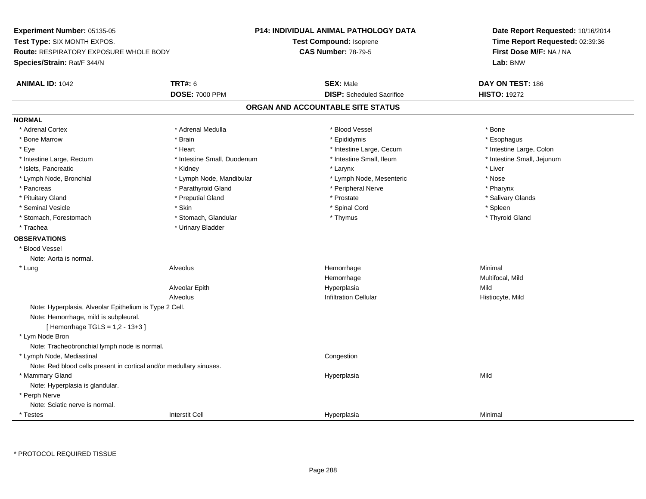**Experiment Number:** 05135-05**Test Type:** SIX MONTH EXPOS.**Route:** RESPIRATORY EXPOSURE WHOLE BODY**Species/Strain:** Rat/F 344/N**P14: INDIVIDUAL ANIMAL PATHOLOGY DATATest Compound:** Isoprene**CAS Number:** 78-79-5**Date Report Requested:** 10/16/2014**Time Report Requested:** 02:39:36**First Dose M/F:** NA / NA**Lab:** BNW**ANIMAL ID:** 1042 **TRT#:** <sup>6</sup> **SEX:** Male **DAY ON TEST:** <sup>186</sup> **DOSE:** 7000 PPM**DISP:** Scheduled Sacrifice **HISTO:** 19272 **ORGAN AND ACCOUNTABLE SITE STATUSNORMAL**\* Adrenal Cortex \* Adrenal Cortex \* \* Adrenal Medulla \* \* Adrenal Medulla \* \* Blood Vessel \* \* Brood Vessel \* \* Bone \* Esophagus \* Bone Marrow \* Brain \* Epididymis \* Esophagus \* Intestine Large, Colon \* Eye \* The state \* Intestine Large, Cecum \* Heart \* **Intestine Large, Cecum** \* Intestine Large, Cecum \* Intestine Small, Jejunum \* Intestine Large, Rectum \* Intestine Small, Duodenum \* Intestine Small, Ileum \* Intestine Small, Ileum \* Islets, Pancreatic \* \* \* Andrew \* Kidney \* \* Kidney \* \* Larynx \* Larynx \* \* Larynx \* \* Liver \* Liver \* Liver \* Lymph Node, Bronchial \* Lymph Node, Mandibular \* Nose \* Lymph Node, Mesenteric \* Nose \* Nose \* Pharynx \* Pancreas \* Parathyroid Gland \* Parathyroid Gland \* Peripheral Nerve \* Salivary Glands \* Pituitary Gland \* \* Then the state \* Preputial Gland \* Prosection \* Prostate \* \* Salivary Glands \* Salivary Glands \* Salivary Glands \* Salivary Glands \* Salivary Glands \* Salivary Glands \* Salivary Glands \* Salivary Glan \* Seminal Vesicle \* Skin \* Spinal Cord \* Spleen \* Thyroid Gland \* Stomach, Forestomach \* Thymus \* Stomach, Glandular \* Thymus \* Thymus \* Thymus \* Thymus \* Thymus \* Thymus \* Thymus \* Thymus \* Thymus \* Thymus \* Thymus \* Thymus \* Thymus \* Thymus \* Thymus \* Thymus \* Thymus \* Thymus \* Thymu \* Trachea **\*** Urinary Bladder **OBSERVATIONS** \* Blood VesselNote: Aorta is normal. \* Lung Alveolus Hemorrhage Minimal Hemorrhage Multifocal, Mild Alveolar Epithh anns an t-Imperplasia anns an t-Imperplasia anns an t-Imperplasia anns an t-Imperplasia anns an t-Imperplasi AlveolusInfiltration Cellular **Histiocyte**, Mild Note: Hyperplasia, Alveolar Epithelium is Type 2 Cell.Note: Hemorrhage, mild is subpleural.[ Hemorrhage TGLS = 1,2 - 13+3 ] \* Lym Node Bron Note: Tracheobronchial lymph node is normal. \* Lymph Node, Mediastinal CongestionNote: Red blood cells present in cortical and/or medullary sinuses. \* Mammary Glandd and the control of the control of the control of the Hyperplasia and the control of the Mild of the Control of the Control of the Control of the Control of the Control of the Control of the Control of the Control of the Note: Hyperplasia is glandular. \* Perph Nerve Note: Sciatic nerve is normal. \* Testess and the contract of the contract of the contract of the contract of the contract of the contract of the contract of the contract of the contract of the contract of the contract of the contract of the contract of the cont a Minimal

\* PROTOCOL REQUIRED TISSUE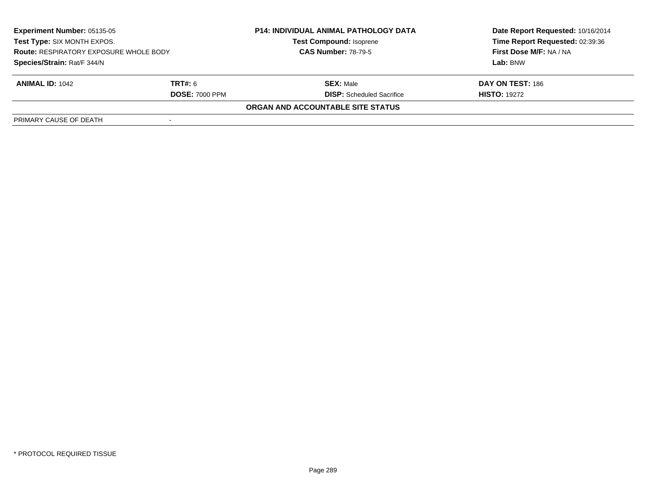| <b>Experiment Number: 05135-05</b><br>Test Type: SIX MONTH EXPOS.<br><b>Route: RESPIRATORY EXPOSURE WHOLE BODY</b><br>Species/Strain: Rat/F 344/N |  | <b>P14: INDIVIDUAL ANIMAL PATHOLOGY DATA</b><br><b>Test Compound: Isoprene</b><br><b>CAS Number: 78-79-5</b> | Date Report Requested: 10/16/2014<br>Time Report Requested: 02:39:36<br>First Dose M/F: NA / NA<br>Lab: BNW |                        |                                  |                     |
|---------------------------------------------------------------------------------------------------------------------------------------------------|--|--------------------------------------------------------------------------------------------------------------|-------------------------------------------------------------------------------------------------------------|------------------------|----------------------------------|---------------------|
|                                                                                                                                                   |  |                                                                                                              |                                                                                                             |                        |                                  |                     |
|                                                                                                                                                   |  |                                                                                                              |                                                                                                             | <b>ANIMAL ID: 1042</b> | <b>TRT#:</b> 6                   | <b>SEX: Male</b>    |
|                                                                                                                                                   |  |                                                                                                              |                                                                                                             | <b>DOSE: 7000 PPM</b>  | <b>DISP:</b> Scheduled Sacrifice | <b>HISTO: 19272</b> |
|                                                                                                                                                   |  | ORGAN AND ACCOUNTABLE SITE STATUS                                                                            |                                                                                                             |                        |                                  |                     |
| PRIMARY CAUSE OF DEATH                                                                                                                            |  |                                                                                                              |                                                                                                             |                        |                                  |                     |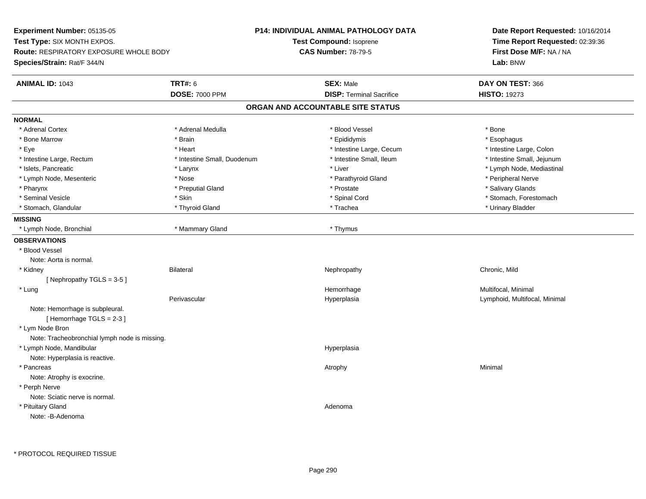**Experiment Number:** 05135-05**Test Type:** SIX MONTH EXPOS.**Route:** RESPIRATORY EXPOSURE WHOLE BODY**Species/Strain:** Rat/F 344/N**P14: INDIVIDUAL ANIMAL PATHOLOGY DATATest Compound:** Isoprene**CAS Number:** 78-79-5**Date Report Requested:** 10/16/2014**Time Report Requested:** 02:39:36**First Dose M/F:** NA / NA**Lab:** BNW**ANIMAL ID:** 1043**TRT#:** 6 **SEX:** Male **DAY ON TEST:** 366 **DOSE:** 7000 PPM**DISP:** Terminal Sacrifice **HISTO:** 19273 **ORGAN AND ACCOUNTABLE SITE STATUSNORMAL**\* Adrenal Cortex \* Adrenal Cortex \* \* Adrenal Medulla \* \* Adrenal Medulla \* \* Blood Vessel \* \* Brood Vessel \* \* Bone \* Esophagus \* Bone Marrow \* Brain \* Epididymis \* Esophagus \* Intestine Large, Colon \* Eye \* The matter and the state of the test of the test of the test of the test of the test of the test of the test of the test of the test of the test of the test of the test of the test of the test of the test of test o \* Intestine Small, Jejunum \* Intestine Large, Rectum \* 10 **\*** Intestine Small, Duodenum \* Intestine Small, Ileum \* Intestine Small, Ileum \* Islets, Pancreatic \* Larynx \* Liver \* Lymph Node, Mediastinal \* Lymph Node, Mesenteric \* The state of the state of the Nose \* Nose \* Nose \* Parathyroid Gland \* Peripheral Nerve \* Salivary Glands \* Pharynx \* That was the second to the second that the second term in the second term in the second term in the second term in the second term in the second term in the second term in the second term in the second term in \* Seminal Vesicle \* The state of the set of the set of the set of the set of the set of the set of the set of the set of the set of the set of the set of the set of the set of the set of the set of the set of the set of th \* Stomach, Glandular \* \* Thyroid Gland \* \* Thyroid Gland \* \* Trachea \* \* Trachea \* \* Urinary Bladder \* \* Urinary Bladder \* \* Urinary Bladder \* \* Urinary Bladder \* \* Urinary Bladder \* \* Urinary Bladder \* \* Urinary Bladder \* **MISSING** \* Lymph Node, Bronchial \* Mammary Gland \* Thymus**OBSERVATIONS** \* Blood VesselNote: Aorta is normal. \* Kidney Bilateral Nephropathy Chronic, Mild[ Nephropathy TGLS = 3-5 ] \* Lungg and the morrhage of the morrhage of the morrhage of the morrhage  $\mathsf{M}$ ultifocal, Minimal and the morrhage of the morrhage of the morrhage of the morrhage of the morrhage of the morrhage of the morrhage of the morrhage Perivascular Hyperplasia Lymphoid, Multifocal, Minimal Note: Hemorrhage is subpleural.[ Hemorrhage TGLS = 2-3 ] \* Lym Node Bron Note: Tracheobronchial lymph node is missing. \* Lymph Node, Mandibularr and the contract of the contract of the contract of the contract of the contract of the contract of the contract of the contract of the contract of the contract of the contract of the contract of the contract of the cont Note: Hyperplasia is reactive. \* Pancreass the control of the control of the control of the control of the control of the control of the control of the control of the control of the control of the control of the control of the control of the control of the contro Note: Atrophy is exocrine. \* Perph Nerve Note: Sciatic nerve is normal. \* Pituitary Glandd and a state of the control of the control of the control of the control of the control of the control of the control of the control of the control of the control of the control of the control of the control of the contro Note: -B-Adenoma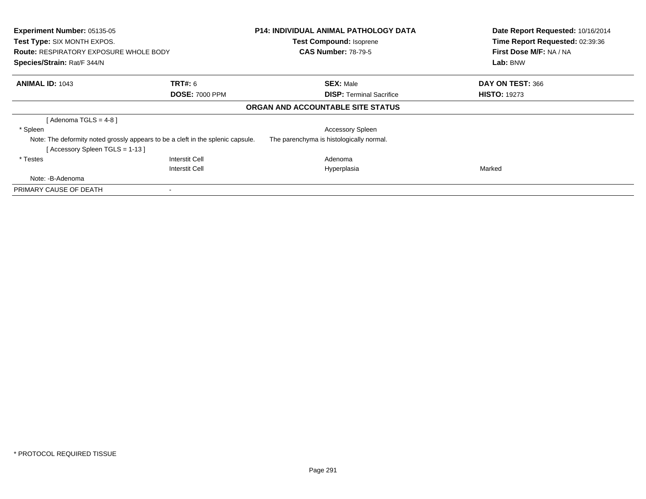| Experiment Number: 05135-05<br>Test Type: SIX MONTH EXPOS.<br><b>Route: RESPIRATORY EXPOSURE WHOLE BODY</b><br>Species/Strain: Rat/F 344/N |                                                                                 | <b>P14: INDIVIDUAL ANIMAL PATHOLOGY DATA</b><br><b>Test Compound: Isoprene</b><br><b>CAS Number: 78-79-5</b> | Date Report Requested: 10/16/2014<br>Time Report Requested: 02:39:36<br>First Dose M/F: NA / NA<br>Lab: BNW |
|--------------------------------------------------------------------------------------------------------------------------------------------|---------------------------------------------------------------------------------|--------------------------------------------------------------------------------------------------------------|-------------------------------------------------------------------------------------------------------------|
| <b>ANIMAL ID: 1043</b>                                                                                                                     | <b>TRT#: 6</b><br><b>DOSE: 7000 PPM</b>                                         | <b>SEX: Male</b><br><b>DISP:</b> Terminal Sacrifice                                                          | DAY ON TEST: 366<br><b>HISTO: 19273</b>                                                                     |
|                                                                                                                                            |                                                                                 | ORGAN AND ACCOUNTABLE SITE STATUS                                                                            |                                                                                                             |
| [Adenoma TGLS = $4-8$ ]                                                                                                                    |                                                                                 |                                                                                                              |                                                                                                             |
| * Spleen                                                                                                                                   |                                                                                 | <b>Accessory Spleen</b>                                                                                      |                                                                                                             |
| [Accessory Spleen TGLS = 1-13]                                                                                                             | Note: The deformity noted grossly appears to be a cleft in the splenic capsule. | The parenchyma is histologically normal.                                                                     |                                                                                                             |
| * Testes                                                                                                                                   | Interstit Cell                                                                  | Adenoma                                                                                                      |                                                                                                             |
|                                                                                                                                            | <b>Interstit Cell</b>                                                           | Hyperplasia                                                                                                  | Marked                                                                                                      |
| Note: -B-Adenoma                                                                                                                           |                                                                                 |                                                                                                              |                                                                                                             |
| PRIMARY CAUSE OF DEATH                                                                                                                     |                                                                                 |                                                                                                              |                                                                                                             |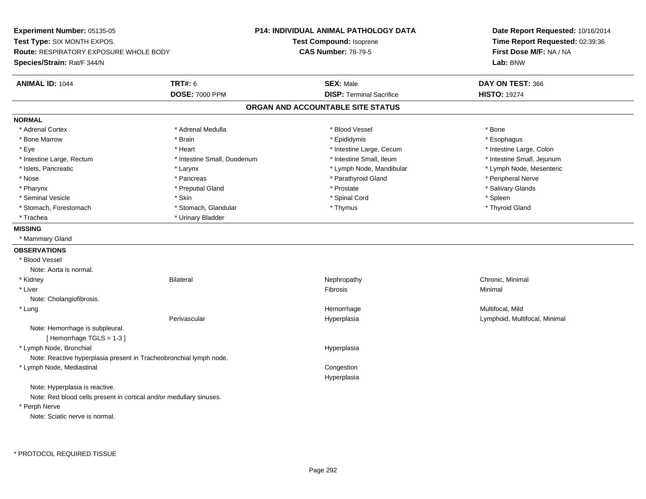**Experiment Number:** 05135-05**Test Type:** SIX MONTH EXPOS.**Route:** RESPIRATORY EXPOSURE WHOLE BODY**Species/Strain:** Rat/F 344/N**P14: INDIVIDUAL ANIMAL PATHOLOGY DATATest Compound:** Isoprene**CAS Number:** 78-79-5**Date Report Requested:** 10/16/2014**Time Report Requested:** 02:39:36**First Dose M/F:** NA / NA**Lab:** BNW**ANIMAL ID:** 1044 **TRT#:** <sup>6</sup> **SEX:** Male **DAY ON TEST:** <sup>366</sup> **DOSE:** 7000 PPM**DISP:** Terminal Sacrifice **HISTO:** 19274 **ORGAN AND ACCOUNTABLE SITE STATUSNORMAL**\* Adrenal Cortex \* Adrenal Cortex \* \* Adrenal Medulla \* \* Adrenal Medulla \* \* Blood Vessel \* \* Brood Vessel \* \* Bone \* Esophagus \* Bone Marrow \* Brain \* Epididymis \* Esophagus \* Intestine Large, Colon \* Eye \* The matrice of the test of the test of the test of the test of the test of the test of the test of the test of the test of the test of the test of the test of the test of the test of the test of the test of the tes \* Intestine Small, Jejunum \* Intestine Large, Rectum \* Intestine Small, Duodenum \* Intestine Small, Duodenum \* 1ntestine Small, Ileum \* Lymph Node, Mesenteric \* Islets, Pancreatic **\* Larynx \* Larynx \*** Larynx \* Lymph Node, Mandibular \* Lymph Node, Mandibular \* Nose \* \* Pancreas \* \* Pancreas \* \* Pancreas \* \* Parathyroid Gland \* \* Peripheral Nerve \* Peripheral Nerve \* \* Salivary Glands \* Pharynx \* That was the second to the second that the second term in the second term in the second term in the second term in the second term in the second term in the second term in the second term in the second term in \* Seminal Vesicle \* Skin \* Spinal Cord \* Spleen \* Thyroid Gland \* Stomach, Forestomach \* Thymus \* Stomach, Glandular \* Thymus \* Thymus \* Thymus \* Thymus \* Thymus \* Thymus \* Thymus \* Thymus \* Thymus \* Thymus \* Thymus \* Thymus \* Thymus \* Thymus \* Thymus \* Thymus \* Thymus \* Thymus \* Thymu \* Trachea \* Urinary Bladder**MISSING** \* Mammary Gland**OBSERVATIONS** \* Blood VesselNote: Aorta is normal. \* Kidneyy the controller of the Bilateral Chronic, Minimal and the Chronic, Minimal of the Chronic, Minimal of the Chronic, Minimal of the Chronic, Minimal of the Chronic, Minimal of the Chronic, Minimal of the Chronic, Minimal of \* Liverr and the contract of the contract of the contract of the contract of the contract of the contract of the contract of the contract of the contract of the contract of the contract of the contract of the contract of the cont Minimal Note: Cholangiofibrosis. \* Lungg and the morrhage of the morrhage of the morrhage of the Multifocal, Mild and the Multifocal, Mild and the morrhage  $\mu$ Perivascular Hyperplasia Lymphoid, Multifocal, Minimal Note: Hemorrhage is subpleural.[ Hemorrhage TGLS = 1-3 ] \* Lymph Node, Bronchial HyperplasiaNote: Reactive hyperplasia present in Tracheobronchial lymph node. \* Lymph Node, Mediastinal Congestion HyperplasiaNote: Hyperplasia is reactive.Note: Red blood cells present in cortical and/or medullary sinuses. \* Perph NerveNote: Sciatic nerve is normal.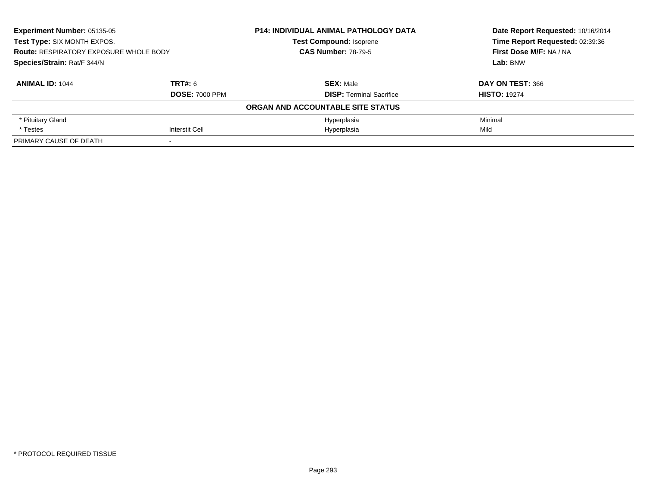| Experiment Number: 05135-05<br>Test Type: SIX MONTH EXPOS.<br><b>Route: RESPIRATORY EXPOSURE WHOLE BODY</b><br>Species/Strain: Rat/F 344/N |                       | P14: INDIVIDUAL ANIMAL PATHOLOGY DATA | Date Report Requested: 10/16/2014<br>Time Report Requested: 02:39:36<br>First Dose M/F: NA / NA<br>Lab: BNW |
|--------------------------------------------------------------------------------------------------------------------------------------------|-----------------------|---------------------------------------|-------------------------------------------------------------------------------------------------------------|
|                                                                                                                                            |                       | <b>Test Compound: Isoprene</b>        |                                                                                                             |
|                                                                                                                                            |                       | <b>CAS Number: 78-79-5</b>            |                                                                                                             |
|                                                                                                                                            |                       |                                       |                                                                                                             |
| <b>ANIMAL ID: 1044</b>                                                                                                                     | TRT#: 6               | <b>SEX: Male</b>                      | DAY ON TEST: 366                                                                                            |
|                                                                                                                                            | <b>DOSE: 7000 PPM</b> | <b>DISP: Terminal Sacrifice</b>       | <b>HISTO: 19274</b>                                                                                         |
|                                                                                                                                            |                       | ORGAN AND ACCOUNTABLE SITE STATUS     |                                                                                                             |
| * Pituitary Gland                                                                                                                          |                       | Hyperplasia                           | Minimal                                                                                                     |
| * Testes                                                                                                                                   | Interstit Cell        | Hyperplasia                           | Mild                                                                                                        |
| PRIMARY CAUSE OF DEATH                                                                                                                     |                       |                                       |                                                                                                             |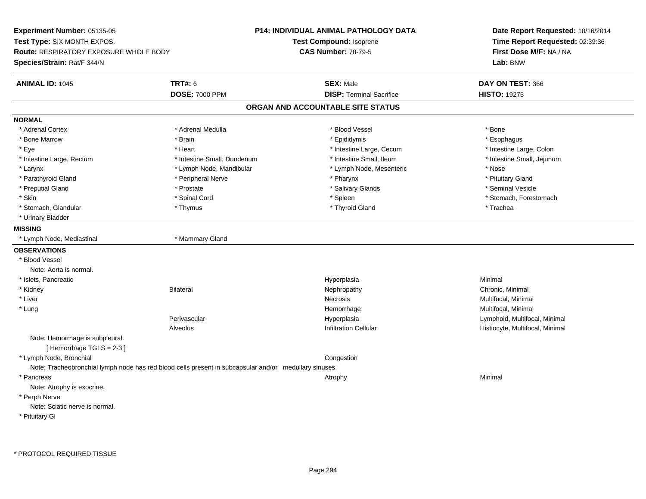**Experiment Number:** 05135-05**Test Type:** SIX MONTH EXPOS.**Route:** RESPIRATORY EXPOSURE WHOLE BODY**Species/Strain:** Rat/F 344/N**P14: INDIVIDUAL ANIMAL PATHOLOGY DATATest Compound:** Isoprene**CAS Number:** 78-79-5**Date Report Requested:** 10/16/2014**Time Report Requested:** 02:39:36**First Dose M/F:** NA / NA**Lab:** BNW**ANIMAL ID:** 1045 **TRT#:** <sup>6</sup> **SEX:** Male **DAY ON TEST:** <sup>366</sup> **DOSE:** 7000 PPM**DISP:** Terminal Sacrifice **HISTO:** 19275 **ORGAN AND ACCOUNTABLE SITE STATUSNORMAL**\* Adrenal Cortex \* Adrenal Cortex \* \* Adrenal Medulla \* \* Adrenal Medulla \* \* Blood Vessel \* \* Brood Vessel \* \* Bone \* Esophagus \* Bone Marrow \* Brain \* Epididymis \* Esophagus \* Intestine Large, Colon \* Eye \* Heart \* Heart \* Intestine Large, Cecum \* 1. The state Large, Cecum \* Intestine Large, Cecum \* \* Intestine Small, Jejunum \* Intestine Large, Rectum \* 10 **\*** Intestine Small, Duodenum \* Intestine Small, Ileum \* Intestine Small, Ileum \* Larynx **\*** Larynx \* Lymph Node, Mandibular \* Nose \* Lymph Node, Mesenteric \* Nose \* Nose \* Pituitary Gland \* Parathyroid Gland \* **Example 20** \* Peripheral Nerve \* Pharynx \* Pharynx \* Pharynx \* Seminal Vesicle \* Preputial Gland \* \* Annual vesicle \* \* Prostate \* \* Salivary Glands \* \* Salivary Glands \* \* Seminal Vesicle \* \* Skin \* Spinal Cord \* Spinal Cord \* Spinal Cord \* Spinal \* Spinal \* Stomach, Forestomach \* Stomach, Forestomach \* Stomach, Glandular \* Thymus \* Thymus \* Thymus \* Thyroid Gland \* Thyroid Gland \* Trachea \* Urinary Bladder**MISSING** \* Lymph Node, Mediastinal \* Mammary Gland**OBSERVATIONS** \* Blood VesselNote: Aorta is normal. \* Islets, Pancreaticc and the contract of the contract of the contract of the contract of the contract of the contract of the contract of the contract of the contract of the contract of the contract of the contract of the contract of the cont a **Minimal**  \* Kidneyy the controller of the Bilateral Chronic, Minimal and the Chronic, Minimal of the Chronic, Minimal of the Chronic, Minimal of the Chronic, Minimal of the Chronic, Minimal of the Chronic, Minimal of the Chronic, Minimal of \* Liverr and the contract of the contract of the contract of the contract of the contract of the contract of the contract of the contract of the contract of the contract of the contract of the contract of the contract of the cont Necrosis **Multifocal, Minimal**  \* Lungg and the morrhage of the morrhage of the morrhage of the morrhage  $\mathsf{M}$ ultifocal, Minimal and the morrhage of the morrhage of the morrhage of the morrhage of the morrhage of the morrhage of the morrhage of the morrhage Perivascular Hyperplasia Lymphoid, Multifocal, Minimal AlveolusHistiocyte, Multifocal, Minimal Note: Hemorrhage is subpleural.[ Hemorrhage TGLS = 2-3 ] \* Lymph Node, Bronchial CongestionNote: Tracheobronchial lymph node has red blood cells present in subcapsular and/or medullary sinuses. \* Pancreass the control of the control of the control of the control of the control of the control of the control of the control of the control of the control of the control of the control of the control of the control of the contro Note: Atrophy is exocrine. \* Perph Nerve Note: Sciatic nerve is normal.\* Pituitary Gl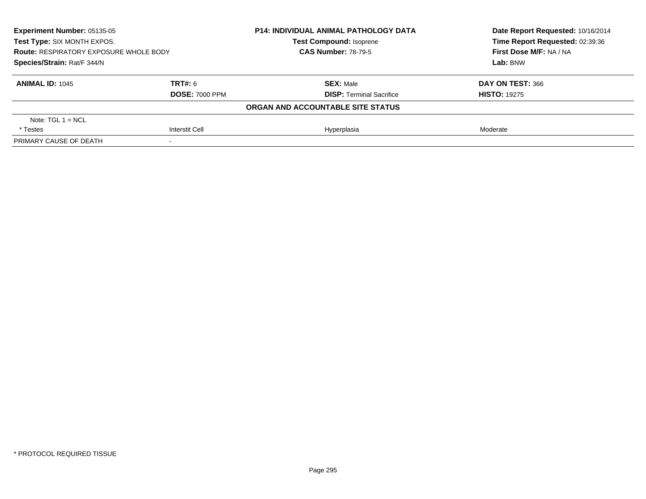| <b>Experiment Number: 05135-05</b><br>Test Type: SIX MONTH EXPOS.<br><b>Route: RESPIRATORY EXPOSURE WHOLE BODY</b><br>Species/Strain: Rat/F 344/N |                          | <b>P14: INDIVIDUAL ANIMAL PATHOLOGY DATA</b><br><b>Test Compound: Isoprene</b><br><b>CAS Number: 78-79-5</b> | Date Report Requested: 10/16/2014<br>Time Report Requested: 02:39:36<br>First Dose M/F: NA / NA<br>Lab: BNW |                        |                                 |                     |
|---------------------------------------------------------------------------------------------------------------------------------------------------|--------------------------|--------------------------------------------------------------------------------------------------------------|-------------------------------------------------------------------------------------------------------------|------------------------|---------------------------------|---------------------|
|                                                                                                                                                   |                          |                                                                                                              |                                                                                                             |                        |                                 |                     |
|                                                                                                                                                   |                          |                                                                                                              |                                                                                                             | <b>ANIMAL ID: 1045</b> | TRT#: 6                         | <b>SEX: Male</b>    |
|                                                                                                                                                   |                          |                                                                                                              |                                                                                                             | <b>DOSE: 7000 PPM</b>  | <b>DISP:</b> Terminal Sacrifice | <b>HISTO: 19275</b> |
|                                                                                                                                                   |                          | ORGAN AND ACCOUNTABLE SITE STATUS                                                                            |                                                                                                             |                        |                                 |                     |
| Note: $TGL 1 = NCL$                                                                                                                               |                          |                                                                                                              |                                                                                                             |                        |                                 |                     |
| * Testes                                                                                                                                          | <b>Interstit Cell</b>    | Hyperplasia                                                                                                  | Moderate                                                                                                    |                        |                                 |                     |
| PRIMARY CAUSE OF DEATH                                                                                                                            | $\overline{\phantom{a}}$ |                                                                                                              |                                                                                                             |                        |                                 |                     |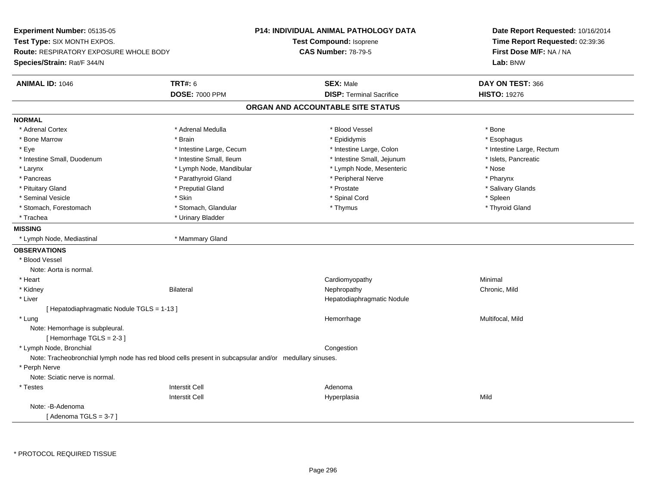**Experiment Number:** 05135-05**Test Type:** SIX MONTH EXPOS.**Route:** RESPIRATORY EXPOSURE WHOLE BODY**Species/Strain:** Rat/F 344/N**P14: INDIVIDUAL ANIMAL PATHOLOGY DATATest Compound:** Isoprene**CAS Number:** 78-79-5**Date Report Requested:** 10/16/2014**Time Report Requested:** 02:39:36**First Dose M/F:** NA / NA**Lab:** BNW**ANIMAL ID:** 1046 **TRT#:** <sup>6</sup> **SEX:** Male **DAY ON TEST:** <sup>366</sup> **DOSE:** 7000 PPM**DISP:** Terminal Sacrifice **HISTO:** 19276 **ORGAN AND ACCOUNTABLE SITE STATUSNORMAL**\* Adrenal Cortex \* Adrenal Cortex \* \* Adrenal Medulla \* \* Adrenal Medulla \* \* Blood Vessel \* \* Brood Vessel \* \* Bone \* Esophagus \* Bone Marrow \* Brain \* Epididymis \* Esophagus \* Intestine Large, Rectum \* Eye \* Intestine Large, Cecum \* Intestine Large, Cecum \* Intestine Large, Colon \* Intestine Small, Duodenum \* Intestine Small, Ileum \* Intestine Small, Intestine Small, Jejunum \* Islets, Pancreatic \* Larynx **\* Lymph Node, Mandibular \*** Lymph Note, Mesenteric \* Nose \* Nose \* Nose \* Pharynx \* Pancreas \* Pancreas \* Parathyroid Gland \* Peripheral Nerve \* Peripheral Nerve \* Salivary Glands \* Pituitary Gland \* \* Then the state \* Preputial Gland \* Prosection \* Prostate \* \* Salivary Glands \* Salivary Glands \* Salivary Glands \* Salivary Glands \* Salivary Glands \* Salivary Glands \* Salivary Glands \* Salivary Glan \* Seminal Vesicle \* Skin \* Spinal Cord \* Spleen \* Thyroid Gland \* Stomach, Forestomach \* Thymus \* Stomach, Glandular \* Thymus \* Thymus \* Thymus \* Thymus \* Thymus \* Thymus \* Thymus \* Thymus \* Thymus \* Thymus \* Thymus \* Thymus \* Thymus \* Thymus \* Thymus \* Thymus \* Thymus \* Thymus \* Thymu \* Trachea \* Urinary Bladder**MISSING** \* Lymph Node, Mediastinal \* Mammary Gland**OBSERVATIONS** \* Blood VesselNote: Aorta is normal. \* Heart Cardiomyopathy Minimal \* Kidney Bilateral Nephropathy Chronic, Mild \* Liver Hepatodiaphragmatic Nodule[ Hepatodiaphragmatic Nodule TGLS = 1-13 ] \* Lungg and the morrhage of the morrhage of the morrhage of the Multifocal, Mild and the Multifocal, Mild and the morrhage  $\mu$ Note: Hemorrhage is subpleural.[ Hemorrhage TGLS = 2-3 ] \* Lymph Node, Bronchial CongestionNote: Tracheobronchial lymph node has red blood cells present in subcapsular and/or medullary sinuses. \* Perph Nerve Note: Sciatic nerve is normal. \* Testess and the contractive contractive contractive contractive contractive contractive contractive contractive contractive contractive contractive contractive contractive contractive contractive contractive contractive contract I Contract to the Contract of the Hyperplasia Interstit Cella Mild Note: -B-Adenoma[ Adenoma  $TGLS = 3-7$  ]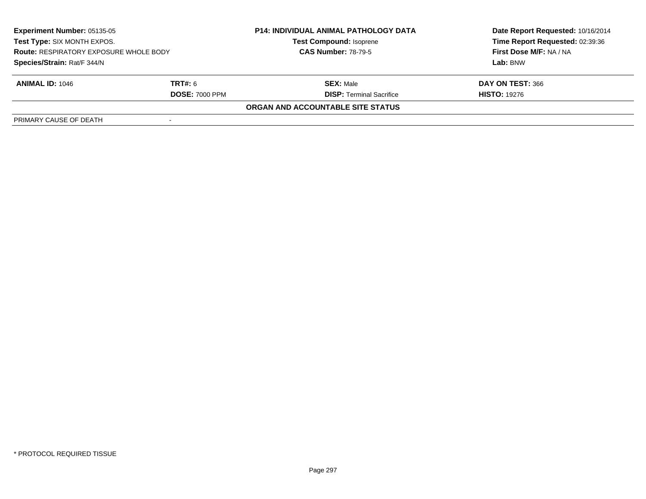| <b>Experiment Number: 05135-05</b><br>Test Type: SIX MONTH EXPOS.<br><b>Route: RESPIRATORY EXPOSURE WHOLE BODY</b><br>Species/Strain: Rat/F 344/N |  | <b>P14: INDIVIDUAL ANIMAL PATHOLOGY DATA</b><br><b>Test Compound: Isoprene</b><br><b>CAS Number: 78-79-5</b> | Date Report Requested: 10/16/2014<br>Time Report Requested: 02:39:36<br>First Dose M/F: NA / NA<br>Lab: BNW |                        |                                 |                     |
|---------------------------------------------------------------------------------------------------------------------------------------------------|--|--------------------------------------------------------------------------------------------------------------|-------------------------------------------------------------------------------------------------------------|------------------------|---------------------------------|---------------------|
|                                                                                                                                                   |  |                                                                                                              |                                                                                                             |                        |                                 |                     |
|                                                                                                                                                   |  |                                                                                                              |                                                                                                             | <b>ANIMAL ID: 1046</b> | <b>TRT#:</b> 6                  | <b>SEX: Male</b>    |
|                                                                                                                                                   |  |                                                                                                              |                                                                                                             | <b>DOSE: 7000 PPM</b>  | <b>DISP:</b> Terminal Sacrifice | <b>HISTO: 19276</b> |
|                                                                                                                                                   |  | ORGAN AND ACCOUNTABLE SITE STATUS                                                                            |                                                                                                             |                        |                                 |                     |
| PRIMARY CAUSE OF DEATH                                                                                                                            |  |                                                                                                              |                                                                                                             |                        |                                 |                     |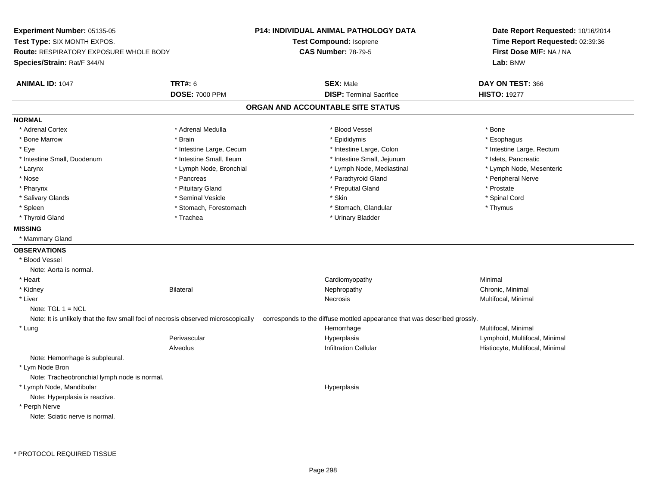**Experiment Number:** 05135-05**Test Type:** SIX MONTH EXPOS.**Route:** RESPIRATORY EXPOSURE WHOLE BODY**Species/Strain:** Rat/F 344/N**P14: INDIVIDUAL ANIMAL PATHOLOGY DATATest Compound:** Isoprene**CAS Number:** 78-79-5**Date Report Requested:** 10/16/2014**Time Report Requested:** 02:39:36**First Dose M/F:** NA / NA**Lab:** BNW**ANIMAL ID:** 1047**TRT#:** 6 **SEX:** Male **DAY ON TEST:** 366 **DOSE:** 7000 PPM**DISP:** Terminal Sacrifice **HISTO:** 19277 **ORGAN AND ACCOUNTABLE SITE STATUSNORMAL**\* Adrenal Cortex \* Adrenal Cortex \* \* Adrenal Medulla \* \* Adrenal Medulla \* \* Blood Vessel \* \* Brood Vessel \* \* Bone \* Esophagus \* Bone Marrow \* Brain \* Epididymis \* Esophagus \* Eye \* Thestine Large, Cecum \* Intestine Large, Cecum \* Intestine Large, Colon \* Intestine Large, Rectum \* Intestine Large, Rectum \* Intestine Small, Duodenum \* Intestine Small, Ileum \* Intestine Small, Intestine Small, Jejunum \* Islets, Pancreatic \* Lymph Node, Mesenteric \* Larynx **\*** Lymph Node, Bronchial \* Lymph Node, Mediastinal \* Lymph Node, Mediastinal \* Nose \* \* Pancreas \* \* Pancreas \* \* Pancreas \* \* Parathyroid Gland \* \* Peripheral Nerve \* Peripheral Nerve \* \* Pharynx \* Pituitary Gland \* Preputial Gland \* Prostate \* Spinal Cord \* Salivary Glands \* \* Seminal Vesicle \* \* Seminal Vesicle \* \* Skin \* \* Skin \* \* Stember \* Spinal Cord \* Spinal Cord \* Spinal Cord \* Spinal Cord \* Spinal Cord \* Spinal Cord \* Spinal Cord \* Spinal Cord \* Spinal Cord \* Spinal \* Spleen \* Stomach, Forestomach \* Stomach \* Stomach, Glandular \* Stomach, Glandular \* Thymus \* Thyroid Gland \* Trachea \* Trachea \* Trachea \* Thyroid Gland **MISSING** \* Mammary Gland**OBSERVATIONS** \* Blood VesselNote: Aorta is normal. \* Heart Cardiomyopathy Minimal \* Kidneyy the controller of the Bilateral Chronic, Minimal and the Chronic, Minimal of the Chronic, Minimal of the Chronic, Minimal of the Chronic, Minimal of the Chronic, Minimal of the Chronic, Minimal of the Chronic, Minimal of \* Liverr and the contract of the contract of the contract of the contract of the contract of the contract of the contract of the contract of the contract of the contract of the contract of the contract of the contract of the cont Necrosis **Multifocal, Minimal** Note:  $TGL 1 = NCL$ Note: It is unlikely that the few small foci of necrosis observed microscopically corresponds to the diffuse mottled appearance that was described grossly. \* Lungg and the morrhage of the morrhage of the morrhage of the morrhage  $\mathsf{M}$ ultifocal, Minimal and the morrhage of the morrhage of the morrhage of the morrhage of the morrhage of the morrhage of the morrhage of the morrhage Perivascular Hyperplasia Lymphoid, Multifocal, Minimal AlveolusHistiocyte, Multifocal, Minimal Note: Hemorrhage is subpleural. \* Lym Node Bron Note: Tracheobronchial lymph node is normal. \* Lymph Node, Mandibularr and the contract of the contract of the contract of the contract of the contract of the contract of the contract of the contract of the contract of the contract of the contract of the contract of the contract of the cont Note: Hyperplasia is reactive. \* Perph NerveNote: Sciatic nerve is normal.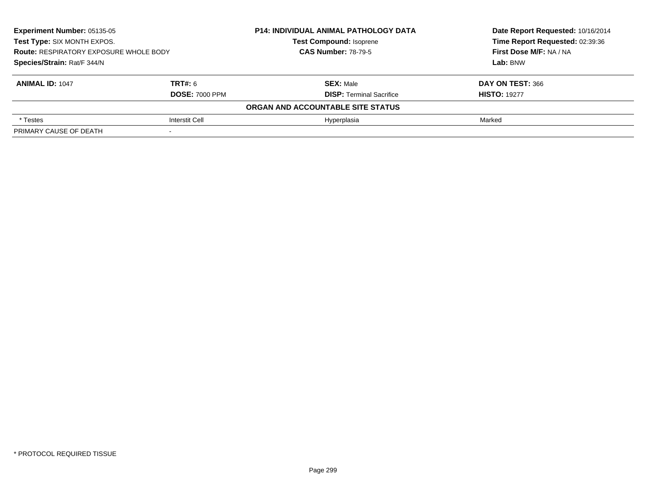| Experiment Number: 05135-05<br>Test Type: SIX MONTH EXPOS.<br><b>Route: RESPIRATORY EXPOSURE WHOLE BODY</b><br>Species/Strain: Rat/F 344/N |                       | <b>P14: INDIVIDUAL ANIMAL PATHOLOGY DATA</b> | Date Report Requested: 10/16/2014<br>Time Report Requested: 02:39:36<br>First Dose M/F: NA / NA<br>Lab: BNW |
|--------------------------------------------------------------------------------------------------------------------------------------------|-----------------------|----------------------------------------------|-------------------------------------------------------------------------------------------------------------|
|                                                                                                                                            |                       | <b>Test Compound: Isoprene</b>               |                                                                                                             |
|                                                                                                                                            |                       | <b>CAS Number: 78-79-5</b>                   |                                                                                                             |
|                                                                                                                                            |                       |                                              |                                                                                                             |
| <b>ANIMAL ID: 1047</b>                                                                                                                     | <b>TRT#: 6</b>        | <b>SEX: Male</b>                             | DAY ON TEST: 366                                                                                            |
|                                                                                                                                            | <b>DOSE: 7000 PPM</b> | <b>DISP:</b> Terminal Sacrifice              | <b>HISTO: 19277</b>                                                                                         |
|                                                                                                                                            |                       | ORGAN AND ACCOUNTABLE SITE STATUS            |                                                                                                             |
| * Testes                                                                                                                                   | Interstit Cell        | Hyperplasia                                  | Marked                                                                                                      |
| PRIMARY CAUSE OF DEATH                                                                                                                     |                       |                                              |                                                                                                             |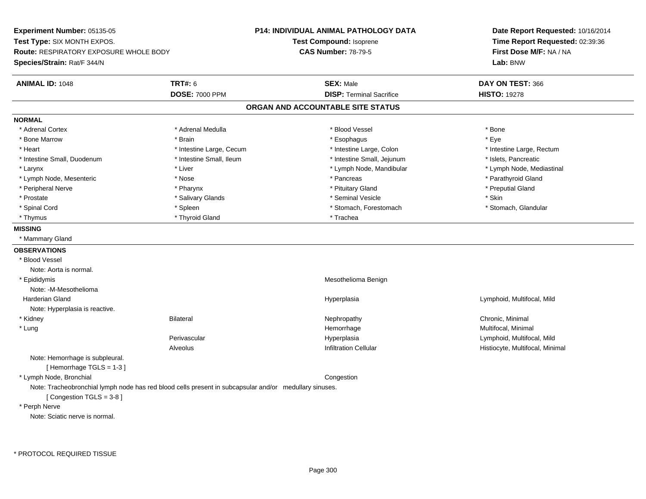**Experiment Number:** 05135-05**Test Type:** SIX MONTH EXPOS.**Route:** RESPIRATORY EXPOSURE WHOLE BODY**Species/Strain:** Rat/F 344/N**P14: INDIVIDUAL ANIMAL PATHOLOGY DATATest Compound:** Isoprene**CAS Number:** 78-79-5**Date Report Requested:** 10/16/2014**Time Report Requested:** 02:39:36**First Dose M/F:** NA / NA**Lab:** BNW**ANIMAL ID:** 1048**TRT#:** 6 **SEX:** Male **DAY ON TEST:** 366 **DOSE:** 7000 PPM**DISP:** Terminal Sacrifice **HISTO:** 19278 **ORGAN AND ACCOUNTABLE SITE STATUSNORMAL**\* Adrenal Cortex \* Adrenal Cortex \* \* Adrenal Medulla \* \* Adrenal Medulla \* \* Blood Vessel \* \* Brood Vessel \* \* Bone \* Eve \* Bone Marrow \* Brain \* Esophagus \* Eye \* Heart Thestine Large, Cecum Thestine Large, Cecum And Alternative Large, Colon Thestine Large, Rectum \* Intestine Large, Rectum \* Intestine Large, Rectum \* Intestine Small, Duodenum \* Intestine Small, Ileum \* Intestine Small, Jejunum \* Islets, Pancreatic\* Lymph Node, Mediastinal \* Larynx \* Liver \* Liver \* Liver \* Liver \* Lymph Node, Mandibular \* Lymph Node, Mandibular \* Lymph Node, Mesenteric \* The state of the state of the state of the state of the state of the state of the state of the state of the state of the state of the state of the state of the state of the state of the state of \* Peripheral Nerve \* \* \* \* Pharynx \* \* Pharynx \* \* \* Preputial Gland \* \* Preputial Gland \* \* Preputial Gland \* Prostate \* \* Salivary Glands \* \* Salivary Glands \* \* Seminal Vesicle \* \* \* Seminal Yestrich \* \* Skin \* \* Skin \* Stomach. Glandular \* Spinal Cord \* Spinal Cord \* Spinal Cord \* Stomach, Forestomach \* Stomach, Forestomach \* Stomach, Forestomach \* Thyrnus \* Thyroid Gland \* Thursday \* Thursday \* Thursday \* Thursday \* Trachea **MISSING** \* Mammary Gland**OBSERVATIONS** \* Blood VesselNote: Aorta is normal. \* Epididymis Mesothelioma BenignNote: -M-Mesothelioma Harderian Gland Hyperplasia Lymphoid, Multifocal, Mild Note: Hyperplasia is reactive. \* Kidneyy the controller of the Bilateral Chronic, Minimal and the Chronic, Minimal of the Chronic, Minimal of the Chronic, Minimal of the Chronic, Minimal of the Chronic, Minimal of the Chronic, Minimal of the Chronic, Minimal of \* Lungg and the morrhage of the morrhage of the morrhage of the morrhage  $\mathsf{M}$ ultifocal, Minimal and the morrhage of the morrhage of the morrhage of the morrhage of the morrhage of the morrhage of the morrhage of the morrhage Perivascular Hyperplasia Lymphoid, Multifocal, Mild AlveolusHistiocyte, Multifocal, Minimal Note: Hemorrhage is subpleural.[ Hemorrhage TGLS = 1-3 ] \* Lymph Node, Bronchial CongestionNote: Tracheobronchial lymph node has red blood cells present in subcapsular and/or medullary sinuses.[ Congestion TGLS = 3-8 ] \* Perph NerveNote: Sciatic nerve is normal.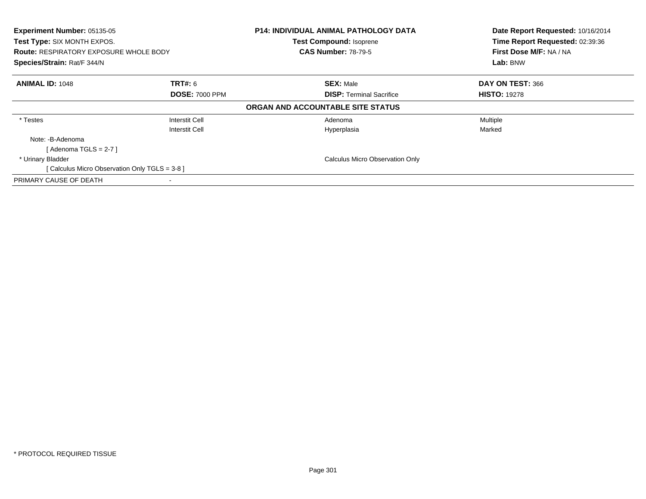| Experiment Number: 05135-05                    |                       | <b>P14: INDIVIDUAL ANIMAL PATHOLOGY DATA</b> | Date Report Requested: 10/16/2014 |
|------------------------------------------------|-----------------------|----------------------------------------------|-----------------------------------|
| Test Type: SIX MONTH EXPOS.                    |                       | <b>Test Compound: Isoprene</b>               | Time Report Requested: 02:39:36   |
| <b>Route: RESPIRATORY EXPOSURE WHOLE BODY</b>  |                       | <b>CAS Number: 78-79-5</b>                   | First Dose M/F: NA / NA           |
| Species/Strain: Rat/F 344/N                    |                       |                                              | Lab: BNW                          |
| <b>ANIMAL ID: 1048</b>                         | <b>TRT#:</b> 6        | <b>SEX: Male</b>                             | DAY ON TEST: 366                  |
|                                                | <b>DOSE: 7000 PPM</b> | <b>DISP:</b> Terminal Sacrifice              | <b>HISTO: 19278</b>               |
|                                                |                       | ORGAN AND ACCOUNTABLE SITE STATUS            |                                   |
| * Testes                                       | Interstit Cell        | Adenoma                                      | Multiple                          |
|                                                | Interstit Cell        | Hyperplasia                                  | Marked                            |
| Note: -B-Adenoma                               |                       |                                              |                                   |
| [ Adenoma TGLS = 2-7 ]                         |                       |                                              |                                   |
| * Urinary Bladder                              |                       | <b>Calculus Micro Observation Only</b>       |                                   |
| [ Calculus Micro Observation Only TGLS = 3-8 ] |                       |                                              |                                   |
| PRIMARY CAUSE OF DEATH                         |                       |                                              |                                   |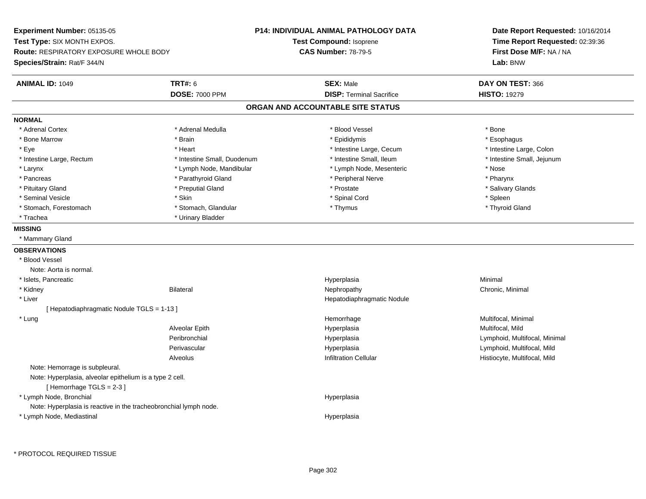**Experiment Number:** 05135-05**Test Type:** SIX MONTH EXPOS.**Route:** RESPIRATORY EXPOSURE WHOLE BODY**Species/Strain:** Rat/F 344/N**P14: INDIVIDUAL ANIMAL PATHOLOGY DATATest Compound:** Isoprene**CAS Number:** 78-79-5**Date Report Requested:** 10/16/2014**Time Report Requested:** 02:39:36**First Dose M/F:** NA / NA**Lab:** BNW**ANIMAL ID:** 1049 **TRT#:** <sup>6</sup> **SEX:** Male **DAY ON TEST:** <sup>366</sup> **DOSE:** 7000 PPM**DISP:** Terminal Sacrifice **HISTO:** 19279 **ORGAN AND ACCOUNTABLE SITE STATUSNORMAL**\* Adrenal Cortex \* Adrenal Cortex \* \* Adrenal Medulla \* \* Adrenal Medulla \* \* Blood Vessel \* \* Brood Vessel \* \* Bone \* Esophagus \* Bone Marrow \* Brain \* Epididymis \* Esophagus \* Intestine Large, Colon \* Eye \* Intestine Large, Cecum \*  $*$  Heart \*  $*$  Intestine Large, Cecum \* Intestine Large, Cecum \* \* Intestine Small, Jejunum \* Intestine Large, Rectum \* Intestine Small, Duodenum \* Intestine Small, Duodenum \* \* Intestine Small, Ileum \* Larynx **\* Lymph Node, Mandibular \*** Lymph Node, Mesenteric \* Nose \* Nose \* Pharynx \* Pancreas \* Pancreas \* Parathyroid Gland \* Peripheral Nerve \* Peripheral Nerve \* Salivary Glands \* Pituitary Gland \* \* Then the state \* Preputial Gland \* Prosection \* Prostate \* \* Salivary Glands \* Salivary Glands \* Salivary Glands \* Salivary Glands \* Salivary Glands \* Salivary Glands \* Salivary Glands \* Salivary Glan \* Seminal Vesicle \* Skin \* Spinal Cord \* Spleen \* Thyroid Gland \* Stomach, Forestomach \* Thomach \* Stomach, Glandular \* Thomach, Glandular \* Thymus \* Thomach, Glandular \* Thomach, Glandular \* Thomach, Glandular \* Thomach, Glandular \* Thomach, Glandular \* Thomach, Glandular \* Thomach, G \* Trachea \* Urinary Bladder**MISSING** \* Mammary Gland**OBSERVATIONS** \* Blood VesselNote: Aorta is normal. \* Islets, Pancreaticc and the contract of the contract of the contract of the contract of the contract of the contract of the contract of the contract of the contract of the contract of the contract of the contract of the contract of the cont a **Minimal**  \* Kidneyy the controller of the Bilateral Chronic, Minimal and the Chronic, Minimal of the Chronic, Minimal of the Chronic, Minimal of the Chronic, Minimal of the Chronic, Minimal of the Chronic, Minimal of the Chronic, Minimal of \* Liver Hepatodiaphragmatic Nodule[ Hepatodiaphragmatic Nodule TGLS = 1-13 ] \* Lungg and the morrhage of the morrhage of the morrhage of the morrhage  $\mathsf{M}$ ultifocal, Minimal and the morrhage of the morrhage of the morrhage of the morrhage of the morrhage of the morrhage of the morrhage of the morrhage Alveolar Epith Hyperplasia Multifocal, Mild Peribronchial Hyperplasia Lymphoid, Multifocal, Minimal Perivascular Hyperplasia Lymphoid, Multifocal, Mild AlveolusHistiocyte, Multifocal, Mild Note: Hemorrage is subpleural.Note: Hyperplasia, alveolar epithelium is a type 2 cell.[ Hemorrhage TGLS = 2-3 ] \* Lymph Node, Bronchial HyperplasiaNote: Hyperplasia is reactive in the tracheobronchial lymph node. \* Lymph Node, MediastinalHyperplasia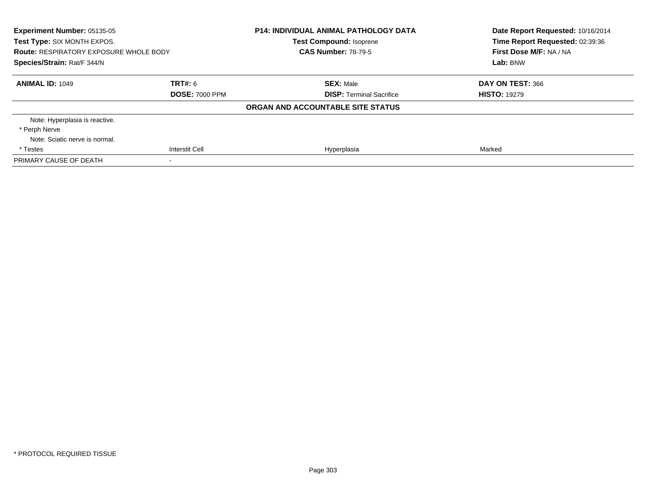| <b>Experiment Number: 05135-05</b><br>Test Type: SIX MONTH EXPOS.<br><b>Route: RESPIRATORY EXPOSURE WHOLE BODY</b><br>Species/Strain: Rat/F 344/N |                       | <b>P14: INDIVIDUAL ANIMAL PATHOLOGY DATA</b><br><b>Test Compound: Isoprene</b><br><b>CAS Number: 78-79-5</b> | Date Report Requested: 10/16/2014<br>Time Report Requested: 02:39:36<br>First Dose M/F: NA / NA<br>Lab: BNW |
|---------------------------------------------------------------------------------------------------------------------------------------------------|-----------------------|--------------------------------------------------------------------------------------------------------------|-------------------------------------------------------------------------------------------------------------|
| <b>ANIMAL ID: 1049</b>                                                                                                                            | <b>TRT#: 6</b>        | <b>SEX: Male</b>                                                                                             | DAY ON TEST: 366                                                                                            |
|                                                                                                                                                   | <b>DOSE: 7000 PPM</b> | <b>DISP: Terminal Sacrifice</b>                                                                              | <b>HISTO: 19279</b>                                                                                         |
|                                                                                                                                                   |                       | ORGAN AND ACCOUNTABLE SITE STATUS                                                                            |                                                                                                             |
| Note: Hyperplasia is reactive.                                                                                                                    |                       |                                                                                                              |                                                                                                             |
| * Perph Nerve                                                                                                                                     |                       |                                                                                                              |                                                                                                             |
| Note: Sciatic nerve is normal.                                                                                                                    |                       |                                                                                                              |                                                                                                             |
| * Testes                                                                                                                                          | <b>Interstit Cell</b> | Hyperplasia                                                                                                  | Marked                                                                                                      |
| PRIMARY CAUSE OF DEATH                                                                                                                            |                       |                                                                                                              |                                                                                                             |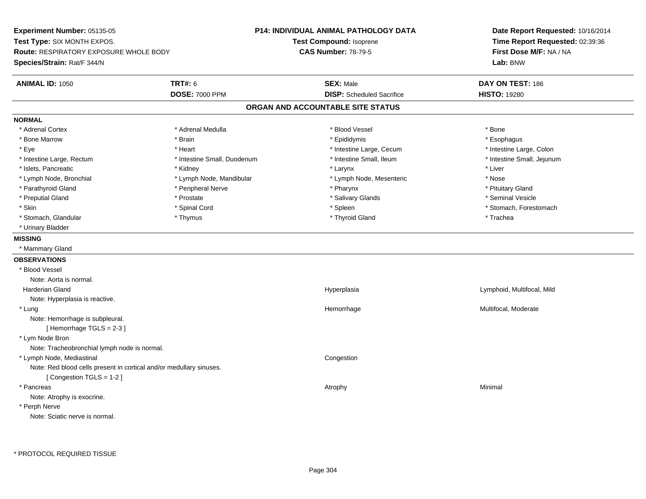**Experiment Number:** 05135-05**Test Type:** SIX MONTH EXPOS.**Route:** RESPIRATORY EXPOSURE WHOLE BODY**Species/Strain:** Rat/F 344/N**P14: INDIVIDUAL ANIMAL PATHOLOGY DATATest Compound:** Isoprene**CAS Number:** 78-79-5**Date Report Requested:** 10/16/2014**Time Report Requested:** 02:39:36**First Dose M/F:** NA / NA**Lab:** BNW**ANIMAL ID:** 1050**TRT#:** 6 **SEX:** Male **DAY ON TEST:** 186 **DOSE:** 7000 PPM**DISP:** Scheduled Sacrifice **HISTO:** 19280 **ORGAN AND ACCOUNTABLE SITE STATUSNORMAL**\* Adrenal Cortex \* Adrenal Cortex \* \* Adrenal Medulla \* \* Adrenal Medulla \* \* Blood Vessel \* \* Brood Vessel \* \* Bone \* Esophagus \* Bone Marrow \* Brain \* Epididymis \* Esophagus \* Intestine Large, Colon \* Eye \* Intestine Large, Cecum \*  $*$  Heart \*  $*$  Intestine Large, Cecum \* Intestine Large, Cecum \* \* Intestine Small, Jejunum \* Intestine Large, Rectum \* 1992 \* Intestine Small, Duodenum \* Intestine Small, Ileum \* Intestine Small, Ileum \* Islets, Pancreatic \* \* \* Andrew \* Kidney \* \* Kidney \* \* Larynx \* Larynx \* \* Larynx \* \* Liver \* Liver \* Liver \* Lymph Node, Bronchial \* Lymph Node, Mandibular \* Nose \* Lymph Node, Mesenteric \* Nose \* Nose \* Pituitary Gland \* Parathyroid Gland \* **Archaeology** \* Peripheral Nerve \* Pharynx \* Pharynx \* Pharynx \* Pharynx \* Seminal Vesicle \* Preputial Gland \* \* Annual vesicle \* \* Prostate \* \* Salivary Glands \* \* Salivary Glands \* \* Seminal Vesicle \* \* Skin \* Spinal Cord \* Spinal Cord \* Spinal Cord \* Spinal \* Spinal \* Stomach, Forestomach \* Stomach, Forestomach \* Stomach, Glandular \* Thymus \* Thymus \* Thymus \* Thyroid Gland \* Thyroid Gland \* Thachea \* Urinary Bladder**MISSING** \* Mammary Gland**OBSERVATIONS** \* Blood VesselNote: Aorta is normal. Harderian Gland Hyperplasia Lymphoid, Multifocal, Mild Note: Hyperplasia is reactive. \* Lungg was a statement of the monotonic memorrhage the monotonic memorrhage  $\sim$  Multifocal, Moderate  $\sim$  Multifocal, Moderate Note: Hemorrhage is subpleural.[ Hemorrhage TGLS = 2-3 ] \* Lym Node Bron Note: Tracheobronchial lymph node is normal. \* Lymph Node, Mediastinal CongestionNote: Red blood cells present in cortical and/or medullary sinuses.[ Congestion TGLS = 1-2 ] \* Pancreass the control of the control of the control of the control of the control of the control of the control of the control of the control of the control of the control of the control of the control of the control of the contro Note: Atrophy is exocrine. \* Perph NerveNote: Sciatic nerve is normal.